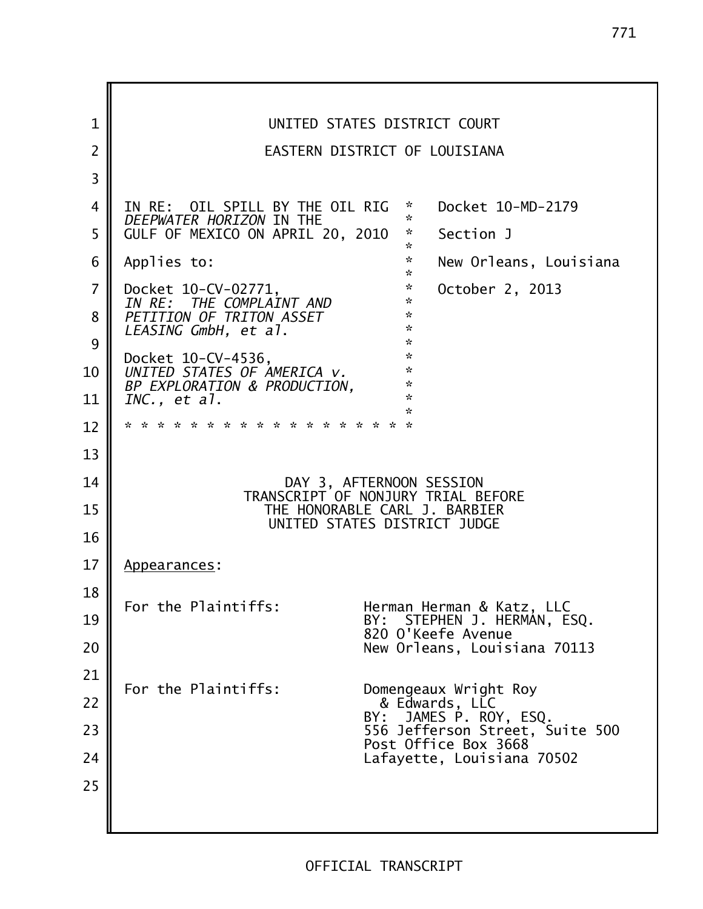1 || UNITED STATES DISTRICT COURT 2 EASTERN DISTRICT OF LOUISIANA 3 4 IN RE: OIL SPILL BY THE OIL RIG \* Docket 10-MD-2179 *DEEPWATER HORIZON* IN THE  $\frac{1}{20}$  and  $\frac{1}{20}$ 5 GULF OF MEXICO ON APRIL 20, 2010 \* Section J \* 6 Applies to: \* New Orleans, Louisiana \* 7 Docket 10-CV-02771,<br>
IN RE: THE COMPLAINT AND \* 0ctober 2, 2013 THE COMPLAINT AND \*<br>IN OF TRITON ASSET \* \* 8 *PETITION OF TRITON ASSET* \* *LEASING GmbH, et al*. \*  $9 \parallel$  \* Docket  $10$ -CV-4536,  $*$ <br>
UNITED STATES OF AMERICA V 10 *UNITED STATES OF AMERICA v.*<br>BR EXPLORATION & REQUISITION *BP EXPLORATION & PRODUCTION,* \* 11 *INC., et al*. \* \*<br>\* \* \* \* \* \* 12 \* \* \* \* \* \* \* \* \* \* \* \* \* \* \* \* \* \* 13 14 DAY 3, AFTERNOON SESSION TRANSCRIPT OF NONJURY TRIAL BEFORE 15 **THE HONORABLE CARL J. BARBIER** UNITED STATES DISTRICT JUDGE 16 17 | Appearances:  $\frac{18}{\text{F}}$  For the Plaintiffs: Herman Herman & Katz, LLC 19 **H** BY: STEPHEN J. HERMAN, ESQ. 820 O'Keefe Avenue 20 New Orleans, Louisiana 70113  $21$  For the Plaintiffs: Domengeaux Wright Roy 22 || **8 Edwards, LLC** BY: JAMES P. ROY, ESQ. 23 556 Jefferson Street, Suite 500 Post Office Box 3668 24 Lafayette, Louisiana 70502 25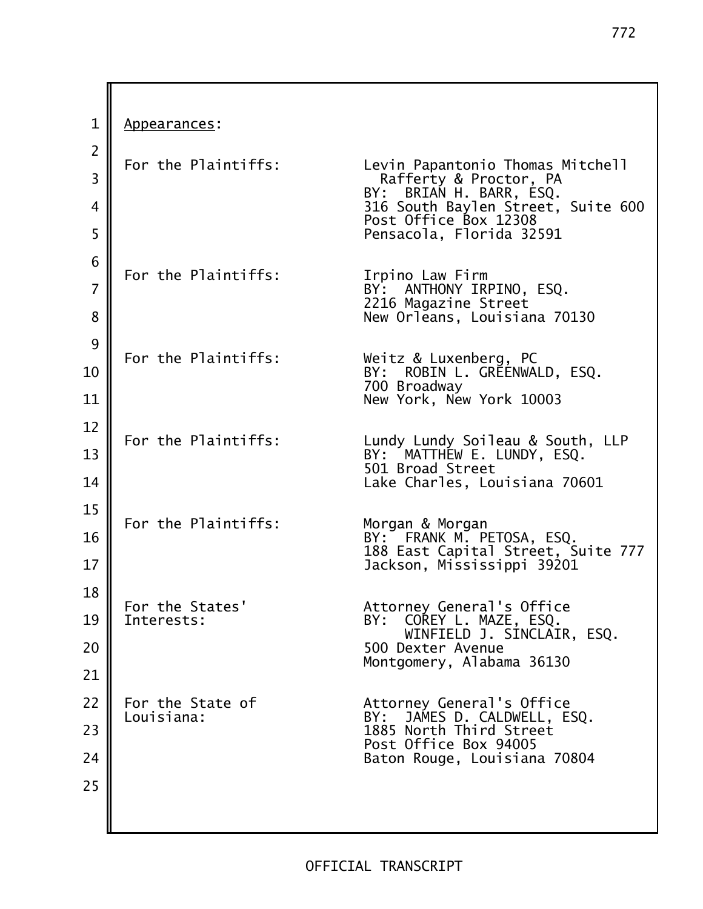1 | Appearances:  $2$  For the Plaintiffs: Levin Papantonio Thomas Mitchell 3 Rafferty & Proctor, PA BY: BRIAN H. BARR, ESQ. 4 316 South Baylen Street, Suite 600 Post Office Box 12308 5 Pensacola, Florida 32591 6 For the Plaintiffs: Irpino Law Firm 7 **BY:** ANTHONY IRPINO, ESQ. 2216 Magazine Street 8 **New Orleans, Louisiana 70130**  $9$  For the Plaintiffs: Weitz & Luxenberg, PC 10 BY: ROBIN L. GREENWALD, ESQ. 700 Broadway 11 New York, New York 10003  $12$  For the Plaintiffs: Lundy Lundy Soileau & South, LLP 13 BY: MATTHEW E. LUNDY, ESQ. 501 Broad Street 14 Lake Charles, Louisiana 70601 15 For the Plaintiffs: Morgan & Morgan 16 **II** BY: FRANK M. PETOSA, ESQ. 188 East Capital Street, Suite 777 17 Jackson, Mississippi 39201  $\frac{18}{\pi}$  For the States' For the States' Attorney General's Office 19 || Interests: BY: COREY L. MAZE, ESO. WINFIELD J. SINCLAIR, ESQ. 20 | **1980 | 1991 | 1992 | 1993 | 1994 | 1993 | 1994 | 1994 | 1994 | 1994 | 1994 | 1994 | 1995 | 1996 | 1996 | 1996 | 1996 | 1996 | 1996 | 1996 | 1996 | 1997 | 1998 | 1999 | 1999 | 1999 | 1999 | 1999 | 1999 | 1999 | 1999 |** Montgomery, Alabama 36130 21 22 | For the State of The Attorney General's Office Louisiana: BY: JAMES D. CALDWELL, ESQ. 23 1885 North Third Street Post Office Box 94005 24 || **Baton Rouge, Louisiana 70804** 25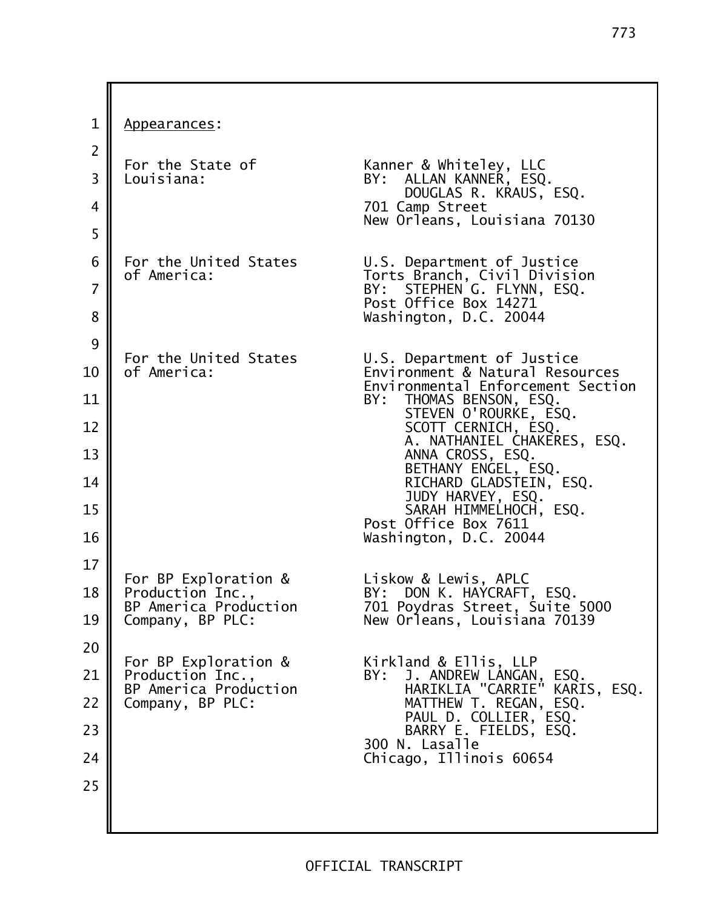773

1 | Appearances: 2 For the State of Kanner & Whiteley, LLC 3 || Louisiana: BY: ALLAN KANNER, ESQ. DOUGLAS R. KRAUS, ESQ. 4 701 Camp Street New Orleans, Louisiana 70130  $5 \parallel$  6 For the United States U.S. Department of Justice of America: Torts Branch, Civil Division 7 **BY:** STEPHEN G. FLYNN, ESQ. Post Office Box 14271 8 **Washington, D.C. 20044**  $9 \parallel$  For the United States For the United States U.S. Department of Justice<br>of America: Environment & Natural Reso 10 of America: Environment & Natural Resources Environmental Enforcement Section<br>BY: THOMAS BENSON. ESO. 11 **||** BY: THOMAS BENSON, ESQ. STEVEN O'ROURKE, ESQ. 12 || SCOTT CERNICH, ESQ. A. NATHANIEL CHAKERES, ESQ. 13 **||** ANNA CROSS, ESQ. BETHANY ENGEL, ESQ. 14 || RICHARD GLADSTEIN, ESQ. JUDY HARVEY, ESQ. 15 || SARAH HIMMELHOCH, ESQ. Post Office Box 7611 16 Washington, D.C. 20044 17 For BP Exploration & Liskow & Lewis, APLC 18 Production Inc., BY: DON K. HAYCRAFT, ESQ. 701 Poydras Street, Suite 5000 19 Company, BP PLC: New Orleans, Louisiana 70139  $20$  For BP Exploration & For BP Exploration & Kirkland & Ellis, LLP 21 Production Inc., BY: J. ANDREW LANGAN, ESQ. BP America Production HARIKLIA "CARRIE" KARIS, ESQ. 22 Company, BP PLC: MATTHEW T. REGAN, ESQ. PAUL D. COLLIER, ESQ. 23 **H** BARRY E. FIELDS, ESQ. 300 N. Lasalle 24 || **Chicago, Illinois 60654** 25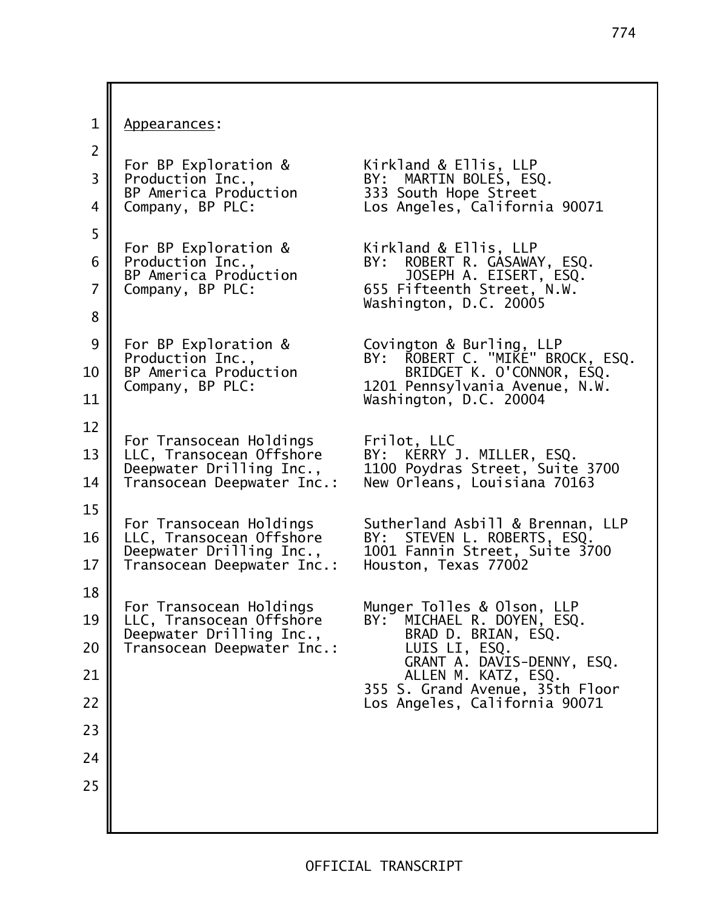1 | Appearances: 2 For BP Exploration & Kirkland & Ellis, LLP 3 Production Inc., BY: MARTIN BOLES, ESQ. 333 South Hope Street 4 Company, BP PLC: Los Angeles, California 90071  $\begin{array}{c|c} 5 \end{array}$  For BP Exploration & Kirkland & Ellis, LLP<br>BY: ROBERT R. GASAWA` 6 Production Inc., BY: ROBERT R. GASAWAY, ESQ. BP America Production JOSEPH A. EISERT, ESQ. 7 Company, BP PLC: 655 Fifteenth Street, N.W. Washington, D.C. 20005 8 9 For BP Exploration & Covington & Burling, LLP Production Inc., BY: ROBERT C. "MIKE" BROCK, ESQ. 10 BP America Production BRIDGET K. O'CONNOR, ESQ.<br>Company, BP PLC: 1201 Pennsylvania Avenue, N.W. 1201 Pennsylvania Avenue, N.W. 11 | Washington, D.C. 20004 12 For Transocean Holdings Frilot, LLC 13  $\parallel$  LLC, Transocean Offshore Deepwater Drilling Inc., 1100 Poydras Street, Suite 3700 14 Transocean Deepwater Inc.: New Orleans, Louisiana 70163 15 For Transocean Holdings Sutherland Asbill & Brennan, LLP<br>LLC, Transocean Offshore BY: STEVEN L. ROBERTS, ESQ. 16 LLC, Transocean Offshore BY: STEVEN L. ROBERTS, ESQ. Deepwater Drilling Inc., 1001 Fannin Street, Suite 3700<br>Transocean Deepwater Inc.: Houston, Texas 77002 17  $\parallel$  Transocean Deepwater Inc.: 18 For Transocean Holdings Munger Tolles & Olson, LLP<br>LLC. Transocean Offshore BY: MICHAEL R. DOYEN. ESO 19 LLC, Transocean Offshore BY: MICHAEL R. DOYEN, ESQ.<br>Deepwater Drilling Inc., BRAD D. BRIAN, ESQ. Deepwater Drilling Inc., BRAD D. BRIAN<br>Transocean Deepwater Inc.: LUIS LI, ESQ.  $20$  Transocean Deepwater Inc.: GRANT A. DAVIS-DENNY, ESQ. 21 ALLEN M. KATZ, ESQ. 355 S. Grand Avenue, 35th Floor 22 Los Angeles, California 90071 23 24 25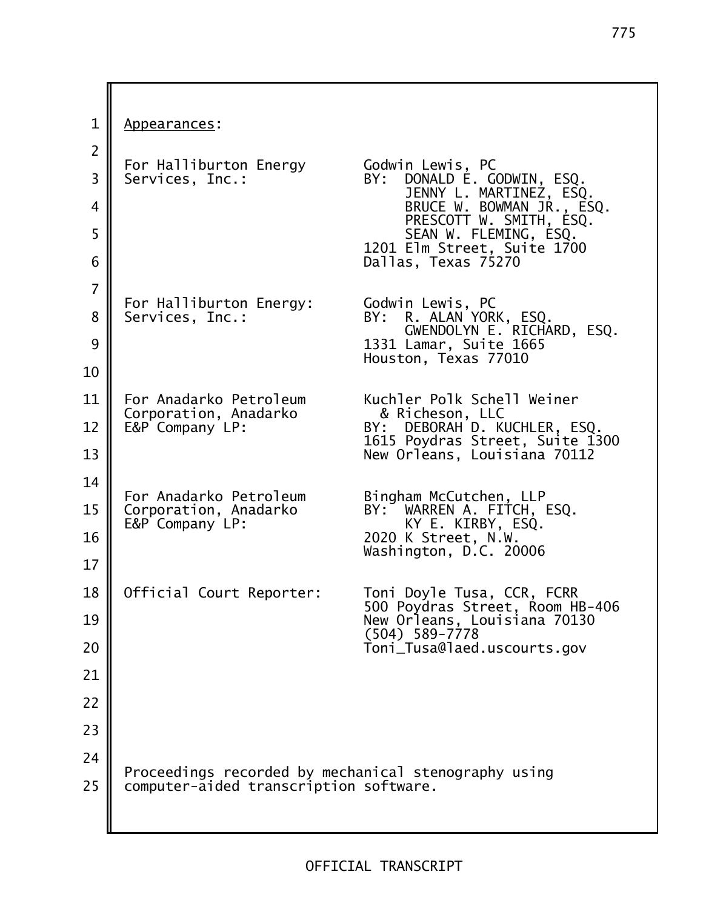1 | Appearances: 2 For Halliburton Energy Godwin Lewis, PC 3 Services, Inc.: BY: DONALD E. GODWIN, ESQ. JENNY L. MARTINEZ, ESQ. 4 **BRUCE W. BOWMAN JR., ESQ.** PRESCOTT W. SMITH, ESQ. 5 **I** SEAN W. FLEMING, ESQ. 1201 Elm Street, Suite 1700 6 Dallas, Texas 75270 7 For Halliburton Energy: Godwin Lewis, PC 8 Services, Inc.: 5, BY: R. ALAN YORK, ESQ. GWENDOLYN E. RICHARD, ESQ. 9 1331 Lamar, Suite 1665 Houston, Texas 77010 10 11 | For Anadarko Petroleum Kuchler Polk Schell Weiner Corporation, Anadarko & Richeson, LLC 12 || E&P Company LP: BY: DEBORAH D. KUCHLER, ESQ. 1615 Poydras Street, Suite 1300 13 || New Orleans, Louisiana 70112  $\frac{14}{\pi}$  For Anadarko Petroleum Bingham McCutchen, LLP<br>BY: WARREN A. FITCH, ESQ. 15 Corporation, Anadarko E&P Company LP: KY E. KIRBY, ESQ. 16 | 2020 K Street, N.W. Washington, D.C. 20006 17 18 | Official Court Reporter: Toni Doyle Tusa, CCR, FCRR 500 Poydras Street, Room HB-406 19 New Orleans, Louisiana 70130  $(504)$  589-7778 20 Toni\_Tusa@laed.uscourts.gov 21 22 23 24 Proceedings recorded by mechanical stenography using  $25$  | computer-aided transcription software.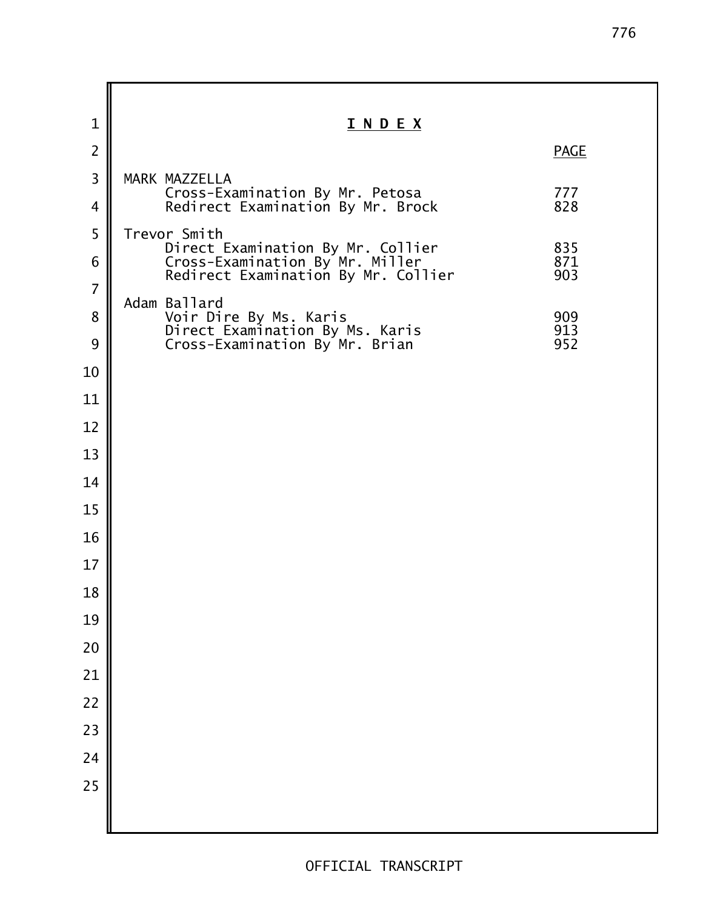**I N D E X PAGE**  3 MARK MAZZELLA Cross!Examination By Mr. Petosa 777 **A** Redirect Examination By Mr. Brock 5 Trevor Smith Direct Examination By Mr. Collier 835 6 Cross-Examination By Mr. Miller 871 Redirect Examination By Mr. Collier 903 Adam Ballard **N** Voir Dire By Ms. Karis 1909 Direct Examination By Ms. Karis 913 9 Cross-Examination By Mr. Brian 952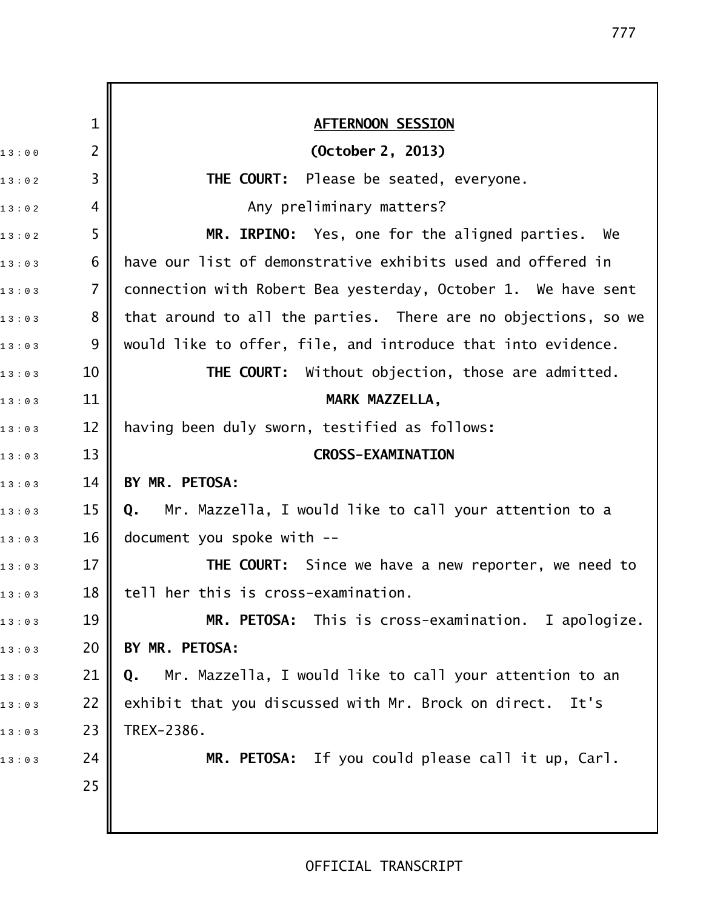|       | $\mathbf 1$    | <b>AFTERNOON SESSION</b>                                       |
|-------|----------------|----------------------------------------------------------------|
| 13:00 | $\overline{2}$ | (October 2, 2013)                                              |
| 13:02 | $\overline{3}$ | <b>THE COURT:</b> Please be seated, everyone.                  |
| 13:02 | 4              | Any preliminary matters?                                       |
| 13:02 | 5              | MR. IRPINO: Yes, one for the aligned parties. We               |
| 13:03 | 6              | have our list of demonstrative exhibits used and offered in    |
| 13:03 | $\overline{7}$ | connection with Robert Bea yesterday, October 1. We have sent  |
| 13:03 | 8              | that around to all the parties. There are no objections, so we |
| 13:03 | 9              | would like to offer, file, and introduce that into evidence.   |
| 13:03 | 10             | <b>THE COURT:</b> Without objection, those are admitted.       |
| 13:03 | 11             | MARK MAZZELLA,                                                 |
| 13:03 | 12             | having been duly sworn, testified as follows:                  |
| 13:03 | 13             | <b>CROSS-EXAMINATION</b>                                       |
| 13:03 | 14             | BY MR. PETOSA:                                                 |
| 13:03 | 15             | Mr. Mazzella, I would like to call your attention to a<br>Q.   |
| 13:03 | 16             | document you spoke with --                                     |
| 13:03 | 17             | <b>THE COURT:</b> Since we have a new reporter, we need to     |
| 13:03 | 18             | tell her this is cross-examination.                            |
| 13:03 | 19             | MR. PETOSA: This is cross-examination. I apologize.            |
| 13:03 | 20             | BY MR. PETOSA:                                                 |
| 13:03 | 21             | Mr. Mazzella, I would like to call your attention to an<br>Q.  |
| 13:03 | 22             | exhibit that you discussed with Mr. Brock on direct.<br>It's   |
| 13:03 | 23             | TREX-2386.                                                     |
| 13:03 | 24             | MR. PETOSA: If you could please call it up, Carl.              |
|       | 25             |                                                                |
|       |                |                                                                |

# OFFICIAL TRANSCRIPT

II

777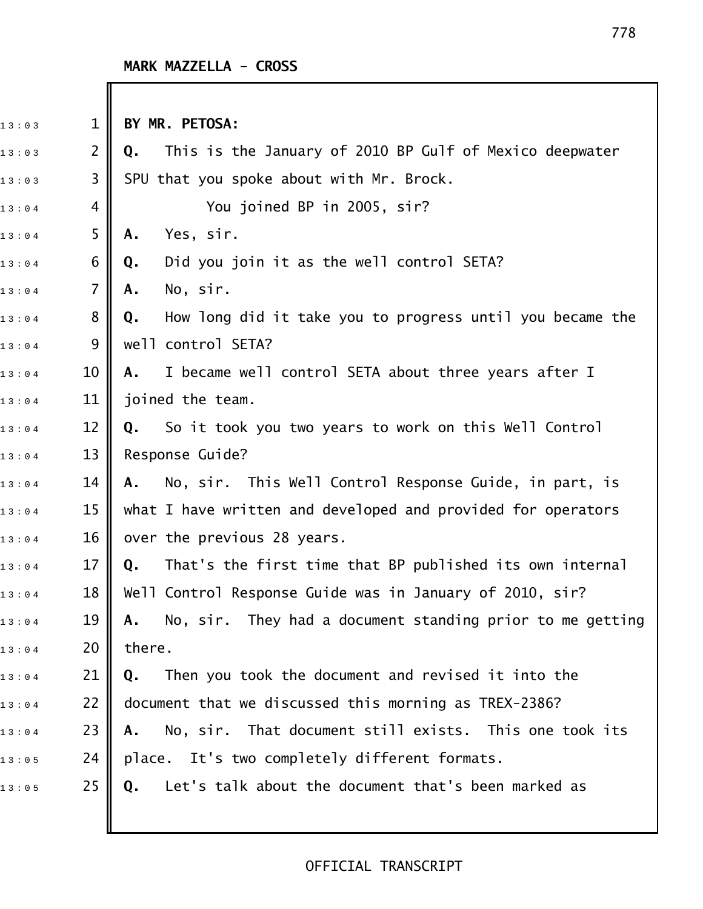| 13:03 | $\mathbf 1$    | BY MR. PETOSA:                                                  |
|-------|----------------|-----------------------------------------------------------------|
| 13:03 | $\overline{2}$ | This is the January of 2010 BP Gulf of Mexico deepwater<br>Q.   |
| 13:03 | 3              | SPU that you spoke about with Mr. Brock.                        |
| 13:04 | 4              | You joined BP in 2005, sir?                                     |
| 13:04 | 5              | Yes, sir.<br>Α.                                                 |
| 13:04 | 6              | Did you join it as the well control SETA?<br>Q.                 |
| 13:04 | 7              | No, sir.<br>Α.                                                  |
| 13:04 | 8              | How long did it take you to progress until you became the<br>Q. |
| 13:04 | 9              | well control SETA?                                              |
| 13:04 | 10             | I became well control SETA about three years after I<br>Α.      |
| 13:04 | 11             | joined the team.                                                |
| 13:04 | 12             | Q. So it took you two years to work on this Well Control        |
| 13:04 | 13             | Response Guide?                                                 |
| 13:04 | 14             | No, sir. This Well Control Response Guide, in part, is<br>A.    |
| 13:04 | 15             | what I have written and developed and provided for operators    |
| 13:04 | 16             | over the previous 28 years.                                     |
| 13:04 | 17             | That's the first time that BP published its own internal<br>Q.  |
| 13:04 | 18             | Well Control Response Guide was in January of 2010, sir?        |
| 13:04 | 19             | A. No, sir. They had a document standing prior to me getting    |
| 13:04 | 20             | there.                                                          |
| 13:04 | 21             | Then you took the document and revised it into the<br>Q.        |
| 13:04 | 22             | document that we discussed this morning as TREX-2386?           |
| 13:04 | 23             | No, sir. That document still exists. This one took its<br>А.    |
| 13:05 | 24             | place. It's two completely different formats.                   |
| 13:05 | 25             | Let's talk about the document that's been marked as<br>Q.       |
|       |                |                                                                 |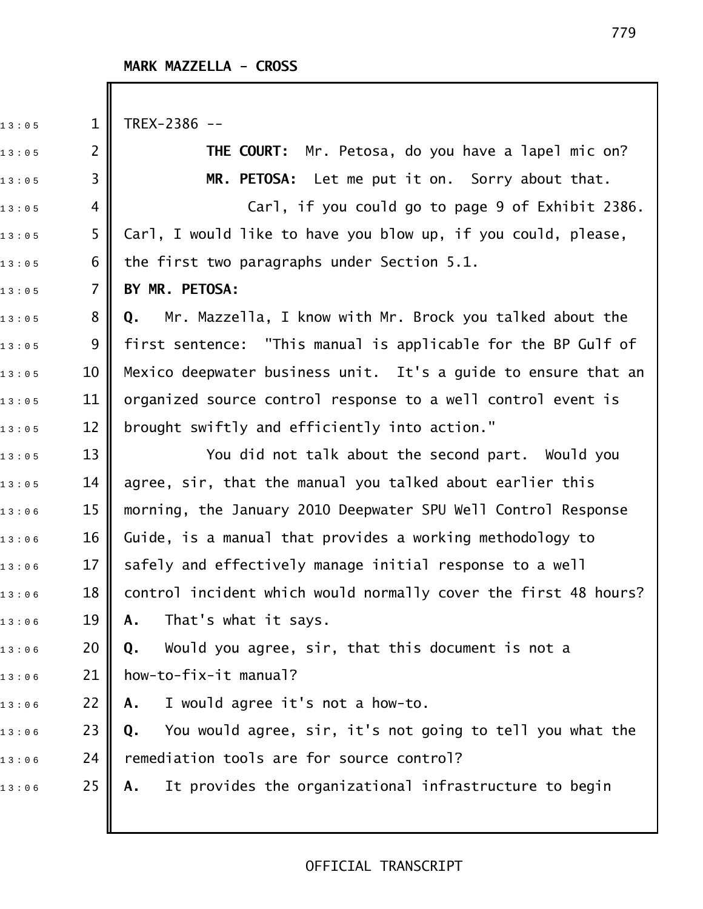13:05 1 TREX-2386 --

1 3 : 0 5 2 **THE COURT:** Mr. Petosa, do you have a lapel mic on? 1 3 : 0 5 3 **MR. PETOSA:** Let me put it on. Sorry about that.  $_{1\,3\ :\ 0\,5}$  4  $\parallel$  . The carl, if you could go to page 9 of Exhibit 2386.  $_{1\,3\,:\,0\,5}$  5  $\parallel$  Carl, I would like to have you blow up, if you could, please,  $13:05$  6 || the first two paragraphs under Section 5.1. 1 3 : 0 5 7 **BY MR. PETOSA:** 1 3 : 0 5 8 **Q.** Mr. Mazzella, I know with Mr. Brock you talked about the  $_{1\,3\,:\,0\,5}$   $\qquad \quad$  9  $\parallel$  first sentence: "This manual is applicable for the BP Gulf of  $_{1\,3\,:\,0\,5}$   $\qquad$  10  $\parallel$  Mexico deepwater business unit. It's a guide to ensure that an  $_{1\,3\,:\,0\,5}$   $\qquad$  11  $\parallel$  organized source control response to a well control event is  $_{1\,3\ :\ 0\, 5}$   $\qquad \qquad 12$   $\parallel$  brought swiftly and efficiently into action."  $_{1\,3\,:\,0\,:\,5}$   $\quad$  13  $\parallel$   $\qquad$  You did not talk about the second part. Would you  $_{1\,3\ :\ 0\, 5}$   $\qquad \qquad$  14  $\qquad$  agree, sir, that the manual you talked about earlier this 13:06 15 **||** morning, the January 2010 Deepwater SPU Well Control Response  $_{1\,3\,:\,0\,6}$  6  $\,$  16  $\,$  Guide, is a manual that provides a working methodology to  $_{1\,3\,:\,0\,6}$   $\qquad \qquad$  17  $\parallel$  safely and effectively manage initial response to a well  $_{1\,3\,:\,0\,6}$   $\qquad$  18  $\parallel$  control incident which would normally cover the first 48 hours?  $13:0.6$  19 **A.** That's what it says. 1 3 : 0 6 20 **Q.** Would you agree, sir, that this document is not a  $13:0.6$  21 | how-to-fix-it manual? 1 3 : 0 6 22 **A.** I would agree it's not a how!to. 1 3 : 0 6 23 **Q.** You would agree, sir, it's not going to tell you what the  $_{1\,3\,:\,0\,6}$  24 || remediation tools are for source control? 1 3 : 0 6 25 **A.** It provides the organizational infrastructure to begin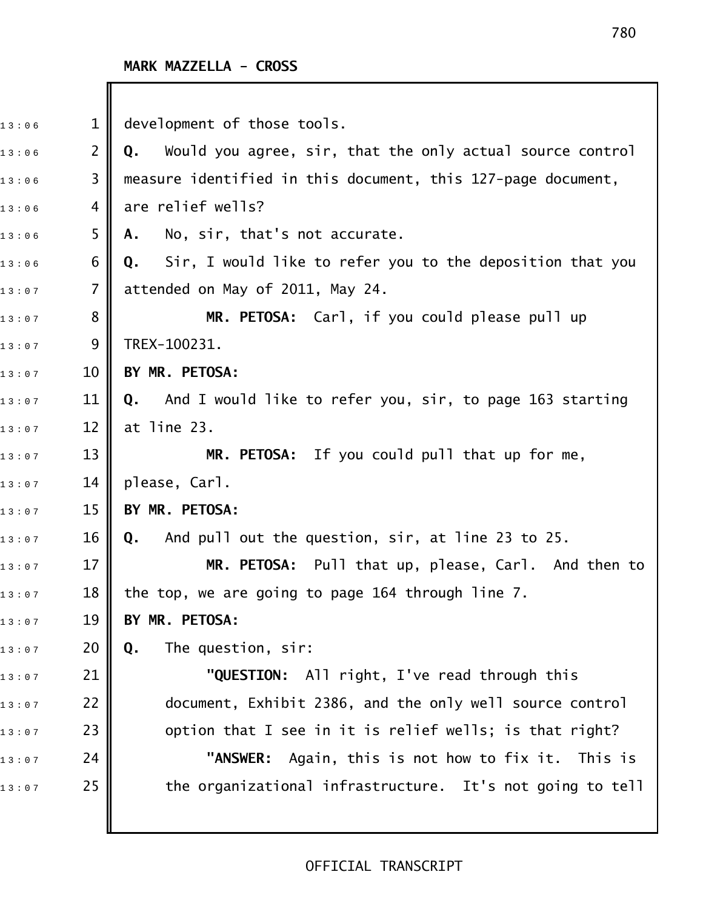| 13:06 | $\mathbf{1}$   | development of those tools.                                        |
|-------|----------------|--------------------------------------------------------------------|
| 13:06 | $\overline{2}$ | Would you agree, sir, that the only actual source control<br>Q.    |
| 13:06 | 3              | measure identified in this document, this 127-page document,       |
| 13:06 | 4              | are relief wells?                                                  |
| 13:06 | 5              | No, sir, that's not accurate.<br>Α.                                |
| 13:06 | 6              | Sir, I would like to refer you to the deposition that you<br>Q.    |
| 13:07 | 7              | attended on May of 2011, May 24.                                   |
| 13:07 | 8              | MR. PETOSA: Carl, if you could please pull up                      |
| 13:07 | 9              | TREX-100231.                                                       |
| 13:07 | 10             | BY MR. PETOSA:                                                     |
| 13:07 | 11             | <b>Q.</b> And I would like to refer you, sir, to page 163 starting |
| 13:07 | 12             | at line 23.                                                        |
| 13:07 | 13             | MR. PETOSA: If you could pull that up for me,                      |
| 13:07 | 14             | please, Carl.                                                      |
| 13:07 | 15             | BY MR. PETOSA:                                                     |
| 13:07 | 16             | And pull out the question, sir, at line 23 to 25.<br>Q.            |
| 13:07 | 17             | MR. PETOSA: Pull that up, please, Carl. And then to                |
| 13:07 | 18             | the top, we are going to page 164 through line 7.                  |
| 13:07 | 19             | BY MR. PETOSA:                                                     |
| 13:07 | 20             | The question, sir:<br>Q.                                           |
| 13:07 | 21             | "QUESTION: All right, I've read through this                       |
| 13:07 | 22             | document, Exhibit 2386, and the only well source control           |
| 13:07 | 23             | option that I see in it is relief wells; is that right?            |
| 13:07 | 24             | Again, this is not how to fix it. This is<br>"ANSWER:              |
| 13:07 | 25             | the organizational infrastructure. It's not going to tell          |
|       |                |                                                                    |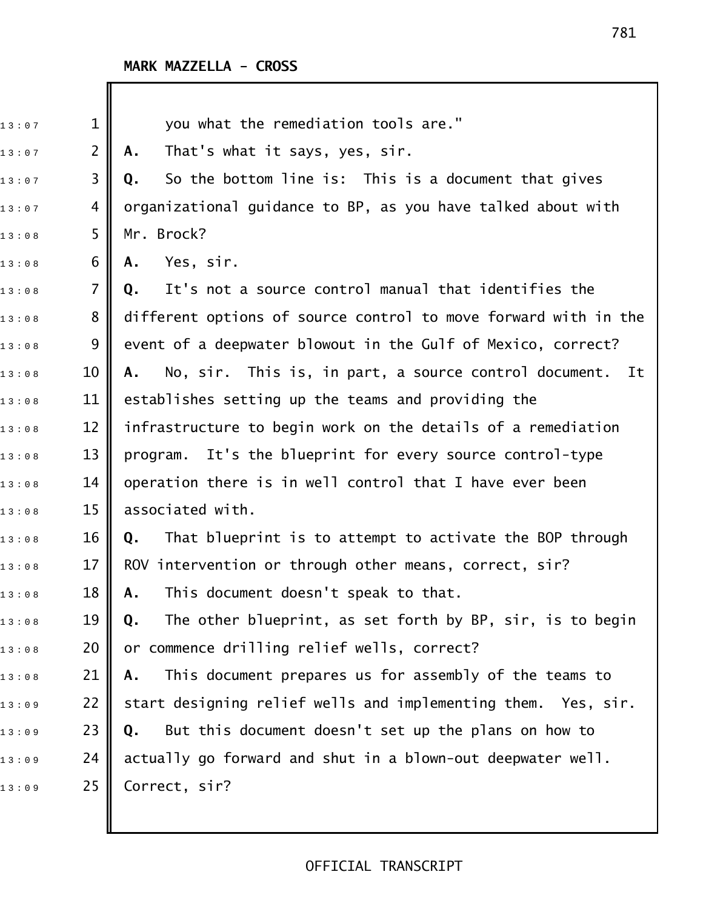| 13:07 | $\mathbf{1}$   | you what the remediation tools are."                            |
|-------|----------------|-----------------------------------------------------------------|
| 13:07 | $\overline{2}$ | That's what it says, yes, sir.<br>Α.                            |
| 13:07 | 3              | So the bottom line is: This is a document that gives<br>Q.      |
| 13:07 | 4              | organizational guidance to BP, as you have talked about with    |
| 13:08 | 5              | Mr. Brock?                                                      |
| 13:08 | 6              | Yes, sir.<br>Α.                                                 |
| 13:08 | $\overline{7}$ | It's not a source control manual that identifies the<br>Q.      |
| 13:08 | 8              | different options of source control to move forward with in the |
| 13:08 | 9              | event of a deepwater blowout in the Gulf of Mexico, correct?    |
| 13:08 | 10             | No, sir. This is, in part, a source control document. It<br>Α.  |
| 13:08 | 11             | establishes setting up the teams and providing the              |
| 13:08 | 12             | infrastructure to begin work on the details of a remediation    |
| 13:08 | 13             | It's the blueprint for every source control-type<br>program.    |
| 13:08 | 14             | operation there is in well control that I have ever been        |
| 13:08 | 15             | associated with.                                                |
| 13:08 | 16             | That blueprint is to attempt to activate the BOP through<br>Q.  |
| 13:08 | 17             | ROV intervention or through other means, correct, sir?          |
| 13:08 | 18             | This document doesn't speak to that.<br>Α.                      |
| 13:08 | 19             | The other blueprint, as set forth by BP, sir, is to begin<br>Q. |
| 13:08 | 20             | or commence drilling relief wells, correct?                     |
| 13:08 | 21             | This document prepares us for assembly of the teams to<br>Α.    |
| 13:09 | 22             | start designing relief wells and implementing them. Yes, sir.   |
| 13:09 | 23             | But this document doesn't set up the plans on how to<br>Q.      |
| 13:09 | 24             | actually go forward and shut in a blown-out deepwater well.     |
| 13:09 | 25             | Correct, sir?                                                   |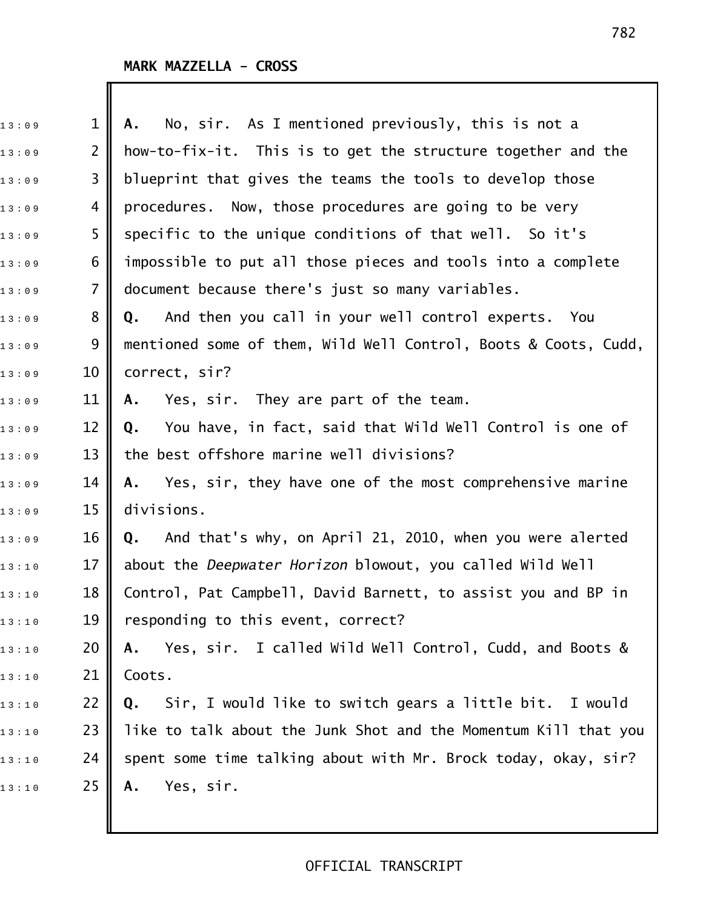| 13:09 | $\mathbf 1$    | No, sir. As I mentioned previously, this is not a<br>А.         |
|-------|----------------|-----------------------------------------------------------------|
| 13:09 | $\overline{2}$ | how-to-fix-it. This is to get the structure together and the    |
| 13:09 | 3              | blueprint that gives the teams the tools to develop those       |
| 13:09 | 4              | procedures. Now, those procedures are going to be very          |
| 13:09 | 5              | specific to the unique conditions of that well. So it's         |
| 13:09 | 6              | impossible to put all those pieces and tools into a complete    |
| 13:09 | $\overline{7}$ | document because there's just so many variables.                |
| 13:09 | 8              | And then you call in your well control experts. You<br>Q.       |
| 13:09 | 9              | mentioned some of them, Wild Well Control, Boots & Coots, Cudd, |
| 13:09 | 10             | correct, sir?                                                   |
| 13:09 | 11             | Yes, sir. They are part of the team.<br>Α.                      |
| 13:09 | 12             | You have, in fact, said that Wild Well Control is one of<br>Q.  |
| 13:09 | 13             | the best offshore marine well divisions?                        |
| 13:09 | 14             | Yes, sir, they have one of the most comprehensive marine<br>Α.  |
| 13:09 | 15             | divisions.                                                      |
| 13:09 | 16             | And that's why, on April 21, 2010, when you were alerted<br>Q.  |
| 13:10 | 17             | about the Deepwater Horizon blowout, you called Wild Well       |
| 13:10 | 18             | Control, Pat Campbell, David Barnett, to assist you and BP in   |
| 13:10 | 19             | responding to this event, correct?                              |
| 13:10 | 20             | Yes, sir. I called Wild Well Control, Cudd, and Boots &<br>Α.   |
| 13:10 | 21             | Coots.                                                          |
| 13:10 | 22             | Sir, I would like to switch gears a little bit. I would<br>Q.   |
| 13:10 | 23             | like to talk about the Junk Shot and the Momentum Kill that you |
| 13:10 | 24             | spent some time talking about with Mr. Brock today, okay, sir?  |
| 13:10 | 25             | Yes, sir.<br>Α.                                                 |
|       |                |                                                                 |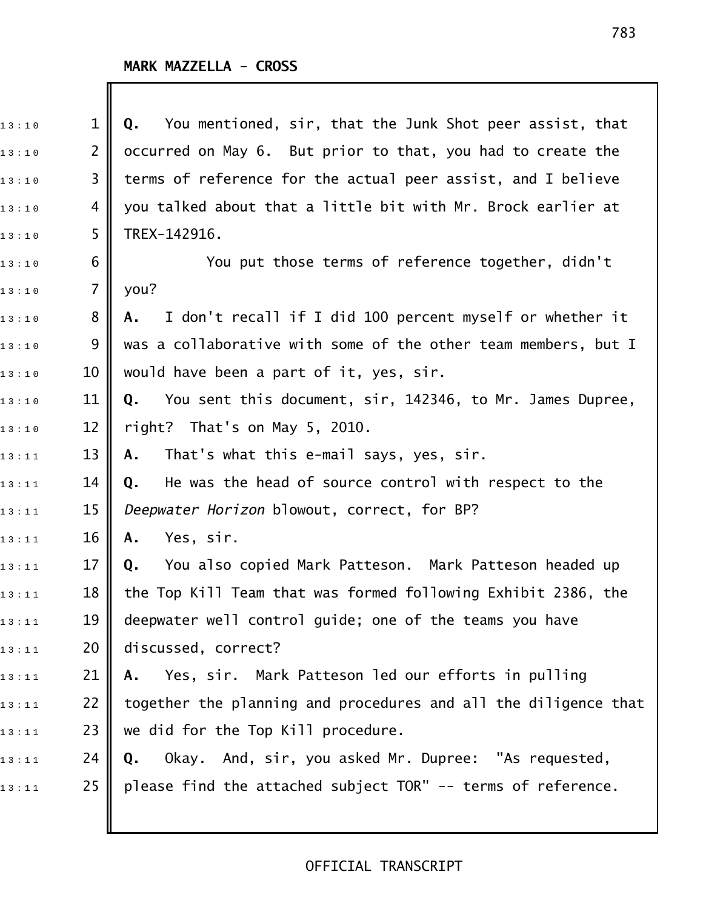Ι

| 13:10 | $\mathbf 1$     | Q. You mentioned, sir, that the Junk Shot peer assist, that     |
|-------|-----------------|-----------------------------------------------------------------|
| 13:10 | $\overline{2}$  | occurred on May 6. But prior to that, you had to create the     |
| 13:10 | 3               | terms of reference for the actual peer assist, and I believe    |
| 13:10 | 4               | you talked about that a little bit with Mr. Brock earlier at    |
| 13:10 | 5               | TREX-142916.                                                    |
| 13:10 | 6               | You put those terms of reference together, didn't               |
| 13:10 | 7               | you?                                                            |
| 13:10 | 8               | I don't recall if I did 100 percent myself or whether it<br>А.  |
| 13:10 | 9               | was a collaborative with some of the other team members, but I  |
| 13:10 | 10              | would have been a part of it, yes, sir.                         |
| 13:10 | 11              | You sent this document, sir, 142346, to Mr. James Dupree,<br>Q. |
| 13:10 | 12              | right? That's on May 5, 2010.                                   |
| 13:11 | 13              | That's what this e-mail says, yes, sir.<br>А.                   |
| 13:11 | 14              | He was the head of source control with respect to the<br>Q.     |
| 13:11 | 15              | Deepwater Horizon blowout, correct, for BP?                     |
| 13:11 | 16              | Yes, sir.<br>Α.                                                 |
| 13:11 | 17              | You also copied Mark Patteson. Mark Patteson headed up<br>Q.    |
| 13:11 | 18 <sup>1</sup> | the Top Kill Team that was formed following Exhibit 2386, the   |
| 13:11 | 19              | deepwater well control guide; one of the teams you have         |
| 13:11 | 20              | discussed, correct?                                             |
| 13:11 | 21              | A. Yes, sir. Mark Patteson led our efforts in pulling           |
| 13:11 | 22              | together the planning and procedures and all the diligence that |
| 13:11 | 23              | we did for the Top Kill procedure.                              |
| 13:11 | 24              | Okay. And, sir, you asked Mr. Dupree: "As requested,<br>Q.      |
| 13:11 | 25              | please find the attached subject TOR" -- terms of reference.    |
|       |                 |                                                                 |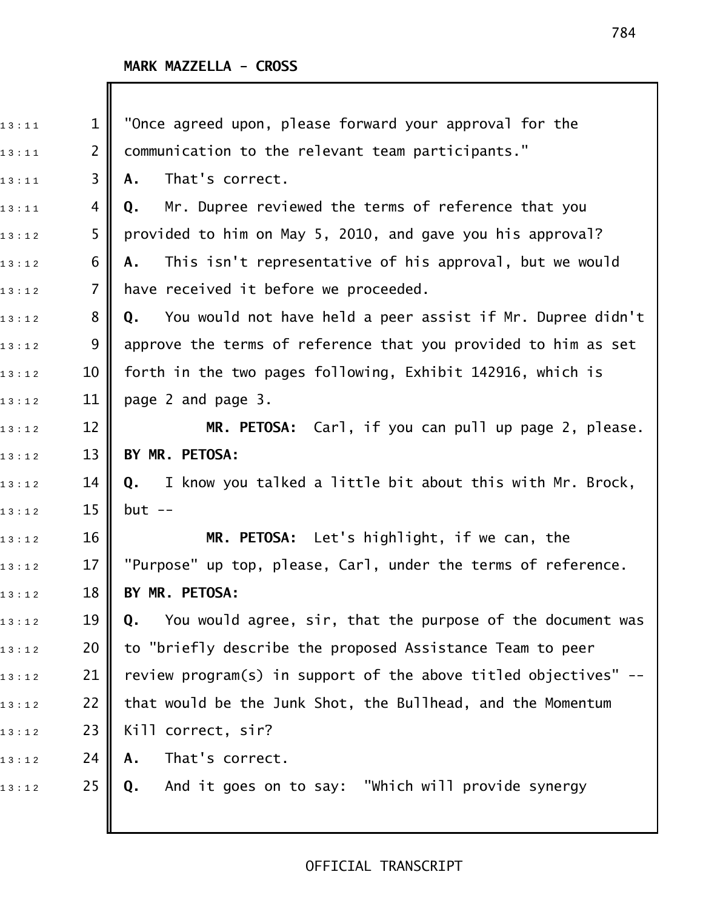I

| 13:11 | $\mathbf 1$    | "Once agreed upon, please forward your approval for the          |
|-------|----------------|------------------------------------------------------------------|
| 13:11 | $\overline{2}$ | communication to the relevant team participants."                |
| 13:11 | 3              | That's correct.<br>Α.                                            |
| 13:11 | 4              | Mr. Dupree reviewed the terms of reference that you<br>Q.        |
| 13:12 | 5              | provided to him on May 5, 2010, and gave you his approval?       |
| 13:12 | 6              | This isn't representative of his approval, but we would<br>Α.    |
| 13:12 | $\overline{7}$ | have received it before we proceeded.                            |
| 13:12 | 8              | You would not have held a peer assist if Mr. Dupree didn't<br>Q. |
| 13:12 | 9              | approve the terms of reference that you provided to him as set   |
| 13:12 | 10             | forth in the two pages following, Exhibit 142916, which is       |
| 13:12 | 11             | page 2 and page 3.                                               |
| 13:12 | 12             | MR. PETOSA: Carl, if you can pull up page 2, please.             |
| 13:12 | 13             | BY MR. PETOSA:                                                   |
| 13:12 | 14             | Q. I know you talked a little bit about this with Mr. Brock,     |
| 13:12 | 15             | $but --$                                                         |
| 13:12 | 16             | MR. PETOSA: Let's highlight, if we can, the                      |
| 13:12 | 17             | "Purpose" up top, please, Carl, under the terms of reference.    |
| 13:12 | 18             | BY MR. PETOSA:                                                   |
| 13:12 | 19             | You would agree, sir, that the purpose of the document was<br>Q. |
| 13:12 | 20             | to "briefly describe the proposed Assistance Team to peer        |
| 13:12 | 21             | review program(s) in support of the above titled objectives" --  |
| 13:12 | 22             | that would be the Junk Shot, the Bullhead, and the Momentum      |
| 13:12 | 23             | Kill correct, sir?                                               |
| 13:12 | 24             | That's correct.<br>Α.                                            |
| 13:12 | 25             | And it goes on to say: "Which will provide synergy<br>Q.         |
|       |                |                                                                  |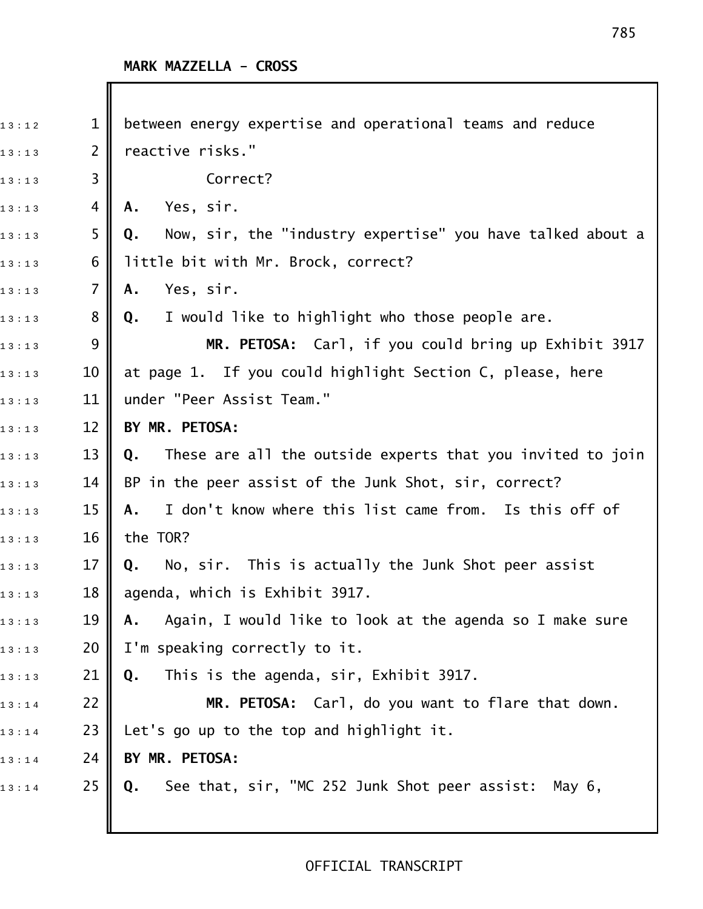| 13:12 | $\mathbf 1$     | between energy expertise and operational teams and reduce        |
|-------|-----------------|------------------------------------------------------------------|
| 13:13 | $\overline{2}$  | reactive risks."                                                 |
| 13:13 | 3               | Correct?                                                         |
| 13:13 | 4               | Yes, sir.<br>Α.                                                  |
| 13:13 | 5               | Now, sir, the "industry expertise" you have talked about a<br>Q. |
| 13:13 | 6               | little bit with Mr. Brock, correct?                              |
| 13:13 | $\overline{7}$  | Yes, sir.<br>Α.                                                  |
| 13:13 | 8               | I would like to highlight who those people are.<br>Q.            |
| 13:13 | 9               | MR. PETOSA: Carl, if you could bring up Exhibit 3917             |
| 13:13 | 10              | at page 1. If you could highlight Section C, please, here        |
| 13:13 | 11              | under "Peer Assist Team."                                        |
| 13:13 | 12              | BY MR. PETOSA:                                                   |
| 13:13 | 13              | These are all the outside experts that you invited to join<br>Q. |
| 13:13 | 14              | BP in the peer assist of the Junk Shot, sir, correct?            |
| 13:13 | 15              | I don't know where this list came from. Is this off of<br>А.     |
| 13:13 | 16              | the TOR?                                                         |
| 13:13 | 17              | Q. No, sir. This is actually the Junk Shot peer assist           |
| 13:13 | 18 <sup>1</sup> | agenda, which is Exhibit 3917.                                   |
| 13:13 | 19              | Again, I would like to look at the agenda so I make sure<br>Α.   |
| 13:13 | 20              | I'm speaking correctly to it.                                    |
| 13:13 | 21              | This is the agenda, sir, Exhibit 3917.<br>Q.                     |
| 13:14 | 22              | MR. PETOSA: Carl, do you want to flare that down.                |
| 13:14 | 23              | Let's go up to the top and highlight it.                         |
| 13:14 | 24              | BY MR. PETOSA:                                                   |
| 13:14 | 25              | See that, sir, "MC 252 Junk Shot peer assist:<br>May 6,<br>Q.    |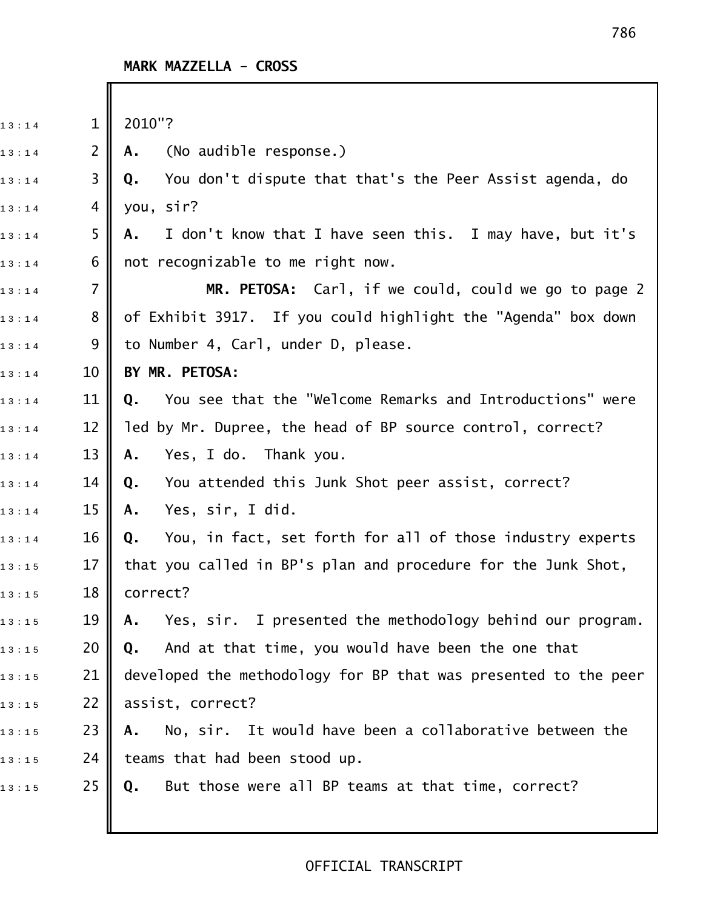| 13:14 | $\mathbf{1}$   | 2010"?                                                          |
|-------|----------------|-----------------------------------------------------------------|
| 13:14 | $\overline{2}$ | (No audible response.)<br>Α.                                    |
| 13:14 | 3              | You don't dispute that that's the Peer Assist agenda, do<br>Q.  |
| 13:14 | 4              | you, sir?                                                       |
| 13:14 | 5              | I don't know that I have seen this. I may have, but it's<br>Α.  |
| 13:14 | 6              | not recognizable to me right now.                               |
| 13:14 | $\overline{7}$ | MR. PETOSA: Carl, if we could, could we go to page 2            |
| 13:14 | 8              | of Exhibit 3917. If you could highlight the "Agenda" box down   |
| 13:14 | 9              | to Number 4, Carl, under D, please.                             |
| 13:14 | 10             | BY MR. PETOSA:                                                  |
| 13:14 | 11             | You see that the "Welcome Remarks and Introductions" were<br>Q. |
| 13:14 | 12             | led by Mr. Dupree, the head of BP source control, correct?      |
| 13:14 | 13             | Yes, I do. Thank you.<br>Α.                                     |
| 13:14 | 14             | You attended this Junk Shot peer assist, correct?<br>Q.         |
| 13:14 | 15             | Yes, sir, I did.<br>Α.                                          |
| 13:14 | 16             | You, in fact, set forth for all of those industry experts<br>Q. |
| 13:15 | 17             | that you called in BP's plan and procedure for the Junk Shot,   |
| 13:15 | 18             | correct?                                                        |
| 13:15 | 19             | Yes, sir. I presented the methodology behind our program.<br>Α. |
| 13:15 | 20             | And at that time, you would have been the one that<br>Q.        |
| 13:15 | 21             | developed the methodology for BP that was presented to the peer |
| 13:15 | 22             | assist, correct?                                                |
| 13:15 | 23             | No, sir. It would have been a collaborative between the<br>Α.   |
| 13:15 | 24             | teams that had been stood up.                                   |
| 13:15 | 25             | But those were all BP teams at that time, correct?<br>Q.        |
|       |                |                                                                 |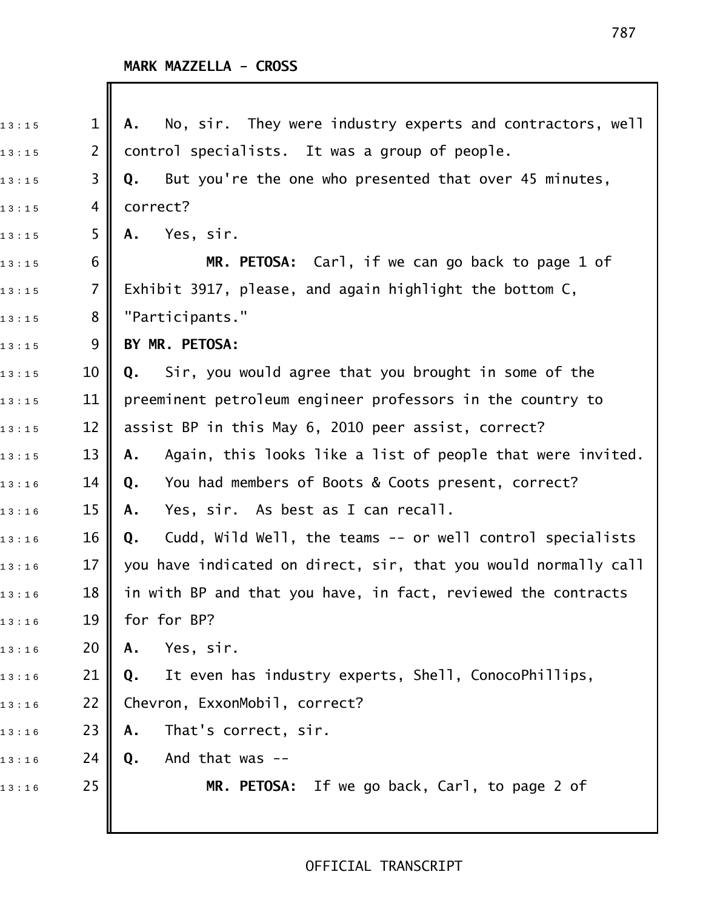| 13:15 | $\mathbf 1$    | No, sir. They were industry experts and contractors, well<br>Α.  |
|-------|----------------|------------------------------------------------------------------|
| 13:15 | $\overline{2}$ | control specialists. It was a group of people.                   |
| 13:15 | 3              | But you're the one who presented that over 45 minutes,<br>Q.     |
| 13:15 | 4              | correct?                                                         |
| 13:15 | 5              | Yes, sir.<br>А.                                                  |
| 13:15 | 6              | MR. PETOSA: Carl, if we can go back to page 1 of                 |
| 13:15 | $\overline{7}$ | Exhibit 3917, please, and again highlight the bottom C,          |
| 13:15 | 8              | "Participants."                                                  |
| 13:15 | 9              | BY MR. PETOSA:                                                   |
| 13:15 | 10             | Sir, you would agree that you brought in some of the<br>Q.       |
| 13:15 | 11             | preeminent petroleum engineer professors in the country to       |
| 13:15 | 12             | assist BP in this May 6, 2010 peer assist, correct?              |
| 13:15 | 13             | Again, this looks like a list of people that were invited.<br>Α. |
| 13:16 | 14             | You had members of Boots & Coots present, correct?<br>Q.         |
| 13:16 | 15             | Yes, sir. As best as I can recall.<br>Α.                         |
| 13:16 | 16             | Cudd, Wild Well, the teams -- or well control specialists<br>Q.  |
| 13:16 | 17             | you have indicated on direct, sir, that you would normally call  |
| 13:16 | 18             | in with BP and that you have, in fact, reviewed the contracts    |
| 13:16 | 19             | for for BP?                                                      |
| 13:16 | 20             | Yes, sir.<br>Α.                                                  |
| 13:16 | 21             | It even has industry experts, Shell, ConocoPhillips,<br>Q.       |
| 13:16 | 22             | Chevron, ExxonMobil, correct?                                    |
| 13:16 | 23             | That's correct, sir.<br>Α.                                       |
| 13:16 | 24             | And that was --<br>Q.                                            |
| 13:16 | 25             | MR. PETOSA: If we go back, Carl, to page 2 of                    |
|       |                |                                                                  |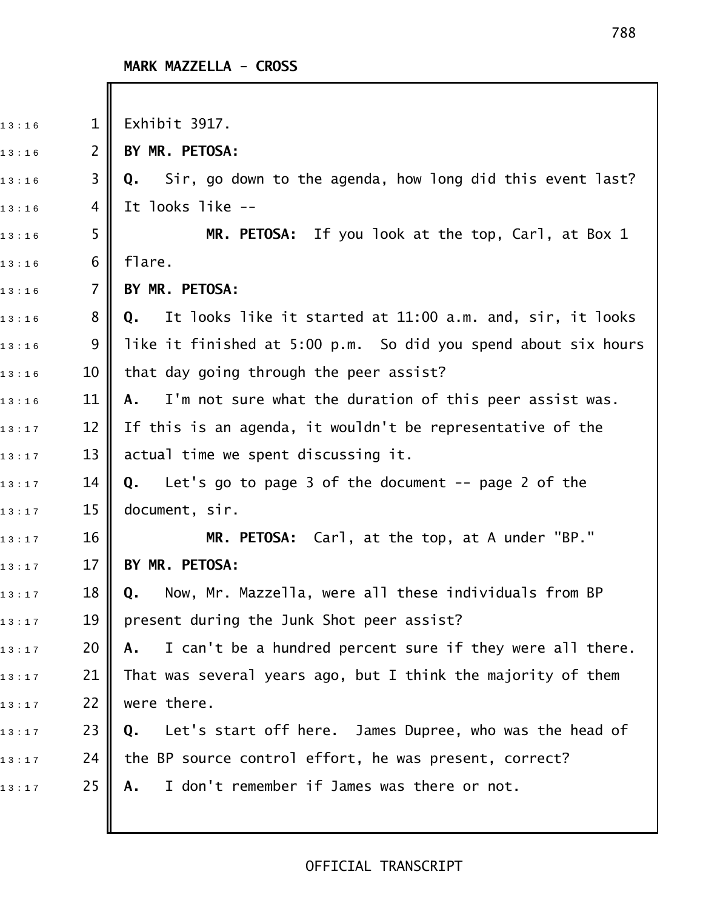I

| 13:16 | $\mathbf{1}$   | Exhibit 3917.                                                    |
|-------|----------------|------------------------------------------------------------------|
| 13:16 | $\overline{2}$ | BY MR. PETOSA:                                                   |
| 13:16 | 3              | Q. Sir, go down to the agenda, how long did this event last?     |
| 13:16 | 4              | It looks like --                                                 |
| 13:16 | 5              | MR. PETOSA: If you look at the top, Carl, at Box 1               |
| 13:16 | 6              | flare.                                                           |
| 13:16 | $\overline{7}$ | BY MR. PETOSA:                                                   |
| 13:16 | 8              | It looks like it started at 11:00 a.m. and, sir, it looks<br>Q.  |
| 13:16 | 9              | like it finished at 5:00 p.m. So did you spend about six hours   |
| 13:16 | 10             | that day going through the peer assist?                          |
| 13:16 | 11             | I'm not sure what the duration of this peer assist was.<br>А.    |
| 13:17 | 12             | If this is an agenda, it wouldn't be representative of the       |
| 13:17 | 13             | actual time we spent discussing it.                              |
| 13:17 | 14             | Let's go to page 3 of the document $-$ - page 2 of the<br>Q.     |
| 13:17 | 15             | document, sir.                                                   |
| 13:17 | 16             | MR. PETOSA: Carl, at the top, at A under "BP."                   |
| 13:17 | 17             | BY MR. PETOSA:                                                   |
| 13:17 | 18             | Now, Mr. Mazzella, were all these individuals from BP<br>Q.      |
| 13:17 | 19             | present during the Junk Shot peer assist?                        |
| 13:17 | 20             | I can't be a hundred percent sure if they were all there.<br>A., |
| 13:17 | 21             | That was several years ago, but I think the majority of them     |
| 13:17 | 22             | were there.                                                      |
| 13:17 | 23             | Let's start off here. James Dupree, who was the head of<br>Q.    |
| 13:17 | 24             | the BP source control effort, he was present, correct?           |
| 13:17 | 25             | I don't remember if James was there or not.<br>Α.                |
|       |                |                                                                  |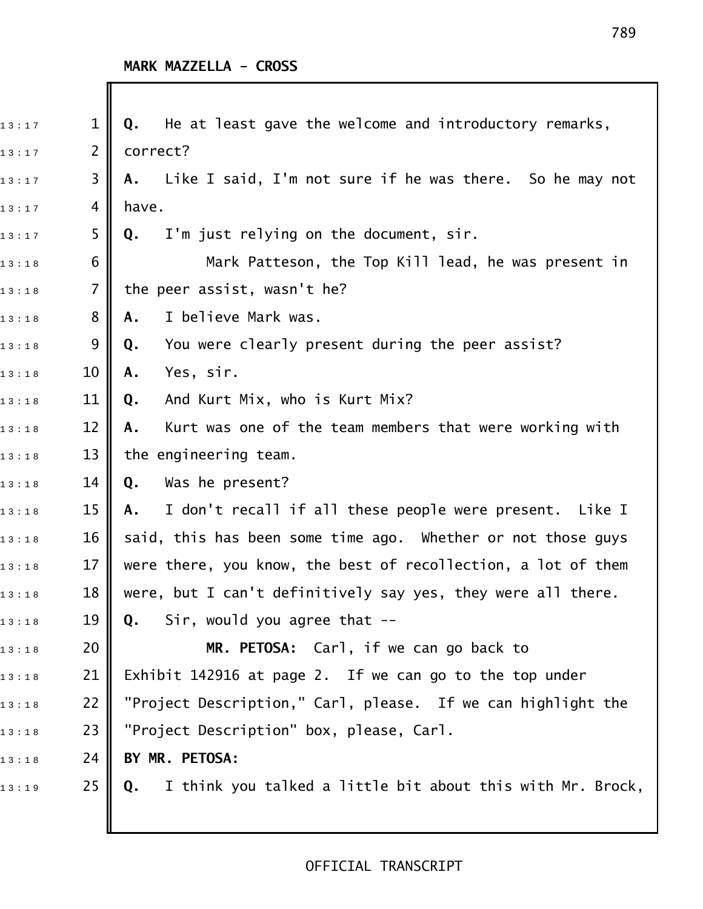| 13:17 | $\mathbf 1$    | He at least gave the welcome and introductory remarks,<br>Q.     |
|-------|----------------|------------------------------------------------------------------|
| 13:17 | $\overline{2}$ | correct?                                                         |
| 13:17 | 3              | Like I said, I'm not sure if he was there. So he may not<br>Α.   |
| 13:17 | 4              | have.                                                            |
| 13:17 | 5              | I'm just relying on the document, sir.<br>Q.                     |
| 13:18 | 6              | Mark Patteson, the Top Kill lead, he was present in              |
| 13:18 | $\overline{7}$ | the peer assist, wasn't he?                                      |
| 13:18 | 8              | I believe Mark was.<br>Α.                                        |
| 13:18 | 9              | You were clearly present during the peer assist?<br>Q.           |
| 13:18 | 10             | Yes, sir.<br>Α.                                                  |
| 13:18 | 11             | And Kurt Mix, who is Kurt Mix?<br>Q.                             |
| 13:18 | 12             | Kurt was one of the team members that were working with<br>Α.    |
| 13:18 | 13             | the engineering team.                                            |
| 13:18 | 14             | Was he present?<br>Q.                                            |
| 13:18 | 15             | I don't recall if all these people were present. Like I<br>Α.    |
| 13:18 | 16             | said, this has been some time ago. Whether or not those guys     |
| 13:18 | 17             | were there, you know, the best of recollection, a lot of them    |
| 13:18 | 18             | were, but I can't definitively say yes, they were all there.     |
| 13:18 | 19             | Sir, would you agree that $-$<br>Q.                              |
| 13:18 | 20             | MR. PETOSA: Carl, if we can go back to                           |
| 13:18 | 21             | Exhibit 142916 at page 2. If we can go to the top under          |
| 13:18 | 22             | "Project Description," Carl, please. If we can highlight the     |
| 13:18 | 23             | "Project Description" box, please, Carl.                         |
| 13:18 | 24             | BY MR. PETOSA:                                                   |
| 13:19 | 25             | I think you talked a little bit about this with Mr. Brock,<br>Q. |
|       |                |                                                                  |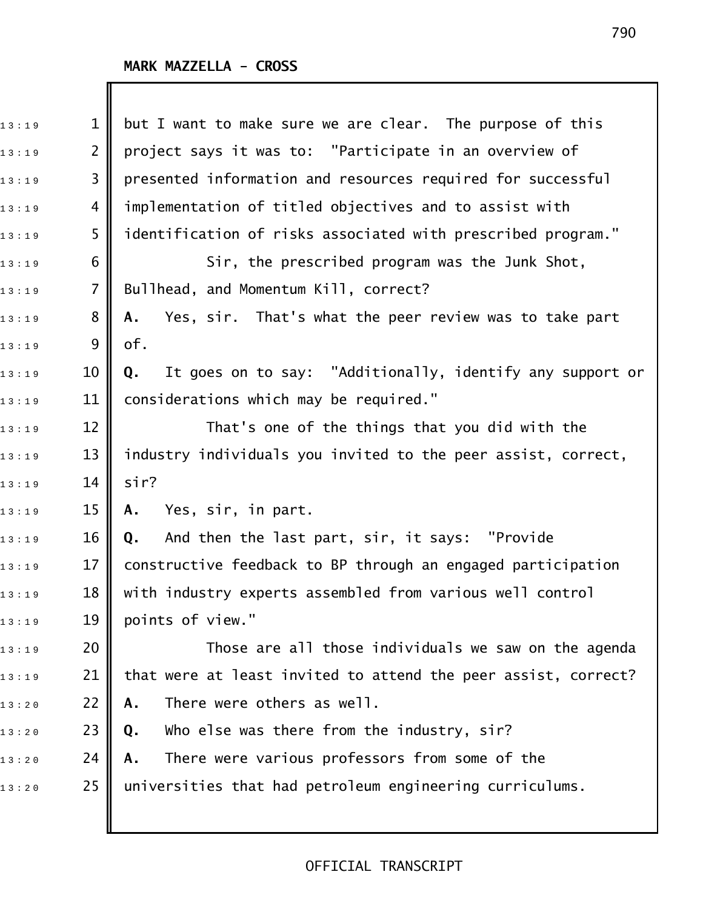| 13:19 | $\mathbf 1$    | but I want to make sure we are clear. The purpose of this       |
|-------|----------------|-----------------------------------------------------------------|
| 13:19 | $\overline{2}$ | project says it was to: "Participate in an overview of          |
| 13:19 | 3              | presented information and resources required for successful     |
| 13:19 | 4              | implementation of titled objectives and to assist with          |
| 13:19 | 5              | identification of risks associated with prescribed program."    |
| 13:19 | 6              | Sir, the prescribed program was the Junk Shot,                  |
| 13:19 | $\overline{7}$ | Bullhead, and Momentum Kill, correct?                           |
| 13:19 | 8              | Yes, sir. That's what the peer review was to take part<br>Α.    |
| 13:19 | 9              | of.                                                             |
| 13:19 | 10             | It goes on to say: "Additionally, identify any support or<br>Q. |
| 13:19 | 11             | considerations which may be required."                          |
| 13:19 | 12             | That's one of the things that you did with the                  |
| 13:19 | 13             | industry individuals you invited to the peer assist, correct,   |
| 13:19 | 14             | sir?                                                            |
| 13:19 | 15             | Yes, sir, in part.<br>Α.                                        |
| 13:19 | 16             | And then the last part, sir, it says: "Provide<br>Q.            |
| 13:19 | 17             | constructive feedback to BP through an engaged participation    |
| 13:19 | 18             | with industry experts assembled from various well control       |
| 13:19 | 19             | points of view."                                                |
| 13:19 | 20             | Those are all those individuals we saw on the agenda            |
| 13:19 | 21             | that were at least invited to attend the peer assist, correct?  |
| 13:20 | 22             | There were others as well.<br>Α.                                |
| 13:20 | 23             | Who else was there from the industry, sir?<br>Q.                |
| 13:20 | 24             | There were various professors from some of the<br>Α.            |
| 13:20 | 25             | universities that had petroleum engineering curriculums.        |
|       |                |                                                                 |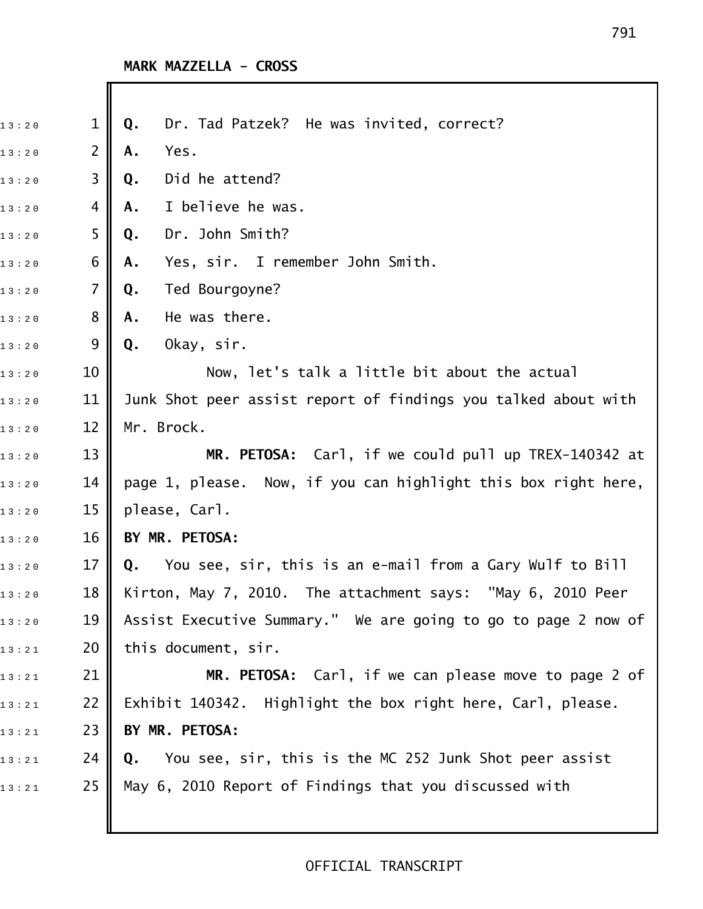| 13:20 | $\mathbf 1$    | Dr. Tad Patzek? He was invited, correct?<br>Q.                 |
|-------|----------------|----------------------------------------------------------------|
| 13:20 | 2              | Yes.<br>Α.                                                     |
| 13:20 | 3              | Did he attend?<br>Q.                                           |
| 13:20 | 4              | I believe he was.<br>Α.                                        |
| 13:20 | 5              | Dr. John Smith?<br>Q.                                          |
| 13:20 | 6              | Yes, sir. I remember John Smith.<br>Α.                         |
| 13:20 | $\overline{7}$ | Ted Bourgoyne?<br>Q.                                           |
| 13:20 | 8              | He was there.<br>Α.                                            |
| 13:20 | 9              | Okay, sir.<br>Q.                                               |
| 13:20 | 10             | Now, let's talk a little bit about the actual                  |
| 13:20 | 11             | Junk Shot peer assist report of findings you talked about with |
| 13:20 | 12             | Mr. Brock.                                                     |
| 13:20 | 13             | MR. PETOSA: Carl, if we could pull up TREX-140342 at           |
| 13:20 | 14             | page 1, please. Now, if you can highlight this box right here, |
| 13:20 | 15             | please, Carl.                                                  |
| 13:20 | 16             | BY MR. PETOSA:                                                 |
| 13:20 | 17             | You see, sir, this is an e-mail from a Gary Wulf to Bill<br>Q. |
| 13:20 | 18             | Kirton, May 7, 2010. The attachment says: "May 6, 2010 Peer    |
| 13:20 | 19             | Assist Executive Summary." We are going to go to page 2 now of |
| 13:21 | 20             | this document, sir.                                            |
| 13:21 | 21             | MR. PETOSA: Carl, if we can please move to page 2 of           |
| 13:21 | 22             | Exhibit 140342. Highlight the box right here, Carl, please.    |
| 13:21 | 23             | BY MR. PETOSA:                                                 |
| 13:21 | 24             | You see, sir, this is the MC 252 Junk Shot peer assist<br>Q.   |
| 13:21 | 25             | May 6, 2010 Report of Findings that you discussed with         |
|       |                |                                                                |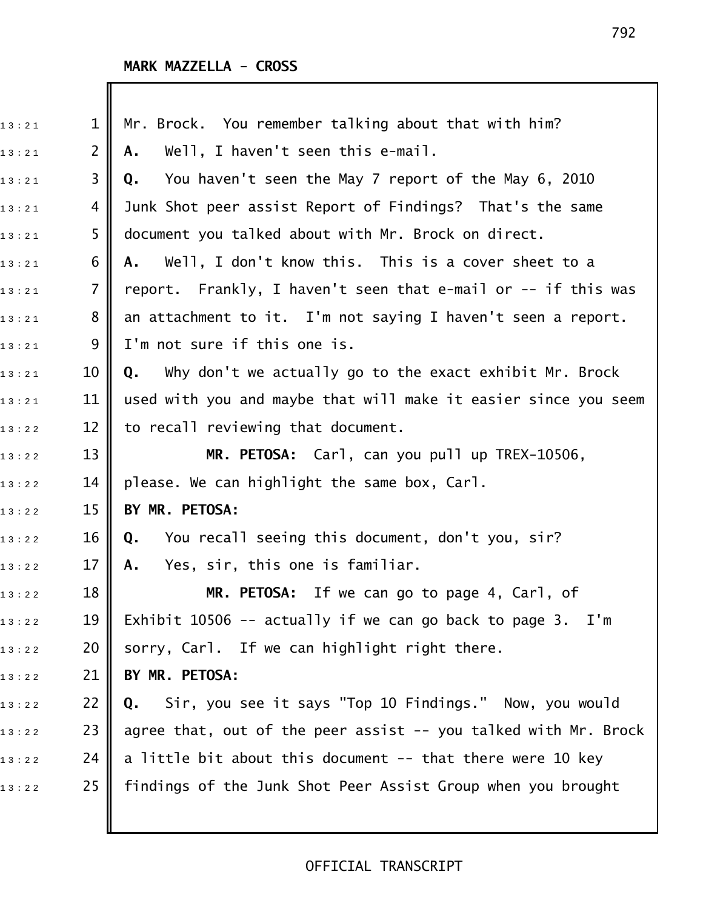| 13:21 | $\mathbf 1$    | Mr. Brock. You remember talking about that with him?            |
|-------|----------------|-----------------------------------------------------------------|
| 13:21 | $\overline{2}$ | Well, I haven't seen this e-mail.<br>Α.                         |
| 13:21 | 3              | You haven't seen the May 7 report of the May 6, 2010<br>Q.      |
| 13:21 | 4              | Junk Shot peer assist Report of Findings? That's the same       |
| 13:21 | 5              | document you talked about with Mr. Brock on direct.             |
| 13:21 | 6              | Well, I don't know this. This is a cover sheet to a<br>A.,      |
| 13:21 | 7              | report. Frankly, I haven't seen that e-mail or -- if this was   |
| 13:21 | 8              | an attachment to it. I'm not saying I haven't seen a report.    |
| 13:21 | 9              | I'm not sure if this one is.                                    |
| 13:21 | 10             | Why don't we actually go to the exact exhibit Mr. Brock<br>Q.   |
| 13:21 | 11             | used with you and maybe that will make it easier since you seem |
| 13:22 | 12             | to recall reviewing that document.                              |
| 13:22 | 13             | MR. PETOSA: Carl, can you pull up TREX-10506,                   |
| 13:22 | 14             | please. We can highlight the same box, Carl.                    |
| 13:22 | 15             | BY MR. PETOSA:                                                  |
| 13:22 | 16             | You recall seeing this document, don't you, sir?<br>Q.          |
| 13:22 | 17             | Yes, sir, this one is familiar.<br>Α.                           |
| 13:22 | 18             | MR. PETOSA: If we can go to page 4, Carl, of                    |
| 13:22 | 19             | Exhibit 10506 -- actually if we can go back to page $3.$ I'm    |
| 13:22 | 20             | sorry, Carl. If we can highlight right there.                   |
| 13:22 | 21             | BY MR. PETOSA:                                                  |
| 13:22 | 22             | Sir, you see it says "Top 10 Findings." Now, you would<br>Q.    |
| 13:22 | 23             | agree that, out of the peer assist -- you talked with Mr. Brock |
| 13:22 | 24             | a little bit about this document -- that there were 10 key      |
| 13:22 | 25             | findings of the Junk Shot Peer Assist Group when you brought    |
|       |                |                                                                 |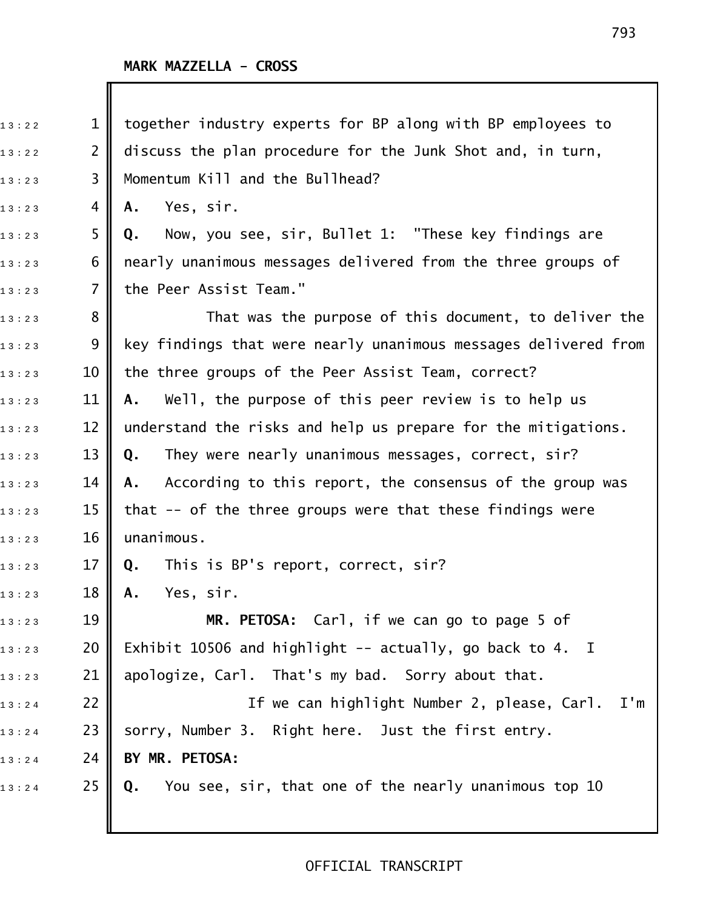| 13:22 | $\mathbf{1}$   | together industry experts for BP along with BP employees to     |
|-------|----------------|-----------------------------------------------------------------|
| 13:22 | $\overline{2}$ | discuss the plan procedure for the Junk Shot and, in turn,      |
| 13:23 | 3              | Momentum Kill and the Bullhead?                                 |
| 13:23 | 4              | Yes, sir.<br>Α.                                                 |
| 13:23 | 5              | Now, you see, sir, Bullet 1: "These key findings are<br>Q.      |
| 13:23 | 6              | nearly unanimous messages delivered from the three groups of    |
| 13:23 | 7              | the Peer Assist Team."                                          |
| 13:23 | 8              | That was the purpose of this document, to deliver the           |
| 13:23 | 9              | key findings that were nearly unanimous messages delivered from |
| 13:23 | 10             | the three groups of the Peer Assist Team, correct?              |
| 13:23 | 11             | Well, the purpose of this peer review is to help us<br>А.       |
| 13:23 | 12             | understand the risks and help us prepare for the mitigations.   |
| 13:23 | 13             | They were nearly unanimous messages, correct, sir?<br>Q.        |
| 13:23 | 14             | According to this report, the consensus of the group was<br>A.  |
| 13:23 | 15             | that -- of the three groups were that these findings were       |
| 13:23 | 16             | unanimous.                                                      |
| 13:23 | 17             | This is BP's report, correct, sir?<br>Q.                        |
| 13:23 | 18             | Yes, sir.<br>Α.                                                 |
| 13:23 | 19             | MR. PETOSA: Carl, if we can go to page 5 of                     |
| 13:23 | 20             | Exhibit 10506 and highlight -- actually, go back to 4. I        |
| 13:23 | 21             | apologize, Carl. That's my bad. Sorry about that.               |
| 13:24 | 22             | If we can highlight Number 2, please, Carl. I'm                 |
| 13:24 | 23             | sorry, Number 3. Right here. Just the first entry.              |
| 13:24 | 24             | BY MR. PETOSA:                                                  |
| 13:24 | 25             | You see, sir, that one of the nearly unanimous top 10<br>Q.     |
|       |                |                                                                 |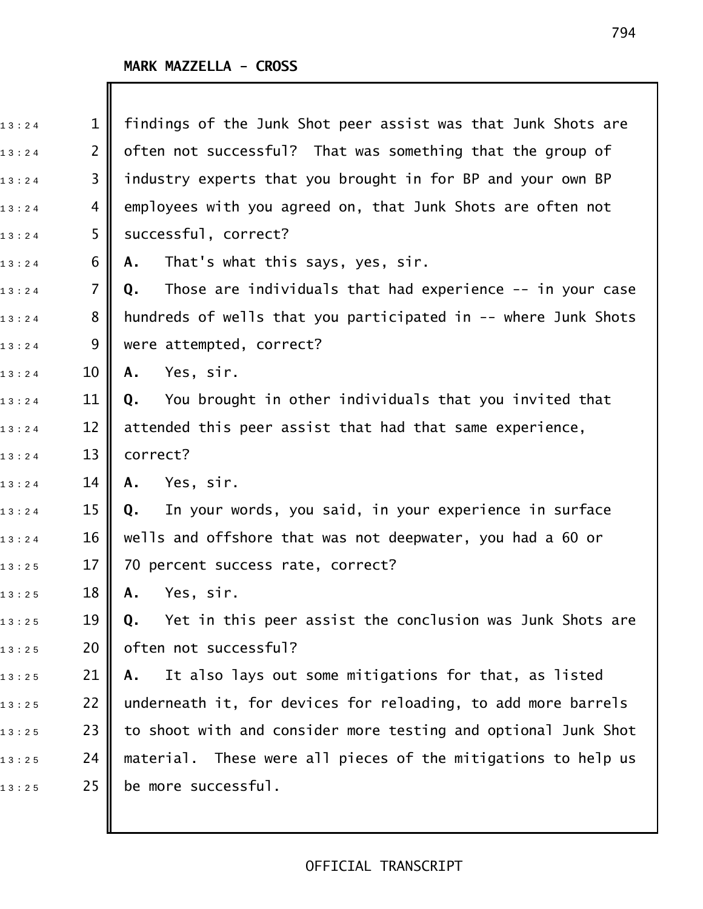| 13:24 | $\mathbf{1}$   | findings of the Junk Shot peer assist was that Junk Shots are    |
|-------|----------------|------------------------------------------------------------------|
| 13:24 | $\overline{2}$ | often not successful? That was something that the group of       |
| 13:24 | 3              | industry experts that you brought in for BP and your own BP      |
| 13:24 | 4              | employees with you agreed on, that Junk Shots are often not      |
| 13:24 | 5              | successful, correct?                                             |
| 13:24 | 6              | That's what this says, yes, sir.<br>Α.                           |
| 13:24 | 7              | Those are individuals that had experience $-$ in your case<br>Q. |
| 13:24 | 8              | hundreds of wells that you participated in -- where Junk Shots   |
| 13:24 | 9              | were attempted, correct?                                         |
| 13:24 | 10             | Yes, sir.<br>Α.                                                  |
| 13:24 | 11             | You brought in other individuals that you invited that<br>Q.     |
| 13:24 | 12             | attended this peer assist that had that same experience,         |
| 13:24 | 13             | correct?                                                         |
| 13:24 | 14             | Yes, sir.<br>A.                                                  |
| 13:24 | 15             | In your words, you said, in your experience in surface<br>Q.     |
| 13:24 | 16             | wells and offshore that was not deepwater, you had a 60 or       |
| 13:25 | 17             | 70 percent success rate, correct?                                |
| 13:25 | 18             | Yes, sir.<br>А.                                                  |
| 13:25 | 19             | Yet in this peer assist the conclusion was Junk Shots are<br>Q.  |
| 13:25 | 20             | often not successful?                                            |
| 13:25 | 21             | It also lays out some mitigations for that, as listed<br>Α.      |
| 13:25 | 22             | underneath it, for devices for reloading, to add more barrels    |
| 13:25 | 23             | to shoot with and consider more testing and optional Junk Shot   |
| 13:25 | 24             | These were all pieces of the mitigations to help us<br>material. |
| 13:25 | 25             | be more successful.                                              |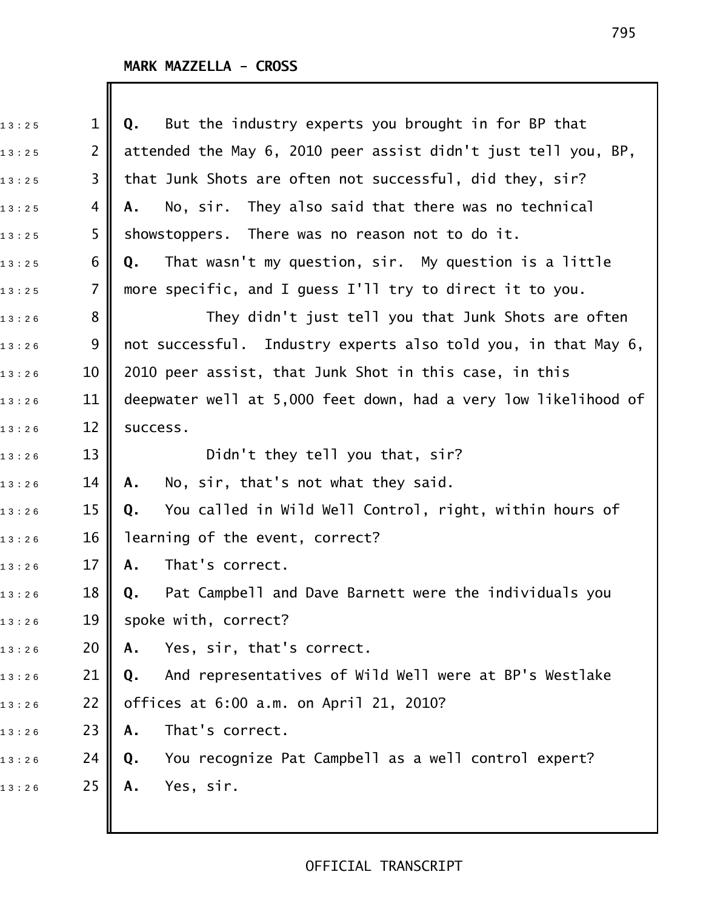| 13:25 | $\mathbf 1$    | But the industry experts you brought in for BP that<br>Q.       |
|-------|----------------|-----------------------------------------------------------------|
| 13:25 | $\overline{2}$ | attended the May 6, 2010 peer assist didn't just tell you, BP,  |
| 13:25 | 3              | that Junk Shots are often not successful, did they, sir?        |
| 13:25 | 4              | No, sir. They also said that there was no technical<br>Α.       |
| 13:25 | 5              | showstoppers. There was no reason not to do it.                 |
| 13:25 | 6              | That wasn't my question, sir. My question is a little<br>Q.     |
| 13:25 | $\overline{7}$ | more specific, and I guess I'll try to direct it to you.        |
| 13:26 | 8              | They didn't just tell you that Junk Shots are often             |
| 13:26 | 9              | not successful. Industry experts also told you, in that May 6,  |
| 13:26 | 10             | 2010 peer assist, that Junk Shot in this case, in this          |
| 13:26 | 11             | deepwater well at 5,000 feet down, had a very low likelihood of |
| 13:26 | 12             | success.                                                        |
| 13:26 | 13             | Didn't they tell you that, sir?                                 |
| 13:26 | 14             | No, sir, that's not what they said.<br>Α.                       |
| 13:26 | 15             | You called in Wild Well Control, right, within hours of<br>Q.   |
| 13:26 | 16             | learning of the event, correct?                                 |
| 13:26 | 17             | That's correct.<br>Α.                                           |
| 13:26 | 18             | Pat Campbell and Dave Barnett were the individuals you<br>0.    |
| 13:26 | 19             | spoke with, correct?                                            |
| 13:26 | 20             | Yes, sir, that's correct.<br>Α.                                 |
| 13:26 | 21             | And representatives of Wild Well were at BP's Westlake<br>Q.    |
| 13:26 | 22             | offices at 6:00 a.m. on April 21, 2010?                         |
| 13:26 | 23             | That's correct.<br>Α.                                           |
| 13:26 | 24             | You recognize Pat Campbell as a well control expert?<br>Q.      |
| 13:26 | 25             | Yes, sir.<br>Α.                                                 |
|       |                |                                                                 |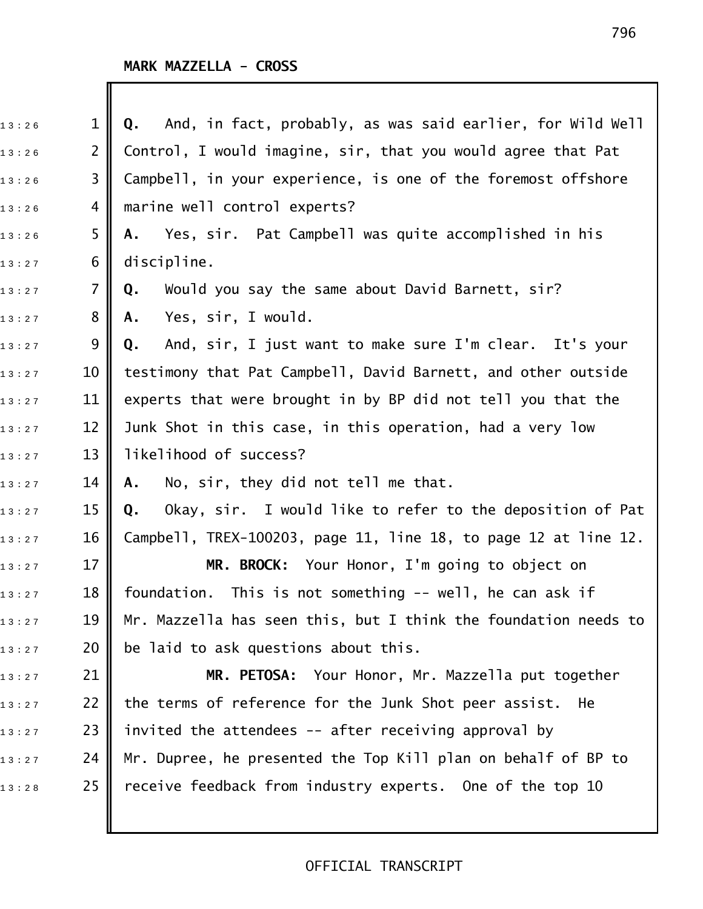| 13:26 | $\mathbf{1}$   | And, in fact, probably, as was said earlier, for Wild Well<br>Q. |
|-------|----------------|------------------------------------------------------------------|
| 13:26 | $\overline{2}$ | Control, I would imagine, sir, that you would agree that Pat     |
| 13:26 | 3              | Campbell, in your experience, is one of the foremost offshore    |
| 13:26 | 4              | marine well control experts?                                     |
| 13:26 | 5.             | Yes, sir. Pat Campbell was quite accomplished in his<br>А.       |
| 13:27 | 6              | discipline.                                                      |
| 13:27 | 7              | Would you say the same about David Barnett, sir?<br>Q.           |
| 13:27 | 8              | Yes, sir, I would.<br>Α.                                         |
| 13:27 | 9              | And, sir, I just want to make sure I'm clear. It's your<br>Q.    |
| 13:27 | 10             | testimony that Pat Campbell, David Barnett, and other outside    |
| 13:27 | 11             | experts that were brought in by BP did not tell you that the     |
| 13:27 | 12             | Junk Shot in this case, in this operation, had a very low        |
| 13:27 | 13             | likelihood of success?                                           |
| 13:27 | 14             | No, sir, they did not tell me that.<br>Α.                        |
| 13:27 | 15             | Okay, sir. I would like to refer to the deposition of Pat<br>Q.  |
| 13:27 | 16             | Campbell, TREX-100203, page 11, line 18, to page 12 at line 12.  |
| 13:27 | 17             | MR. BROCK: Your Honor, I'm going to object on                    |
| 13:27 | 18             | foundation. This is not something -- well, he can ask if         |
| 13:27 | 19             | Mr. Mazzella has seen this, but I think the foundation needs to  |
| 13:27 | 20             | be laid to ask questions about this.                             |
| 13:27 | 21             | MR. PETOSA: Your Honor, Mr. Mazzella put together                |
| 13:27 | 22             | the terms of reference for the Junk Shot peer assist. He         |
| 13:27 | 23             | invited the attendees -- after receiving approval by             |
| 13:27 | 24             | Mr. Dupree, he presented the Top Kill plan on behalf of BP to    |
| 13:28 | 25             | receive feedback from industry experts. One of the top 10        |
|       |                |                                                                  |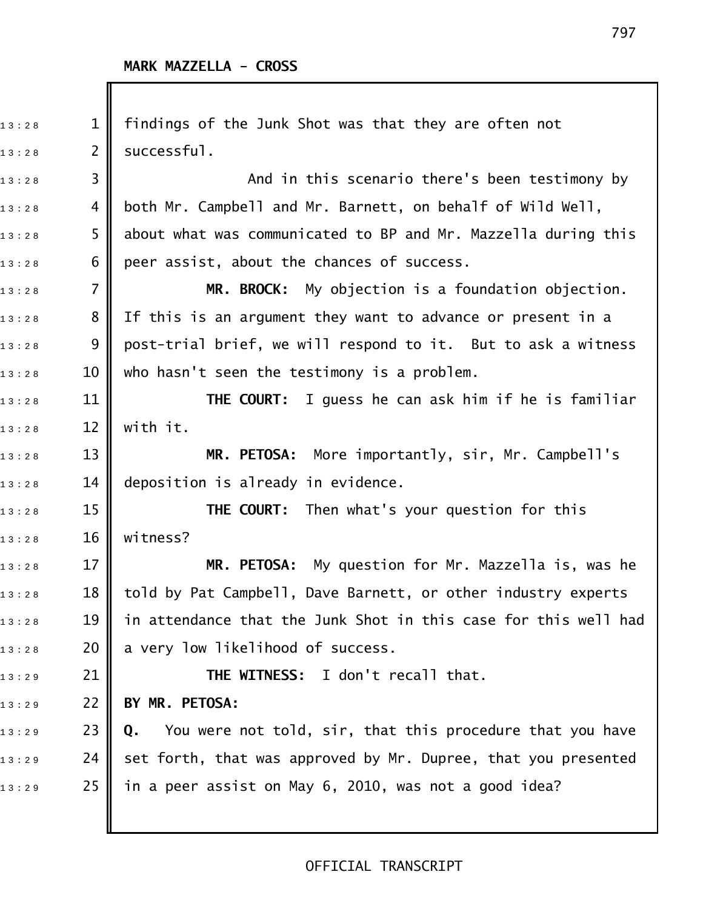| 13:28 | $\mathbf 1$    | findings of the Junk Shot was that they are often not           |
|-------|----------------|-----------------------------------------------------------------|
| 13:28 | $\overline{2}$ | successful.                                                     |
| 13:28 | 3              | And in this scenario there's been testimony by                  |
| 13:28 | 4              | both Mr. Campbell and Mr. Barnett, on behalf of Wild Well,      |
| 13:28 | 5              | about what was communicated to BP and Mr. Mazzella during this  |
| 13:28 | 6              | peer assist, about the chances of success.                      |
| 13:28 | 7              | MR. BROCK: My objection is a foundation objection.              |
| 13:28 | 8              | If this is an argument they want to advance or present in a     |
| 13:28 | 9              | post-trial brief, we will respond to it. But to ask a witness   |
| 13:28 | 10             | who hasn't seen the testimony is a problem.                     |
| 13:28 | 11             | <b>THE COURT:</b> I guess he can ask him if he is familiar      |
| 13:28 | 12             | with it.                                                        |
| 13:28 | 13             | MR. PETOSA: More importantly, sir, Mr. Campbell's               |
| 13:28 | 14             | deposition is already in evidence.                              |
| 13:28 | 15             | <b>THE COURT:</b> Then what's your question for this            |
| 13:28 | 16             | witness?                                                        |
| 13:28 | 17             | MR. PETOSA: My question for Mr. Mazzella is, was he             |
| 13:28 | 18             | told by Pat Campbell, Dave Barnett, or other industry experts   |
| 13:28 | 19             | in attendance that the Junk Shot in this case for this well had |
| 13:28 | 20             | a very low likelihood of success.                               |
| 13:29 | 21             | THE WITNESS: I don't recall that.                               |
| 13:29 | 22             | BY MR. PETOSA:                                                  |
| 13:29 | 23             | You were not told, sir, that this procedure that you have<br>Q. |
| 13:29 | 24             | set forth, that was approved by Mr. Dupree, that you presented  |
| 13:29 | 25             | in a peer assist on May 6, 2010, was not a good idea?           |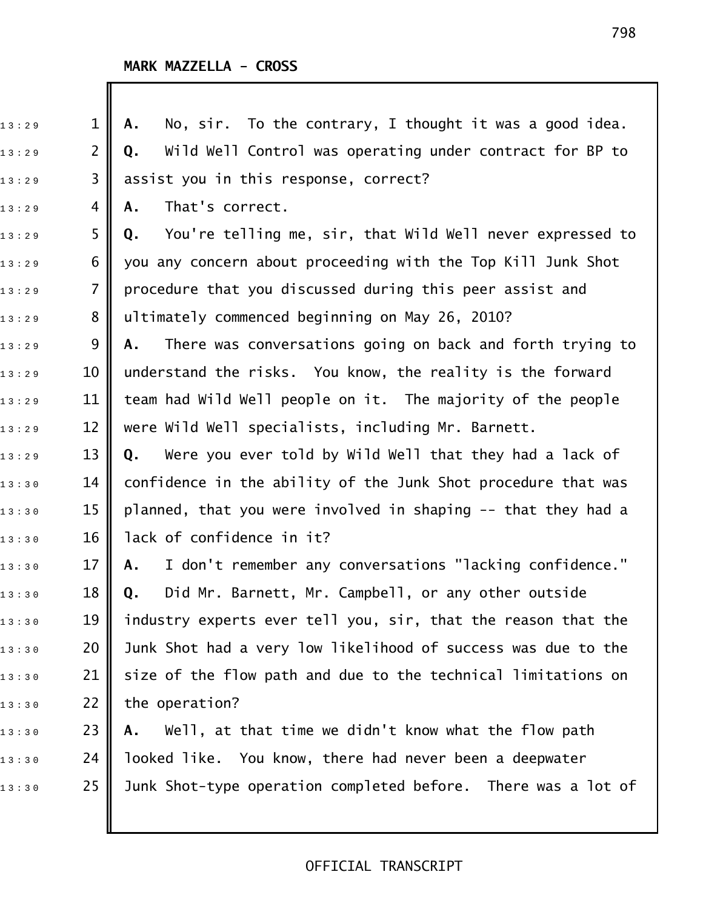| 13:29 | $\mathbf{1}$   | No, sir. To the contrary, I thought it was a good idea.<br>Α.   |
|-------|----------------|-----------------------------------------------------------------|
| 13:29 | $\overline{2}$ | Wild Well Control was operating under contract for BP to<br>Q.  |
| 13:29 | 3              | assist you in this response, correct?                           |
| 13:29 | 4              | That's correct.<br>Α.                                           |
| 13:29 | 5              | You're telling me, sir, that Wild Well never expressed to<br>Q. |
| 13:29 | 6              | you any concern about proceeding with the Top Kill Junk Shot    |
| 13:29 | $\overline{7}$ | procedure that you discussed during this peer assist and        |
| 13:29 | 8              | ultimately commenced beginning on May 26, 2010?                 |
| 13:29 | 9              | There was conversations going on back and forth trying to<br>А. |
| 13:29 | 10             | understand the risks. You know, the reality is the forward      |
| 13:29 | 11             | team had Wild Well people on it. The majority of the people     |
| 13:29 | 12             | were Wild Well specialists, including Mr. Barnett.              |
| 13:29 | 13             | Were you ever told by Wild Well that they had a lack of<br>Q.   |
| 13:30 | 14             | confidence in the ability of the Junk Shot procedure that was   |
| 13:30 | 15             | planned, that you were involved in shaping -- that they had a   |
| 13:30 | 16             | lack of confidence in it?                                       |
| 13:30 | 17             | I don't remember any conversations "lacking confidence."<br>Α.  |
| 13:30 | 18             | Did Mr. Barnett, Mr. Campbell, or any other outside<br>Q.       |
| 13:30 | 19             | industry experts ever tell you, sir, that the reason that the   |
| 13:30 | 20             | Junk Shot had a very low likelihood of success was due to the   |
| 13:30 | 21             | size of the flow path and due to the technical limitations on   |
| 13:30 | 22             | the operation?                                                  |
| 13:30 | 23             | Well, at that time we didn't know what the flow path<br>Α.      |
| 13:30 | 24             | looked like. You know, there had never been a deepwater         |
| 13:30 | 25             | Junk Shot-type operation completed before. There was a lot of   |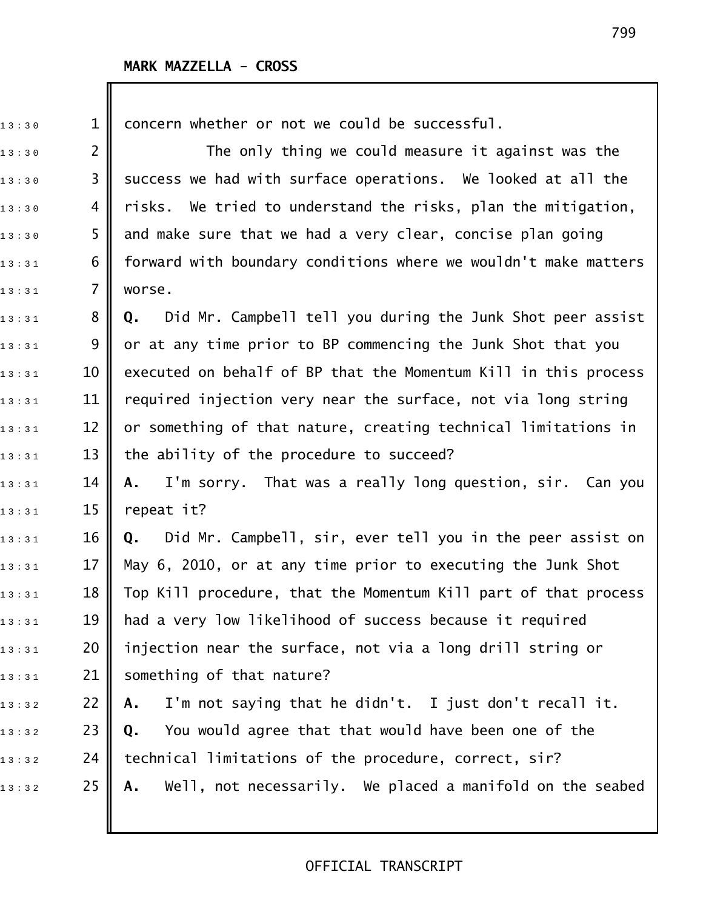Ш

| 13:30 | $\mathbf 1$    | concern whether or not we could be successful.                   |
|-------|----------------|------------------------------------------------------------------|
| 13:30 | $\overline{2}$ | The only thing we could measure it against was the               |
| 13:30 | 3              | success we had with surface operations. We looked at all the     |
| 13:30 | 4              | risks. We tried to understand the risks, plan the mitigation,    |
| 13:30 | 5              | and make sure that we had a very clear, concise plan going       |
| 13:31 | 6              | forward with boundary conditions where we wouldn't make matters  |
| 13:31 | $\overline{7}$ | worse.                                                           |
| 13:31 | 8              | Did Mr. Campbell tell you during the Junk Shot peer assist<br>Q. |
| 13:31 | 9              | or at any time prior to BP commencing the Junk Shot that you     |
| 13:31 | 10             | executed on behalf of BP that the Momentum Kill in this process  |
| 13:31 | 11             | required injection very near the surface, not via long string    |
| 13:31 | 12             | or something of that nature, creating technical limitations in   |
| 13:31 | 13             | the ability of the procedure to succeed?                         |
| 13:31 | 14             | I'm sorry. That was a really long question, sir. Can you<br>Α.   |
| 13:31 | 15             | repeat it?                                                       |
| 13:31 | 16             | Did Mr. Campbell, sir, ever tell you in the peer assist on<br>Q. |
| 13:31 | 17             | May 6, 2010, or at any time prior to executing the Junk Shot     |
| 13:31 | 18             | Top Kill procedure, that the Momentum Kill part of that process  |
| 13:31 | 19             | had a very low likelihood of success because it required         |
| 13:31 | 20             | injection near the surface, not via a long drill string or       |
| 13:31 | 21             | something of that nature?                                        |
| 13:32 | 22             | I'm not saying that he didn't. I just don't recall it.<br>Α.     |
| 13:32 | 23             | You would agree that that would have been one of the<br>Q.       |
| 13:32 | 24             | technical limitations of the procedure, correct, sir?            |
| 13:32 | 25             | Well, not necessarily. We placed a manifold on the seabed<br>Α.  |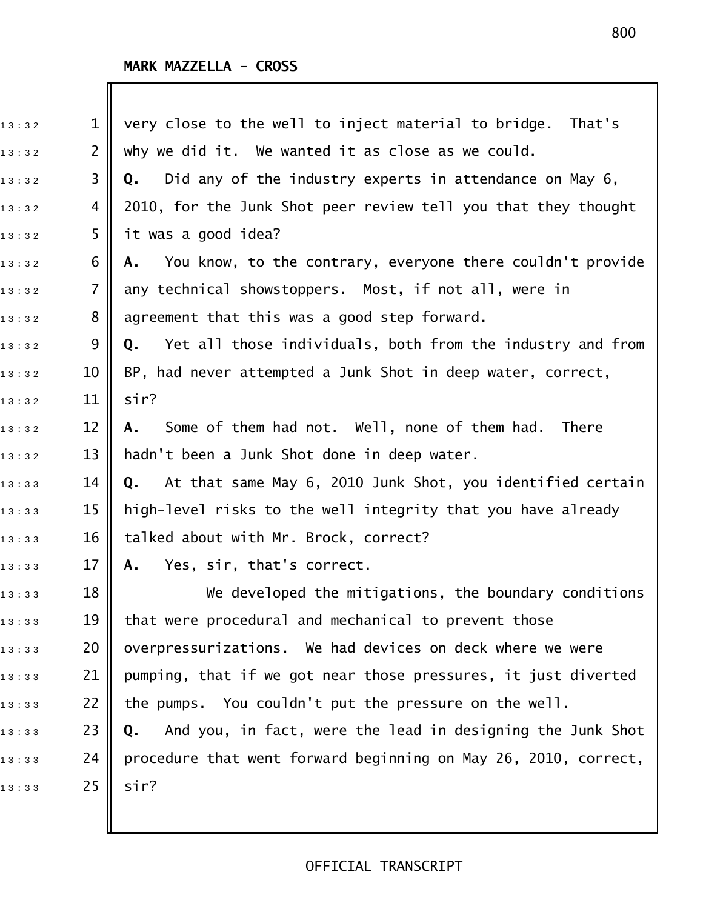| 13:32 | $\mathbf{1}$   | very close to the well to inject material to bridge.<br>That's   |
|-------|----------------|------------------------------------------------------------------|
| 13:32 | $\overline{2}$ | why we did it. We wanted it as close as we could.                |
| 13:32 | 3              | Did any of the industry experts in attendance on May 6,<br>Q.    |
| 13:32 | 4              | 2010, for the Junk Shot peer review tell you that they thought   |
| 13:32 | 5              | it was a good idea?                                              |
| 13:32 | 6              | You know, to the contrary, everyone there couldn't provide<br>Α. |
| 13:32 | $\overline{7}$ | any technical showstoppers. Most, if not all, were in            |
| 13:32 | 8              | agreement that this was a good step forward.                     |
| 13:32 | 9              | Yet all those individuals, both from the industry and from<br>Q. |
| 13:32 | 10             | BP, had never attempted a Junk Shot in deep water, correct,      |
| 13:32 | 11             | sir?                                                             |
| 13:32 | 12             | Some of them had not. Well, none of them had. There<br>A.        |
| 13:32 | 13             | hadn't been a Junk Shot done in deep water.                      |
| 13:33 | 14             | At that same May 6, 2010 Junk Shot, you identified certain<br>Q. |
| 13:33 | 15             | high-level risks to the well integrity that you have already     |
| 13:33 | 16             | talked about with Mr. Brock, correct?                            |
| 13:33 | 17             | Yes, sir, that's correct.<br>Α.                                  |
| 13:33 | 18             | We developed the mitigations, the boundary conditions            |
| 13:33 | 19             | that were procedural and mechanical to prevent those             |
| 13:33 | 20             | overpressurizations. We had devices on deck where we were        |
| 13:33 | 21             | pumping, that if we got near those pressures, it just diverted   |
| 13:33 | 22             | the pumps. You couldn't put the pressure on the well.            |
| 13:33 | 23             | And you, in fact, were the lead in designing the Junk Shot<br>Q. |
| 13:33 | 24             | procedure that went forward beginning on May 26, 2010, correct,  |
| 13:33 | 25             | sir?                                                             |
|       |                |                                                                  |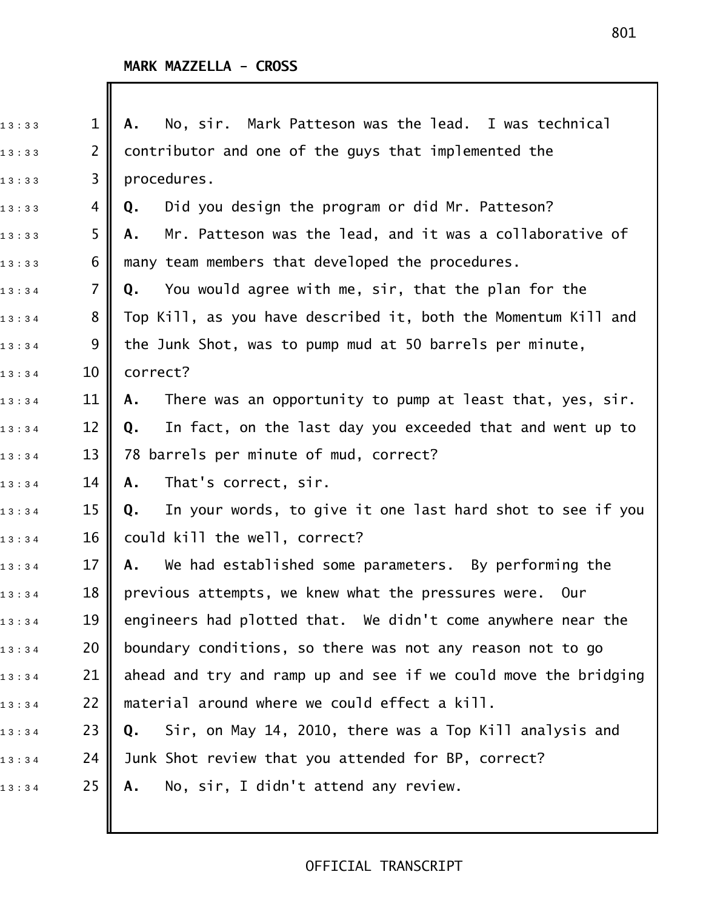| 13:33 | $\mathbf{1}$   | No, sir. Mark Patteson was the lead. I was technical<br>Α.       |
|-------|----------------|------------------------------------------------------------------|
| 13:33 | $\overline{2}$ | contributor and one of the guys that implemented the             |
| 13:33 | 3              | procedures.                                                      |
| 13:33 | 4              | Did you design the program or did Mr. Patteson?<br>Q.            |
| 13:33 | 5              | Mr. Patteson was the lead, and it was a collaborative of<br>А.   |
| 13:33 | 6              | many team members that developed the procedures.                 |
| 13:34 | 7              | You would agree with me, sir, that the plan for the<br>Q.        |
| 13:34 | 8              | Top Kill, as you have described it, both the Momentum Kill and   |
| 13:34 | 9              | the Junk Shot, was to pump mud at 50 barrels per minute,         |
| 13:34 | 10             | correct?                                                         |
| 13:34 | 11             | There was an opportunity to pump at least that, yes, sir.<br>Α.  |
| 13:34 | 12             | In fact, on the last day you exceeded that and went up to<br>Q.  |
| 13:34 | 13             | 78 barrels per minute of mud, correct?                           |
| 13:34 | 14             | That's correct, sir.<br>Α.                                       |
| 13:34 | 15             | In your words, to give it one last hard shot to see if you<br>Q. |
| 13:34 | 16             | could kill the well, correct?                                    |
| 13:34 | 17             | We had established some parameters. By performing the<br>Α.      |
| 13:34 | 18             | previous attempts, we knew what the pressures were.<br>Our       |
| 13:34 | 19             | engineers had plotted that. We didn't come anywhere near the     |
| 13:34 | 20             | boundary conditions, so there was not any reason not to go       |
| 13:34 | 21             | ahead and try and ramp up and see if we could move the bridging  |
| 13:34 | 22             | material around where we could effect a kill.                    |
| 13:34 | 23             | Sir, on May 14, 2010, there was a Top Kill analysis and<br>Q.    |
| 13:34 | 24             | Junk Shot review that you attended for BP, correct?              |
| 13:34 | 25             | No, sir, I didn't attend any review.<br>Α.                       |
|       |                |                                                                  |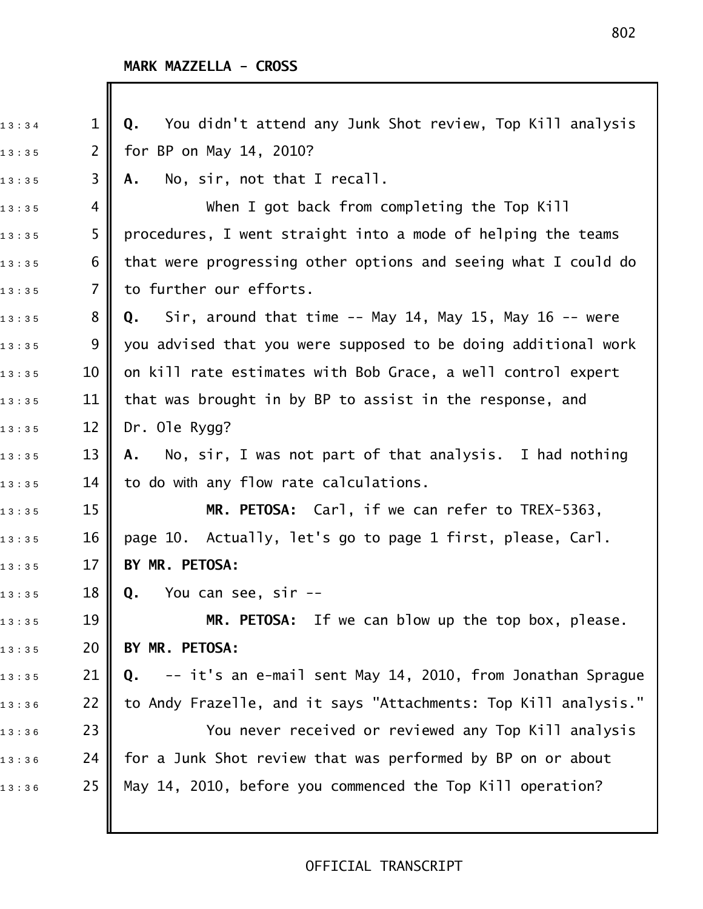| 13:34 | 1              | You didn't attend any Junk Shot review, Top Kill analysis<br>Q.     |
|-------|----------------|---------------------------------------------------------------------|
| 13:35 | $\overline{2}$ | for BP on May 14, 2010?                                             |
| 13:35 | 3              | No, sir, not that I recall.<br>Α.                                   |
| 13:35 | 4              | When I got back from completing the Top Kill                        |
| 13:35 | 5              | procedures, I went straight into a mode of helping the teams        |
| 13:35 | 6              | that were progressing other options and seeing what I could do      |
| 13:35 | 7              | to further our efforts.                                             |
| 13:35 | 8              | Sir, around that time $-$ - May 14, May 15, May 16 $-$ - were<br>Q. |
| 13:35 | 9              | you advised that you were supposed to be doing additional work      |
| 13:35 | 10             | on kill rate estimates with Bob Grace, a well control expert        |
| 13:35 | 11             | that was brought in by BP to assist in the response, and            |
| 13:35 | 12             | Dr. Ole Rygg?                                                       |
| 13:35 | 13             | A. No, sir, I was not part of that analysis. I had nothing          |
| 13:35 | 14             | to do with any flow rate calculations.                              |
| 13:35 | 15             | MR. PETOSA: Carl, if we can refer to TREX-5363,                     |
| 13:35 | 16             | page 10. Actually, let's go to page 1 first, please, Carl.          |
| 13:35 | 17             | BY MR. PETOSA:                                                      |
| 13:35 | 18             | <b>Q.</b> You can see, sir --                                       |
| 13:35 | 19             | If we can blow up the top box, please.<br>MR. PETOSA:               |
| 13:35 | 20             | BY MR. PETOSA:                                                      |
| 13:35 | 21             | -- it's an e-mail sent May 14, 2010, from Jonathan Sprague<br>Q.    |
| 13:36 | 22             | to Andy Frazelle, and it says "Attachments: Top Kill analysis."     |
| 13:36 | 23             | You never received or reviewed any Top Kill analysis                |
| 13:36 | 24             | for a Junk Shot review that was performed by BP on or about         |
| 13:36 | 25             | May 14, 2010, before you commenced the Top Kill operation?          |
|       |                |                                                                     |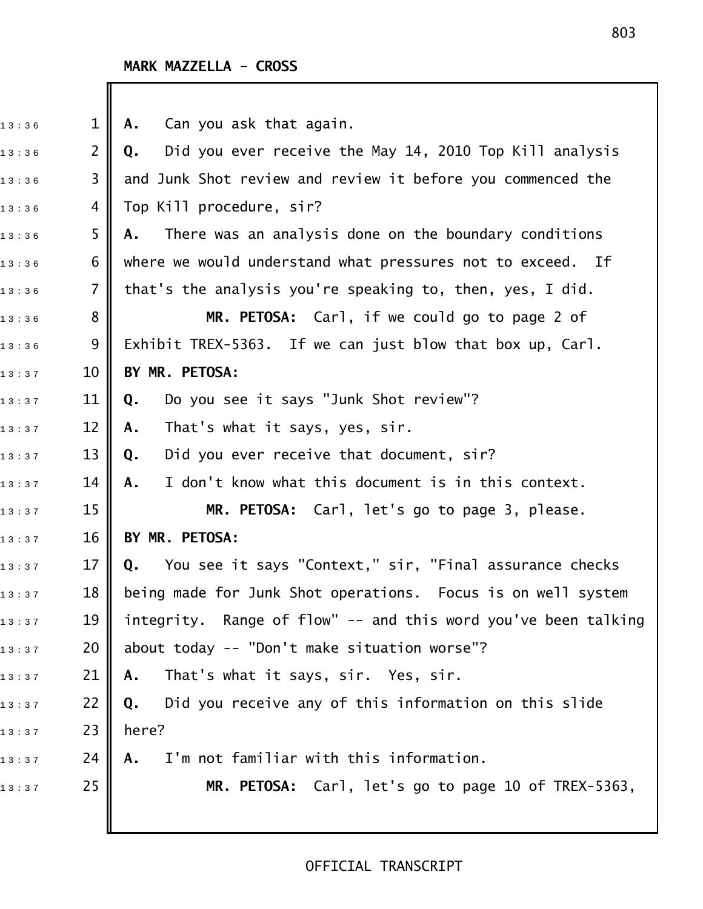| 13:36 | $\mathbf{1}$   | Can you ask that again.<br>Α.                                  |
|-------|----------------|----------------------------------------------------------------|
| 13:36 | $\overline{2}$ | Did you ever receive the May 14, 2010 Top Kill analysis<br>Q.  |
| 13:36 | 3              | and Junk Shot review and review it before you commenced the    |
| 13:36 | 4              | Top Kill procedure, sir?                                       |
| 13:36 | 5              | There was an analysis done on the boundary conditions<br>Α.    |
| 13:36 | 6              | where we would understand what pressures not to exceed. If     |
| 13:36 | $\overline{7}$ | that's the analysis you're speaking to, then, yes, I did.      |
| 13:36 | 8              | MR. PETOSA: Carl, if we could go to page 2 of                  |
| 13:36 | 9              | Exhibit TREX-5363. If we can just blow that box up, Carl.      |
| 13:37 | 10             | BY MR. PETOSA:                                                 |
| 13:37 | 11             | Do you see it says "Junk Shot review"?<br>Q.                   |
| 13:37 | 12             | That's what it says, yes, sir.<br>Α.                           |
| 13:37 | 13             | Did you ever receive that document, sir?<br>Q.                 |
| 13:37 | 14             | I don't know what this document is in this context.<br>Α.      |
| 13:37 | 15             | MR. PETOSA: Carl, let's go to page 3, please.                  |
| 13:37 | 16             | BY MR. PETOSA:                                                 |
| 13:37 | 17             | You see it says "Context," sir, "Final assurance checks<br>Q.  |
| 13:37 | 18             | being made for Junk Shot operations. Focus is on well system   |
| 13:37 | 19             | integrity. Range of flow" -- and this word you've been talking |
| 13:37 | 20             | about today -- "Don't make situation worse"?                   |
| 13:37 | 21             | That's what it says, sir. Yes, sir.<br>Α.                      |
| 13:37 | 22             | Did you receive any of this information on this slide<br>Q.    |
| 13:37 | 23             | here?                                                          |
| 13:37 | 24             | I'm not familiar with this information.<br>Α.                  |
| 13:37 | 25             | MR. PETOSA: Carl, let's go to page 10 of TREX-5363,            |
|       |                |                                                                |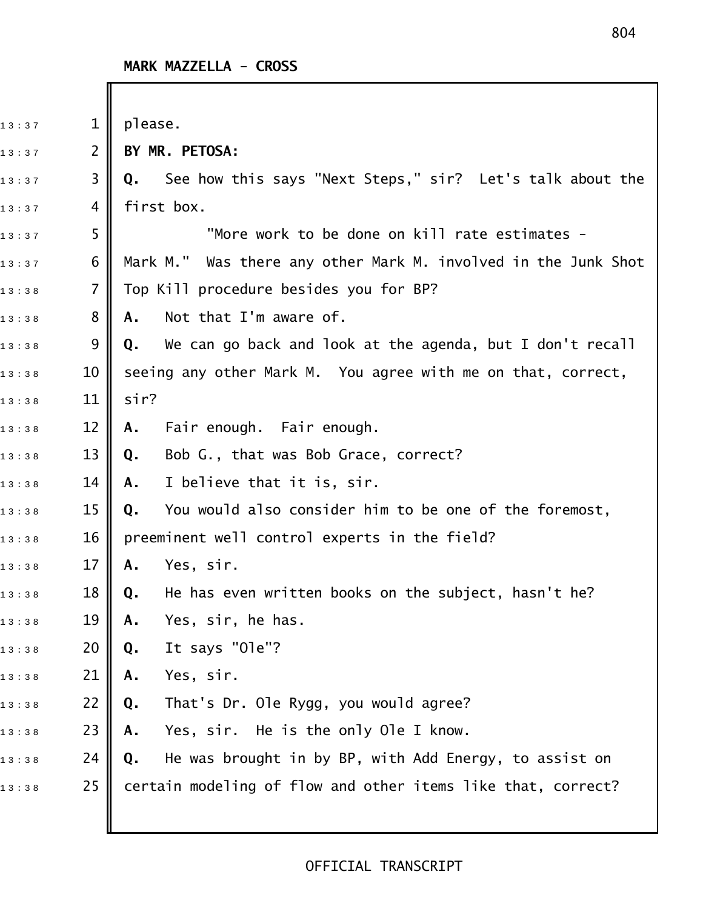| 13:37 | $\mathbf 1$ | please.                                                         |
|-------|-------------|-----------------------------------------------------------------|
| 13:37 | 2           | BY MR. PETOSA:                                                  |
| 13:37 | 3           | See how this says "Next Steps," sir? Let's talk about the<br>Q. |
| 13:37 | 4           | first box.                                                      |
| 13:37 | 5           | "More work to be done on kill rate estimates -                  |
| 13:37 | 6           | Mark M." Was there any other Mark M. involved in the Junk Shot  |
| 13:38 | 7           | Top Kill procedure besides you for BP?                          |
| 13:38 | 8           | Not that I'm aware of.<br>Α.                                    |
| 13:38 | 9           | We can go back and look at the agenda, but I don't recall<br>Q. |
| 13:38 | 10          | seeing any other Mark M. You agree with me on that, correct,    |
| 13:38 | 11          | sir?                                                            |
| 13:38 | 12          | Fair enough. Fair enough.<br>Α.                                 |
| 13:38 | 13          | Bob G., that was Bob Grace, correct?<br>Q.                      |
| 13:38 | 14          | I believe that it is, sir.<br>A.                                |
| 13:38 | 15          | You would also consider him to be one of the foremost,<br>Q.    |
| 13:38 | 16          | preeminent well control experts in the field?                   |
| 13:38 | 17          | Yes, sir.<br>Α.                                                 |
| 13:38 | 18          | He has even written books on the subject, hasn't he?<br>Q.      |
| 13:38 | 19          | Yes, sir, he has.<br>Α.                                         |
| 13:38 | 20          | It says "Ole"?<br>Q.                                            |
| 13:38 | 21          | Yes, sir.<br>Α.                                                 |
| 13:38 | 22          | That's Dr. Ole Rygg, you would agree?<br>Q.                     |
| 13:38 | 23          | Yes, sir. He is the only Ole I know.<br>Α.                      |
| 13:38 | 24          | He was brought in by BP, with Add Energy, to assist on<br>Q.    |
| 13:38 | 25          | certain modeling of flow and other items like that, correct?    |
|       |             |                                                                 |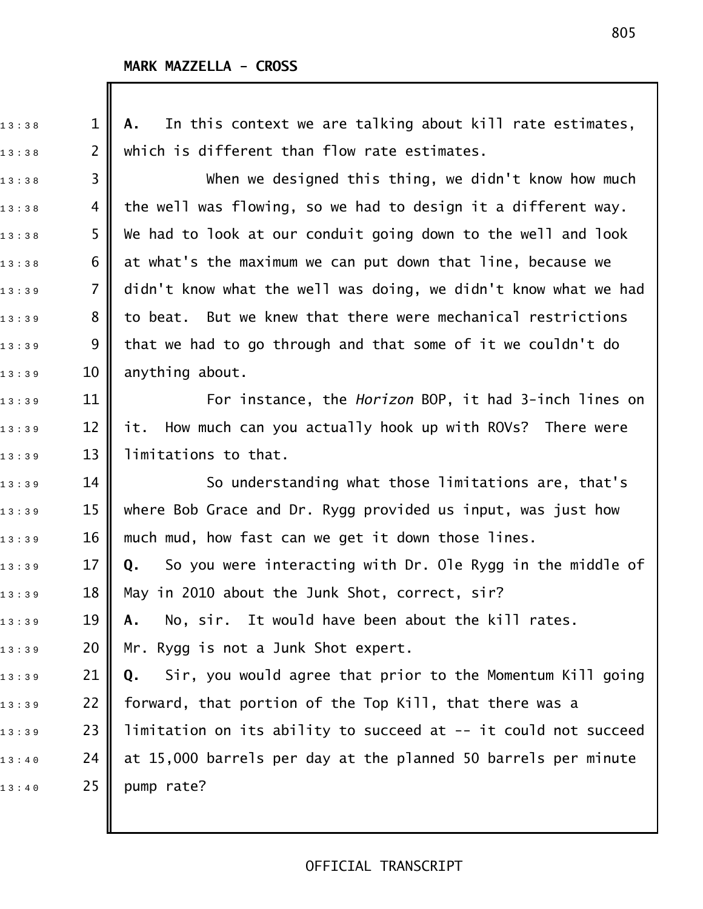1 3 : 3 8 1 **A.** In this context we are talking about kill rate estimates,  $_{1\,3\,:\,3\,8}$  2  $\parallel$  which is different than flow rate estimates. 13:38 3 **||** When we designed this thing, we didn't know how much  $_{1\,3\,:\,3\,8}$  4 || the well was flowing, so we had to design it a different way.  $1\,$   $3\,$   $\,$   $3\,$   $\,$   $\,$  5  $\,$   $\,$  We had to look at our conduit going down to the well and look  $_{1\,3\,:\,3\,8}$  6  $\parallel$  at what's the maximum we can put down that line, because we 13:39 7 **||** didn't know what the well was doing, we didn't know what we had  $_{{\rm 1\,3\,\cdot\,3\,\cdot\,9}}$  8  $\parallel$  to beat. But we knew that there were mechanical restrictions  $_{1\,3\,:\,3\,:\,9}$  9  $\parallel$  that we had to go through and that some of it we couldn't do  $13:39$  10 anything about. 1 3 : 3 9 11 For instance, the *Horizon* BOP, it had 3!inch lines on  $_{1\,3\,:\,3\,:\,9}$   $\qquad$  12  $\parallel$  it. How much can you actually hook up with ROVs? There were  $_{1\,3\,:\,3\,9}$  13 | limitations to that.  $_{1\,3\,:\,3\,:\,9}$   $\qquad \qquad$  14  $\parallel$   $\qquad \qquad$  So understanding what those limitations are, that's  $_{1\,3\,:\,3\,:\,9}$   $\qquad$  15  $\parallel$  where Bob Grace and Dr. Rygg provided us input, was just how  $_{1\,3\,:\,3\,9}$   $\qquad$  16  $\parallel$  much mud, how fast can we get it down those lines. 1 3 : 3 9 17 **Q.** So you were interacting with Dr. Ole Rygg in the middle of  $_{1\,3\,:\,3\,:\,9}$  18 || May in 2010 about the Junk Shot, correct, sir? 1 3 : 3 9 19 **A.** No, sir. It would have been about the kill rates.  $_{13:39}$  20 Mr. Rygg is not a Junk Shot expert. 1 3 : 3 9 21 **Q.** Sir, you would agree that prior to the Momentum Kill going  $_{1\,3\,:\,3\,:\,9}$   $\qquad$  22  $\parallel$  forward, that portion of the Top Kill, that there was a  $_{1\,3\,:\,3\,:\,9}$   $\qquad$  23  $\parallel$  limitation on its ability to succeed at -- it could not succeed  $_{1\,3\,:\,4\,:\,0}$   $\qquad \qquad$  24  $\parallel$  at 15,000 barrels per day at the planned 50 barrels per minute  $13:40$  25 pump rate?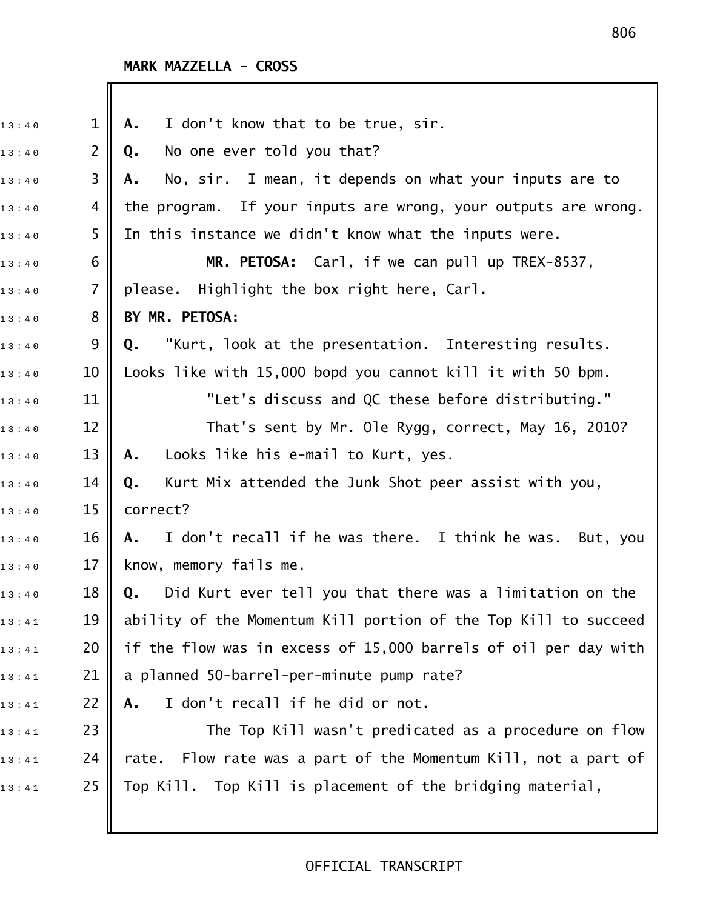| 13:40 | $\mathbf 1$    | I don't know that to be true, sir.<br>Α.                          |
|-------|----------------|-------------------------------------------------------------------|
| 13:40 | $\overline{2}$ | No one ever told you that?<br>Q.                                  |
| 13:40 | 3              | No, sir. I mean, it depends on what your inputs are to<br>А.      |
| 13:40 | 4              | the program. If your inputs are wrong, your outputs are wrong.    |
| 13:40 | 5              | In this instance we didn't know what the inputs were.             |
| 13:40 | 6              | MR. PETOSA: Carl, if we can pull up TREX-8537,                    |
| 13:40 | $\overline{7}$ | please. Highlight the box right here, Carl.                       |
| 13:40 | 8              | BY MR. PETOSA:                                                    |
| 13:40 | 9              | "Kurt, look at the presentation. Interesting results.<br>Q.       |
| 13:40 | 10             | Looks like with 15,000 bopd you cannot kill it with 50 bpm.       |
| 13:40 | 11             | "Let's discuss and QC these before distributing."                 |
| 13:40 | 12             | That's sent by Mr. Ole Rygg, correct, May 16, 2010?               |
| 13:40 | 13             | Looks like his e-mail to Kurt, yes.<br>Α.                         |
| 13:40 | 14             | Kurt Mix attended the Junk Shot peer assist with you,<br>Q.       |
| 13:40 | 15             | correct?                                                          |
| 13:40 | 16             | I don't recall if he was there. I think he was. But, you<br>A.    |
| 13:40 | 17             | know, memory fails me.                                            |
| 13:40 | 18             | Q. Did Kurt ever tell you that there was a limitation on the      |
| 13:41 | 19             | ability of the Momentum Kill portion of the Top Kill to succeed   |
| 13:41 | 20             | if the flow was in excess of 15,000 barrels of oil per day with   |
| 13:41 | 21             | a planned 50-barrel-per-minute pump rate?                         |
| 13:41 | 22             | I don't recall if he did or not.<br>Α.                            |
| 13:41 | 23             | The Top Kill wasn't predicated as a procedure on flow             |
| 13:41 | 24             | Flow rate was a part of the Momentum Kill, not a part of<br>rate. |
| 13:41 | 25             | Top Kill. Top Kill is placement of the bridging material,         |
|       |                |                                                                   |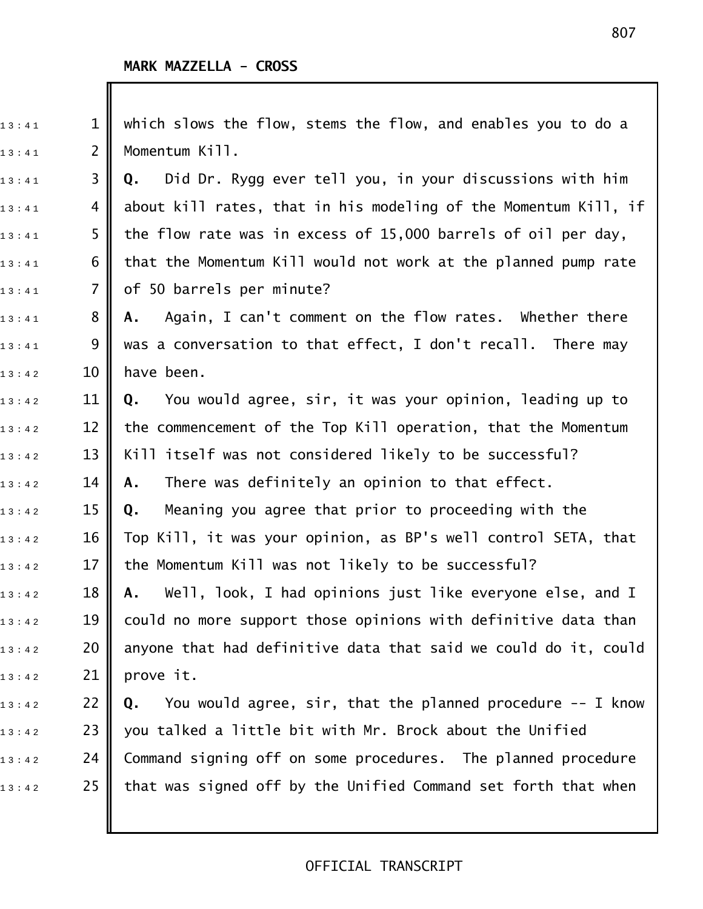I

| 13:41 | 1  | which slows the flow, stems the flow, and enables you to do a           |
|-------|----|-------------------------------------------------------------------------|
| 13:41 | 2  | Momentum Kill.                                                          |
| 13:41 | 3  | Did Dr. Rygg ever tell you, in your discussions with him<br>Q.          |
| 13:41 | 4  | about kill rates, that in his modeling of the Momentum Kill, if         |
| 13:41 | 5  | the flow rate was in excess of 15,000 barrels of oil per day,           |
| 13:41 | 6  | that the Momentum Kill would not work at the planned pump rate          |
| 13:41 | 7  | of 50 barrels per minute?                                               |
| 13:41 | 8  | Again, I can't comment on the flow rates. Whether there<br>Α.           |
| 13:41 | 9  | was a conversation to that effect, I don't recall. There may            |
| 13:42 | 10 | have been.                                                              |
| 13:42 | 11 | You would agree, sir, it was your opinion, leading up to<br>Q.          |
| 13:42 | 12 | the commencement of the Top Kill operation, that the Momentum           |
| 13:42 | 13 | Kill itself was not considered likely to be successful?                 |
| 13:42 | 14 | There was definitely an opinion to that effect.<br>Α.                   |
| 13:42 | 15 | Meaning you agree that prior to proceeding with the<br>Q.               |
| 13:42 | 16 | Top Kill, it was your opinion, as BP's well control SETA, that          |
| 13:42 | 17 | the Momentum Kill was not likely to be successful?                      |
| 13:42 | 18 | Well, look, I had opinions just like everyone else, and I<br>А.         |
| 13:42 | 19 | could no more support those opinions with definitive data than          |
| 13:42 | 20 | anyone that had definitive data that said we could do it, could         |
| 13:42 | 21 | prove it.                                                               |
| 13:42 | 22 | You would agree, $\sin$ , that the planned procedure $-$ - I know<br>Q. |
| 13:42 | 23 | you talked a little bit with Mr. Brock about the Unified                |
| 13:42 | 24 | Command signing off on some procedures. The planned procedure           |
| 13:42 | 25 | that was signed off by the Unified Command set forth that when          |
|       |    |                                                                         |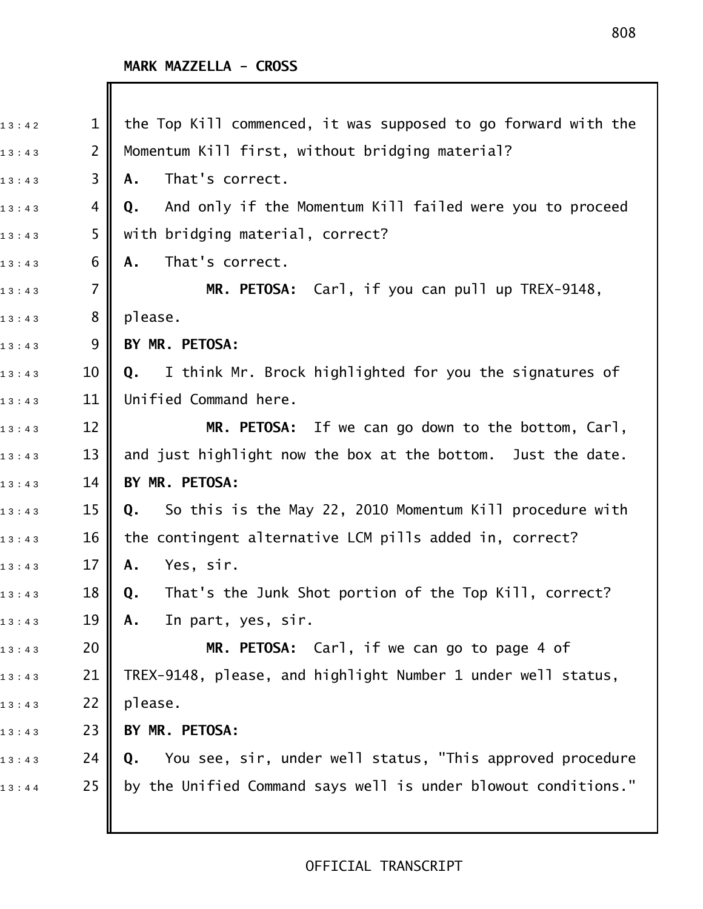| 13:42 | 1              | the Top Kill commenced, it was supposed to go forward with the  |
|-------|----------------|-----------------------------------------------------------------|
| 13:43 | $\overline{2}$ | Momentum Kill first, without bridging material?                 |
| 13:43 | 3              | That's correct.<br>Α.                                           |
| 13:43 | 4              | And only if the Momentum Kill failed were you to proceed<br>Q.  |
| 13:43 | 5              | with bridging material, correct?                                |
| 13:43 | 6              | That's correct.<br>Α.                                           |
| 13:43 | $\overline{7}$ | MR. PETOSA: Carl, if you can pull up TREX-9148,                 |
| 13:43 | 8              | please.                                                         |
| 13:43 | 9              | BY MR. PETOSA:                                                  |
| 13:43 | 10             | I think Mr. Brock highlighted for you the signatures of<br>Q.   |
| 13:43 | 11             | Unified Command here.                                           |
| 13:43 | 12             | MR. PETOSA: If we can go down to the bottom, Carl,              |
| 13:43 | 13             | and just highlight now the box at the bottom. Just the date.    |
| 13:43 | 14             | BY MR. PETOSA:                                                  |
| 13:43 | 15             | So this is the May 22, 2010 Momentum Kill procedure with<br>Q.  |
| 13:43 | 16             | the contingent alternative LCM pills added in, correct?         |
| 13:43 | 17             | Yes, sir.<br>Α.                                                 |
| 13:43 | 18             | That's the Junk Shot portion of the Top Kill, correct?<br>Q.    |
| 13:43 | 19             | In part, yes, sir.<br>Α.                                        |
| 13:43 | 20             | MR. PETOSA: Carl, if we can go to page 4 of                     |
| 13:43 | 21             | TREX-9148, please, and highlight Number 1 under well status,    |
| 13:43 | 22             | please.                                                         |
| 13:43 | 23             | BY MR. PETOSA:                                                  |
| 13:43 | 24             | You see, sir, under well status, "This approved procedure<br>Q. |
| 13:44 | 25             | by the Unified Command says well is under blowout conditions."  |
|       |                |                                                                 |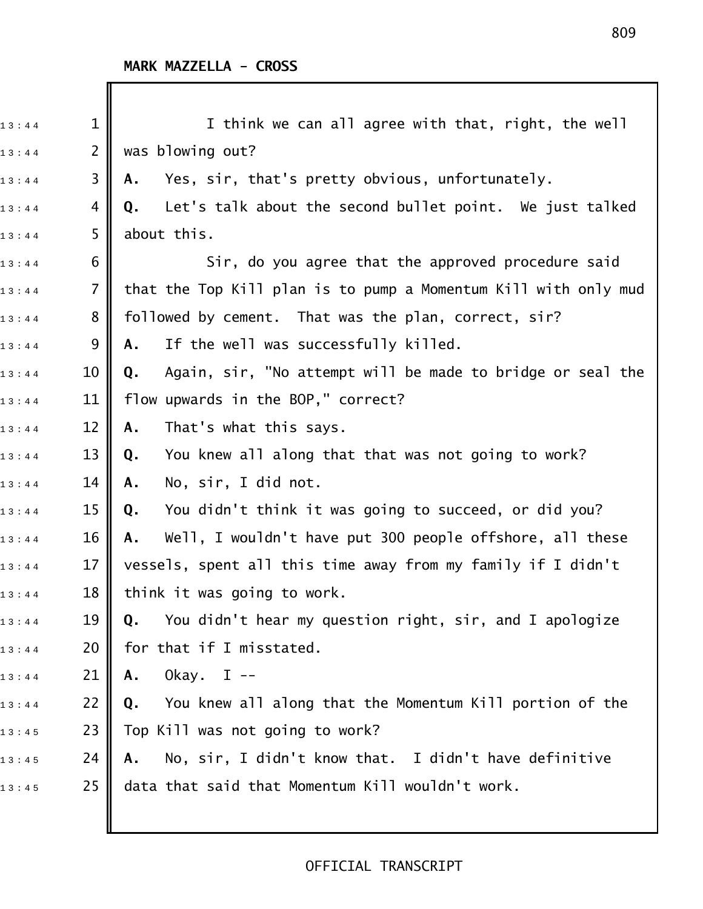| 13:44 | $\mathbf 1$    | I think we can all agree with that, right, the well              |
|-------|----------------|------------------------------------------------------------------|
| 13:44 | $\overline{2}$ | was blowing out?                                                 |
| 13:44 | 3              | Yes, sir, that's pretty obvious, unfortunately.<br>Α.            |
| 13:44 | 4              | Let's talk about the second bullet point. We just talked<br>Q.   |
| 13:44 | 5              | about this.                                                      |
| 13:44 | 6              | Sir, do you agree that the approved procedure said               |
| 13:44 | $\overline{7}$ | that the Top Kill plan is to pump a Momentum Kill with only mud  |
| 13:44 | 8              | followed by cement. That was the plan, correct, sir?             |
| 13:44 | 9              | If the well was successfully killed.<br>Α.                       |
| 13:44 | 10             | Again, sir, "No attempt will be made to bridge or seal the<br>Q. |
| 13:44 | 11             | flow upwards in the BOP," correct?                               |
| 13:44 | 12             | That's what this says.<br>Α.                                     |
| 13:44 | 13             | You knew all along that that was not going to work?<br>Q.        |
| 13:44 | 14             | No, sir, I did not.<br>Α.                                        |
| 13:44 | 15             | You didn't think it was going to succeed, or did you?<br>Q.      |
| 13:44 | 16             | Well, I wouldn't have put 300 people offshore, all these<br>Α.   |
| 13:44 | 17             | vessels, spent all this time away from my family if I didn't     |
| 13:44 | 18             | think it was going to work.                                      |
| 13:44 | 19             | You didn't hear my question right, sir, and I apologize<br>Q.    |
| 13:44 | 20             | for that if I misstated.                                         |
| 13:44 | 21             | Okay. I --<br>Α.                                                 |
| 13:44 | 22             | You knew all along that the Momentum Kill portion of the<br>Q.   |
| 13:45 | 23             | Top Kill was not going to work?                                  |
| 13:45 | 24             | No, sir, I didn't know that. I didn't have definitive<br>Α.      |
| 13:45 | 25             | data that said that Momentum Kill wouldn't work.                 |
|       |                |                                                                  |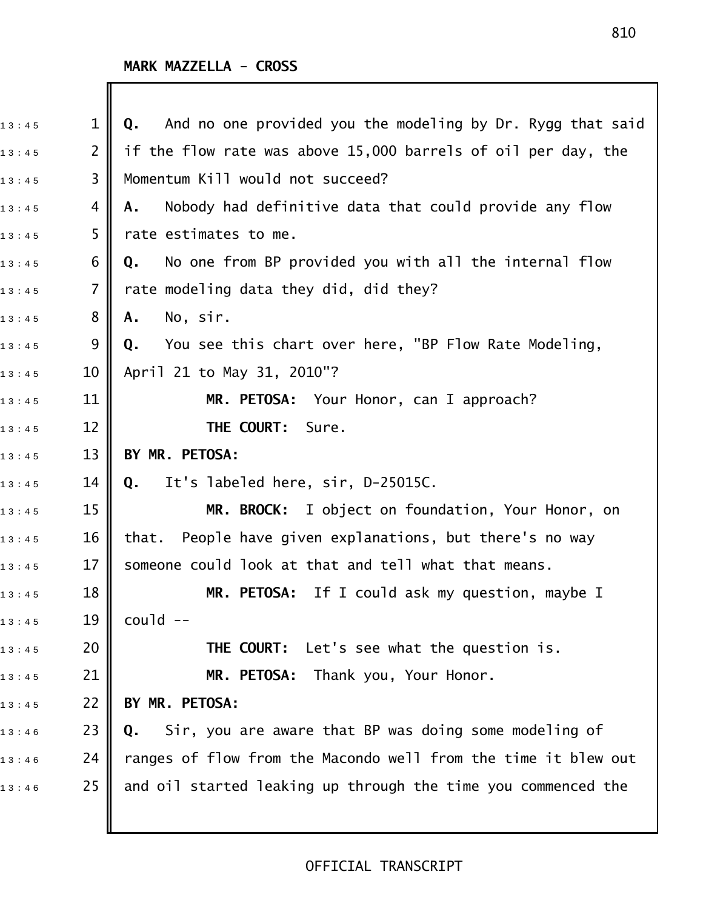| 13:45 | $\mathbf 1$     | And no one provided you the modeling by Dr. Rygg that said<br>Q. |
|-------|-----------------|------------------------------------------------------------------|
| 13:45 | $\overline{2}$  | if the flow rate was above 15,000 barrels of oil per day, the    |
| 13:45 | 3               | Momentum Kill would not succeed?                                 |
| 13:45 | 4               | Nobody had definitive data that could provide any flow<br>Α.     |
| 13:45 | 5               | rate estimates to me.                                            |
| 13:45 | 6               | No one from BP provided you with all the internal flow<br>Q.     |
| 13:45 | $\overline{7}$  | rate modeling data they did, did they?                           |
| 13:45 | 8               | No, sir.<br>A.                                                   |
| 13:45 | 9               | You see this chart over here, "BP Flow Rate Modeling,<br>Q.      |
| 13:45 | 10              | April 21 to May 31, 2010"?                                       |
| 13:45 | 11              | MR. PETOSA: Your Honor, can I approach?                          |
| 13:45 | 12              | THE COURT:<br>Sure.                                              |
| 13:45 | 13              | BY MR. PETOSA:                                                   |
| 13:45 | 14              | It's labeled here, sir, D-25015C.<br>Q.                          |
| 13:45 | 15              | MR. BROCK: I object on foundation, Your Honor, on                |
| 13:45 | 16              | that. People have given explanations, but there's no way         |
| 13:45 | 17              | someone could look at that and tell what that means.             |
| 13:45 | 18 <sup>1</sup> | MR. PETOSA: If I could ask my question, maybe I                  |
| 13:45 | 19              | $coul$ d --                                                      |
| 13:45 | 20              | THE COURT: Let's see what the question is.                       |
| 13:45 | 21              | MR. PETOSA: Thank you, Your Honor.                               |
| 13:45 | 22              | BY MR. PETOSA:                                                   |
| 13:46 | 23              | Sir, you are aware that BP was doing some modeling of<br>Q.      |
| 13:46 | 24              | ranges of flow from the Macondo well from the time it blew out   |
| 13:46 | 25              | and oil started leaking up through the time you commenced the    |
|       |                 |                                                                  |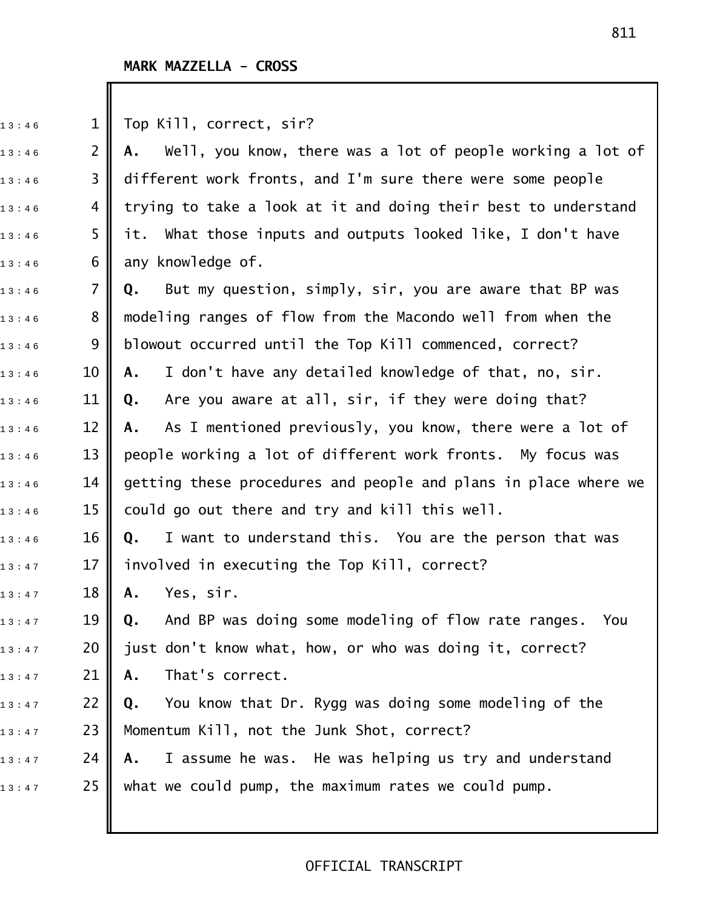| 13:46 | $\mathbf 1$    | Top Kill, correct, sir?                                          |
|-------|----------------|------------------------------------------------------------------|
| 13:46 | $\overline{2}$ | Well, you know, there was a lot of people working a lot of<br>А. |
| 13:46 | 3              | different work fronts, and I'm sure there were some people       |
| 13:46 | 4              | trying to take a look at it and doing their best to understand   |
| 13:46 | 5              | it. What those inputs and outputs looked like, I don't have      |
| 13:46 | 6              | any knowledge of.                                                |
| 13:46 | $\overline{7}$ | But my question, simply, sir, you are aware that BP was<br>Q.    |
| 13:46 | 8              | modeling ranges of flow from the Macondo well from when the      |
| 13:46 | 9              | blowout occurred until the Top Kill commenced, correct?          |
| 13:46 | 10             | I don't have any detailed knowledge of that, no, sir.<br>Α.      |
| 13:46 | 11             | Are you aware at all, sir, if they were doing that?<br>Q.        |
| 13:46 | 12             | As I mentioned previously, you know, there were a lot of<br>А.   |
| 13:46 | 13             | people working a lot of different work fronts. My focus was      |
| 13:46 | 14             | getting these procedures and people and plans in place where we  |
| 13:46 | 15             | could go out there and try and kill this well.                   |
| 13:46 | 16             | I want to understand this. You are the person that was<br>Q.     |
| 13:47 | 17             | involved in executing the Top Kill, correct?                     |
| 13:47 | 18             | Yes, sir.<br>A.,                                                 |
| 13:47 | 19             | And BP was doing some modeling of flow rate ranges.<br>You<br>Q. |
| 13:47 | 20             | just don't know what, how, or who was doing it, correct?         |
| 13:47 | 21             | That's correct.<br>Α.                                            |
| 13:47 | 22             | You know that Dr. Rygg was doing some modeling of the<br>Q.      |
| 13:47 | 23             | Momentum Kill, not the Junk Shot, correct?                       |
| 13:47 | 24             | I assume he was. He was helping us try and understand<br>А.      |
| 13:47 | 25             | what we could pump, the maximum rates we could pump.             |
|       |                |                                                                  |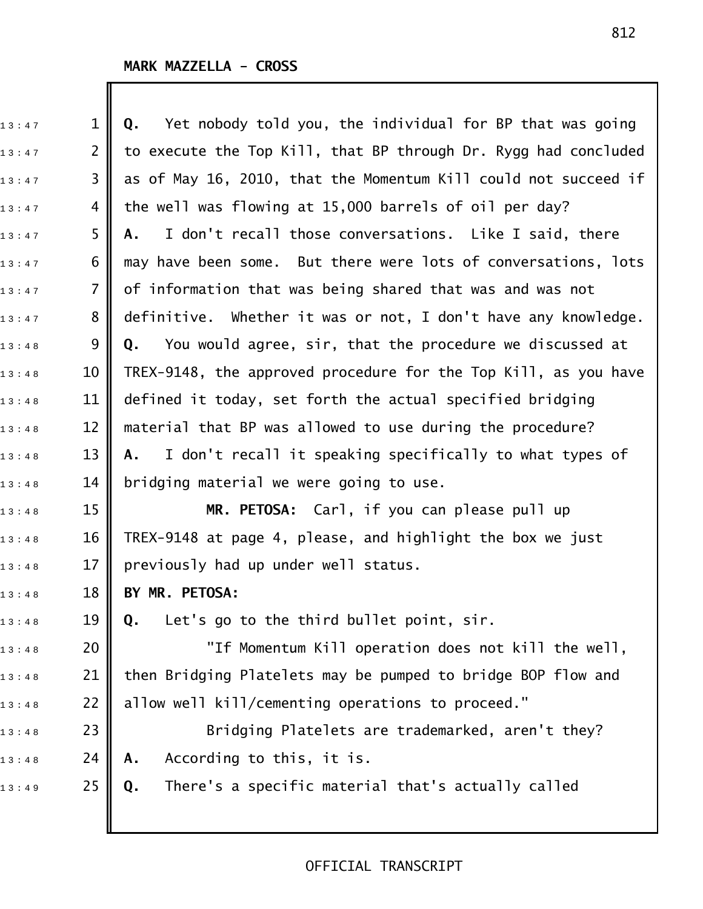| 13:47 | $\mathbf 1$    | Yet nobody told you, the individual for BP that was going<br>Q. |
|-------|----------------|-----------------------------------------------------------------|
| 13:47 | $\overline{2}$ | to execute the Top Kill, that BP through Dr. Rygg had concluded |
| 13:47 | 3              | as of May 16, 2010, that the Momentum Kill could not succeed if |
| 13:47 | 4              | the well was flowing at 15,000 barrels of oil per day?          |
| 13:47 | 5              | I don't recall those conversations. Like I said, there<br>А.    |
| 13:47 | 6              | may have been some. But there were lots of conversations, lots  |
| 13:47 | $\overline{7}$ | of information that was being shared that was and was not       |
| 13:47 | 8              | definitive. Whether it was or not, I don't have any knowledge.  |
| 13:48 | 9              | You would agree, sir, that the procedure we discussed at<br>Q.  |
| 13:48 | 10             | TREX-9148, the approved procedure for the Top Kill, as you have |
| 13:48 | 11             | defined it today, set forth the actual specified bridging       |
| 13:48 | 12             | material that BP was allowed to use during the procedure?       |
| 13:48 | 13             | I don't recall it speaking specifically to what types of<br>A., |
| 13:48 | 14             | bridging material we were going to use.                         |
| 13:48 | 15             | MR. PETOSA: Carl, if you can please pull up                     |
| 13:48 | 16             | TREX-9148 at page 4, please, and highlight the box we just      |
| 13:48 | 17             | previously had up under well status.                            |
| 13:48 | 18             | BY MR. PETOSA:                                                  |
| 13:48 | 19             | Let's go to the third bullet point, sir.<br>Q.                  |
| 13:48 | 20             | "If Momentum Kill operation does not kill the well,             |
| 13:48 | 21             | then Bridging Platelets may be pumped to bridge BOP flow and    |
| 13:48 | 22             | allow well kill/cementing operations to proceed."               |
| 13:48 | 23             | Bridging Platelets are trademarked, aren't they?                |
| 13:48 | 24             | According to this, it is.<br>Α.                                 |
| 13:49 | 25             | There's a specific material that's actually called<br>Q.        |
|       |                |                                                                 |
|       |                |                                                                 |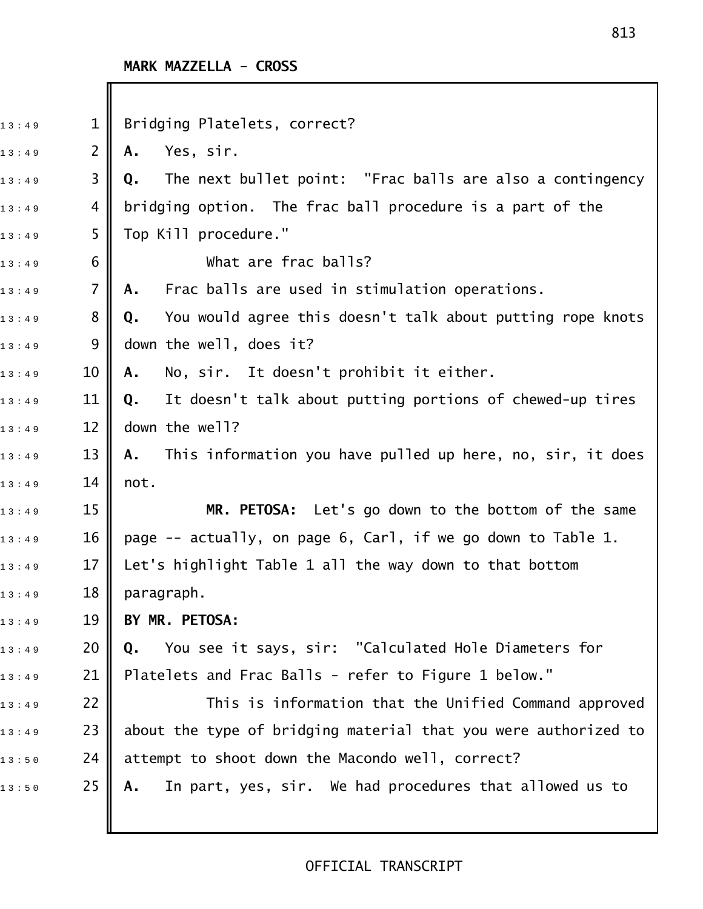I

| 13:49 | $\mathbf{1}$   | Bridging Platelets, correct?                                     |
|-------|----------------|------------------------------------------------------------------|
| 13:49 | $\overline{2}$ | Yes, sir.<br>Α.                                                  |
| 13:49 | 3              | The next bullet point: "Frac balls are also a contingency<br>Q.  |
| 13:49 | 4              | bridging option. The frac ball procedure is a part of the        |
| 13:49 | 5              | Top Kill procedure."                                             |
| 13:49 | 6              | What are frac balls?                                             |
| 13:49 | $\overline{7}$ | Frac balls are used in stimulation operations.<br>Α.             |
| 13:49 | 8              | You would agree this doesn't talk about putting rope knots<br>Q. |
| 13:49 | 9              | down the well, does it?                                          |
| 13:49 | 10             | No, sir. It doesn't prohibit it either.<br>Α.                    |
| 13:49 | 11             | It doesn't talk about putting portions of chewed-up tires<br>Q.  |
| 13:49 | 12             | down the well?                                                   |
| 13:49 | 13             | This information you have pulled up here, no, sir, it does<br>Α. |
| 13:49 | 14             | not.                                                             |
| 13:49 | 15             | MR. PETOSA: Let's go down to the bottom of the same              |
| 13:49 | 16             | page -- actually, on page 6, Carl, if we go down to Table 1.     |
| 13:49 | 17             | Let's highlight Table 1 all the way down to that bottom          |
| 13:49 | 18             | paragraph.                                                       |
| 13:49 | 19             | BY MR. PETOSA:                                                   |
| 13:49 | 20             | You see it says, sir: "Calculated Hole Diameters for<br>Q.       |
| 13:49 | 21             | Platelets and Frac Balls - refer to Figure 1 below."             |
| 13:49 | 22             | This is information that the Unified Command approved            |
| 13:49 | 23             | about the type of bridging material that you were authorized to  |
| 13:50 | 24             | attempt to shoot down the Macondo well, correct?                 |
| 13:50 | 25             | In part, yes, sir. We had procedures that allowed us to<br>Α.    |
|       |                |                                                                  |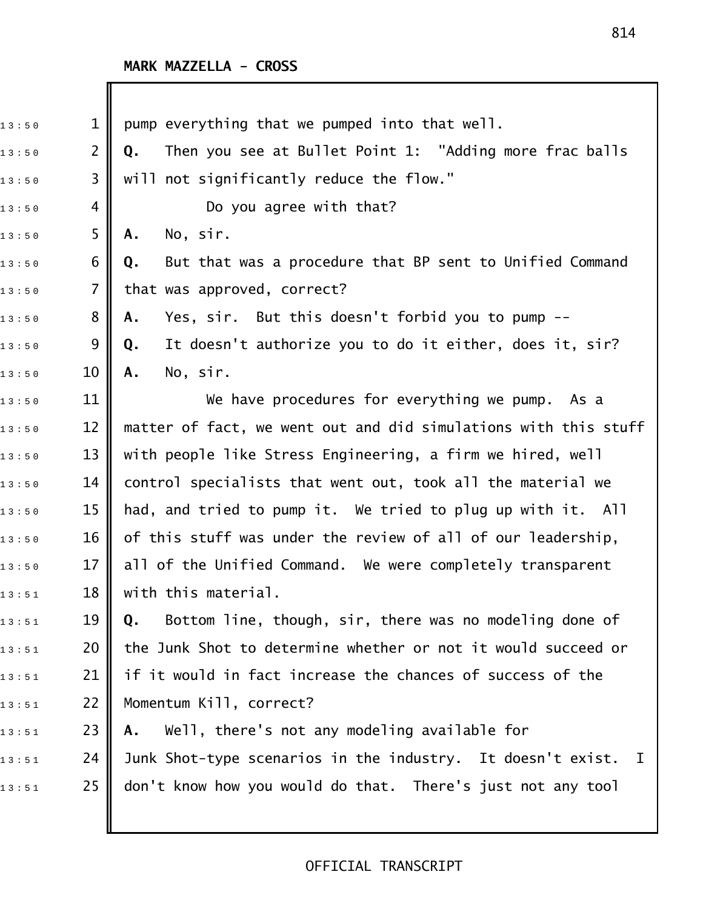| 13:50 | $\mathbf 1$    | pump everything that we pumped into that well.                  |
|-------|----------------|-----------------------------------------------------------------|
| 13:50 | $\overline{2}$ | Then you see at Bullet Point 1: "Adding more frac balls<br>Q.   |
| 13:50 | 3              | will not significantly reduce the flow."                        |
| 13:50 | 4              | Do you agree with that?                                         |
| 13:50 | 5              | No, sir.<br>Α.                                                  |
| 13:50 | 6              | But that was a procedure that BP sent to Unified Command<br>Q.  |
| 13:50 | 7              | that was approved, correct?                                     |
| 13:50 | 8              | Yes, sir. But this doesn't forbid you to pump --<br>Α.          |
| 13:50 | 9              | It doesn't authorize you to do it either, does it, sir?<br>Q.   |
| 13:50 | 10             | No, sir.<br>Α.                                                  |
| 13:50 | 11             | We have procedures for everything we pump. As a                 |
| 13:50 | 12             | matter of fact, we went out and did simulations with this stuff |
| 13:50 | 13             | with people like Stress Engineering, a firm we hired, well      |
| 13:50 | 14             | control specialists that went out, took all the material we     |
| 13:50 | 15             | had, and tried to pump it. We tried to plug up with it. All     |
| 13:50 | 16             | of this stuff was under the review of all of our leadership,    |
| 13:50 | 17             | all of the Unified Command. We were completely transparent      |
| 13:51 | 18             | with this material.                                             |
| 13:51 | 19             | Bottom line, though, sir, there was no modeling done of<br>Q.   |
| 13:51 | 20             | the Junk Shot to determine whether or not it would succeed or   |
| 13:51 | 21             | if it would in fact increase the chances of success of the      |
| 13:51 | 22             | Momentum Kill, correct?                                         |
| 13:51 | 23             | Well, there's not any modeling available for<br>Α.              |
| 13:51 | 24             | Junk Shot-type scenarios in the industry. It doesn't exist. I   |
| 13:51 | 25             | don't know how you would do that. There's just not any tool     |
|       |                |                                                                 |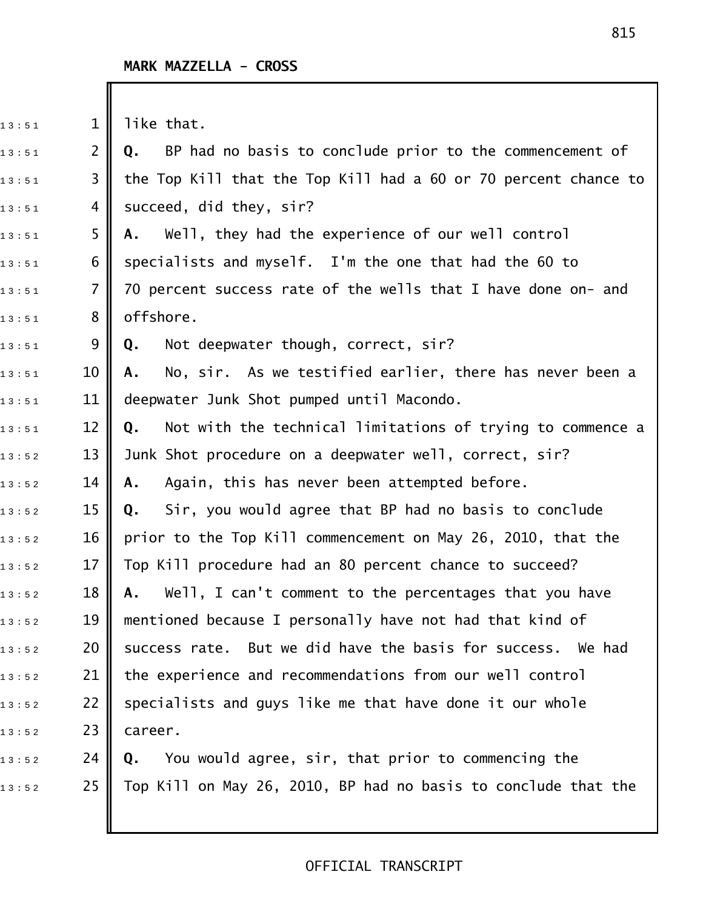$\begin{array}{ccc} \n 1 & 3 & 5 & 1 \n \end{array}$  is 1 || like that. 1 3 : 5 1 2 **Q.** BP had no basis to conclude prior to the commencement of  $_{1\,3\,:\,5\,1}$  3 || the Top Kill that the Top Kill had a 60 or 70 percent chance to  $13:51$  4 succeed, did they, sir? 1 3 : 5 1 5 **A.** Well, they had the experience of our well control  $_{1\,3\,:\,5\,1}$  6  $\parallel$  specialists and myself. I'm the one that had the 60 to  $_{13:51}$  7 || 70 percent success rate of the wells that I have done on- and  $13:51$  8 || offshore. 13:51 9 **Q.** Not deepwater though, correct, sir? 1 3 : 5 1 10 **A.** No, sir. As we testified earlier, there has never been a  $_{13:51}$  11 | deepwater Junk Shot pumped until Macondo. 1 3 : 5 1 12 **Q.** Not with the technical limitations of trying to commence a  $_{1\,3\,:\,5\,2}$   $\qquad$  13  $\parallel$  Junk Shot procedure on a deepwater well, correct, sir? 1 3 : 5 2 14 **A.** Again, this has never been attempted before. 1 3 : 5 2 15 **Q.** Sir, you would agree that BP had no basis to conclude  $_{1\,3\,:\,5\,2}$   $\qquad$  16  $\parallel$  prior to the Top Kill commencement on May 26, 2010, that the  $_{1\,3\,:\,5\,2}$   $\qquad$  17  $\parallel$  Top Kill procedure had an 80 percent chance to succeed? 1 3 : 5 2 18 **A.** Well, I can't comment to the percentages that you have  $_{1\,3\,:\,5\,2}$   $\qquad$  19  $\parallel$  mentioned because I personally have not had that kind of  $_{1\,3\,:\,5\,2}$  20  $\parallel$  success rate. But we did have the basis for success. We had  $13:52$  21 | the experience and recommendations from our well control  $_{1\,3\,:\,5\,2}$   $\qquad$  22  $\parallel$  specialists and guys like me that have done it our whole  $13:52$  23 career. 1 3 : 5 2 24 **Q.** You would agree, sir, that prior to commencing the  $_{1\,3\,:\,5\,2}$  25 || Top Kill on May 26, 2010, BP had no basis to conclude that the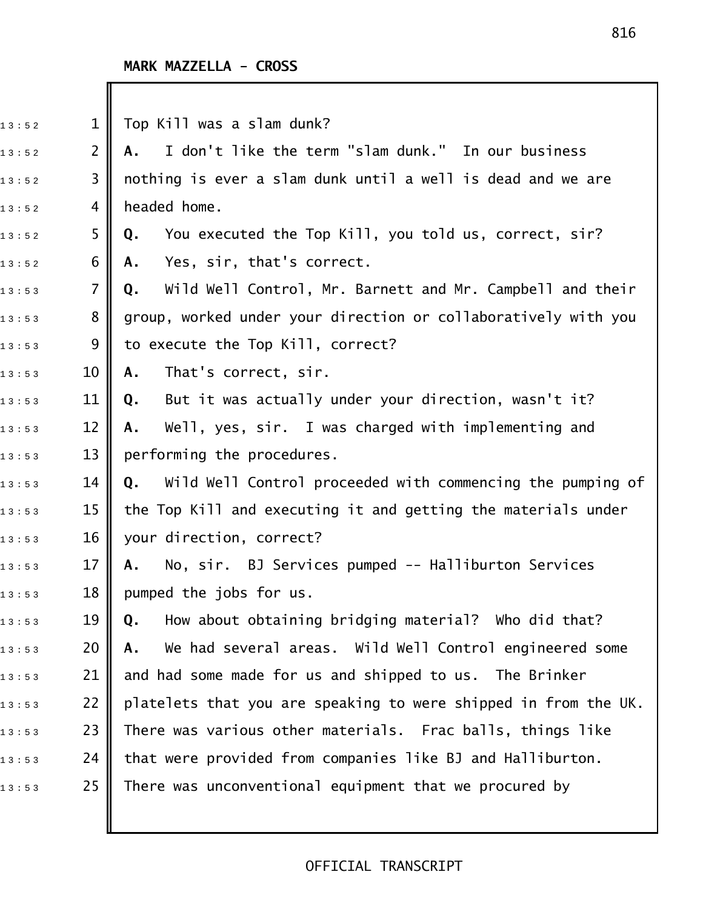| 13:52 | $\mathbf 1$    | Top Kill was a slam dunk?                                        |
|-------|----------------|------------------------------------------------------------------|
| 13:52 | $\overline{2}$ | I don't like the term "slam dunk." In our business<br>Α.         |
| 13:52 | 3              | nothing is ever a slam dunk until a well is dead and we are      |
| 13:52 | 4              | headed home.                                                     |
| 13:52 | 5              | You executed the Top Kill, you told us, correct, sir?<br>Q.      |
| 13:52 | 6              | Yes, sir, that's correct.<br>Α.                                  |
| 13:53 | 7              | Wild Well Control, Mr. Barnett and Mr. Campbell and their<br>Q.  |
| 13:53 | 8              | group, worked under your direction or collaboratively with you   |
| 13:53 | 9              | to execute the Top Kill, correct?                                |
| 13:53 | 10             | That's correct, sir.<br>Α.                                       |
| 13:53 | 11             | But it was actually under your direction, wasn't it?<br>Q.       |
| 13:53 | 12             | Well, yes, sir. I was charged with implementing and<br>Α.        |
| 13:53 | 13             | performing the procedures.                                       |
| 13:53 | 14             | Wild Well Control proceeded with commencing the pumping of<br>Q. |
| 13:53 | 15             | the Top Kill and executing it and getting the materials under    |
| 13:53 | 16             | your direction, correct?                                         |
| 13:53 | 17             | No, sir. BJ Services pumped -- Halliburton Services<br>Α.        |
| 13:53 | 18             | pumped the jobs for us.                                          |
| 13:53 | 19             | How about obtaining bridging material? Who did that?<br>Q.       |
| 13:53 | 20             | We had several areas. Wild Well Control engineered some<br>Α.    |
| 13:53 | 21             | and had some made for us and shipped to us. The Brinker          |
| 13:53 | 22             | platelets that you are speaking to were shipped in from the UK.  |
| 13:53 | 23             | There was various other materials. Frac balls, things like       |
| 13:53 | 24             | that were provided from companies like BJ and Halliburton.       |
| 13:53 | 25             | There was unconventional equipment that we procured by           |
|       |                |                                                                  |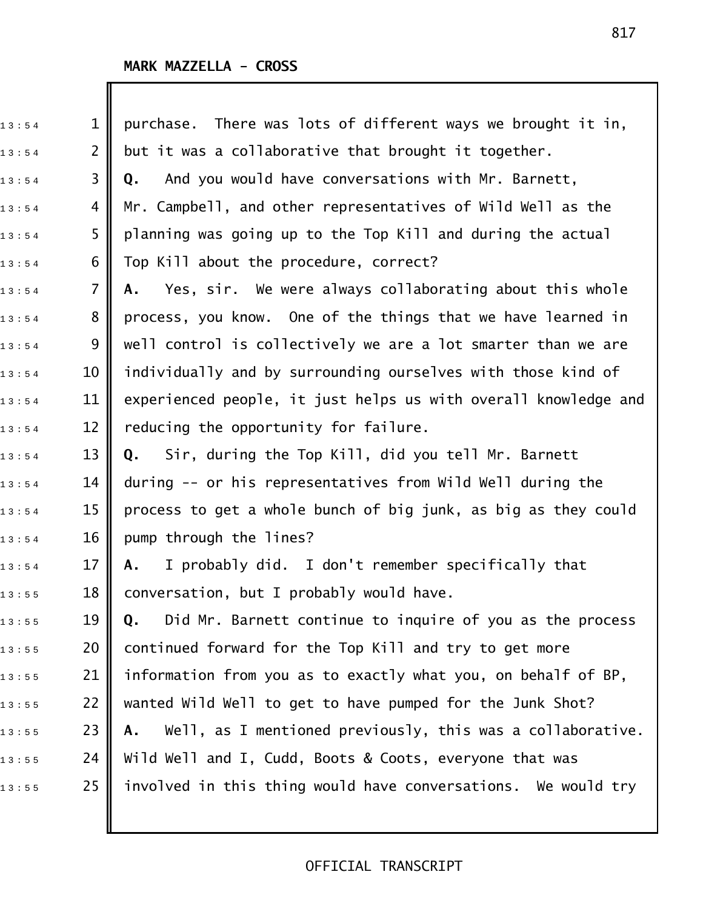| 13:54 | $\mathbf{1}$   | There was lots of different ways we brought it in,<br>purchase.  |
|-------|----------------|------------------------------------------------------------------|
| 13:54 | $\overline{2}$ | but it was a collaborative that brought it together.             |
| 13:54 | 3              | And you would have conversations with Mr. Barnett,<br>Q.         |
| 13:54 | 4              | Mr. Campbell, and other representatives of Wild Well as the      |
| 13:54 | 5              | planning was going up to the Top Kill and during the actual      |
| 13:54 | 6              | Top Kill about the procedure, correct?                           |
| 13:54 | $\overline{7}$ | Yes, sir. We were always collaborating about this whole<br>Α.    |
| 13:54 | 8              | process, you know. One of the things that we have learned in     |
| 13:54 | 9              | well control is collectively we are a lot smarter than we are    |
| 13:54 | 10             | individually and by surrounding ourselves with those kind of     |
| 13:54 | 11             | experienced people, it just helps us with overall knowledge and  |
| 13:54 | 12             | reducing the opportunity for failure.                            |
| 13:54 | 13             | Sir, during the Top Kill, did you tell Mr. Barnett<br>Q.         |
| 13:54 | 14             | during -- or his representatives from Wild Well during the       |
| 13:54 | 15             | process to get a whole bunch of big junk, as big as they could   |
| 13:54 | 16             | pump through the lines?                                          |
| 13:54 | 17             | I probably did. I don't remember specifically that<br>Α.         |
| 13:55 | 18             | conversation, but I probably would have.                         |
| 13:55 | 19             | Did Mr. Barnett continue to inquire of you as the process<br>Q.  |
| 13:55 | 20             | continued forward for the Top Kill and try to get more           |
| 13:55 | 21             | information from you as to exactly what you, on behalf of BP,    |
| 13:55 | 22             | wanted Wild Well to get to have pumped for the Junk Shot?        |
| 13:55 | 23             | Well, as I mentioned previously, this was a collaborative.<br>Α. |
| 13:55 | 24             | Wild Well and I, Cudd, Boots & Coots, everyone that was          |
| 13:55 | 25             | involved in this thing would have conversations. We would try    |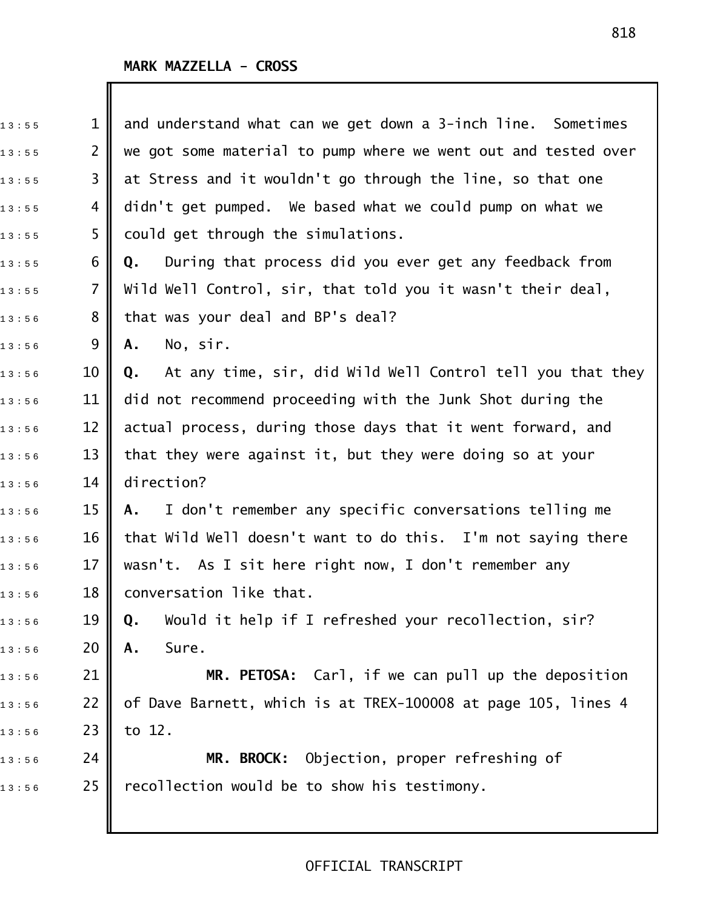| 13:55 | 1              | and understand what can we get down a 3-inch line. Sometimes     |
|-------|----------------|------------------------------------------------------------------|
| 13:55 | $\overline{2}$ | we got some material to pump where we went out and tested over   |
| 13:55 | 3              | at Stress and it wouldn't go through the line, so that one       |
| 13:55 | 4              | didn't get pumped. We based what we could pump on what we        |
| 13:55 | 5              | could get through the simulations.                               |
| 13:55 | 6              | During that process did you ever get any feedback from<br>Q.     |
| 13:55 | $\overline{7}$ | Wild Well Control, sir, that told you it wasn't their deal,      |
| 13:56 | 8              | that was your deal and BP's deal?                                |
| 13:56 | 9              | No, sir.<br>Α.                                                   |
| 13:56 | 10             | At any time, sir, did Wild Well Control tell you that they<br>Q. |
| 13:56 | 11             | did not recommend proceeding with the Junk Shot during the       |
| 13:56 | 12             | actual process, during those days that it went forward, and      |
| 13:56 | 13             | that they were against it, but they were doing so at your        |
| 13:56 | 14             | direction?                                                       |
| 13:56 | 15             | I don't remember any specific conversations telling me<br>A.,    |
| 13:56 | 16             | that Wild Well doesn't want to do this. I'm not saying there     |
| 13:56 | 17             | wasn't. As I sit here right now, I don't remember any            |
| 13:56 | 18             | conversation like that.                                          |
| 13:56 | 19             | Would it help if I refreshed your recollection, sir?<br>Q.       |
| 13:56 | 20             | Sure.<br>Α.                                                      |
| 13:56 | 21             | MR. PETOSA: Carl, if we can pull up the deposition               |
| 13:56 | 22             | of Dave Barnett, which is at TREX-100008 at page 105, lines 4    |
| 13:56 | 23             | to 12.                                                           |
| 13:56 | 24             | MR. BROCK: Objection, proper refreshing of                       |
| 13:56 | 25             | recollection would be to show his testimony.                     |
|       |                |                                                                  |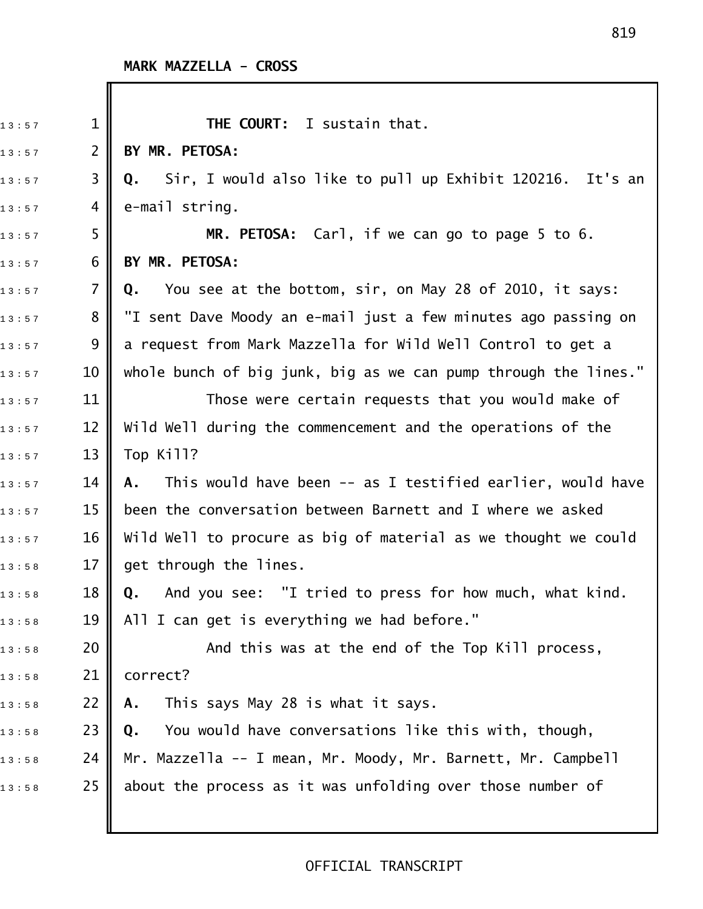| 13:57 | $\mathbf{1}$   | THE COURT: I sustain that.                                                |
|-------|----------------|---------------------------------------------------------------------------|
| 13:57 | $\overline{2}$ | BY MR. PETOSA:                                                            |
| 13:57 | 3              | Sir, I would also like to pull up Exhibit 120216. It's an<br>Q.           |
| 13:57 | 4              | e-mail string.                                                            |
| 13:57 | 5              | MR. PETOSA: Carl, if we can go to page 5 to 6.                            |
| 13:57 | 6              | BY MR. PETOSA:                                                            |
| 13:57 | 7              | You see at the bottom, sir, on May 28 of 2010, it says:<br>Q.             |
| 13:57 | 8              | "I sent Dave Moody an e-mail just a few minutes ago passing on            |
| 13:57 | 9              | a request from Mark Mazzella for Wild Well Control to get a               |
| 13:57 | 10             | whole bunch of big junk, big as we can pump through the lines."           |
| 13:57 | 11             | Those were certain requests that you would make of                        |
| 13:57 | 12             | Wild Well during the commencement and the operations of the               |
| 13:57 | 13             | Top Kill?                                                                 |
| 13:57 | 14             | This would have been -- as I testified earlier, would have<br>А.          |
| 13:57 | 15             | been the conversation between Barnett and I where we asked                |
| 13:57 | 16             | Wild Well to procure as big of material as we thought we could            |
| 13:58 | 17             | get through the lines.                                                    |
| 13:58 | 18             | And you see: "I tried to press for how much, what kind.<br>$\mathbf{0}$ . |
| 13:58 | 19             | All I can get is everything we had before."                               |
| 13:58 | 20             | And this was at the end of the Top Kill process,                          |
| 13:58 | 21             | correct?                                                                  |
| 13:58 | 22             | This says May 28 is what it says.<br>Α.                                   |
| 13:58 | 23             | You would have conversations like this with, though,<br>Q.                |
| 13:58 | 24             | Mr. Mazzella -- I mean, Mr. Moody, Mr. Barnett, Mr. Campbell              |
| 13:58 | 25             | about the process as it was unfolding over those number of                |
|       |                |                                                                           |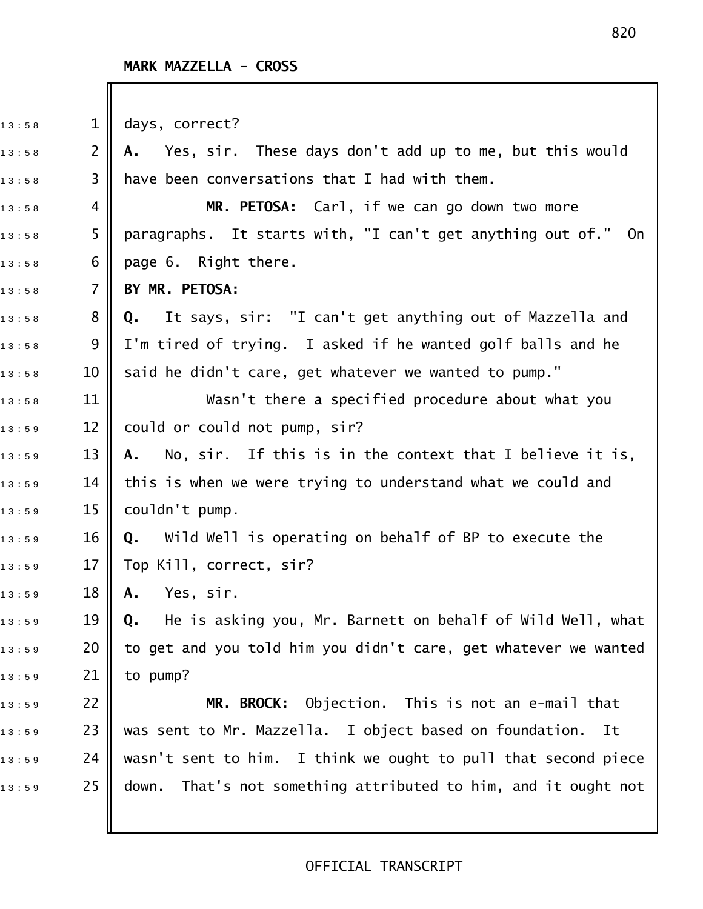| 13:58 | $\mathbf 1$     | days, correct?                                                   |
|-------|-----------------|------------------------------------------------------------------|
| 13:58 | $\overline{2}$  | A. Yes, sir. These days don't add up to me, but this would       |
| 13:58 | 3               | have been conversations that I had with them.                    |
| 13:58 | 4               | MR. PETOSA: Carl, if we can go down two more                     |
| 13:58 | 5               | paragraphs. It starts with, "I can't get anything out of." On    |
| 13:58 | 6               | page 6. Right there.                                             |
| 13:58 | $\overline{7}$  | BY MR. PETOSA:                                                   |
| 13:58 | 8               | Q. It says, sir: "I can't get anything out of Mazzella and       |
| 13:58 | 9               | I'm tired of trying. I asked if he wanted golf balls and he      |
| 13:58 | 10              | said he didn't care, get whatever we wanted to pump."            |
| 13:58 | 11              | Wasn't there a specified procedure about what you                |
| 13:59 | 12              | could or could not pump, sir?                                    |
| 13:59 | 13              | No, sir. If this is in the context that I believe it is,<br>A.,  |
| 13:59 | 14              | this is when we were trying to understand what we could and      |
| 13:59 | 15              | couldn't pump.                                                   |
| 13:59 | 16              | <b>Q.</b> Wild Well is operating on behalf of BP to execute the  |
| 13:59 | 17              | Top Kill, correct, sir?                                          |
| 13:59 | 18 <sup>1</sup> | <b>A.</b> Yes, sir.                                              |
| 13:59 | 19              | He is asking you, Mr. Barnett on behalf of Wild Well, what<br>Q. |
| 13:59 | 20              | to get and you told him you didn't care, get whatever we wanted  |
| 13:59 | 21              | to pump?                                                         |
| 13:59 | 22              | MR. BROCK: Objection. This is not an e-mail that                 |
| 13:59 | 23              | was sent to Mr. Mazzella. I object based on foundation.<br>It    |
| 13:59 | 24              | wasn't sent to him. I think we ought to pull that second piece   |
| 13:59 | 25              | down. That's not something attributed to him, and it ought not   |
|       |                 |                                                                  |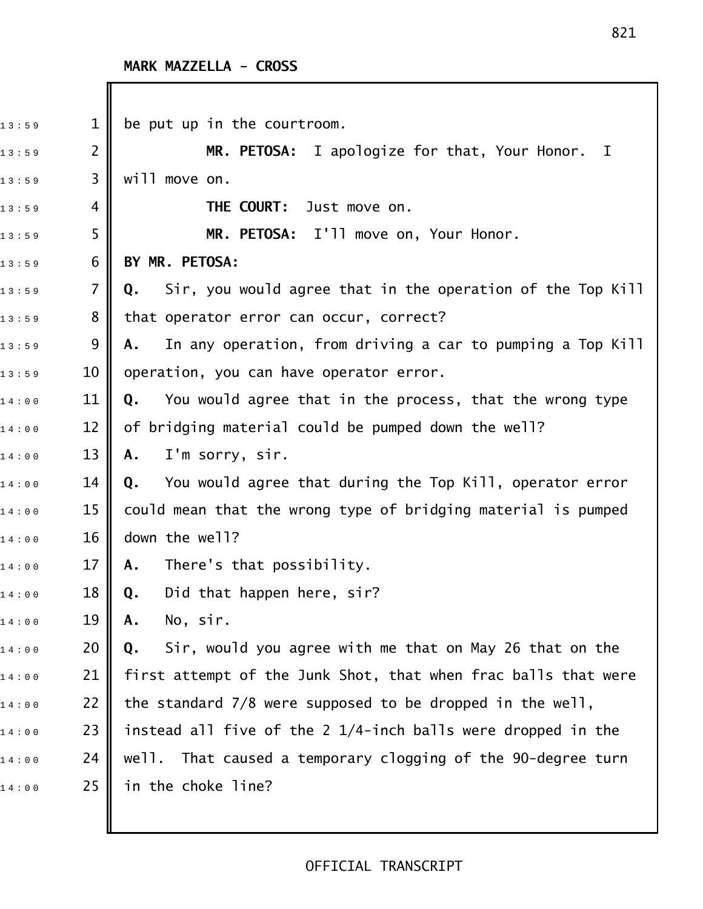I

| 13:59 | $\mathbf 1$    | be put up in the courtroom.                                      |
|-------|----------------|------------------------------------------------------------------|
| 13:59 | $\overline{2}$ | MR. PETOSA: I apologize for that, Your Honor. I                  |
| 13:59 | 3              | will move on.                                                    |
| 13:59 | 4              | THE COURT:<br>Just move on.                                      |
| 13:59 | 5              | MR. PETOSA: I'll move on, Your Honor.                            |
| 13:59 | 6              | BY MR. PETOSA:                                                   |
| 13:59 | $\overline{7}$ | Sir, you would agree that in the operation of the Top Kill<br>Q. |
| 13:59 | 8              | that operator error can occur, correct?                          |
| 13:59 | 9              | In any operation, from driving a car to pumping a Top Kill<br>А. |
| 13:59 | 10             | operation, you can have operator error.                          |
| 14:00 | 11             | You would agree that in the process, that the wrong type<br>Q.   |
| 14:00 | 12             | of bridging material could be pumped down the well?              |
| 14:00 | 13             | I'm sorry, sir.<br>Α.                                            |
| 14:00 | 14             | You would agree that during the Top Kill, operator error<br>Q.   |
| 14:00 | 15             | could mean that the wrong type of bridging material is pumped    |
| 14:00 | 16             | down the well?                                                   |
| 14:00 | 17             | There's that possibility.<br>Α.                                  |
| 14:00 | 18             | Did that happen here, sir?<br>Q.                                 |
| 14:00 | 19             | No, sir.<br>Α.                                                   |
| 14:00 | 20             | Sir, would you agree with me that on May 26 that on the<br>Q.    |
| 14:00 | 21             | first attempt of the Junk Shot, that when frac balls that were   |
| 14:00 | 22             | the standard 7/8 were supposed to be dropped in the well,        |
| 14:00 | 23             | instead all five of the 2 1/4-inch balls were dropped in the     |
| 14:00 | 24             | That caused a temporary clogging of the 90-degree turn<br>well.  |
| 14:00 | 25             | in the choke line?                                               |
|       |                |                                                                  |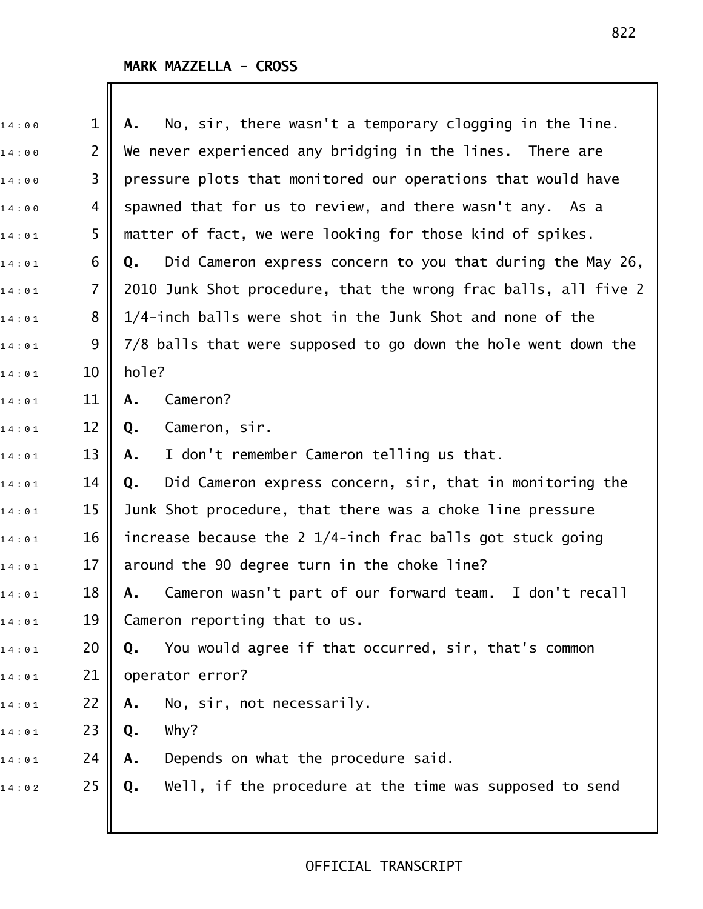| 14:00 | $\mathbf 1$    | No, sir, there wasn't a temporary clogging in the line.<br>Α.    |
|-------|----------------|------------------------------------------------------------------|
| 14:00 | $\overline{2}$ | We never experienced any bridging in the lines. There are        |
| 14:00 | 3              | pressure plots that monitored our operations that would have     |
| 14:00 | 4              | spawned that for us to review, and there wasn't any. As a        |
| 14:01 | 5              | matter of fact, we were looking for those kind of spikes.        |
| 14:01 | 6              | Did Cameron express concern to you that during the May 26,<br>Q. |
| 14:01 | $\overline{7}$ | 2010 Junk Shot procedure, that the wrong frac balls, all five 2  |
| 14:01 | 8              | 1/4-inch balls were shot in the Junk Shot and none of the        |
| 14:01 | 9              | 7/8 balls that were supposed to go down the hole went down the   |
| 14:01 | 10             | hole?                                                            |
| 14:01 | 11             | Cameron?<br>Α.                                                   |
| 14:01 | 12             | Cameron, sir.<br>Q.                                              |
| 14:01 | 13             | I don't remember Cameron telling us that.<br>Α.                  |
| 14:01 | 14             | Did Cameron express concern, sir, that in monitoring the<br>Q.   |
| 14:01 | 15             | Junk Shot procedure, that there was a choke line pressure        |
| 14:01 | 16             | increase because the 2 1/4-inch frac balls got stuck going       |
| 14:01 | 17             | around the 90 degree turn in the choke line?                     |
| 14:01 | 18             | Cameron wasn't part of our forward team. I don't recall<br>А.    |
| 14:01 | 19             | Cameron reporting that to us.                                    |
| 14:01 | 20             | You would agree if that occurred, sir, that's common<br>Q.       |
| 14:01 | 21             | operator error?                                                  |
| 14:01 | 22             | No, sir, not necessarily.<br>Α.                                  |
| 14:01 | 23             | Why?<br>Q.                                                       |
| 14:01 | 24             | Depends on what the procedure said.<br>Α.                        |
| 14:02 | 25             | Well, if the procedure at the time was supposed to send<br>Q.    |
|       |                |                                                                  |
|       |                |                                                                  |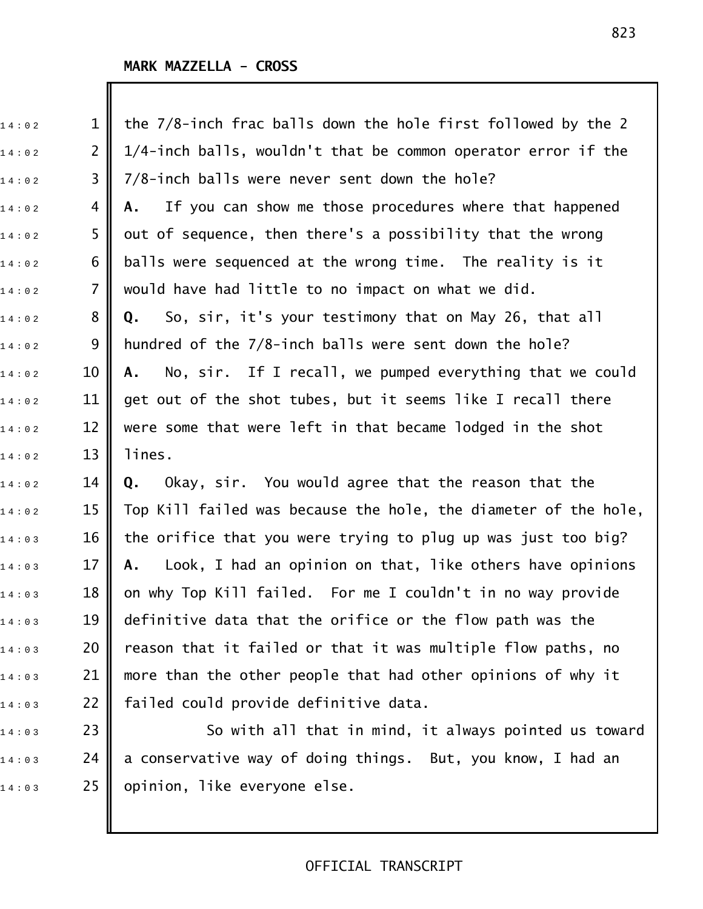$\mathbb I$ 

| 14:02 | $\mathbf{1}$   | the 7/8-inch frac balls down the hole first followed by the 2   |
|-------|----------------|-----------------------------------------------------------------|
| 14:02 | $\overline{2}$ | 1/4-inch balls, wouldn't that be common operator error if the   |
| 14:02 | 3              | 7/8-inch balls were never sent down the hole?                   |
| 14:02 | 4              | If you can show me those procedures where that happened<br>А.   |
| 14:02 | 5              | out of sequence, then there's a possibility that the wrong      |
| 14:02 | 6              | balls were sequenced at the wrong time. The reality is it       |
| 14:02 | $\overline{7}$ | would have had little to no impact on what we did.              |
| 14:02 | 8              | So, sir, it's your testimony that on May 26, that all<br>Q.     |
| 14:02 | 9              | hundred of the 7/8-inch balls were sent down the hole?          |
| 14:02 | 10             | No, sir. If I recall, we pumped everything that we could<br>A.  |
| 14:02 | 11             | get out of the shot tubes, but it seems like I recall there     |
| 14:02 | 12             | were some that were left in that became lodged in the shot      |
| 14:02 | 13             | lines.                                                          |
| 14:02 | 14             | Okay, sir. You would agree that the reason that the<br>Q.       |
| 14:02 | 15             | Top Kill failed was because the hole, the diameter of the hole, |
| 14:03 | 16             | the orifice that you were trying to plug up was just too big?   |
| 14:03 | 17             | Look, I had an opinion on that, like others have opinions<br>Α. |
| 14:03 | 18             | on why Top Kill failed. For me I couldn't in no way provide     |
| 14:03 | 19             | definitive data that the orifice or the flow path was the       |
| 14:03 | 20             | reason that it failed or that it was multiple flow paths, no    |
| 14:03 | 21             | more than the other people that had other opinions of why it    |
| 14:03 | 22             | failed could provide definitive data.                           |
| 14:03 | 23             | So with all that in mind, it always pointed us toward           |

 $\begin{array}{ccc} \n 1.4: 0.3 \quad \text{24} & \text{a} \text{ conservative way of doing things. But, you know, I had an} \n \end{array}$  $14:03$  25 opinion, like everyone else.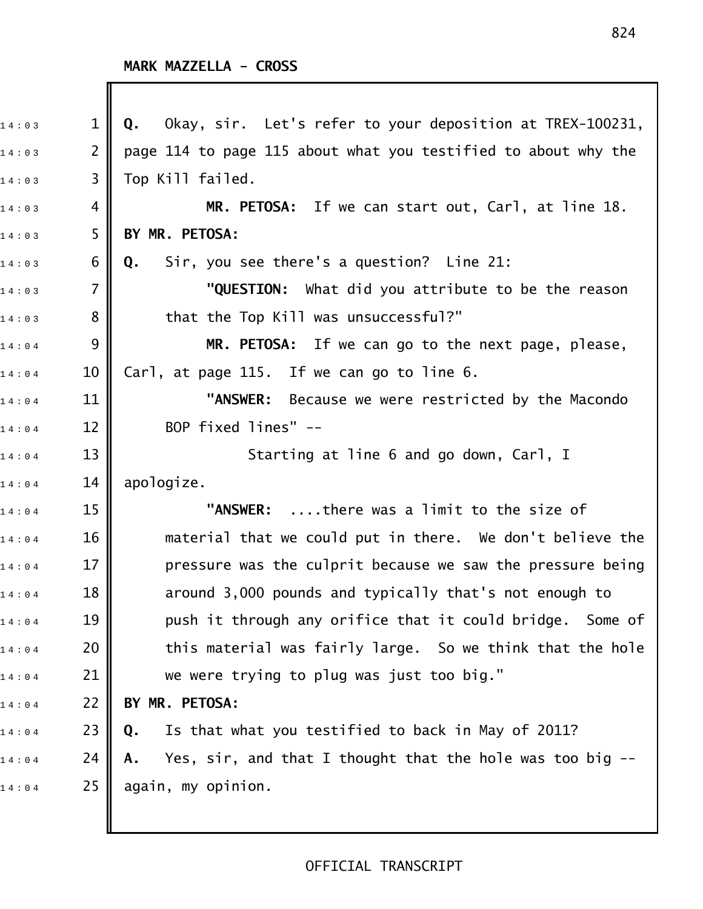I

| 14:03 | $\mathbf{1}$   | Okay, sir. Let's refer to your deposition at TREX-100231,<br>Q.    |
|-------|----------------|--------------------------------------------------------------------|
| 14:03 | $\overline{2}$ | page 114 to page 115 about what you testified to about why the     |
| 14:03 | 3              | Top Kill failed.                                                   |
| 14:03 | 4              | MR. PETOSA: If we can start out, Carl, at line 18.                 |
| 14:03 | 5              | BY MR. PETOSA:                                                     |
| 14:03 | 6              | Sir, you see there's a question? Line 21:<br>Q.                    |
| 14:03 | $\overline{7}$ | "QUESTION: What did you attribute to be the reason                 |
| 14:03 | 8              | that the Top Kill was unsuccessful?"                               |
| 14:04 | 9              | MR. PETOSA: If we can go to the next page, please,                 |
| 14:04 | 10             | Carl, at page 115. If we can go to line 6.                         |
| 14:04 | 11             | "ANSWER: Because we were restricted by the Macondo                 |
| 14:04 | 12             | BOP fixed lines" --                                                |
| 14:04 | 13             | Starting at line 6 and go down, Carl, I                            |
| 14:04 | 14             | apologize.                                                         |
| 14:04 | 15             | "ANSWER: there was a limit to the size of                          |
| 14:04 | 16             | material that we could put in there. We don't believe the          |
| 14:04 | 17             | pressure was the culprit because we saw the pressure being         |
| 14:04 | 18             | around 3,000 pounds and typically that's not enough to             |
| 14:04 | 19             | push it through any orifice that it could bridge. Some of          |
| 14:04 | 20             | this material was fairly large. So we think that the hole          |
| 14:04 | 21             | we were trying to plug was just too big."                          |
| 14:04 | 22             | BY MR. PETOSA:                                                     |
| 14:04 | 23             | Is that what you testified to back in May of 2011?<br>Q.           |
| 14:04 | 24             | Yes, sir, and that I thought that the hole was too big $-$ -<br>Α. |
| 14:04 | 25             | again, my opinion.                                                 |
|       |                |                                                                    |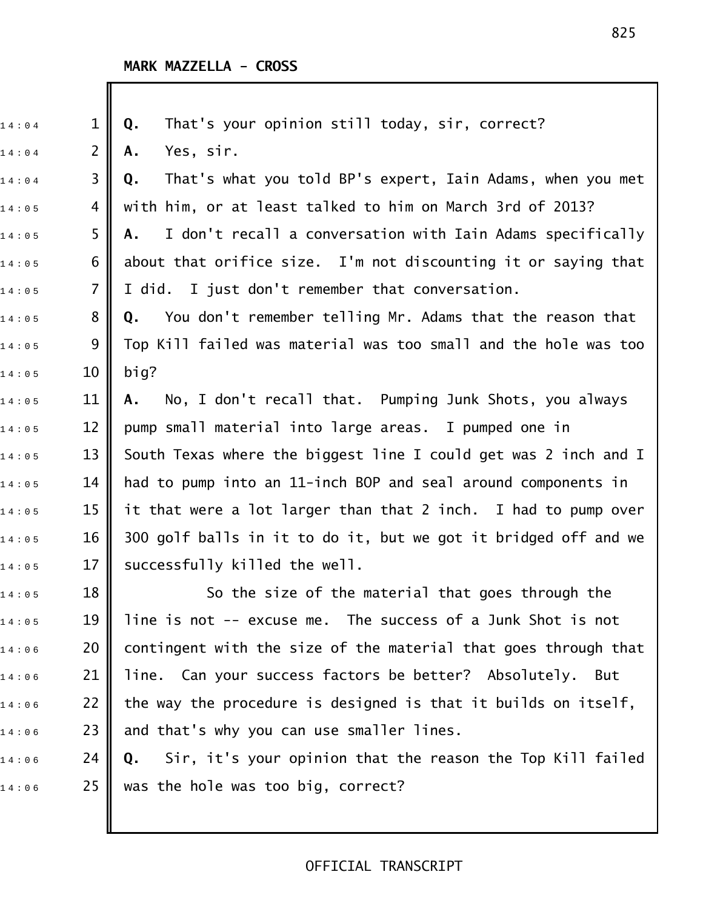Ш

| 14:04 | $\mathbf{1}$   | That's your opinion still today, sir, correct?<br>Q.             |
|-------|----------------|------------------------------------------------------------------|
| 14:04 | $\overline{2}$ | Yes, sir.<br>Α.                                                  |
| 14:04 | 3              | That's what you told BP's expert, Iain Adams, when you met<br>Q. |
| 14:05 | 4              | with him, or at least talked to him on March 3rd of 2013?        |
| 14:05 | 5              | I don't recall a conversation with Iain Adams specifically<br>Α. |
| 14:05 | 6              | about that orifice size. I'm not discounting it or saying that   |
| 14:05 | $\overline{7}$ | I did. I just don't remember that conversation.                  |
| 14:05 | 8              | You don't remember telling Mr. Adams that the reason that<br>Q.  |
| 14:05 | 9              | Top Kill failed was material was too small and the hole was too  |
| 14:05 | 10             | big?                                                             |
| 14:05 | 11             | No, I don't recall that. Pumping Junk Shots, you always<br>Α.    |
| 14:05 | 12             | pump small material into large areas. I pumped one in            |
| 14:05 | 13             | South Texas where the biggest line I could get was 2 inch and I  |
| 14:05 | 14             | had to pump into an 11-inch BOP and seal around components in    |
| 14:05 | 15             | it that were a lot larger than that 2 inch. I had to pump over   |
| 14:05 | 16             | 300 golf balls in it to do it, but we got it bridged off and we  |
| 14:05 | 17             | successfully killed the well.                                    |
| 14:05 | 18             | So the size of the material that goes through the                |
| 14:05 | 19             | line is not -- excuse me. The success of a Junk Shot is not      |
| 14:06 | 20             | contingent with the size of the material that goes through that  |
| 14:06 | 21             | line. Can your success factors be better? Absolutely. But        |
| 14:06 | 22             | the way the procedure is designed is that it builds on itself,   |
| 14:06 | 23             | and that's why you can use smaller lines.                        |
| 14:06 | 24             | Sir, it's your opinion that the reason the Top Kill failed<br>Q. |
| 14:06 | 25             | was the hole was too big, correct?                               |
|       |                |                                                                  |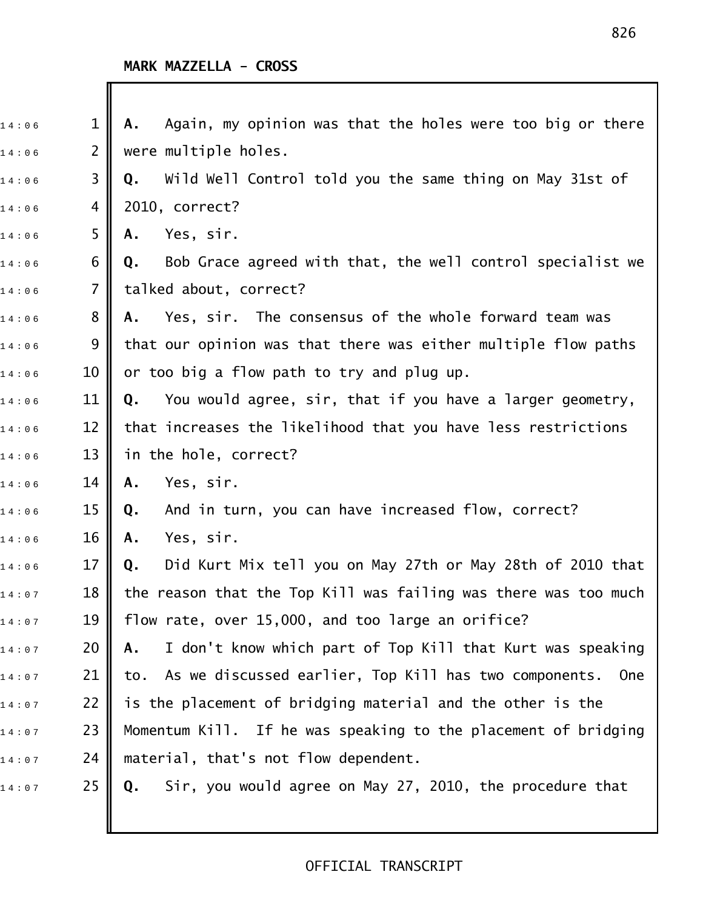Ш

| 14:06 | $\mathbf 1$    | Again, my opinion was that the holes were too big or there<br>Α. |
|-------|----------------|------------------------------------------------------------------|
| 14:06 | $\overline{2}$ | were multiple holes.                                             |
| 14:06 | 3              | Wild Well Control told you the same thing on May 31st of<br>Q.   |
| 14:06 | 4              | 2010, correct?                                                   |
| 14:06 | 5              | Yes, sir.<br>Α.                                                  |
| 14:06 | 6              | Bob Grace agreed with that, the well control specialist we<br>Q. |
| 14:06 | $\overline{7}$ | talked about, correct?                                           |
| 14:06 | 8              | Yes, sir. The consensus of the whole forward team was<br>Α.      |
| 14:06 | 9              | that our opinion was that there was either multiple flow paths   |
| 14:06 | 10             | or too big a flow path to try and plug up.                       |
| 14:06 | 11             | You would agree, sir, that if you have a larger geometry,<br>Q.  |
| 14:06 | 12             | that increases the likelihood that you have less restrictions    |
| 14:06 | 13             | in the hole, correct?                                            |
| 14:06 | 14             | Yes, sir.<br>Α.                                                  |
| 14:06 | 15             | And in turn, you can have increased flow, correct?<br>Q.         |
| 14:06 | 16             | Yes, sir.<br>Α.                                                  |
| 14:06 | 17             | Did Kurt Mix tell you on May 27th or May 28th of 2010 that<br>Q. |
| 14:07 | 18             | the reason that the Top Kill was failing was there was too much  |
| 14:07 | 19             | flow rate, over 15,000, and too large an orifice?                |
| 14:07 | 20             | I don't know which part of Top Kill that Kurt was speaking<br>А. |
| 14:07 | 21             | to. As we discussed earlier, Top Kill has two components.<br>0ne |
| 14:07 | 22             | is the placement of bridging material and the other is the       |
| 14:07 | 23             | Momentum Kill. If he was speaking to the placement of bridging   |
| 14:07 | 24             | material, that's not flow dependent.                             |
| 14:07 | 25             | Sir, you would agree on May 27, 2010, the procedure that<br>Q.   |
|       |                |                                                                  |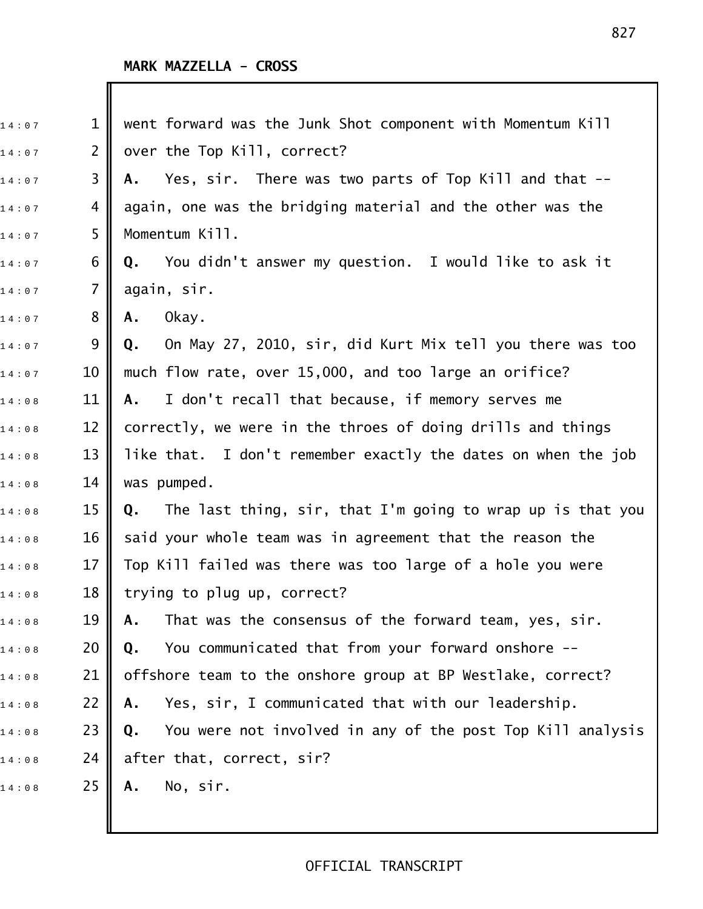| 14:07 | $\mathbf 1$ | went forward was the Junk Shot component with Momentum Kill      |
|-------|-------------|------------------------------------------------------------------|
| 14:07 | 2           | over the Top Kill, correct?                                      |
| 14:07 | 3           | Yes, sir. There was two parts of Top Kill and that --<br>А.      |
| 14:07 | 4           | again, one was the bridging material and the other was the       |
| 14:07 | 5           | Momentum Kill.                                                   |
| 14:07 | 6           | You didn't answer my question. I would like to ask it<br>Q.      |
| 14:07 | 7           | again, sir.                                                      |
| 14:07 | 8           | Okay.<br>Α.                                                      |
| 14:07 | 9           | On May 27, 2010, sir, did Kurt Mix tell you there was too<br>Q.  |
| 14:07 | 10          | much flow rate, over 15,000, and too large an orifice?           |
| 14:08 | 11          | I don't recall that because, if memory serves me<br>A.           |
| 14:08 | 12          | correctly, we were in the throes of doing drills and things      |
| 14:08 | 13          | like that. I don't remember exactly the dates on when the job    |
| 14:08 | 14          | was pumped.                                                      |
| 14:08 | 15          | The last thing, sir, that I'm going to wrap up is that you<br>Q. |
| 14:08 | 16          | said your whole team was in agreement that the reason the        |
| 14:08 | 17          | Top Kill failed was there was too large of a hole you were       |
| 14:08 | 18          | trying to plug up, correct?                                      |
| 14:08 | 19          | That was the consensus of the forward team, yes, sir.<br>Α.      |
| 14:08 | 20          | You communicated that from your forward onshore --<br>Q.         |
| 14:08 | 21          | offshore team to the onshore group at BP Westlake, correct?      |
| 14:08 | 22          | Yes, sir, I communicated that with our leadership.<br>Α.         |
| 14:08 | 23          | You were not involved in any of the post Top Kill analysis<br>Q. |
| 14:08 | 24          | after that, correct, sir?                                        |
| 14:08 | 25          | No, sir.<br>Α.                                                   |
|       |             |                                                                  |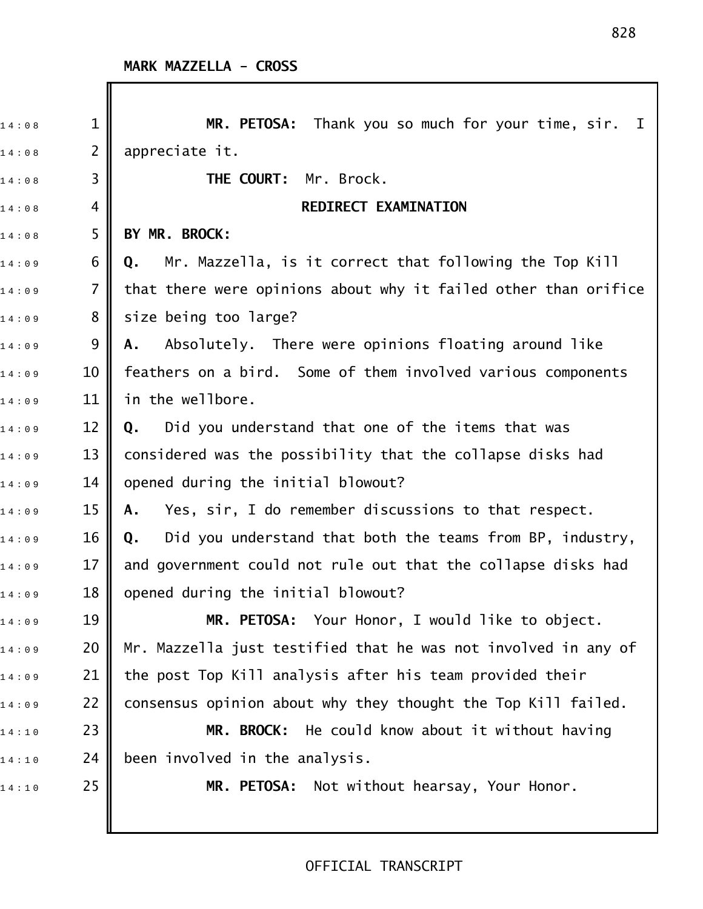| 14:08 | $\mathbf 1$ | MR. PETOSA: Thank you so much for your time, sir. I             |
|-------|-------------|-----------------------------------------------------------------|
| 14:08 | 2           | appreciate it.                                                  |
| 14:08 | 3           | THE COURT: Mr. Brock.                                           |
| 14:08 | 4           | REDIRECT EXAMINATION                                            |
| 14:08 | 5           | BY MR. BROCK:                                                   |
| 14:09 | 6           | Mr. Mazzella, is it correct that following the Top Kill<br>Q.   |
| 14:09 | 7           | that there were opinions about why it failed other than orifice |
| 14:09 | 8           | size being too large?                                           |
| 14:09 | 9           | Absolutely. There were opinions floating around like<br>Α.      |
| 14:09 | 10          | feathers on a bird. Some of them involved various components    |
| 14:09 | 11          | in the wellbore.                                                |
| 14:09 | 12          | Did you understand that one of the items that was<br>Q.         |
| 14:09 | 13          | considered was the possibility that the collapse disks had      |
| 14:09 | 14          | opened during the initial blowout?                              |
| 14:09 | 15          | Yes, sir, I do remember discussions to that respect.<br>Α.      |
| 14:09 | 16          | Did you understand that both the teams from BP, industry,<br>Q. |
| 14:09 | 17          | and government could not rule out that the collapse disks had   |
| 14:09 | 18          | opened during the initial blowout?                              |
| 14:09 | 19          | MR. PETOSA: Your Honor, I would like to object.                 |
| 14:09 | 20          | Mr. Mazzella just testified that he was not involved in any of  |
| 14:09 | 21          | the post Top Kill analysis after his team provided their        |
| 14:09 | 22          | consensus opinion about why they thought the Top Kill failed.   |
| 14:10 | 23          | MR. BROCK: He could know about it without having                |
| 14:10 | 24          | been involved in the analysis.                                  |
| 14:10 | 25          | MR. PETOSA: Not without hearsay, Your Honor.                    |
|       |             |                                                                 |
|       |             |                                                                 |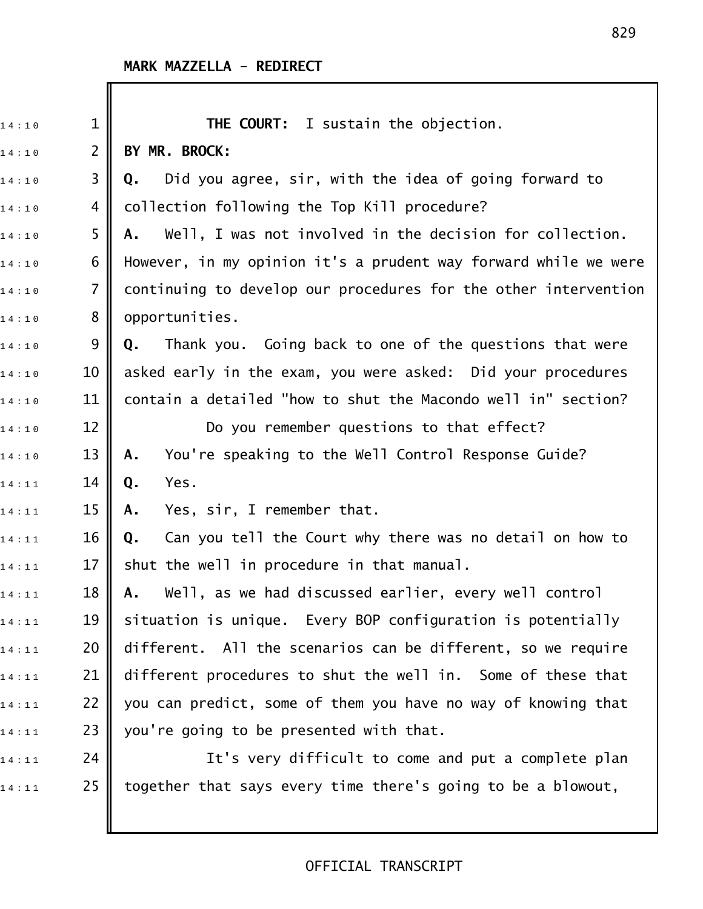| 14:10 | $\mathbf 1$    | THE COURT: I sustain the objection.                             |
|-------|----------------|-----------------------------------------------------------------|
| 14:10 | $\overline{2}$ | BY MR. BROCK:                                                   |
| 14:10 | 3              | Did you agree, sir, with the idea of going forward to<br>Q.     |
| 14:10 | 4              | collection following the Top Kill procedure?                    |
| 14:10 | 5              | Well, I was not involved in the decision for collection.<br>Α.  |
| 14:10 | 6              | However, in my opinion it's a prudent way forward while we were |
| 14:10 | $\overline{7}$ | continuing to develop our procedures for the other intervention |
| 14:10 | 8              | opportunities.                                                  |
| 14:10 | 9              | Thank you. Going back to one of the questions that were<br>Q.   |
| 14:10 | 10             | asked early in the exam, you were asked: Did your procedures    |
| 14:10 | 11             | contain a detailed "how to shut the Macondo well in" section?   |
| 14:10 | 12             | Do you remember questions to that effect?                       |
| 14:10 | 13             | You're speaking to the Well Control Response Guide?<br>Α.       |
| 14:11 | 14             | Yes.<br>Q.                                                      |
| 14:11 | 15             | Yes, sir, I remember that.<br>Α.                                |
| 14:11 | 16             | Can you tell the Court why there was no detail on how to<br>Q.  |
| 14:11 | 17             | shut the well in procedure in that manual.                      |
| 14:11 | 18             | Well, as we had discussed earlier, every well control<br>А.     |
| 14:11 | 19             | situation is unique. Every BOP configuration is potentially     |
| 14:11 | 20             | different. All the scenarios can be different, so we require    |
| 14:11 | 21             | different procedures to shut the well in. Some of these that    |
| 14:11 | 22             | you can predict, some of them you have no way of knowing that   |
| 14:11 | 23             | you're going to be presented with that.                         |
| 14:11 | 24             | It's very difficult to come and put a complete plan             |
| 14:11 | 25             | together that says every time there's going to be a blowout,    |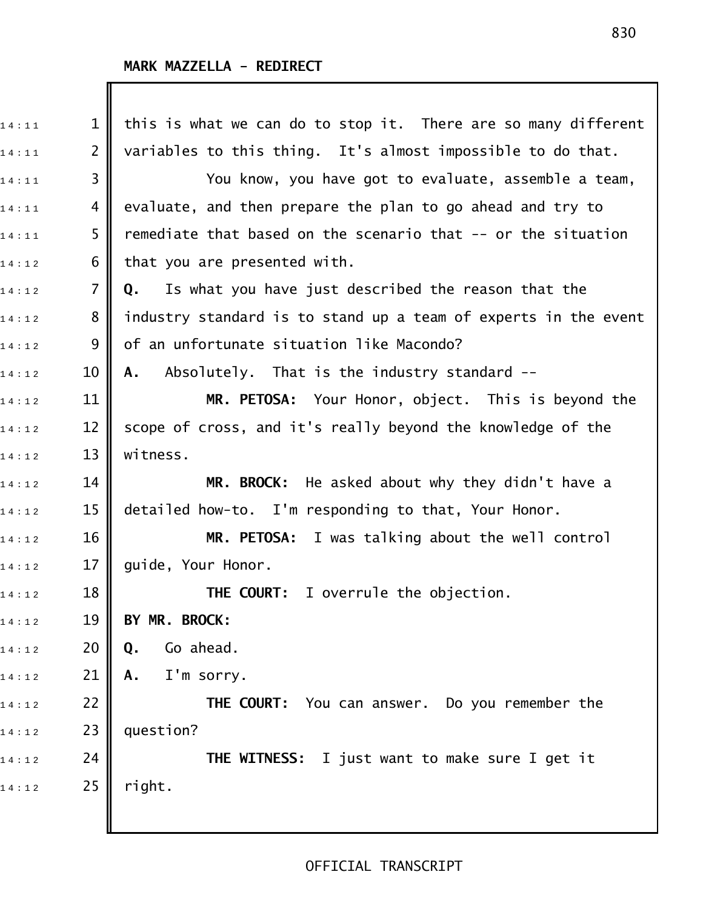# **MARK MAZZELLA - REDIRECT**

| 14:11 | $\mathbf 1$    | this is what we can do to stop it. There are so many different  |
|-------|----------------|-----------------------------------------------------------------|
| 14:11 | $\overline{2}$ | variables to this thing. It's almost impossible to do that.     |
| 14:11 | 3              | You know, you have got to evaluate, assemble a team,            |
| 14:11 | 4              | evaluate, and then prepare the plan to go ahead and try to      |
| 14:11 | 5              | remediate that based on the scenario that -- or the situation   |
| 14:12 | 6              | that you are presented with.                                    |
| 14:12 | $\overline{7}$ | Is what you have just described the reason that the<br>Q.       |
| 14:12 | 8              | industry standard is to stand up a team of experts in the event |
| 14:12 | 9              | of an unfortunate situation like Macondo?                       |
| 14:12 | 10             | Absolutely. That is the industry standard --<br>A.              |
| 14:12 | 11             | MR. PETOSA: Your Honor, object. This is beyond the              |
| 14:12 | 12             | scope of cross, and it's really beyond the knowledge of the     |
| 14:12 | 13             | witness.                                                        |
| 14:12 | 14             | MR. BROCK: He asked about why they didn't have a                |
| 14:12 | 15             | detailed how-to. I'm responding to that, Your Honor.            |
| 14:12 | 16             | MR. PETOSA: I was talking about the well control                |
| 14:12 | 17             | guide, Your Honor.                                              |
| 14:12 | 18             | <b>THE COURT:</b> I overrule the objection.                     |
| 14:12 | 19             | BY MR. BROCK:                                                   |
| 14:12 | 20             | Go ahead.<br>Q.                                                 |
| 14:12 | 21             | I'm sorry.<br>Α.                                                |
| 14:12 | 22             | THE COURT: You can answer. Do you remember the                  |
| 14:12 | 23             | question?                                                       |
| 14:12 | 24             | THE WITNESS: I just want to make sure I get it                  |
| 14:12 | 25             | right.                                                          |
|       |                |                                                                 |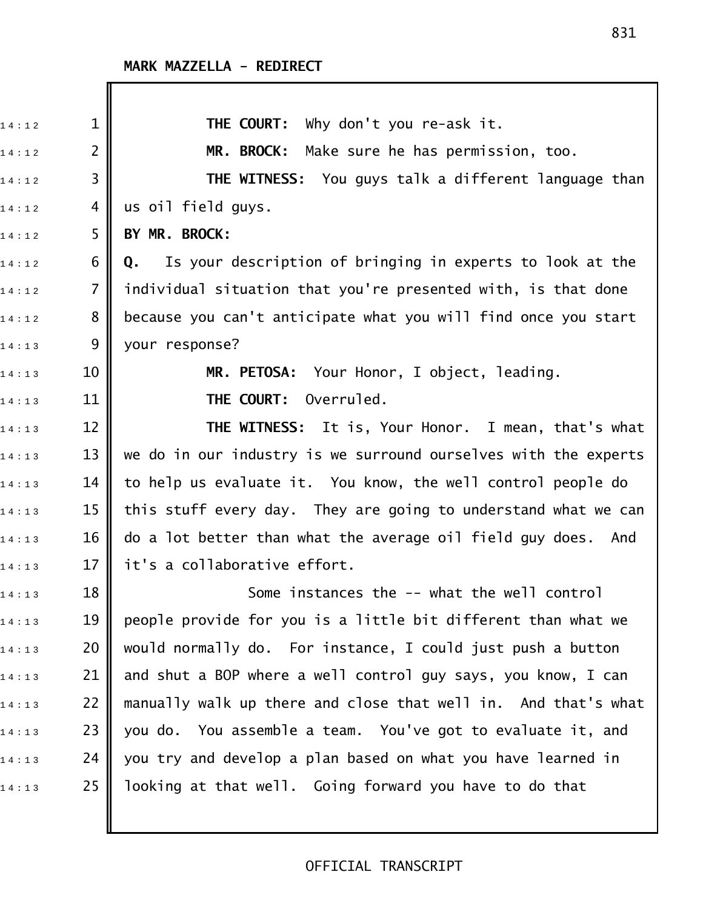| 14:12 | $\mathbf{1}$   | THE COURT: Why don't you re-ask it.                             |
|-------|----------------|-----------------------------------------------------------------|
| 14:12 | $\overline{2}$ | MR. BROCK: Make sure he has permission, too.                    |
| 14:12 | 3              | THE WITNESS: You guys talk a different language than            |
| 14:12 | 4              | us oil field guys.                                              |
| 14:12 | 5              | BY MR. BROCK:                                                   |
| 14:12 | 6              | Is your description of bringing in experts to look at the<br>Q. |
| 14:12 | $\overline{7}$ | individual situation that you're presented with, is that done   |
| 14:12 | 8              | because you can't anticipate what you will find once you start  |
| 14:13 | 9              | your response?                                                  |
| 14:13 | 10             | MR. PETOSA: Your Honor, I object, leading.                      |
| 14:13 | 11             | Overruled.<br>THE COURT:                                        |
| 14:13 | 12             | <b>THE WITNESS:</b> It is, Your Honor. I mean, that's what      |
| 14:13 | 13             | we do in our industry is we surround ourselves with the experts |
| 14:13 | 14             | to help us evaluate it. You know, the well control people do    |
| 14:13 | 15             | this stuff every day. They are going to understand what we can  |
| 14:13 | 16             | do a lot better than what the average oil field guy does. And   |
| 14:13 | 17             | it's a collaborative effort.                                    |
| 14:13 | 18             | Some instances the -- what the well control                     |
| 14:13 | 19             | people provide for you is a little bit different than what we   |
| 14:13 | 20             | would normally do. For instance, I could just push a button     |
| 14:13 | 21             | and shut a BOP where a well control guy says, you know, I can   |
| 14:13 | 22             | manually walk up there and close that well in. And that's what  |
| 14:13 | 23             | you do. You assemble a team. You've got to evaluate it, and     |
| 14:13 | 24             | you try and develop a plan based on what you have learned in    |
| 14:13 | 25             | looking at that well. Going forward you have to do that         |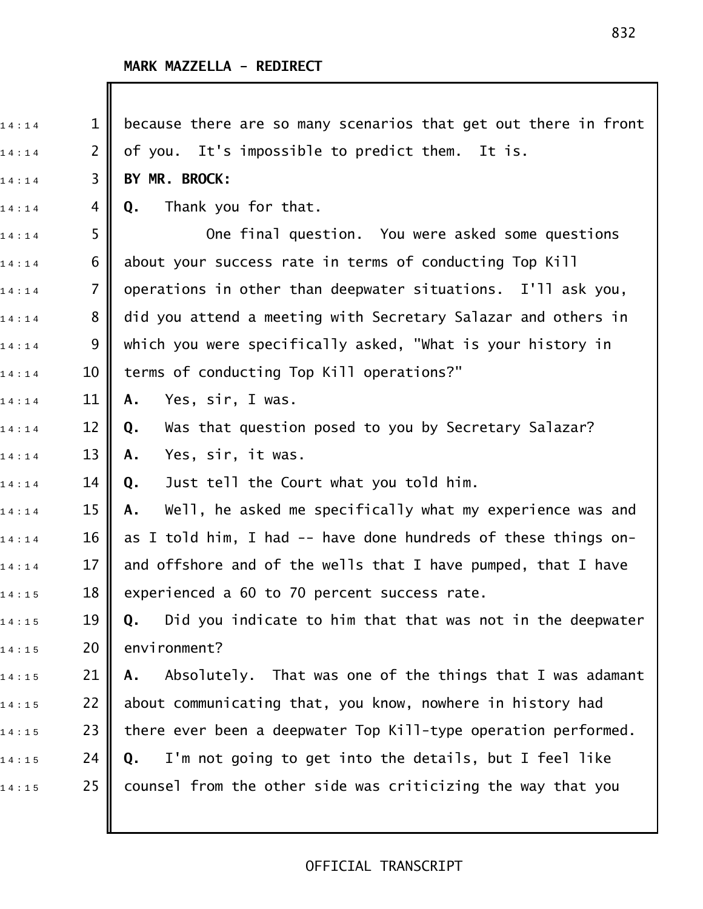# **MARK MAZZELLA - REDIRECT**

I

| $\mathbf 1$    | because there are so many scenarios that get out there in front  |
|----------------|------------------------------------------------------------------|
| $\overline{2}$ | of you. It's impossible to predict them. It is.                  |
| 3              | BY MR. BROCK:                                                    |
| 4              | Thank you for that.<br>Q.                                        |
| 5              | One final question. You were asked some questions                |
| 6              | about your success rate in terms of conducting Top Kill          |
| 7              | operations in other than deepwater situations. I'll ask you,     |
| 8              | did you attend a meeting with Secretary Salazar and others in    |
| 9              | which you were specifically asked, "What is your history in      |
| 10             | terms of conducting Top Kill operations?"                        |
| 11             | Yes, sir, I was.<br>Α.                                           |
| 12             | Was that question posed to you by Secretary Salazar?<br>Q.       |
| 13             | Yes, sir, it was.<br>Α.                                          |
| 14             | Just tell the Court what you told him.<br>Q.                     |
| 15             | Well, he asked me specifically what my experience was and<br>Α.  |
| 16             | as I told him, I had -- have done hundreds of these things on-   |
| 17             | and offshore and of the wells that I have pumped, that I have    |
| 18             | experienced a 60 to 70 percent success rate.                     |
| 19             | Did you indicate to him that that was not in the deepwater<br>Q. |
| 20             | environment?                                                     |
| 21             | Absolutely. That was one of the things that I was adamant<br>Α.  |
| 22             | about communicating that, you know, nowhere in history had       |
| 23             | there ever been a deepwater Top Kill-type operation performed.   |
| 24             | I'm not going to get into the details, but I feel like<br>Q.     |
| 25             | counsel from the other side was criticizing the way that you     |
|                |                                                                  |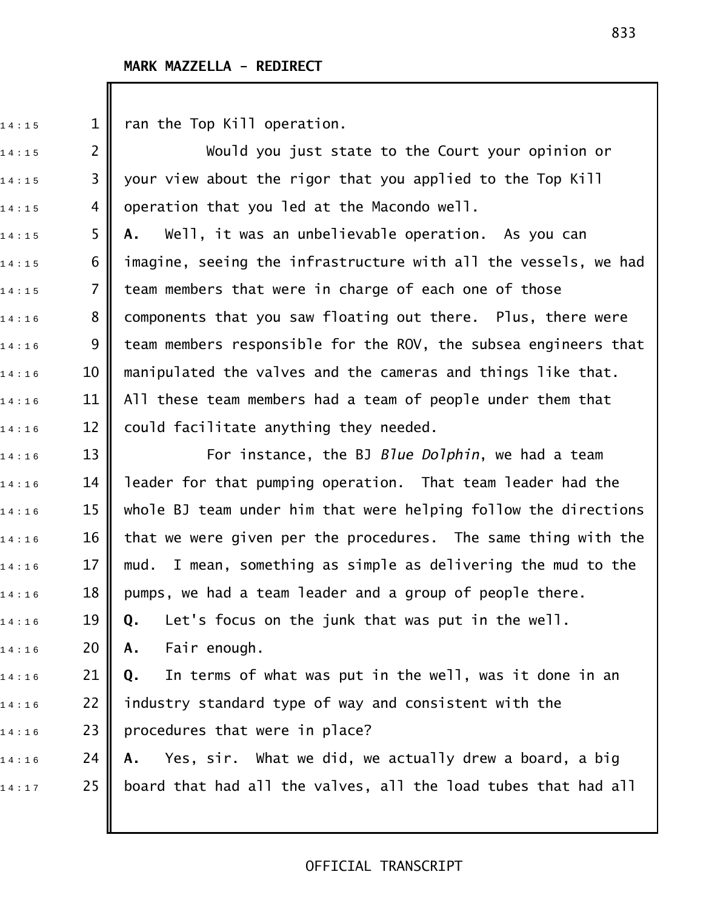$14:15$  1 || ran the Top Kill operation.

14:15 2 || Would you just state to the Court your opinion or  $14:15$  3 || your view about the rigor that you applied to the Top Kill  $14:15$  4 || operation that you led at the Macondo well.

1 4 : 1 5 5 **A.** Well, it was an unbelievable operation. As you can  $_{1\,4\,:\,1\,5}$  6  $\parallel$  imagine, seeing the infrastructure with all the vessels, we had  $14:15$  7 || team members that were in charge of each one of those  $14:16$   $8$   $\blacksquare$  components that you saw floating out there. Plus, there were  $_{1\,4\,:\,1\,6}$   $\qquad \quad \quad \quad$  9  $\parallel$  team members responsible for the ROV, the subsea engineers that  $14:16$  10  $\parallel$  manipulated the valves and the cameras and things like that.  $_{1\,4\,:\,1\,6}$   $\qquad \qquad$  11  $\parallel$  All these team members had a team of people under them that  $14:16$  12 could facilitate anything they needed.

1 4 : 1 6 13 For instance, the BJ *Blue Dolphin*, we had a team  $_{1\,4\,:\,1\,6}$   $\qquad \qquad$  14  $\|$  leader for that pumping operation. That team leader had the 14:16 **15 ||** whole BJ team under him that were helping follow the directions  $_{1\,4\,:\,1\,6}$   $\qquad \qquad$  16  $\|$  that we were given per the procedures. The same thing with the  $_{1\,4\,:\,1\,6}$   $\qquad$  17  $\parallel$  mud. I mean, something as simple as delivering the mud to the  $_{1\,4\,:\,1\,6}$   $\qquad \qquad$  18  $\|$  pumps, we had a team leader and a group of people there. 1 4 : 1 6 19 **Q.** Let's focus on the junk that was put in the well. 1 4 : 1 6 20 **A.** Fair enough. 1 4 : 1 6 21 **Q.** In terms of what was put in the well, was it done in an  $_{1\,4\ :\,1\,6}$   $\qquad$  22  $\parallel$  industry standard type of way and consistent with the  $14:16$  23 || procedures that were in place? 1 4 : 1 6 24 **A.** Yes, sir. What we did, we actually drew a board, a big

 $14:17$  25 || board that had all the valves, all the load tubes that had all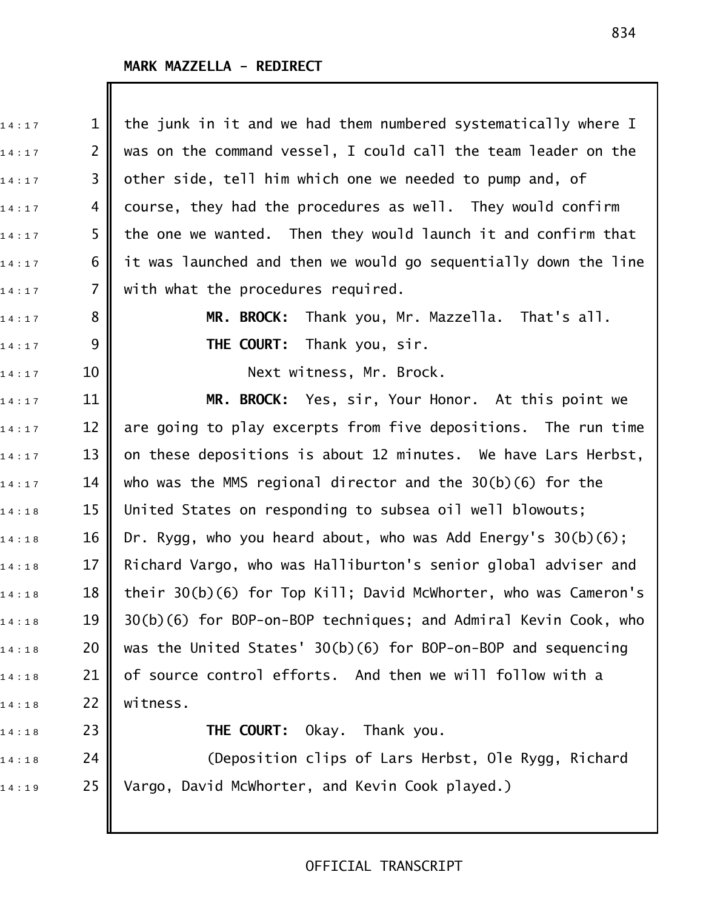$\mathbb I$ 

| 14:17 | $\mathbf 1$    | the junk in it and we had them numbered systematically where I    |
|-------|----------------|-------------------------------------------------------------------|
| 14:17 | $\overline{2}$ | was on the command vessel, I could call the team leader on the    |
| 14:17 | 3              | other side, tell him which one we needed to pump and, of          |
| 14:17 | 4              | course, they had the procedures as well. They would confirm       |
| 14:17 | 5              | the one we wanted. Then they would launch it and confirm that     |
| 14:17 | 6              | it was launched and then we would go sequentially down the line   |
| 14:17 | $\overline{7}$ | with what the procedures required.                                |
| 14:17 | 8              | MR. BROCK: Thank you, Mr. Mazzella. That's all.                   |
| 14:17 | 9              | THE COURT:<br>Thank you, sir.                                     |
| 14:17 | 10             | Next witness, Mr. Brock.                                          |
| 14:17 | 11             | MR. BROCK: Yes, sir, Your Honor. At this point we                 |
| 14:17 | 12             | are going to play excerpts from five depositions. The run time    |
| 14:17 | 13             | on these depositions is about 12 minutes. We have Lars Herbst,    |
| 14:17 | 14             | who was the MMS regional director and the $30(b)(6)$ for the      |
| 14:18 | 15             | United States on responding to subsea oil well blowouts;          |
| 14:18 | 16             | Dr. Rygg, who you heard about, who was Add Energy's $30(b)(6)$ ;  |
| 14:18 | 17             | Richard Vargo, who was Halliburton's senior global adviser and    |
| 14:18 | 18             | their $30(b)(6)$ for Top Kill; David McWhorter, who was Cameron's |
| 14:18 | 19             | 30(b)(6) for BOP-on-BOP techniques; and Admiral Kevin Cook, who   |
| 14:18 | 20             | was the United States' 30(b)(6) for BOP-on-BOP and sequencing     |
| 14:18 | 21             | of source control efforts. And then we will follow with a         |
| 14:18 | 22             | witness.                                                          |
| 14:18 | 23             | <b>THE COURT:</b> Okay. Thank you.                                |
| 14:18 | 24             | (Deposition clips of Lars Herbst, Ole Rygg, Richard               |

 $\begin{array}{ccc} \n 1.4:1.9 & \quad 25 \n \end{array}$  Vargo, David McWhorter, and Kevin Cook played.)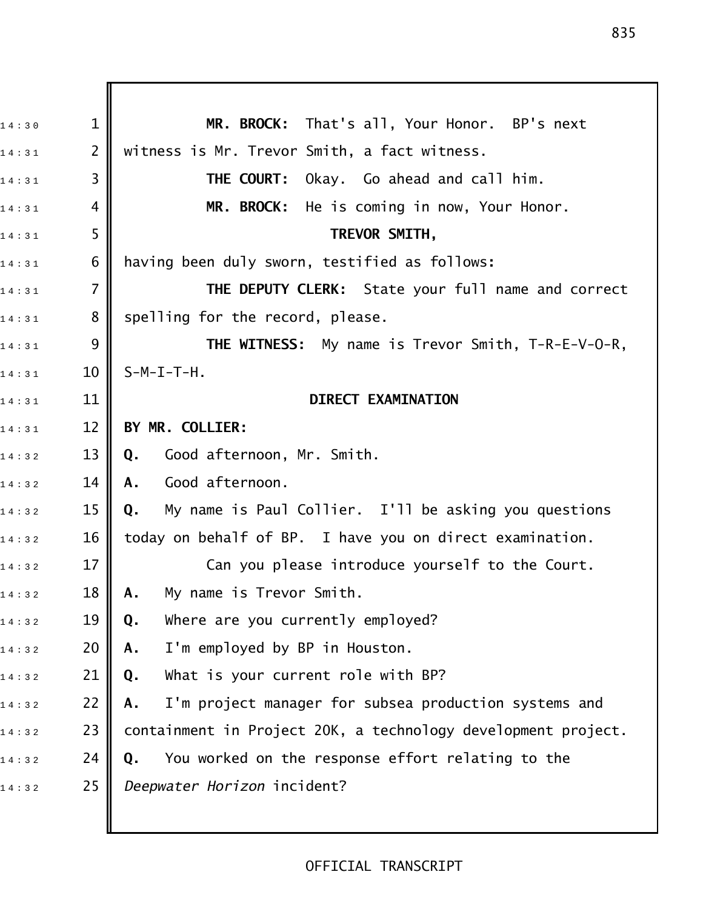1 4 : 3 0 1 **MR. BROCK:** That's all, Your Honor. BP's next  $_{1\,4\ :\,3\,1}$  2  $\parallel$  witness is Mr. Trevor Smith, a fact witness. 1 4 : 3 1 3 **THE COURT:** Okay. Go ahead and call him. 14:31 4 **MR. BROCK:** He is coming in now, Your Honor. 1 4 : 3 1 5 **TREVOR SMITH,**  1 4 : 3 1 6 having been duly sworn, testified as follows**:** 1 4 : 3 1 7 **THE DEPUTY CLERK:** State your full name and correct  $_{1\,4\,:\,3\,1}$  8 | spelling for the record, please. 1 4 : 3 1 9 **THE WITNESS:** My name is Trevor Smith, T!R!E!V!O!R,  $14 : 31$  10 S-M-I-T-H. 1 4 : 3 1 11 **DIRECT EXAMINATION**  1 4 : 3 1 12 **BY MR. COLLIER:** 1 4 : 3 2 13 **Q.** Good afternoon, Mr. Smith. 1 4 : 3 2 14 **A.** Good afternoon. 1 4 : 3 2 15 **Q.** My name is Paul Collier. I'll be asking you questions  $_{1\,4\,:\,3\,2}$  and  $\,$  16  $\,$  today on behalf of BP. I have you on direct examination.  $_{1\,4\,:\,3\,2}$   $\qquad$  17  $\parallel$   $\qquad$  Can you please introduce yourself to the Court. 1 4 : 3 2 18 **A.** My name is Trevor Smith. 1 4 : 3 2 19 **Q.** Where are you currently employed? 1 4 : 3 2 20 **A.** I'm employed by BP in Houston. 14:32 21 || Q. What is your current role with BP? 1 4 : 3 2 22 **A.** I'm project manager for subsea production systems and 14:32 23 || containment in Project 20K, a technology development project. 1 4 : 3 2 24 **Q.** You worked on the response effort relating to the 1 4 : 3 2 25 *Deepwater Horizon* incident?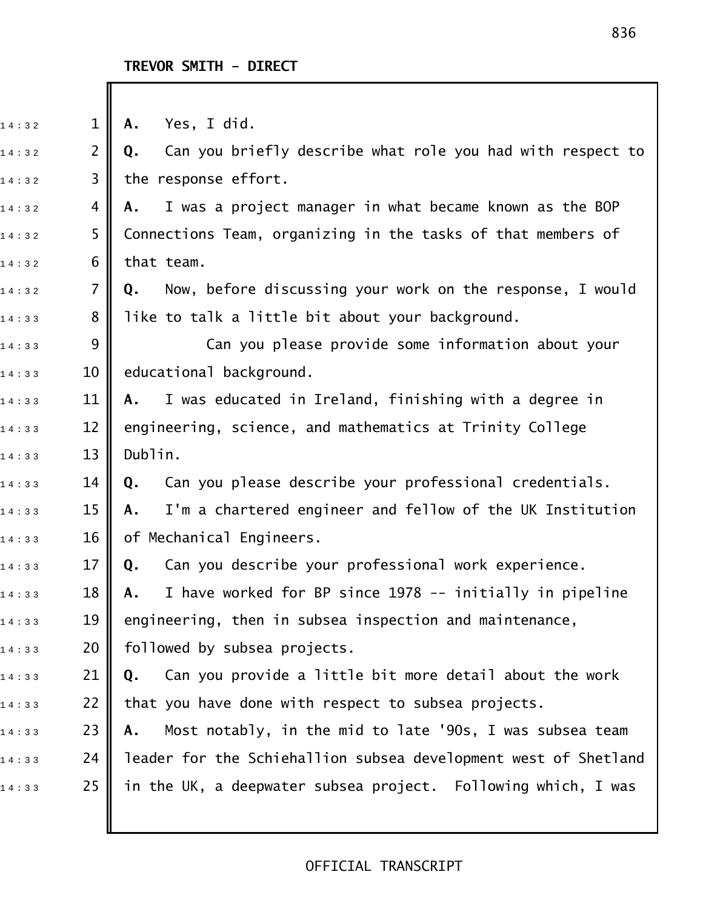Ш

| 14:32 | $\mathbf{1}$   | Yes, I did.<br>Α.                                                |
|-------|----------------|------------------------------------------------------------------|
| 14:32 | $\overline{2}$ | Can you briefly describe what role you had with respect to<br>Q. |
| 14:32 | 3              | the response effort.                                             |
| 14:32 | 4              | I was a project manager in what became known as the BOP<br>Α.    |
| 14:32 | 5              | Connections Team, organizing in the tasks of that members of     |
| 14:32 | 6              | that team.                                                       |
| 14:32 | $\overline{7}$ | Now, before discussing your work on the response, I would<br>Q.  |
| 14:33 | 8              | like to talk a little bit about your background.                 |
| 14:33 | 9              | Can you please provide some information about your               |
| 14:33 | 10             | educational background.                                          |
| 14:33 | 11             | I was educated in Ireland, finishing with a degree in<br>A.      |
| 14:33 | 12             | engineering, science, and mathematics at Trinity College         |
| 14:33 | 13             | Dublin.                                                          |
| 14:33 | 14             | Can you please describe your professional credentials.<br>Q.     |
| 14:33 | 15             | I'm a chartered engineer and fellow of the UK Institution<br>Α.  |
| 14:33 | 16             | of Mechanical Engineers.                                         |
| 14:33 | 17             | Can you describe your professional work experience.<br>Q.        |
| 14:33 | 18             | I have worked for BP since 1978 -- initially in pipeline<br>Α.   |
| 14:33 | 19             | engineering, then in subsea inspection and maintenance,          |
| 14:33 | 20             | followed by subsea projects.                                     |
| 14:33 | 21             | Can you provide a little bit more detail about the work<br>Q.    |
| 14:33 | 22             | that you have done with respect to subsea projects.              |
| 14:33 | 23             | Most notably, in the mid to late '90s, I was subsea team<br>Α.   |
| 14:33 | 24             | leader for the Schiehallion subsea development west of Shetland  |
| 14:33 | 25             | in the UK, a deepwater subsea project. Following which, I was    |
|       |                |                                                                  |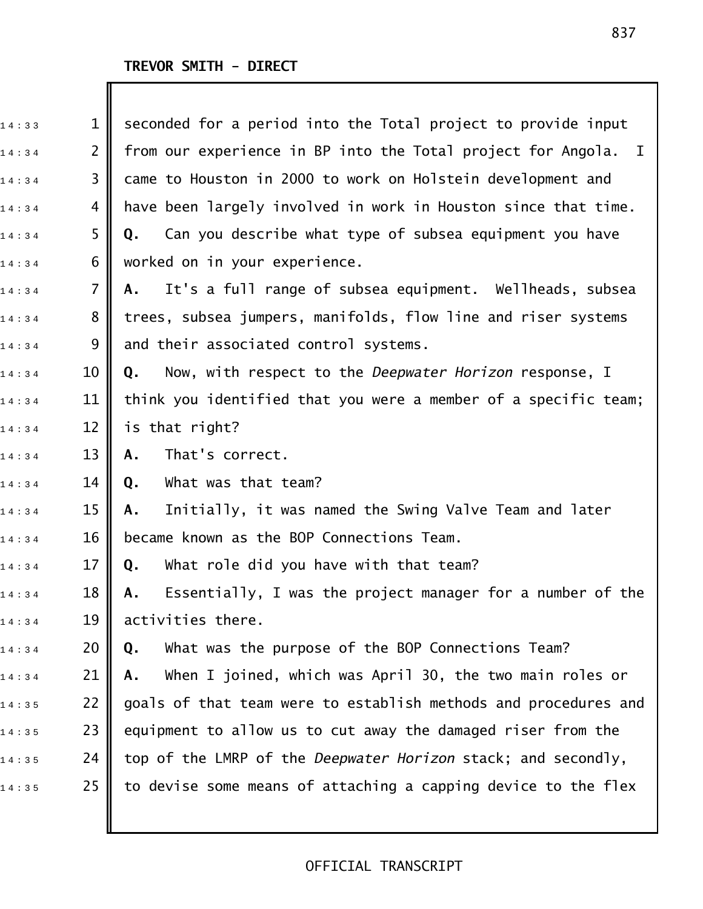I

| 14:33 | $\mathbf 1$    | seconded for a period into the Total project to provide input    |
|-------|----------------|------------------------------------------------------------------|
| 14:34 | $\overline{2}$ | from our experience in BP into the Total project for Angola. I   |
| 14:34 | 3              | came to Houston in 2000 to work on Holstein development and      |
| 14:34 | 4              | have been largely involved in work in Houston since that time.   |
| 14:34 | 5              | Can you describe what type of subsea equipment you have<br>Q.    |
| 14:34 | 6              | worked on in your experience.                                    |
| 14:34 | $\overline{7}$ | It's a full range of subsea equipment. Wellheads, subsea<br>А.   |
| 14:34 | 8              | trees, subsea jumpers, manifolds, flow line and riser systems    |
| 14:34 | 9              | and their associated control systems.                            |
| 14:34 | 10             | Now, with respect to the Deepwater Horizon response, I<br>Q.     |
| 14:34 | 11             | think you identified that you were a member of a specific team;  |
| 14:34 | 12             | is that right?                                                   |
| 14:34 | 13             | That's correct.<br>Α.                                            |
| 14:34 | 14             | What was that team?<br>Q.                                        |
| 14:34 | 15             | Initially, it was named the Swing Valve Team and later<br>Α.     |
| 14:34 | 16             | became known as the BOP Connections Team.                        |
| 14:34 | 17             | What role did you have with that team?<br>Q.                     |
| 14:34 | 18             | Essentially, I was the project manager for a number of the<br>Α. |
| 14:34 | 19             | activities there.                                                |
| 14:34 | 20             | What was the purpose of the BOP Connections Team?<br>Q.          |
| 14:34 | 21             | When I joined, which was April 30, the two main roles or<br>Α.   |
| 14:35 | 22             | goals of that team were to establish methods and procedures and  |
| 14:35 | 23             | equipment to allow us to cut away the damaged riser from the     |
| 14:35 | 24             | top of the LMRP of the Deepwater Horizon stack; and secondly,    |
| 14:35 | 25             | to devise some means of attaching a capping device to the flex   |
|       |                |                                                                  |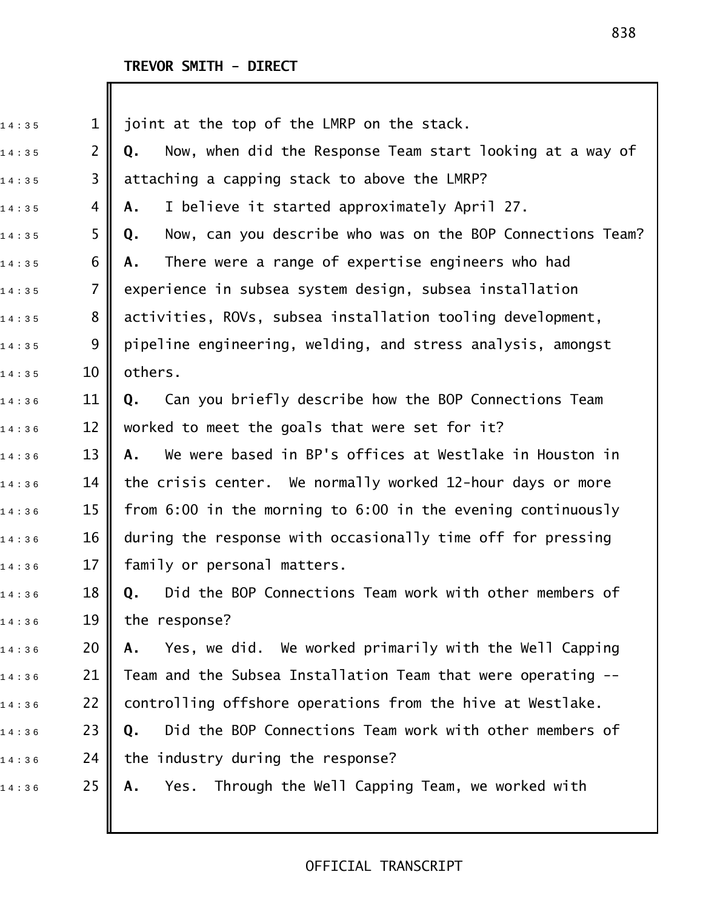# **TREVOR SMITH - DIRECT**

| 14:35 | $\mathbf 1$    | joint at the top of the LMRP on the stack.                       |
|-------|----------------|------------------------------------------------------------------|
| 14:35 | $\overline{2}$ | Now, when did the Response Team start looking at a way of<br>Q.  |
| 14:35 | $\overline{3}$ | attaching a capping stack to above the LMRP?                     |
| 14:35 | 4              | I believe it started approximately April 27.<br>Α.               |
| 14:35 | 5              | Now, can you describe who was on the BOP Connections Team?<br>Q. |
| 14:35 | 6              | There were a range of expertise engineers who had<br>А.          |
| 14:35 | $\overline{7}$ | experience in subsea system design, subsea installation          |
| 14:35 | 8              | activities, ROVs, subsea installation tooling development,       |
| 14:35 | 9              | pipeline engineering, welding, and stress analysis, amongst      |
| 14:35 | 10             | others.                                                          |
| 14:36 | 11             | Can you briefly describe how the BOP Connections Team<br>Q.      |
| 14:36 | 12             | worked to meet the goals that were set for it?                   |
| 14:36 | 13             | We were based in BP's offices at Westlake in Houston in<br>А.    |
| 14:36 | 14             | the crisis center. We normally worked 12-hour days or more       |
| 14:36 | 15             | from 6:00 in the morning to 6:00 in the evening continuously     |
| 14:36 | 16             | during the response with occasionally time off for pressing      |
| 14:36 | 17             | family or personal matters.                                      |
| 14:36 | 18             | Q. Did the BOP Connections Team work with other members of       |
| 14:36 | 19             | the response?                                                    |
| 14:36 | 20             | Yes, we did. We worked primarily with the Well Capping<br>Α.     |
| 14:36 | 21             | Team and the Subsea Installation Team that were operating --     |
| 14:36 | 22             | controlling offshore operations from the hive at Westlake.       |
| 14:36 | 23             | Did the BOP Connections Team work with other members of<br>Q.    |
| 14:36 | 24             | the industry during the response?                                |
| 14:36 | 25             | Yes. Through the Well Capping Team, we worked with<br>Α.         |
|       |                |                                                                  |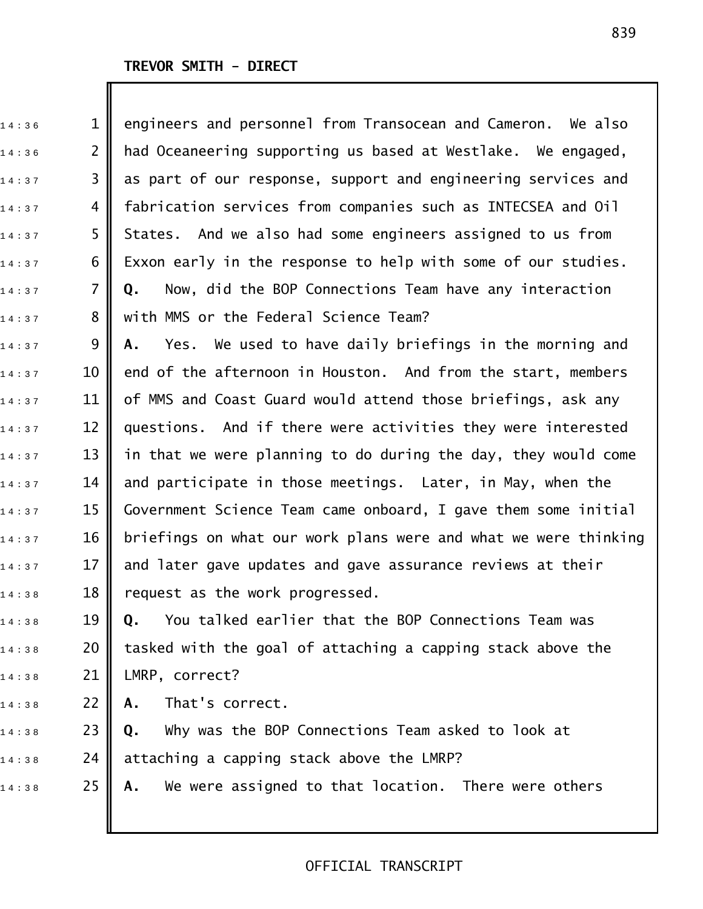| 14:36 | $\mathbf 1$    | engineers and personnel from Transocean and Cameron. We also    |
|-------|----------------|-----------------------------------------------------------------|
| 14:36 | $\overline{2}$ | had Oceaneering supporting us based at Westlake. We engaged,    |
| 14:37 | 3              | as part of our response, support and engineering services and   |
| 14:37 | 4              | fabrication services from companies such as INTECSEA and Oil    |
| 14:37 | 5              | States. And we also had some engineers assigned to us from      |
| 14:37 | 6              | Exxon early in the response to help with some of our studies.   |
| 14:37 | $\overline{7}$ | Now, did the BOP Connections Team have any interaction<br>Q.    |
| 14:37 | 8              | with MMS or the Federal Science Team?                           |
| 14:37 | 9              | Yes. We used to have daily briefings in the morning and<br>Α.   |
| 14:37 | 10             | end of the afternoon in Houston. And from the start, members    |
| 14:37 | 11             | of MMS and Coast Guard would attend those briefings, ask any    |
| 14:37 | 12             | questions. And if there were activities they were interested    |
| 14:37 | 13             | in that we were planning to do during the day, they would come  |
| 14:37 | 14             | and participate in those meetings. Later, in May, when the      |
| 14:37 | 15             | Government Science Team came onboard, I gave them some initial  |
| 14:37 | 16             | briefings on what our work plans were and what we were thinking |
| 14:37 | 17             | and later gave updates and gave assurance reviews at their      |
| 14:38 | 18             | request as the work progressed.                                 |
| 14:38 | 19             | You talked earlier that the BOP Connections Team was<br>Q.      |
| 14:38 | 20             | tasked with the goal of attaching a capping stack above the     |
| 14:38 | 21             | LMRP, correct?                                                  |
| 14:38 | 22             | That's correct.<br>Α.                                           |
| 14:38 | 23             | Why was the BOP Connections Team asked to look at<br>Q.         |
| 14:38 | 24             | attaching a capping stack above the LMRP?                       |
| 14:38 | 25             | We were assigned to that location. There were others<br>А.      |
|       |                |                                                                 |
|       |                |                                                                 |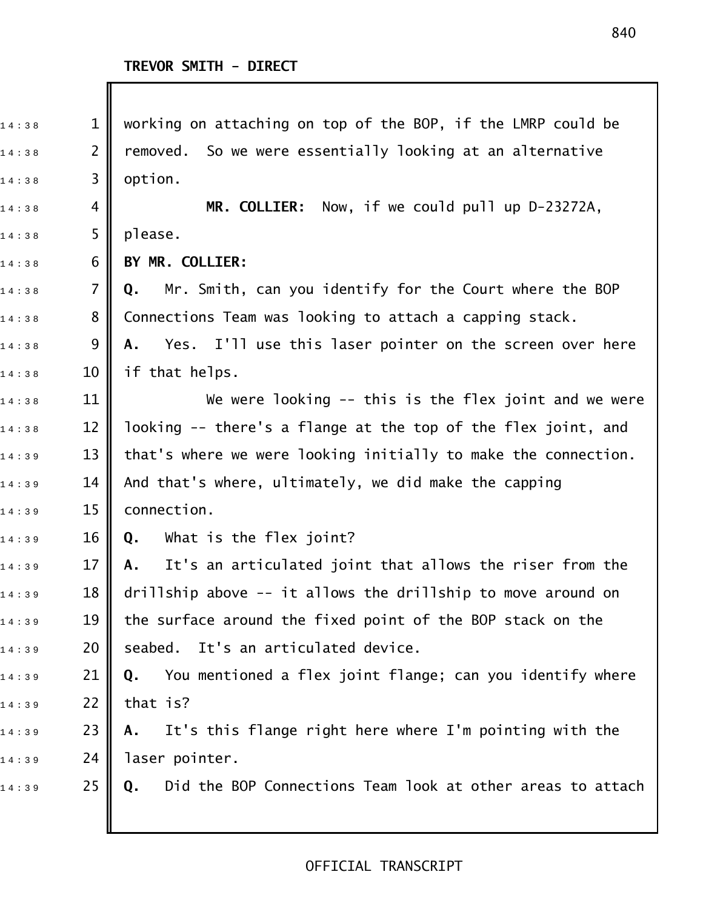| 14:38 | $\mathbf{1}$   | working on attaching on top of the BOP, if the LMRP could be     |
|-------|----------------|------------------------------------------------------------------|
| 14:38 | $\overline{2}$ | removed. So we were essentially looking at an alternative        |
| 14:38 | 3              | option.                                                          |
| 14:38 | 4              | MR. COLLIER: Now, if we could pull up D-23272A,                  |
| 14:38 | 5              | please.                                                          |
| 14:38 | 6              | BY MR. COLLIER:                                                  |
| 14:38 | 7              | Mr. Smith, can you identify for the Court where the BOP<br>Q.    |
| 14:38 | 8              | Connections Team was looking to attach a capping stack.          |
| 14:38 | 9              | Yes. I'll use this laser pointer on the screen over here<br>Α.   |
| 14:38 | 10             | if that helps.                                                   |
| 14:38 | 11             | We were looking $-$ this is the flex joint and we were           |
| 14:38 | 12             | looking -- there's a flange at the top of the flex joint, and    |
| 14:39 | 13             | that's where we were looking initially to make the connection.   |
| 14:39 | 14             | And that's where, ultimately, we did make the capping            |
| 14:39 | 15             | connection.                                                      |
| 14:39 | 16             | What is the flex joint?<br>Q.                                    |
| 14:39 | 17             | It's an articulated joint that allows the riser from the<br>A.   |
| 14:39 | 18             | drillship above $-$ it allows the drillship to move around on    |
| 14:39 | 19             | the surface around the fixed point of the BOP stack on the       |
| 14:39 | 20             | seabed. It's an articulated device.                              |
| 14:39 | 21             | You mentioned a flex joint flange; can you identify where<br>Q.  |
| 14:39 | 22             | that is?                                                         |
| 14:39 | 23             | It's this flange right here where I'm pointing with the<br>Α.    |
| 14:39 | 24             | laser pointer.                                                   |
| 14:39 | 25             | Did the BOP Connections Team look at other areas to attach<br>Q. |
|       |                |                                                                  |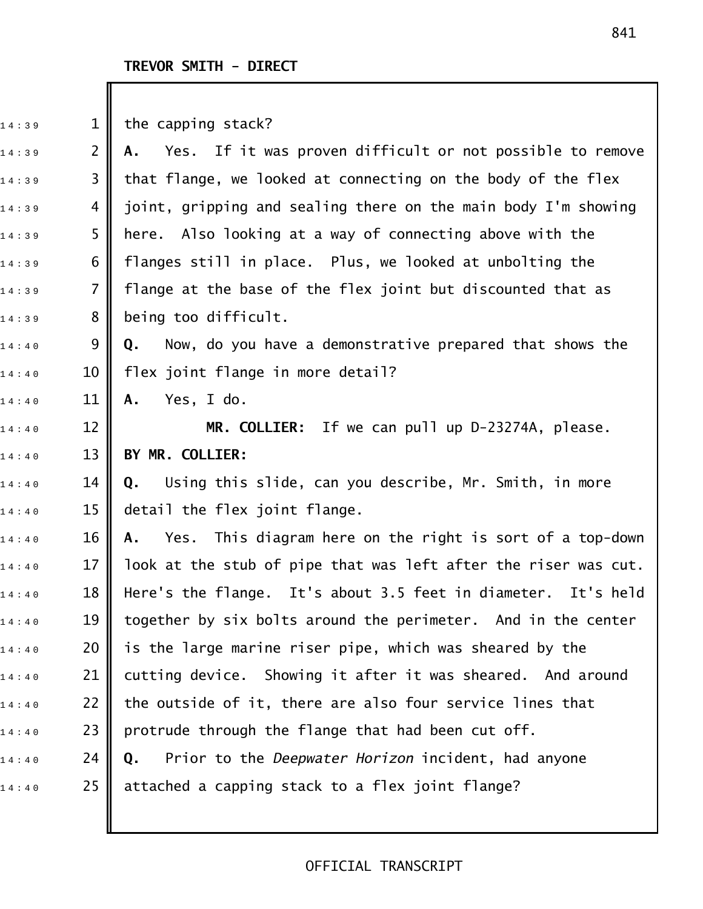#### **TREVOR SMITH - DIRECT**

 $14:39$  1 the capping stack?

1 4 : 3 9 2 **A.** Yes. If it was proven difficult or not possible to remove  $_{{\tiny 1}}$ 4:39  $\,$  3  $\,$  that flange, we looked at connecting on the body of the flex  $14:39$  4  $\parallel$  joint, gripping and sealing there on the main body I'm showing 14:39  $\,$  5  $\,$  here. Also looking at a way of connecting above with the  $_{1\,4\,:\,3\,9}$  6  $\parallel$  flanges still in place. Plus, we looked at unbolting the  $_{1\,4\,:\,3\,9}$  7  $\parallel$  flange at the base of the flex joint but discounted that as  $14:39$  8 being too difficult. 1 4 : 4 0 9 **Q.** Now, do you have a demonstrative prepared that shows the  $_{1\,4\,:\,4\,0}$  10 || flex joint flange in more detail? 1 4 : 4 0 11 **A.** Yes, I do. 14:40 12 **|| MR. COLLIER:** If we can pull up D-23274A, please. 1 4 : 4 0 13 **BY MR. COLLIER:** 1 4 : 4 0 14 **Q.** Using this slide, can you describe, Mr. Smith, in more  $_1$ 4:40  $\,$  15  $\,$  detail the flex joint flange. 14:40 **16 || A.** Yes. This diagram here on the right is sort of a top-down  $14:40$  17 || look at the stub of pipe that was left after the riser was cut.  $_{1\,4\,:\,4\,0}$   $\qquad$  18  $\parallel$  Here's the flange. It's about 3.5 feet in diameter. It's held  $14:40$  19 | together by six bolts around the perimeter. And in the center  $_{1\,4\,:\,4\,:\,0}$   $\qquad \qquad$  20  $\parallel$  is the large marine riser pipe, which was sheared by the  $14:40$  21  $\,$  cutting device. Showing it after it was sheared. And around  $_{{\tiny 1}}$ 4:40  $\quad \quad$  22  $\quad$  the outside of it, there are also four service lines that  $_1$ 4:40  $\,$  23  $\,$  protrude through the flange that had been cut off. 1 4 : 4 0 24 **Q.** Prior to the *Deepwater Horizon* incident, had anyone  $14:40$  25 || attached a capping stack to a flex joint flange?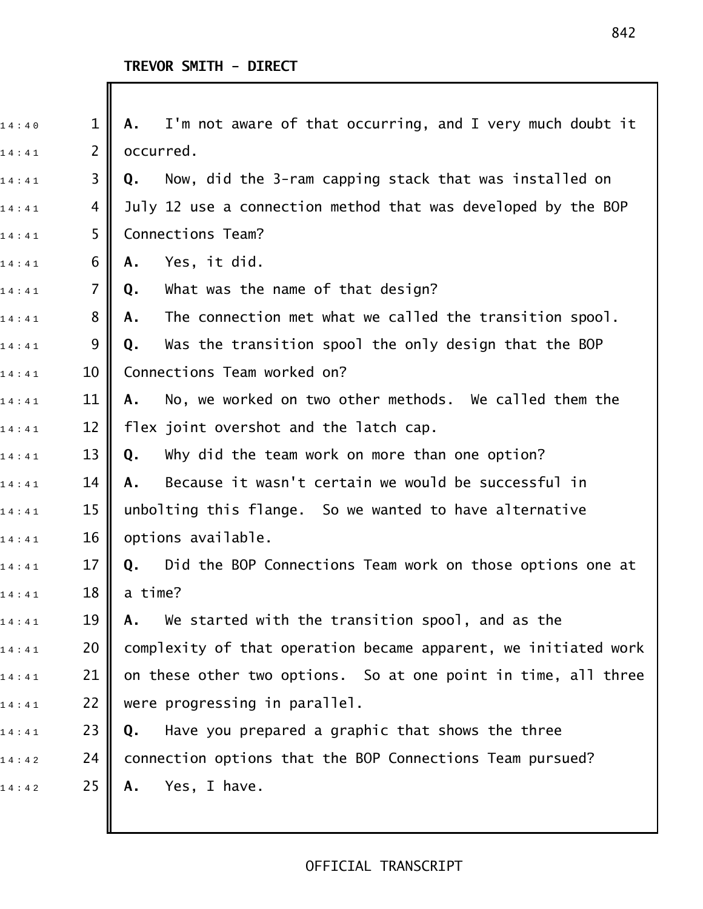| 14:40 | $\mathbf 1$    | I'm not aware of that occurring, and I very much doubt it<br>Α. |
|-------|----------------|-----------------------------------------------------------------|
| 14:41 | $\overline{2}$ | occurred.                                                       |
| 14:41 | 3              | Now, did the 3-ram capping stack that was installed on<br>Q.    |
| 14:41 | 4              | July 12 use a connection method that was developed by the BOP   |
| 14:41 | 5              | Connections Team?                                               |
| 14:41 | 6              | Yes, it did.<br>Α.                                              |
| 14:41 | $\overline{7}$ | What was the name of that design?<br>Q.                         |
| 14:41 | 8              | The connection met what we called the transition spool.<br>Α.   |
| 14:41 | 9              | Was the transition spool the only design that the BOP<br>Q.     |
| 14:41 | 10             | Connections Team worked on?                                     |
| 14:41 | 11             | No, we worked on two other methods. We called them the<br>Α.    |
| 14:41 | 12             | flex joint overshot and the latch cap.                          |
| 14:41 | 13             | Why did the team work on more than one option?<br>Q.            |
| 14:41 | 14             | Because it wasn't certain we would be successful in<br>Α.       |
| 14:41 | 15             | unbolting this flange. So we wanted to have alternative         |
| 14:41 | 16             | options available.                                              |
| 14:41 | 17             | Did the BOP Connections Team work on those options one at<br>Q. |
| 14:41 | 18             | a time?                                                         |
| 14:41 | 19             | We started with the transition spool, and as the<br>Α.          |
| 14:41 | 20             | complexity of that operation became apparent, we initiated work |
| 14:41 | 21             | on these other two options. So at one point in time, all three  |
| 14:41 | 22             | were progressing in parallel.                                   |
| 14:41 | 23             | Have you prepared a graphic that shows the three<br>Q.          |
| 14:42 | 24             | connection options that the BOP Connections Team pursued?       |
| 14:42 | 25             | Yes, I have.<br>Α.                                              |
|       |                |                                                                 |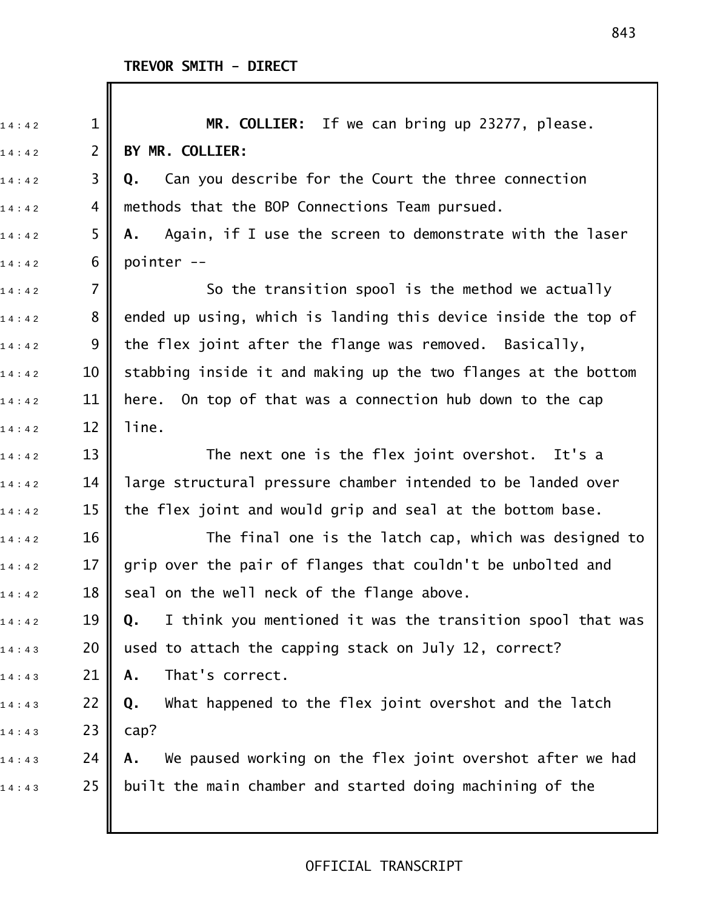Ш

| 14:42 | $\mathbf 1$    | MR. COLLIER: If we can bring up 23277, please.                   |
|-------|----------------|------------------------------------------------------------------|
| 14:42 | $\overline{2}$ | BY MR. COLLIER:                                                  |
| 14:42 | 3              | Can you describe for the Court the three connection<br>Q.        |
| 14:42 | 4              | methods that the BOP Connections Team pursued.                   |
| 14:42 | 5              | Again, if I use the screen to demonstrate with the laser<br>Α.   |
| 14:42 | 6              | pointer --                                                       |
| 14:42 | 7              | So the transition spool is the method we actually                |
| 14:42 | 8              | ended up using, which is landing this device inside the top of   |
| 14:42 | 9              | the flex joint after the flange was removed. Basically,          |
| 14:42 | 10             | stabbing inside it and making up the two flanges at the bottom   |
| 14:42 | 11             | here. On top of that was a connection hub down to the cap        |
| 14:42 | 12             | line.                                                            |
| 14:42 | 13             | The next one is the flex joint overshot. It's a                  |
| 14:42 | 14             | large structural pressure chamber intended to be landed over     |
| 14:42 | 15             | the flex joint and would grip and seal at the bottom base.       |
| 14:42 | 16             | The final one is the latch cap, which was designed to            |
| 14:42 | 17             | grip over the pair of flanges that couldn't be unbolted and      |
| 14:42 | 18             | seal on the well neck of the flange above.                       |
| 14:42 | 19             | I think you mentioned it was the transition spool that was<br>Q. |
| 14:43 | 20             | used to attach the capping stack on July 12, correct?            |
| 14:43 | 21             | That's correct.<br>Α.                                            |
| 14:43 | 22             | What happened to the flex joint overshot and the latch<br>Q.     |
| 14:43 | 23             | cap?                                                             |
| 14:43 | 24             | We paused working on the flex joint overshot after we had<br>Α.  |
| 14:43 | 25             | built the main chamber and started doing machining of the        |
|       |                |                                                                  |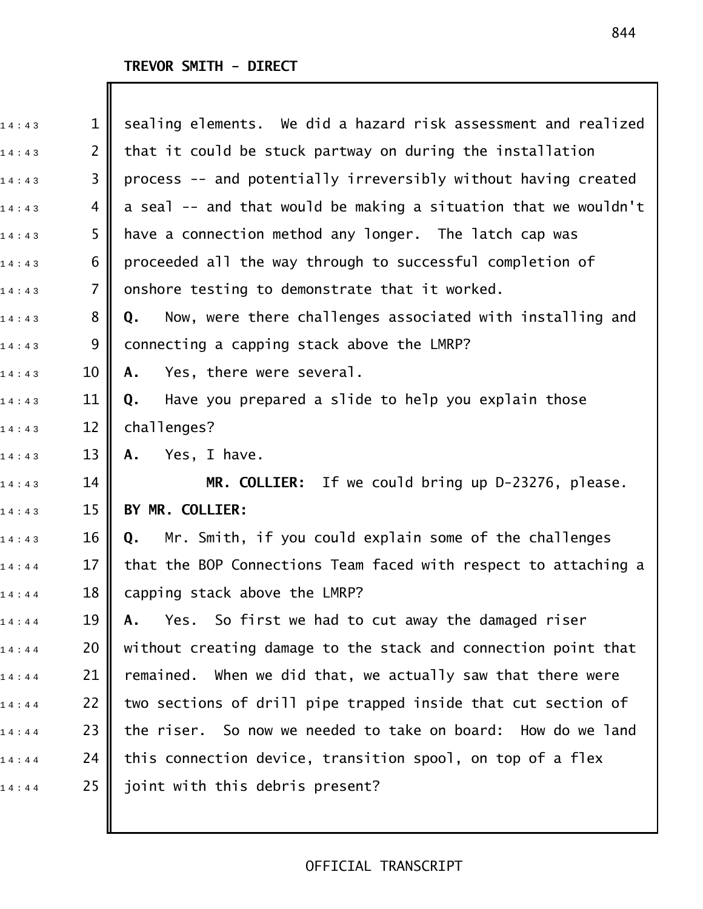| 14:43 | $\mathbf 1$    | sealing elements. We did a hazard risk assessment and realized  |
|-------|----------------|-----------------------------------------------------------------|
| 14:43 | $\overline{2}$ | that it could be stuck partway on during the installation       |
| 14:43 | 3              | process -- and potentially irreversibly without having created  |
| 14:43 | 4              | a seal -- and that would be making a situation that we wouldn't |
| 14:43 | 5              | have a connection method any longer. The latch cap was          |
| 14:43 | 6              | proceeded all the way through to successful completion of       |
| 14:43 | $\overline{7}$ | onshore testing to demonstrate that it worked.                  |
| 14:43 | 8              | Now, were there challenges associated with installing and<br>Q. |
| 14:43 | 9              | connecting a capping stack above the LMRP?                      |
| 14:43 | 10             | Yes, there were several.<br>Α.                                  |
| 14:43 | 11             | Have you prepared a slide to help you explain those<br>Q.       |
| 14:43 | 12             | challenges?                                                     |
| 14:43 | 13             | Yes, I have.<br>Α.                                              |
| 14:43 | 14             | MR. COLLIER: If we could bring up D-23276, please.              |
| 14:43 | 15             | BY MR. COLLIER:                                                 |
| 14:43 | 16             | Mr. Smith, if you could explain some of the challenges<br>Q.    |
| 14:44 | 17             | that the BOP Connections Team faced with respect to attaching a |
| 14:44 | 18             | capping stack above the LMRP?                                   |
| 14:44 | 19             | So first we had to cut away the damaged riser<br>Yes.<br>Α.     |
| 14:44 | 20             | without creating damage to the stack and connection point that  |
| 14:44 | 21             | When we did that, we actually saw that there were<br>remained.  |
| 14:44 | 22             | two sections of drill pipe trapped inside that cut section of   |
| 14:44 | 23             | the riser. So now we needed to take on board: How do we land    |
| 14:44 | 24             | this connection device, transition spool, on top of a flex      |
| 14:44 | 25             | joint with this debris present?                                 |
|       |                |                                                                 |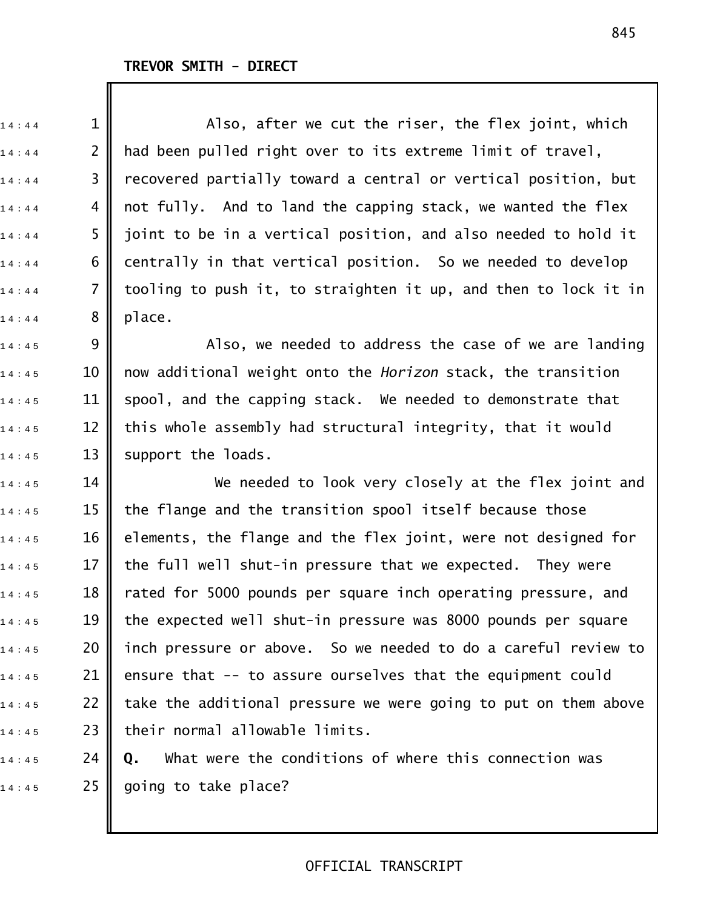1 4 : 4 4 1 Also, after we cut the riser, the flex joint, which  $_{1\,4\,:\,4\,4}$  2 || had been pulled right over to its extreme limit of travel,  $_1$ 4:44  $\,$  3  $\,$  recovered partially toward a central or vertical position, but  $14:44$  4 || not fully. And to land the capping stack, we wanted the flex  $_{1\,4\,:\,4\,4}$  5  $\parallel$  joint to be in a vertical position, and also needed to hold it  $14:44$  6  $\blacksquare$  centrally in that vertical position. So we needed to develop  $_{1\,4\,:\,4\,4}$  7 || tooling to push it, to straighten it up, and then to lock it in  $1\;4\;:\;4\;4\;3\;$  8 || place.  $_{1\,4\,:\,4\,:\,5}$  9  $\parallel$  2 3  $\parallel$  Also, we needed to address the case of we are landing 1 4 : 4 5 10 now additional weight onto the *Horizon* stack, the transition  $14:45$  11 spool, and the capping stack. We needed to demonstrate that  $_{1\,4\,:\,4\,:\,5}$   $\qquad$  12  $\parallel$  this whole assembly had structural integrity, that it would  $14:45$  13 support the loads.  $_{1\,4\,:\,4\,5}$  14  $\parallel$  We needed to look very closely at the flex joint and  $_{1\,4\,:\,4\,:\,5}$  15  $\parallel$  the flange and the transition spool itself because those  $14:45$  16 | elements, the flange and the flex joint, were not designed for  $_{1\,4\,:\,4\,:\,5}$   $\qquad$  17  $\parallel$  the full well shut-in pressure that we expected. They were  $14:45$  18 || rated for 5000 pounds per square inch operating pressure, and  $14:45$  19 the expected well shut-in pressure was 8000 pounds per square  $_{1\,4\,:\,4\,:\,5}$  20  $\parallel$  inch pressure or above. So we needed to do a careful review to  $_{1\,4\,:\,4\,5}$  21 | ensure that -- to assure ourselves that the equipment could  $_{1\,4\,:\,4\,:\,5}$  22 || take the additional pressure we were going to put on them above  $_{1\,4\ :\ 4\,5}$  23 | their normal allowable limits.

1 4 : 4 5 24 **Q.** What were the conditions of where this connection was  $14:45$  25 going to take place?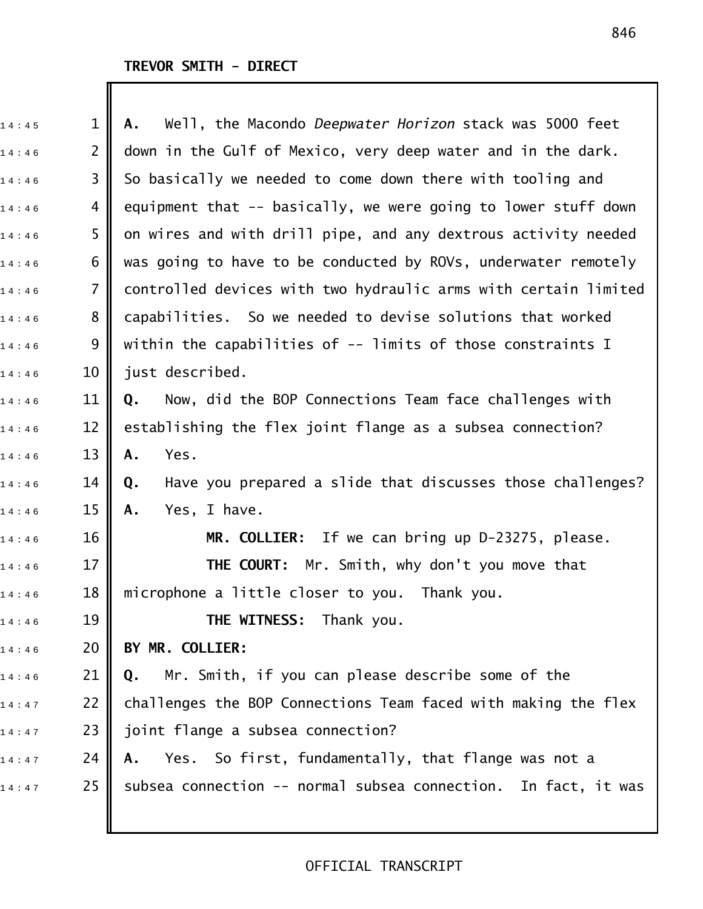| 14:45 | $\mathbf 1$    | Well, the Macondo Deepwater Horizon stack was 5000 feet<br>Α.    |
|-------|----------------|------------------------------------------------------------------|
| 14:46 | $\overline{2}$ | down in the Gulf of Mexico, very deep water and in the dark.     |
| 14:46 | 3              | So basically we needed to come down there with tooling and       |
| 14:46 | 4              | equipment that -- basically, we were going to lower stuff down   |
| 14:46 | 5              | on wires and with drill pipe, and any dextrous activity needed   |
| 14:46 | 6              | was going to have to be conducted by ROVs, underwater remotely   |
| 14:46 | $\overline{7}$ | controlled devices with two hydraulic arms with certain limited  |
| 14:46 | 8              | capabilities. So we needed to devise solutions that worked       |
| 14:46 | 9              | within the capabilities of -- limits of those constraints I      |
| 14:46 | 10             | just described.                                                  |
| 14:46 | 11             | Now, did the BOP Connections Team face challenges with<br>Q.     |
| 14:46 | 12             | establishing the flex joint flange as a subsea connection?       |
| 14:46 | 13             | Yes.<br>Α.                                                       |
| 14:46 | 14             | Have you prepared a slide that discusses those challenges?<br>Q. |
| 14:46 | 15             | Yes, I have.<br>Α.                                               |
| 14:46 | 16             | MR. COLLIER: If we can bring up D-23275, please.                 |
| 14:46 | 17             | THE COURT:<br>Mr. Smith, why don't you move that                 |
| 14:46 | 18             | microphone a little closer to you. Thank you.                    |
| 14:46 | 19             | <b>THE WITNESS:</b> Thank you.                                   |
| 14:46 | 20             | BY MR. COLLIER:                                                  |
| 14:46 | 21             | Mr. Smith, if you can please describe some of the<br>Q.          |
| 14:47 | 22             | challenges the BOP Connections Team faced with making the flex   |
| 14:47 | 23             | joint flange a subsea connection?                                |
| 14:47 | 24             | Yes. So first, fundamentally, that flange was not a<br>А.        |
| 14:47 | 25             | subsea connection -- normal subsea connection. In fact, it was   |
|       |                |                                                                  |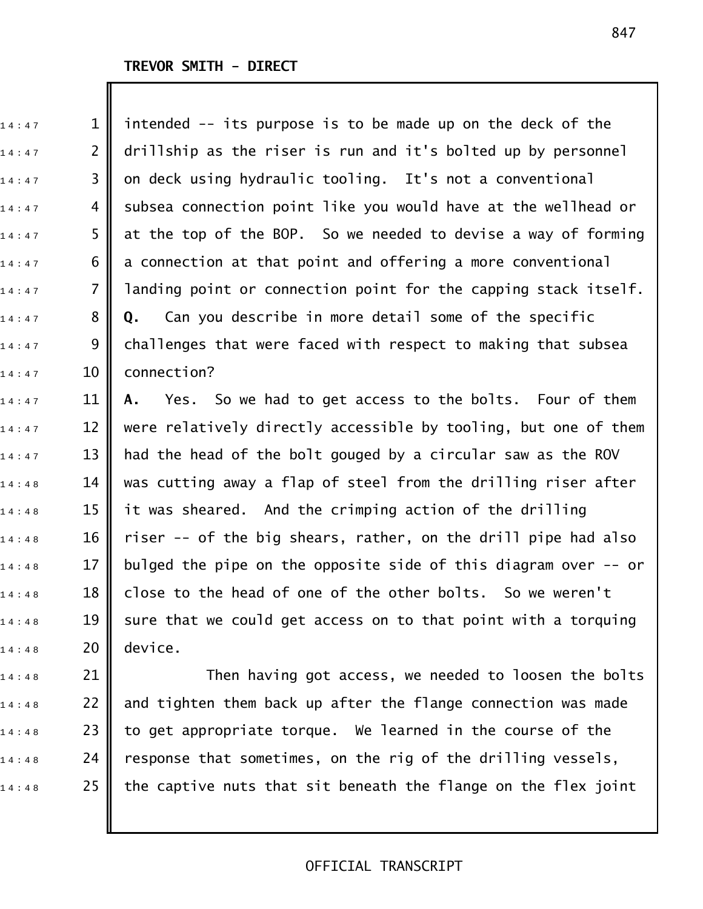$14:48$  20 device.

 $_1$ 4:47  $\,$  1  $\,$  intended -- its purpose is to be made up on the deck of the  $_{1\,4\,:\,4\,7}$  2 || drillship as the riser is run and it's bolted up by personnel  $_1$ 4:47  $\,$  3  $\,$  on deck using hydraulic tooling. It's not a conventional  $_{1\,4\,:\,4\,7}$  4 || subsea connection point like you would have at the wellhead or  $_{1\,4\,:\,4\,7}$  5 || at the top of the BOP. So we needed to devise a way of forming  $_{1\,4\,:\,4\,7}$  6 || a connection at that point and offering a more conventional  $_{1\,4\,:\,4\,7}$  7 || landing point or connection point for the capping stack itself. 1 4 : 4 7 8 **Q.** Can you describe in more detail some of the specific  $_{1\,4\,:\,4\,7}$  9 || challenges that were faced with respect to making that subsea  $14:47$  10 connection? 1 4 : 4 7 11 **A.** Yes. So we had to get access to the bolts. Four of them  $_{1\,4\,:\,4\,7}$   $\qquad$  12  $\parallel$  were relatively directly accessible by tooling, but one of them  $_{1\,4\,:\,4\,7}$   $\qquad$  13  $\parallel$  had the head of the bolt gouged by a circular saw as the ROV  $_{1\,4\,:\,4\,8}$   $\qquad$  14  $\parallel$  was cutting away a flap of steel from the drilling riser after  $_{1\,4\,:\,4\,8}$   $\qquad$  15  $\parallel$  it was sheared. And the crimping action of the drilling  $14:48$  16 || riser -- of the big shears, rather, on the drill pipe had also  $_{1\,4\,:\,4\,8}$   $\qquad$  17  $\parallel$  bulged the pipe on the opposite side of this diagram over -- or  $_{1\,4\,:\,4\,8}$   $\qquad$  18  $\parallel$  close to the head of one of the other bolts. So we weren't  $14:48$  19 sure that we could get access on to that point with a torquing

 $_{1\,4\,:\,4\,8}$  21  $\parallel$  Then having got access, we needed to loosen the bolts  $_{1\,4\,:\,4\,8}$   $\qquad$  22  $\parallel$  and tighten them back up after the flange connection was made  $_{1\,4\,:\,4\,8}$   $\qquad$  23  $\parallel$  to get appropriate torque. We learned in the course of the  $_{1\,4\,:\,4\,8}$  24 | response that sometimes, on the rig of the drilling vessels,  $1\,4:4\,8$  25 | the captive nuts that sit beneath the flange on the flex joint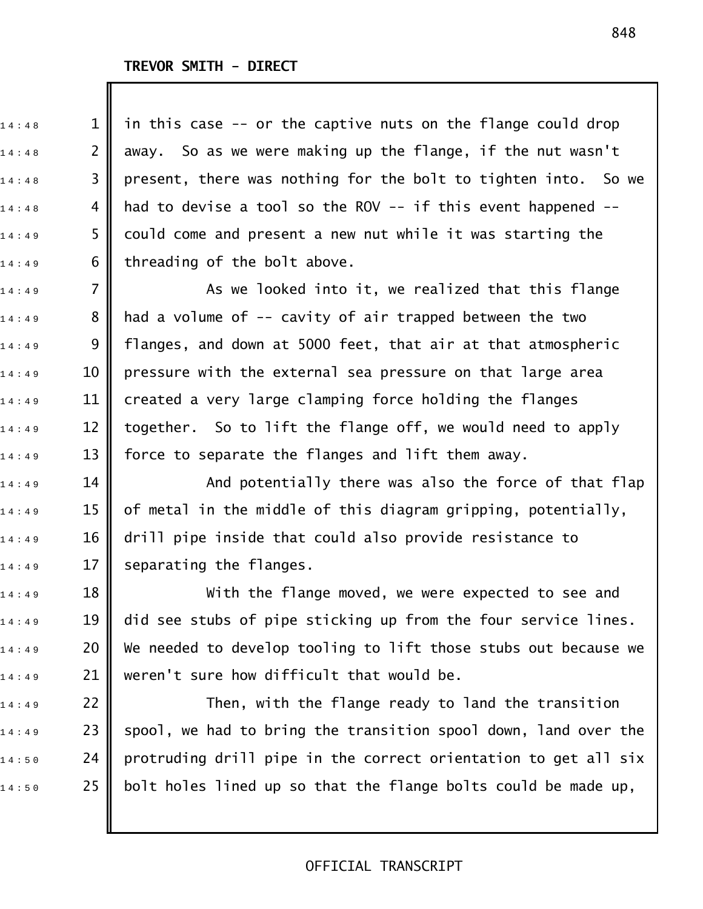$_{{\tiny 1}}$ 4:48  $\quad \quad \, \, {\mathop 1\,}{}_{\parallel}$  in this case -- or the captive nuts on the flange could drop  $_{1\,4\,:\,4\,8}$  2  $\parallel$  away. So as we were making up the flange, if the nut wasn't  $_{1\,4\,:\,4\,:\,8}$  3 || present, there was nothing for the bolt to tighten into. So we  $_{1\,4\,:\,4\,8}$  4 || had to devise a tool so the ROV -- if this event happened -- $14:49$  5  $\,$  could come and present a new nut while it was starting the  $14:49$  6 threading of the bolt above.

 $_{{\tiny 1\,4\,:\,4\,:\,9}}$  7  $\parallel$  . As we looked into it, we realized that this flange  $14:49$  8 || had a volume of -- cavity of air trapped between the two  $14:49$  9 || flanges, and down at 5000 feet, that air at that atmospheric  $_{1\,4\,:\,4\,9}$   $\qquad$  10  $\|$  pressure with the external sea pressure on that large area  $_{1\,4\,:\,4\,9}$  11  $\parallel$  created a very large clamping force holding the flanges  $_{1\,4\,:\,4\,9}$  12 || together. So to lift the flange off, we would need to apply  $_{1\,4\,:\,4\,9}$   $\qquad$  13  $\parallel$  force to separate the flanges and lift them away.

 $_{1\,4\,:\,4\,9}$  14  $\parallel$  2011 – And potentially there was also the force of that flap  $_{1\,4\,:\,4\,:\,9}$   $\qquad \qquad$  15  $\parallel$  of metal in the middle of this diagram gripping, potentially,  $_{1\,4\,:\,4\,9}$  16 || drill pipe inside that could also provide resistance to  $14:49$  17 separating the flanges.

 $14:49$  18  $\parallel$  With the flange moved, we were expected to see and  $_{1\,4\,:\,4\,9}$   $\qquad$  19  $\|$  did see stubs of pipe sticking up from the four service lines.  $_{1\,4\,:\,4\,:\,9}$  20  $\parallel$  We needed to develop tooling to lift those stubs out because we  $_{1\,4\ :\ 4\,9}$  21 || weren't sure how difficult that would be.

 $_{1\,4\,:\,4\,9}$  22  $\parallel$  Then, with the flange ready to land the transition  $1\,4:4\,9$  23 || spool, we had to bring the transition spool down, land over the  $_{1\,4\,:\,5\,0}$  24  $\parallel$  protruding drill pipe in the correct orientation to get all six  $14:50$  25 | bolt holes lined up so that the flange bolts could be made up,

#### 848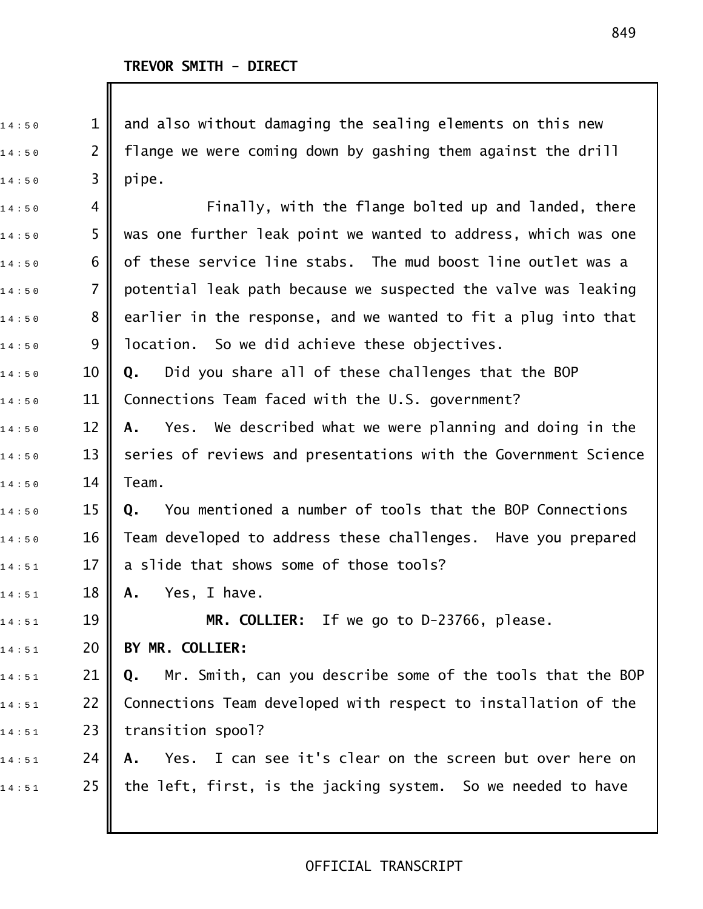$_{1\,4\,:\,5\,0}$   $\qquad \qquad 1\parallel$  and also without damaging the sealing elements on this new  $_{1\,4\,:\,5\,0}$   $\qquad$  2  $\parallel$  flange we were coming down by gashing them against the drill  $14:50$  3 pipe.  $_{1\,4\,:\,5\,0}$  4 || Finally, with the flange bolted up and landed, there  $_{{\tiny 1}}$ 4:50  $\,$   $\,$  5  $\,$   $\,$  was one further leak point we wanted to address, which was one  $_{1\,4\ :\,5\,0}$   $\qquad\qquad$  6  $\parallel$  of these service line stabs. The mud boost line outlet was a  $_{1\,4\,:\,5\,0}$   $\qquad$  7  $\parallel$  potential leak path because we suspected the valve was leaking  $_{1\,4\,:\,5\,0}$   $\qquad \quad 8$   $\parallel$  earlier in the response, and we wanted to fit a plug into that  $14:50$  9 || location. So we did achieve these objectives. 1 4 : 5 0 10 **Q.** Did you share all of these challenges that the BOP  $14:50$  11 Connections Team faced with the U.S. government? 1 4 : 5 0 12 **A.** Yes. We described what we were planning and doing in the  $_{1\,4\,:\,5\,0}$   $\qquad$  13  $\parallel$  series of reviews and presentations with the Government Science  $14:50$  14 Team. 1 4 : 5 0 15 **Q.** You mentioned a number of tools that the BOP Connections  $14:50$   $\blacksquare$  16  $\blacksquare$  Team developed to address these challenges. Have you prepared  $_{1\,4\ :\,5\,1}$  17 || a slide that shows some of those tools? 1 4 : 5 1 18 **A.** Yes, I have.  $\begin{array}{ccc} \n 14:51 \quad \textcolor{red}{\mathbf{19}} \parallel \quad \textcolor{red}{\mathbf{11}} \quad \textsf{MR.} \textsf{COLLIER:} \quad \text{If we go to D-23766, please.} \n \end{array}$ 1 4 : 5 1 20 **BY MR. COLLIER:** 1 4 : 5 1 21 **Q.** Mr. Smith, can you describe some of the tools that the BOP  $14:51$  22 | Connections Team developed with respect to installation of the  $14:51$  23 | transition spool? 1 4 : 5 1 24 **A.** Yes. I can see it's clear on the screen but over here on  $_{1\,4\,:\,5\,1}$  25  $\parallel$  the left, first, is the jacking system. So we needed to have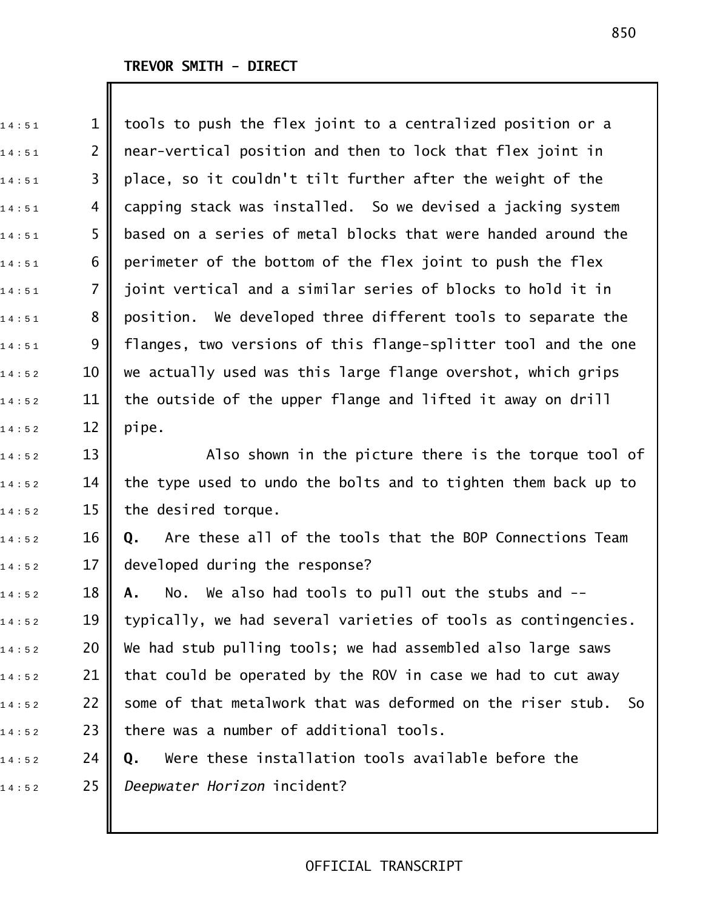$14 : 52$  12 pipe.

 $_{1\,4\,:\,5\,1}$   $\qquad \qquad 1\parallel$  tools to push the flex joint to a centralized position or a  $_{1\,4\,:\,5\,1}$  2 || near-vertical position and then to lock that flex joint in  $14:51$  3 || place, so it couldn't tilt further after the weight of the  $_{1\,4\,:\,5\,1}$  4  $\parallel$  capping stack was installed. So we devised a jacking system  $_{1\,4\ :\,5\,1}$  5  $\parallel$  based on a series of metal blocks that were handed around the  $14:51$  6 perimeter of the bottom of the flex joint to push the flex  $_{1\,4\,:\,5\,1}$  7  $\parallel$  joint vertical and a similar series of blocks to hold it in  $14:51$  8 || position. We developed three different tools to separate the  $_{1\,4\,:\,5\,1}$  9 || flanges, two versions of this flange-splitter tool and the one  $_{1\,4\,:\,5\,2}$  and 10  $\parallel$  we actually used was this large flange overshot, which grips  $_{1\,4\,:\,5\,2}$   $\qquad$  11  $\parallel$  the outside of the upper flange and lifted it away on drill

 $_{1\,4\,:\,5\,2}$  and  $13$   $\parallel$  and  $\parallel$  and  $\parallel$  and  $\parallel$  and  $\parallel$  and  $\parallel$  and  $\parallel$  and  $\parallel$  and  $\parallel$  and  $\parallel$  and  $\parallel$  and  $\parallel$  and  $\parallel$  and  $\parallel$  and  $\parallel$  and  $\parallel$  and  $\parallel$  and  $\parallel$  and  $\parallel$  and  $\parallel$  and  $\parallel$  and  $\parallel$  a  $_{1\,4\,:\,5\,2}$  14 || the type used to undo the bolts and to tighten them back up to  $14:52$  15 the desired torque.

1 4 : 5 2 16 **Q.** Are these all of the tools that the BOP Connections Team  $14:52$  17 developed during the response?

 $_{1\,4\ :\,5\,2}$   $\qquad$  18 **|| A.** No. We also had tools to pull out the stubs and -- $_{1\,4\ :\,5\,2}$  and  $\parallel$  typically, we had several varieties of tools as contingencies.  $_{1\,4\,:\,5\,2}$  20  $\parallel$  We had stub pulling tools; we had assembled also large saws  $_{1\,4\,:\,5\,2}$  21 | that could be operated by the ROV in case we had to cut away  $_{1\,4\,:\,5\,2}$  22 | some of that metalwork that was deformed on the riser stub. So  $_{1\,4\ :\,5\,2}$  23 || there was a number of additional tools.

1 4 : 5 2 24 **Q.** Were these installation tools available before the 1 4 : 5 2 25 *Deepwater Horizon* incident?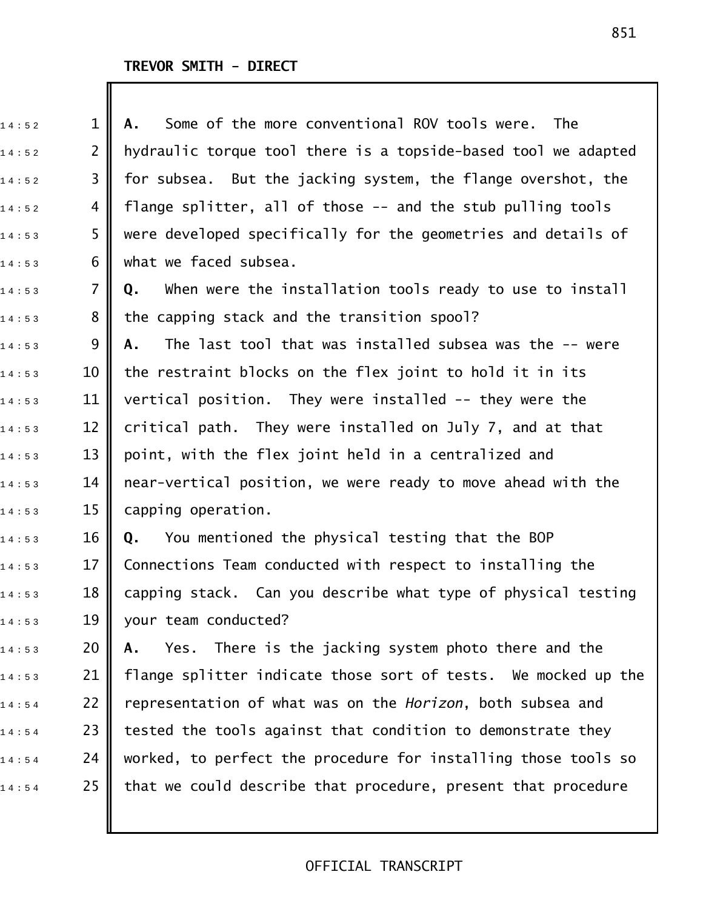| 14:52 | $\mathbf 1$    | Some of the more conventional ROV tools were.<br>The<br>Α.     |
|-------|----------------|----------------------------------------------------------------|
| 14:52 | $\overline{2}$ | hydraulic torque tool there is a topside-based tool we adapted |
| 14:52 | 3              | for subsea. But the jacking system, the flange overshot, the   |
| 14:52 | 4              | flange splitter, all of those -- and the stub pulling tools    |
| 14:53 | 5              | were developed specifically for the geometries and details of  |
| 14:53 | 6              | what we faced subsea.                                          |
| 14:53 | 7              | When were the installation tools ready to use to install<br>Q. |
| 14:53 | 8              | the capping stack and the transition spool?                    |
| 14:53 | 9              | The last tool that was installed subsea was the -- were<br>Α.  |
| 14:53 | 10             | the restraint blocks on the flex joint to hold it in its       |
| 14:53 | 11             | vertical position. They were installed -- they were the        |
| 14:53 | 12             | critical path. They were installed on July 7, and at that      |
| 14:53 | 13             | point, with the flex joint held in a centralized and           |
| 14:53 | 14             | near-vertical position, we were ready to move ahead with the   |
| 14:53 | 15             | capping operation.                                             |
| 14:53 | 16             | You mentioned the physical testing that the BOP<br>Q.          |
| 14:53 | 17             | Connections Team conducted with respect to installing the      |
| 14:53 | 18 <b>II</b>   | capping stack. Can you describe what type of physical testing  |
| 14:53 | 19             | your team conducted?                                           |
| 14:53 | 20             | Yes. There is the jacking system photo there and the<br>Α.     |
| 14:53 | 21             | flange splitter indicate those sort of tests. We mocked up the |
| 14:54 | 22             | representation of what was on the Horizon, both subsea and     |
| 14:54 | 23             | tested the tools against that condition to demonstrate they    |
| 14:54 | 24             | worked, to perfect the procedure for installing those tools so |
| 14:54 | 25             | that we could describe that procedure, present that procedure  |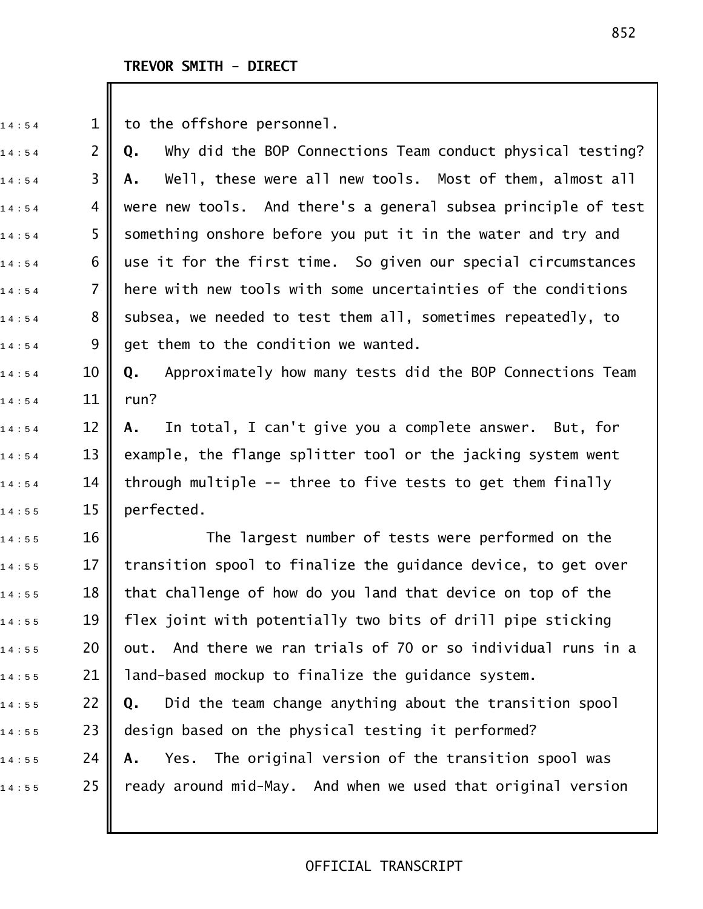$14:54$  1 to the offshore personnel.

1 4 : 5 4 2 **Q.** Why did the BOP Connections Team conduct physical testing? 1 4 : 5 4 3 **A.** Well, these were all new tools. Most of them, almost all  $_{1\,4\,:\,5\,4}$  4  $\,$  were new tools. And there's a general subsea principle of test  $14:54$  5 S something onshore before you put it in the water and try and  $_{1\,4\,:\,5\,4}$  6 || use it for the first time. So given our special circumstances  $_{1\,4\,:\,5\,4}$  7  $\parallel$  here with new tools with some uncertainties of the conditions  $1\,4:5\,4$  8 subsea, we needed to test them all, sometimes repeatedly, to  $1\,4:5\,4$  9 || get them to the condition we wanted.

1 4 : 5 4 10 **Q.** Approximately how many tests did the BOP Connections Team  $14 : 54$  11 run?

1 4 : 5 4 12 **A.** In total, I can't give you a complete answer. But, for  $_{1\,4\,:\,5\,4}$   $\qquad$  13  $\parallel$  example, the flange splitter tool or the jacking system went  $_{1\,4\,:\,5\,4}$  14 || through multiple -- three to five tests to get them finally  $14:55$  15 perfected.

 $_{1\,4\ :\,5\,5}$  5  $_{1\,6}$  The largest number of tests were performed on the  $14:55$  17 || transition spool to finalize the guidance device, to get over  $_{1\,4\ :\,5\,5}$  and  $\|$  that challenge of how do you land that device on top of the  $14:55$  19 || flex joint with potentially two bits of drill pipe sticking  $14:55$  20  $\,$  out. And there we ran trials of 70 or so individual runs in a  $_{1\,4\ :\,5\,5}$  21 || land-based mockup to finalize the guidance system. 1 4 : 5 5 22 **Q.** Did the team change anything about the transition spool  $14:55$  23  $\parallel$  design based on the physical testing it performed? 1 4 : 5 5 24 **A.** Yes. The original version of the transition spool was  $14:55$  25 || ready around mid-May. And when we used that original version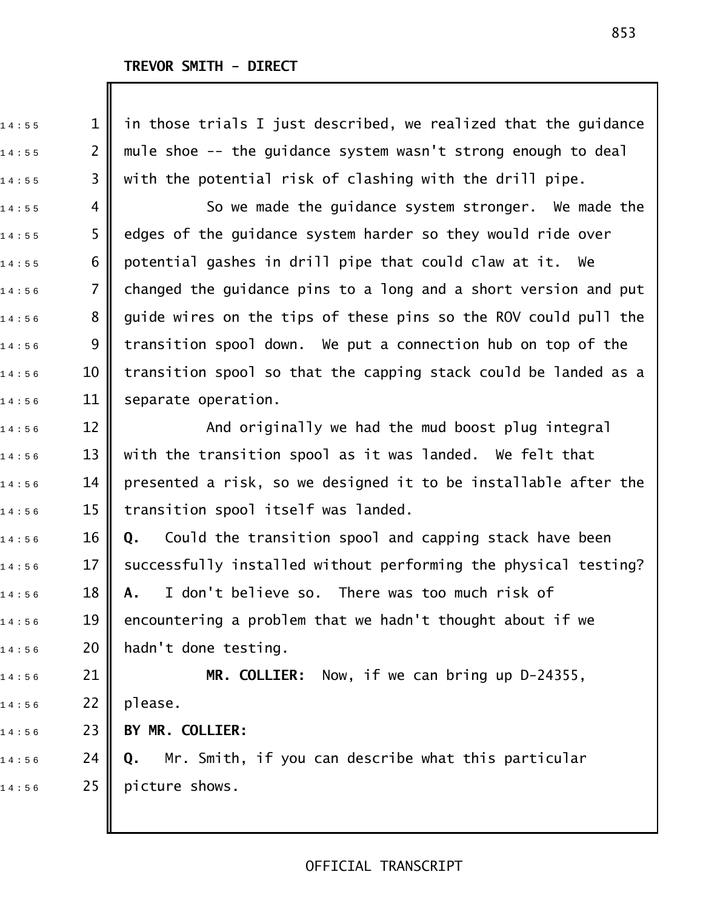$_{{\tiny 1}}$ 4:55  $\quad \quad \ \, {\tiny 1}$   $\parallel$  in those trials I just described, we realized that the guidance  $_{1\,4\,:\,5\,5}$  2  $\parallel$  mule shoe -- the guidance system wasn't strong enough to deal  $_{1\,4\ :\,5\,5}$  3  $\parallel$  with the potential risk of clashing with the drill pipe.  $14:55$  4  $\parallel$  So we made the guidance system stronger. We made the  $_{1\,4\ :\,5\,5}$  5  $\parallel$  edges of the guidance system harder so they would ride over  $_{1\,4\ :\,5\,5}$  6  $\,$  potential gashes in drill pipe that could claw at it. We  $14:56$  7  $\parallel$  changed the guidance pins to a long and a short version and put  $14:56$  8  $\parallel$  guide wires on the tips of these pins so the ROV could pull the  $_{1\,4\,:\,5\,6}$   $\qquad \quad$  9  $\parallel$  transition spool down. We put a connection hub on top of the  $_{1\,4\,:\,5\,6}$   $\qquad$  10  $\parallel$  transition spool so that the capping stack could be landed as a  $14:56$  11 separate operation. 14:56 12 **||** And originally we had the mud boost plug integral  $_{1\,4\ :\,5\,6}$   $\qquad$  13  $\parallel$  with the transition spool as it was landed. We felt that  $_{1\,4\,:\,5\,6}$   $\qquad$  14  $\parallel$  presented a risk, so we designed it to be installable after the  $14:56$  15 || transition spool itself was landed. 1 4 : 5 6 16 **Q.** Could the transition spool and capping stack have been  $_{1\,4\,:\,5\,6}$   $\qquad$  17  $\parallel$  successfully installed without performing the physical testing? 1 4 : 5 6 18 **A.** I don't believe so. There was too much risk of  $_{1\,4\ :\,5\,6}$   $\qquad$  19  $\parallel$  encountering a problem that we hadn't thought about if we  $14:56$  20 | hadn't done testing. 14:56 21 **MR. COLLIER:** Now, if we can bring up D-24355, 14:56 22 || please. 1 4 : 5 6 23 **BY MR. COLLIER:** 1 4 : 5 6 24 **Q.** Mr. Smith, if you can describe what this particular  $14:56$  25 picture shows.

#### 853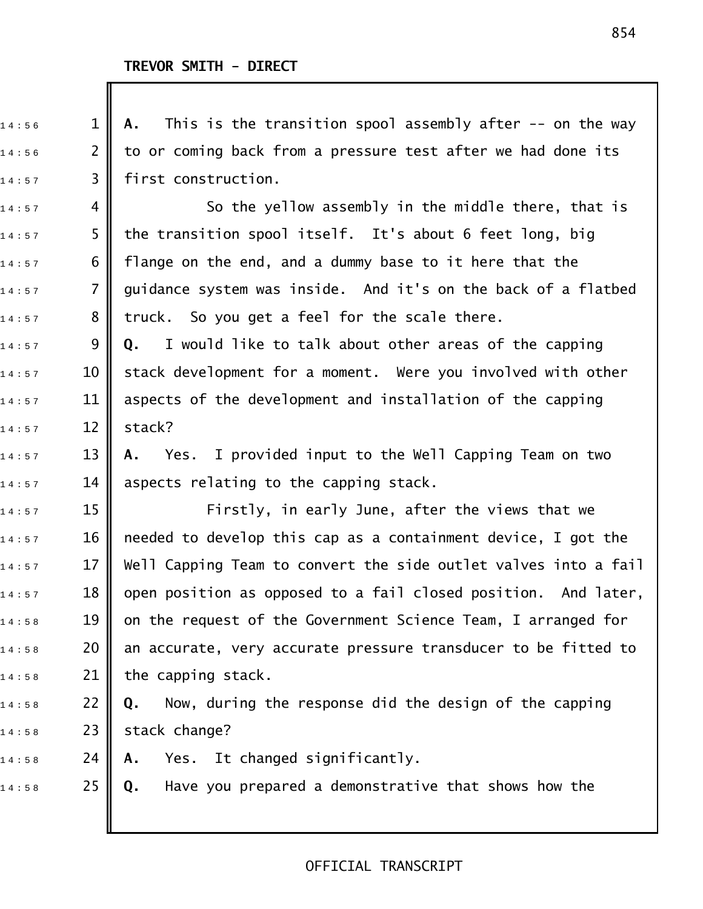| 14:56 | $\mathbf 1$    | This is the transition spool assembly after $-$ on the way<br>Α. |
|-------|----------------|------------------------------------------------------------------|
| 14:56 | $\overline{2}$ | to or coming back from a pressure test after we had done its     |
| 14:57 | 3              | first construction.                                              |
| 14:57 | 4              | So the yellow assembly in the middle there, that is              |
| 14:57 | 5              | the transition spool itself. It's about 6 feet long, big         |
| 14:57 | 6              | flange on the end, and a dummy base to it here that the          |
| 14:57 | $\overline{7}$ | guidance system was inside. And it's on the back of a flatbed    |
| 14:57 | 8              | truck. So you get a feel for the scale there.                    |
| 14:57 | 9              | I would like to talk about other areas of the capping<br>Q.      |
| 14:57 | 10             | stack development for a moment. Were you involved with other     |
| 14:57 | 11             | aspects of the development and installation of the capping       |
| 14:57 | 12             | stack?                                                           |
| 14:57 | 13             | Yes. I provided input to the Well Capping Team on two<br>Α.      |
| 14:57 | 14             | aspects relating to the capping stack.                           |
| 14:57 | 15             | Firstly, in early June, after the views that we                  |
| 14:57 | 16             | needed to develop this cap as a containment device, I got the    |
| 14:57 | 17             | Well Capping Team to convert the side outlet valves into a fail  |
| 14:57 | 18             | open position as opposed to a fail closed position. And later,   |
| 14:58 | 19             | on the request of the Government Science Team, I arranged for    |
| 14:58 | 20             | an accurate, very accurate pressure transducer to be fitted to   |
| 14:58 | 21             | the capping stack.                                               |
| 14:58 | 22             | Now, during the response did the design of the capping<br>Q.     |
| 14:58 | 23             | stack change?                                                    |
| 14:58 | 24             | Yes. It changed significantly.<br>Α.                             |
| 14:58 | 25             | Have you prepared a demonstrative that shows how the<br>Q.       |
|       |                |                                                                  |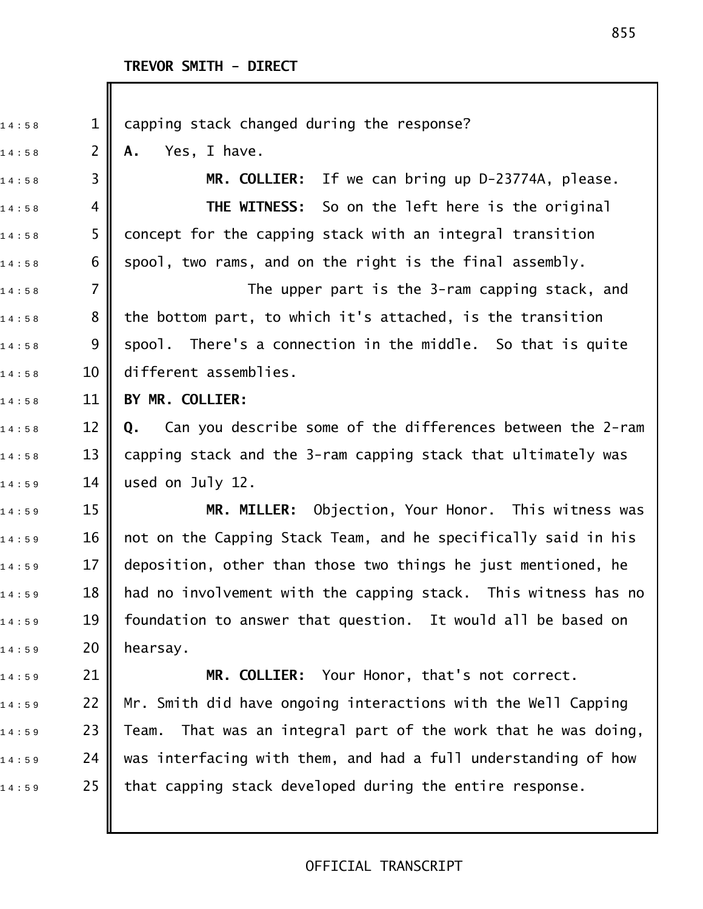| 14:58 | $\mathbf 1$    | capping stack changed during the response?                        |
|-------|----------------|-------------------------------------------------------------------|
| 14:58 | $\overline{2}$ | Yes, I have.<br>Α.                                                |
| 14:58 | 3              | MR. COLLIER: If we can bring up D-23774A, please.                 |
| 14:58 | 4              | <b>THE WITNESS:</b> So on the left here is the original           |
| 14:58 | 5              | concept for the capping stack with an integral transition         |
| 14:58 | 6              | spool, two rams, and on the right is the final assembly.          |
| 14:58 | 7              | The upper part is the 3-ram capping stack, and                    |
| 14:58 | 8              | the bottom part, to which it's attached, is the transition        |
| 14:58 | 9              | spool. There's a connection in the middle. So that is quite       |
| 14:58 | 10             | different assemblies.                                             |
| 14:58 | 11             | BY MR. COLLIER:                                                   |
| 14:58 | 12             | Can you describe some of the differences between the 2-ram<br>Q.  |
| 14:58 | 13             | capping stack and the 3-ram capping stack that ultimately was     |
| 14:59 | 14             | used on July 12.                                                  |
| 14:59 | 15             | MR. MILLER: Objection, Your Honor. This witness was               |
| 14:59 | 16             | not on the Capping Stack Team, and he specifically said in his    |
| 14:59 | 17             | deposition, other than those two things he just mentioned, he     |
| 14:59 | 18             | had no involvement with the capping stack. This witness has no    |
| 14:59 | 19             | foundation to answer that question. It would all be based on      |
| 14:59 | 20             | hearsay.                                                          |
| 14:59 | 21             | MR. COLLIER: Your Honor, that's not correct.                      |
| 14:59 | 22             | Mr. Smith did have ongoing interactions with the Well Capping     |
| 14:59 | 23             | That was an integral part of the work that he was doing,<br>Team. |
| 14:59 | 24             | was interfacing with them, and had a full understanding of how    |
| 14:59 | 25             | that capping stack developed during the entire response.          |
|       |                |                                                                   |
|       |                |                                                                   |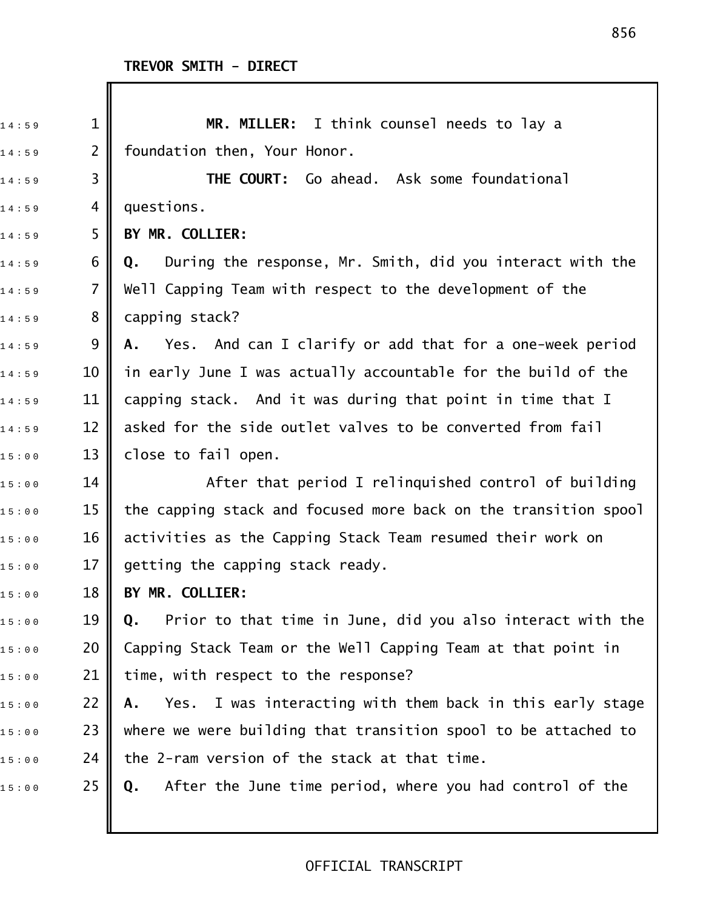Ш

| 14:59 | $\mathbf{1}$   | MR. MILLER: I think counsel needs to lay a                       |
|-------|----------------|------------------------------------------------------------------|
| 14:59 | $\overline{2}$ | foundation then, Your Honor.                                     |
| 14:59 | 3              | THE COURT: Go ahead. Ask some foundational                       |
| 14:59 | 4              | questions.                                                       |
| 14:59 | 5              | BY MR. COLLIER:                                                  |
| 14:59 | 6              | During the response, Mr. Smith, did you interact with the<br>Q.  |
| 14:59 | $\overline{7}$ | Well Capping Team with respect to the development of the         |
| 14:59 | 8              | capping stack?                                                   |
| 14:59 | 9              | Yes. And can I clarify or add that for a one-week period<br>Α.   |
| 14:59 | 10             | in early June I was actually accountable for the build of the    |
| 14:59 | 11             | capping stack. And it was during that point in time that I       |
| 14:59 | 12             | asked for the side outlet valves to be converted from fail       |
| 15:00 | 13             | close to fail open.                                              |
| 15:00 | 14             | After that period I relinquished control of building             |
| 15:00 | 15             | the capping stack and focused more back on the transition spool  |
| 15:00 | 16             | activities as the Capping Stack Team resumed their work on       |
| 15:00 | 17             | getting the capping stack ready.                                 |
| 15:00 | 18             | BY MR. COLLIER:                                                  |
| 15:00 | 19             | Prior to that time in June, did you also interact with the<br>Q. |
| 15:00 | 20             | Capping Stack Team or the Well Capping Team at that point in     |
| 15:00 | 21             | time, with respect to the response?                              |
| 15:00 | 22             | Yes. I was interacting with them back in this early stage<br>Α.  |
| 15:00 | 23             | where we were building that transition spool to be attached to   |
| 15:00 | 24             | the 2-ram version of the stack at that time.                     |
| 15:00 | 25             | After the June time period, where you had control of the<br>Q.   |
|       |                |                                                                  |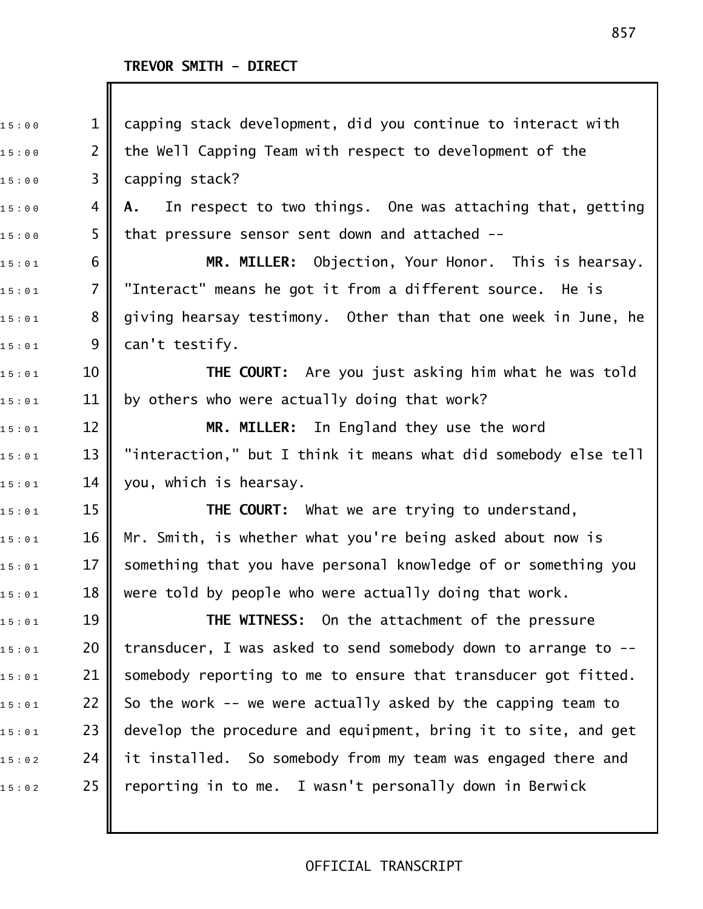Ш

| 15:00 | $\mathbf 1$    | capping stack development, did you continue to interact with     |
|-------|----------------|------------------------------------------------------------------|
| 15:00 | $\overline{2}$ | the Well Capping Team with respect to development of the         |
| 15:00 | 3              | capping stack?                                                   |
| 15:00 | 4              | In respect to two things. One was attaching that, getting<br>A., |
| 15:00 | 5              | that pressure sensor sent down and attached --                   |
| 15:01 | 6              | MR. MILLER: Objection, Your Honor. This is hearsay.              |
| 15:01 | $\overline{7}$ | "Interact" means he got it from a different source. He is        |
| 15:01 | 8              | giving hearsay testimony. Other than that one week in June, he   |
| 15:01 | 9              | can't testify.                                                   |
| 15:01 | 10             | <b>THE COURT:</b> Are you just asking him what he was told       |
| 15:01 | 11             | by others who were actually doing that work?                     |
| 15:01 | 12             | MR. MILLER: In England they use the word                         |
| 15:01 | 13             | "interaction," but I think it means what did somebody else tell  |
| 15:01 | 14             | you, which is hearsay.                                           |
| 15:01 | 15             | <b>THE COURT:</b> What we are trying to understand,              |
| 15:01 | 16             | Mr. Smith, is whether what you're being asked about now is       |
| 15:01 | 17             | something that you have personal knowledge of or something you   |
| 15:01 | 18             | were told by people who were actually doing that work.           |
| 15:01 | 19             | <b>THE WITNESS:</b> On the attachment of the pressure            |
| 15:01 | 20             | transducer, I was asked to send somebody down to arrange to --   |
| 15:01 | 21             | somebody reporting to me to ensure that transducer got fitted.   |
| 15:01 | 22             | So the work -- we were actually asked by the capping team to     |
| 15:01 | 23             | develop the procedure and equipment, bring it to site, and get   |
| 15:02 | 24             | it installed. So somebody from my team was engaged there and     |
| 15:02 | 25             | reporting in to me. I wasn't personally down in Berwick          |
|       |                |                                                                  |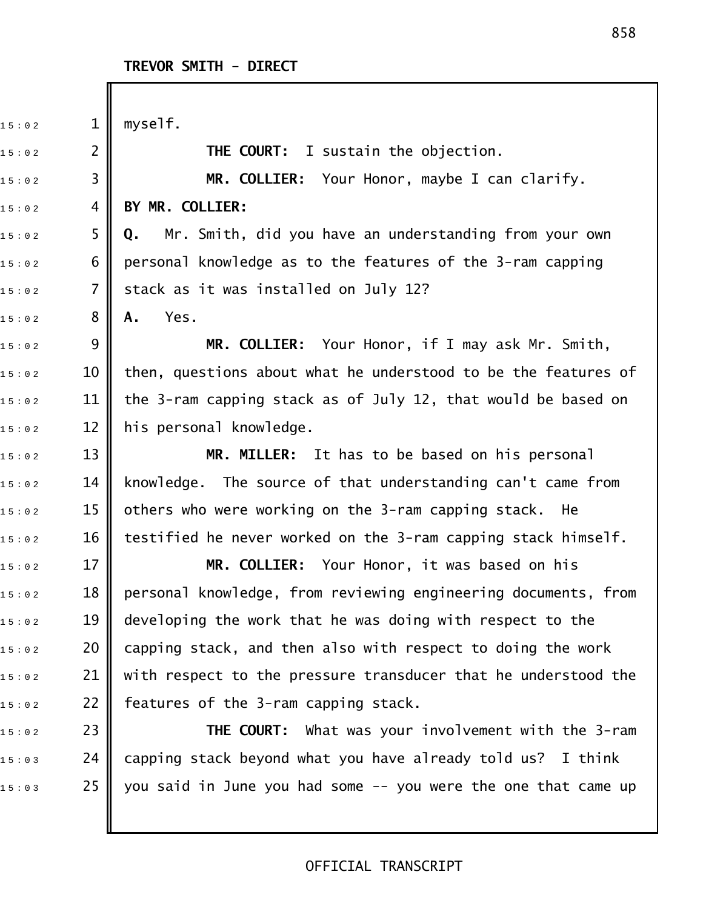$15:02$  1 || myself. 1 5 : 0 2 2 **THE COURT:** I sustain the objection. 1 5 : 0 2 3 **MR. COLLIER:** Your Honor, maybe I can clarify. 1 5 : 0 2 4 **BY MR. COLLIER:** 1 5 : 0 2 5 **Q.** Mr. Smith, did you have an understanding from your own  $_{15:02}$  6 || personal knowledge as to the features of the 3-ram capping  $_{15:02}$   $\qquad$  7  $\parallel$  stack as it was installed on July 12? 1 5 : 0 2 8 **A.** Yes. 1 5 : 0 2 9 **MR. COLLIER:** Your Honor, if I may ask Mr. Smith,  $_{15:02}$   $\,$   $\,$  10  $\,$  then, questions about what he understood to be the features of  $_{15:0.2}$   $\,$   $\,$  11  $\,$  the 3-ram capping stack as of July 12, that would be based on  $15:02$  2 | his personal knowledge. 1 5 : 0 2 13 **MR. MILLER:** It has to be based on his personal  $_{15:0.2}$   $\,$   $\,$   $\,$  14  $\,$   $\,$  knowledge. The source of that understanding can't came from  $_{15:0.2}$   $\,$   $\,$   $\,$  15  $\,$   $\,$  others who were working on the 3-ram capping stack. He  $_{15:02}$   $\,$   $\,$  16  $\parallel$  testified he never worked on the 3-ram capping stack himself. 1 5 : 0 2 17 **MR. COLLIER:** Your Honor, it was based on his  $_{1\,5\,:\,0\,2}$  and  $\,$  18  $\,$  are personal knowledge, from reviewing engineering documents, from  $15:02$  2 19  $\parallel$  developing the work that he was doing with respect to the  $_{1\,5\,:\,0\,2}$   $\qquad$  20  $\parallel$  capping stack, and then also with respect to doing the work  $_{15:0.2}$  21 || with respect to the pressure transducer that he understood the  $_{15:02}$  22 || features of the 3-ram capping stack. 15:02 23 **|| THE COURT:** What was your involvement with the 3-ram  $_{1\,5\,:\,0\,3}$   $\qquad$  24  $\parallel$  capping stack beyond what you have already told us? I think  $15:03$  25 || you said in June you had some -- you were the one that came up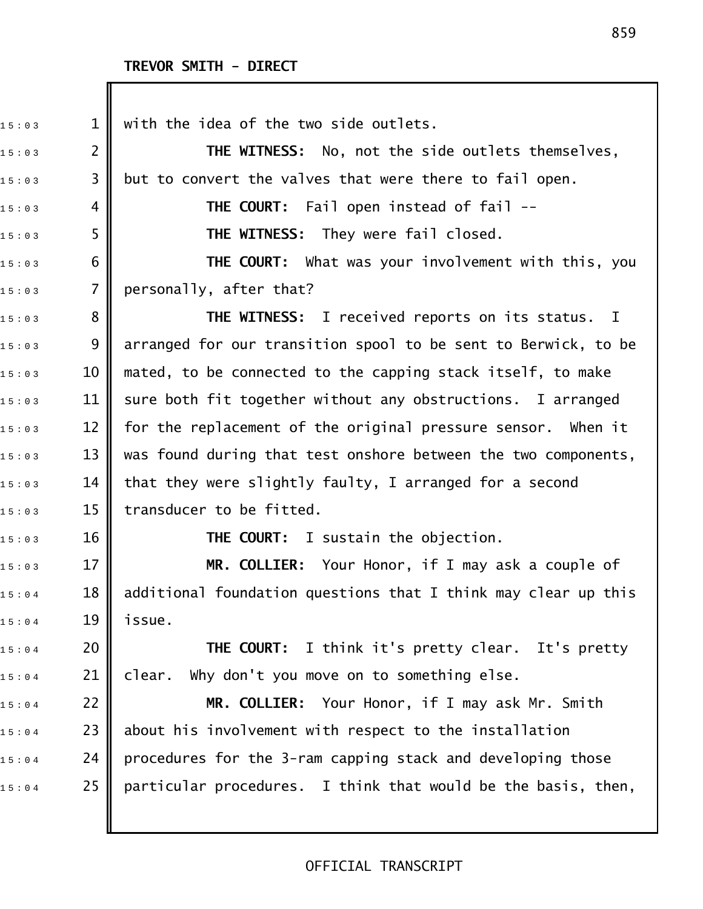$_{15:03}$  1 || with the idea of the two side outlets. 1 5 : 0 3 2 **THE WITNESS:** No, not the side outlets themselves,  $_{15:03}$  3 || but to convert the valves that were there to fail open. 15:03 **4 || THE COURT:** Fail open instead of fail --1 5 : 0 3 5 **THE WITNESS:** They were fail closed. 1 5 : 0 3 6 **THE COURT:** What was your involvement with this, you  $15:03$  7 personally, after that? 1 5 : 0 3 8 **THE WITNESS:** I received reports on its status. I  $_{1\,5\,:\,0\,:\,3}$   $\quad$  9  $\parallel$  arranged for our transition spool to be sent to Berwick, to be  $_{1\,5\,:\,0\,:\,3}$   $\qquad\qquad$  10  $\parallel$  mated, to be connected to the capping stack itself, to make  $_{15:03}$   $\,$   $\,$  11  $\,$  sure both fit together without any obstructions. I arranged  $_{1\,5\,:\,0\,3}$   $\qquad$  12  $\parallel$  for the replacement of the original pressure sensor. When it 1 5 : 0 3 13 was found during that test onshore between the two components,  $_{15:03}$   $\,$   $\,$  14  $\,$  that they were slightly faulty, I arranged for a second  $15:03$  15 || transducer to be fitted. 1 5 : 0 3 16 **THE COURT:** I sustain the objection. 1 5 : 0 3 17 **MR. COLLIER:** Your Honor, if I may ask a couple of  $_{1 \, 5 \, : \, 0 \, 4}$   $\qquad \qquad$  18  $\|$  additional foundation questions that I think may clear up this  $15:04$  19 issue. 1 5 : 0 4 20 **THE COURT:** I think it's pretty clear. It's pretty  $_{1\,5\ :\ 0\, 4}$  21 | clear. Why don't you move on to something else. 1 5 : 0 4 22 **MR. COLLIER:** Your Honor, if I may ask Mr. Smith  $_{15:0:4}$  23 || about his involvement with respect to the installation  $_{1.5 \pm 0.4}$  24 | procedures for the 3-ram capping stack and developing those  $15:0.4$  25 | particular procedures. I think that would be the basis, then,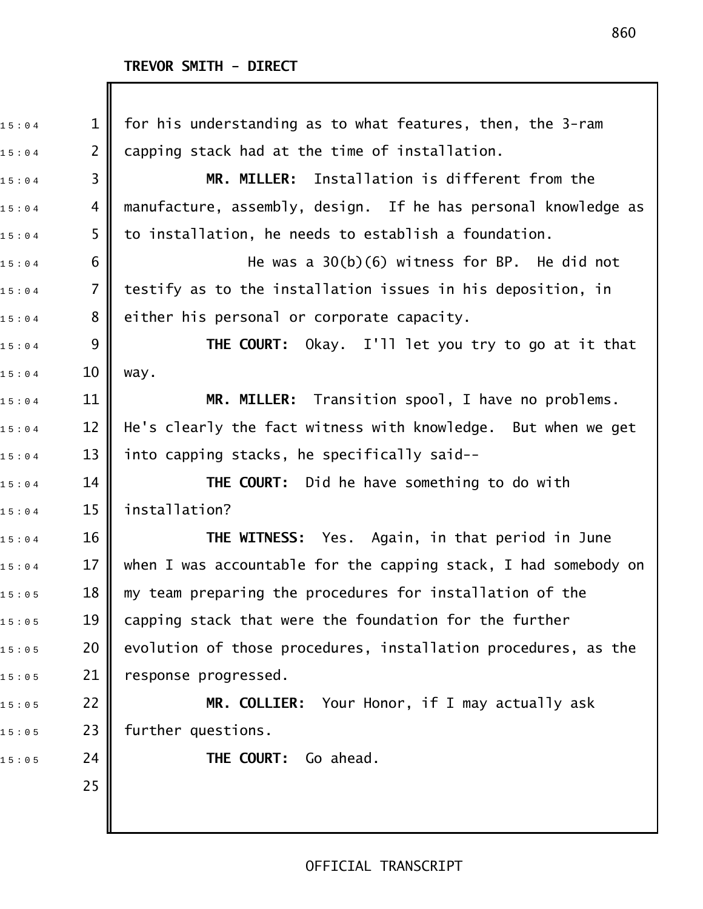| 15:04 | $\mathbf 1$    | for his understanding as to what features, then, the 3-ram      |
|-------|----------------|-----------------------------------------------------------------|
| 15:04 | $\overline{2}$ | capping stack had at the time of installation.                  |
| 15:04 | 3              | MR. MILLER: Installation is different from the                  |
| 15:04 | 4              | manufacture, assembly, design. If he has personal knowledge as  |
| 15:04 | 5              | to installation, he needs to establish a foundation.            |
| 15:04 | 6              | He was a $30(b)(6)$ witness for BP. He did not                  |
| 15:04 | 7              | testify as to the installation issues in his deposition, in     |
| 15:04 | 8              | either his personal or corporate capacity.                      |
| 15:04 | 9              | <b>THE COURT:</b> Okay. I'll let you try to go at it that       |
| 15:04 | 10             | way.                                                            |
| 15:04 | 11             | MR. MILLER: Transition spool, I have no problems.               |
| 15:04 | 12             | He's clearly the fact witness with knowledge. But when we get   |
| 15:04 | 13             | into capping stacks, he specifically said--                     |
| 15:04 | 14             | <b>THE COURT:</b> Did he have something to do with              |
| 15:04 | 15             | installation?                                                   |
| 15:04 | 16             | <b>THE WITNESS:</b> Yes. Again, in that period in June          |
| 15:04 | 17             | when I was accountable for the capping stack, I had somebody on |
| 15:05 | 18             | my team preparing the procedures for installation of the        |
| 15:05 | 19             | capping stack that were the foundation for the further          |
| 15:05 | 20             | evolution of those procedures, installation procedures, as the  |
| 15:05 | 21             | response progressed.                                            |
| 15:05 | 22             | MR. COLLIER: Your Honor, if I may actually ask                  |
| 15:05 | 23             | further questions.                                              |
| 15:05 | 24             | THE COURT: Go ahead.                                            |
|       | 25             |                                                                 |
|       |                |                                                                 |
|       |                |                                                                 |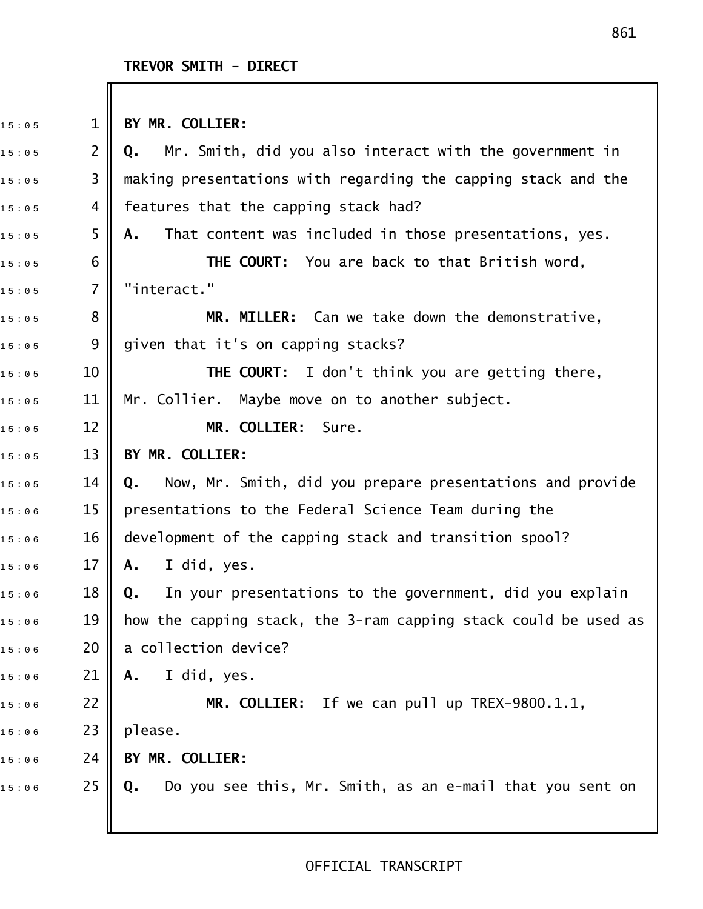Ш

| 15:05 | $\mathbf{1}$   | BY MR. COLLIER:                                                            |
|-------|----------------|----------------------------------------------------------------------------|
| 15:05 | $\overline{2}$ | Mr. Smith, did you also interact with the government in<br>Q.              |
| 15:05 | 3              | making presentations with regarding the capping stack and the              |
| 15:05 | 4              | features that the capping stack had?                                       |
| 15:05 | 5              | That content was included in those presentations, yes.<br>Α.               |
| 15:05 | 6              | THE COURT: You are back to that British word,                              |
| 15:05 | $\overline{7}$ | "interact."                                                                |
| 15:05 | 8              | MR. MILLER: Can we take down the demonstrative,                            |
| 15:05 | 9              | given that it's on capping stacks?                                         |
| 15:05 | 10             | <b>THE COURT:</b> I don't think you are getting there,                     |
| 15:05 | 11             | Mr. Collier. Maybe move on to another subject.                             |
| 15:05 | 12             | MR. COLLIER: Sure.                                                         |
| 15:05 | 13             | BY MR. COLLIER:                                                            |
| 15:05 | 14             | Now, Mr. Smith, did you prepare presentations and provide<br>Q.            |
| 15:06 | 15             | presentations to the Federal Science Team during the                       |
| 15:06 | 16             | development of the capping stack and transition spool?                     |
| 15:06 | 17             | I did, yes.<br>Α.                                                          |
| 15:06 | 18             | In your presentations to the government, did you explain<br>$\mathbf{0}$ . |
| 15:06 | 19             | how the capping stack, the 3-ram capping stack could be used as            |
| 15:06 | 20             | a collection device?                                                       |
| 15:06 | 21             | I did, yes.<br>Α.                                                          |
| 15:06 | 22             | MR. COLLIER: If we can pull up TREX-9800.1.1,                              |
| 15:06 | 23             | please.                                                                    |
| 15:06 | 24             | BY MR. COLLIER:                                                            |
| 15:06 | 25             | Do you see this, Mr. Smith, as an e-mail that you sent on<br>Q.            |
|       |                |                                                                            |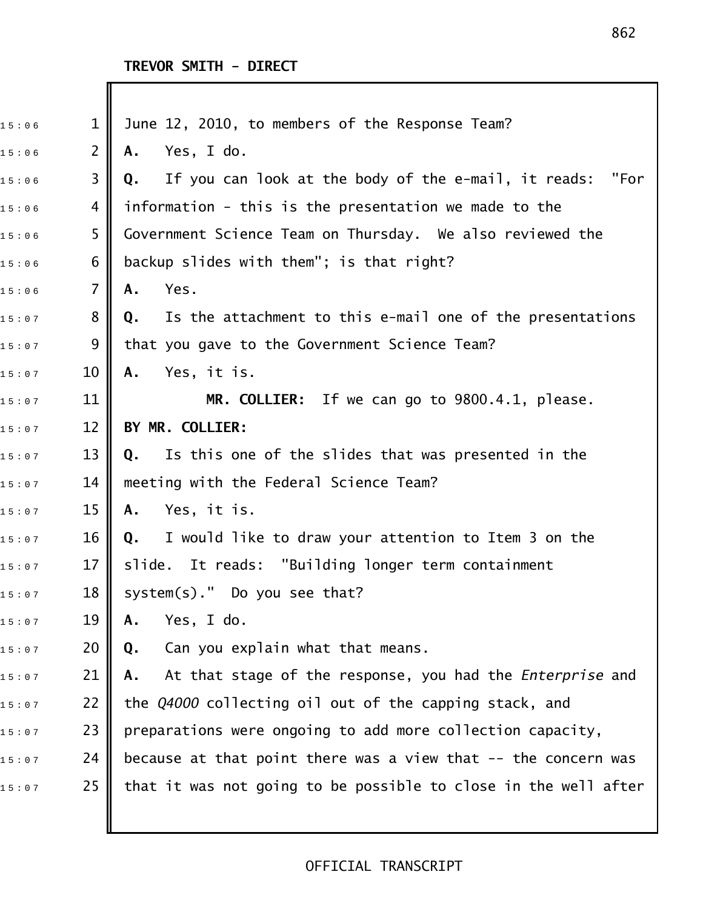| 15:06 | $\mathbf{1}$   | June 12, 2010, to members of the Response Team?                        |
|-------|----------------|------------------------------------------------------------------------|
| 15:06 | $\overline{2}$ | Yes, I do.<br>Α.                                                       |
| 15:06 | 3              | If you can look at the body of the e-mail, it reads:<br>"For<br>Q.     |
| 15:06 | 4              | information - this is the presentation we made to the                  |
| 15:06 | 5              | Government Science Team on Thursday. We also reviewed the              |
| 15:06 | 6              | backup slides with them"; is that right?                               |
| 15:06 | $\overline{7}$ | Yes.<br>Α.                                                             |
| 15:07 | 8              | Is the attachment to this e-mail one of the presentations<br>Q.        |
| 15:07 | 9              | that you gave to the Government Science Team?                          |
| 15:07 | 10             | Yes, it is.<br>Α.                                                      |
| 15:07 | 11             | MR. COLLIER: If we can go to 9800.4.1, please.                         |
| 15:07 | 12             | BY MR. COLLIER:                                                        |
| 15:07 | 13             | Q. Is this one of the slides that was presented in the                 |
| 15:07 | 14             | meeting with the Federal Science Team?                                 |
| 15:07 | 15             | Yes, it is.<br>Α.                                                      |
| 15:07 | 16             | Q. I would like to draw your attention to Item 3 on the                |
| 15:07 | 17             | slide. It reads: "Building longer term containment                     |
| 15:07 | 18             | system(s)." Do you see that?                                           |
| 15:07 | 19             | Yes, I do.<br>Α.                                                       |
| 15:07 | 20             | Can you explain what that means.<br>Q.                                 |
| 15:07 | 21             | At that stage of the response, you had the <i>Enterprise</i> and<br>Α. |
| 15:07 | 22             | the Q4000 collecting oil out of the capping stack, and                 |
| 15:07 | 23             | preparations were ongoing to add more collection capacity,             |
| 15:07 | 24             | because at that point there was a view that -- the concern was         |
| 15:07 | 25             | that it was not going to be possible to close in the well after        |
|       |                |                                                                        |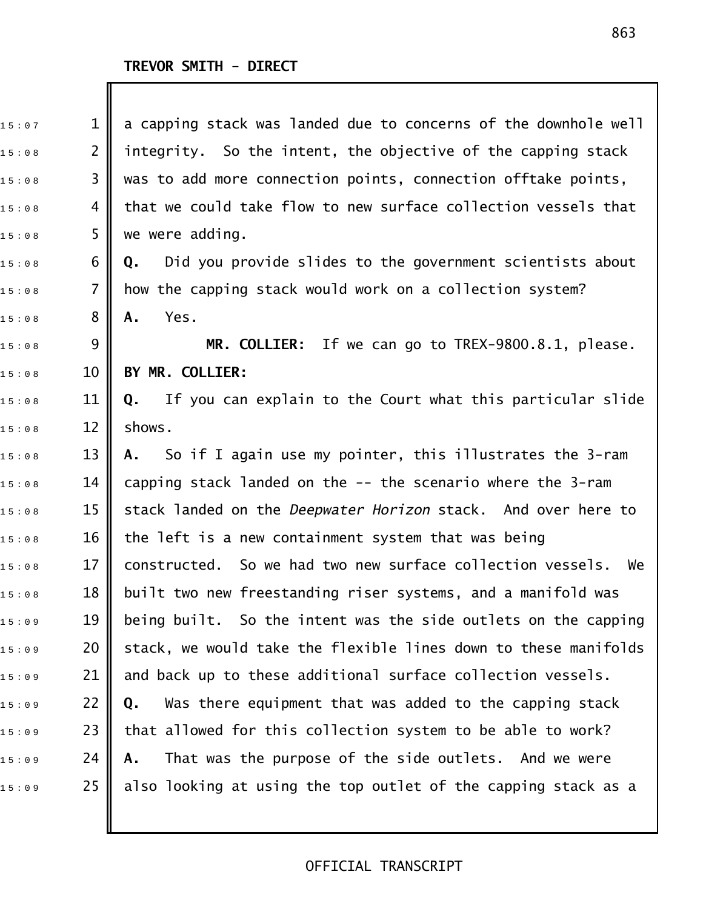| 15:07 | $\mathbf 1$    | a capping stack was landed due to concerns of the downhole well  |
|-------|----------------|------------------------------------------------------------------|
| 15:08 | $\overline{2}$ | integrity. So the intent, the objective of the capping stack     |
| 15:08 | 3              | was to add more connection points, connection offtake points,    |
| 15:08 | 4              | that we could take flow to new surface collection vessels that   |
| 15:08 | 5              | we were adding.                                                  |
| 15:08 | 6              | Did you provide slides to the government scientists about<br>Q.  |
| 15:08 | 7              | how the capping stack would work on a collection system?         |
| 15:08 | 8              | Yes.<br>Α.                                                       |
| 15:08 | 9              | MR. COLLIER: If we can go to TREX-9800.8.1, please.              |
| 15:08 | 10             | BY MR. COLLIER:                                                  |
| 15:08 | 11             | If you can explain to the Court what this particular slide<br>Q. |
| 15:08 | 12             | shows.                                                           |
| 15:08 | 13             | A. So if I again use my pointer, this illustrates the 3-ram      |
| 15:08 | 14             | capping stack landed on the -- the scenario where the 3-ram      |
| 15:08 | 15             | stack landed on the Deepwater Horizon stack. And over here to    |
| 15:08 | 16             | the left is a new containment system that was being              |
| 15:08 | 17             | constructed. So we had two new surface collection vessels.<br>We |
| 15:08 | 18             | built two new freestanding riser systems, and a manifold was     |
| 15:09 | 19             | being built. So the intent was the side outlets on the capping   |
| 15:09 | 20             | stack, we would take the flexible lines down to these manifolds  |
| 15:09 | 21             | and back up to these additional surface collection vessels.      |
| 15:09 | 22             | Was there equipment that was added to the capping stack<br>Q.    |
| 15:09 | 23             | that allowed for this collection system to be able to work?      |
| 15:09 | 24             | That was the purpose of the side outlets. And we were<br>Α.      |
| 15:09 | 25             | also looking at using the top outlet of the capping stack as a   |
|       |                |                                                                  |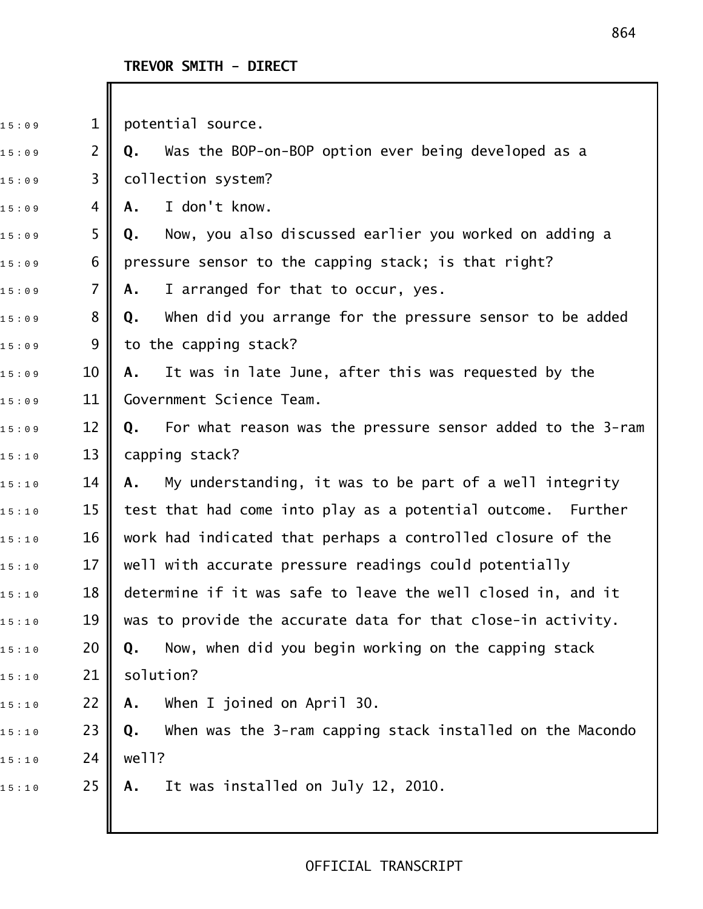$11 \text{ potential source}.$ 

15:09 2 **|| Q.** Was the BOP-on-BOP option ever being developed as a  $15:09$  3 | collection system? 1 5 : 0 9 4 **A.** I don't know. 1 5 : 0 9 5 **Q.** Now, you also discussed earlier you worked on adding a 15:09  $\,$  6  $\,$  pressure sensor to the capping stack; is that right?  $15:09$   $7 \parallel A$ . I arranged for that to occur, yes. 1 5 : 0 9 8 **Q.** When did you arrange for the pressure sensor to be added 15:09 9 to the capping stack? 1 5 : 0 9 10 **A.** It was in late June, after this was requested by the 15:09 11 | Government Science Team. 15:09 12 **|| Q.** For what reason was the pressure sensor added to the 3-ram  $15:10$  13 capping stack? 1 5 : 1 0 14 **A.** My understanding, it was to be part of a well integrity  $_{1 \, 5 \, : \, 1 \, 0}$   $\qquad \qquad$  15  $\parallel$  test that had come into play as a potential outcome. Further  $_{1 \, 5 \, : \, 1 \, 0}$   $\qquad \quad$  16  $\parallel$  work had indicated that perhaps a controlled closure of the  $_{15:10}$   $\,$   $\,$  17  $\,$  well with accurate pressure readings could potentially 1 5 : 1 0 18 determine if it was safe to leave the well closed in, and it  $_{1 \, 5 \, : \, 1 \, 0}$   $\quad$  19  $\parallel$  was to provide the accurate data for that close-in activity. 1 5 : 1 0 20 **Q.** Now, when did you begin working on the capping stack  $15:10$  21 | solution? 1 5 : 1 0 22 **A.** When I joined on April 30. 1 5 : 1 0 23 **Q.** When was the 3!ram capping stack installed on the Macondo  $15:10$  24 | well? 1 5 : 1 0 25 **A.** It was installed on July 12, 2010.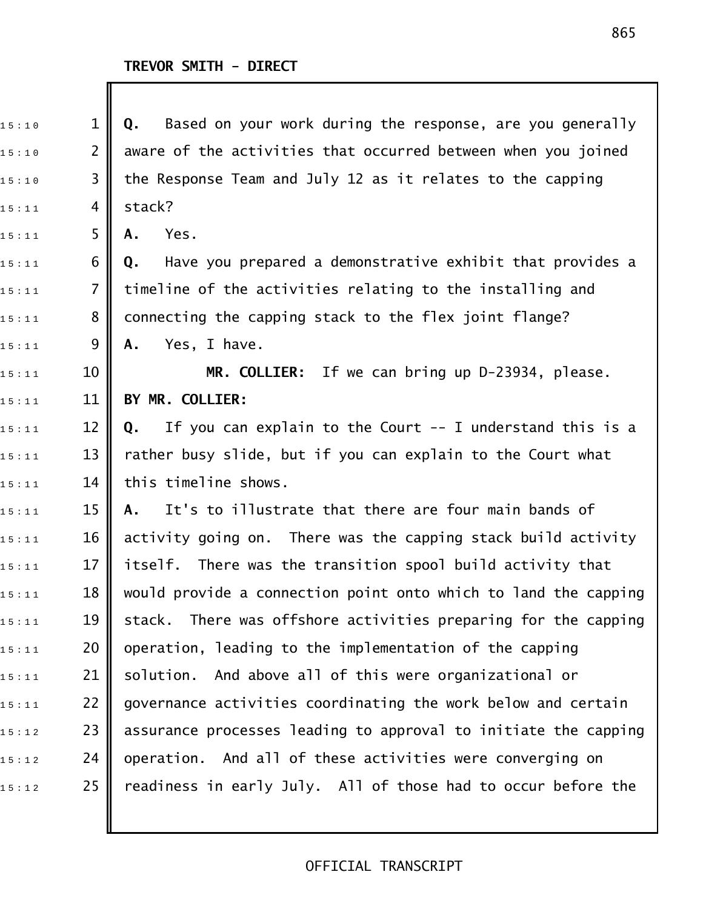| $\mathbf 1$    | Based on your work during the response, are you generally<br>Q.    |
|----------------|--------------------------------------------------------------------|
| $\overline{2}$ | aware of the activities that occurred between when you joined      |
| 3              | the Response Team and July 12 as it relates to the capping         |
| 4              | stack?                                                             |
| 5              | Yes.<br>Α.                                                         |
| 6              | Have you prepared a demonstrative exhibit that provides a<br>Q.    |
| $\overline{7}$ | timeline of the activities relating to the installing and          |
| 8              | connecting the capping stack to the flex joint flange?             |
| 9              | Yes, I have.<br>Α.                                                 |
| 10             | MR. COLLIER: If we can bring up D-23934, please.                   |
| 11             | BY MR. COLLIER:                                                    |
| 12             | If you can explain to the Court $-$ - I understand this is a<br>Q. |
| 13             | rather busy slide, but if you can explain to the Court what        |
| 14             | this timeline shows.                                               |
| 15             | It's to illustrate that there are four main bands of<br>A.         |
| 16             | activity going on. There was the capping stack build activity      |
| 17             | itself. There was the transition spool build activity that         |
| 18             | would provide a connection point onto which to land the capping    |
| 19             | There was offshore activities preparing for the capping<br>stack.  |
| 20             | operation, leading to the implementation of the capping            |
| 21             | And above all of this were organizational or<br>solution.          |
| 22             | governance activities coordinating the work below and certain      |
| 23             | assurance processes leading to approval to initiate the capping    |
| 24             | operation. And all of these activities were converging on          |
| 25             | readiness in early July. All of those had to occur before the      |
|                |                                                                    |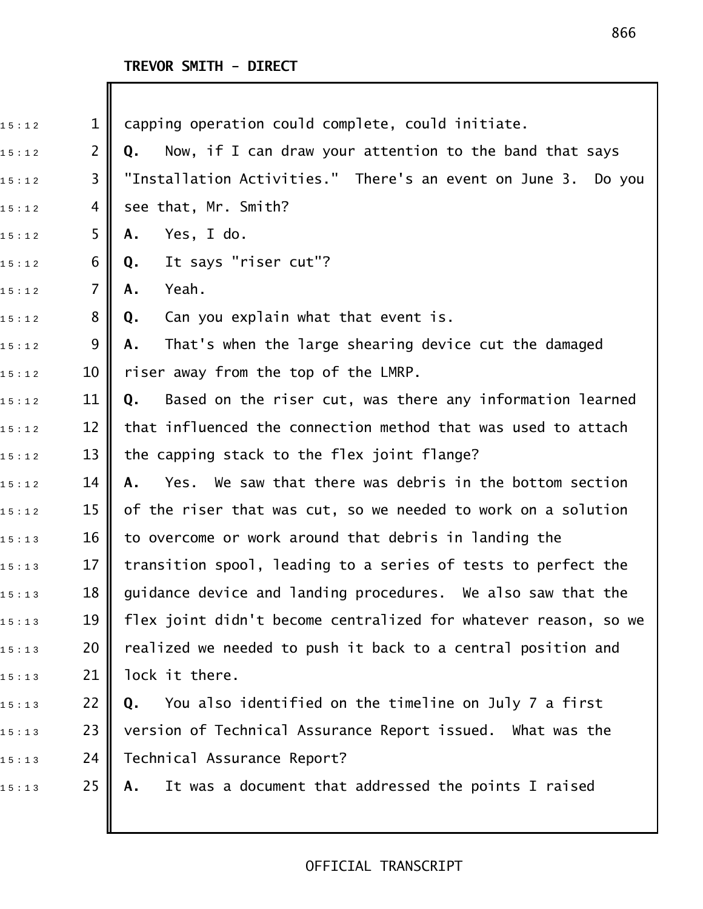| $\mathbf{1}$<br>capping operation could complete, could initiate.               |
|---------------------------------------------------------------------------------|
| $\overline{2}$<br>Now, if I can draw your attention to the band that says<br>Q. |
| "Installation Activities." There's an event on June 3. Do you<br>3              |
| see that, Mr. Smith?<br>4                                                       |
| Yes, I do.<br>Α.                                                                |
| It says "riser cut"?<br>6<br>Q.                                                 |
| $\overline{7}$<br>Yeah.<br>Α.                                                   |
| 8<br>Can you explain what that event is.<br>Q.                                  |
| That's when the large shearing device cut the damaged<br>Α.                     |
| riser away from the top of the LMRP.<br>10                                      |
| 11<br>Based on the riser cut, was there any information learned<br>Q.           |
| 12<br>that influenced the connection method that was used to attach             |
| 13<br>the capping stack to the flex joint flange?                               |
| Yes. We saw that there was debris in the bottom section<br>14<br>Α.             |
| 15<br>of the riser that was cut, so we needed to work on a solution             |
| 16<br>to overcome or work around that debris in landing the                     |
| 17<br>transition spool, leading to a series of tests to perfect the             |
| 18<br>guidance device and landing procedures. We also saw that the              |
| flex joint didn't become centralized for whatever reason, so we                 |
| realized we needed to push it back to a central position and                    |
| lock it there.                                                                  |
| 22<br>You also identified on the timeline on July 7 a first<br>Q.               |
| version of Technical Assurance Report issued. What was the                      |
| 24<br>Technical Assurance Report?                                               |
| 25<br>It was a document that addressed the points I raised<br>Α.                |
| 5<br>9<br>19<br>20<br>21<br>23                                                  |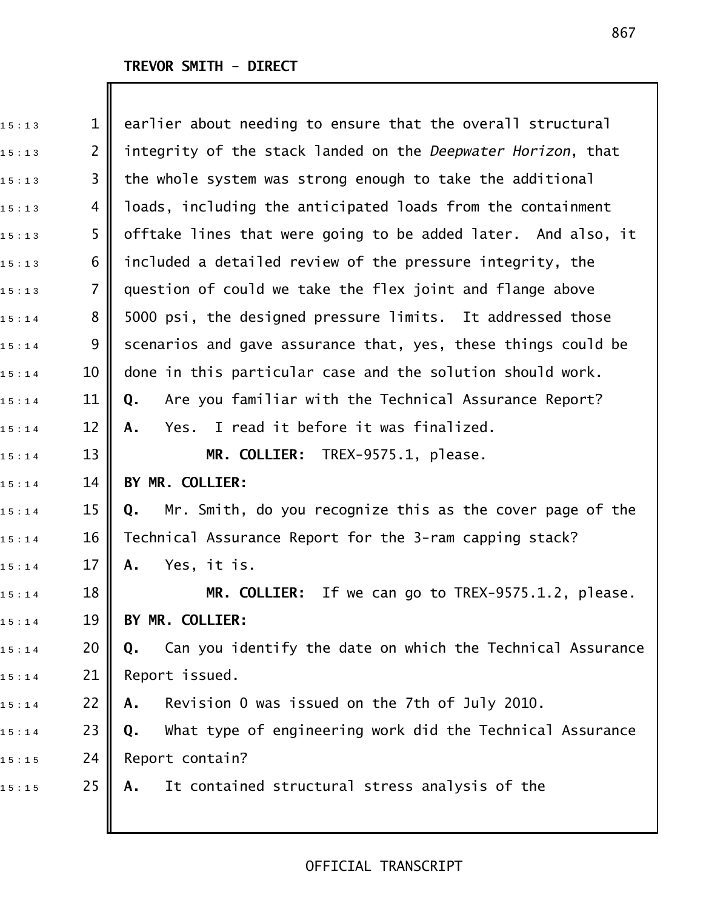| 15:13 | $\mathbf 1$    | earlier about needing to ensure that the overall structural      |
|-------|----------------|------------------------------------------------------------------|
| 15:13 | $\overline{2}$ | integrity of the stack landed on the Deepwater Horizon, that     |
| 15:13 | 3              | the whole system was strong enough to take the additional        |
| 15:13 | 4              | loads, including the anticipated loads from the containment      |
| 15:13 | 5              | offtake lines that were going to be added later. And also, it    |
| 15:13 | 6              | included a detailed review of the pressure integrity, the        |
| 15:13 | $\overline{7}$ | question of could we take the flex joint and flange above        |
| 15:14 | 8              | 5000 psi, the designed pressure limits. It addressed those       |
| 15:14 | 9              | scenarios and gave assurance that, yes, these things could be    |
| 15:14 | 10             | done in this particular case and the solution should work.       |
| 15:14 | 11             | Are you familiar with the Technical Assurance Report?<br>Q.      |
| 15:14 | 12             | Yes. I read it before it was finalized.<br>А.                    |
| 15:14 | 13             | MR. COLLIER: TREX-9575.1, please.                                |
| 15:14 | 14             | BY MR. COLLIER:                                                  |
| 15:14 | 15             | Mr. Smith, do you recognize this as the cover page of the<br>Q.  |
| 15:14 | 16             | Technical Assurance Report for the 3-ram capping stack?          |
| 15:14 | 17             | Yes, it is.<br>Α.                                                |
| 15:14 | 18             | If we can go to TREX-9575.1.2, please.<br><b>MR. COLLIER:</b>    |
| 15:14 | 19             | BY MR. COLLIER:                                                  |
| 15:14 | 20             | Can you identify the date on which the Technical Assurance<br>Q. |
| 15:14 | 21             | Report issued.                                                   |
| 15:14 | 22             | Revision 0 was issued on the 7th of July 2010.<br>Α.             |
| 15:14 | 23             | What type of engineering work did the Technical Assurance<br>Q.  |
| 15:15 | 24             | Report contain?                                                  |
| 15:15 | 25             | It contained structural stress analysis of the<br>Α.             |
|       |                |                                                                  |

### 867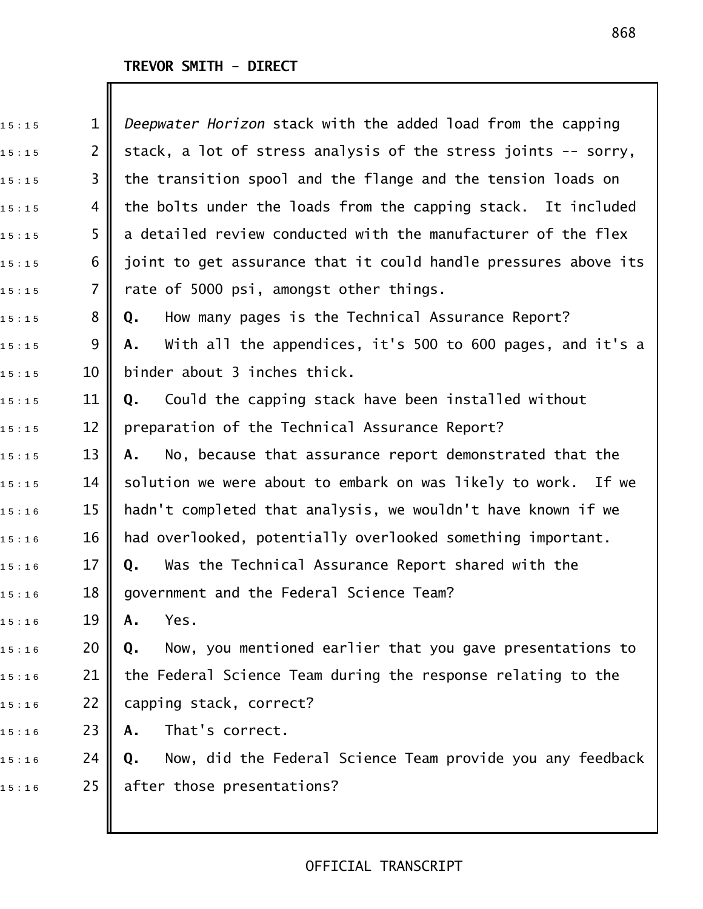Ш

| 15:15 | 1              | Deepwater Horizon stack with the added load from the capping     |
|-------|----------------|------------------------------------------------------------------|
| 15:15 | $\overline{2}$ | stack, a lot of stress analysis of the stress joints -- sorry,   |
| 15:15 | 3              | the transition spool and the flange and the tension loads on     |
| 15:15 | 4              | the bolts under the loads from the capping stack. It included    |
| 15:15 | 5              | a detailed review conducted with the manufacturer of the flex    |
| 15:15 | 6              | joint to get assurance that it could handle pressures above its  |
| 15:15 | $\overline{7}$ | rate of 5000 psi, amongst other things.                          |
| 15:15 | 8              | How many pages is the Technical Assurance Report?<br>Q.          |
| 15:15 | 9              | With all the appendices, it's 500 to 600 pages, and it's a<br>А. |
| 15:15 | 10             | binder about 3 inches thick.                                     |
| 15:15 | 11             | Could the capping stack have been installed without<br>Q.        |
| 15:15 | 12             | preparation of the Technical Assurance Report?                   |
| 15:15 | 13             | No, because that assurance report demonstrated that the<br>Α.    |
| 15:15 | 14             | solution we were about to embark on was likely to work. If we    |
| 15:16 | 15             | hadn't completed that analysis, we wouldn't have known if we     |
| 15:16 | 16             | had overlooked, potentially overlooked something important.      |
| 15:16 | 17             | Was the Technical Assurance Report shared with the<br>Q.         |
| 15:16 | 18             | government and the Federal Science Team?                         |
| 15:16 | 19             | Yes.<br>Α.                                                       |
| 15:16 | 20             | Now, you mentioned earlier that you gave presentations to<br>Q.  |
| 15:16 | 21             | the Federal Science Team during the response relating to the     |
| 15:16 | 22             | capping stack, correct?                                          |
| 15:16 | 23             | That's correct.<br>Α.                                            |
| 15:16 | 24             | Now, did the Federal Science Team provide you any feedback<br>Q. |
| 15:16 | 25             | after those presentations?                                       |
|       |                |                                                                  |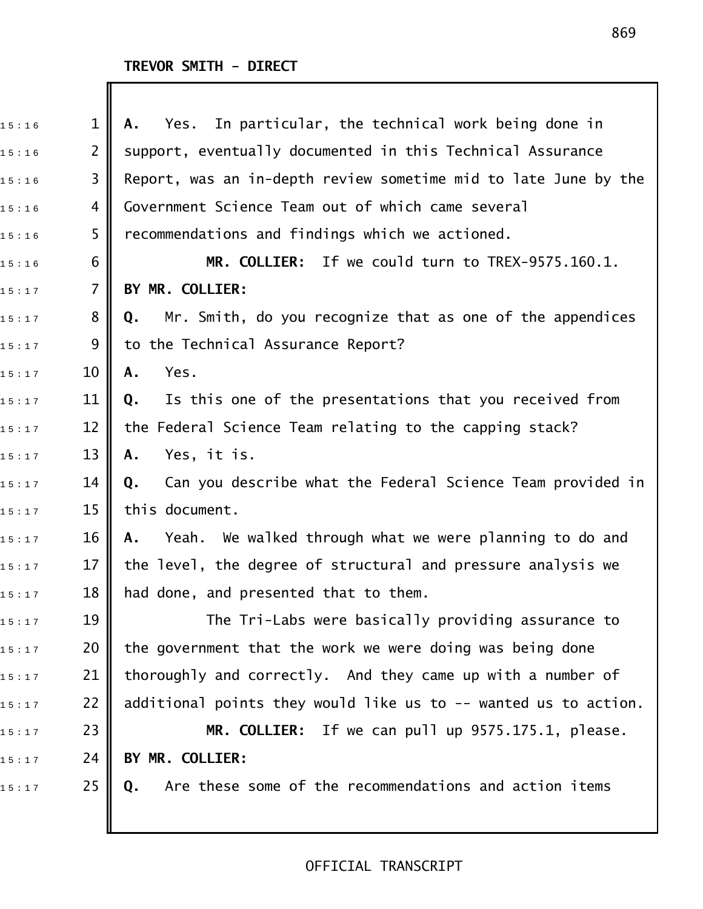| 15:16 | 1              | Yes. In particular, the technical work being done in<br>Α.       |
|-------|----------------|------------------------------------------------------------------|
| 15:16 | $\overline{2}$ | support, eventually documented in this Technical Assurance       |
| 15:16 | 3              | Report, was an in-depth review sometime mid to late June by the  |
| 15:16 | 4              | Government Science Team out of which came several                |
| 15:16 | 5              | recommendations and findings which we actioned.                  |
| 15:16 | 6              | MR. COLLIER: If we could turn to TREX-9575.160.1.                |
| 15:17 | 7              | BY MR. COLLIER:                                                  |
| 15:17 | 8              | Mr. Smith, do you recognize that as one of the appendices<br>Q.  |
| 15:17 | 9              | to the Technical Assurance Report?                               |
| 15:17 | 10             | Yes.<br>A.                                                       |
| 15:17 | 11             | Is this one of the presentations that you received from<br>Q.    |
| 15:17 | 12             | the Federal Science Team relating to the capping stack?          |
| 15:17 | 13             | Yes, it is.<br>Α.                                                |
| 15:17 | 14             | Can you describe what the Federal Science Team provided in<br>Q. |
| 15:17 | 15             | this document.                                                   |
| 15:17 | 16             | Yeah. We walked through what we were planning to do and<br>Α.    |
| 15:17 | 17             | the level, the degree of structural and pressure analysis we     |
| 15:17 | 18             | had done, and presented that to them.                            |
| 15:17 | 19             | The Tri-Labs were basically providing assurance to               |
| 15:17 | 20             | the government that the work we were doing was being done        |
| 15:17 | 21             | thoroughly and correctly. And they came up with a number of      |
| 15:17 | 22             | additional points they would like us to -- wanted us to action.  |
| 15:17 | 23             | MR. COLLIER: If we can pull up 9575.175.1, please.               |
| 15:17 | 24             | BY MR. COLLIER:                                                  |
| 15:17 | 25             | Are these some of the recommendations and action items<br>Q.     |
|       |                |                                                                  |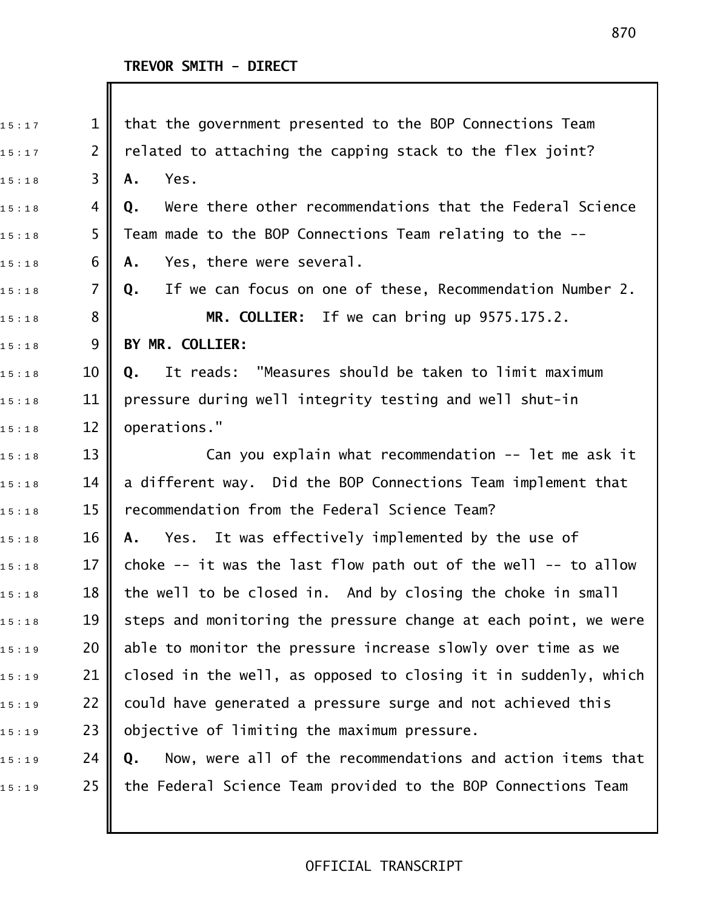| 15:17 | $\mathbf{1}$   | that the government presented to the BOP Connections Team        |
|-------|----------------|------------------------------------------------------------------|
| 15:17 | $\overline{2}$ | related to attaching the capping stack to the flex joint?        |
| 15:18 | 3              | Yes.<br>Α.                                                       |
| 15:18 | 4              | Were there other recommendations that the Federal Science<br>Q.  |
| 15:18 | 5              | Team made to the BOP Connections Team relating to the --         |
| 15:18 | 6              | Yes, there were several.<br>Α.                                   |
| 15:18 | $\overline{7}$ | If we can focus on one of these, Recommendation Number 2.<br>Q.  |
| 15:18 | 8              | MR. COLLIER: If we can bring up 9575.175.2.                      |
| 15:18 | 9              | BY MR. COLLIER:                                                  |
| 15:18 | 10             | It reads: "Measures should be taken to limit maximum<br>Q.       |
| 15:18 | 11             | pressure during well integrity testing and well shut-in          |
| 15:18 | 12             | operations."                                                     |
| 15:18 | 13             | Can you explain what recommendation -- let me ask it             |
| 15:18 | 14             | a different way. Did the BOP Connections Team implement that     |
| 15:18 | 15             | recommendation from the Federal Science Team?                    |
| 15:18 | 16             | Yes. It was effectively implemented by the use of<br>А.          |
| 15:18 | 17             | choke $-$ it was the last flow path out of the well $-$ to allow |
| 15:18 | 18             | the well to be closed in. And by closing the choke in small      |
| 15:18 | 19             | steps and monitoring the pressure change at each point, we were  |
| 15:19 | 20             | able to monitor the pressure increase slowly over time as we     |
| 15:19 | 21             | closed in the well, as opposed to closing it in suddenly, which  |
| 15:19 | 22             | could have generated a pressure surge and not achieved this      |
| 15:19 | 23             | objective of limiting the maximum pressure.                      |
| 15:19 | 24             | Now, were all of the recommendations and action items that<br>Q. |
| 15:19 | 25             | the Federal Science Team provided to the BOP Connections Team    |
|       |                |                                                                  |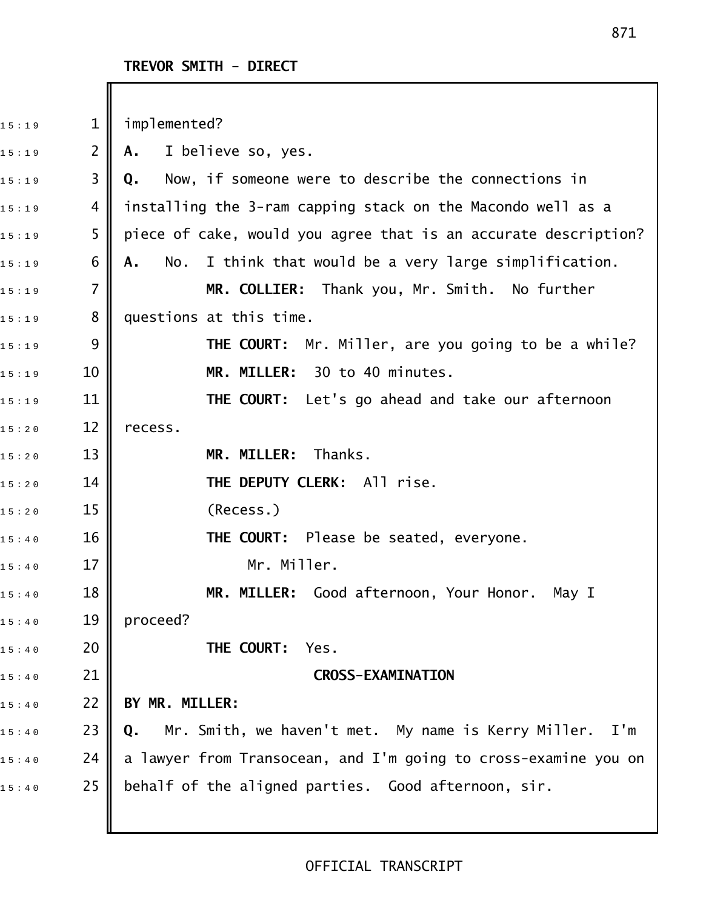| 15:19 | $\mathbf{1}$   | implemented?                                                    |
|-------|----------------|-----------------------------------------------------------------|
| 15:19 | $\overline{2}$ | I believe so, yes.<br>A.                                        |
| 15:19 | 3              | Now, if someone were to describe the connections in<br>Q.       |
| 15:19 | 4              | installing the 3-ram capping stack on the Macondo well as a     |
| 15:19 | 5              | piece of cake, would you agree that is an accurate description? |
| 15:19 | 6              | I think that would be a very large simplification.<br>No.<br>Α. |
| 15:19 | $\overline{7}$ | MR. COLLIER: Thank you, Mr. Smith. No further                   |
| 15:19 | 8              | questions at this time.                                         |
| 15:19 | 9              | <b>THE COURT:</b> Mr. Miller, are you going to be a while?      |
| 15:19 | 10             | MR. MILLER: 30 to 40 minutes.                                   |
| 15:19 | 11             | THE COURT: Let's go ahead and take our afternoon                |
| 15:20 | 12             | recess.                                                         |
| 15:20 | 13             | MR. MILLER: Thanks.                                             |
| 15:20 | 14             | THE DEPUTY CLERK: All rise.                                     |
| 15:20 | 15             | (Recess.)                                                       |
| 15:40 | 16             | THE COURT: Please be seated, everyone.                          |
| 15:40 | 17             | Mr. Miller.                                                     |
| 15:40 | 18             | MILLER: Good afternoon, Your Honor.<br>MR.<br>May I             |
| 15:40 | 19             | proceed?                                                        |
| 15:40 | 20             | THE COURT:<br>Yes.                                              |
| 15:40 | 21             | <b>CROSS-EXAMINATION</b>                                        |
| 15:40 | 22             | BY MR. MILLER:                                                  |
| 15:40 | 23             | Mr. Smith, we haven't met. My name is Kerry Miller. I'm<br>Q.   |
| 15:40 | 24             | a lawyer from Transocean, and I'm going to cross-examine you on |
| 15:40 | 25             | behalf of the aligned parties. Good afternoon, sir.             |
|       |                |                                                                 |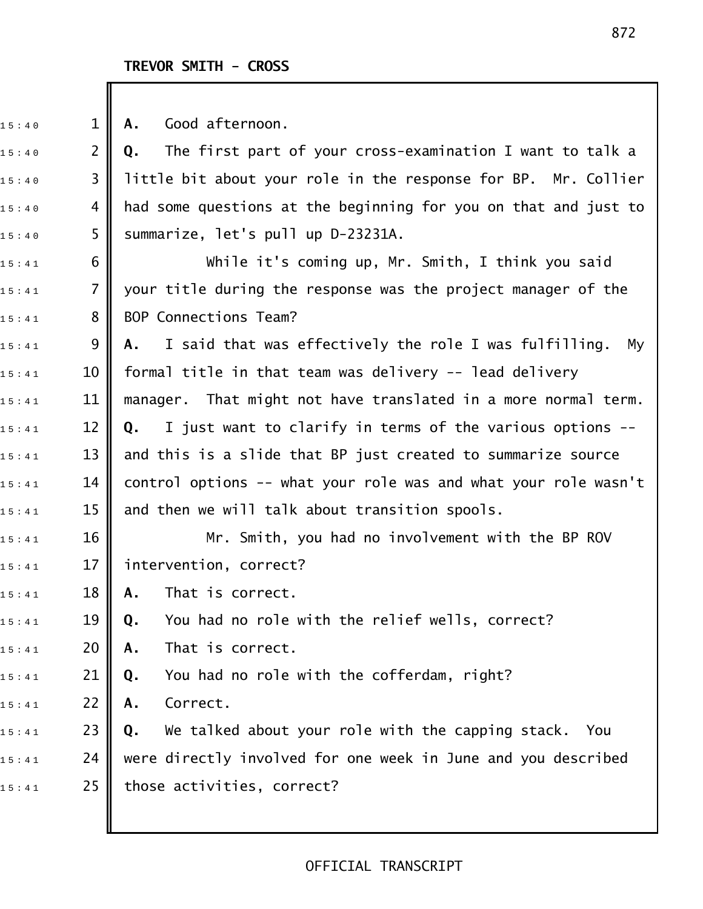#### TREVOR SMITH - CROSS

15:40 **1 || A.** Good afternoon. 15:40 2 **|| Q.** The first part of your cross-examination I want to talk a  $_{1 \, 5 \, : \, 4 \, 0}$   $\quad$  3  $\parallel$  little bit about your role in the response for BP.  $\,$  Mr. Collier  $15:40$  4 | had some questions at the beginning for you on that and just to  $_{15:40}$  5  $\parallel$  summarize, let's pull up D-23231A. 15:41 6 **||** While it's coming up, Mr. Smith, I think you said  $15:41$  7  $\parallel$  your title during the response was the project manager of the  $15:41$  8 || BOP Connections Team? 1 5 : 4 1 9 **A.** I said that was effectively the role I was fulfilling. My  $_{15:41}$   $\,$  10  $\,$  formal title in that team was delivery -- lead delivery  $_{1\,5\,:\,4\,1}$   $\qquad \qquad 11$   $\|$  manager. That might not have translated in a more normal term. 15:41 12 **Q.** I just want to clarify in terms of the various options -- $_{15:41}$   $\,$   $\,$  13  $\,$  and this is a slide that BP just created to summarize source  $_{15:41}$   $\qquad$  14  $\qquad$  control options -- what your role was and what your role wasn't  $_{15:41}$  15 || and then we will talk about transition spools.  $_{1\,5\,:\,4\,1}$  16  $\parallel$  Mr. Smith, you had no involvement with the BP ROV  $_{15:41}$  17 || intervention, correct? 1 5 : 4 1 18 **A.** That is correct. 1 5 : 4 1 19 **Q.** You had no role with the relief wells, correct? 1 5 : 4 1 20 **A.** That is correct. 1 5 : 4 1 21 **Q.** You had no role with the cofferdam, right? 1 5 : 4 1 22 **A.** Correct. 1 5 : 4 1 23 **Q.** We talked about your role with the capping stack. You  $_{1\,5\,:\,4\,1}$  24  $\,$  were directly involved for one week in June and you described  $15:41$  25 those activities, correct?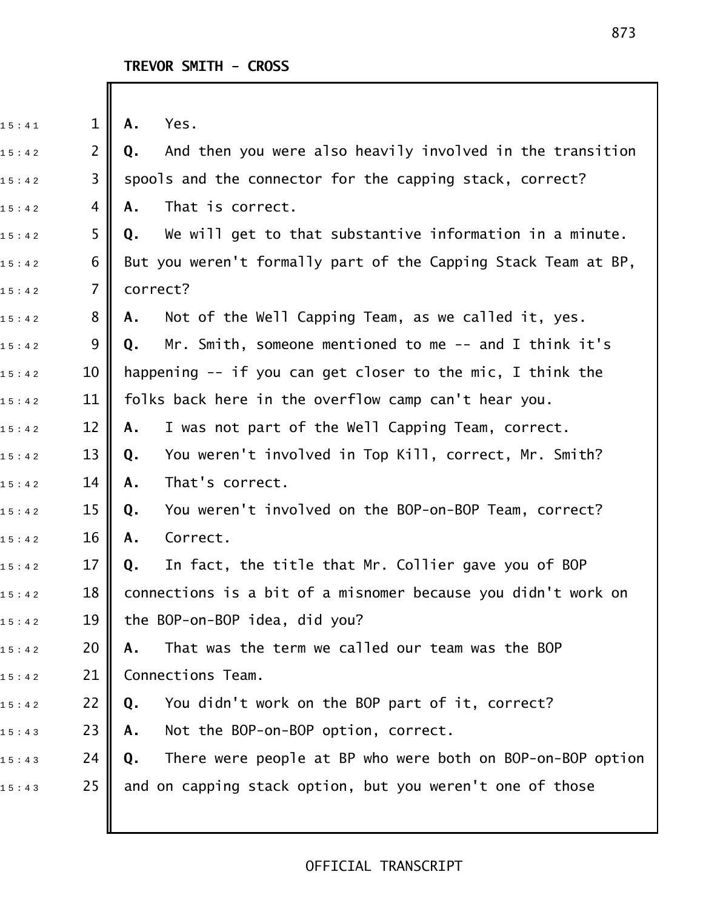| 15:41 | $\mathbf{1}$   | Yes.<br>Α.                                                       |
|-------|----------------|------------------------------------------------------------------|
| 15:42 | $\overline{2}$ | And then you were also heavily involved in the transition<br>Q.  |
| 15:42 | 3              | spools and the connector for the capping stack, correct?         |
| 15:42 | 4              | That is correct.<br>Α.                                           |
| 15:42 | 5              | We will get to that substantive information in a minute.<br>Q.   |
| 15:42 | 6              | But you weren't formally part of the Capping Stack Team at BP,   |
| 15:42 | $\overline{7}$ | correct?                                                         |
| 15:42 | 8              | Not of the Well Capping Team, as we called it, yes.<br>Α.        |
| 15:42 | 9              | Mr. Smith, someone mentioned to me $-$ and I think it's<br>Q.    |
| 15:42 | 10             | happening -- if you can get closer to the mic, I think the       |
| 15:42 | 11             | folks back here in the overflow camp can't hear you.             |
| 15:42 | 12             | I was not part of the Well Capping Team, correct.<br>Α.          |
| 15:42 | 13             | You weren't involved in Top Kill, correct, Mr. Smith?<br>Q.      |
| 15:42 | 14             | That's correct.<br>Α.                                            |
| 15:42 | 15             | You weren't involved on the BOP-on-BOP Team, correct?<br>Q.      |
| 15:42 | 16             | Correct.<br>Α.                                                   |
| 15:42 | 17             | In fact, the title that Mr. Collier gave you of BOP<br>Q.        |
| 15:42 | 18             | connections is a bit of a misnomer because you didn't work on    |
| 15:42 | 19             | the BOP-on-BOP idea, did you?                                    |
| 15:42 | 20             | That was the term we called our team was the BOP<br>Α.           |
| 15:42 | 21             | Connections Team.                                                |
| 15:42 | 22             | You didn't work on the BOP part of it, correct?<br>Q.            |
| 15:43 | 23             | Not the BOP-on-BOP option, correct.<br>Α.                        |
| 15:43 | 24             | There were people at BP who were both on BOP-on-BOP option<br>Q. |
| 15:43 | 25             | and on capping stack option, but you weren't one of those        |
|       |                |                                                                  |
|       |                |                                                                  |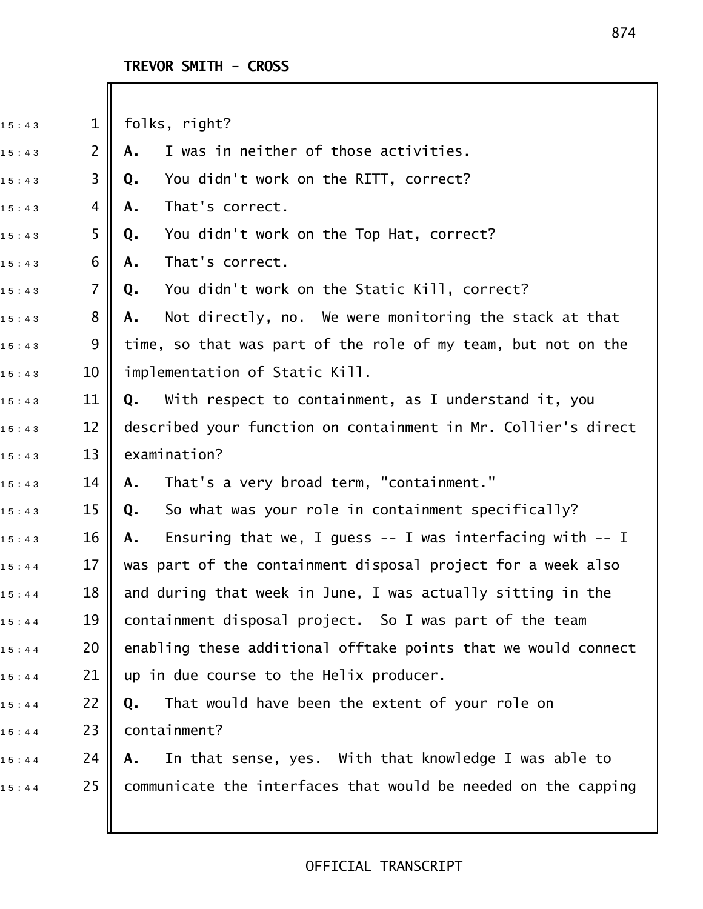#### **TREVOR SMITH - CROSS**

 $15:43$  1 || folks, right? 1 5 : 4 3 2 **A.** I was in neither of those activities. 1 5 : 4 3 3 **Q.** You didn't work on the RITT, correct? 15:43 4 **A.** That's correct. 1 5 : 4 3 5 **Q.** You didn't work on the Top Hat, correct? 1 5 : 4 3 6 **A.** That's correct. 1 5 : 4 3 7 **Q.** You didn't work on the Static Kill, correct? 1 5 : 4 3 8 **A.** Not directly, no. We were monitoring the stack at that  $_{1\,5\,:\,4\,3}$   $\quad\quad$  9  $\parallel$  time, so that was part of the role of my team, but not on the  $15:43$  10  $\parallel$  implementation of Static Kill. 1 5 : 4 3 11 **Q.** With respect to containment, as I understand it, you  $_{1\,5\,:\,4\,3}$   $\qquad$  12  $\parallel$  described your function on containment in Mr. Collier's direct  $15:43$  13 examination? 1 5 : 4 3 14 **A.** That's a very broad term, "containment." 1 5 : 4 3 15 **Q.** So what was your role in containment specifically? 15:43 16 **|| A.** Ensuring that we, I guess -- I was interfacing with -- I  $_{1\,5\,:\,4\,4}$   $\qquad$  17  $\parallel$  was part of the containment disposal project for a week also  $_{1\,5\,:\,4\,4}$   $\qquad$  18  $\parallel$  and during that week in June, I was actually sitting in the  $_{1\,5\,:\,4\,4}$   $\qquad \,19$   $\parallel$  containment disposal project. So I was part of the team  $_{1\,5\,:\,4\,4}$  20  $\parallel$  enabling these additional offtake points that we would connect  $15:44$  21 || up in due course to the Helix producer. 1 5 : 4 4 22 **Q.** That would have been the extent of your role on  $1 5 : 4 4$  23 containment? 1 5 : 4 4 24 **A.** In that sense, yes. With that knowledge I was able to  $15:44$  25 communicate the interfaces that would be needed on the capping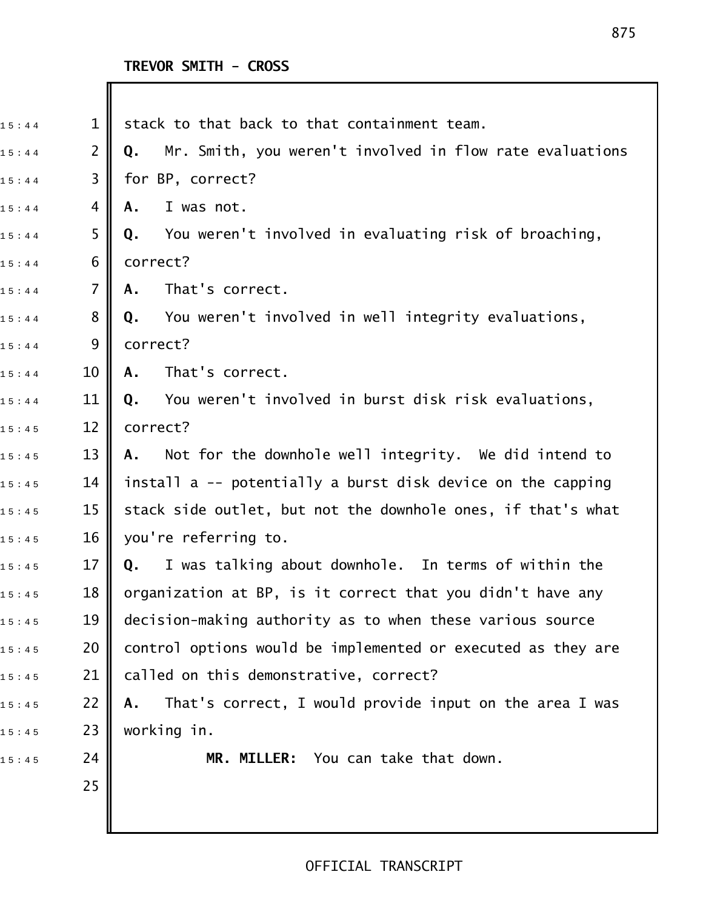| 15:44 | $\mathbf 1$    | stack to that back to that containment team.                   |
|-------|----------------|----------------------------------------------------------------|
| 15:44 | $\overline{2}$ | Mr. Smith, you weren't involved in flow rate evaluations<br>Q. |
| 15:44 | 3              | for BP, correct?                                               |
| 15:44 | 4              | I was not.<br>Α.                                               |
| 15:44 | 5              | You weren't involved in evaluating risk of broaching,<br>Q.    |
| 15:44 | 6              | correct?                                                       |
| 15:44 | $\overline{7}$ | That's correct.<br>Α.                                          |
| 15:44 | 8              | You weren't involved in well integrity evaluations,<br>Q.      |
| 15:44 | 9              | correct?                                                       |
| 15:44 | 10             | That's correct.<br>Α.                                          |
| 15:44 | 11             | You weren't involved in burst disk risk evaluations,<br>Q.     |
| 15:45 | 12             | correct?                                                       |
| 15:45 | 13             | Not for the downhole well integrity. We did intend to<br>А.    |
| 15:45 | 14             | install a -- potentially a burst disk device on the capping    |
| 15:45 | 15             | stack side outlet, but not the downhole ones, if that's what   |
| 15:45 | 16             | you're referring to.                                           |
| 15:45 | 17             | I was talking about downhole. In terms of within the<br>Q.     |
| 15:45 | 18             | organization at BP, is it correct that you didn't have any     |
| 15:45 | 19             | decision-making authority as to when these various source      |
| 15:45 | 20             | control options would be implemented or executed as they are   |
| 15:45 | 21             | called on this demonstrative, correct?                         |
| 15:45 | 22             | That's correct, I would provide input on the area I was<br>Α.  |
| 15:45 | 23             | working in.                                                    |
| 15:45 | 24             | MR. MILLER: You can take that down.                            |
|       | 25             |                                                                |
|       |                |                                                                |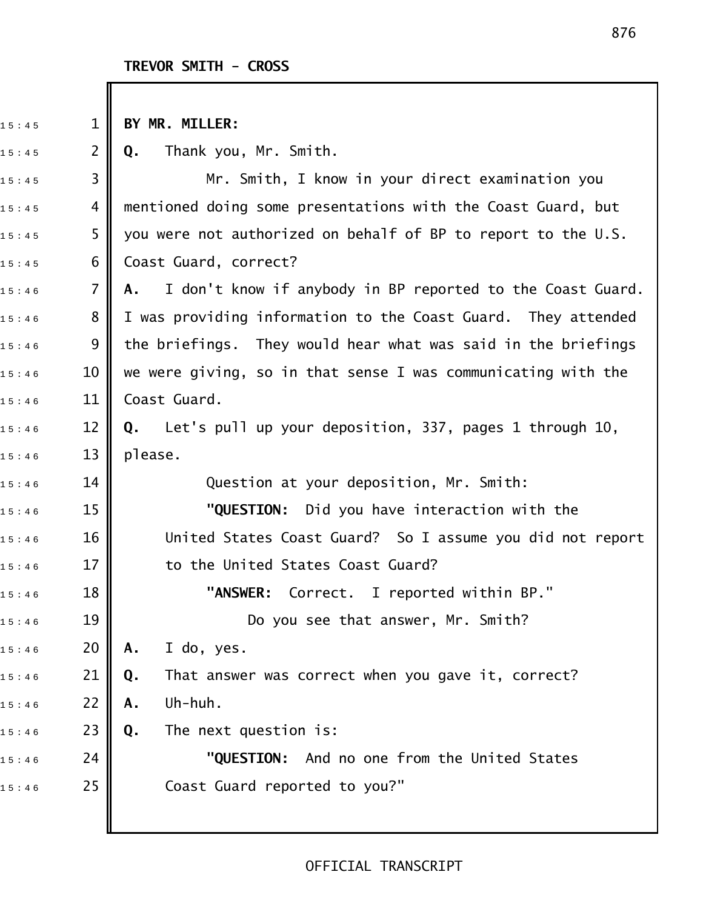# TREVOR SMITH - CROSS

| 15:45 | $\mathbf 1$ | BY MR. MILLER:                                                |
|-------|-------------|---------------------------------------------------------------|
| 15:45 | 2           | Q. Thank you, Mr. Smith.                                      |
| 15:45 | 3           | Mr. Smith, I know in your direct examination you              |
| 15:45 | 4           | mentioned doing some presentations with the Coast Guard, but  |
| 15:45 | 5           | you were not authorized on behalf of BP to report to the U.S. |
| 15:45 | 6           | Coast Guard, correct?                                         |
| 15:46 | 7           | A. I don't know if anybody in BP reported to the Coast Guard. |
| 15:46 | 8           | I was providing information to the Coast Guard. They attended |
| 15:46 | 9           | the briefings. They would hear what was said in the briefings |
| 15:46 | 10          | we were giving, so in that sense I was communicating with the |
| 15:46 | 11          | Coast Guard.                                                  |
| 15:46 | 12          | Q. Let's pull up your deposition, 337, pages 1 through 10,    |
| 15:46 | 13          | please.                                                       |
| 15:46 | 14          | Question at your deposition, Mr. Smith:                       |
| 15:46 | 15          | "QUESTION: Did you have interaction with the                  |
| 15:46 | 16          | United States Coast Guard? So I assume you did not report     |
| 15:46 | 17          | to the United States Coast Guard?                             |
| 15:46 | 18          | "ANSWER: Correct. I reported within BP."                      |
| 15:46 | 19          | Do you see that answer, Mr. Smith?                            |
| 15:46 | 20          | I do, yes.<br>Α.                                              |
| 15:46 | 21          | That answer was correct when you gave it, correct?<br>Q.      |
| 15:46 | 22          | Uh-huh.<br>Α.                                                 |
| 15:46 | 23          | The next question is:<br>Q.                                   |
| 15:46 | 24          | "QUESTION:<br>And no one from the United States               |
| 15:46 | 25          | Coast Guard reported to you?"                                 |
|       |             |                                                               |
|       |             |                                                               |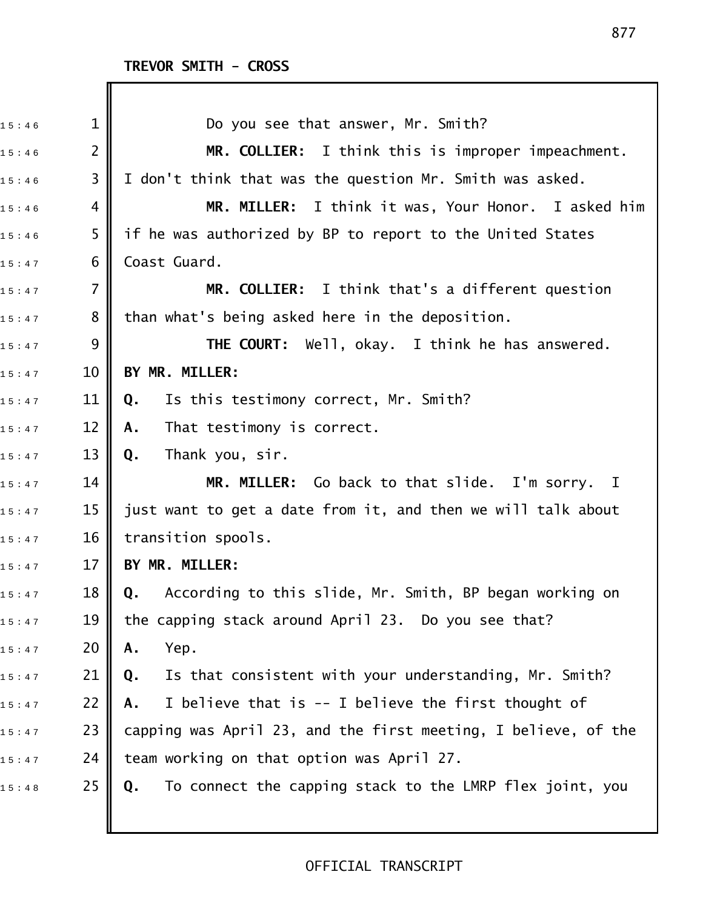| 15:46 | $\mathbf{1}$   | Do you see that answer, Mr. Smith?                             |
|-------|----------------|----------------------------------------------------------------|
| 15:46 | $\overline{2}$ | MR. COLLIER: I think this is improper impeachment.             |
| 15:46 | 3              | I don't think that was the question Mr. Smith was asked.       |
| 15:46 | 4              | MR. MILLER: I think it was, Your Honor. I asked him            |
| 15:46 | 5              | if he was authorized by BP to report to the United States      |
| 15:47 | 6              | Coast Guard.                                                   |
| 15:47 | $\overline{7}$ | MR. COLLIER: I think that's a different question               |
| 15:47 | 8              | than what's being asked here in the deposition.                |
| 15:47 | 9              | <b>THE COURT:</b> Well, okay. I think he has answered.         |
| 15:47 | 10             | BY MR. MILLER:                                                 |
| 15:47 | 11             | Is this testimony correct, Mr. Smith?<br>Q.                    |
| 15:47 | 12             | That testimony is correct.<br>Α.                               |
| 15:47 | 13             | Thank you, sir.<br>Q.                                          |
| 15:47 | 14             | MR. MILLER: Go back to that slide. I'm sorry. I                |
| 15:47 | 15             | just want to get a date from it, and then we will talk about   |
| 15:47 | 16             | transition spools.                                             |
| 15:47 | 17             | BY MR. MILLER:                                                 |
| 15:47 | 18             | Q. According to this slide, Mr. Smith, BP began working on     |
| 15:47 | 19             | the capping stack around April 23. Do you see that?            |
| 15:47 | 20             | Yep.<br>Α.                                                     |
| 15:47 | 21             | Is that consistent with your understanding, Mr. Smith?<br>Q.   |
| 15:47 | 22             | I believe that is -- I believe the first thought of<br>Α.      |
| 15:47 | 23             | capping was April 23, and the first meeting, I believe, of the |
| 15:47 | 24             | team working on that option was April 27.                      |
| 15:48 | 25             | To connect the capping stack to the LMRP flex joint, you<br>Q. |
|       |                |                                                                |
|       |                |                                                                |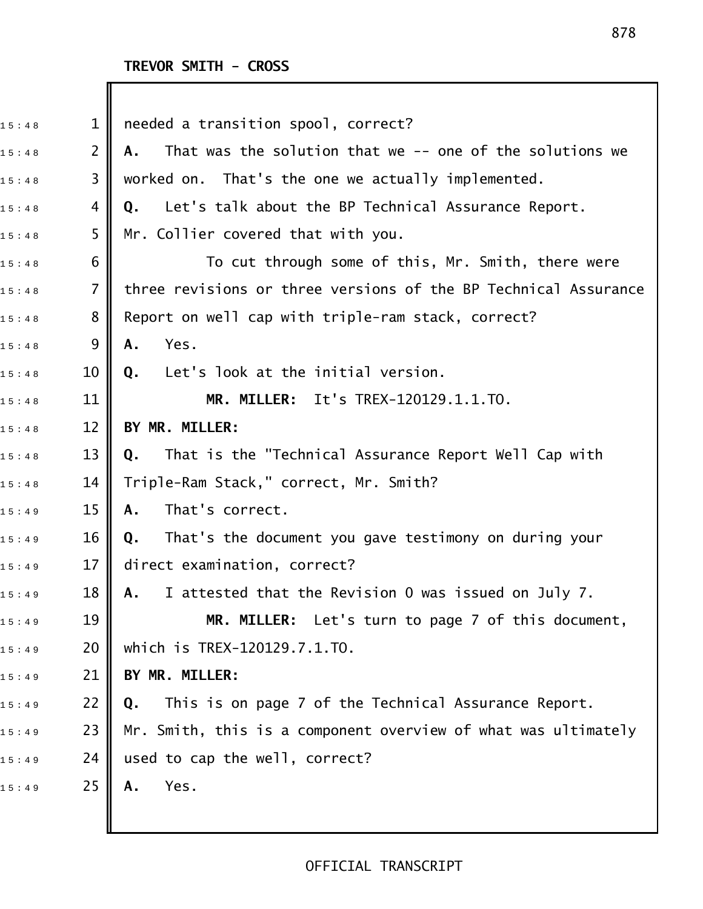| 15:48 | $\mathbf 1$    | needed a transition spool, correct?                             |
|-------|----------------|-----------------------------------------------------------------|
| 15:48 | $\overline{2}$ | That was the solution that we -- one of the solutions we<br>Α.  |
| 15:48 | 3              | worked on. That's the one we actually implemented.              |
| 15:48 | 4              | Let's talk about the BP Technical Assurance Report.<br>Q.       |
| 15:48 | 5              | Mr. Collier covered that with you.                              |
| 15:48 | 6              | To cut through some of this, Mr. Smith, there were              |
| 15:48 | $\overline{7}$ | three revisions or three versions of the BP Technical Assurance |
| 15:48 | 8              | Report on well cap with triple-ram stack, correct?              |
| 15:48 | 9              | Yes.<br>Α.                                                      |
| 15:48 | 10             | Let's look at the initial version.<br>Q.                        |
| 15:48 | 11             | MR. MILLER: It's TREX-120129.1.1.TO.                            |
| 15:48 | 12             | BY MR. MILLER:                                                  |
| 15:48 | 13             | That is the "Technical Assurance Report Well Cap with<br>Q.     |
| 15:48 | 14             | Triple-Ram Stack," correct, Mr. Smith?                          |
| 15:49 | 15             | That's correct.<br>Α.                                           |
| 15:49 | 16             | That's the document you gave testimony on during your<br>Q.     |
| 15:49 | 17             | direct examination, correct?                                    |
| 15:49 | 18             | I attested that the Revision 0 was issued on July 7.<br>A.,     |
| 15:49 | 19             | MR. MILLER: Let's turn to page 7 of this document,              |
| 15:49 | 20             | which is TREX-120129.7.1.TO.                                    |
| 15:49 | 21             | BY MR. MILLER:                                                  |
| 15:49 | 22             | This is on page 7 of the Technical Assurance Report.<br>Q.      |
| 15:49 | 23             | Mr. Smith, this is a component overview of what was ultimately  |
| 15:49 | 24             | used to cap the well, correct?                                  |
| 15:49 | 25             | Yes.<br>Α.                                                      |
|       |                |                                                                 |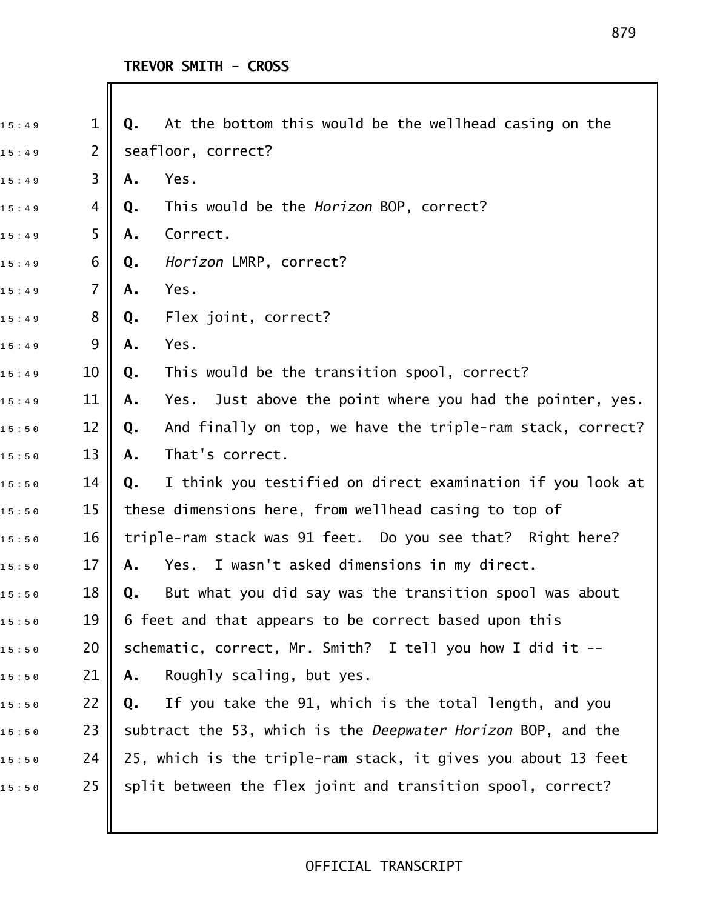| 15:49 | 1              | At the bottom this would be the wellhead casing on the<br>Q.       |
|-------|----------------|--------------------------------------------------------------------|
| 15:49 | $\mathbf{2}$   | seafloor, correct?                                                 |
| 15:49 | 3              | Yes.<br>Α.                                                         |
| 15:49 | 4              | This would be the <i>Horizon</i> BOP, correct?<br>Q.               |
| 15:49 | 5              | Correct.<br>Α.                                                     |
| 15:49 | 6              | Horizon LMRP, correct?<br>Q.                                       |
| 15:49 | $\overline{7}$ | Yes.<br>Α.                                                         |
| 15:49 | 8              | Flex joint, correct?<br>Q.                                         |
| 15:49 | 9              | Yes.<br>Α.                                                         |
| 15:49 | 10             | This would be the transition spool, correct?<br>Q.                 |
| 15:49 | 11             | Just above the point where you had the pointer, yes.<br>Α.<br>Yes. |
| 15:50 | 12             | And finally on top, we have the triple-ram stack, correct?<br>Q.   |
| 15:50 | 13             | That's correct.<br>Α.                                              |
| 15:50 | 14             | I think you testified on direct examination if you look at<br>Q.   |
| 15:50 | 15             | these dimensions here, from wellhead casing to top of              |
| 15:50 | 16             | triple-ram stack was 91 feet. Do you see that? Right here?         |
| 15:50 | 17             | I wasn't asked dimensions in my direct.<br>Yes.<br>Α.              |
| 15:50 | 18             | But what you did say was the transition spool was about<br>Q.      |
| 15:50 | 19             | 6 feet and that appears to be correct based upon this              |
| 15:50 | 20             | schematic, correct, Mr. Smith? I tell you how I did it $-$         |
| 15:50 | 21             | Roughly scaling, but yes.<br>Α.                                    |
| 15:50 | 22             | If you take the 91, which is the total length, and you<br>Q.       |
| 15:50 | 23             | subtract the 53, which is the Deepwater Horizon BOP, and the       |
| 15:50 | 24             | 25, which is the triple-ram stack, it gives you about 13 feet      |
| 15:50 | 25             | split between the flex joint and transition spool, correct?        |
|       |                |                                                                    |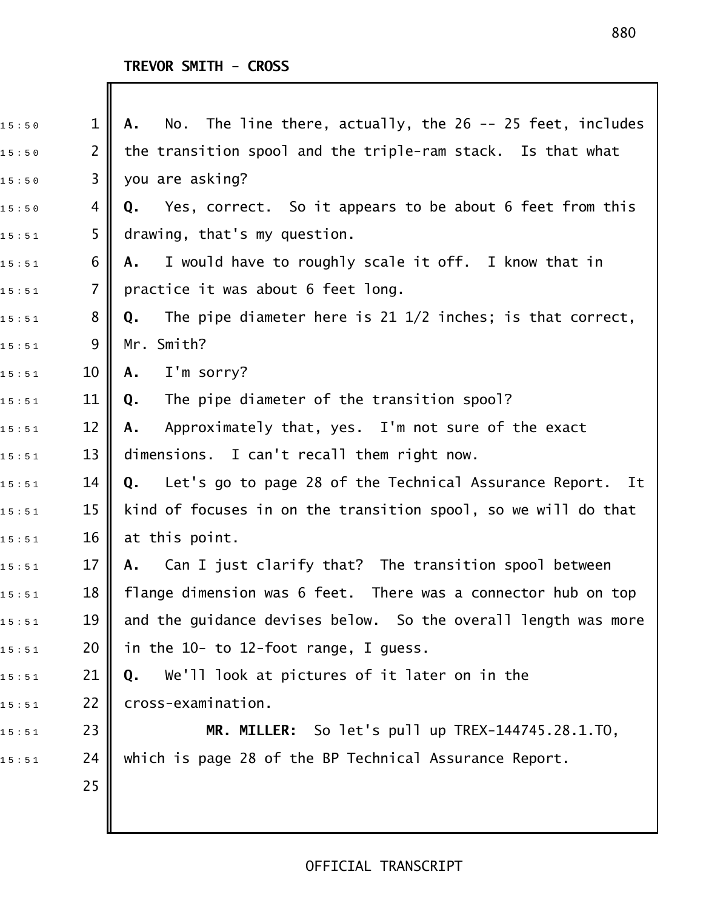| 15:50 | $\mathbf 1$    | No. The line there, $actually$ , the $26$ -- $25$ feet, $includes$<br>Α.  |
|-------|----------------|---------------------------------------------------------------------------|
| 15:50 | $\overline{2}$ | the transition spool and the triple-ram stack. Is that what               |
| 15:50 | 3              | you are asking?                                                           |
| 15:50 | 4              | Yes, correct. So it appears to be about 6 feet from this<br>Q.            |
| 15:51 | 5              | drawing, that's my question.                                              |
| 15:51 | 6              | I would have to roughly scale it off. I know that in<br>Α.                |
| 15:51 | $\overline{7}$ | practice it was about 6 feet long.                                        |
| 15:51 | 8              | The pipe diameter here is $21 \frac{1}{2}$ inches; is that correct,<br>Q. |
| 15:51 | 9              | Mr. Smith?                                                                |
| 15:51 | 10             | I'm sorry?<br>Α.                                                          |
| 15:51 | 11             | The pipe diameter of the transition spool?<br>Q.                          |
| 15:51 | 12             | Approximately that, yes. I'm not sure of the exact<br>А.                  |
| 15:51 | 13             | dimensions. I can't recall them right now.                                |
| 15:51 | 14             | Q.<br>Let's go to page 28 of the Technical Assurance Report. It           |
| 15:51 | 15             | kind of focuses in on the transition spool, so we will do that            |
| 15:51 | 16             | at this point.                                                            |
| 15:51 | 17             | Can I just clarify that? The transition spool between<br>A.               |
| 15:51 | 18             | flange dimension was 6 feet. There was a connector hub on top             |
| 15:51 | 19             | and the guidance devises below. So the overall length was more            |
| 15:51 | 20             | in the 10- to 12-foot range, I guess.                                     |
| 15:51 | 21             | We'll look at pictures of it later on in the<br>Q.                        |
| 15:51 | 22             | cross-examination.                                                        |
| 15:51 | 23             | MR. MILLER: So let's pull up TREX-144745.28.1.TO,                         |
| 15:51 | 24             | which is page 28 of the BP Technical Assurance Report.                    |
|       | 25             |                                                                           |
|       |                |                                                                           |
|       |                |                                                                           |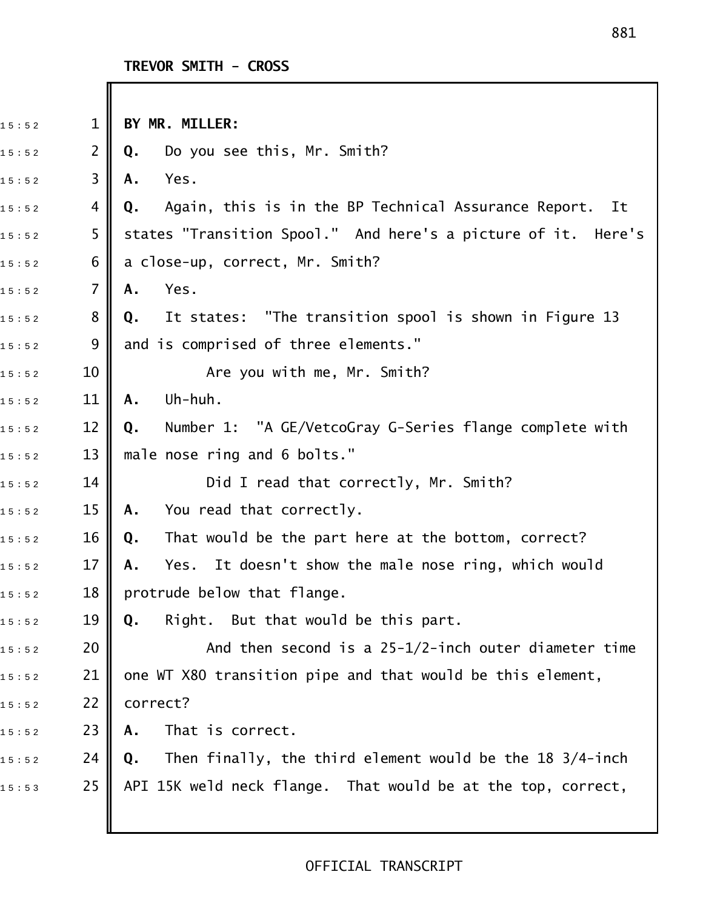| 15:52 | $\mathbf 1$    | BY MR. MILLER:                                                 |
|-------|----------------|----------------------------------------------------------------|
| 15:52 | $\overline{2}$ | Do you see this, Mr. Smith?<br>Q.                              |
| 15:52 | 3              | Yes.<br>Α.                                                     |
| 15:52 | 4              | Again, this is in the BP Technical Assurance Report. It<br>Q.  |
| 15:52 | 5              | states "Transition Spool." And here's a picture of it. Here's  |
| 15:52 | 6              | a close-up, correct, Mr. Smith?                                |
| 15:52 | 7              | Yes.<br>Α.                                                     |
| 15:52 | 8              | It states: "The transition spool is shown in Figure 13<br>Q.   |
| 15:52 | 9              | and is comprised of three elements."                           |
| 15:52 | 10             | Are you with me, Mr. Smith?                                    |
| 15:52 | 11             | Uh-huh.<br>A.                                                  |
| 15:52 | 12             | Number 1: "A GE/VetcoGray G-Series flange complete with<br>Q.  |
| 15:52 | 13             | male nose ring and 6 bolts."                                   |
| 15:52 | 14             | Did I read that correctly, Mr. Smith?                          |
| 15:52 | 15             | You read that correctly.<br>Α.                                 |
| 15:52 | 16             | That would be the part here at the bottom, correct?<br>Q.      |
| 15:52 | 17             | It doesn't show the male nose ring, which would<br>Α.<br>Yes.  |
| 15:52 | 18             | protrude below that flange                                     |
| 15:52 | 19             | Right. But that would be this part.<br>Q.                      |
| 15:52 | 20             | And then second is a $25-1/2$ -inch outer diameter time        |
| 15:52 | 21             | one WT X80 transition pipe and that would be this element,     |
| 15:52 | 22             | correct?                                                       |
| 15:52 | 23             | That is correct.<br>Α.                                         |
| 15:52 | 24             | Then finally, the third element would be the 18 3/4-inch<br>Q. |
| 15:53 | 25             | API 15K weld neck flange. That would be at the top, correct,   |
|       |                |                                                                |
|       |                |                                                                |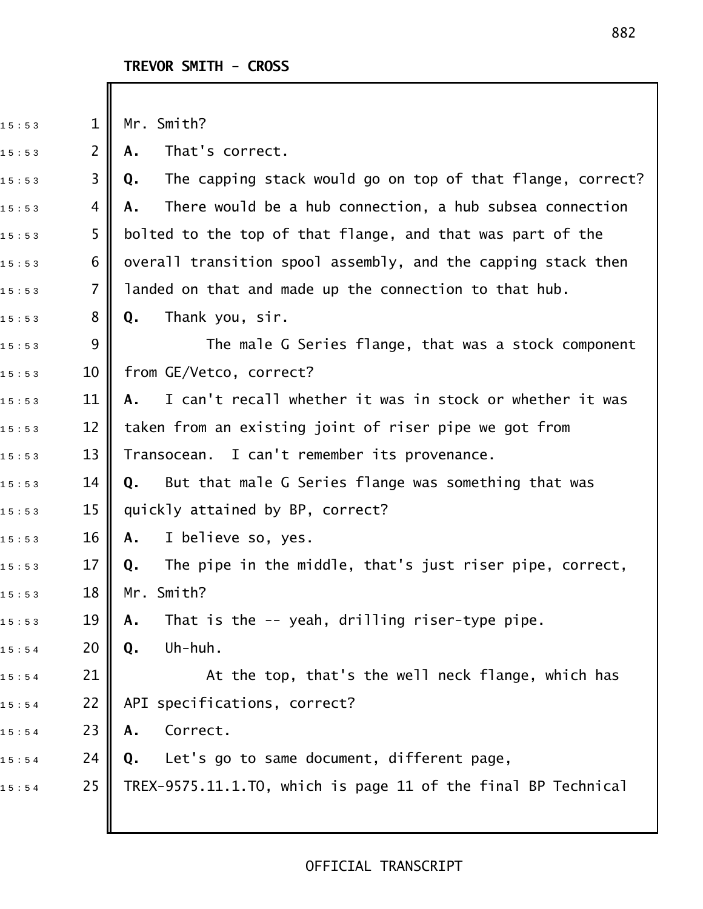| 15:53 | $\mathbf{1}$ | Mr. Smith?                                                       |
|-------|--------------|------------------------------------------------------------------|
| 15:53 | $\mathsf{2}$ | That's correct.<br>Α.                                            |
| 15:53 | 3            | The capping stack would go on top of that flange, correct?<br>Q. |
| 15:53 | 4            | There would be a hub connection, a hub subsea connection<br>Α.   |
| 15:53 | 5            | bolted to the top of that flange, and that was part of the       |
| 15:53 | 6            | overall transition spool assembly, and the capping stack then    |
| 15:53 | 7            | landed on that and made up the connection to that hub.           |
| 15:53 | 8            | Thank you, sir.<br>Q.                                            |
| 15:53 | 9            | The male G Series flange, that was a stock component             |
| 15:53 | 10           | from GE/Vetco, correct?                                          |
| 15:53 | 11           | I can't recall whether it was in stock or whether it was<br>A.   |
| 15:53 | 12           | taken from an existing joint of riser pipe we got from           |
| 15:53 | 13           | Transocean. I can't remember its provenance.                     |
| 15:53 | 14           | But that male G Series flange was something that was<br>Q.       |
| 15:53 | 15           | quickly attained by BP, correct?                                 |
| 15:53 | 16           | I believe so, yes.<br>Α.                                         |
| 15:53 | 17           | The pipe in the middle, that's just riser pipe, correct,<br>Q.   |
| 15:53 | 18           | Mr. Smith?                                                       |
| 15:53 | 19           | That is the -- yeah, drilling riser-type pipe.<br>Α.             |
| 15:54 | 20           | Uh-huh.<br>Q.                                                    |
| 15:54 | 21           | At the top, that's the well neck flange, which has               |
| 15:54 | 22           | API specifications, correct?                                     |
| 15:54 | 23           | Correct.<br>Α.                                                   |
| 15:54 | 24           | Let's go to same document, different page,<br>Q.                 |
| 15:54 | 25           | TREX-9575.11.1.TO, which is page 11 of the final BP Technical    |
|       |              |                                                                  |
|       |              |                                                                  |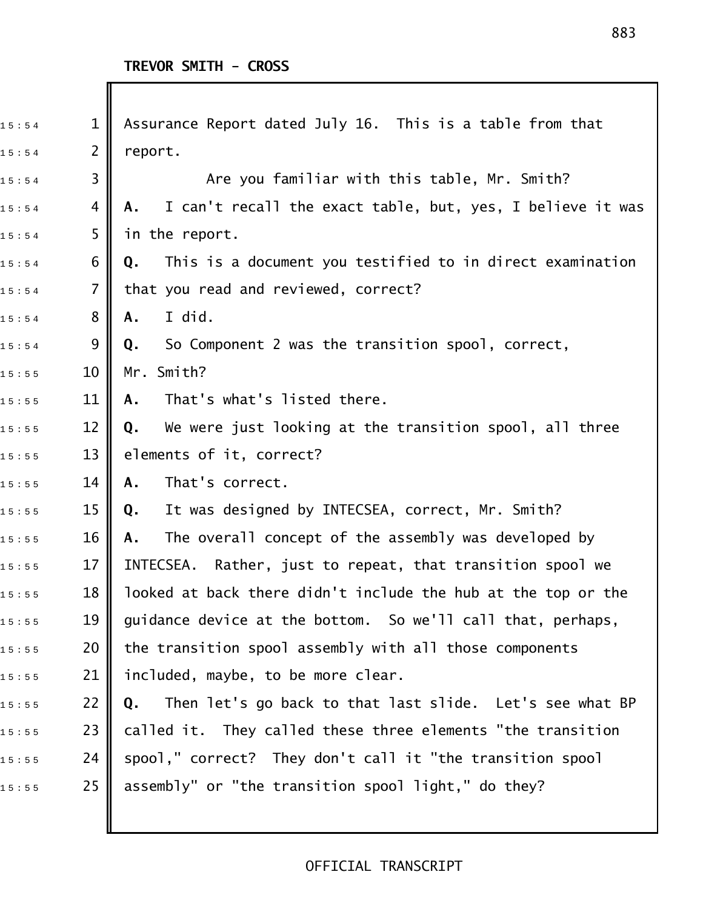Ι

| Assurance Report dated July 16. This is a table from that<br>$\mathbf 1$<br>15:54 |  |
|-----------------------------------------------------------------------------------|--|
| 2<br>report.<br>15:54                                                             |  |
| 3<br>Are you familiar with this table, Mr. Smith?<br>15:54                        |  |
| I can't recall the exact table, but, yes, I believe it was<br>4<br>A.<br>15:54    |  |
| 5<br>in the report.<br>15:54                                                      |  |
| This is a document you testified to in direct examination<br>6<br>Q.<br>15:54     |  |
| that you read and reviewed, correct?<br>7<br>15:54                                |  |
| 8<br>I did.<br>Α.<br>15:54                                                        |  |
| 9<br>So Component 2 was the transition spool, correct,<br>Q.<br>15:54             |  |
| Mr. Smith?<br>10<br>15:55                                                         |  |
| That's what's listed there.<br>11<br>Α.<br>15:55                                  |  |
| 12<br>We were just looking at the transition spool, all three<br>Q.<br>15:55      |  |
| 13<br>elements of it, correct?<br>15:55                                           |  |
| That's correct.<br>14<br>Α.<br>15:55                                              |  |
| 15<br>It was designed by INTECSEA, correct, Mr. Smith?<br>Q.<br>15:55             |  |
| The overall concept of the assembly was developed by<br>16<br>Α.<br>15:55         |  |
| 17<br>INTECSEA. Rather, just to repeat, that transition spool we<br>15:55         |  |
| 18<br>looked at back there didn't include the hub at the top or the<br>15:55      |  |
| 19<br>guidance device at the bottom. So we'll call that, perhaps,<br>15:55        |  |
| the transition spool assembly with all those components<br>20<br>15:55            |  |
| 21<br>included, maybe, to be more clear.<br>15:55                                 |  |
| 22<br>Then let's go back to that last slide. Let's see what BP<br>Q.<br>15:55     |  |
| 23<br>called it. They called these three elements "the transition<br>15:55        |  |
| spool," correct? They don't call it "the transition spool<br>24<br>15:55          |  |
| assembly" or "the transition spool light," do they?<br>25<br>15:55                |  |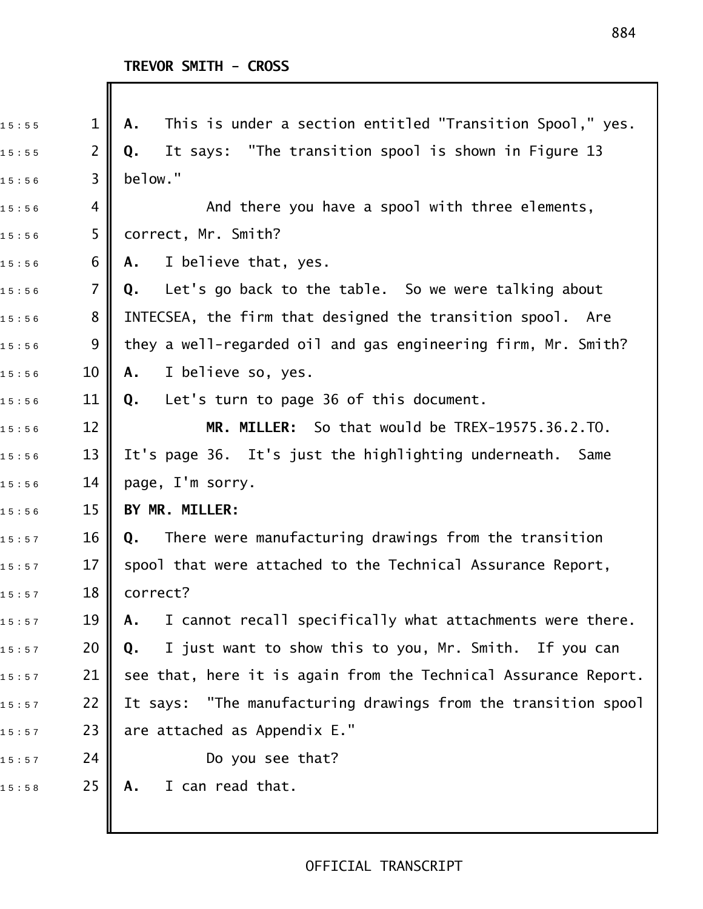| 15:55 | $\mathbf 1$    | This is under a section entitled "Transition Spool," yes.<br>А. |
|-------|----------------|-----------------------------------------------------------------|
| 15:55 | $\overline{2}$ | It says: "The transition spool is shown in Figure 13<br>Q.      |
| 15:56 | 3              | below."                                                         |
| 15:56 | 4              | And there you have a spool with three elements,                 |
| 15:56 | 5              | correct, Mr. Smith?                                             |
| 15:56 | 6              | I believe that, yes.<br>A.                                      |
| 15:56 | 7              | Let's go back to the table. So we were talking about<br>Q.      |
| 15:56 | 8              | INTECSEA, the firm that designed the transition spool. Are      |
| 15:56 | 9              | they a well-regarded oil and gas engineering firm, Mr. Smith?   |
| 15:56 | 10             | I believe so, yes.<br>Α.                                        |
| 15:56 | 11             | Let's turn to page 36 of this document.<br>Q.                   |
| 15:56 | 12             | MR. MILLER: So that would be TREX-19575.36.2.TO.                |
| 15:56 | 13             | It's page 36. It's just the highlighting underneath. Same       |
| 15:56 | 14             | page, I'm sorry.                                                |
| 15:56 | 15             | BY MR. MILLER:                                                  |
| 15:57 | 16             | There were manufacturing drawings from the transition<br>Q.     |
| 15:57 | 17             | spool that were attached to the Technical Assurance Report,     |
| 15:57 | 18             | correct?                                                        |
| 15:57 | 19             | I cannot recall specifically what attachments were there.<br>Α. |
| 15:57 | 20             | I just want to show this to you, Mr. Smith. If you can<br>Q.    |
| 15:57 | 21             | see that, here it is again from the Technical Assurance Report. |
| 15:57 | 22             | It says: "The manufacturing drawings from the transition spool  |
| 15:57 | 23             | are attached as Appendix E."                                    |
| 15:57 | 24             | Do you see that?                                                |
| 15:58 | 25             | I can read that.<br>Α.                                          |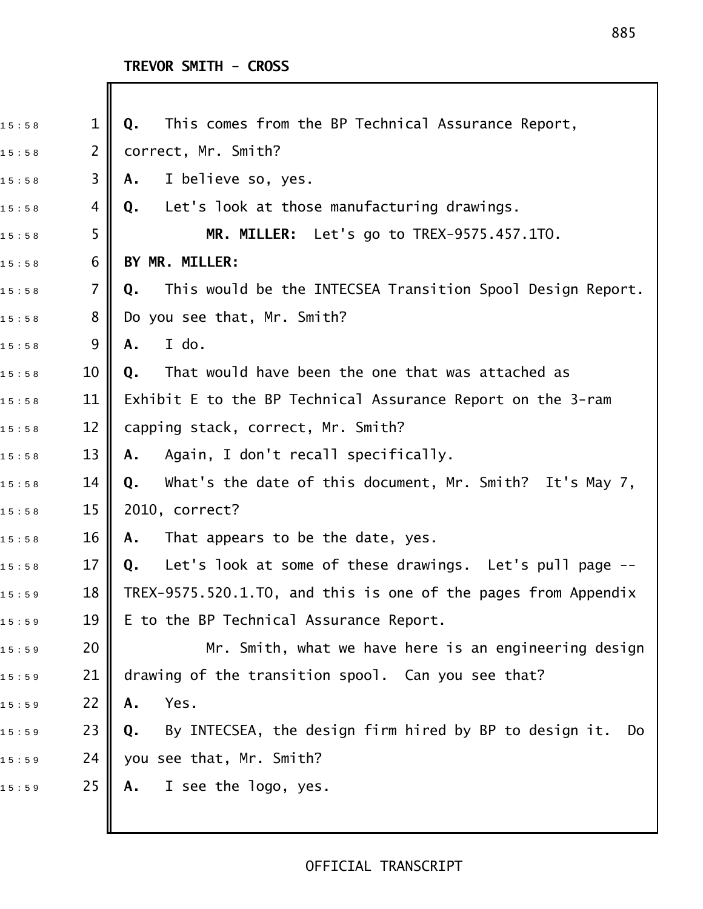Ш

| 15:58 | $\mathbf 1$     | This comes from the BP Technical Assurance Report,<br>Q.           |
|-------|-----------------|--------------------------------------------------------------------|
| 15:58 | 2               | correct, Mr. Smith?                                                |
| 15:58 | 3               | I believe so, yes.<br>Α.                                           |
| 15:58 | 4               | Let's look at those manufacturing drawings.<br>Q.                  |
| 15:58 | 5               | MR. MILLER: Let's go to TREX-9575.457.1TO.                         |
| 15:58 | 6               | BY MR. MILLER:                                                     |
| 15:58 | 7               | This would be the INTECSEA Transition Spool Design Report.<br>Q.   |
| 15:58 | 8               | Do you see that, Mr. Smith?                                        |
| 15:58 | 9               | I do.<br>Α.                                                        |
| 15:58 | 10              | That would have been the one that was attached as<br>Q.            |
| 15:58 | 11              | Exhibit E to the BP Technical Assurance Report on the 3-ram        |
| 15:58 | 12              | capping stack, correct, Mr. Smith?                                 |
| 15:58 | 13              | Again, I don't recall specifically.<br>Α.                          |
| 15:58 | 14              | What's the date of this document, Mr. Smith? It's May 7,<br>Q.     |
| 15:58 | 15              | 2010, correct?                                                     |
| 15:58 | 16              | That appears to be the date, yes.<br>Α.                            |
| 15:58 | 17              | Let's look at some of these drawings. Let's pull page --<br>Q.     |
| 15:59 | 18 <sup>1</sup> | TREX-9575.520.1.TO, and this is one of the pages from Appendix     |
| 15:59 | 19              | E to the BP Technical Assurance Report.                            |
| 15:59 | 20              | Mr. Smith, what we have here is an engineering design              |
| 15:59 | 21              | drawing of the transition spool. Can you see that?                 |
| 15:59 | 22              | Yes.<br>Α.                                                         |
| 15:59 | 23              | By INTECSEA, the design firm hired by BP to design it.<br>Q.<br>Do |
| 15:59 | 24              | you see that, Mr. Smith?                                           |
| 15:59 | 25              | I see the logo, yes.<br>Α.                                         |
|       |                 |                                                                    |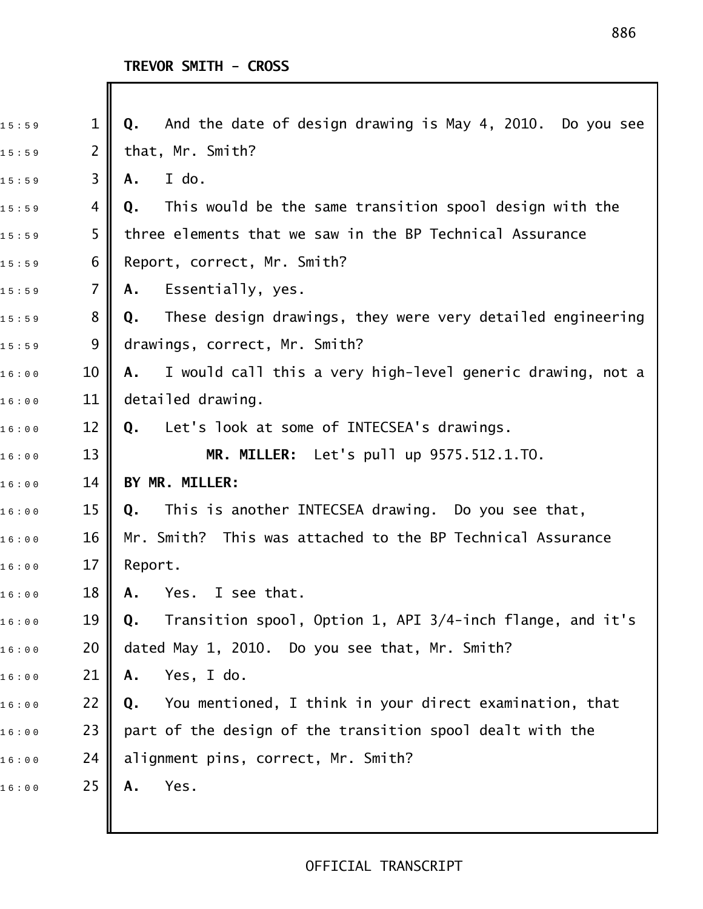| 15:59 | $\mathbf 1$    | And the date of design drawing is May 4, 2010. Do you see<br>Q.  |
|-------|----------------|------------------------------------------------------------------|
| 15:59 | $\overline{2}$ | that, Mr. Smith?                                                 |
| 15:59 | 3              | I do.<br>Α.                                                      |
| 15:59 | 4              | This would be the same transition spool design with the<br>Q.    |
| 15:59 | 5              | three elements that we saw in the BP Technical Assurance         |
| 15:59 | 6              | Report, correct, Mr. Smith?                                      |
| 15:59 | 7              | Essentially, yes.<br>A.                                          |
| 15:59 | 8              | These design drawings, they were very detailed engineering<br>Q. |
| 15:59 | 9              | drawings, correct, Mr. Smith?                                    |
| 16:00 | 10             | I would call this a very high-level generic drawing, not a<br>A. |
| 16:00 | 11             | detailed drawing.                                                |
| 16:00 | 12             | Q. Let's look at some of INTECSEA's drawings.                    |
| 16:00 | 13             | MR. MILLER: Let's pull up 9575.512.1.TO.                         |
| 16:00 | 14             | BY MR. MILLER:                                                   |
| 16:00 | 15             | This is another INTECSEA drawing. Do you see that,<br>Q.         |
| 16:00 | 16             | Mr. Smith? This was attached to the BP Technical Assurance       |
| 16:00 | 17             | Report.                                                          |
| 16:00 | 18             | Yes. I see that<br>A.                                            |
| 16:00 | 19             | Transition spool, Option 1, API 3/4-inch flange, and it's<br>Q.  |
| 16:00 | 20             | dated May 1, 2010. Do you see that, Mr. Smith?                   |
| 16:00 | 21             | Yes, I do.<br>Α.                                                 |
| 16:00 | 22             | You mentioned, I think in your direct examination, that<br>Q.    |
| 16:00 | 23             | part of the design of the transition spool dealt with the        |
| 16:00 | 24             | alignment pins, correct, Mr. Smith?                              |
| 16:00 | 25             | Yes.<br>Α.                                                       |
|       |                |                                                                  |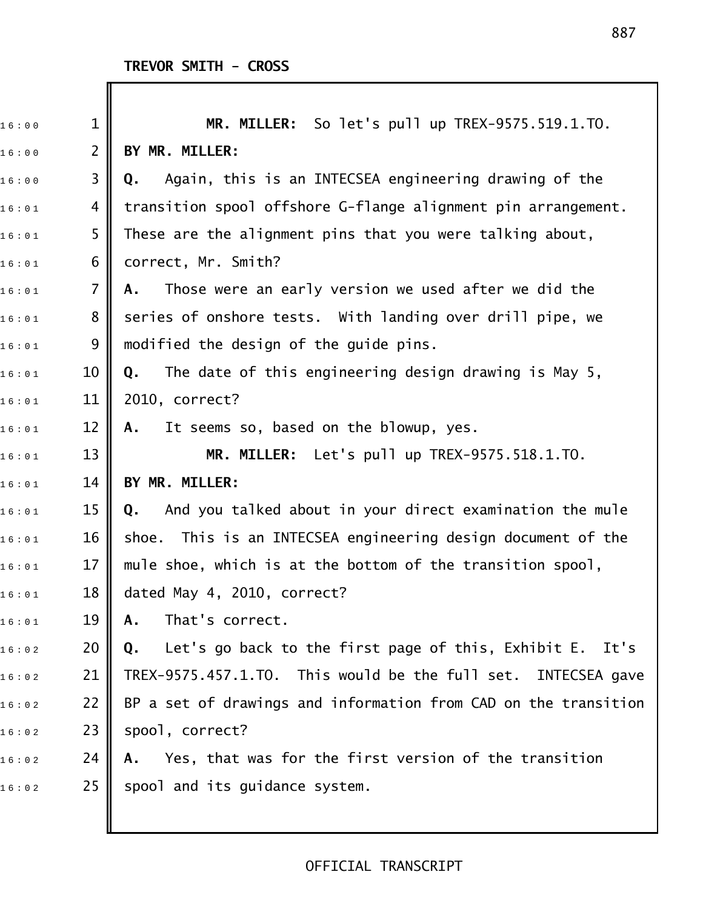| 16:00 | $\mathbf 1$    | MR. MILLER: So let's pull up TREX-9575.519.1.TO.                |
|-------|----------------|-----------------------------------------------------------------|
| 16:00 | $\overline{2}$ | BY MR. MILLER:                                                  |
| 16:00 | 3              | Again, this is an INTECSEA engineering drawing of the<br>Q.     |
| 16:01 | 4              | transition spool offshore G-flange alignment pin arrangement.   |
| 16:01 | 5              | These are the alignment pins that you were talking about,       |
| 16:01 | 6              | correct, Mr. Smith?                                             |
| 16:01 | $\overline{7}$ | Those were an early version we used after we did the<br>Α.      |
| 16:01 | 8              | series of onshore tests. With landing over drill pipe, we       |
| 16:01 | 9              | modified the design of the guide pins.                          |
| 16:01 | 10             | The date of this engineering design drawing is May 5,<br>Q.     |
| 16:01 | 11             | 2010, correct?                                                  |
| 16:01 | 12             | It seems so, based on the blowup, yes.<br>А.                    |
| 16:01 | 13             | MR. MILLER: Let's pull up TREX-9575.518.1.TO.                   |
| 16:01 | 14             | BY MR. MILLER:                                                  |
| 16:01 | 15             | And you talked about in your direct examination the mule<br>Q.  |
| 16:01 | 16             | shoe. This is an INTECSEA engineering design document of the    |
| 16:01 | 17             | mule shoe, which is at the bottom of the transition spool,      |
| 16:01 | 18             | dated May 4, 2010, correct?                                     |
| 16:01 | 19             | That's correct.<br>Α.                                           |
| 16:02 | 20             | Let's go back to the first page of this, Exhibit E. It's<br>Q.  |
| 16:02 | 21             | TREX-9575.457.1.TO. This would be the full set. INTECSEA gave   |
| 16:02 | 22             | BP a set of drawings and information from CAD on the transition |
| 16:02 | 23             | spool, correct?                                                 |
| 16:02 | 24             | Yes, that was for the first version of the transition<br>А.     |
| 16:02 | 25             | spool and its guidance system.                                  |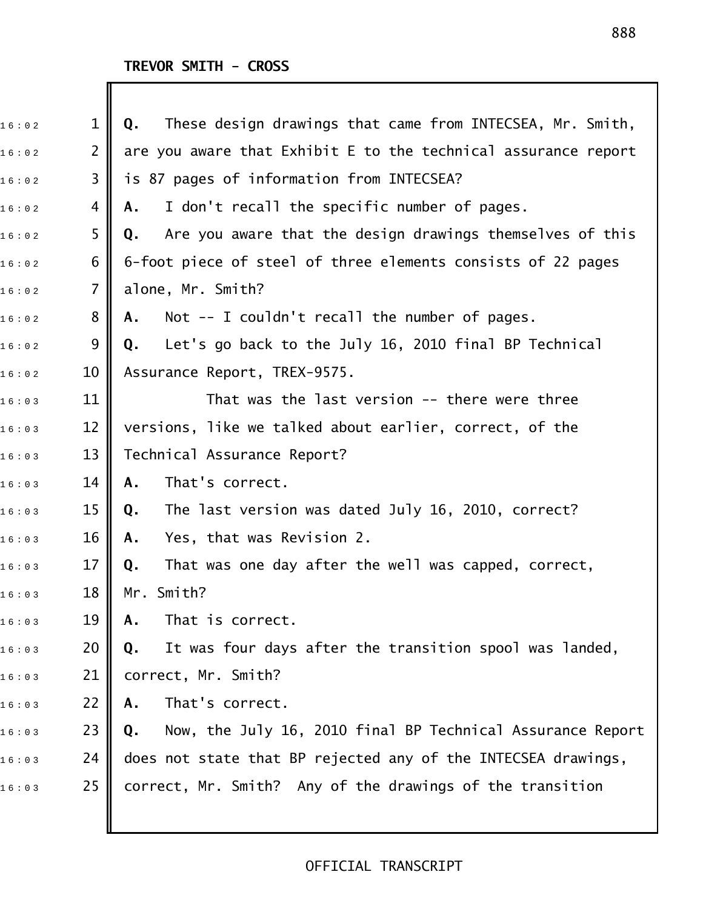| 16:02 | $\mathbf{1}$   | These design drawings that came from INTECSEA, Mr. Smith,<br>Q.  |
|-------|----------------|------------------------------------------------------------------|
| 16:02 | $\overline{2}$ | are you aware that Exhibit E to the technical assurance report   |
| 16:02 | 3              | is 87 pages of information from INTECSEA?                        |
| 16:02 | 4              | I don't recall the specific number of pages.<br>Α.               |
| 16:02 | 5              | Are you aware that the design drawings themselves of this<br>Q.  |
| 16:02 | 6              | 6-foot piece of steel of three elements consists of 22 pages     |
| 16:02 | $\overline{7}$ | alone, Mr. Smith?                                                |
| 16:02 | 8              | Not $-$ I couldn't recall the number of pages.<br>Α.             |
| 16:02 | 9              | Let's go back to the July 16, 2010 final BP Technical<br>Q.      |
| 16:02 | 10             | Assurance Report, TREX-9575.                                     |
| 16:03 | 11             | That was the last version -- there were three                    |
| 16:03 | 12             | versions, like we talked about earlier, correct, of the          |
| 16:03 | 13             | Technical Assurance Report?                                      |
| 16:03 | 14             | That's correct.<br>A.                                            |
| 16:03 | 15             | The last version was dated July 16, 2010, correct?<br>Q.         |
| 16:03 | 16             | Yes, that was Revision 2.<br>Α.                                  |
| 16:03 | 17             | That was one day after the well was capped, correct,<br>Q.       |
| 16:03 | 18             | Mr. Smith?                                                       |
| 16:03 | 19             | That is correct.<br>Α.                                           |
| 16:03 | 20             | It was four days after the transition spool was landed,<br>Q.    |
| 16:03 | 21             | correct, Mr. Smith?                                              |
| 16:03 | 22             | That's correct.<br>Α.                                            |
| 16:03 | 23             | Now, the July 16, 2010 final BP Technical Assurance Report<br>Q. |
| 16:03 | 24             | does not state that BP rejected any of the INTECSEA drawings,    |
| 16:03 | 25             | correct, Mr. Smith? Any of the drawings of the transition        |
|       |                |                                                                  |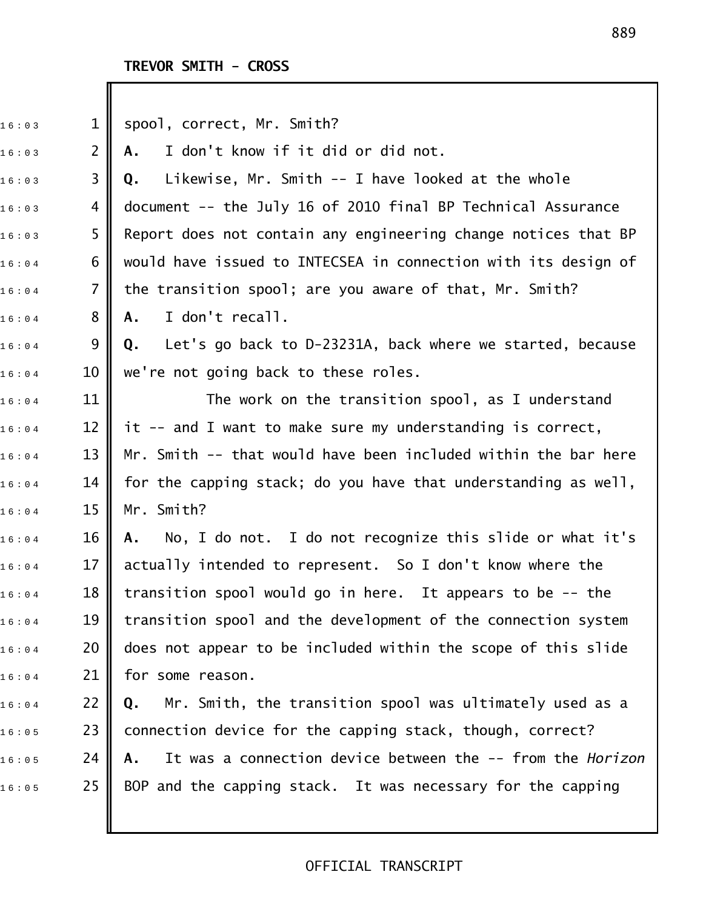I

| 16:03 | $\mathbf{1}$   | spool, correct, Mr. Smith?                                       |
|-------|----------------|------------------------------------------------------------------|
| 16:03 | $\overline{2}$ | I don't know if it did or did not.<br>Α.                         |
| 16:03 | 3              | Likewise, Mr. Smith -- I have looked at the whole<br>Q.          |
| 16:03 | 4              | document -- the July 16 of 2010 final BP Technical Assurance     |
| 16:03 | 5              | Report does not contain any engineering change notices that BP   |
| 16:04 | 6              | would have issued to INTECSEA in connection with its design of   |
| 16:04 | $\overline{7}$ | the transition spool; are you aware of that, Mr. Smith?          |
| 16:04 | 8              | I don't recall.<br>Α.                                            |
| 16:04 | 9              | Let's go back to D-23231A, back where we started, because<br>Q.  |
| 16:04 | 10             | we're not going back to these roles.                             |
| 16:04 | 11             | The work on the transition spool, as I understand                |
| 16:04 | 12             | it -- and I want to make sure my understanding is correct,       |
| 16:04 | 13             | Mr. Smith -- that would have been included within the bar here   |
| 16:04 | 14             | for the capping stack; do you have that understanding as well,   |
| 16:04 | 15             | Mr. Smith?                                                       |
| 16:04 | 16             | No, I do not. I do not recognize this slide or what it's<br>А.   |
| 16:04 | 17             | actually intended to represent. So I don't know where the        |
| 16:04 | 18             | transition spool would go in here. It appears to be -- the       |
| 16:04 | 19             | transition spool and the development of the connection system    |
| 16:04 | 20             | does not appear to be included within the scope of this slide    |
| 16:04 | 21             | for some reason.                                                 |
| 16:04 | 22             | Mr. Smith, the transition spool was ultimately used as a<br>Q.   |
| 16:05 | 23             | connection device for the capping stack, though, correct?        |
| 16:05 | 24             | It was a connection device between the -- from the Horizon<br>Α. |
| 16:05 | 25             | BOP and the capping stack. It was necessary for the capping      |
|       |                |                                                                  |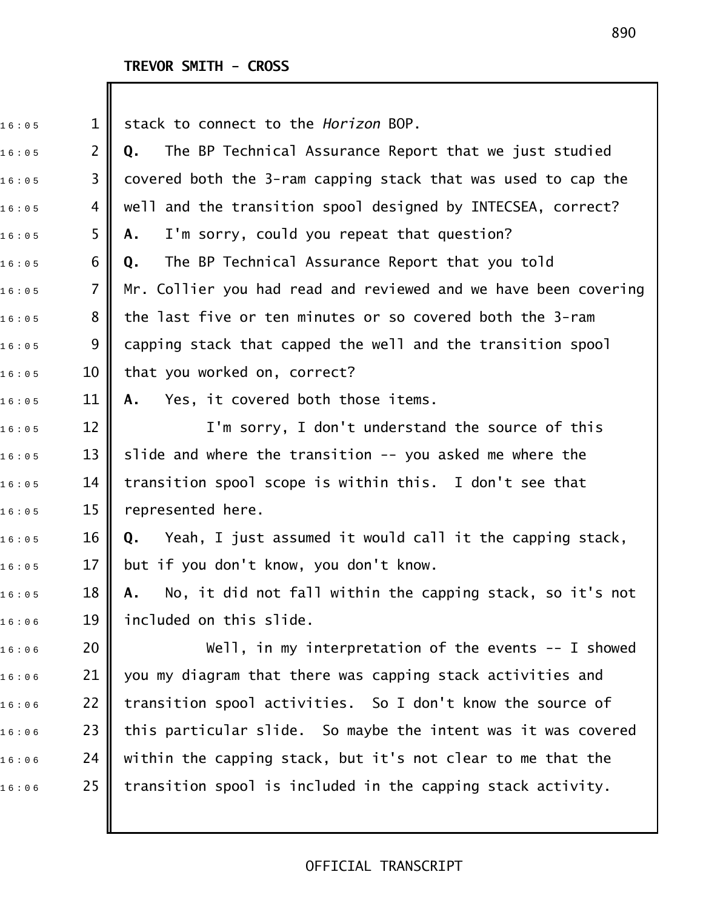| 16:05 | $\mathbf 1$    | stack to connect to the Horizon BOP.                            |
|-------|----------------|-----------------------------------------------------------------|
| 16:05 | $\overline{2}$ | The BP Technical Assurance Report that we just studied<br>Q.    |
| 16:05 | 3              | covered both the 3-ram capping stack that was used to cap the   |
| 16:05 | 4              | well and the transition spool designed by INTECSEA, correct?    |
| 16:05 | 5              | I'm sorry, could you repeat that question?<br>Α.                |
| 16:05 | 6              | The BP Technical Assurance Report that you told<br>Q.           |
| 16:05 | $\overline{7}$ | Mr. Collier you had read and reviewed and we have been covering |
| 16:05 | 8              | the last five or ten minutes or so covered both the 3-ram       |
| 16:05 | 9              | capping stack that capped the well and the transition spool     |
| 16:05 | 10             | that you worked on, correct?                                    |
| 16:05 | 11             | Yes, it covered both those items.<br>А.                         |
| 16:05 | 12             | I'm sorry, I don't understand the source of this                |
| 16:05 | 13             | slide and where the transition -- you asked me where the        |
| 16:05 | 14             | transition spool scope is within this. I don't see that         |
| 16:05 | 15             | represented here.                                               |
| 16:05 | 16             | Yeah, I just assumed it would call it the capping stack,<br>Q.  |
| 16:05 | 17             | but if you don't know, you don't know.                          |
| 16:05 | 18             | No, it did not fall within the capping stack, so it's not<br>A. |
| 16:06 | 19             | included on this slide.                                         |
| 16:06 | 20             | Well, in my interpretation of the events $-$ - I showed         |
| 16:06 | 21             | you my diagram that there was capping stack activities and      |
| 16:06 | 22             | transition spool activities. So I don't know the source of      |
| 16:06 | 23             | this particular slide. So maybe the intent was it was covered   |
| 16:06 | 24             | within the capping stack, but it's not clear to me that the     |
| 16:06 | 25             | transition spool is included in the capping stack activity.     |
|       |                |                                                                 |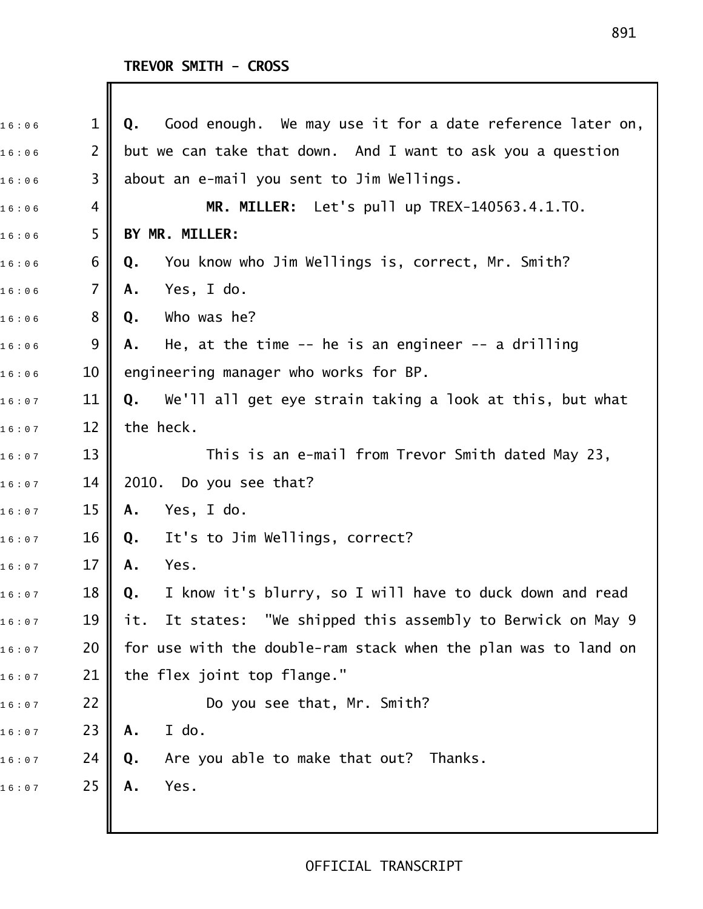Ш

| 16:06 | 1              | Good enough. We may use it for a date reference later on,<br>Q.          |
|-------|----------------|--------------------------------------------------------------------------|
| 16:06 | $\overline{2}$ | but we can take that down. And I want to ask you a question              |
| 16:06 | 3              | about an e-mail you sent to Jim Wellings.                                |
| 16:06 | 4              | MR. MILLER: Let's pull up TREX-140563.4.1.TO.                            |
| 16:06 | 5              | BY MR. MILLER:                                                           |
| 16:06 | 6              | You know who Jim Wellings is, correct, Mr. Smith?<br>Q.                  |
| 16:06 | $\overline{7}$ | Yes, I do.<br>Α.                                                         |
| 16:06 | $8\phantom{1}$ | Who was he?<br>Q.                                                        |
| 16:06 | 9              | He, at the time $-$ - he is an engineer $-$ - a drilling<br>Α.           |
| 16:06 | 10             | engineering manager who works for BP.                                    |
| 16:07 | 11             | We'll all get eye strain taking a look at this, but what<br>Q.           |
| 16:07 | 12             | the heck.                                                                |
| 16:07 | 13             | This is an e-mail from Trevor Smith dated May 23,                        |
| 16:07 | 14             | 2010. Do you see that?                                                   |
| 16:07 | 15             | Yes, I do.<br>Α.                                                         |
| 16:07 | 16             | It's to Jim Wellings, correct?<br>Q.                                     |
| 16:07 | 17             | Yes.<br>Α.                                                               |
| 16:07 | 18             | I know it's blurry, so I will have to duck down and read<br>$\mathbf{Q}$ |
| 16:07 | 19             | It states: "We shipped this assembly to Berwick on May 9<br>it.          |
| 16:07 | 20             | for use with the double-ram stack when the plan was to land on           |
| 16:07 | 21             | the flex joint top flange."                                              |
| 16:07 | 22             | Do you see that, Mr. Smith?                                              |
| 16:07 | 23             | I do.<br>Α.                                                              |
| 16:07 | 24             | Are you able to make that out? Thanks.<br>Q.                             |
| 16:07 | 25             | Yes.<br>Α.                                                               |
|       |                |                                                                          |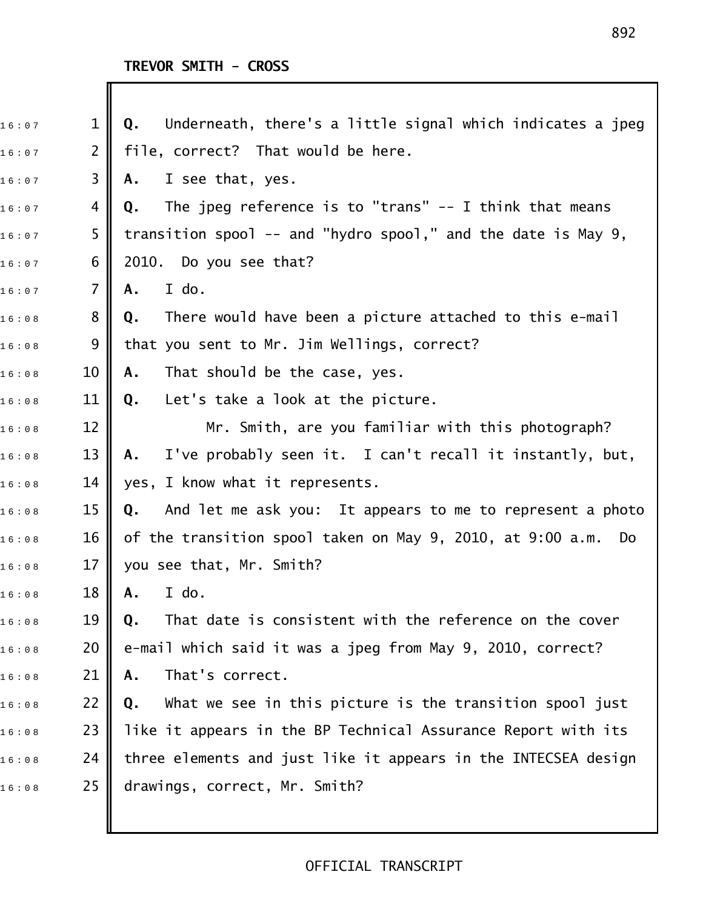| 16:07 | $\mathbf{1}$   | Underneath, there's a little signal which indicates a jpeg<br>Q. |
|-------|----------------|------------------------------------------------------------------|
| 16:07 | $\overline{2}$ | file, correct? That would be here.                               |
| 16:07 | 3              | I see that, yes.<br>Α.                                           |
| 16:07 | 4              | The jpeg reference is to "trans" $-$ I think that means<br>Q.    |
| 16:07 | 5              | transition spool -- and "hydro spool," and the date is May 9,    |
| 16:07 | 6              | 2010. Do you see that?                                           |
| 16:07 | $\overline{7}$ | I do.<br>Α.                                                      |
| 16:08 | 8              | There would have been a picture attached to this e-mail<br>Q.    |
| 16:08 | 9              | that you sent to Mr. Jim Wellings, correct?                      |
| 16:08 | 10             | That should be the case, yes.<br>A.                              |
| 16:08 | 11             | Let's take a look at the picture.<br>Q.                          |
| 16:08 | 12             | Mr. Smith, are you familiar with this photograph?                |
| 16:08 | 13             | I've probably seen it. I can't recall it instantly, but,<br>Α.   |
| 16:08 | 14             | yes, I know what it represents.                                  |
| 16:08 | 15             | And let me ask you: It appears to me to represent a photo<br>Q.  |
| 16:08 | 16             | of the transition spool taken on May 9, 2010, at 9:00 a.m.<br>Do |
| 16:08 | 17             | you see that, Mr. Smith?                                         |
| 16:08 | 18             | A. I do.                                                         |
| 16:08 | 19             | That date is consistent with the reference on the cover<br>Q.    |
| 16:08 | 20             | e-mail which said it was a jpeg from May 9, 2010, correct?       |
| 16:08 | 21             | That's correct.<br>Α.                                            |
| 16:08 | 22             | What we see in this picture is the transition spool just<br>Q.   |
| 16:08 | 23             | like it appears in the BP Technical Assurance Report with its    |
| 16:08 | 24             | three elements and just like it appears in the INTECSEA design   |
| 16:08 | 25             | drawings, correct, Mr. Smith?                                    |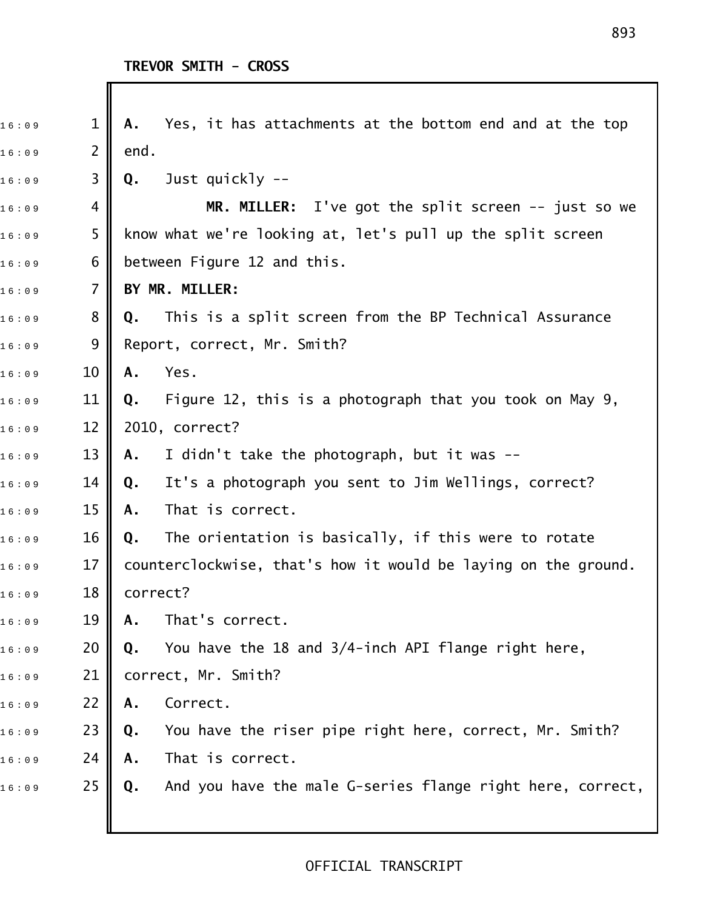| 16:09 | 1              | Yes, it has attachments at the bottom end and at the top<br>Α.   |
|-------|----------------|------------------------------------------------------------------|
| 16:09 | $\overline{2}$ | end.                                                             |
| 16:09 | 3              | Just quickly --<br>Q.                                            |
| 16:09 | 4              | MR. MILLER: I've got the split screen -- just so we              |
| 16:09 | 5              | know what we're looking at, let's pull up the split screen       |
| 16:09 | 6              | between Figure 12 and this.                                      |
| 16:09 | $\overline{7}$ | BY MR. MILLER:                                                   |
| 16:09 | 8              | This is a split screen from the BP Technical Assurance<br>Q.     |
| 16:09 | 9              | Report, correct, Mr. Smith?                                      |
| 16:09 | 10             | Yes.<br>A.                                                       |
| 16:09 | 11             | Figure 12, this is a photograph that you took on May 9,<br>Q.    |
| 16:09 | 12             | 2010, correct?                                                   |
| 16:09 | 13             | I didn't take the photograph, but it was --<br>Α.                |
| 16:09 | 14             | It's a photograph you sent to Jim Wellings, correct?<br>Q.       |
| 16:09 | 15             | That is correct.<br>Α.                                           |
| 16:09 | 16             | The orientation is basically, if this were to rotate<br>Q.       |
| 16:09 | 17             | counterclockwise, that's how it would be laying on the ground.   |
| 16:09 | 18             | correct?                                                         |
| 16:09 | 19             | That's correct.<br>Α.                                            |
| 16:09 | 20             | You have the 18 and 3/4-inch API flange right here,<br>Q.        |
| 16:09 | 21             | correct, Mr. Smith?                                              |
| 16:09 | 22             | Correct.<br>Α.                                                   |
| 16:09 | 23             | You have the riser pipe right here, correct, Mr. Smith?<br>Q.    |
| 16:09 | 24             | That is correct.<br>Α.                                           |
| 16:09 | 25             | And you have the male G-series flange right here, correct,<br>Q. |
|       |                |                                                                  |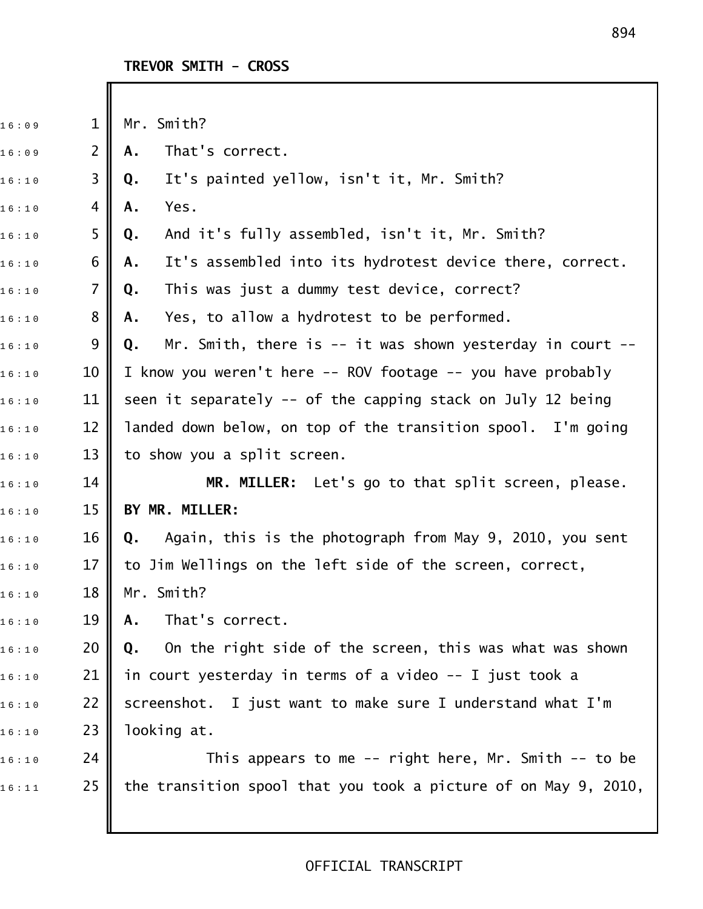| 1              | Mr. Smith?                                                          |
|----------------|---------------------------------------------------------------------|
| $\overline{2}$ | That's correct.<br>Α.                                               |
| 3              | It's painted yellow, isn't it, Mr. Smith?<br>Q.                     |
| 4              | Yes.<br>Α.                                                          |
| 5              | And it's fully assembled, isn't it, Mr. Smith?<br>Q.                |
| 6              | It's assembled into its hydrotest device there, correct.<br>Α.      |
| $\overline{7}$ | This was just a dummy test device, correct?<br>Q.                   |
| 8              | Yes, to allow a hydrotest to be performed.<br>Α.                    |
| 9              | Mr. Smith, there is $--$ it was shown yesterday in court $--$<br>Q. |
| 10             | I know you weren't here -- ROV footage -- you have probably         |
| 11             | seen it separately -- of the capping stack on July 12 being         |
| 12             | landed down below, on top of the transition spool. I'm going        |
| 13             | to show you a split screen.                                         |
| 14             | MR. MILLER: Let's go to that split screen, please.                  |
| 15             | BY MR. MILLER:                                                      |
| 16             | Again, this is the photograph from May 9, 2010, you sent<br>Q.      |
| 17             | to Jim Wellings on the left side of the screen, correct,            |
| 18             | Mr. Smith?                                                          |
| 19             | That's correct.<br>Α.                                               |
| 20             | On the right side of the screen, this was what was shown<br>Q.      |
| 21             | in court yesterday in terms of a video -- I just took a             |
| 22             | screenshot. I just want to make sure I understand what I'm          |
| 23             | looking at.                                                         |
| 24             | This appears to me -- right here, Mr. Smith -- to be                |
|                |                                                                     |
|                |                                                                     |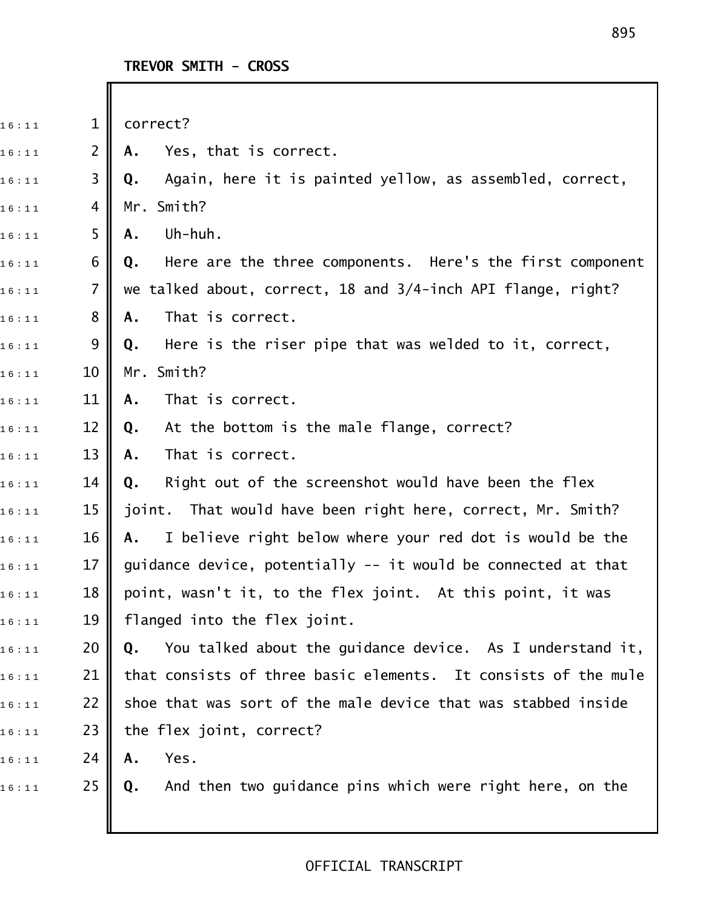| 16:11 | $\mathbf{1}$   | correct?                                                        |
|-------|----------------|-----------------------------------------------------------------|
| 16:11 | $\overline{2}$ | Yes, that is correct.<br>Α.                                     |
| 16:11 | 3              | Again, here it is painted yellow, as assembled, correct,<br>Q.  |
| 16:11 | 4              | Mr. Smith?                                                      |
| 16:11 | 5              | Uh-huh.<br>Α.                                                   |
| 16:11 | 6              | Here are the three components. Here's the first component<br>Q. |
| 16:11 | $\overline{7}$ | we talked about, correct, 18 and 3/4-inch API flange, right?    |
| 16:11 | 8              | That is correct.<br>Α.                                          |
| 16:11 | 9              | Here is the riser pipe that was welded to it, correct,<br>Q.    |
| 16:11 | 10             | Mr. Smith?                                                      |
| 16:11 | 11             | That is correct.<br>Α.                                          |
| 16:11 | 12             | At the bottom is the male flange, correct?<br>Q.                |
| 16:11 | 13             | That is correct.<br>Α.                                          |
| 16:11 | 14             | Right out of the screenshot would have been the flex<br>Q.      |
| 16:11 | 15             | joint. That would have been right here, correct, Mr. Smith?     |
| 16:11 | 16             | I believe right below where your red dot is would be the<br>Α.  |
| 16:11 | 17             | guidance device, potentially -- it would be connected at that   |
| 16:11 | 18             | point, wasn't it, to the flex joint. At this point, it was      |
| 16:11 | 19             | flanged into the flex joint.                                    |
| 16:11 | 20             | You talked about the guidance device. As I understand it,<br>Q. |
| 16:11 | 21             | that consists of three basic elements. It consists of the mule  |
| 16:11 | 22             | shoe that was sort of the male device that was stabbed inside   |
| 16:11 | 23             | the flex joint, correct?                                        |
| 16:11 | 24             | Yes.<br>Α.                                                      |
| 16:11 | 25             | And then two guidance pins which were right here, on the<br>Q.  |
|       |                |                                                                 |
|       |                |                                                                 |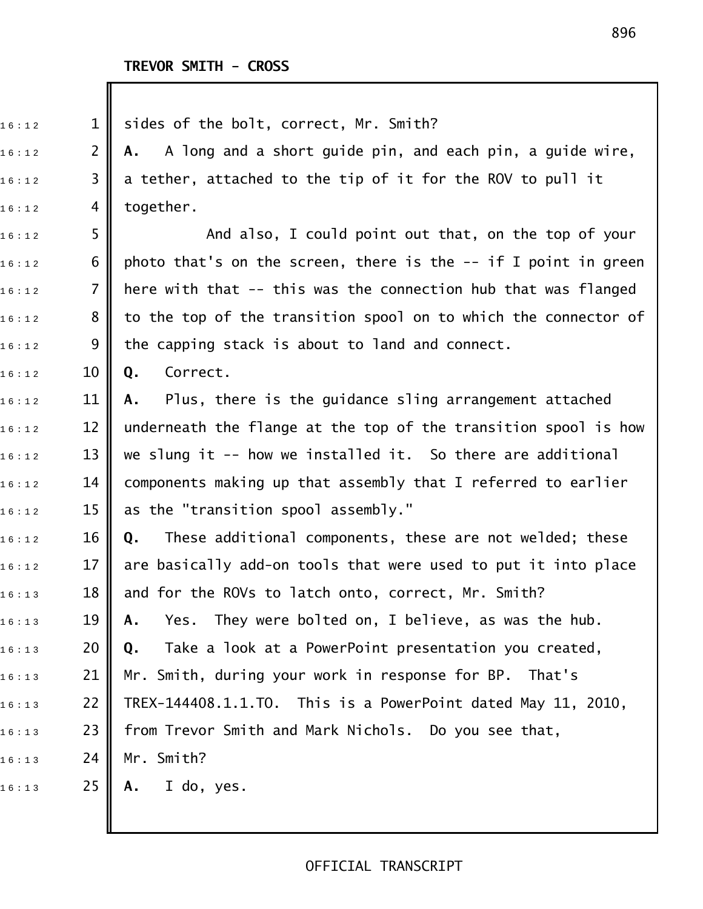| 16:12 | $\mathbf 1$    | sides of the bolt, correct, Mr. Smith?                           |
|-------|----------------|------------------------------------------------------------------|
| 16:12 | $\overline{2}$ | A long and a short guide pin, and each pin, a guide wire,<br>А.  |
| 16:12 | 3              | a tether, attached to the tip of it for the ROV to pull it       |
| 16:12 | 4              | together.                                                        |
| 16:12 | 5              | And also, I could point out that, on the top of your             |
| 16:12 | 6              | photo that's on the screen, there is the $-$ if I point in green |
| 16:12 | $\overline{7}$ | here with that -- this was the connection hub that was flanged   |
| 16:12 | 8              | to the top of the transition spool on to which the connector of  |
| 16:12 | 9              | the capping stack is about to land and connect.                  |
| 16:12 | 10             | Correct.<br>Q.                                                   |
| 16:12 | 11             | Plus, there is the guidance sling arrangement attached<br>A.     |
| 16:12 | 12             | underneath the flange at the top of the transition spool is how  |
| 16:12 | 13             | we slung it -- how we installed it. So there are additional      |
| 16:12 | 14             | components making up that assembly that I referred to earlier    |
| 16:12 | 15             | as the "transition spool assembly."                              |
| 16:12 | 16             | These additional components, these are not welded; these<br>Q.   |
| 16:12 | 17             | are basically add-on tools that were used to put it into place   |
| 16:13 | 18             | and for the ROVs to latch onto, correct, Mr. Smith?              |
| 16:13 | 19             | Yes. They were bolted on, I believe, as was the hub.<br>Α.       |
| 16:13 | 20             | Take a look at a PowerPoint presentation you created,<br>Q.      |
| 16:13 | 21             | Mr. Smith, during your work in response for BP. That's           |
| 16:13 | 22             | TREX-144408.1.1.TO. This is a PowerPoint dated May 11, 2010,     |
| 16:13 | 23             | from Trevor Smith and Mark Nichols. Do you see that,             |
| 16:13 | 24             | Mr. Smith?                                                       |
| 16:13 | 25             | I do, yes.<br>Α.                                                 |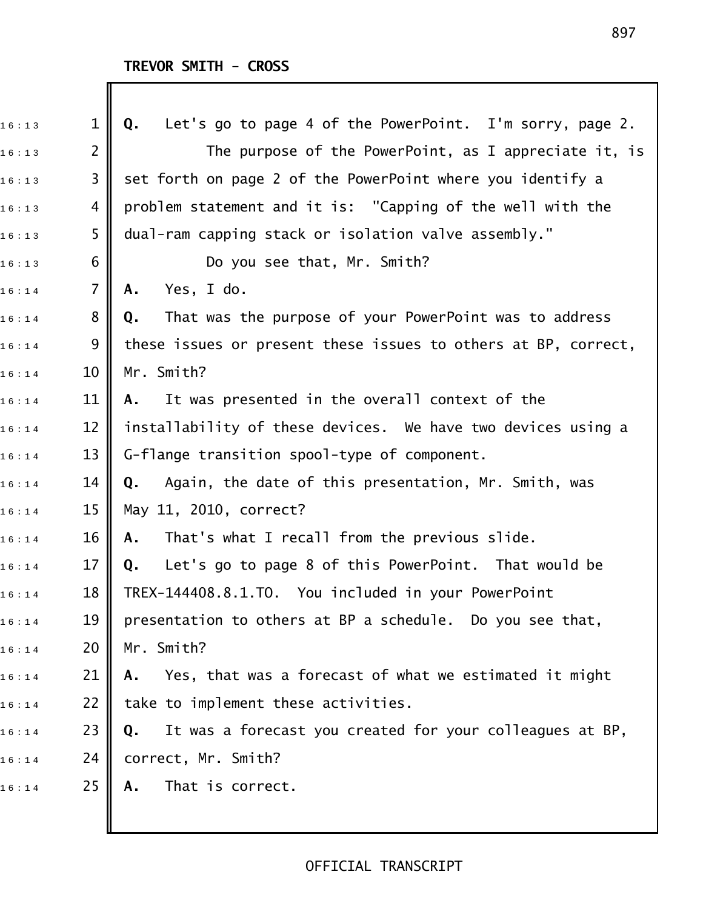| 16:13 | $\mathbf 1$    | Let's go to page 4 of the PowerPoint. I'm sorry, page 2.<br>Q. |
|-------|----------------|----------------------------------------------------------------|
| 16:13 | $\overline{2}$ | The purpose of the PowerPoint, as I appreciate it, is          |
| 16:13 | 3              | set forth on page 2 of the PowerPoint where you identify a     |
| 16:13 | 4              | problem statement and it is: "Capping of the well with the     |
| 16:13 | 5              | dual-ram capping stack or isolation valve assembly."           |
| 16:13 | 6              | Do you see that, Mr. Smith?                                    |
| 16:14 | $\overline{7}$ | Yes, I do.<br>Α.                                               |
| 16:14 | 8              | That was the purpose of your PowerPoint was to address<br>Q.   |
| 16:14 | 9              | these issues or present these issues to others at BP, correct, |
| 16:14 | 10             | Mr. Smith?                                                     |
| 16:14 | 11             | It was presented in the overall context of the<br>А.           |
| 16:14 | 12             | installability of these devices. We have two devices using a   |
| 16:14 | 13             | G-flange transition spool-type of component.                   |
| 16:14 | 14             | Again, the date of this presentation, Mr. Smith, was<br>Q.     |
| 16:14 | 15             | May 11, 2010, correct?                                         |
| 16:14 | 16             | That's what I recall from the previous slide.<br>Α.            |
| 16:14 | 17             | Let's go to page 8 of this PowerPoint. That would be<br>Q.     |
| 16:14 | 18             | TREX-144408.8.1.TO. You included in your PowerPoint            |
| 16:14 | 19             | presentation to others at BP a schedule. Do you see that,      |
| 16:14 | 20             | Mr. Smith?                                                     |
| 16:14 | 21             | Yes, that was a forecast of what we estimated it might<br>Α.   |
| 16:14 | 22             | take to implement these activities.                            |
| 16:14 | 23             | It was a forecast you created for your colleagues at BP,<br>Q. |
| 16:14 | 24             | correct, Mr. Smith?                                            |
| 16:14 | 25             | That is correct.<br>Α.                                         |
|       |                |                                                                |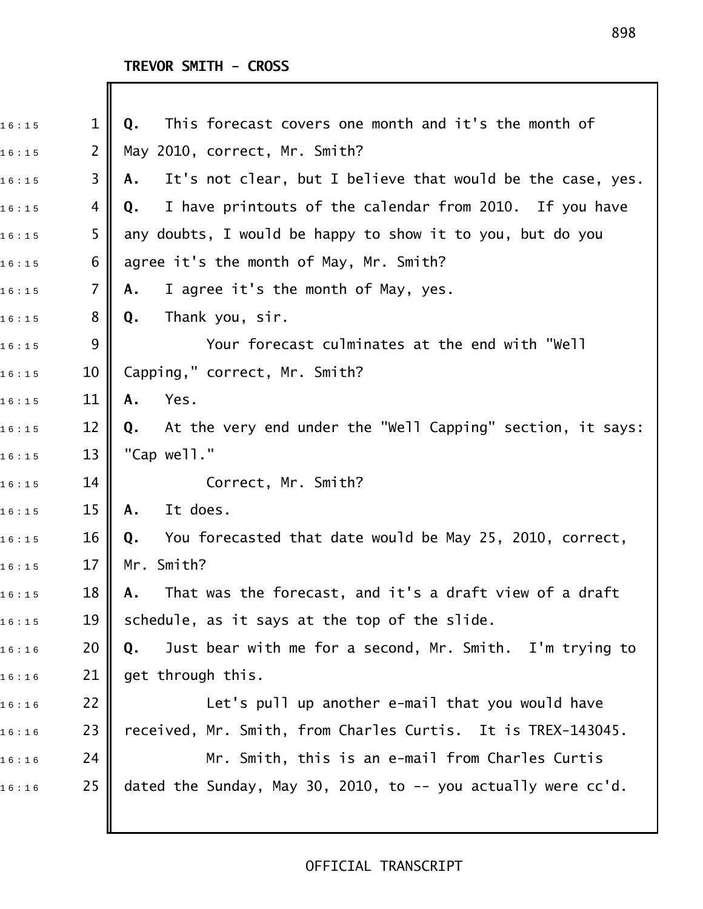Ш

| 16:15 | $\mathbf{1}$   | This forecast covers one month and it's the month of<br>Q.        |
|-------|----------------|-------------------------------------------------------------------|
| 16:15 | $\overline{2}$ | May 2010, correct, Mr. Smith?                                     |
| 16:15 | 3              | It's not clear, but I believe that would be the case, yes.<br>Α.  |
| 16:15 | 4              | I have printouts of the calendar from 2010. If you have<br>Q.     |
| 16:15 | 5              | any doubts, I would be happy to show it to you, but do you        |
| 16:15 | 6              | agree it's the month of May, Mr. Smith?                           |
| 16:15 | $\overline{7}$ | I agree it's the month of May, yes.<br>Α.                         |
| 16:15 | 8              | Thank you, sir.<br>Q.                                             |
| 16:15 | 9              | Your forecast culminates at the end with "Well                    |
| 16:15 | 10             | Capping," correct, Mr. Smith?                                     |
| 16:15 | 11             | Yes.<br>Α.                                                        |
| 16:15 | 12             | At the very end under the "Well Capping" section, it says:<br>Q.  |
| 16:15 | 13             | "Cap well."                                                       |
| 16:15 | 14             | Correct, Mr. Smith?                                               |
| 16:15 | 15             | It does.<br>Α.                                                    |
| 16:15 | 16             | You forecasted that date would be May 25, 2010, correct,<br>Q.    |
| 16:15 | 17             | Mr. Smith?                                                        |
| 16:15 | 18             | That was the forecast, and it's a draft view of a draft<br>A.     |
| 16:15 | 19             | schedule, as it says at the top of the slide.                     |
| 16:16 | 20             | Just bear with me for a second, Mr. Smith. I'm trying to<br>Q.    |
| 16:16 | 21             | get through this.                                                 |
| 16:16 | 22             | Let's pull up another e-mail that you would have                  |
| 16:16 | 23             | received, Mr. Smith, from Charles Curtis. It is TREX-143045.      |
| 16:16 | 24             | Mr. Smith, this is an e-mail from Charles Curtis                  |
| 16:16 | 25             | dated the Sunday, May 30, 2010, to $-$ you actually were $cc'd$ . |
|       |                |                                                                   |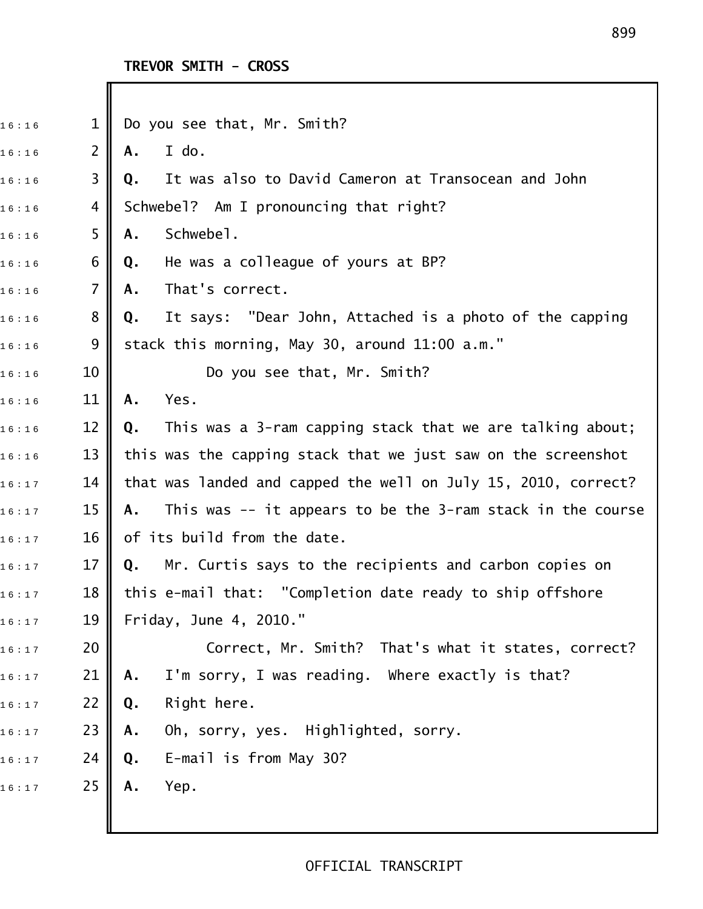I

| 16:16 | $\mathbf 1$    | Do you see that, Mr. Smith?                                       |
|-------|----------------|-------------------------------------------------------------------|
| 16:16 | $\overline{2}$ | I do.<br>Α.                                                       |
| 16:16 | 3              | It was also to David Cameron at Transocean and John<br>Q.         |
| 16:16 | 4              | Schwebel? Am I pronouncing that right?                            |
| 16:16 | 5              | Schwebel.<br>Α.                                                   |
| 16:16 | 6              | He was a colleague of yours at BP?<br>Q.                          |
| 16:16 | 7              | That's correct.<br>Α.                                             |
| 16:16 | 8              | It says: "Dear John, Attached is a photo of the capping<br>Q.     |
| 16:16 | 9              | stack this morning, May 30, around 11:00 a.m."                    |
| 16:16 | 10             | Do you see that, Mr. Smith?                                       |
| 16:16 | 11             | Yes.<br>Α.                                                        |
| 16:16 | 12             | This was a 3-ram capping stack that we are talking about;<br>Q.   |
| 16:16 | 13             | this was the capping stack that we just saw on the screenshot     |
| 16:17 | 14             | that was landed and capped the well on July 15, 2010, correct?    |
| 16:17 | 15             | This was $-$ it appears to be the 3-ram stack in the course<br>Α. |
| 16:17 | 16             | of its build from the date.                                       |
| 16:17 | 17             | Mr. Curtis says to the recipients and carbon copies on<br>Q.      |
| 16:17 | 18             | this e-mail that: "Completion date ready to ship offshore         |
| 16:17 | 19             | Friday, June 4, 2010."                                            |
| 16:17 | 20             | Correct, Mr. Smith? That's what it states, correct?               |
| 16:17 | 21             | I'm sorry, I was reading. Where exactly is that?<br>Α.            |
| 16:17 | 22             | Right here.<br>Q.                                                 |
| 16:17 | 23             | Oh, sorry, yes. Highlighted, sorry.<br>Α.                         |
| 16:17 | 24             | E-mail is from May 30?<br>Q.                                      |
| 16:17 | 25             | Yep.<br>Α.                                                        |
|       |                |                                                                   |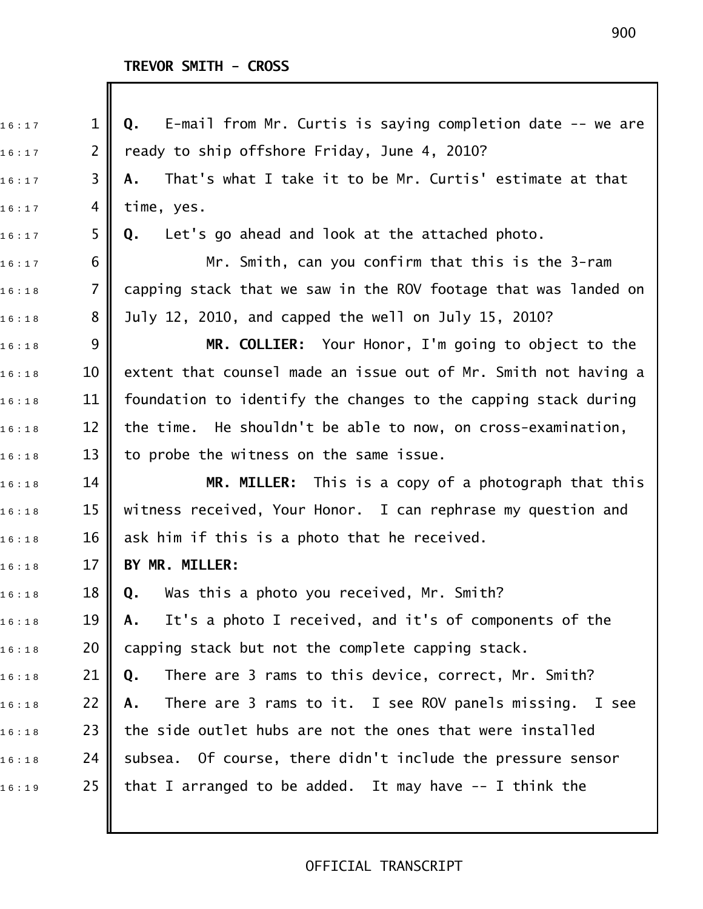| 16:17 | 1              | E-mail from Mr. Curtis is saying completion date -- we are<br>Q. |
|-------|----------------|------------------------------------------------------------------|
| 16:17 | $\overline{2}$ | ready to ship offshore Friday, June 4, 2010?                     |
| 16:17 | 3              | That's what I take it to be Mr. Curtis' estimate at that<br>Α.   |
| 16:17 | 4              | time, yes.                                                       |
| 16:17 | 5              | Let's go ahead and look at the attached photo.<br>Q.             |
| 16:17 | 6              | Mr. Smith, can you confirm that this is the 3-ram                |
| 16:18 | $\overline{7}$ | capping stack that we saw in the ROV footage that was landed on  |
| 16:18 | 8              | July 12, 2010, and capped the well on July 15, 2010?             |
| 16:18 | 9              | MR. COLLIER: Your Honor, I'm going to object to the              |
| 16:18 | 10             | extent that counsel made an issue out of Mr. Smith not having a  |
| 16:18 | 11             | foundation to identify the changes to the capping stack during   |
| 16:18 | 12             | the time. He shouldn't be able to now, on cross-examination,     |
| 16:18 | 13             | to probe the witness on the same issue.                          |
| 16:18 | 14             | MR. MILLER: This is a copy of a photograph that this             |
| 16:18 | 15             | witness received, Your Honor. I can rephrase my question and     |
| 16:18 | 16             | ask him if this is a photo that he received.                     |
| 16:18 | 17             | BY MR. MILLER:                                                   |
| 16:18 | 18             | Was this a photo you received, Mr. Smith?<br>Q.                  |
| 16:18 | 19             | It's a photo I received, and it's of components of the<br>Α.     |
| 16:18 | 20             | capping stack but not the complete capping stack.                |
| 16:18 | 21             | There are 3 rams to this device, correct, Mr. Smith?<br>Q.       |
| 16:18 | 22             | There are 3 rams to it. I see ROV panels missing. I see<br>Α.    |
| 16:18 | 23             | the side outlet hubs are not the ones that were installed        |
| 16:18 | 24             | subsea. Of course, there didn't include the pressure sensor      |
| 16:19 | 25             | that I arranged to be added. It may have $-$ - I think the       |
|       |                |                                                                  |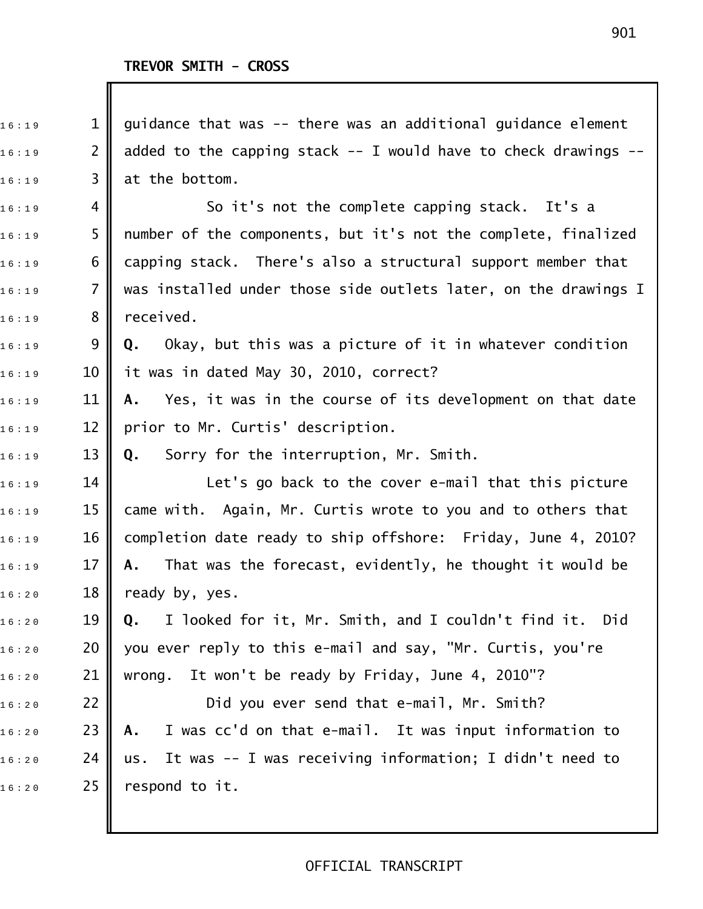| 16:19 | $\mathbf{1}$   | guidance that was -- there was an additional guidance element       |
|-------|----------------|---------------------------------------------------------------------|
| 16:19 | $\overline{2}$ | added to the capping stack $-$ I would have to check drawings $-$ - |
| 16:19 | 3              | at the bottom.                                                      |
| 16:19 | 4              | So it's not the complete capping stack. It's a                      |
| 16:19 | 5              | number of the components, but it's not the complete, finalized      |
| 16:19 | 6              | capping stack. There's also a structural support member that        |
| 16:19 | $\overline{7}$ | was installed under those side outlets later, on the drawings I     |
| 16:19 | 8              | received.                                                           |
| 16:19 | 9              | Okay, but this was a picture of it in whatever condition<br>Q.      |
| 16:19 | 10             | it was in dated May 30, 2010, correct?                              |
| 16:19 | 11             | Yes, it was in the course of its development on that date<br>Α.     |
| 16:19 | 12             | prior to Mr. Curtis' description.                                   |
| 16:19 | 13             | Sorry for the interruption, Mr. Smith.<br>Q.                        |
| 16:19 | 14             | Let's go back to the cover e-mail that this picture                 |
| 16:19 | 15             | came with. Again, Mr. Curtis wrote to you and to others that        |
| 16:19 | 16             | completion date ready to ship offshore: Friday, June 4, 2010?       |
| 16:19 | 17             | That was the forecast, evidently, he thought it would be<br>Α.      |
| 16:20 | 18             | ready by, yes.                                                      |
| 16:20 | 19             | I looked for it, Mr. Smith, and I couldn't find it. Did<br>Q.       |
| 16:20 | 20             | you ever reply to this e-mail and say, "Mr. Curtis, you're          |
| 16:20 | 21             | It won't be ready by Friday, June 4, 2010"?<br>wrong.               |
| 16:20 | 22             | Did you ever send that e-mail, Mr. Smith?                           |
| 16:20 | 23             | I was cc'd on that e-mail. It was input information to<br>Α.        |
| 16:20 | 24             | It was -- I was receiving information; I didn't need to<br>us.      |
| 16:20 | 25             | respond to it.                                                      |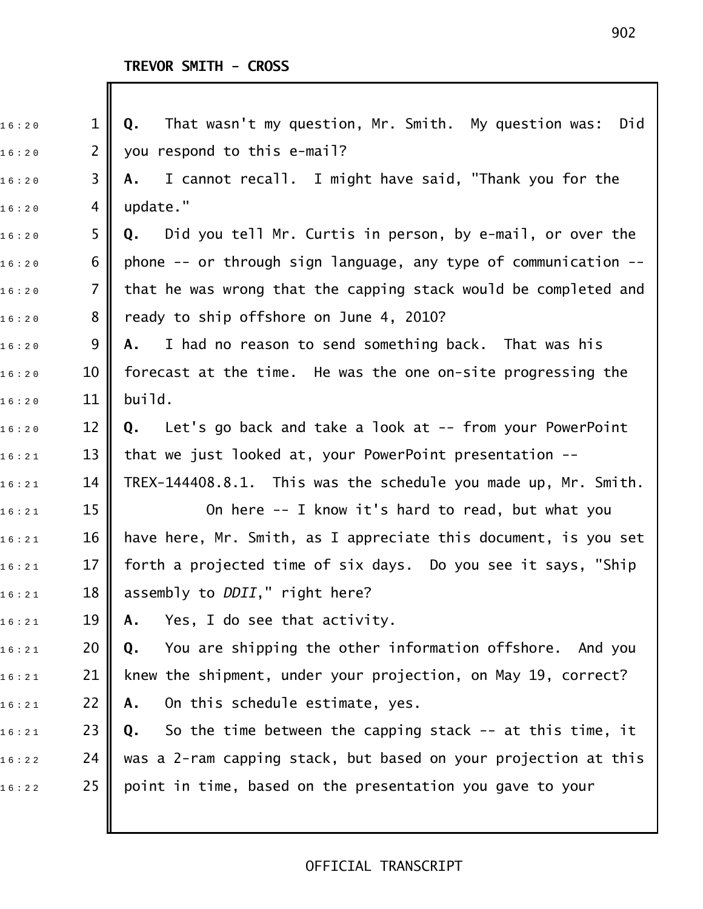| 16:20 | $\mathbf 1$    | That wasn't my question, Mr. Smith. My question was:<br>$Q_{\bullet}$<br>Did |
|-------|----------------|------------------------------------------------------------------------------|
| 16:20 | $\overline{2}$ | you respond to this e-mail?                                                  |
| 16:20 | 3              | I cannot recall. I might have said, "Thank you for the<br>Α.                 |
| 16:20 | 4              | update."                                                                     |
| 16:20 | 5              | <b>Q.</b> Did you tell Mr. Curtis in person, by e-mail, or over the          |
| 16:20 | 6              | phone -- or through sign language, any type of communication --              |
| 16:20 | $\overline{7}$ | that he was wrong that the capping stack would be completed and              |
| 16:20 | 8              | ready to ship offshore on June 4, 2010?                                      |
| 16:20 | 9              | I had no reason to send something back. That was his<br>Α.                   |
| 16:20 | 10             | forecast at the time. He was the one on-site progressing the                 |
| 16:20 | 11             | build.                                                                       |
| 16:20 | 12             | Q. Let's go back and take a look at -- from your PowerPoint                  |
| 16:21 | 13             | that we just looked at, your PowerPoint presentation --                      |
| 16:21 | 14             | TREX-144408.8.1. This was the schedule you made up, Mr. Smith.               |
| 16:21 | 15             | On here -- I know it's hard to read, but what you                            |
| 16:21 | 16             | have here, Mr. Smith, as I appreciate this document, is you set              |
| 16:21 | 17             | forth a projected time of six days. Do you see it says, "Ship                |
| 16:21 | 18             | assembly to <i>DDII</i> ," right here?                                       |
| 16:21 | 19             | Yes, I do see that activity.<br>Α.                                           |
| 16:21 | 20             | You are shipping the other information offshore. And you<br>Q.               |
| 16:21 | 21             | knew the shipment, under your projection, on May 19, correct?                |
| 16:21 | 22             | On this schedule estimate, yes.<br>Α.                                        |
| 16:21 | 23             | So the time between the capping stack -- at this time, it<br>Q.              |
| 16:22 | 24             | was a 2-ram capping stack, but based on your projection at this              |
| 16:22 | 25             | point in time, based on the presentation you gave to your                    |
|       |                |                                                                              |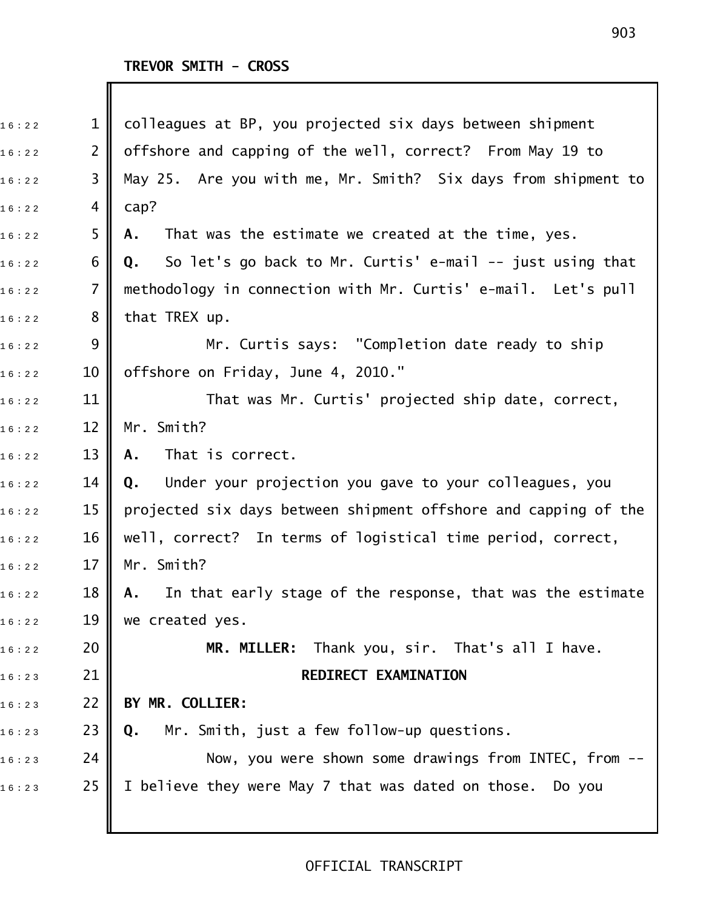| 16:22 | $\mathbf{1}$   | colleagues at BP, you projected six days between shipment       |
|-------|----------------|-----------------------------------------------------------------|
| 16:22 | $\overline{2}$ | offshore and capping of the well, correct? From May 19 to       |
| 16:22 | 3              | May 25. Are you with me, Mr. Smith? Six days from shipment to   |
| 16:22 | 4              | cap?                                                            |
| 16:22 | 5              | That was the estimate we created at the time, yes.<br>Α.        |
| 16:22 | 6              | So let's go back to Mr. Curtis' e-mail -- just using that<br>Q. |
| 16:22 | $\overline{7}$ | methodology in connection with Mr. Curtis' e-mail. Let's pull   |
| 16:22 | 8              | that TREX up.                                                   |
| 16:22 | 9              | Mr. Curtis says: "Completion date ready to ship                 |
| 16:22 | 10             | offshore on Friday, June 4, 2010."                              |
| 16:22 | 11             | That was Mr. Curtis' projected ship date, correct,              |
| 16:22 | 12             | Mr. Smith?                                                      |
| 16:22 | 13             | That is correct.<br>Α.                                          |
| 16:22 | 14             | Under your projection you gave to your colleagues, you<br>Q.    |
| 16:22 | 15             | projected six days between shipment offshore and capping of the |
| 16:22 | 16             | well, correct? In terms of logistical time period, correct,     |
| 16:22 | 17             | Mr. Smith?                                                      |
| 16:22 | 18             | A. In that early stage of the response, that was the estimate   |
| 16:22 | 19             | we created yes.                                                 |
| 16:22 | 20             | MR. MILLER: Thank you, sir. That's all I have.                  |
| 16:23 | 21             | REDIRECT EXAMINATION                                            |
| 16:23 | 22             | BY MR. COLLIER:                                                 |
| 16:23 | 23             | Mr. Smith, just a few follow-up questions.<br>Q.                |
| 16:23 | 24             | Now, you were shown some drawings from INTEC, from --           |
| 16:23 | 25             | I believe they were May 7 that was dated on those.<br>Do you    |
|       |                |                                                                 |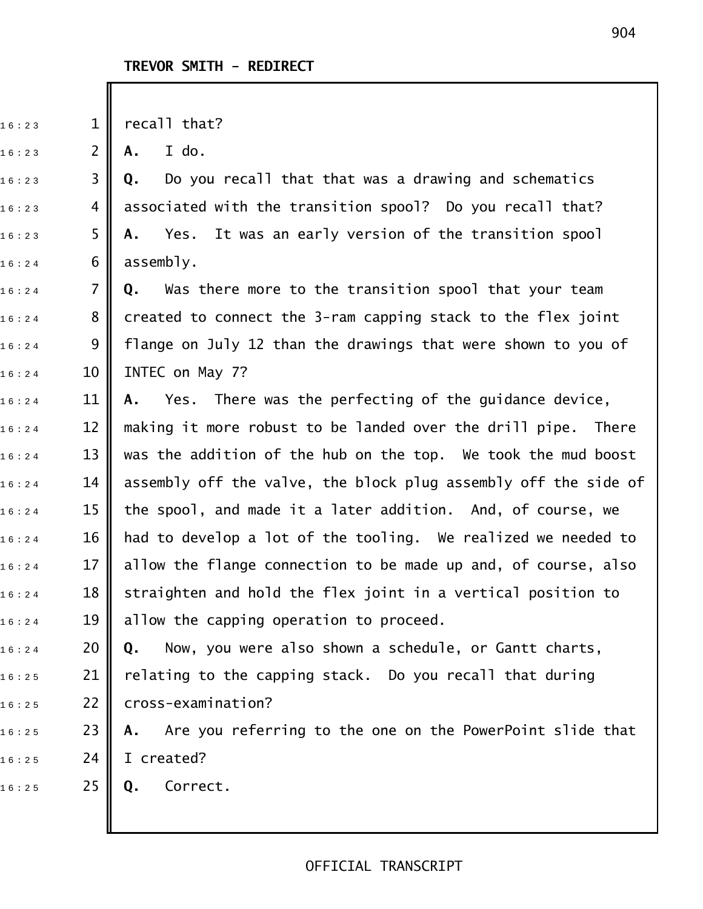$16:23$  1 || recall that?

1 6 : 2 3 2 **A.** I do.

1 6 : 2 3 3 **Q.** Do you recall that that was a drawing and schematics  $_{16:23}$  4 || associated with the transition spool? Do you recall that? 1 6 : 2 3 5 **A.** Yes. It was an early version of the transition spool  $16:24$  6 assembly.

1 6 : 2 4 7 **Q.** Was there more to the transition spool that your team  $_{16:24}$   $\,$  8  $\,$  created to connect the 3-ram capping stack to the flex joint  $_{16:24}$  9 || flange on July 12 than the drawings that were shown to you of  $16:24$  10 INTEC on May 7?

1 6 : 2 4 11 **A.** Yes. There was the perfecting of the guidance device,  $_{1\,6\,:\,2\,4}$   $\qquad$  12  $\parallel$  making it more robust to be landed over the drill pipe. There  $_{1\,6\,:\,2\,4}$   $\qquad$  13  $\parallel$  was the addition of the hub on the top. We took the mud boost  $_{1\,6\,:\,2\,4}$   $\qquad$  14  $\|$  assembly off the valve, the block plug assembly off the side of  $_{16:24}$   $\,$   $\,$  15  $\,$  the spool, and made it a later addition. And, of course, we  $_{16:24}$   $\,$   $\,$  16  $\,$   $\,$  had to develop a lot of the tooling. We realized we needed to  $_{16:24}$   $\,$   $\,$  17  $\,$  allow the flange connection to be made up and, of course, also  $_{16:24}$   $\,$   $\,$  18  $\,$  straighten and hold the flex joint in a vertical position to  $16:24$  19 | allow the capping operation to proceed.

1 6 : 2 4 20 **Q.** Now, you were also shown a schedule, or Gantt charts,  $_{16:25}$  21 || relating to the capping stack. Do you recall that during  $16:25$  22 cross-examination?

1 6 : 2 5 23 **A.** Are you referring to the one on the PowerPoint slide that  $16:25$  24 I created?

1 6 : 2 5 25 **Q.** Correct.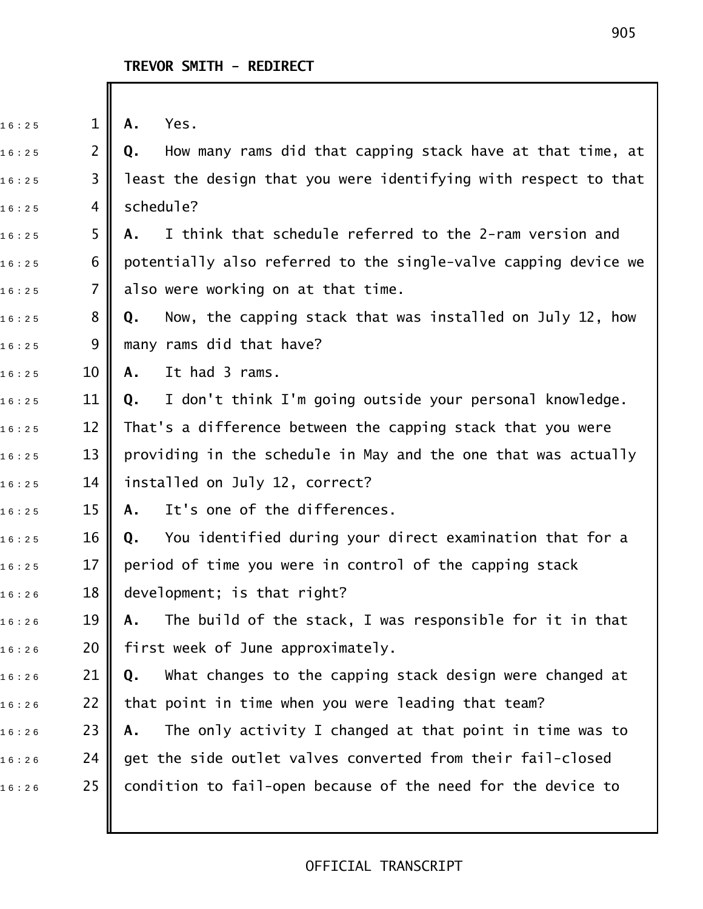16:25 **1 || A.** Yes. 1 6 : 2 5 2 **Q.** How many rams did that capping stack have at that time, at  $_{1\,6+2\,5}$   $\,$  3  $\,$  least the design that you were identifying with respect to that  $16:25$  4 schedule? 16:25 **5 A.** I think that schedule referred to the 2-ram version and  $16:25$  6  $\blacksquare$  potentially also referred to the single-valve capping device we  $_{16:25}$  7 || also were working on at that time. 1 6 : 2 5 8 **Q.** Now, the capping stack that was installed on July 12, how  $16:25$  9 many rams did that have? 1 6 : 2 5 10 **A.** It had 3 rams. 1 6 : 2 5 11 **Q.** I don't think I'm going outside your personal knowledge.  $_{1\,6\,:\,2\,5}$   $\qquad$  12  $\parallel$  That's a difference between the capping stack that you were  $16:25$  13 || providing in the schedule in May and the one that was actually  $16:25$  14 || installed on July 12, correct? 1 6 : 2 5 15 **A.** It's one of the differences. 1 6 : 2 5 16 **Q.** You identified during your direct examination that for a  $16:25$  17 period of time you were in control of the capping stack  $16:26$  18 development; is that right? 1 6 : 2 6 19 **A.** The build of the stack, I was responsible for it in that  $16:26$  20 | first week of June approximately. 1 6 : 2 6 21 **Q.** What changes to the capping stack design were changed at  $_{1\,6\,:\,2\,6}$   $\qquad$  22  $\parallel$  that point in time when you were leading that team? 1 6 : 2 6 23 **A.** The only activity I changed at that point in time was to  $_{1\,6\,:\,2\,6}$   $\qquad$  24  $\parallel$  get the side outlet valves converted from their fail-closed  $16:26$  25 condition to fail-open because of the need for the device to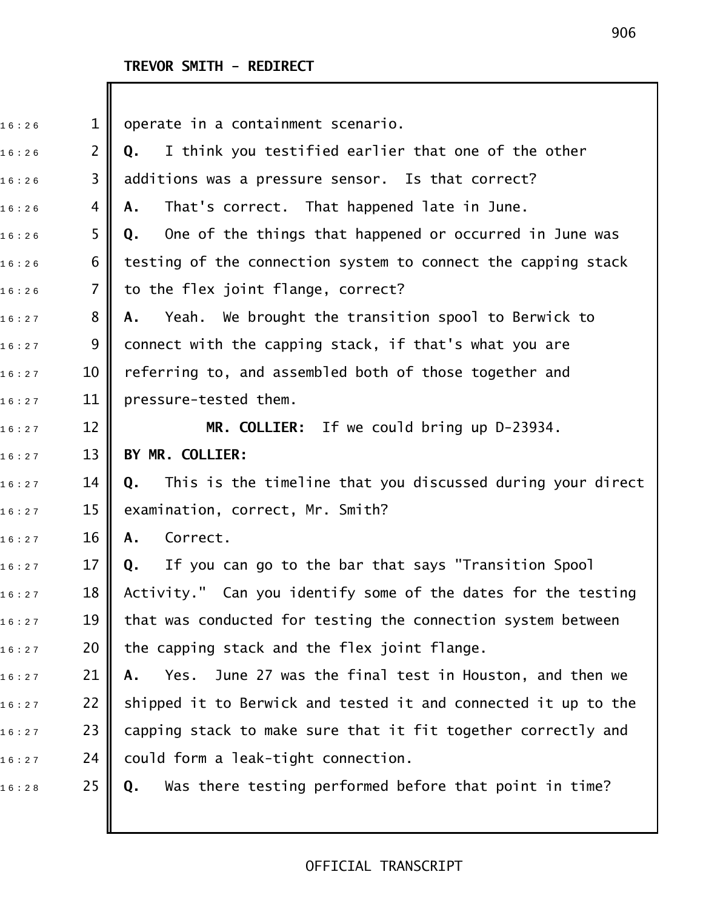# **TREVOR SMITH - REDIRECT**

I

| 16:26 | $\mathbf{1}$   | operate in a containment scenario.                               |
|-------|----------------|------------------------------------------------------------------|
| 16:26 | $\overline{2}$ | I think you testified earlier that one of the other<br>Q.        |
| 16:26 | 3              | additions was a pressure sensor. Is that correct?                |
| 16:26 | 4              | That's correct. That happened late in June.<br>Α.                |
| 16:26 | 5              | One of the things that happened or occurred in June was<br>Q.    |
| 16:26 | 6              | testing of the connection system to connect the capping stack    |
| 16:26 | 7              | to the flex joint flange, correct?                               |
| 16:27 | 8              | Yeah. We brought the transition spool to Berwick to<br>Α.        |
| 16:27 | 9              | connect with the capping stack, if that's what you are           |
| 16:27 | 10             | referring to, and assembled both of those together and           |
| 16:27 | 11             | pressure-tested them.                                            |
| 16:27 | 12             | MR. COLLIER: If we could bring up D-23934.                       |
| 16:27 | 13             | BY MR. COLLIER:                                                  |
| 16:27 | 14             | This is the timeline that you discussed during your direct<br>Q. |
| 16:27 | 15             | examination, correct, Mr. Smith?                                 |
| 16:27 | 16             | Correct.<br>Α.                                                   |
| 16:27 | 17             | If you can go to the bar that says "Transition Spool<br>Q.       |
| 16:27 | 18             | Activity." Can you identify some of the dates for the testing    |
| 16:27 | 19             | that was conducted for testing the connection system between     |
| 16:27 | 20             | the capping stack and the flex joint flange.                     |
| 16:27 | 21             | June 27 was the final test in Houston, and then we<br>Yes.<br>Α. |
| 16:27 | 22             | shipped it to Berwick and tested it and connected it up to the   |
| 16:27 | 23             | capping stack to make sure that it fit together correctly and    |
| 16:27 | 24             | could form a leak-tight connection.                              |
| 16:28 | 25             | Was there testing performed before that point in time?<br>Q.     |
|       |                |                                                                  |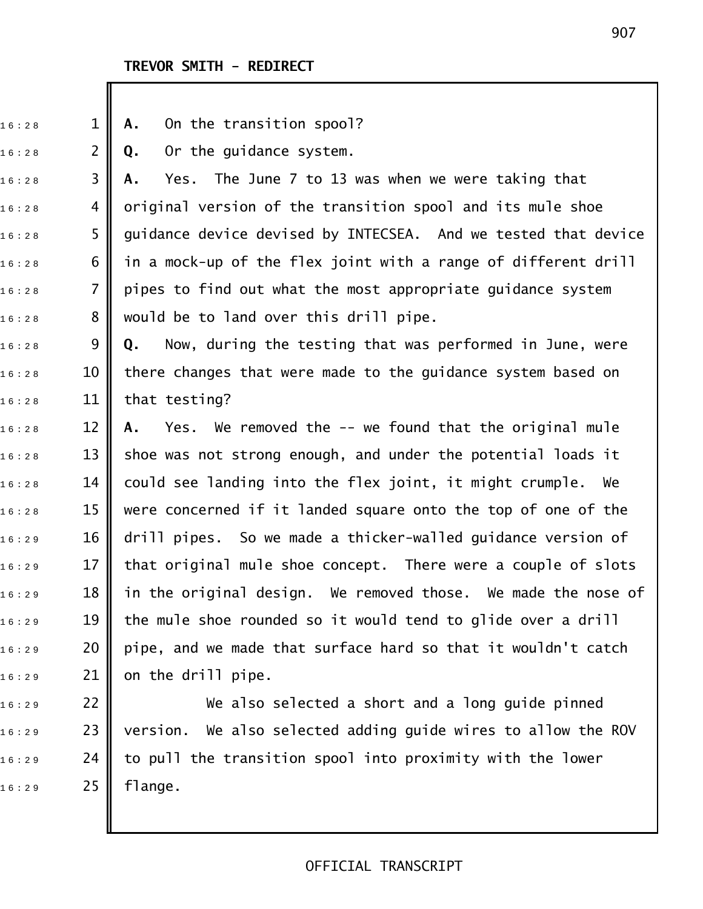# **TREVOR SMITH - REDIRECT**

| 16:28 | $\mathbf 1$    | On the transition spool?<br>Α.                                   |
|-------|----------------|------------------------------------------------------------------|
| 16:28 | $\overline{2}$ | Or the guidance system.<br>Q.                                    |
| 16:28 | 3              | Yes. The June 7 to 13 was when we were taking that<br>Α.         |
| 16:28 | 4              | original version of the transition spool and its mule shoe       |
| 16:28 | 5              | guidance device devised by INTECSEA. And we tested that device   |
| 16:28 | 6              | in a mock-up of the flex joint with a range of different drill   |
| 16:28 | $\overline{7}$ | pipes to find out what the most appropriate guidance system      |
| 16:28 | 8              | would be to land over this drill pipe.                           |
| 16:28 | 9              | Now, during the testing that was performed in June, were<br>Q.   |
| 16:28 | 10             | there changes that were made to the guidance system based on     |
| 16:28 | 11             | that testing?                                                    |
| 16:28 | 12             | Yes. We removed the -- we found that the original mule<br>А.     |
| 16:28 | 13             | shoe was not strong enough, and under the potential loads it     |
| 16:28 | 14             | could see landing into the flex joint, it might crumple. We      |
| 16:28 | 15             | were concerned if it landed square onto the top of one of the    |
| 16:29 | 16             | drill pipes. So we made a thicker-walled guidance version of     |
| 16:29 | 17             | that original mule shoe concept. There were a couple of slots    |
| 16:29 | 18             | in the original design. We removed those. We made the nose of    |
| 16:29 | 19             | the mule shoe rounded so it would tend to glide over a drill     |
| 16:29 | 20             | pipe, and we made that surface hard so that it wouldn't catch    |
| 16:29 | 21             | on the drill pipe.                                               |
| 16:29 | 22             | We also selected a short and a long guide pinned                 |
| 16:29 | 23             | We also selected adding guide wires to allow the ROV<br>version. |
| 16:29 | 24             | to pull the transition spool into proximity with the lower       |
| 16:29 | 25             | flange.                                                          |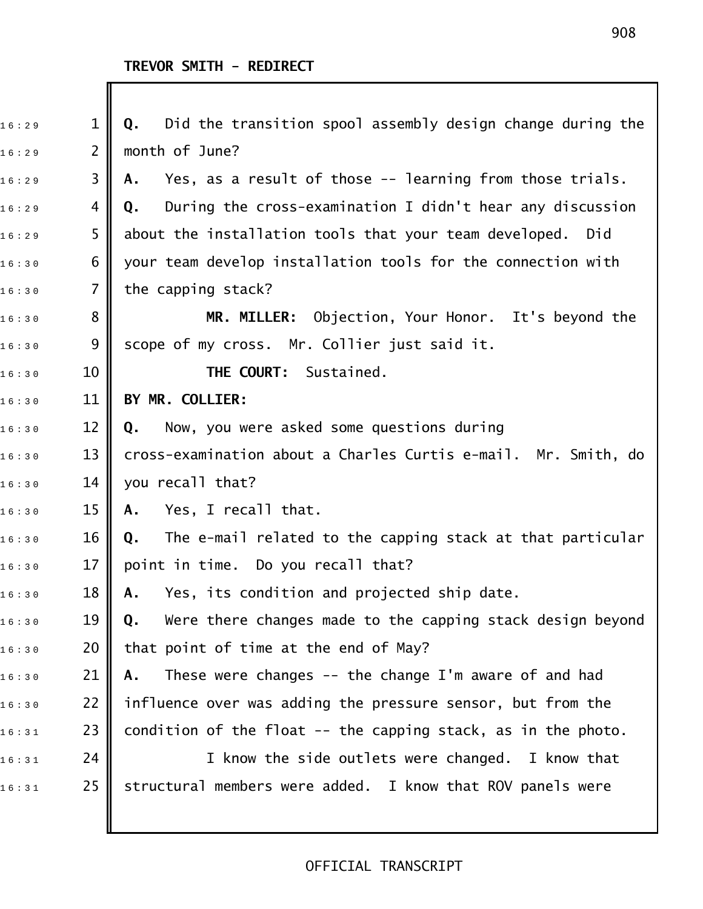# **TREVOR SMITH - REDIRECT**

| 16:29 | $\mathbf 1$    | Did the transition spool assembly design change during the<br>Q. |
|-------|----------------|------------------------------------------------------------------|
| 16:29 | $\overline{2}$ | month of June?                                                   |
| 16:29 | 3              | Yes, as a result of those -- learning from those trials.<br>Α.   |
| 16:29 | 4              | During the cross-examination I didn't hear any discussion<br>Q.  |
| 16:29 | 5              | about the installation tools that your team developed.<br>Did    |
| 16:30 | 6              | your team develop installation tools for the connection with     |
| 16:30 | 7              | the capping stack?                                               |
| 16:30 | 8              | Objection, Your Honor. It's beyond the<br><b>MR. MILLER:</b>     |
| 16:30 | 9              | scope of my cross. Mr. Collier just said it.                     |
| 16:30 | 10             | THE COURT: Sustained.                                            |
| 16:30 | 11             | BY MR. COLLIER:                                                  |
| 16:30 | 12             | Now, you were asked some questions during<br>Q.                  |
| 16:30 | 13             | cross-examination about a Charles Curtis e-mail. Mr. Smith, do   |
| 16:30 | 14             | you recall that?                                                 |
| 16:30 | 15             | Yes, I recall that.<br>Α.                                        |
| 16:30 | 16             | The e-mail related to the capping stack at that particular<br>Q. |
| 16:30 | 17             | point in time. Do you recall that?                               |
| 16:30 | 18             | Yes, its condition and projected ship date.<br>А.                |
| 16:30 | 19             | Were there changes made to the capping stack design beyond<br>Q. |
| 16:30 | 20             | that point of time at the end of May?                            |
| 16:30 | 21             | These were changes $-$ the change I'm aware of and had<br>Α.     |
| 16:30 | 22             | influence over was adding the pressure sensor, but from the      |
| 16:31 | 23             | condition of the float -- the capping stack, as in the photo.    |
| 16:31 | 24             | I know the side outlets were changed. I know that                |
| 16:31 | 25             | structural members were added. I know that ROV panels were       |
|       |                |                                                                  |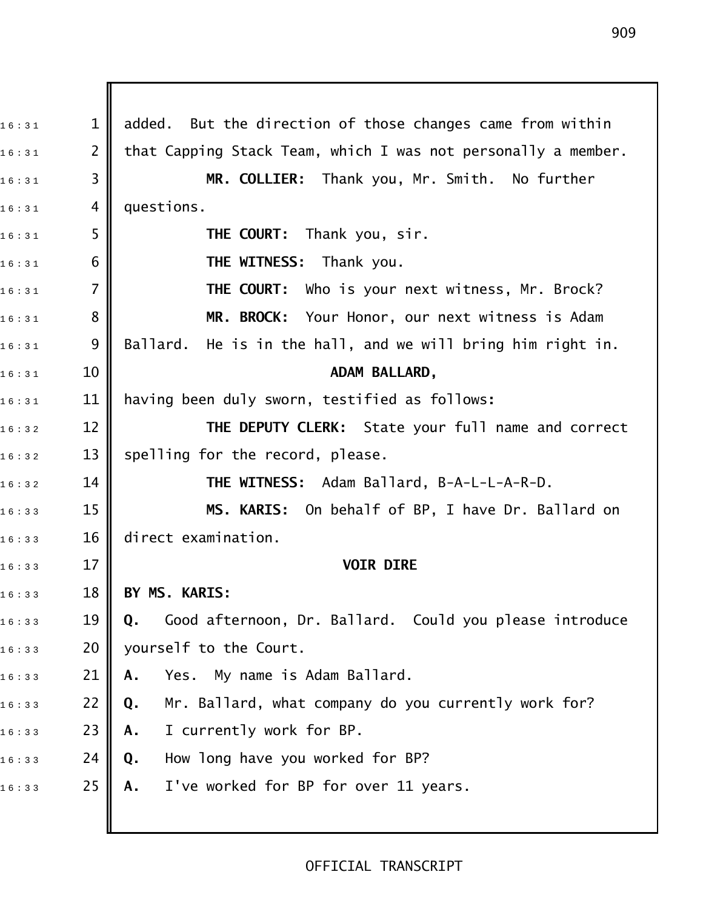$_{1\,6\,:\,3\,1}$   $\qquad \qquad 1\parallel$  added. But the direction of those changes came from within  $_{1\,6\,:\,3\,1}$  2  $\parallel$  that Capping Stack Team, which I was not personally a member. 1 6 : 3 1 3 **MR. COLLIER:** Thank you, Mr. Smith. No further  $16 : 31$  4 questions. 1 6 : 3 1 5 **THE COURT:** Thank you, sir. 1 6 : 3 1 6 **THE WITNESS:** Thank you. 1 6 : 3 1 7 **THE COURT:** Who is your next witness, Mr. Brock? 1 6 : 3 1 8 **MR. BROCK:** Your Honor, our next witness is Adam  $_{1\,6\,:\,3\,1}$  9 || Ballard. He is in the hall, and we will bring him right in. 16:31 10 **ADAM BALLARD,** 1 6 : 3 1 11 having been duly sworn, testified as follows**:** 1 6 : 3 2 12 **THE DEPUTY CLERK:** State your full name and correct  $_{16:32}$   $13$  spelling for the record, please. 16:32 14 **|| THE WITNESS:** Adam Ballard, B-A-L-L-A-R-D. 1 6 : 3 3 15 **MS. KARIS:** On behalf of BP, I have Dr. Ballard on  $16 : 33$  16 direct examination. 16:33 17 **I** 1 6 : 3 3 18 **BY MS. KARIS:** 1 6 : 3 3 19 **Q.** Good afternoon, Dr. Ballard. Could you please introduce  $16:33$  20 yourself to the Court. 1 6 : 3 3 21 **A.** Yes. My name is Adam Ballard. 1 6 : 3 3 22 **Q.** Mr. Ballard, what company do you currently work for? 1 6 : 3 3 23 **A.** I currently work for BP. 1 6 : 3 3 24 **Q.** How long have you worked for BP? 1 6 : 3 3 25 **A.** I've worked for BP for over 11 years.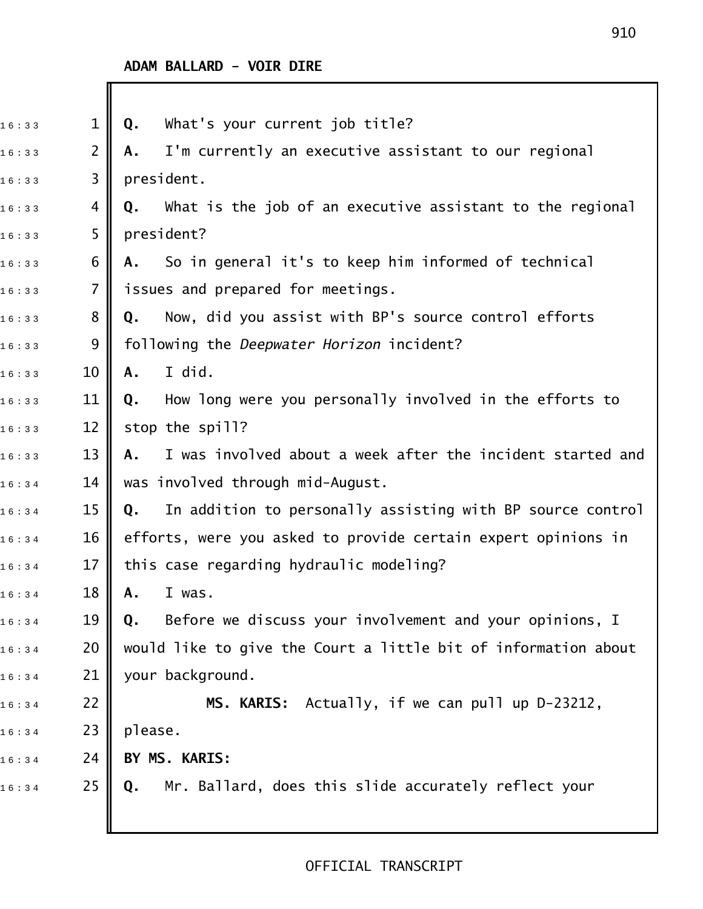| 16:33 | 1              | What's your current job title?<br>Q.                             |
|-------|----------------|------------------------------------------------------------------|
| 16:33 | $\overline{2}$ | I'm currently an executive assistant to our regional<br>Α.       |
| 16:33 | 3              | president.                                                       |
| 16:33 | 4              | What is the job of an executive assistant to the regional<br>Q.  |
| 16:33 | 5              | president?                                                       |
| 16:33 | 6              | So in general it's to keep him informed of technical<br>Α.       |
| 16:33 | $\overline{7}$ | issues and prepared for meetings.                                |
| 16:33 | 8              | Now, did you assist with BP's source control efforts<br>Q.       |
| 16:33 | 9              | following the Deepwater Horizon incident?                        |
| 16:33 | 10             | I did.<br>A.                                                     |
| 16:33 | 11             | How long were you personally involved in the efforts to<br>Q.    |
| 16:33 | 12             | stop the spill?                                                  |
| 16:33 | 13             | I was involved about a week after the incident started and<br>А. |
| 16:34 | 14             | was involved through mid-August.                                 |
| 16:34 | 15             | In addition to personally assisting with BP source control<br>Q. |
| 16:34 | 16             | efforts, were you asked to provide certain expert opinions in    |
| 16:34 | 17             | this case regarding hydraulic modeling?                          |
| 16:34 | 18             | A. I was.                                                        |
| 16:34 | 19             | Before we discuss your involvement and your opinions, I<br>Q.    |
| 16:34 | 20             | would like to give the Court a little bit of information about   |
| 16:34 | 21             | your background.                                                 |
| 16:34 | 22             | MS. KARIS: Actually, if we can pull up D-23212,                  |
| 16:34 | 23             | please.                                                          |
| 16:34 | 24             | BY MS. KARIS:                                                    |
| 16:34 | 25             | Mr. Ballard, does this slide accurately reflect your<br>Q.       |
|       |                |                                                                  |
|       |                |                                                                  |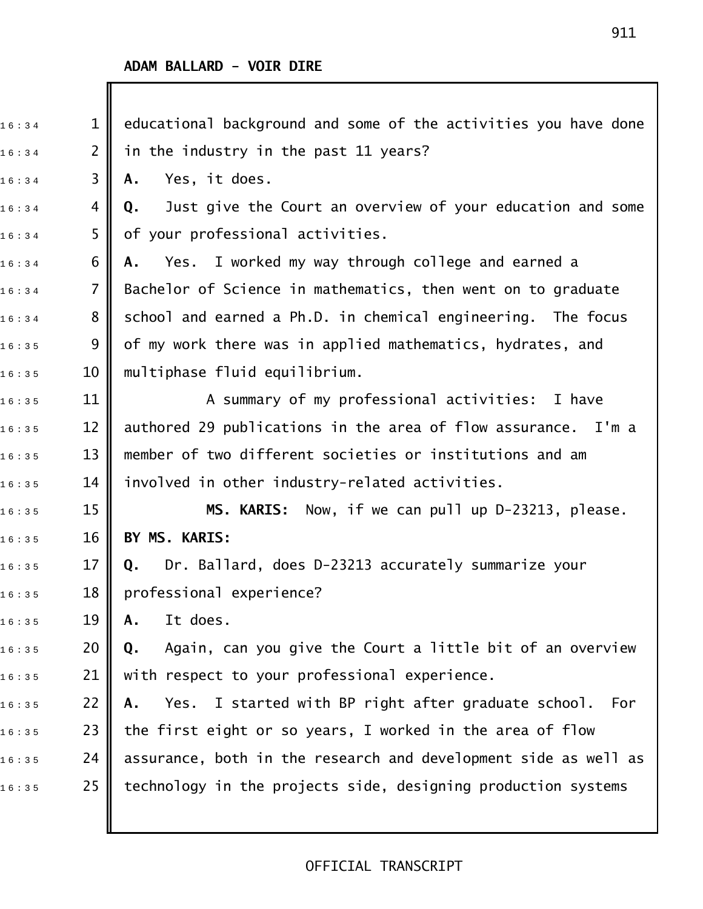| 16:34 | $\mathbf 1$      | educational background and some of the activities you have done  |
|-------|------------------|------------------------------------------------------------------|
| 16:34 | $\overline{2}$   | in the industry in the past 11 years?                            |
| 16:34 | 3                | Yes, it does.<br>Α.                                              |
| 16:34 | 4                | Just give the Court an overview of your education and some<br>Q. |
| 16:34 | 5                | of your professional activities.                                 |
| 16:34 | 6                | Yes. I worked my way through college and earned a<br>Α.          |
| 16:34 | $\overline{7}$   | Bachelor of Science in mathematics, then went on to graduate     |
| 16:34 | 8                | school and earned a Ph.D. in chemical engineering. The focus     |
| 16:35 | 9                | of my work there was in applied mathematics, hydrates, and       |
| 16:35 | 10               | multiphase fluid equilibrium.                                    |
| 16:35 | 11               | A summary of my professional activities: I have                  |
| 16:35 | 12               | authored 29 publications in the area of flow assurance. I'm a    |
| 16:35 | 13               | member of two different societies or institutions and am         |
| 16:35 | 14               | involved in other industry-related activities.                   |
| 16:35 | 15               | MS. KARIS: Now, if we can pull up D-23213, please.               |
| 16:35 | 16               | BY MS. KARIS:                                                    |
| 16:35 | 17               | Dr. Ballard, does D-23213 accurately summarize your<br>Q.        |
| 16:35 | 18 <sup>  </sup> | professional experience?                                         |
| 16:35 | 19               | It does.<br>Α.                                                   |
| 16:35 | 20               | Again, can you give the Court a little bit of an overview<br>Q.  |
| 16:35 | 21               | with respect to your professional experience.                    |
| 16:35 | 22               | Yes. I started with BP right after graduate school.<br>For<br>Α. |
| 16:35 | 23               | the first eight or so years, I worked in the area of flow        |
| 16:35 | 24               | assurance, both in the research and development side as well as  |
| 16:35 | 25               | technology in the projects side, designing production systems    |
|       |                  |                                                                  |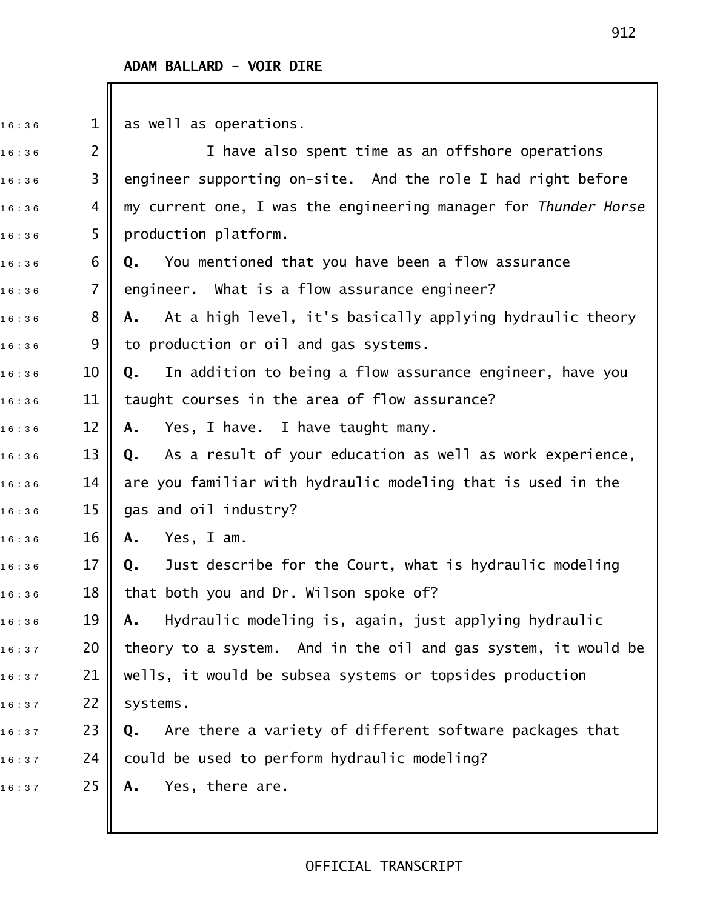$16 : 36$  1 | as well as operations.

 $16:36$  2  $\parallel$   $\parallel$   $\parallel$   $\parallel$  ave also spent time as an offshore operations  $16:36$  3  $\parallel$  engineer supporting on-site. And the role I had right before 1 6 : 3 6 4 my current one, I was the engineering manager for *Thunder Horse*  $16:36$  5 production platform. 1 6 : 3 6 6 **Q.** You mentioned that you have been a flow assurance  $_{1\,6\,:\,3\,6}$  7  $\parallel$  engineer. What is a flow assurance engineer? 1 6 : 3 6 8 **A.** At a high level, it's basically applying hydraulic theory  $_{16:36}$  9 || to production or oil and gas systems. 1 6 : 3 6 10 **Q.** In addition to being a flow assurance engineer, have you  $_{16:36}$   $\,$   $\,$  11  $\,$  taught courses in the area of flow assurance? 1 6 : 3 6 12 **A.** Yes, I have. I have taught many. 1 6 : 3 6 13 **Q.** As a result of your education as well as work experience,  $_{1\,6\,:\,3\,6}$   $\qquad$  14  $\parallel$  are you familiar with hydraulic modeling that is used in the  $16:36$  15 gas and oil industry? 1 6 : 3 6 16 **A.** Yes, I am. 1 6 : 3 6 17 **Q.** Just describe for the Court, what is hydraulic modeling  $16:36$  18 || that both you and Dr. Wilson spoke of? 1 6 : 3 6 19 **A.** Hydraulic modeling is, again, just applying hydraulic  $_{1\,6\,:\,3\,7}$   $\qquad$  20  $\parallel$  theory to a system. And in the oil and gas system, it would be  $_{16:37}$  21 || wells, it would be subsea systems or topsides production  $16:37$  22 systems. 1 6 : 3 7 23 **Q.** Are there a variety of different software packages that  $16:37$  24 could be used to perform hydraulic modeling? 16:37 25 **A.** Yes, there are.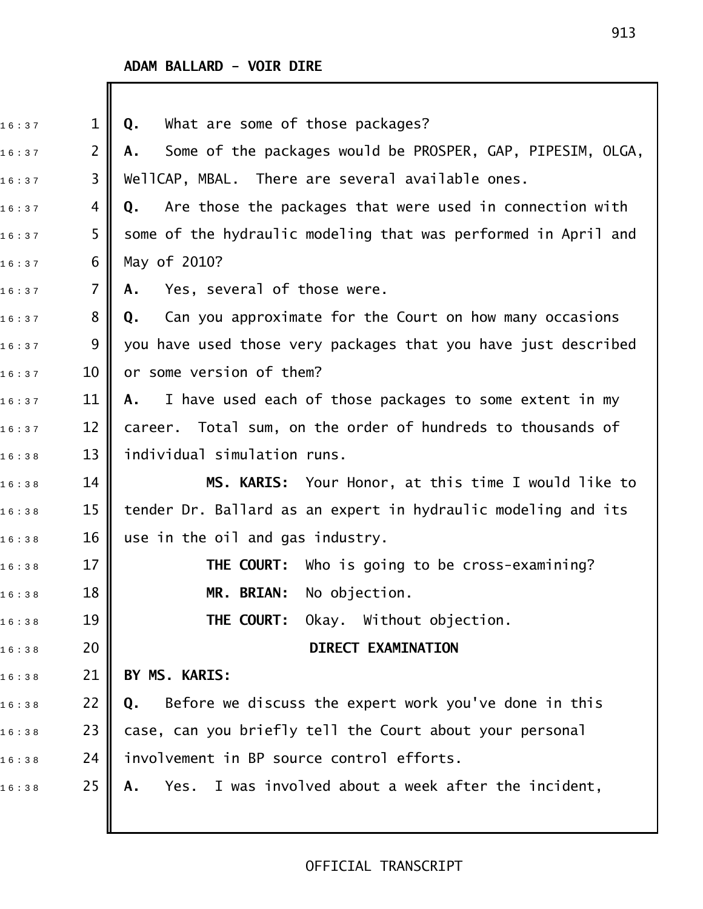| 16:37 | $\mathbf{1}$   | What are some of those packages?<br>Q.                           |
|-------|----------------|------------------------------------------------------------------|
| 16:37 | 2              | Some of the packages would be PROSPER, GAP, PIPESIM, OLGA,<br>А. |
| 16:37 | 3              | WellCAP, MBAL. There are several available ones.                 |
| 16:37 | 4              | Are those the packages that were used in connection with<br>Q.   |
| 16:37 | 5              | some of the hydraulic modeling that was performed in April and   |
| 16:37 | 6              | May of 2010?                                                     |
| 16:37 | $\overline{7}$ | Yes, several of those were.<br>Α.                                |
| 16:37 | 8              | Can you approximate for the Court on how many occasions<br>Q.    |
| 16:37 | 9              | you have used those very packages that you have just described   |
| 16:37 | 10             | or some version of them?                                         |
| 16:37 | 11             | I have used each of those packages to some extent in my<br>A.    |
| 16:37 | 12             | career. Total sum, on the order of hundreds to thousands of      |
| 16:38 | 13             | individual simulation runs.                                      |
| 16:38 | 14             | MS. KARIS: Your Honor, at this time I would like to              |
| 16:38 | 15             | tender Dr. Ballard as an expert in hydraulic modeling and its    |
| 16:38 | 16             | use in the oil and gas industry.                                 |
| 16:38 | 17             | <b>THE COURT:</b> Who is going to be cross-examining?            |
| 16:38 | 18             | MR. BRIAN: No objection.                                         |
| 16:38 | 19             | THE COURT:<br>Okay. Without objection.                           |
| 16:38 | 20             | <b>DIRECT EXAMINATION</b>                                        |
| 16:38 | 21             | BY MS. KARIS:                                                    |
| 16:38 | 22             | Before we discuss the expert work you've done in this<br>Q.      |
| 16:38 | 23             | case, can you briefly tell the Court about your personal         |
| 16:38 | 24             | involvement in BP source control efforts.                        |
| 16:38 | 25             | Yes. I was involved about a week after the incident,<br>А.       |
|       |                |                                                                  |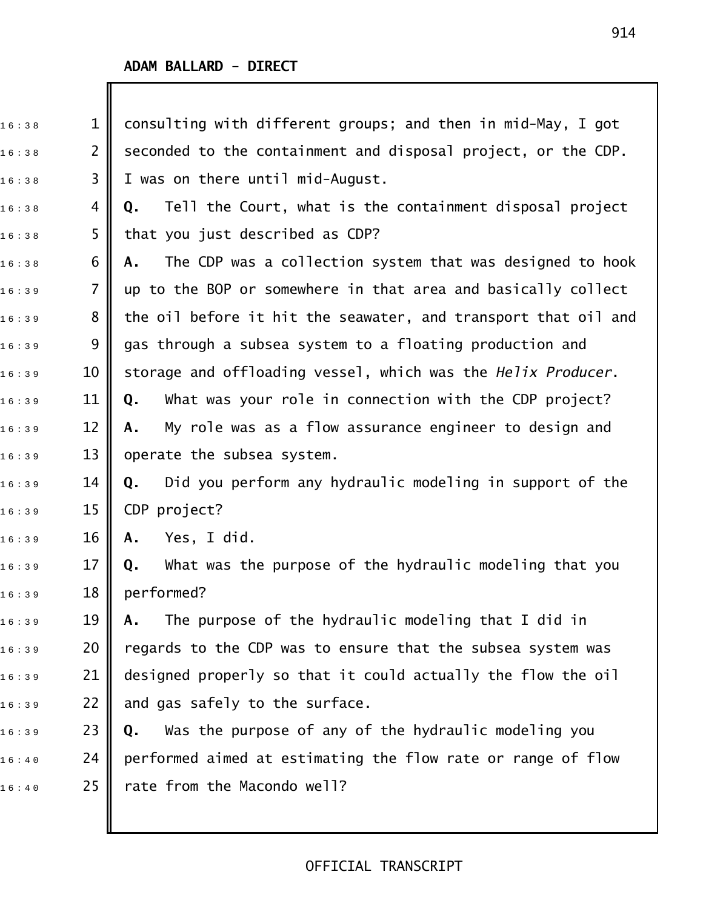| 16:38 | $\mathbf 1$    | consulting with different groups; and then in mid-May, I got    |
|-------|----------------|-----------------------------------------------------------------|
| 16:38 | $\overline{2}$ | seconded to the containment and disposal project, or the CDP.   |
| 16:38 | 3              | I was on there until mid-August.                                |
| 16:38 | 4              | Tell the Court, what is the containment disposal project<br>Q.  |
| 16:38 | 5              | that you just described as CDP?                                 |
| 16:38 | 6              | The CDP was a collection system that was designed to hook<br>Α. |
| 16:39 | $\overline{7}$ | up to the BOP or somewhere in that area and basically collect   |
| 16:39 | 8              | the oil before it hit the seawater, and transport that oil and  |
| 16:39 | 9              | gas through a subsea system to a floating production and        |
| 16:39 | 10             | storage and offloading vessel, which was the Helix Producer.    |
| 16:39 | 11             | What was your role in connection with the CDP project?<br>Q.    |
| 16:39 | 12             | My role was as a flow assurance engineer to design and<br>Α.    |
| 16:39 | 13             | operate the subsea system.                                      |
| 16:39 | 14             | Did you perform any hydraulic modeling in support of the<br>Q.  |
| 16:39 | 15             | CDP project?                                                    |
| 16:39 | 16             | Yes, I did.<br>Α.                                               |
| 16:39 | 17             | What was the purpose of the hydraulic modeling that you<br>Q.   |
| 16:39 | 18             | performed?                                                      |
| 16:39 | 19             | The purpose of the hydraulic modeling that I did in<br>Α.       |
| 16:39 | 20             | regards to the CDP was to ensure that the subsea system was     |
| 16:39 | 21             | designed properly so that it could actually the flow the oil    |
| 16:39 | 22             | and gas safely to the surface.                                  |
| 16:39 | 23             | Was the purpose of any of the hydraulic modeling you<br>Q.      |
| 16:40 | 24             | performed aimed at estimating the flow rate or range of flow    |
| 16:40 | 25             | rate from the Macondo well?                                     |
|       |                |                                                                 |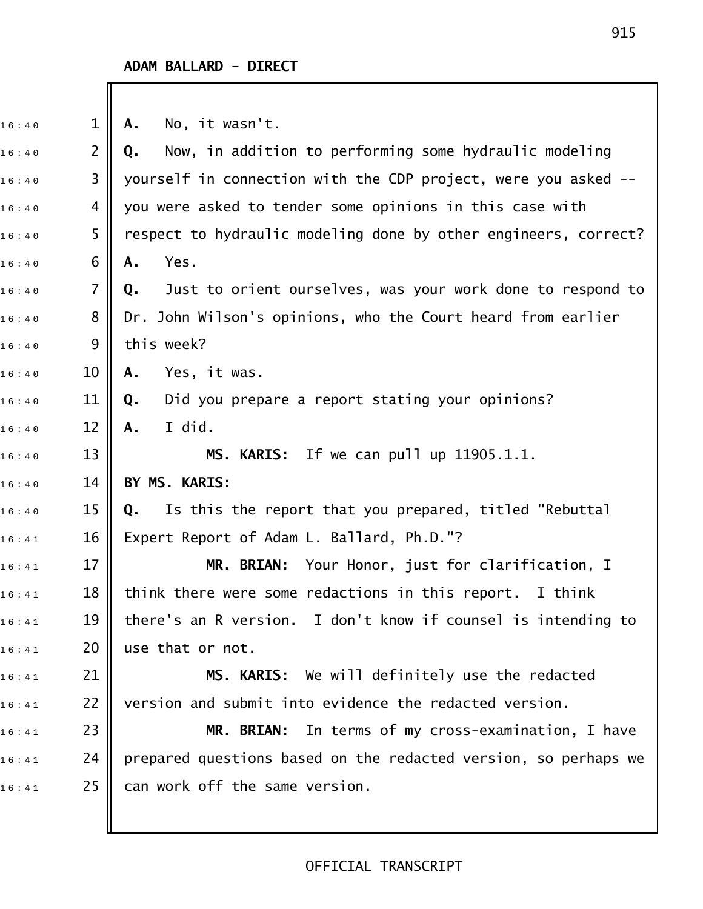I

| $\mathbf{1}$   | No, it wasn't.<br>Α.                                             |
|----------------|------------------------------------------------------------------|
| $\overline{2}$ | Now, in addition to performing some hydraulic modeling<br>Q.     |
| 3              | yourself in connection with the CDP project, were you asked --   |
| 4              | you were asked to tender some opinions in this case with         |
| 5              | respect to hydraulic modeling done by other engineers, correct?  |
| 6              | Yes.<br>Α.                                                       |
| $\overline{7}$ | Just to orient ourselves, was your work done to respond to<br>Q. |
| 8              | Dr. John Wilson's opinions, who the Court heard from earlier     |
| 9              | this week?                                                       |
| 10             | Yes, it was.<br>Α.                                               |
| 11             | Did you prepare a report stating your opinions?<br>Q.            |
| 12             | I did.<br>Α.                                                     |
| 13             | MS. KARIS: If we can pull up 11905.1.1.                          |
| 14             | BY MS. KARIS:                                                    |
| 15             | Is this the report that you prepared, titled "Rebuttal<br>Q.     |
| 16             | Expert Report of Adam L. Ballard, Ph.D."?                        |
| 17             | Your Honor, just for clarification, I<br>MR. BRIAN:              |
| 18             | think there were some redactions in this report. I think         |
| 19             | there's an R version. I don't know if counsel is intending to    |
| 20             | use that or not.                                                 |
| 21             | MS. KARIS: We will definitely use the redacted                   |
| 22             | version and submit into evidence the redacted version.           |
| 23             | MR. BRIAN: In terms of my cross-examination, I have              |
| 24             | prepared questions based on the redacted version, so perhaps we  |
| 25             | can work off the same version.                                   |
|                |                                                                  |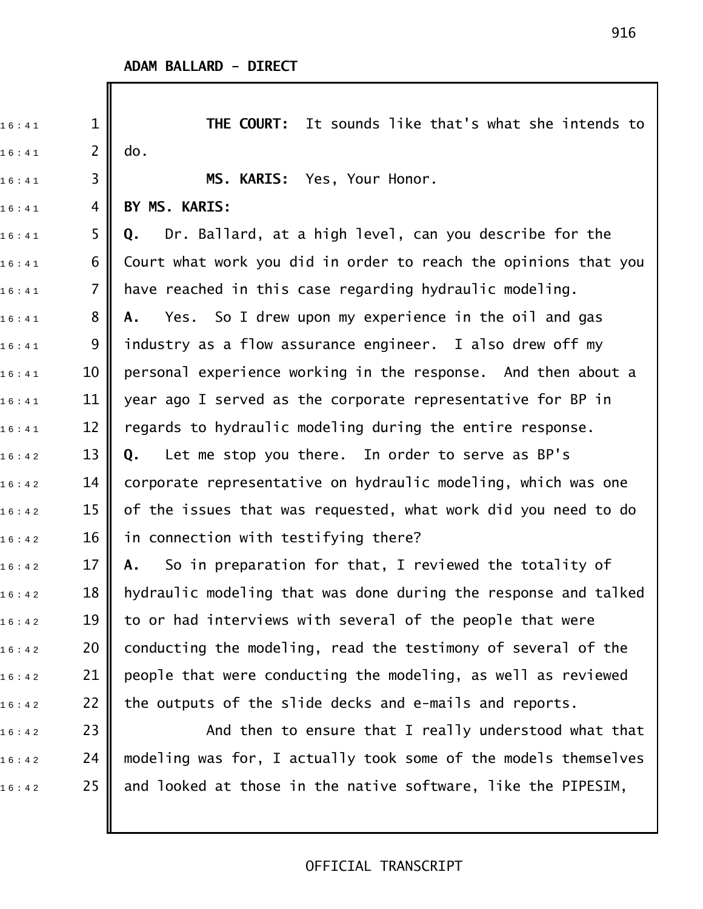$\mathbb I$ 

| 16:41 | $\mathbf 1$    | <b>THE COURT:</b> It sounds like that's what she intends to     |
|-------|----------------|-----------------------------------------------------------------|
| 16:41 | $\overline{2}$ | do.                                                             |
| 16:41 | 3              | MS. KARIS: Yes, Your Honor.                                     |
| 16:41 | 4              | BY MS. KARIS:                                                   |
| 16:41 | 5              | Dr. Ballard, at a high level, can you describe for the<br>Q.    |
| 16:41 | 6              | Court what work you did in order to reach the opinions that you |
| 16:41 | $\overline{7}$ | have reached in this case regarding hydraulic modeling.         |
| 16:41 | 8              | Yes. So I drew upon my experience in the oil and gas<br>А.      |
| 16:41 | 9              | industry as a flow assurance engineer. I also drew off my       |
| 16:41 | 10             | personal experience working in the response. And then about a   |
| 16:41 | 11             | year ago I served as the corporate representative for BP in     |
| 16:41 | 12             | regards to hydraulic modeling during the entire response.       |
| 16:42 | 13             | Let me stop you there. In order to serve as BP's<br>Q.          |
| 16:42 | 14             | corporate representative on hydraulic modeling, which was one   |
| 16:42 | 15             | of the issues that was requested, what work did you need to do  |
| 16:42 | 16             | in connection with testifying there?                            |
| 16:42 | 17             | So in preparation for that, I reviewed the totality of<br>Α.    |
| 16:42 | 18             | hydraulic modeling that was done during the response and talked |
| 16:42 | 19             | to or had interviews with several of the people that were       |
| 16:42 | 20             | conducting the modeling, read the testimony of several of the   |
| 16:42 | 21             | people that were conducting the modeling, as well as reviewed   |
| 16:42 | 22             | the outputs of the slide decks and e-mails and reports.         |
| 16:42 | 23             | And then to ensure that I really understood what that           |
| 16:42 | 24             | modeling was for, I actually took some of the models themselves |
| 16:42 | 25             | and looked at those in the native software, like the PIPESIM,   |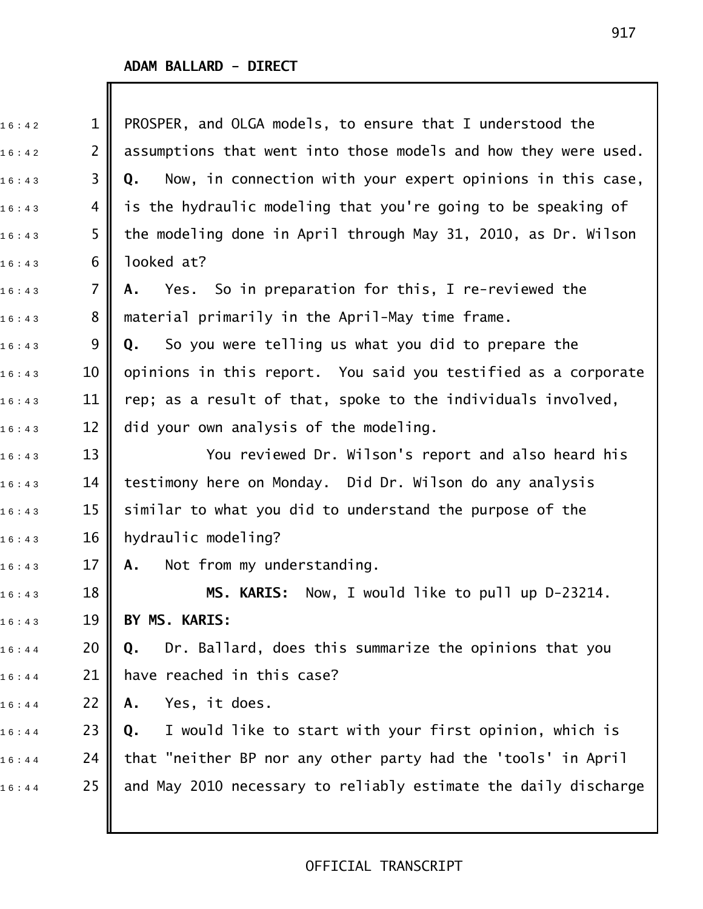Ш

| 16:42 | $\mathbf{1}$   | PROSPER, and OLGA models, to ensure that I understood the        |
|-------|----------------|------------------------------------------------------------------|
| 16:42 | $\overline{2}$ | assumptions that went into those models and how they were used.  |
| 16:43 | 3              | Now, in connection with your expert opinions in this case,<br>Q. |
| 16:43 | 4              | is the hydraulic modeling that you're going to be speaking of    |
| 16:43 | 5              | the modeling done in April through May 31, 2010, as Dr. Wilson   |
| 16:43 | 6              | looked at?                                                       |
| 16:43 | $\overline{7}$ | Yes. So in preparation for this, I re-reviewed the<br>Α.         |
| 16:43 | 8              | material primarily in the April-May time frame.                  |
| 16:43 | 9              | So you were telling us what you did to prepare the<br>Q.         |
| 16:43 | 10             | opinions in this report. You said you testified as a corporate   |
| 16:43 | 11             | rep; as a result of that, spoke to the individuals involved,     |
| 16:43 | 12             | did your own analysis of the modeling.                           |
| 16:43 | 13             | You reviewed Dr. Wilson's report and also heard his              |
| 16:43 | 14             | testimony here on Monday. Did Dr. Wilson do any analysis         |
| 16:43 | 15             | similar to what you did to understand the purpose of the         |
| 16:43 | 16             | hydraulic modeling?                                              |
| 16:43 | 17             | Not from my understanding.<br>Α.                                 |
| 16:43 | 18             | MS. KARIS: Now, I would like to pull up D-23214.                 |
| 16:43 | 19             | BY MS. KARIS:                                                    |
| 16:44 | 20             | Dr. Ballard, does this summarize the opinions that you<br>Q.     |
| 16:44 | 21             | have reached in this case?                                       |
| 16:44 | 22             | Yes, it does.<br>Α.                                              |
| 16:44 | 23             | I would like to start with your first opinion, which is<br>Q.    |
| 16:44 | 24             | that "neither BP nor any other party had the 'tools' in April    |
| 16:44 | 25             | and May 2010 necessary to reliably estimate the daily discharge  |
|       |                |                                                                  |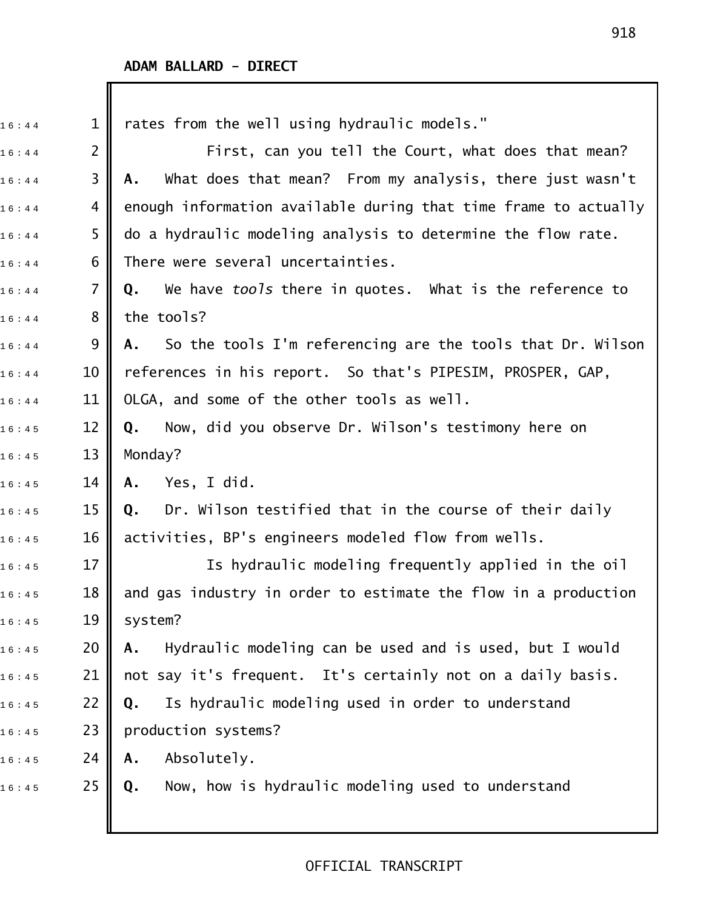| 16:44 | $\mathbf 1$    | rates from the well using hydraulic models."                     |
|-------|----------------|------------------------------------------------------------------|
| 16:44 | $\overline{2}$ | First, can you tell the Court, what does that mean?              |
| 16:44 | 3              | What does that mean? From my analysis, there just wasn't<br>Α.   |
| 16:44 | 4              | enough information available during that time frame to actually  |
| 16:44 | 5              | do a hydraulic modeling analysis to determine the flow rate.     |
| 16:44 | 6              | There were several uncertainties.                                |
| 16:44 | $\overline{7}$ | We have tools there in quotes. What is the reference to<br>Q.    |
| 16:44 | 8              | the tools?                                                       |
| 16:44 | 9              | So the tools I'm referencing are the tools that Dr. Wilson<br>A. |
| 16:44 | 10             | references in his report. So that's PIPESIM, PROSPER, GAP,       |
| 16:44 | 11             | OLGA, and some of the other tools as well.                       |
| 16:45 | 12             | Now, did you observe Dr. Wilson's testimony here on<br>Q.        |
| 16:45 | 13             | Monday?                                                          |
| 16:45 | 14             | Yes, I did.<br>Α.                                                |
| 16:45 | 15             | Dr. Wilson testified that in the course of their daily<br>Q.     |
| 16:45 | 16             | activities, BP's engineers modeled flow from wells.              |
| 16:45 | 17             | Is hydraulic modeling frequently applied in the oil              |
| 16:45 | 18             | and gas industry in order to estimate the flow in a production   |
| 16:45 | 19             | system?                                                          |
| 16:45 | 20             | Hydraulic modeling can be used and is used, but I would<br>Α.    |
| 16:45 | 21             | not say it's frequent. It's certainly not on a daily basis.      |
| 16:45 | 22             | Is hydraulic modeling used in order to understand<br>Q.          |
| 16:45 | 23             | production systems?                                              |
| 16:45 | 24             | Absolutely.<br>Α.                                                |
| 16:45 | 25             | Now, how is hydraulic modeling used to understand<br>Q.          |
|       |                |                                                                  |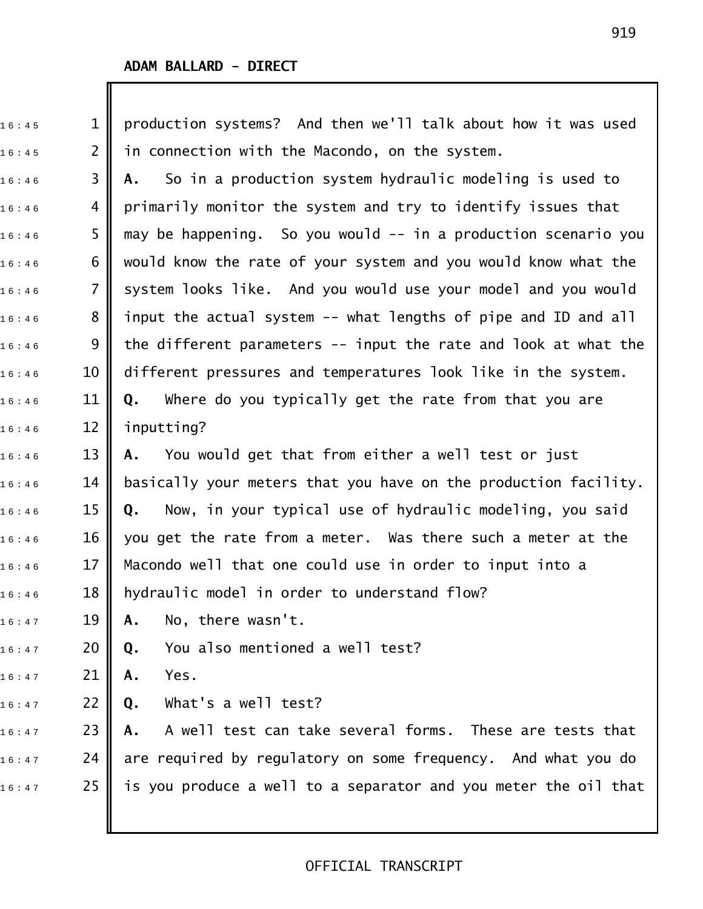| 16:45 | $\mathbf{1}$   | production systems? And then we'll talk about how it was used    |
|-------|----------------|------------------------------------------------------------------|
| 16:45 | $\overline{2}$ | in connection with the Macondo, on the system.                   |
| 16:46 | 3              | So in a production system hydraulic modeling is used to<br>А.    |
| 16:46 | 4              | primarily monitor the system and try to identify issues that     |
| 16:46 | 5              | may be happening. So you would -- in a production scenario you   |
| 16:46 | 6              | would know the rate of your system and you would know what the   |
| 16:46 | 7              | system looks like. And you would use your model and you would    |
| 16:46 | 8              | input the actual system -- what lengths of pipe and ID and all   |
| 16:46 | 9              | the different parameters $-$ input the rate and look at what the |
| 16:46 | 10             | different pressures and temperatures look like in the system.    |
| 16:46 | 11             | Where do you typically get the rate from that you are<br>Q.      |
| 16:46 | 12             | inputting?                                                       |
| 16:46 | 13             | You would get that from either a well test or just<br>А.         |
| 16:46 | 14             | basically your meters that you have on the production facility.  |
| 16:46 | 15             | Now, in your typical use of hydraulic modeling, you said<br>Q.   |
| 16:46 | 16             | you get the rate from a meter. Was there such a meter at the     |
| 16:46 | 17             | Macondo well that one could use in order to input into a         |
| 16:46 | 18             | hydraulic model in order to understand flow?                     |
| 16:47 | 19             | No, there wasn't.<br>Α.                                          |
| 16:47 | 20             | You also mentioned a well test?<br>Q.                            |
| 16:47 | 21             | Yes.<br>Α.                                                       |
| 16:47 | 22             | What's a well test?<br>Q.                                        |
| 16:47 | 23             | A well test can take several forms. These are tests that<br>Α.   |
| 16:47 | 24             | are required by regulatory on some frequency. And what you do    |
| 16:47 | 25             | is you produce a well to a separator and you meter the oil that  |
|       |                |                                                                  |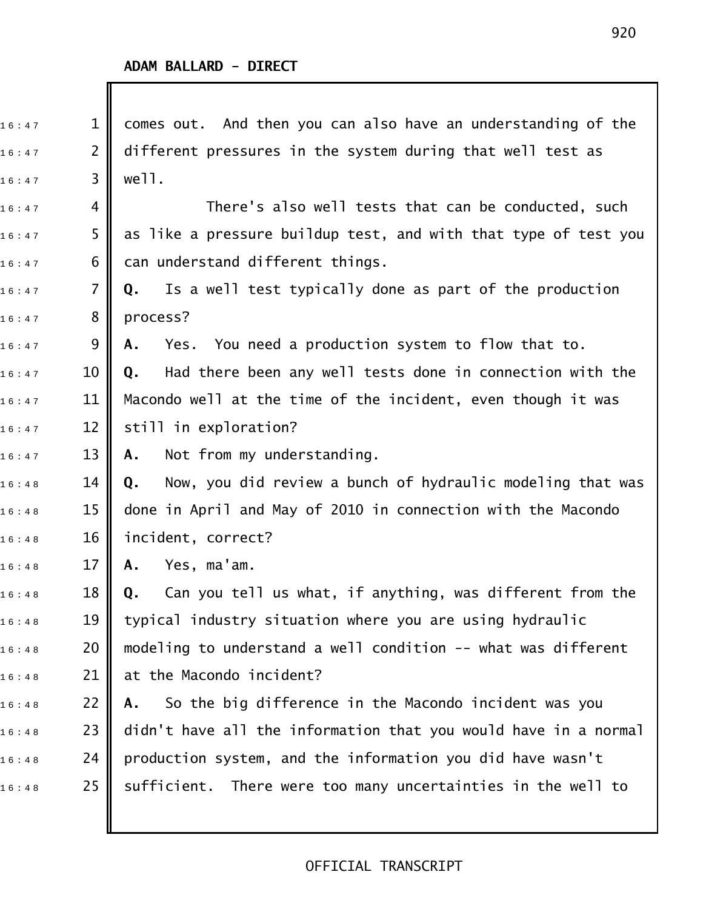$\overline{\phantom{a}}$ 

| 16:47 | $\mathbf{1}$   | comes out. And then you can also have an understanding of the               |
|-------|----------------|-----------------------------------------------------------------------------|
| 16:47 | $\overline{2}$ | different pressures in the system during that well test as                  |
| 16:47 | 3              | well.                                                                       |
| 16:47 | 4              | There's also well tests that can be conducted, such                         |
| 16:47 | 5              | as like a pressure buildup test, and with that type of test you             |
| 16:47 | 6              | can understand different things.                                            |
| 16:47 | $\overline{7}$ | Is a well test typically done as part of the production<br>Q.               |
| 16:47 | 8              | process?                                                                    |
| 16:47 | 9              | Yes. You need a production system to flow that to.<br>Α.                    |
| 16:47 | 10             | Had there been any well tests done in connection with the<br>Q.             |
| 16:47 | 11             | Macondo well at the time of the incident, even though it was                |
| 16:47 | 12             | still in exploration?                                                       |
| 16:47 | 13             | Not from my understanding.<br>Α.                                            |
| 16:48 | 14             | Now, you did review a bunch of hydraulic modeling that was<br>Q.            |
| 16:48 | 15             | done in April and May of 2010 in connection with the Macondo                |
| 16:48 | 16             | incident, correct?                                                          |
| 16:48 | 17             | Yes, ma'am.<br>Α.                                                           |
| 16:48 | 18             | Can you tell us what, if anything, was different from the<br>$\mathbf{0}$ . |
| 16:48 | 19             | typical industry situation where you are using hydraulic                    |
| 16:48 | 20             | modeling to understand a well condition -- what was different               |
| 16:48 | 21             | at the Macondo incident?                                                    |
| 16:48 | 22             | So the big difference in the Macondo incident was you<br>Α.                 |
| 16:48 | 23             | didn't have all the information that you would have in a normal             |
| 16:48 | 24             | production system, and the information you did have wasn't                  |
| 16:48 | 25             | sufficient. There were too many uncertainties in the well to                |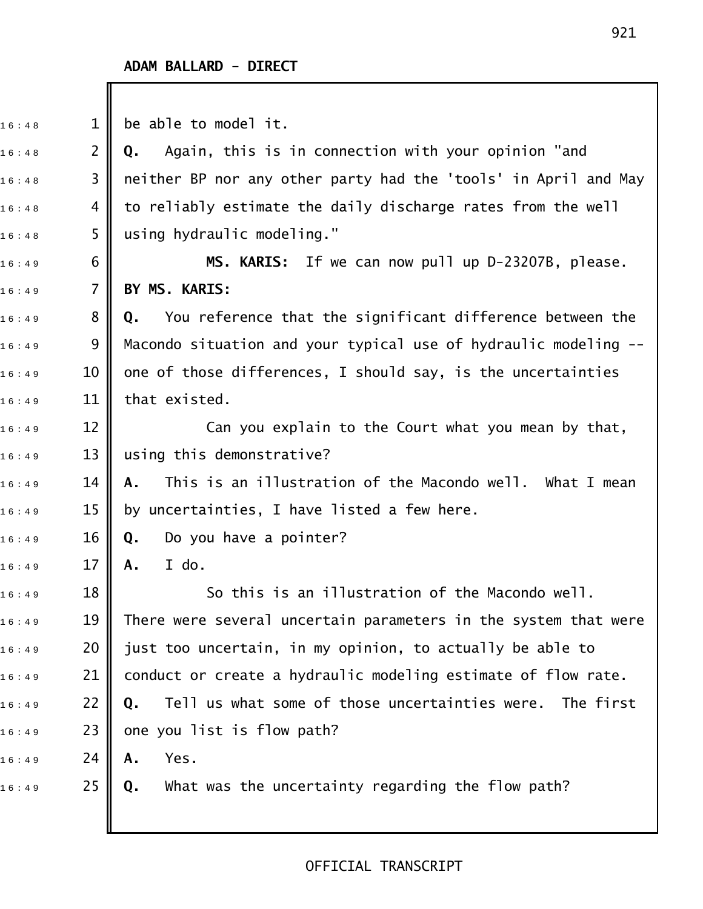$16 : 48$  1 be able to model it.

1 6 : 4 8 2 **Q.** Again, this is in connection with your opinion "and  $_{1\,6\,:\,4\,8}$  3  $\parallel$  neither BP nor any other party had the 'tools' in April and May  $_{1\,6\,:\,4\,8}$  4  $\parallel$  to reliably estimate the daily discharge rates from the well  $16:48$  5 || using hydraulic modeling."

16:49 6 **|| MS. KARIS:** If we can now pull up D-23207B, please. 1 6 : 4 9 7 **BY MS. KARIS:**

1 6 : 4 9 8 **Q.** You reference that the significant difference between the  $_{1\,6\,:\,4\,9}$  9 || Macondo situation and your typical use of hydraulic modeling -- $16:49$  10  $\,$  one of those differences, I should say, is the uncertainties  $16 : 49$  11 that existed.

 $16:49$  12  $\blacksquare$  Can you explain to the Court what you mean by that,  $_{16:49}$   $\qquad$  13  $\parallel$  using this demonstrative?

1 6 : 4 9 14 **A.** This is an illustration of the Macondo well. What I mean  $_{1\,6\ :\ 4\,9}$   $\qquad$  15  $\parallel$  by uncertainties, I have listed a few here.

1 6 : 4 9 16 **Q.** Do you have a pointer?

1 6 : 4 9 17 **A.** I do.

 $\begin{array}{ccc} \text{{\small 16}:49} \end{array} \qquad \qquad \begin{array}{c} \text{{\small 18}} \end{array} \blacksquare \qquad \qquad \text{{\small 50 this is an illustration of the Macondo well}.}$  $_{1\,6\,:\,4\,9}$   $\qquad \qquad 19$   $\|$  There were several uncertain parameters in the system that were  $_{1\,6\,:\,4\,9}$   $\qquad$  20  $\parallel$  just too uncertain, in my opinion, to actually be able to  $_{16:49}$  21  $\,$  conduct or create a hydraulic modeling estimate of flow rate. 1 6 : 4 9 22 **Q.** Tell us what some of those uncertainties were. The first  $_{16:49}$  23 || one you list is flow path? 1 6 : 4 9 24 **A.** Yes.

1 6 : 4 9 25 **Q.** What was the uncertainty regarding the flow path?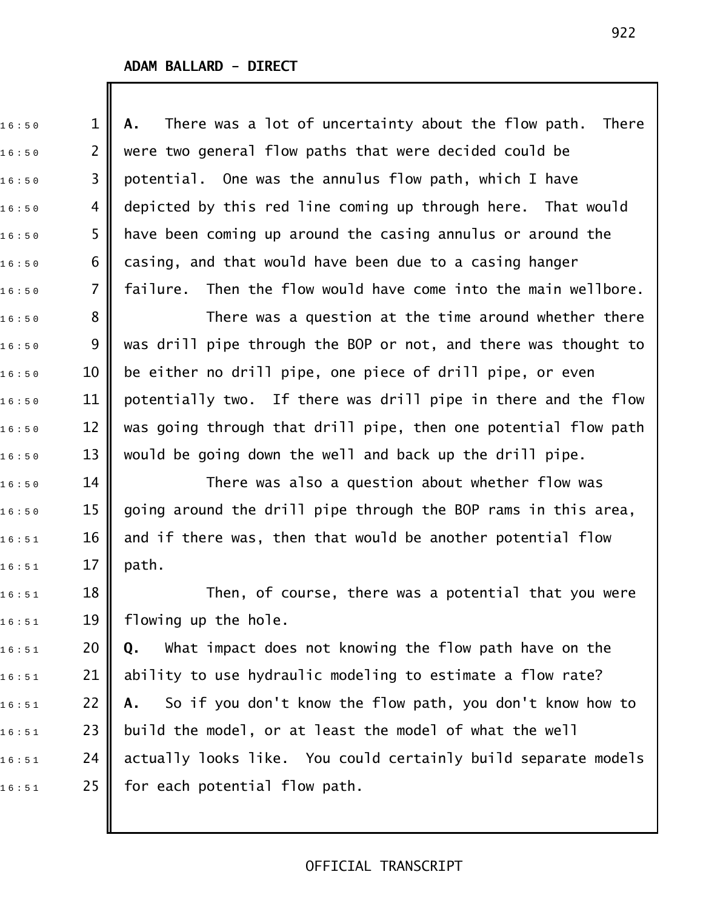1 6 : 5 0 1 **A.** There was a lot of uncertainty about the flow path. There  $_{1\,6\,:\,5\,0}$   $\qquad$  2  $\parallel$  were two general flow paths that were decided could be  $_{1\,6\,:\,5\,0}$   $\qquad$  3  $\parallel$  potential. One was the annulus flow path, which I have  $_{16:50}$   $\,$  4  $\,$  depicted by this red line coming up through here. That would  $16:50$  5  $\,$  have been coming up around the casing annulus or around the  $_{16:50}$  6  $\parallel$  casing, and that would have been due to a casing hanger  $_{1\,6\,:\,5\,0}$   $\qquad$  7  $\parallel$  failure. Then the flow would have come into the main wellbore.  $_{1\,6\,:\,5\,0}$   $\qquad \quad 8$   $\parallel$   $\qquad \qquad$  There was a question at the time around whether there  $16:50$  9  $\parallel$  was drill pipe through the BOP or not, and there was thought to  $_{1\,6\,:\,5\,0}$   $\qquad$  10  $\parallel$  be either no drill pipe, one piece of drill pipe, or even  $_{16:50}$   $\,$   $\,$  11  $\,$  potentially two. If there was drill pipe in there and the flow  $_{1\,6\,:\,5\,0}$   $\qquad$  12  $\parallel$  was going through that drill pipe, then one potential flow path  $16:50$  13  $\parallel$  would be going down the well and back up the drill pipe.  $_{16:50}$   $\qquad$  14  $\parallel$   $\qquad$  There was also a question about whether flow was  $_{1\,6\,:\,5\,0}$   $\qquad$  15  $\parallel$  going around the drill pipe through the BOP rams in this area,  $_{1\,6\,:\,5\,1}$   $\qquad$  16  $\parallel$  and if there was, then that would be another potential flow  $16:51$  17 || path.  $_{16:51}$   $\qquad 18$   $\parallel$   $\qquad$  Then, of course, there was a potential that you were  $16:51$  19 || flowing up the hole. 1 6 : 5 1 20 **Q.** What impact does not knowing the flow path have on the  $_{16:51}$  21 | ability to use hydraulic modeling to estimate a flow rate? 1 6 : 5 1 22 **A.** So if you don't know the flow path, you don't know how to  $_{1\,6\,:\,5\,1}$   $\qquad$  23  $\parallel$  build the model, or at least the model of what the well  $_{16:51}$  24 || actually looks like. You could certainly build separate models  $16:51$  25 for each potential flow path.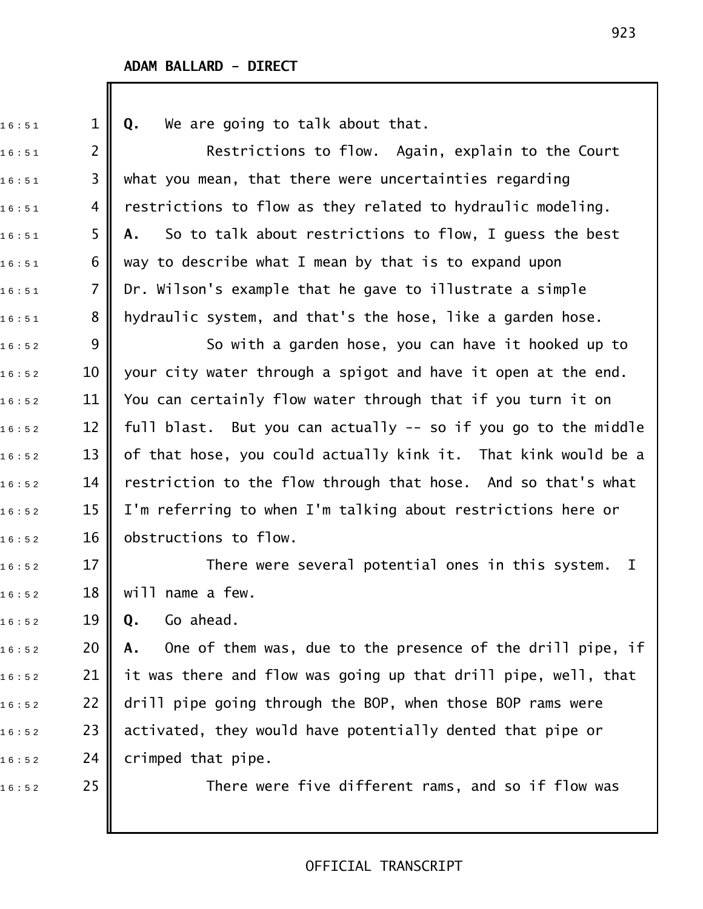1 6 : 5 1 1 **Q.** We are going to talk about that.  $_{1\,6\,:\,5\,1}$  2  $\parallel$  Restrictions to flow. Again, explain to the Court  $16:51$  3 || what you mean, that there were uncertainties regarding  $_{16:51}$  4 || restrictions to flow as they related to hydraulic modeling. 1 6 : 5 1 5 **A.** So to talk about restrictions to flow, I guess the best  $_{1\,6\,:\,5\,1}$  6  $\,$  way to describe what I mean by that is to expand upon  $_{1\,6\,:\,5\,1}$  7 || Dr. Wilson's example that he gave to illustrate a simple  $_{1\,6\,:\,5\,1}$   $\quad$  8  $\parallel$  hydraulic system, and that's the hose, like a garden hose.  $_{16:52}$  9  $\parallel$  So with a garden hose, you can have it hooked up to  $16:52$  10  $\parallel$  your city water through a spigot and have it open at the end.  $_{1\,6\,:\,5\,2}$   $\qquad$  11  $\parallel$  You can certainly flow water through that if you turn it on  $_{1\,6\,:\,5\,2}$   $\qquad$  12  $\parallel$  full blast. But you can actually -- so if you go to the middle  $_{1\,6\,:\,5\,2}$   $\qquad$  13  $\parallel$  of that hose, you could actually kink it. That kink would be a  $_{1\,6\,:\,5\,2}$   $\qquad$  14  $\parallel$  restriction to the flow through that hose. And so that's what  $_{1\,6\,:\,5\,2}$   $\qquad$  15  $\parallel$  I'm referring to when I'm talking about restrictions here or  $16 : 52$  16 obstructions to flow.  $_{1\,6\,:\,5\,2}$   $\qquad$  17  $\parallel$   $\qquad$  There were several potential ones in this system. I  $16:52$  18 || will name a few. 1 6 : 5 2 19 **Q.** Go ahead. 1 6 : 5 2 20 **A.** One of them was, due to the presence of the drill pipe, if  $_{1\,6\,:\,5\,2}$  21 || it was there and flow was going up that drill pipe, well, that  $_{16:52}$   $\,$  22  $\parallel$  drill pipe going through the BOP, when those BOP rams were  $_{1\,6\,:\,5\,2}$   $\qquad$  23  $\parallel$  activated, they would have potentially dented that pipe or  $16:52$  24 crimped that pipe.  $\begin{array}{ccc} 1\,6:5\,2 \end{array}$  25  $\parallel$  There were five different rams, and so if flow was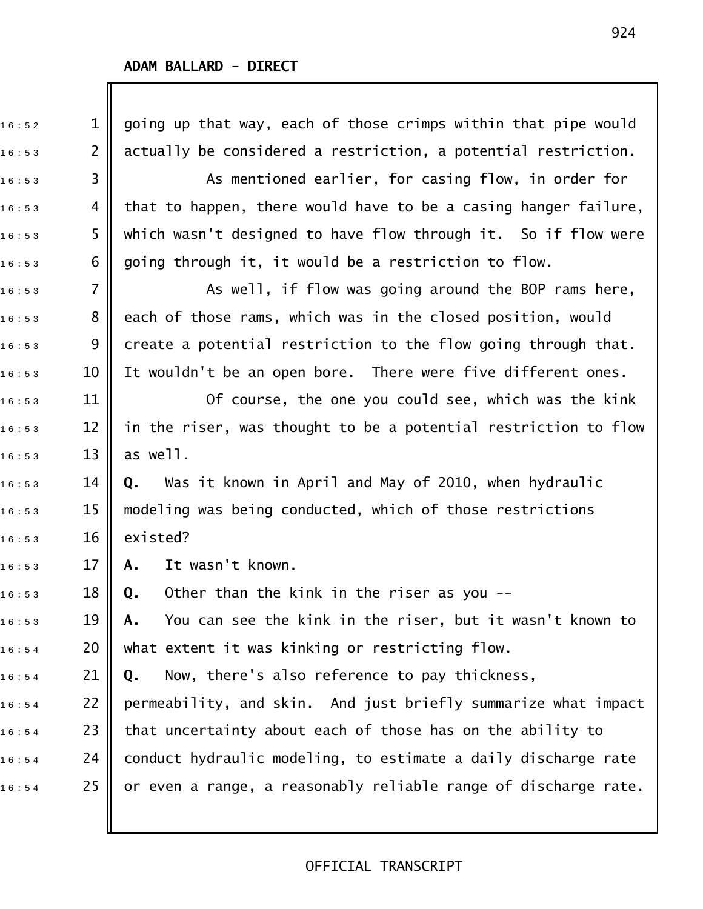Ш

| 16:52 | 1              | going up that way, each of those crimps within that pipe would  |
|-------|----------------|-----------------------------------------------------------------|
| 16:53 | $\overline{2}$ | actually be considered a restriction, a potential restriction.  |
| 16:53 | 3              | As mentioned earlier, for casing flow, in order for             |
| 16:53 | 4              | that to happen, there would have to be a casing hanger failure, |
| 16:53 | 5              | which wasn't designed to have flow through it. So if flow were  |
| 16:53 | 6              | going through it, it would be a restriction to flow.            |
| 16:53 | $\overline{7}$ | As well, if flow was going around the BOP rams here,            |
| 16:53 | 8              | each of those rams, which was in the closed position, would     |
| 16:53 | 9              | create a potential restriction to the flow going through that.  |
| 16:53 | 10             | It wouldn't be an open bore. There were five different ones.    |
| 16:53 | 11             | Of course, the one you could see, which was the kink            |
| 16:53 | 12             | in the riser, was thought to be a potential restriction to flow |
| 16:53 | 13             | as well.                                                        |
| 16:53 | 14             | Was it known in April and May of 2010, when hydraulic<br>Q.     |
| 16:53 | 15             | modeling was being conducted, which of those restrictions       |
| 16:53 | 16             | existed?                                                        |
| 16:53 | 17             | It wasn't known.<br>Α.                                          |
| 16:53 | 18             | Other than the kink in the riser as you --<br>Q.                |
| 16:53 | 19             | You can see the kink in the riser, but it wasn't known to<br>Α. |
| 16:54 | 20             | what extent it was kinking or restricting flow.                 |
| 16:54 | 21             | Now, there's also reference to pay thickness,<br>Q.             |
| 16:54 | 22             | permeability, and skin. And just briefly summarize what impact  |
| 16:54 | 23             | that uncertainty about each of those has on the ability to      |
| 16:54 | 24             | conduct hydraulic modeling, to estimate a daily discharge rate  |
| 16:54 | 25             | or even a range, a reasonably reliable range of discharge rate. |
|       |                |                                                                 |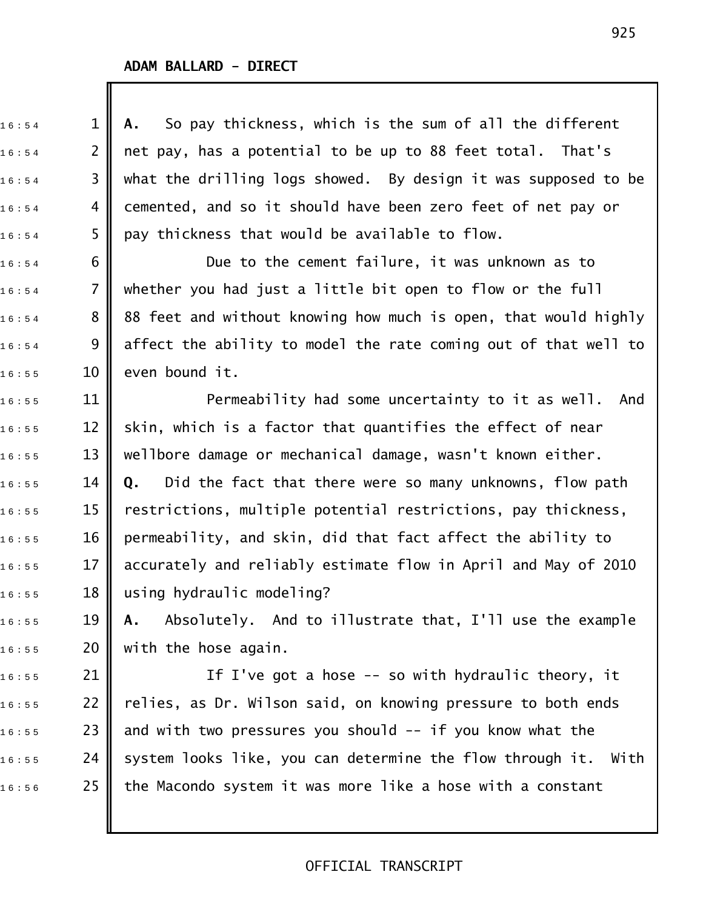| 16:54 | $\mathbf 1$    | So pay thickness, which is the sum of all the different<br>Α.     |
|-------|----------------|-------------------------------------------------------------------|
| 16:54 | 2              | net pay, has a potential to be up to 88 feet total. That's        |
| 16:54 | 3              | what the drilling logs showed. By design it was supposed to be    |
| 16:54 | 4              | cemented, and so it should have been zero feet of net pay or      |
| 16:54 | 5              | pay thickness that would be available to flow.                    |
| 16:54 | 6              | Due to the cement failure, it was unknown as to                   |
| 16:54 | $\overline{7}$ | whether you had just a little bit open to flow or the full        |
| 16:54 | 8              | 88 feet and without knowing how much is open, that would highly   |
| 16:54 | 9              | affect the ability to model the rate coming out of that well to   |
| 16:55 | 10             | even bound it.                                                    |
| 16:55 | 11             | Permeability had some uncertainty to it as well. And              |
| 16:55 | 12             | skin, which is a factor that quantifies the effect of near        |
| 16:55 | 13             | wellbore damage or mechanical damage, wasn't known either.        |
| 16:55 | 14             | Did the fact that there were so many unknowns, flow path<br>Q.    |
| 16:55 | 15             | restrictions, multiple potential restrictions, pay thickness,     |
| 16:55 | 16             | permeability, and skin, did that fact affect the ability to       |
| 16:55 | 17             | accurately and reliably estimate flow in April and May of 2010    |
| 16:55 | 18             | using hydraulic modeling?                                         |
| 16:55 | 19             | Absolutely. And to illustrate that, I'll use the example<br>Α.    |
| 16:55 | 20             | with the hose again.                                              |
| 16:55 | 21             | If I've got a hose $-$ so with hydraulic theory, it               |
| 16:55 | 22             | relies, as Dr. Wilson said, on knowing pressure to both ends      |
| 16:55 | 23             | and with two pressures you should -- if you know what the         |
| 16:55 | 24             | system looks like, you can determine the flow through it.<br>With |
| 16:56 | 25             | the Macondo system it was more like a hose with a constant        |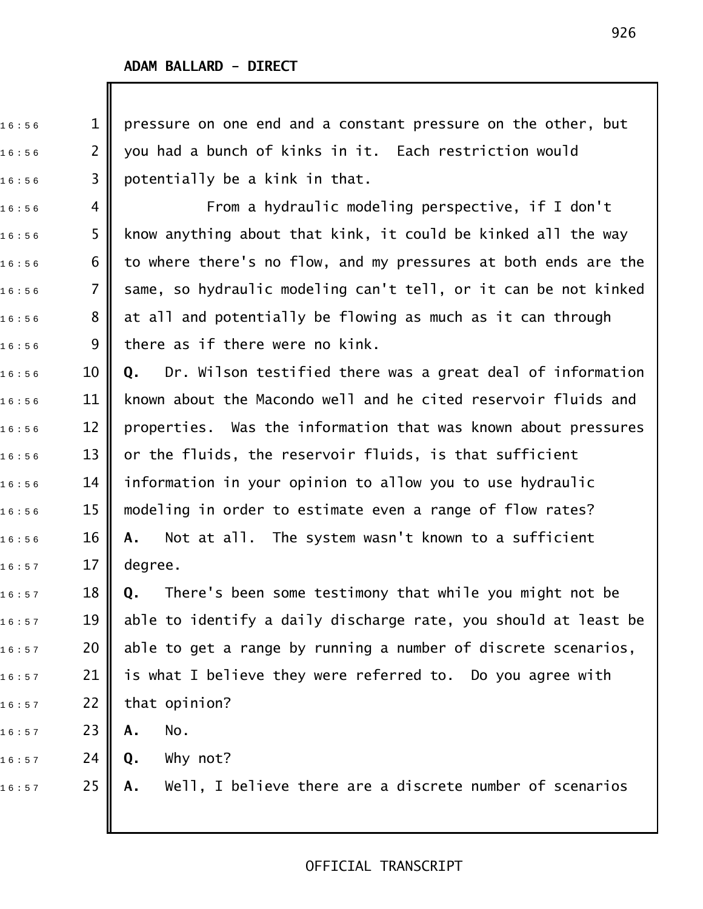$16:56$  1 || pressure on one end and a constant pressure on the other, but  $16:56$  2  $\parallel$  you had a bunch of kinks in it. Each restriction would  $16:56$  3 || potentially be a kink in that.  $_{1\,6\,:\,5\,6}$  4 || From a hydraulic modeling perspective, if I don't  $16:56$  5 || know anything about that kink, it could be kinked all the way  $16:56$  6  $\parallel$  to where there's no flow, and my pressures at both ends are the 16:56 7 || same, so hydraulic modeling can't tell, or it can be not kinked  $16:56$   $8$  || at all and potentially be flowing as much as it can through  $16:56$  9 there as if there were no kink. 1 6 : 5 6 10 **Q.** Dr. Wilson testified there was a great deal of information  $16:56$   $11$   $\parallel$  known about the Macondo well and he cited reservoir fluids and  $16:56$  12 || properties. Was the information that was known about pressures  $_{1\,6\,:\,5\,6}$   $\qquad$  13  $\parallel$  or the fluids, the reservoir fluids, is that sufficient  $_{1\,6\,:\,5\,6}$   $\qquad$  14  $\parallel$  information in your opinion to allow you to use hydraulic  $_{1\,6\,:\,5\,6}$   $\qquad$  15  $\parallel$  modeling in order to estimate even a range of flow rates? 1 6 : 5 6 16 **A.** Not at all. The system wasn't known to a sufficient  $16 : 57$  17 degree. 1 6 : 5 7 18 **Q.** There's been some testimony that while you might not be  $_{16:57}$   $\,$   $\,$  19  $\,$  able to identify a daily discharge rate, you should at least be  $16:57$  20 || able to get a range by running a number of discrete scenarios,  $_{16:57}$  21 || is what I believe they were referred to. Do you agree with  $16:57$  22 that opinion? 1 6 : 5 7 23 **A.** No. 1 6 : 5 7 24 **Q.** Why not? 1 6 : 5 7 25 **A.** Well, I believe there are a discrete number of scenarios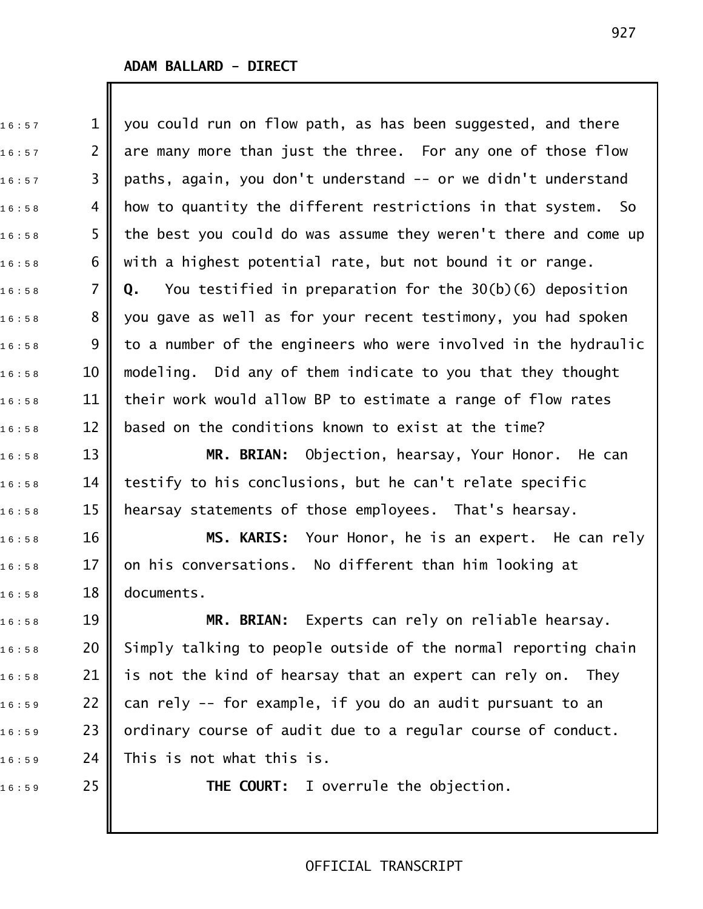$_{1\,6\,:\,5\,7}$   $\qquad\qquad$  1  $\parallel$  you could run on flow path, as has been suggested, and there  $_{1\,6\,:\,5\,7}$   $\qquad$  2  $\parallel$  are many more than just the three. For any one of those flow  $_{1\,6\,:\,5\,7}$   $\qquad$  3  $\parallel$  paths, again, you don't understand -- or we didn't understand  $_{16:58}$  4 || how to quantity the different restrictions in that system. So  $16:58$  5 T the best you could do was assume they weren't there and come up  $_{1\,6\,:\,5\,8}$  6  $\parallel$  with a highest potential rate, but not bound it or range. 1 6 : 5 8 7 **Q.** You testified in preparation for the 30(b)(6) deposition  $_{1\,6\,:\,5\,8}$   $\qquad \quad$  8  $\parallel$  you gave as well as for your recent testimony, you had spoken  $_{16:58}$   $\,$  9  $\,$  to a number of the engineers who were involved in the hydraulic  $16:58$   $10$   $\parallel$  modeling. Did any of them indicate to you that they thought  $_{16:58}$   $\,$  11  $\,$  their work would allow BP to estimate a range of flow rates  $_{1\,6\,:\,5\,8}$   $\qquad$  12  $\parallel$  based on the conditions known to exist at the time? 1 6 : 5 8 13 **MR. BRIAN:** Objection, hearsay, Your Honor. He can  $_{16:58}$   $\,$   $\,$  14  $\,$  testify to his conclusions, but he can't relate specific  $_{1\,6\,:\,5\,8}$   $\qquad$  15  $\parallel$  hearsay statements of those employees. That's hearsay. 1 6 : 5 8 16 **MS. KARIS:** Your Honor, he is an expert. He can rely  $16:58$  17  $\parallel$  on his conversations. No different than him looking at  $16 : 58$  18 documents. 1 6 : 5 8 19 **MR. BRIAN:** Experts can rely on reliable hearsay.  $16:58$  20 Simply talking to people outside of the normal reporting chain  $_{1\,6\,:\,5\,8}$  21 || is not the kind of hearsay that an expert can rely on. They  $_{1\,6\,:\,5\,9}$   $\qquad$  22  $\parallel$  can rely -- for example, if you do an audit pursuant to an  $\begin{array}{ccc} 1\,6:5\,9 \end{array}$  23  $\parallel$  ordinary course of audit due to a regular course of conduct.

 $16:59$  24 This is not what this is.

16:59 25 **CH THE COURT:** I overrule the objection.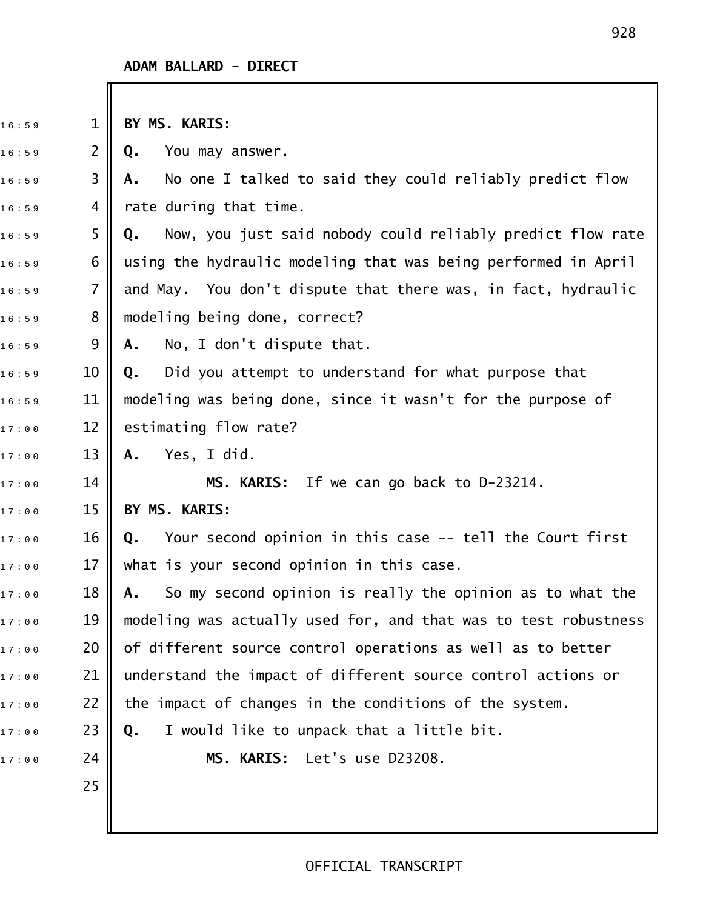| 16:59 | $\mathbf{1}$   | BY MS. KARIS:                                                    |
|-------|----------------|------------------------------------------------------------------|
| 16:59 | $\overline{2}$ | You may answer.<br>Q.                                            |
| 16:59 | 3              | No one I talked to said they could reliably predict flow<br>Α.   |
| 16:59 | 4              | rate during that time.                                           |
| 16:59 | 5              | Now, you just said nobody could reliably predict flow rate<br>Q. |
| 16:59 | 6              | using the hydraulic modeling that was being performed in April   |
| 16:59 | $\overline{7}$ | and May. You don't dispute that there was, in fact, hydraulic    |
| 16:59 | 8              | modeling being done, correct?                                    |
| 16:59 | 9              | No, I don't dispute that.<br>Α.                                  |
| 16:59 | 10             | Did you attempt to understand for what purpose that<br>Q.        |
| 16:59 | 11             | modeling was being done, since it wasn't for the purpose of      |
| 17:00 | 12             | estimating flow rate?                                            |
| 17:00 | 13             | Yes, I did.<br>Α.                                                |
| 17:00 | 14             | MS. KARIS: If we can go back to D-23214.                         |
| 17:00 | 15             | BY MS. KARIS:                                                    |
| 17:00 | 16             | Your second opinion in this case -- tell the Court first<br>Q.   |
| 17:00 | 17             | what is your second opinion in this case.                        |
| 17:00 | 18             | So my second opinion is really the opinion as to what the<br>Α.  |
| 17:00 | 19             | modeling was actually used for, and that was to test robustness  |
| 17:00 | 20             | of different source control operations as well as to better      |
| 17:00 | 21             | understand the impact of different source control actions or     |
| 17:00 | 22             | the impact of changes in the conditions of the system.           |
| 17:00 | 23             | I would like to unpack that a little bit.<br>Q.                  |
| 17:00 | 24             | MS. KARIS: Let's use D23208.                                     |
|       | 25             |                                                                  |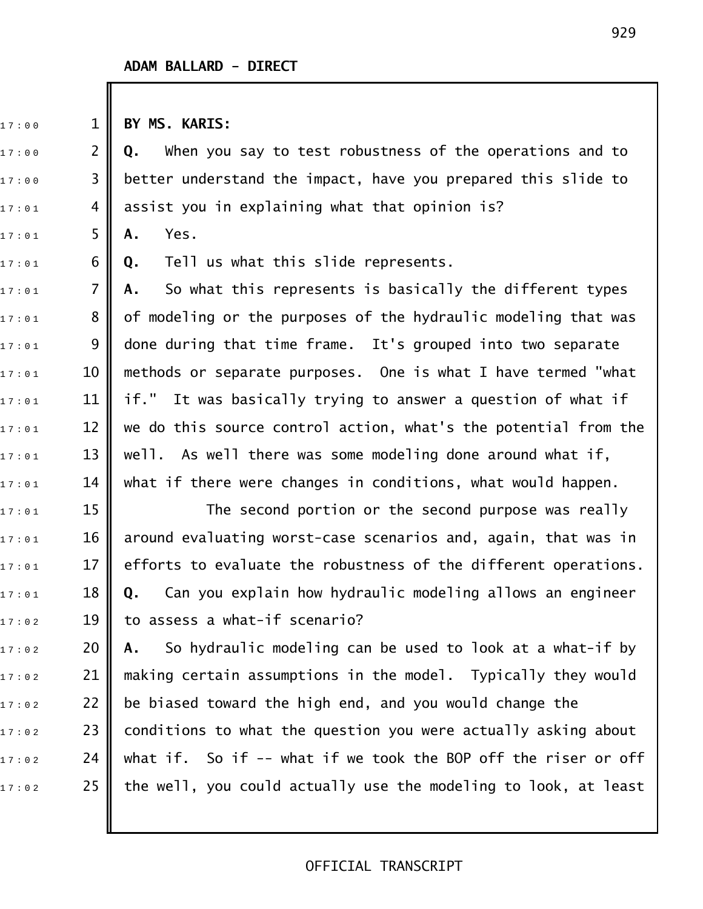17:00 1 BY MS. KARIS:

17:00 **2 Q.** When you say to test robustness of the operations and to  $_{{\rm{{17}}}\pm {\rm{{00}}}}$  and  $\,$  3  $\,$  better understand the impact, have you prepared this slide to  $17:01$  4 | assist you in explaining what that opinion is?

17:01 5 **A.** Yes.

1 7 : 0 1 6 **Q.** Tell us what this slide represents.

17:01 **7 A.** So what this represents is basically the different types  $17:01$  8  $\,$  of modeling or the purposes of the hydraulic modeling that was  $_{\text{17}:01}$   $\qquad \qquad 9$   $\qquad$  done during that time frame. It's grouped into two separate  $17:01$  10 || methods or separate purposes. One is what I have termed "what  $_{\text{17}: \, \text{01}}$   $\quad$  11  $\parallel$  if." It was basically trying to answer a question of what if  $_{\text{17}:01}$   $\quad$  12  $\parallel$  we do this source control action, what's the potential from the  $_{\text{17}: \text{01}}$  and  $\text{13}$  well. As well there was some modeling done around what if,  $_{\text{17}:01}$   $\quad$   $\,$   $\,$  14  $\,$   $\,$  what if there were changes in conditions, what would happen.

 $17:01$  15  $\parallel$  The second portion or the second purpose was really  $_{\text{17}: \, \text{01}}$   $\quad$  16  $\parallel$  around evaluating worst-case scenarios and, again, that was in  $17:01$  17 || efforts to evaluate the robustness of the different operations. 1 7 : 0 1 18 **Q.** Can you explain how hydraulic modeling allows an engineer  $17:02$  19 to assess a what-if scenario?

17:02 20 **|| A.** So hydraulic modeling can be used to look at a what-if by  $_{\text{17}:02}$  21  $\parallel$  making certain assumptions in the model. Typically they would  $17:02$  22 | be biased toward the high end, and you would change the  $17:02$  23 | conditions to what the question you were actually asking about  $_{\text{17:02}}$  24  $\parallel$  what if. So if -- what if we took the BOP off the riser or off  $17:02$  25 | the well, you could actually use the modeling to look, at least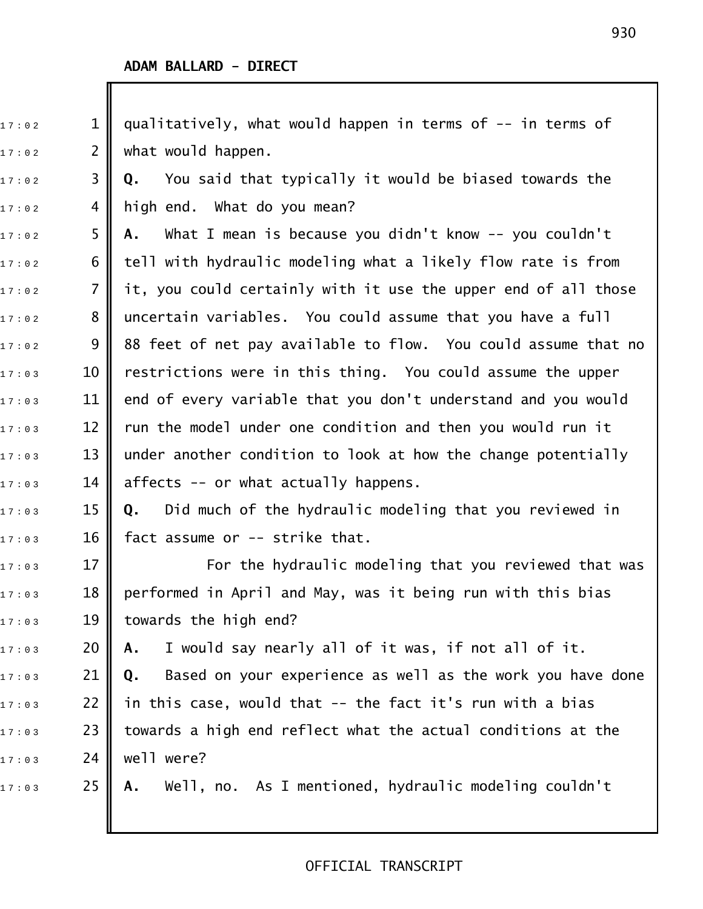$_{{\rm{{1\,{\rm{{7\,{\rm{\cdot\,{\scriptstyle\circ}}}}}}}}}}$   $\,$  1  $\,$  qualitatively, what would happen in terms of -- in terms of  $17:02$  2 || what would happen. 1 7 : 0 2 3 **Q.** You said that typically it would be biased towards the  $17:02$  4 || high end. What do you mean? 17:02 5 **|| A.** What I mean is because you didn't know -- you couldn't  $_{\text{17:02}}$   $\,$  6  $\,$  tell with hydraulic modeling what a likely flow rate is from  $_{17:02}$   $\,$   $\,$  7  $\,$  it, you could certainly with it use the upper end of all those  $_{\text{17}:02}$   $\,$  8  $\,$  uncertain variables. You could assume that you have a full 1 7 : 0 2 9 88 feet of net pay available to flow. You could assume that no  $17:03$   $10$   $\parallel$  restrictions were in this thing. You could assume the upper  $17:03$  11 || end of every variable that you don't understand and you would  $_{\text{17:03}}$   $\quad$  12  $\parallel$  run the model under one condition and then you would run it  $17:03$  13 || under another condition to look at how the change potentially  $_{17:03}$   $\qquad$  14  $\parallel$  affects -- or what actually happens. 1 7 : 0 3 15 **Q.** Did much of the hydraulic modeling that you reviewed in  $17:03$  16 fact assume or -- strike that.  $_{\text{17}: \text{03}}$   $\qquad \qquad$  17  $\|$   $\qquad \qquad$  For the hydraulic modeling that you reviewed that was  $_{\text{17:03}}$   $\,$   $\,$  18  $\,$  performed in April and May, was it being run with this bias 17:03 19 towards the high end? 1 7 : 0 3 20 **A.** I would say nearly all of it was, if not all of it. 1 7 : 0 3 21 **Q.** Based on your experience as well as the work you have done  $_{\text{17:03}}$   $\,$  22  $\parallel$  in this case, would that -- the fact it's run with a bias  $17:03$   $23$   $\parallel$  towards a high end reflect what the actual conditions at the  $17:03$  24 well were? 17:03 25 **|| A.** Well, no. As I mentioned, hydraulic modeling couldn't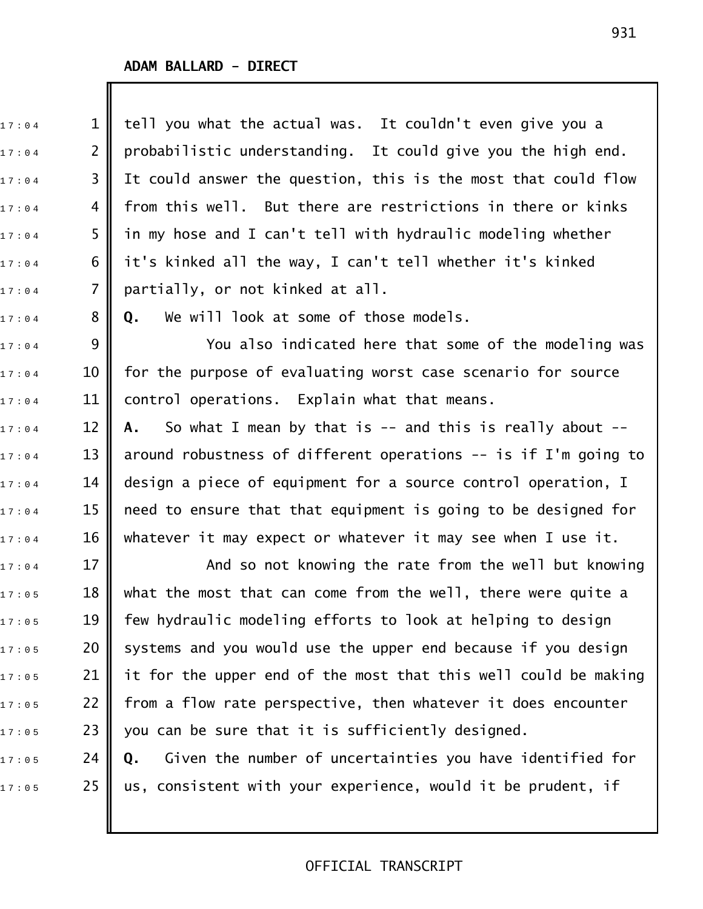| 17:04 | $\mathbf 1$    | tell you what the actual was. It couldn't even give you a        |
|-------|----------------|------------------------------------------------------------------|
| 17:04 | $\overline{2}$ | probabilistic understanding. It could give you the high end.     |
| 17:04 | 3              | It could answer the question, this is the most that could flow   |
| 17:04 | 4              | from this well. But there are restrictions in there or kinks     |
| 17:04 | 5              | in my hose and I can't tell with hydraulic modeling whether      |
| 17:04 | 6              | it's kinked all the way, I can't tell whether it's kinked        |
| 17:04 | $\overline{7}$ | partially, or not kinked at all.                                 |
| 17:04 | 8              | We will look at some of those models.<br>Q.                      |
| 17:04 | 9              | You also indicated here that some of the modeling was            |
| 17:04 | 10             | for the purpose of evaluating worst case scenario for source     |
| 17:04 | 11             | control operations. Explain what that means.                     |
| 17:04 | 12             | So what I mean by that is $-$ and this is really about $-$<br>A. |
| 17:04 | 13             | around robustness of different operations $-$ is if I'm going to |
| 17:04 | 14             | design a piece of equipment for a source control operation, I    |
| 17:04 | 15             | need to ensure that that equipment is going to be designed for   |
| 17:04 | 16             | whatever it may expect or whatever it may see when I use it.     |
| 17:04 | 17             | And so not knowing the rate from the well but knowing            |
| 17:05 | 18             | what the most that can come from the well, there were quite a    |
| 17:05 | 19             | few hydraulic modeling efforts to look at helping to design      |
| 17:05 | 20             | systems and you would use the upper end because if you design    |
| 17:05 | 21             | it for the upper end of the most that this well could be making  |
| 17:05 | 22             | from a flow rate perspective, then whatever it does encounter    |
| 17:05 | 23             | you can be sure that it is sufficiently designed.                |
| 17:05 | 24             | Given the number of uncertainties you have identified for<br>Q.  |
| 17:05 | 25             | us, consistent with your experience, would it be prudent, if     |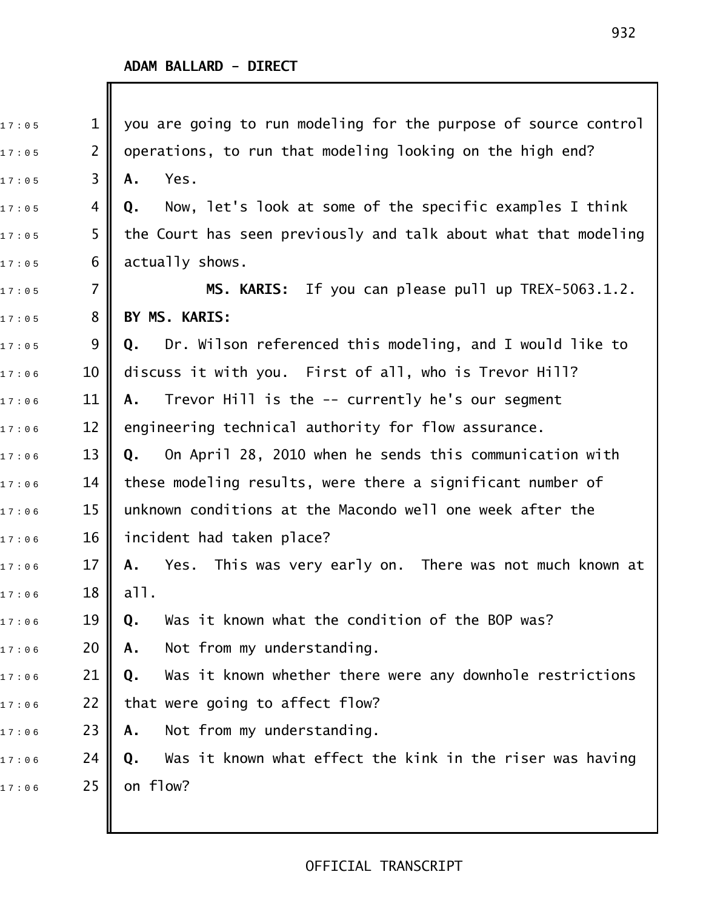Ш

| 17:05 | $\mathbf{1}$    | you are going to run modeling for the purpose of source control |
|-------|-----------------|-----------------------------------------------------------------|
| 17:05 | 2               | operations, to run that modeling looking on the high end?       |
| 17:05 | 3               | Yes.<br>Α.                                                      |
| 17:05 | 4               | Now, let's look at some of the specific examples I think<br>Q.  |
| 17:05 | 5               | the Court has seen previously and talk about what that modeling |
| 17:05 | 6               | actually shows.                                                 |
| 17:05 | 7               | If you can please pull up TREX-5063.1.2.<br><b>MS. KARIS:</b>   |
| 17:05 | 8               | BY MS. KARIS:                                                   |
| 17:05 | 9               | Dr. Wilson referenced this modeling, and I would like to<br>Q.  |
| 17:06 | 10              | discuss it with you. First of all, who is Trevor Hill?          |
| 17:06 | 11              | Trevor Hill is the -- currently he's our segment<br>Α.          |
| 17:06 | 12              | engineering technical authority for flow assurance.             |
| 17:06 | 13              | On April 28, 2010 when he sends this communication with<br>Q.   |
| 17:06 | 14              | these modeling results, were there a significant number of      |
| 17:06 | 15              | unknown conditions at the Macondo well one week after the       |
| 17:06 | 16              | incident had taken place?                                       |
| 17:06 | 17              | Yes. This was very early on. There was not much known at<br>Α.  |
| 17:06 | 18 <sup>1</sup> | a11.                                                            |
| 17:06 | 19              | Was it known what the condition of the BOP was?<br>Q.           |
| 17:06 | 20              | Not from my understanding.<br>Α.                                |
| 17:06 | 21              | Was it known whether there were any downhole restrictions<br>Q. |
| 17:06 | 22              | that were going to affect flow?                                 |
| 17:06 | 23              | Not from my understanding.<br>Α.                                |
| 17:06 | 24              | Was it known what effect the kink in the riser was having<br>Q. |
| 17:06 | 25              | on flow?                                                        |
|       |                 |                                                                 |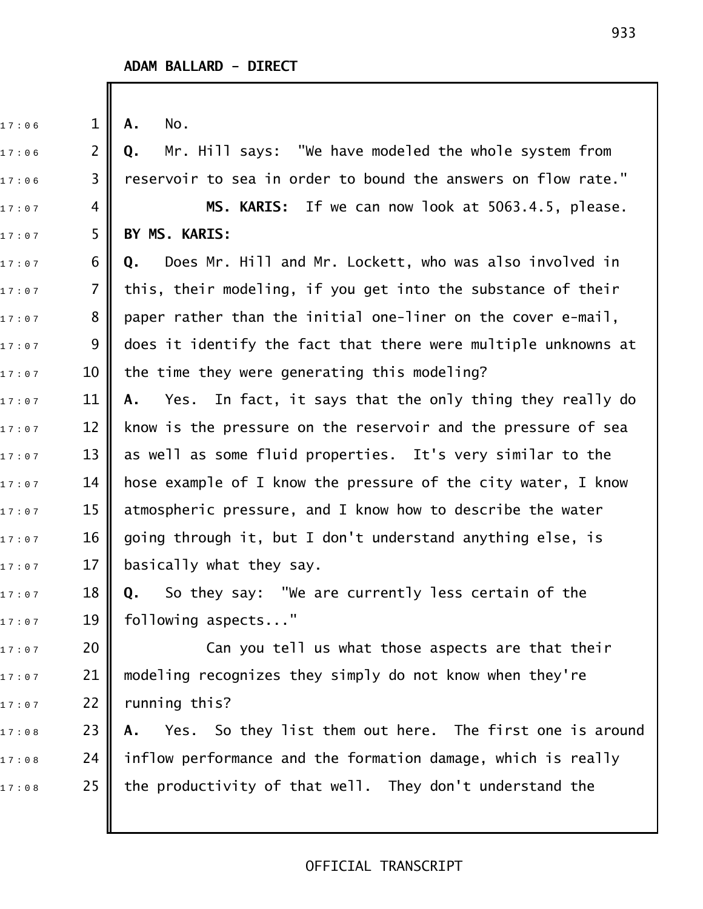| 17:06 | $\mathbf{1}$   | No.<br>Α.                                                            |
|-------|----------------|----------------------------------------------------------------------|
| 17:06 | $\overline{2}$ | Mr. Hill says: "We have modeled the whole system from<br>Q.          |
| 17:06 | 3              | reservoir to sea in order to bound the answers on flow rate."        |
| 17:07 | 4              | MS. KARIS: If we can now look at 5063.4.5, please.                   |
| 17:07 | 5              | BY MS. KARIS:                                                        |
| 17:07 | 6              | Does Mr. Hill and Mr. Lockett, who was also involved in<br>Q.        |
| 17:07 | $\overline{7}$ | this, their modeling, if you get into the substance of their         |
| 17:07 | 8              | paper rather than the initial one-liner on the cover e-mail,         |
| 17:07 | 9              | does it identify the fact that there were multiple unknowns at       |
| 17:07 | 10             | the time they were generating this modeling?                         |
| 17:07 | 11             | Yes. In fact, it says that the only thing they really do<br>А.       |
| 17:07 | 12             | know is the pressure on the reservoir and the pressure of sea        |
| 17:07 | 13             | as well as some fluid properties. It's very similar to the           |
| 17:07 | 14             | hose example of I know the pressure of the city water, I know        |
| 17:07 | 15             | atmospheric pressure, and I know how to describe the water           |
| 17:07 | 16             | going through it, but I don't understand anything else, is           |
| 17:07 | 17             | basically what they say.                                             |
| 17:07 | 18             | So they say: "We are currently less certain of the<br>$\mathbf{0}$ . |
| 17:07 | 19             | following aspects"                                                   |
| 17:07 | 20             | Can you tell us what those aspects are that their                    |
| 17:07 | 21             | modeling recognizes they simply do not know when they're             |
| 17:07 | 22             | running this?                                                        |
| 17:08 | 23             | Yes. So they list them out here. The first one is around<br>Α.       |
| 17:08 | 24             | inflow performance and the formation damage, which is really         |
| 17:08 | 25             | the productivity of that well. They don't understand the             |
|       |                |                                                                      |
|       |                |                                                                      |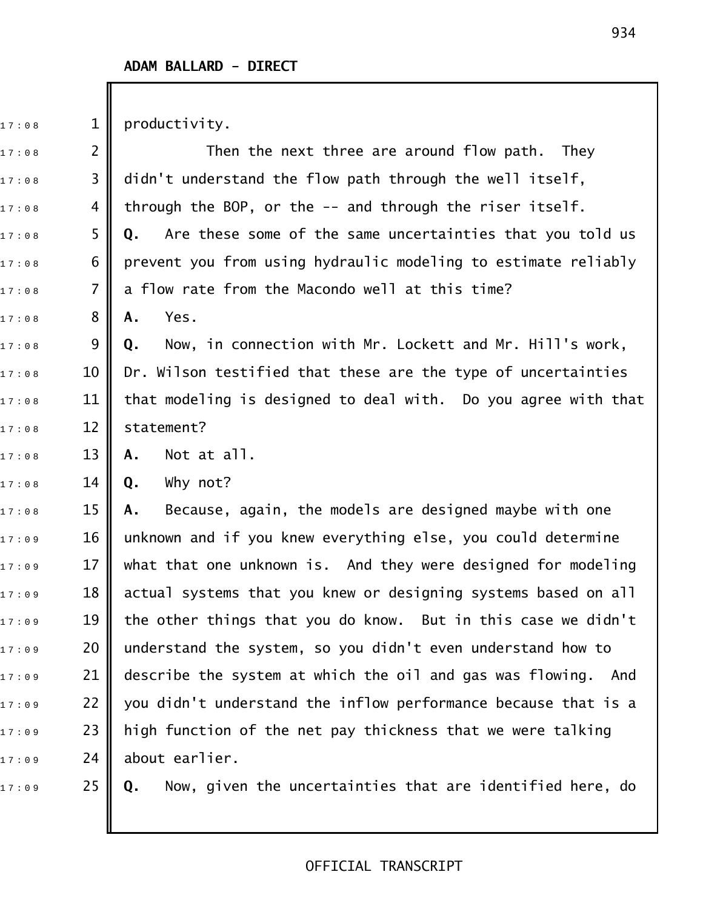$17 : 0.8$  1 productivity.

 $_{\text{17}:0\,8}$  2  $\parallel$  . Then the next three are around flow path. They  $_{\text{17:08}}$  3 || didn't understand the flow path through the well itself,  $_{\rm 17:0.8}$  4 || through the BOP, or the -- and through the riser itself. 1 7 : 0 8 5 **Q.** Are these some of the same uncertainties that you told us  $17:0.8$  6  $\parallel$  prevent you from using hydraulic modeling to estimate reliably  $17:0.8$  7 || a flow rate from the Macondo well at this time? 17:08 8 **A.** Yes. 1 7 : 0 8 9 **Q.** Now, in connection with Mr. Lockett and Mr. Hill's work,  $17:0.8$  10 || Dr. Wilson testified that these are the type of uncertainties  $17:0.8$  11 || that modeling is designed to deal with. Do you agree with that 17:08 12 | statement? 1 7 : 0 8 13 **A.** Not at all. 1 7 : 0 8 14 **Q.** Why not? 1 7 : 0 8 15 **A.** Because, again, the models are designed maybe with one  $_{\text{17:09}}$   $\,$   $\,$  16  $\,$  unknown and if you knew everything else, you could determine 1 7 : 0 9 17 what that one unknown is. And they were designed for modeling  $_{\text{17:09}}$   $\quad$   $\,$   $\,$  18  $\,$  actual systems that you knew or designing systems based on all 17:09  $\,$   $\,$   $\,$  19  $\,$   $\,$  the other things that you do know.  $\,$  But in this case we didn't  $_{\text{17:09}}$   $\,$  20  $\,$  understand the system, so you didn't even understand how to  $_{17:09}$  21  $\parallel$  describe the system at which the oil and gas was flowing. And  $_{\text{17:09}}$   $\,$  22  $\,$  you didn't understand the inflow performance because that is a  $_{{\rm{{1\,7}}}:{\rm{{0\,9}}}$   $\,$   $\,$  23  $\,$  high function of the net pay thickness that we were talking  $17:09$  24 about earlier. 1 7 : 0 9 25 **Q.** Now, given the uncertainties that are identified here, do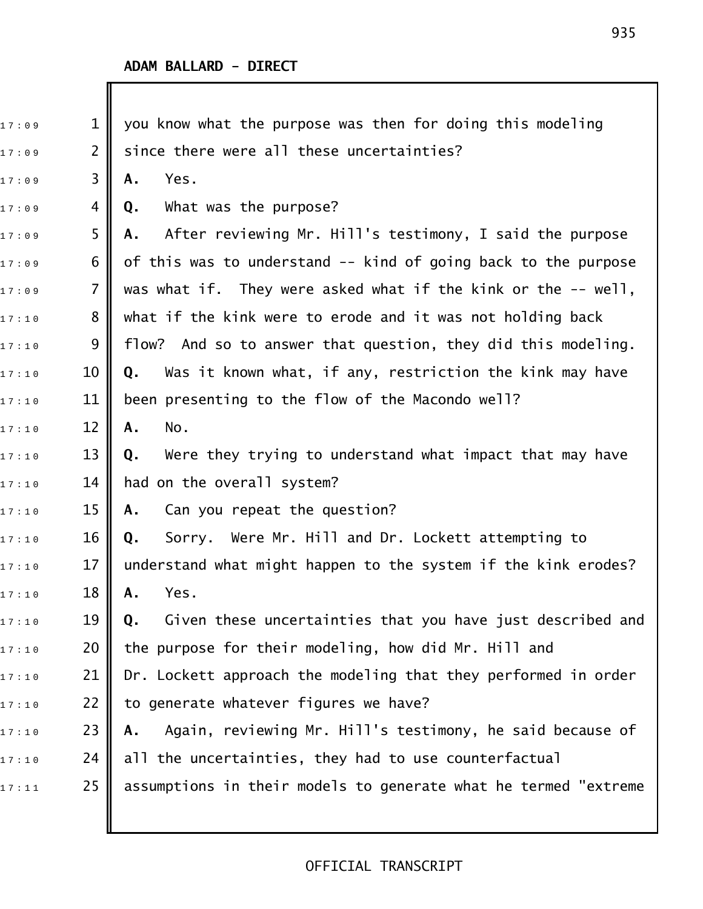| 17:09 | $\mathbf 1$    | you know what the purpose was then for doing this modeling       |
|-------|----------------|------------------------------------------------------------------|
| 17:09 | $\overline{2}$ | since there were all these uncertainties?                        |
| 17:09 | 3              | Yes.<br>Α.                                                       |
| 17:09 | 4              | What was the purpose?<br>Q.                                      |
| 17:09 | 5              | After reviewing Mr. Hill's testimony, I said the purpose<br>А.   |
| 17:09 | 6              | of this was to understand -- kind of going back to the purpose   |
| 17:09 | 7              | was what if. They were asked what if the kink or the -- well,    |
| 17:10 | 8              | what if the kink were to erode and it was not holding back       |
| 17:10 | 9              | flow? And so to answer that question, they did this modeling.    |
| 17:10 | 10             | Was it known what, if any, restriction the kink may have<br>Q.   |
| 17:10 | 11             | been presenting to the flow of the Macondo well?                 |
| 17:10 | 12             | No.<br>Α.                                                        |
| 17:10 | 13             | Were they trying to understand what impact that may have<br>Q.   |
| 17:10 | 14             | had on the overall system?                                       |
| 17:10 | 15             | Can you repeat the question?<br>Α.                               |
| 17:10 | 16             | Sorry. Were Mr. Hill and Dr. Lockett attempting to<br>Q.         |
| 17:10 | 17             | understand what might happen to the system if the kink erodes?   |
| 17:10 | 18             | Yes.<br>А.                                                       |
| 17:10 | 19             | Given these uncertainties that you have just described and<br>Q. |
| 17:10 | 20             | the purpose for their modeling, how did Mr. Hill and             |
| 17:10 | 21             | Dr. Lockett approach the modeling that they performed in order   |
| 17:10 | 22             | to generate whatever figures we have?                            |
| 17:10 | 23             | Again, reviewing Mr. Hill's testimony, he said because of<br>Α.  |
| 17:10 | 24             | all the uncertainties, they had to use counterfactual            |
| 17:11 | 25             | assumptions in their models to generate what he termed "extreme  |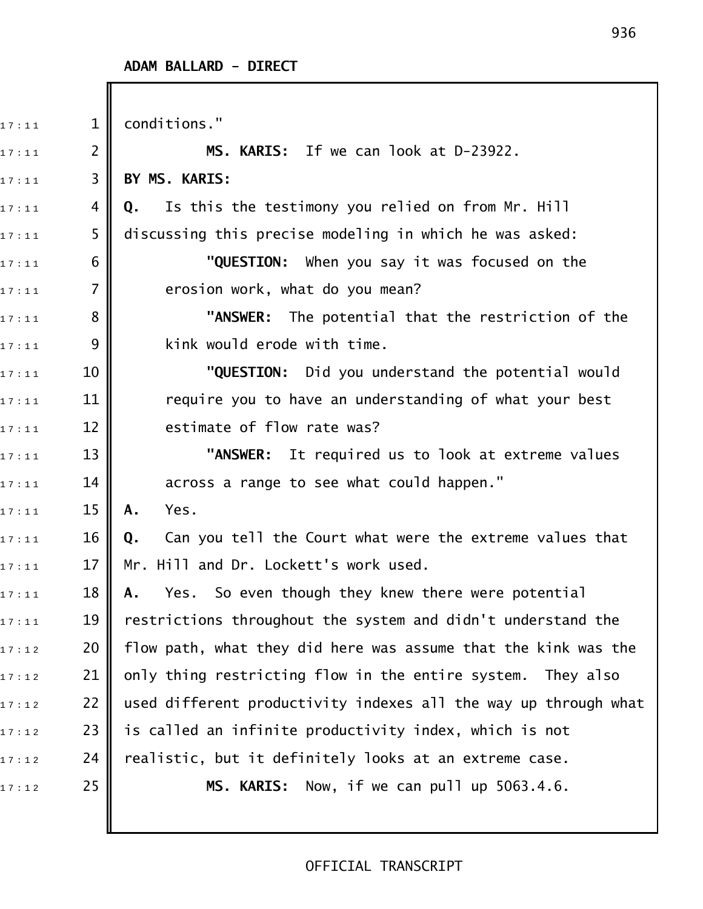| 17:11 | $\mathbf{1}$   | conditions."                                                    |
|-------|----------------|-----------------------------------------------------------------|
| 17:11 | $\overline{2}$ | MS. KARIS: If we can look at D-23922.                           |
| 17:11 | 3              | BY MS. KARIS:                                                   |
| 17:11 | 4              | Is this the testimony you relied on from Mr. Hill<br>Q.         |
| 17:11 | 5              | discussing this precise modeling in which he was asked:         |
| 17:11 | 6              | "QUESTION: When you say it was focused on the                   |
| 17:11 | 7              | erosion work, what do you mean?                                 |
| 17:11 | 8              | "ANSWER: The potential that the restriction of the              |
| 17:11 | 9              | kink would erode with time.                                     |
| 17:11 | 10             | "QUESTION: Did you understand the potential would               |
| 17:11 | 11             | require you to have an understanding of what your best          |
| 17:11 | 12             | estimate of flow rate was?                                      |
| 17:11 | 13             | "ANSWER: It required us to look at extreme values               |
| 17:11 | 14             | across a range to see what could happen."                       |
| 17:11 | 15             | Yes.<br>A.                                                      |
| 17:11 | 16             | Can you tell the Court what were the extreme values that<br>Q.  |
| 17:11 | 17             | Mr. Hill and Dr. Lockett's work used.                           |
| 17:11 | 18             | Yes. So even though they knew there were potential<br>Α.        |
| 17:11 | 19             | restrictions throughout the system and didn't understand the    |
| 17:12 | 20             | flow path, what they did here was assume that the kink was the  |
| 17:12 | 21             | only thing restricting flow in the entire system. They also     |
| 17:12 | 22             | used different productivity indexes all the way up through what |
| 17:12 | 23             | is called an infinite productivity index, which is not          |
| 17:12 | 24             | realistic, but it definitely looks at an extreme case.          |
| 17:12 | 25             | MS. KARIS: Now, if we can pull up 5063.4.6.                     |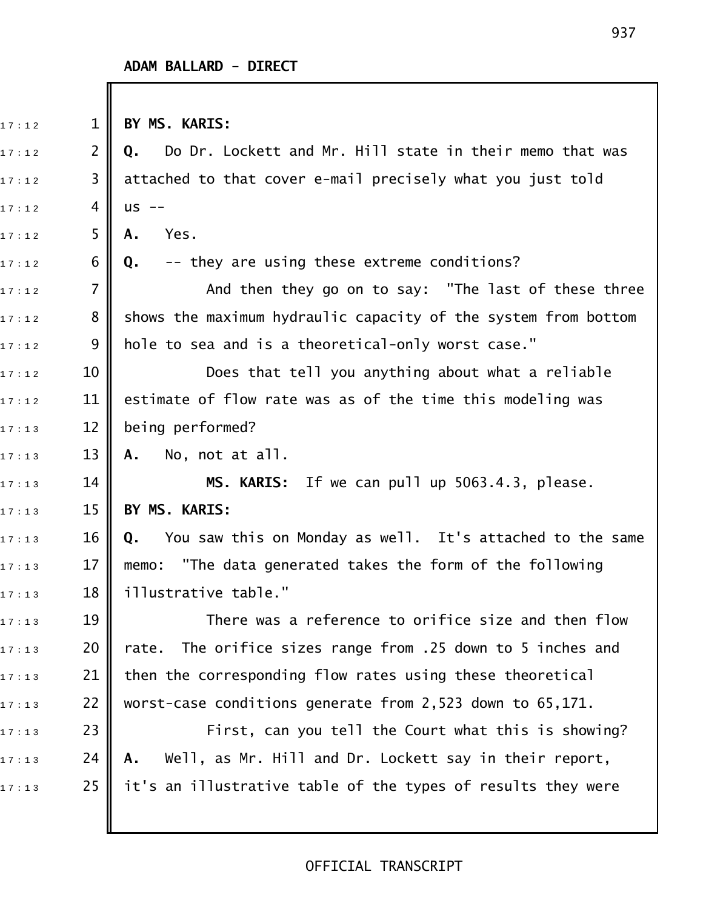| 17:12 | $\mathbf 1$    | BY MS. KARIS:                                                   |
|-------|----------------|-----------------------------------------------------------------|
| 17:12 | 2              | Do Dr. Lockett and Mr. Hill state in their memo that was<br>Q.  |
| 17:12 | 3              | attached to that cover e-mail precisely what you just told      |
| 17:12 | 4              | $US$ --                                                         |
| 17:12 | 5              | Yes.<br>Α.                                                      |
| 17:12 | 6              | -- they are using these extreme conditions?<br>Q.               |
| 17:12 | $\overline{7}$ | And then they go on to say: "The last of these three            |
| 17:12 | 8              | shows the maximum hydraulic capacity of the system from bottom  |
| 17:12 | 9              | hole to sea and is a theoretical-only worst case."              |
| 17:12 | 10             | Does that tell you anything about what a reliable               |
| 17:12 | 11             | estimate of flow rate was as of the time this modeling was      |
| 17:13 | 12             | being performed?                                                |
| 17:13 | 13             | No, not at all.<br>A.                                           |
| 17:13 | 14             | MS. KARIS: If we can pull up 5063.4.3, please.                  |
| 17:13 | 15             | BY MS. KARIS:                                                   |
| 17:13 | 16             | You saw this on Monday as well. It's attached to the same<br>Q. |
| 17:13 | 17             | memo: "The data generated takes the form of the following       |
| 17:13 | 18             | illustrative table."                                            |
| 17:13 | 19             | There was a reference to orifice size and then flow             |
| 17:13 | 20             | The orifice sizes range from .25 down to 5 inches and<br>rate.  |
| 17:13 | 21             | then the corresponding flow rates using these theoretical       |
| 17:13 | 22             | worst-case conditions generate from 2,523 down to 65,171.       |
| 17:13 | 23             | First, can you tell the Court what this is showing?             |
| 17:13 | 24             | Well, as Mr. Hill and Dr. Lockett say in their report,<br>Α.    |
| 17:13 | 25             | it's an illustrative table of the types of results they were    |
|       |                |                                                                 |
|       |                |                                                                 |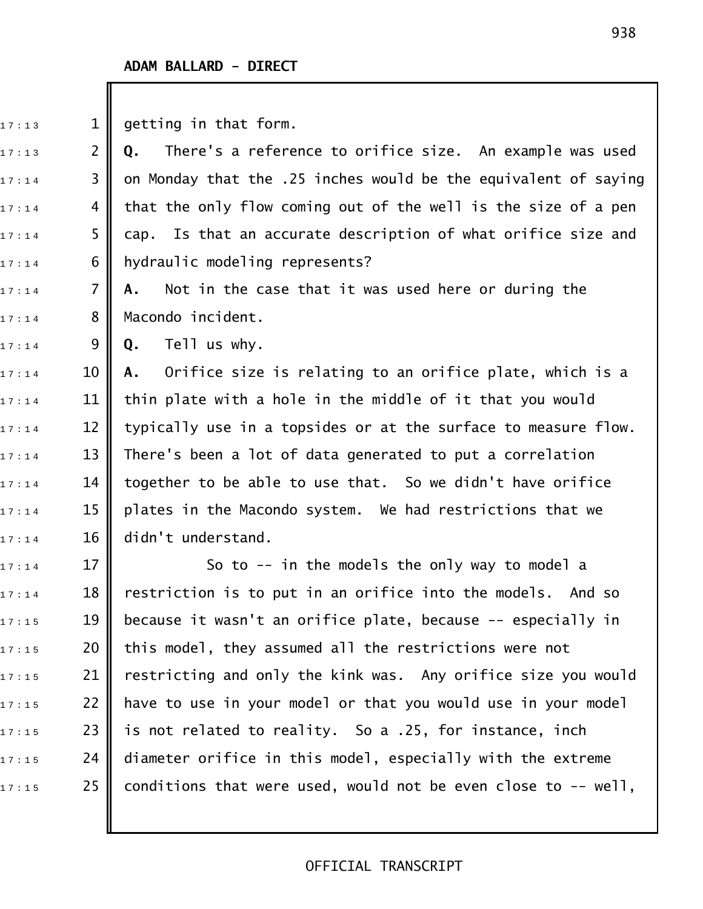$17:13$  1 getting in that form.

1 7 : 1 3 2 **Q.** There's a reference to orifice size. An example was used  $17:14$  3  $\parallel$  on Monday that the .25 inches would be the equivalent of saying  $17:14$  4 | that the only flow coming out of the well is the size of a pen  $17:14$  5  $\,$  cap. Is that an accurate description of what orifice size and  $17:14$  6 || hydraulic modeling represents?

17:14 **7 A.** Not in the case that it was used here or during the  $17 : 14$  8 Macondo incident.

1 7 : 1 4 9 **Q.** Tell us why.

1 7 : 1 4 10 **A.** Orifice size is relating to an orifice plate, which is a  $_{\text{17}: \text{14}}$   $\quad$  11  $\parallel$  thin plate with a hole in the middle of it that you would  $17:14$  12 | typically use in a topsides or at the surface to measure flow.  $_{1\,7\,\cdot\,1\,4}$   $\qquad$  13  $\parallel$  There's been a lot of data generated to put a correlation  $_{\text{17}: \text{14}}$   $\quad$  14  $\parallel$  together to be able to use that. So we didn't have orifice  $17:14$  15 || plates in the Macondo system. We had restrictions that we  $17:14$  16 didn't understand.

 $17:14$  17  $\parallel$  So to -- in the models the only way to model a  $_{\text{17}: \text{14}}$   $\quad$  18  $\parallel$  restriction is to put in an orifice into the models. And so  $_{17:15}$   $\qquad$  19  $\parallel$  because it wasn't an orifice plate, because -- especially in  $_{1\,7\,\cdot\,1\,5}$  20 || this model, they assumed all the restrictions were not  $_{1\,7\,\cdot\,1\,5}$  21 | restricting and only the kink was. Any orifice size you would  $_{\text{17}:15}$   $\hspace{1.45cm}$  22  $\parallel$  have to use in your model or that you would use in your model  $17:15$  23 || is not related to reality. So a .25, for instance, inch  $_{1\,7\,\cdot\,1\,5}$  24  $\parallel$  diameter orifice in this model, especially with the extreme  $17:15$  25 | conditions that were used, would not be even close to -- well,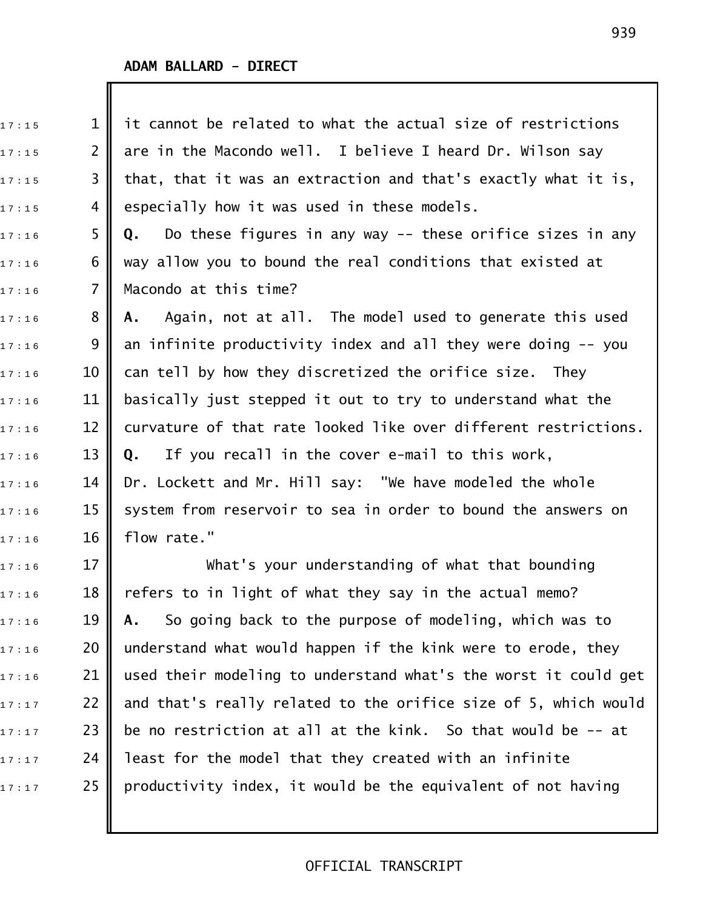| 17:15 | $\mathbf 1$    | it cannot be related to what the actual size of restrictions     |
|-------|----------------|------------------------------------------------------------------|
| 17:15 | $\overline{2}$ | are in the Macondo well. I believe I heard Dr. Wilson say        |
| 17:15 | 3              | that, that it was an extraction and that's exactly what it is,   |
| 17:15 | 4              | especially how it was used in these models.                      |
| 17:16 | 5              | Do these figures in any way $-$ these orifice sizes in any<br>Q. |
| 17:16 | 6              | way allow you to bound the real conditions that existed at       |
| 17:16 | $\overline{7}$ | Macondo at this time?                                            |
| 17:16 | 8              | Again, not at all. The model used to generate this used<br>А.    |
| 17:16 | 9              | an infinite productivity index and all they were doing -- you    |
| 17:16 | 10             | can tell by how they discretized the orifice size. They          |
| 17:16 | 11             | basically just stepped it out to try to understand what the      |
| 17:16 | 12             | curvature of that rate looked like over different restrictions.  |
| 17:16 | 13             | If you recall in the cover e-mail to this work,<br>Q.            |
| 17:16 | 14             | Dr. Lockett and Mr. Hill say: "We have modeled the whole         |
| 17:16 | 15             | system from reservoir to sea in order to bound the answers on    |
| 17:16 | 16             | flow rate."                                                      |
| 17:16 | 17             | What's your understanding of what that bounding                  |
| 17:16 | 18             | refers to in light of what they say in the actual memo?          |
| 17:16 | 19             | So going back to the purpose of modeling, which was to<br>Α.     |
| 17:16 | 20             | understand what would happen if the kink were to erode, they     |
| 17:16 | 21             | used their modeling to understand what's the worst it could get  |
| 17:17 | 22             | and that's really related to the orifice size of 5, which would  |
| 17:17 | 23             | be no restriction at all at the kink. So that would be -- at     |
| 17:17 | 24             | least for the model that they created with an infinite           |

 $\mathbf{1}$   $\mathbf{7}$   $\cdot$  17  $\cdot$  25 productivity index, it would be the equivalent of not having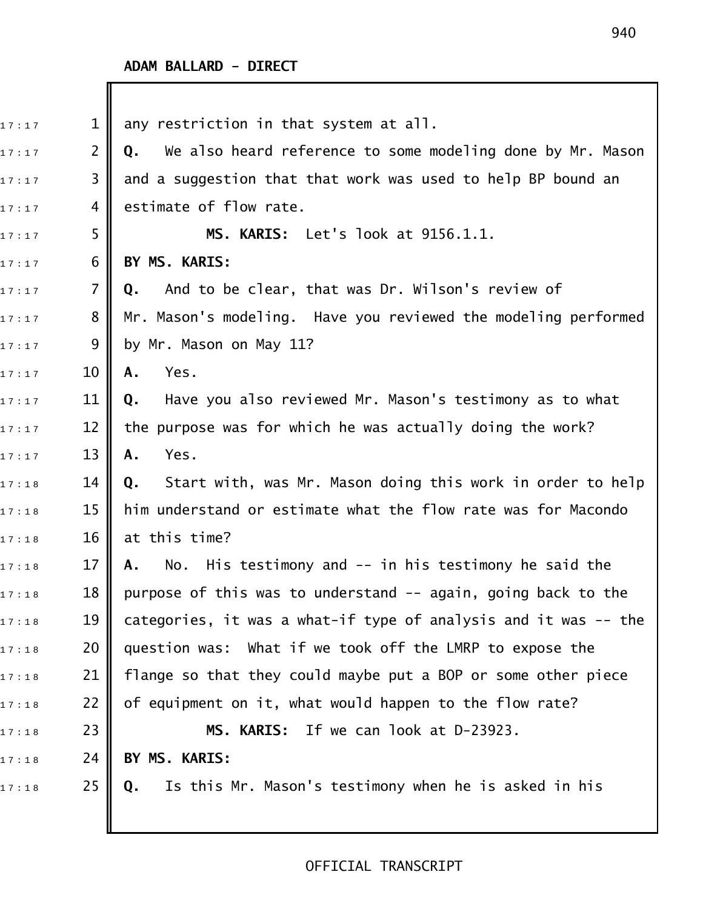| 17:17 | $\mathbf{1}$    | any restriction in that system at all.                           |
|-------|-----------------|------------------------------------------------------------------|
| 17:17 | $\overline{2}$  | We also heard reference to some modeling done by Mr. Mason<br>Q. |
| 17:17 | 3               | and a suggestion that that work was used to help BP bound an     |
| 17:17 | 4               | estimate of flow rate.                                           |
| 17:17 | 5               | MS. KARIS: Let's look at 9156.1.1.                               |
| 17:17 | 6               | BY MS. KARIS:                                                    |
| 17:17 | $\overline{7}$  | And to be clear, that was Dr. Wilson's review of<br>Q.           |
| 17:17 | 8               | Mr. Mason's modeling. Have you reviewed the modeling performed   |
| 17:17 | 9               | by Mr. Mason on May 11?                                          |
| 17:17 | 10              | Yes.<br>Α.                                                       |
| 17:17 | 11              | Have you also reviewed Mr. Mason's testimony as to what<br>Q.    |
| 17:17 | 12              | the purpose was for which he was actually doing the work?        |
| 17:17 | 13              | Yes.<br>Α.                                                       |
| 17:18 | 14              | Start with, was Mr. Mason doing this work in order to help<br>Q. |
| 17:18 | 15              | him understand or estimate what the flow rate was for Macondo    |
| 17:18 | 16              | at this time?                                                    |
| 17:18 | 17              | No. His testimony and -- in his testimony he said the<br>Α.      |
| 17:18 | 18 <sup>1</sup> | purpose of this was to understand -- again, going back to the    |
| 17:18 | 19              | categories, it was a what-if type of analysis and it was -- the  |
| 17:18 | 20              | question was: What if we took off the LMRP to expose the         |
| 17:18 | 21              | flange so that they could maybe put a BOP or some other piece    |
| 17:18 | 22              | of equipment on it, what would happen to the flow rate?          |
| 17:18 | 23              | MS. KARIS: If we can look at D-23923.                            |
| 17:18 | 24              | BY MS. KARIS:                                                    |
| 17:18 | 25              | Is this Mr. Mason's testimony when he is asked in his<br>Q.      |
|       |                 |                                                                  |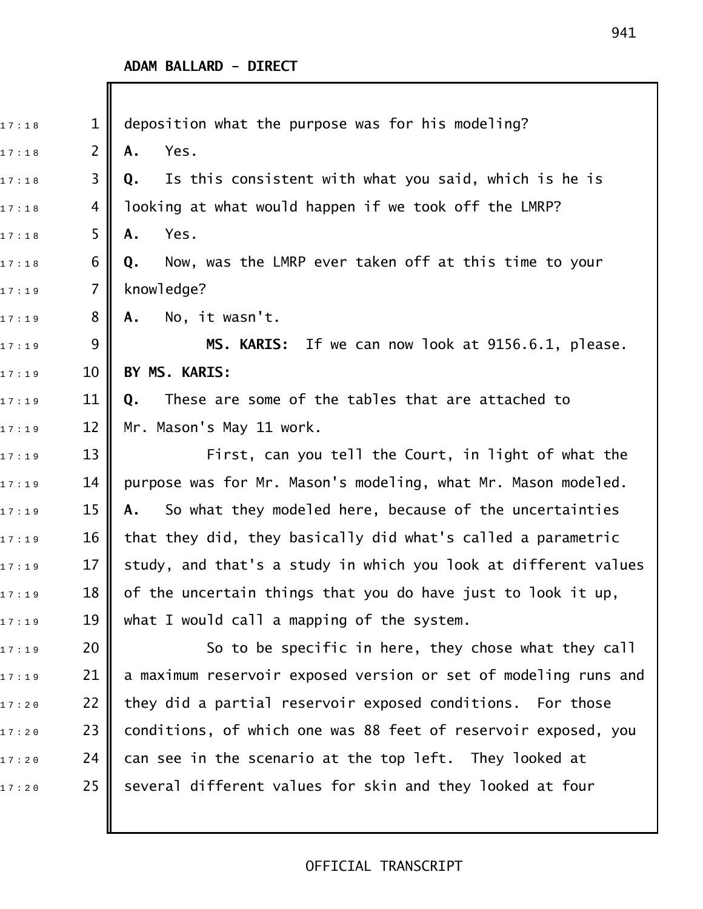| 17:18 | $\mathbf{1}$   | deposition what the purpose was for his modeling?               |
|-------|----------------|-----------------------------------------------------------------|
| 17:18 | $\overline{2}$ | Yes.<br>Α.                                                      |
| 17:18 | 3              | Is this consistent with what you said, which is he is<br>Q.     |
| 17:18 | 4              | looking at what would happen if we took off the LMRP?           |
| 17:18 | 5              | Yes.<br>Α.                                                      |
| 17:18 | 6              | Now, was the LMRP ever taken off at this time to your<br>Q.     |
| 17:19 | 7              | knowledge?                                                      |
| 17:19 | 8              | No, it wasn't.<br>Α.                                            |
| 17:19 | 9              | MS. KARIS: If we can now look at 9156.6.1, please.              |
| 17:19 | 10             | BY MS. KARIS:                                                   |
| 17:19 | 11             | These are some of the tables that are attached to<br>Q.         |
| 17:19 | 12             | Mr. Mason's May 11 work.                                        |
| 17:19 | 13             | First, can you tell the Court, in light of what the             |
| 17:19 | 14             | purpose was for Mr. Mason's modeling, what Mr. Mason modeled.   |
| 17:19 | 15             | So what they modeled here, because of the uncertainties<br>A.   |
| 17:19 | 16             | that they did, they basically did what's called a parametric    |
| 17:19 | 17             | study, and that's a study in which you look at different values |
| 17:19 | 18             | of the uncertain things that you do have just to look it up,    |
| 17:19 | 19             | what I would call a mapping of the system.                      |
| 17:19 | 20             | So to be specific in here, they chose what they call            |
| 17:19 | 21             | a maximum reservoir exposed version or set of modeling runs and |
| 17:20 | 22             | they did a partial reservoir exposed conditions. For those      |
| 17:20 | 23             | conditions, of which one was 88 feet of reservoir exposed, you  |
| 17:20 | 24             | can see in the scenario at the top left. They looked at         |
| 17:20 | 25             | several different values for skin and they looked at four       |
|       |                |                                                                 |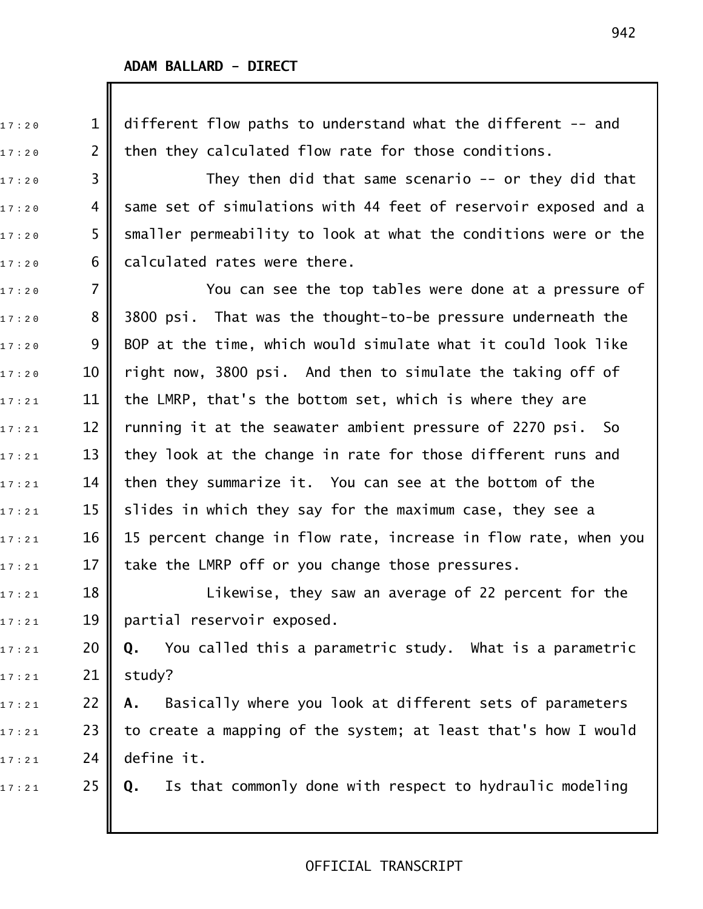1 7 : 2 0 1 different flow paths to understand what the different !! and  $17:20$  2 | then they calculated flow rate for those conditions.  $17:20$  3 || They then did that same scenario -- or they did that  $_{\text{17:20}}$   $\quad$  4  $\vert\vert$  same set of simulations with 44 feet of reservoir exposed and a  $17:20$  5  $\,$  smaller permeability to look at what the conditions were or the  $17:20$  6 calculated rates were there.  $17:20$  7  $\parallel$  200 You can see the top tables were done at a pressure of  $17:20$  8  $\parallel$  3800 psi. That was the thought-to-be pressure underneath the  $17:20$  9 BOP at the time, which would simulate what it could look like  $17:20$   $10$   $\parallel$  right now, 3800 psi. And then to simulate the taking off of  $_{\text{17:21}}$   $\quad$  11  $\parallel$  the LMRP, that's the bottom set, which is where they are  $_{17:21}$   $\qquad$  12  $\parallel$  running it at the seawater ambient pressure of 2270 psi. So  $_{1\,7\,\cdot\,2\,1}$  13 || they look at the change in rate for those different runs and  $_{1\,7\,\cdot\,2\,1}$  14  $\parallel$  then they summarize it. You can see at the bottom of the  $_{\text{17:21}}$   $\,$  15  $\,$  slides in which they say for the maximum case, they see a  $_{\text{17:21}}$   $\quad$  16  $\parallel$  15 percent change in flow rate, increase in flow rate, when you  $_{17:21}$  17 || take the LMRP off or you change those pressures.  $_{17:21}$   $18$   $\parallel$   $\parallel$  Likewise, they saw an average of 22 percent for the  $17:21$  19 partial reservoir exposed. 1 7 : 2 1 20 **Q.** You called this a parametric study. What is a parametric  $17 : 21$  21 study? 1 7 : 2 1 22 **A.** Basically where you look at different sets of parameters  $_{\text{17:21}}$   $\hspace{0.15cm}$  23  $\parallel$  to create a mapping of the system; at least that's how I would  $17:21$  24 define it. 1 7 : 2 1 25 **Q.** Is that commonly done with respect to hydraulic modeling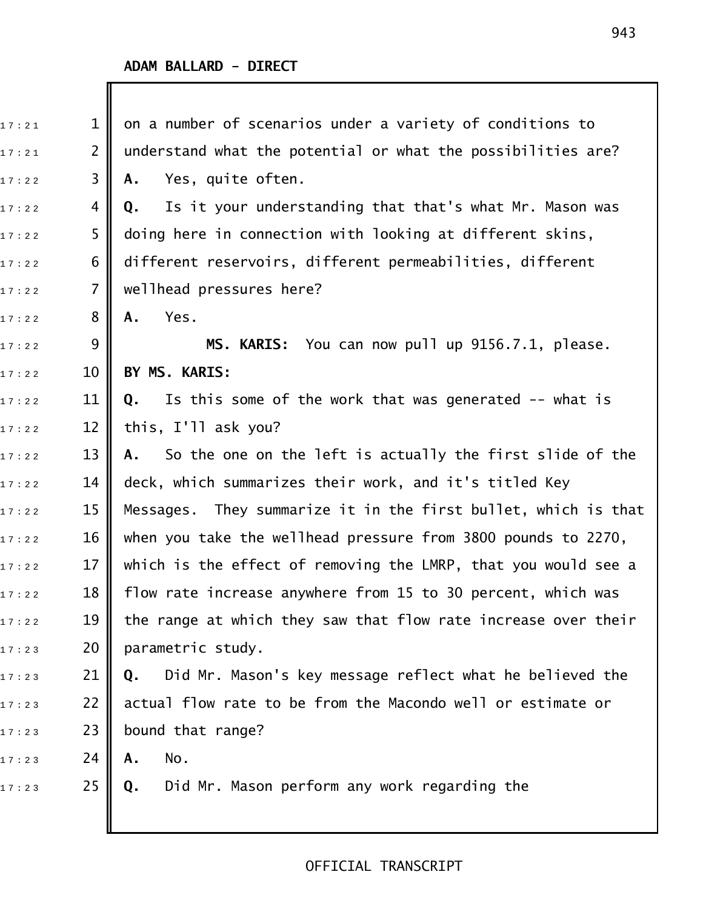I

| 17:21 | $\mathbf 1$    | on a number of scenarios under a variety of conditions to         |
|-------|----------------|-------------------------------------------------------------------|
| 17:21 | $\overline{2}$ | understand what the potential or what the possibilities are?      |
| 17:22 | 3              | Yes, quite often.<br>Α.                                           |
| 17:22 | 4              | Is it your understanding that that's what Mr. Mason was<br>Q.     |
| 17:22 | 5              | doing here in connection with looking at different skins,         |
| 17:22 | 6              | different reservoirs, different permeabilities, different         |
| 17:22 | 7              | wellhead pressures here?                                          |
| 17:22 | 8              | Yes.<br>Α.                                                        |
| 17:22 | 9              | MS. KARIS: You can now pull up 9156.7.1, please.                  |
| 17:22 | 10             | BY MS. KARIS:                                                     |
| 17:22 | 11             | Is this some of the work that was generated -- what is<br>Q.      |
| 17:22 | 12             | this, I'll ask you?                                               |
| 17:22 | 13             | So the one on the left is actually the first slide of the<br>A.,  |
| 17:22 | 14             | deck, which summarizes their work, and it's titled Key            |
| 17:22 | 15             | They summarize it in the first bullet, which is that<br>Messages. |
| 17:22 | 16             | when you take the wellhead pressure from 3800 pounds to 2270,     |
| 17:22 | 17             | which is the effect of removing the LMRP, that you would see a    |
| 17:22 | 18             | flow rate increase anywhere from 15 to 30 percent, which was      |
| 17:22 | 19             | the range at which they saw that flow rate increase over their    |
| 17:23 | 20             | parametric study.                                                 |
| 17:23 | 21             | Did Mr. Mason's key message reflect what he believed the<br>Q.    |
| 17:23 | 22             | actual flow rate to be from the Macondo well or estimate or       |
| 17:23 | 23             | bound that range?                                                 |
| 17:23 | 24             | No.<br>Α.                                                         |
| 17:23 | 25             | Did Mr. Mason perform any work regarding the<br>Q.                |
|       |                |                                                                   |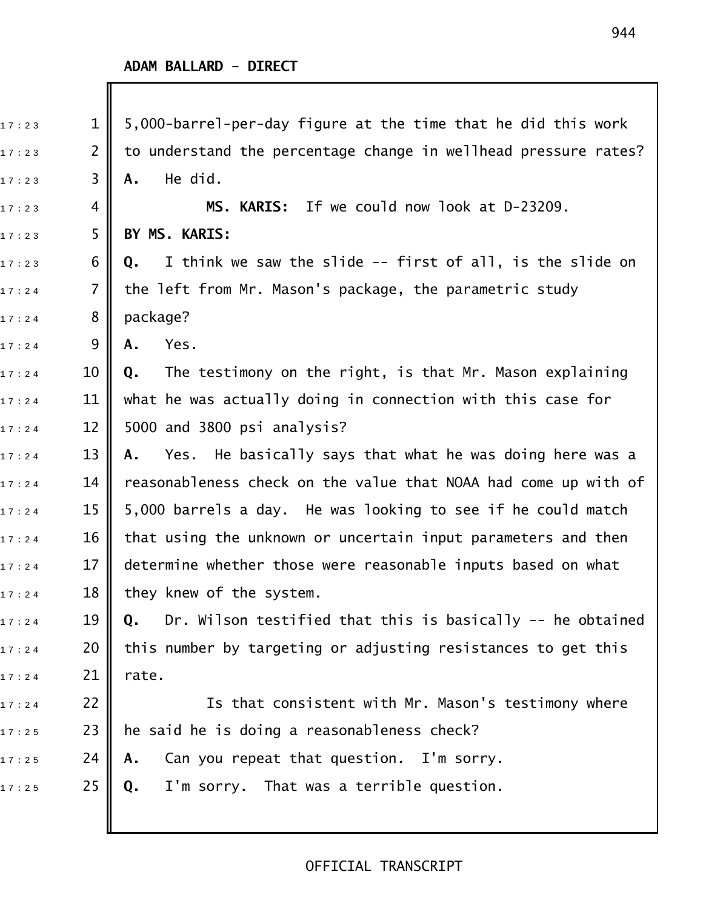| 17:23 | $\mathbf 1$ | 5,000-barrel-per-day figure at the time that he did this work    |
|-------|-------------|------------------------------------------------------------------|
| 17:23 | 2           | to understand the percentage change in wellhead pressure rates?  |
| 17:23 | 3           | He did.<br>Α.                                                    |
| 17:23 | 4           | MS. KARIS: If we could now look at D-23209.                      |
| 17:23 | 5           | BY MS. KARIS:                                                    |
| 17:23 | 6           | I think we saw the slide -- first of all, is the slide on<br>Q.  |
| 17:24 | 7           | the left from Mr. Mason's package, the parametric study          |
| 17:24 | 8           | package?                                                         |
| 17:24 | 9           | Yes.<br>Α.                                                       |
| 17:24 | 10          | The testimony on the right, is that Mr. Mason explaining<br>Q.   |
| 17:24 | 11          | what he was actually doing in connection with this case for      |
| 17:24 | 12          | 5000 and 3800 psi analysis?                                      |
| 17:24 | 13          | Yes. He basically says that what he was doing here was a<br>Α.   |
| 17:24 | 14          | reasonableness check on the value that NOAA had come up with of  |
| 17:24 | 15          | 5,000 barrels a day. He was looking to see if he could match     |
| 17:24 | 16          | that using the unknown or uncertain input parameters and then    |
| 17:24 | 17          | determine whether those were reasonable inputs based on what     |
| 17:24 | 18          | they knew of the system.                                         |
| 17:24 | 19          | Dr. Wilson testified that this is basically -- he obtained<br>Q. |
| 17:24 | 20          | this number by targeting or adjusting resistances to get this    |
| 17:24 | 21          | rate.                                                            |
| 17:24 | 22          | Is that consistent with Mr. Mason's testimony where              |
| 17:25 | 23          | he said he is doing a reasonableness check?                      |
| 17:25 | 24          | Can you repeat that question. I'm sorry.<br>Α.                   |
| 17:25 | 25          | I'm sorry. That was a terrible question.<br>Q.                   |
|       |             |                                                                  |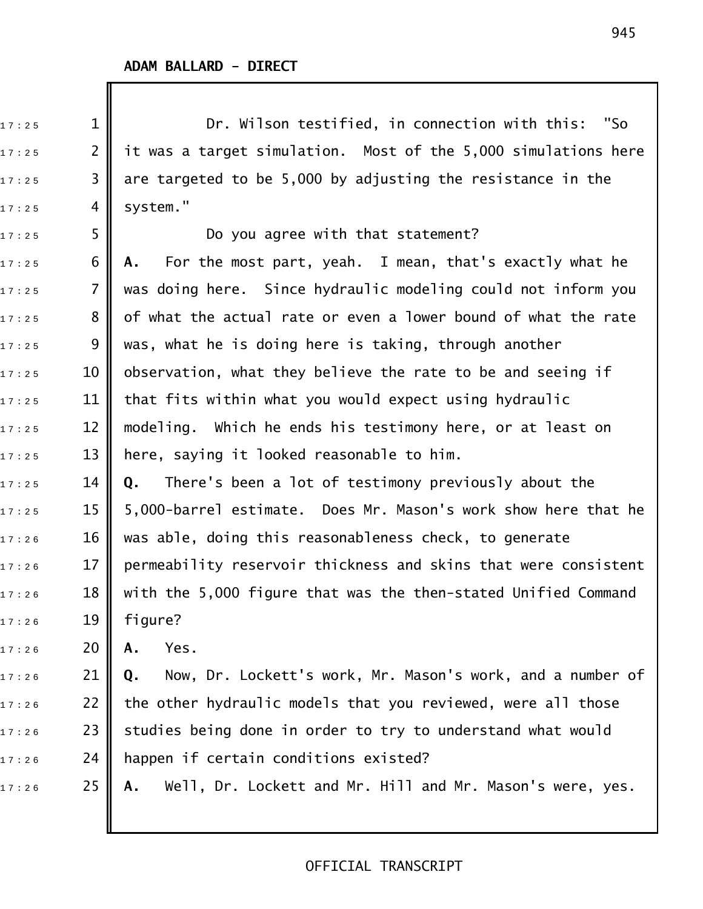$_{17:25}$   $1\parallel$  Dr. Wilson testified, in connection with this: "So  $_{\text{17:25}}$   $\hspace{1.5cm}$  2  $\parallel$  it was a target simulation. Most of the 5,000 simulations here  $_{17:25}$  3 || are targeted to be 5,000 by adjusting the resistance in the  $17:25$  4 system."  $17:25$  5  $\parallel$  Do you agree with that statement? 1 7 : 2 5 6 **A.** For the most part, yeah. I mean, that's exactly what he  $17:25$   $7$   $\parallel$  was doing here. Since hydraulic modeling could not inform you  $17:25$  8 || of what the actual rate or even a lower bound of what the rate  $_{1\,7\,\cdot\,2\,5}$  9  $\parallel$  was, what he is doing here is taking, through another  $17:25$  10  $\,$  observation, what they believe the rate to be and seeing if  $17:25$  11 || that fits within what you would expect using hydraulic  $_{\text{17:25}}$   $\,$  12  $\,$  modeling. Which he ends his testimony here, or at least on  $_{17:25}$   $\,$   $\,$  13  $\,$  here, saying it looked reasonable to him. 1 7 : 2 5 14 **Q.** There's been a lot of testimony previously about the  $_{1\,7\,\cdot\,2\,5}$   $\qquad$  15  $\parallel$  5,000-barrel estimate. Does Mr. Mason's work show here that he  $_{\text{17:26}}$   $\,$   $\,$  16  $\,$  was able, doing this reasonableness check, to generate  $17:2.6$  17  $\parallel$  permeability reservoir thickness and skins that were consistent  $17:2.6$  18  $\parallel$  with the 5,000 figure that was the then-stated Unified Command  $17 : 26$  19 figure? 1 7 : 2 6 20 **A.** Yes. 1 7 : 2 6 21 **Q.** Now, Dr. Lockett's work, Mr. Mason's work, and a number of  $_{\text{17:26}}$   $\,$  22  $\,$  the other hydraulic models that you reviewed, were all those  $17:26$   $23$   $\parallel$  studies being done in order to try to understand what would  $17:26$  24 | happen if certain conditions existed? 17:26 **25 || A.** Well, Dr. Lockett and Mr. Hill and Mr. Mason's were, yes.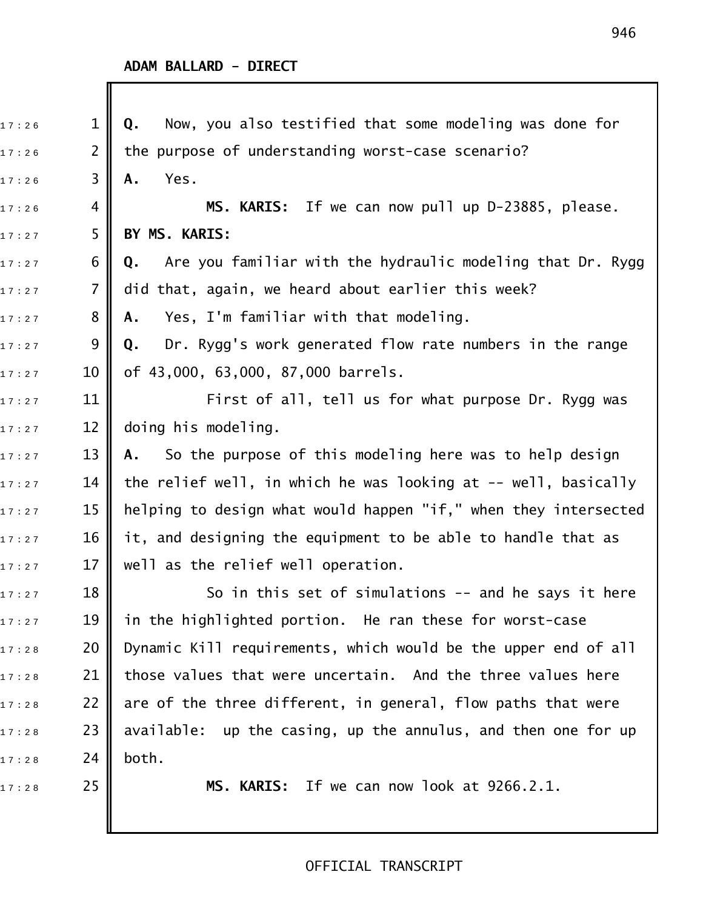| 17:26 | $\mathbf 1$    | Now, you also testified that some modeling was done for<br>Q.    |
|-------|----------------|------------------------------------------------------------------|
| 17:26 | $\overline{2}$ | the purpose of understanding worst-case scenario?                |
| 17:26 | 3              | Yes.<br>Α.                                                       |
| 17:26 | 4              | MS. KARIS: If we can now pull up D-23885, please.                |
| 17:27 | 5              | BY MS. KARIS:                                                    |
| 17:27 | 6              | Are you familiar with the hydraulic modeling that Dr. Rygg<br>Q. |
| 17:27 | 7              | did that, again, we heard about earlier this week?               |
| 17:27 | 8              | Yes, I'm familiar with that modeling.<br>Α.                      |
| 17:27 | 9              | Dr. Rygg's work generated flow rate numbers in the range<br>Q.   |
| 17:27 | 10             | of 43,000, 63,000, 87,000 barrels.                               |
| 17:27 | 11             | First of all, tell us for what purpose Dr. Rygg was              |
| 17:27 | 12             | doing his modeling.                                              |
| 17:27 | 13             | So the purpose of this modeling here was to help design<br>Α.    |
| 17:27 | 14             | the relief well, in which he was looking at -- well, basically   |
| 17:27 | 15             | helping to design what would happen "if," when they intersected  |
| 17:27 | 16             | it, and designing the equipment to be able to handle that as     |
| 17:27 | 17             | well as the relief well operation.                               |
| 17:27 | 18             | So in this set of simulations -- and he says it here             |
| 17:27 | 19             | in the highlighted portion. He ran these for worst-case          |
| 17:28 | 20             | Dynamic Kill requirements, which would be the upper end of all   |
| 17:28 | 21             | those values that were uncertain. And the three values here      |
| 17:28 | 22             | are of the three different, in general, flow paths that were     |
| 17:28 | 23             | available: up the casing, up the annulus, and then one for up    |
| 17:28 | 24             | both.                                                            |
| 17:28 | 25             | MS. KARIS: If we can now look at 9266.2.1.                       |
|       |                |                                                                  |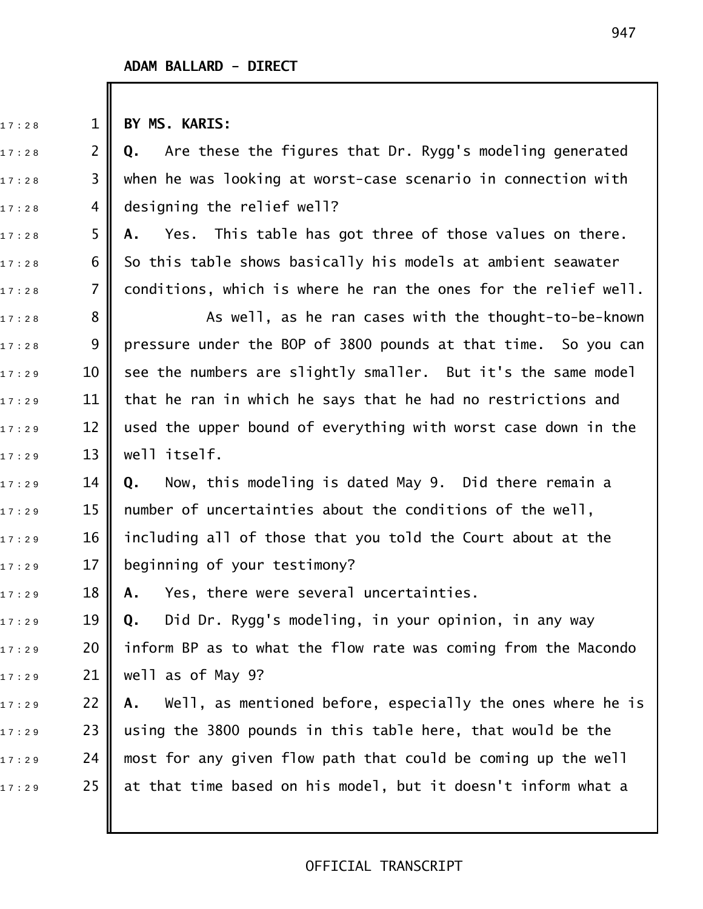17:28 1 **BY MS. KARIS:** 

17:28 **2 Q.** Are these the figures that Dr. Rygg's modeling generated  $_{\text{17:28}}$   $\hspace{1cm}$  3  $\parallel$  when he was looking at worst-case scenario in connection with  $17:28$  4 designing the relief well?

17:28 **5 A.** Yes. This table has got three of those values on there.  $_{\text{17:28}}$  6 || So this table shows basically his models at ambient seawater  $_{17:28}$   $\,$  7  $\,$  conditions, which is where he ran the ones for the relief well.

 $_{1\,7\,:\,2\,8}$   $\quad$  8  $\parallel$   $\quad$  As well, as he ran cases with the thought-to-be-known  $_{1\,7\,:\,2\,8}$  9 || pressure under the BOP of 3800 pounds at that time. So you can  $17:29$  10 see the numbers are slightly smaller. But it's the same model  $17:29$  11 that he ran in which he says that he had no restrictions and  $_{17:29}$   $\qquad$  12  $\parallel$  used the upper bound of everything with worst case down in the  $_{17:29}$   $13$   $\parallel$  well itself.

1 7 : 2 9 14 **Q.** Now, this modeling is dated May 9. Did there remain a  $_{17:29}$   $\,$   $\,$  15  $\,$  number of uncertainties about the conditions of the well,  $_{17:29}$   $\,$   $\,$  16  $\parallel$  including all of those that you told the Court about at the  $17:29$  17 beginning of your testimony?

17:29 18 **|| A.** Yes, there were several uncertainties.

1 7 : 2 9 19 **Q.** Did Dr. Rygg's modeling, in your opinion, in any way  $17:29$  20 || inform BP as to what the flow rate was coming from the Macondo  $_{17:29}$  21 || well as of May 9?

17:29 **22 || A.** Well, as mentioned before, especially the ones where he is  $_{1\,7\,\pm\,2\,9}$   $\qquad$  23  $\parallel$  using the 3800 pounds in this table here, that would be the  $_{17:29}$  24  $\,$  most for any given flow path that could be coming up the well  $17:29$  25 at that time based on his model, but it doesn't inform what a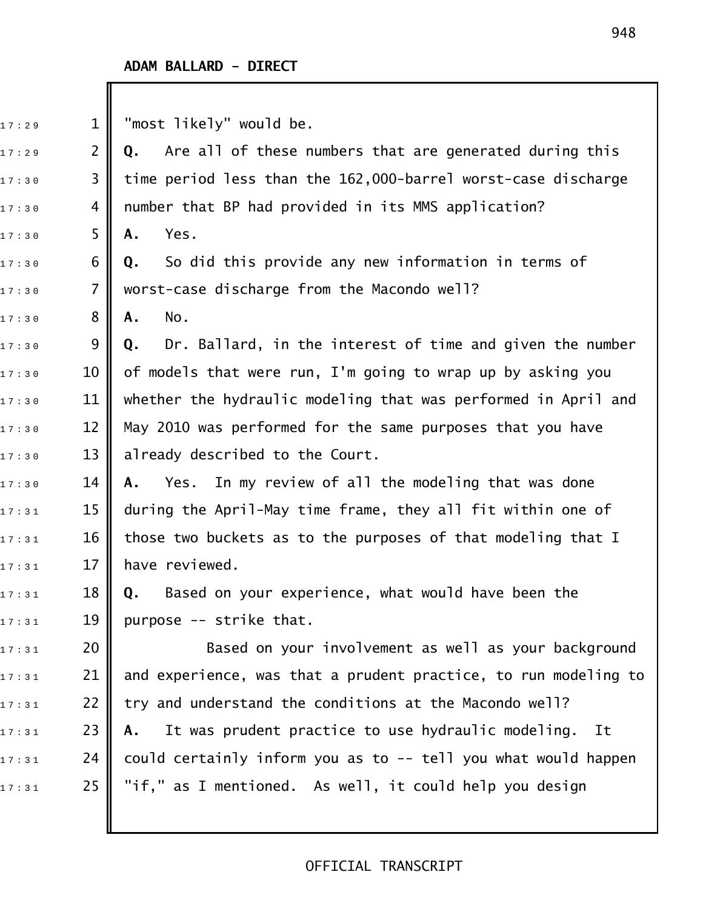| 17:29 | $\mathbf 1$    | "most likely" would be.                                         |
|-------|----------------|-----------------------------------------------------------------|
| 17:29 | $\overline{2}$ | Are all of these numbers that are generated during this<br>Q.   |
| 17:30 | 3              | time period less than the 162,000-barrel worst-case discharge   |
| 17:30 | 4              | number that BP had provided in its MMS application?             |
| 17:30 | 5              | Yes.<br>Α.                                                      |
| 17:30 | 6              | So did this provide any new information in terms of<br>Q.       |
| 17:30 | $\overline{7}$ | worst-case discharge from the Macondo well?                     |
| 17:30 | 8              | No.<br>Α.                                                       |
| 17:30 | 9              | Dr. Ballard, in the interest of time and given the number<br>Q. |
| 17:30 | 10             | of models that were run, I'm going to wrap up by asking you     |
| 17:30 | 11             | whether the hydraulic modeling that was performed in April and  |
| 17:30 | 12             | May 2010 was performed for the same purposes that you have      |
| 17:30 | 13             | already described to the Court.                                 |
| 17:30 | 14             | In my review of all the modeling that was done<br>Yes.<br>Α.    |
| 17:31 | 15             | during the April-May time frame, they all fit within one of     |
| 17:31 | 16             | those two buckets as to the purposes of that modeling that I    |
| 17:31 | 17             | have reviewed.                                                  |
| 17:31 | 18             | Based on your experience, what would have been the<br>0.        |
| 17:31 | 19             | purpose -- strike that.                                         |
| 17:31 | 20             | Based on your involvement as well as your background            |
| 17:31 | 21             | and experience, was that a prudent practice, to run modeling to |
| 17:31 | 22             | try and understand the conditions at the Macondo well?          |
| 17:31 | 23             | It was prudent practice to use hydraulic modeling.<br>It<br>Α.  |
| 17:31 | 24             | could certainly inform you as to -- tell you what would happen  |
| 17:31 | 25             | "if," as I mentioned. As well, it could help you design         |
|       |                |                                                                 |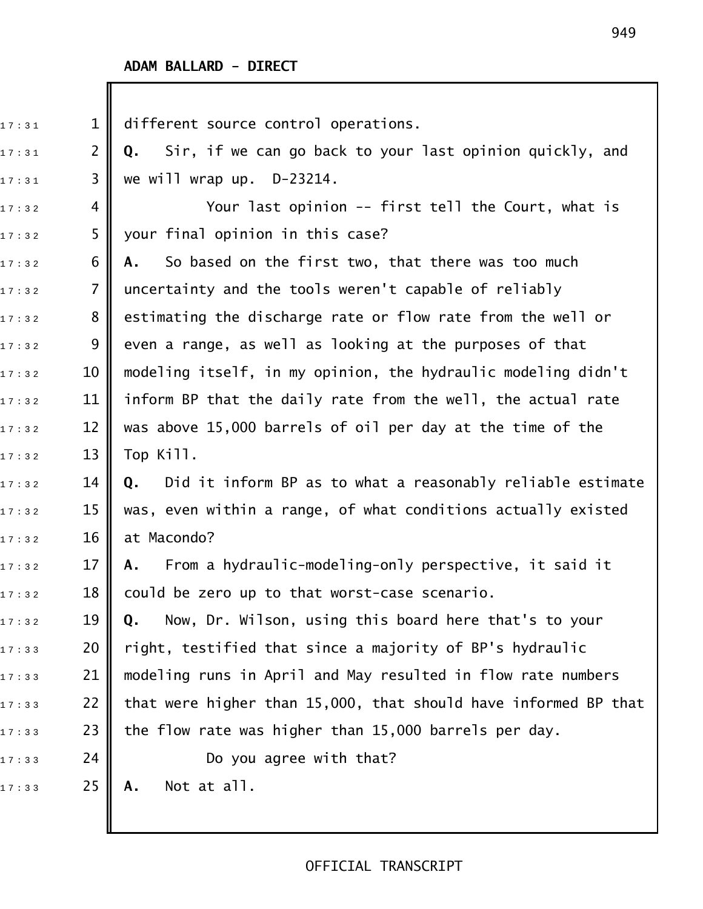| 17:31 | $\mathbf 1$    | different source control operations.                             |
|-------|----------------|------------------------------------------------------------------|
| 17:31 | $\overline{2}$ | Sir, if we can go back to your last opinion quickly, and<br>Q.   |
| 17:31 | 3              | we will wrap up. $D-23214$ .                                     |
| 17:32 | 4              | Your last opinion -- first tell the Court, what is               |
| 17:32 | 5              | your final opinion in this case?                                 |
| 17:32 | 6              | So based on the first two, that there was too much<br>А.         |
| 17:32 | 7              | uncertainty and the tools weren't capable of reliably            |
| 17:32 | 8              | estimating the discharge rate or flow rate from the well or      |
| 17:32 | 9              | even a range, as well as looking at the purposes of that         |
| 17:32 | 10             | modeling itself, in my opinion, the hydraulic modeling didn't    |
| 17:32 | 11             | inform BP that the daily rate from the well, the actual rate     |
| 17:32 | 12             | was above 15,000 barrels of oil per day at the time of the       |
| 17:32 | 13             | Top Kill.                                                        |
| 17:32 | 14             | Did it inform BP as to what a reasonably reliable estimate<br>Q. |
| 17:32 | 15             | was, even within a range, of what conditions actually existed    |
| 17:32 | 16             | at Macondo?                                                      |
| 17:32 | 17             | From a hydraulic-modeling-only perspective, it said it<br>A.     |
| 17:32 | 18             | could be zero up to that worst-case scenario.                    |
| 17:32 | 19             | Now, Dr. Wilson, using this board here that's to your<br>Q.      |
| 17:33 | 20             | right, testified that since a majority of BP's hydraulic         |
| 17:33 | 21             | modeling runs in April and May resulted in flow rate numbers     |
| 17:33 | 22             | that were higher than 15,000, that should have informed BP that  |
| 17:33 | 23             | the flow rate was higher than 15,000 barrels per day.            |
| 17:33 | 24             | Do you agree with that?                                          |
| 17:33 | 25             | Not at all.<br>Α.                                                |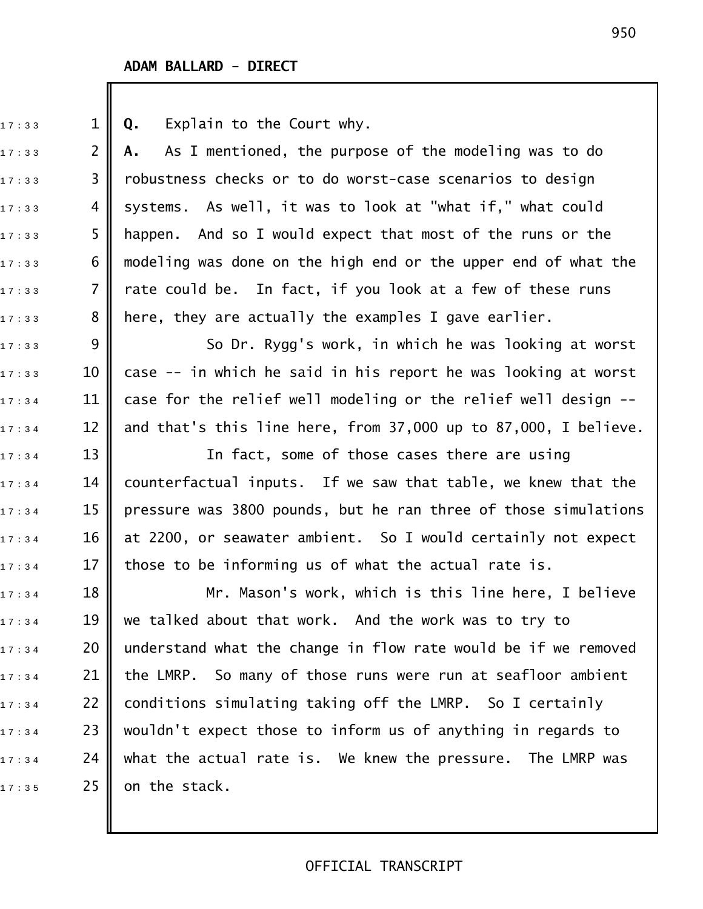17:33 **1 || Q.** Explain to the Court why. 17:33 **2 A.** As I mentioned, the purpose of the modeling was to do  $17:33$  3 || robustness checks or to do worst-case scenarios to design  $17:33$  4 systems. As well, it was to look at "what if," what could  $17:33$  5  $\,$  happen. And so I would expect that most of the runs or the  $17:33$  6  $\,$  modeling was done on the high end or the upper end of what the  $_{1\,7\,\cdot\,3\,3}$   $\qquad$  7  $\parallel$  rate could be. In fact, if you look at a few of these runs  $_{1\,7\,\cdot\,:\,3\,3}$   $\qquad \quad 8$  || here, they are actually the examples I gave earlier.  $_{\text{17}: \text{33}}$   $\quad$  9  $\parallel$  So Dr. Rygg's work, in which he was looking at worst  $_{17:33}$   $\,$   $\,$  10  $\,$  case -- in which he said in his report he was looking at worst  $_{17:34}$   $\,$   $\,$  11  $\,$  case for the relief well modeling or the relief well design -- $_{1\,7\,\cdot\,:\,3\,4}$   $\qquad$  12  $\parallel$  and that's this line here, from 37,000 up to 87,000, I believe.  $17:34$  13 || The fact, some of those cases there are using  $_{1\,7\,\cdot\,:\,3\,4}$  14 || counterfactual inputs. If we saw that table, we knew that the  $17:3:4$  15  $\parallel$  pressure was 3800 pounds, but he ran three of those simulations  $_{1\,7\,:\,3\,4}$   $\qquad$  16  $\parallel$  at 2200, or seawater ambient. So I would certainly not expect  $17:34$  17 || those to be informing us of what the actual rate is.  $_{\text{17}:34}$   $\parallel$  18  $\parallel$  Mr. Mason's work, which is this line here, I believe  $_{1\,7\,\cdot\,:\,3\,4}$   $\qquad$  19  $\parallel$  we talked about that work. And the work was to try to  $17:34$  20 || understand what the change in flow rate would be if we removed  $17:34$  21 | the LMRP. So many of those runs were run at seafloor ambient  $_{1\,7\,:\,3\,4}$  22 | conditions simulating taking off the LMRP. So I certainly  $17:34$  23  $\,$  wouldn't expect those to inform us of anything in regards to  $17:34$  24  $\,$  what the actual rate is. We knew the pressure. The LMRP was  $17:35$  25 on the stack.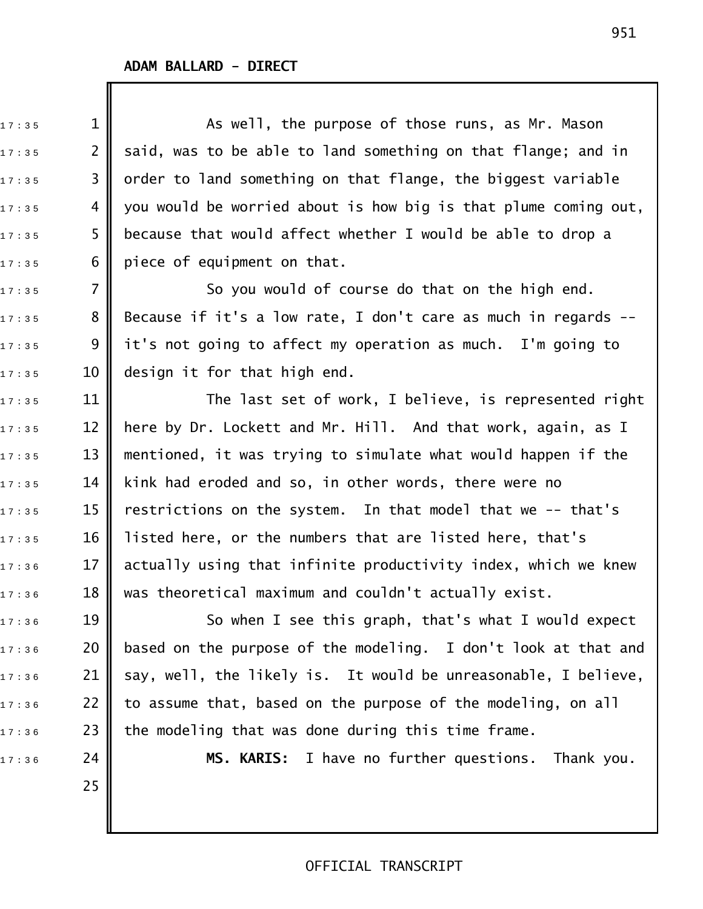25

 $_{1\,7\,\cdot\,3\,5}$  5  $1\parallel$  2 As well, the purpose of those runs, as Mr. Mason  $_{1\,7\,:\,3\,5}$   $\qquad$  2  $\parallel$  said, was to be able to land something on that flange; and in  $17:35$  3  $\parallel$  order to land something on that flange, the biggest variable  $17:35$  4  $\blacksquare$  you would be worried about is how big is that plume coming out,  $_{17:35}$  5  $\parallel$  because that would affect whether I would be able to drop a  $17:35$  6 piece of equipment on that.  $17:35$  7  $\parallel$  50 you would of course do that on the high end.  $_{\text{17}:35}$   $\quad$  8  $\textcolor{red}{\parallel}$  Because if it's a low rate, I don't care as much in regards -- $17:35$  9  $\parallel$  it's not going to affect my operation as much. I'm going to  $17:35$  10 design it for that high end.  $17 : 35$  11  $\parallel$  The last set of work, I believe, is represented right  $_{\text{17}:35}$   $\quad$  12  $\parallel$  here by Dr. Lockett and Mr. Hill. And that work, again, as I  $_{1\,7\,\pm\,3\,5}$   $\qquad$  13  $\parallel$  mentioned, it was trying to simulate what would happen if the  $_{\text{17}:35}$   $\,$   $\,$  14  $\,$  kink had eroded and so, in other words, there were no  $_{17:35}$   $\,$   $\,$  15  $\,$  restrictions on the system. In that model that we -- that's  $17:35$  16 || listed here, or the numbers that are listed here, that's  $_{1\,7\,:\,3\,6}$   $\qquad$  17  $\parallel$  actually using that infinite productivity index, which we knew  $17:36$  18 || was theoretical maximum and couldn't actually exist.  $17:36$  19  $\parallel$  So when I see this graph, that's what I would expect

 $17:36$  20 || based on the purpose of the modeling. I don't look at that and  $_{\text{17:36}}$   $\,$  21  $\,$  say, well, the likely is. It would be unreasonable, I believe,  $_{\text{17}:36}$   $\hspace{0.1cm}$  22  $\parallel$  to assume that, based on the purpose of the modeling, on all  $_{\text{17}:36}$   $\hspace{0.1cm}$  23  $\parallel$  the modeling that was done during this time frame.

1 7 : 3 6 24 **MS. KARIS:** I have no further questions. Thank you.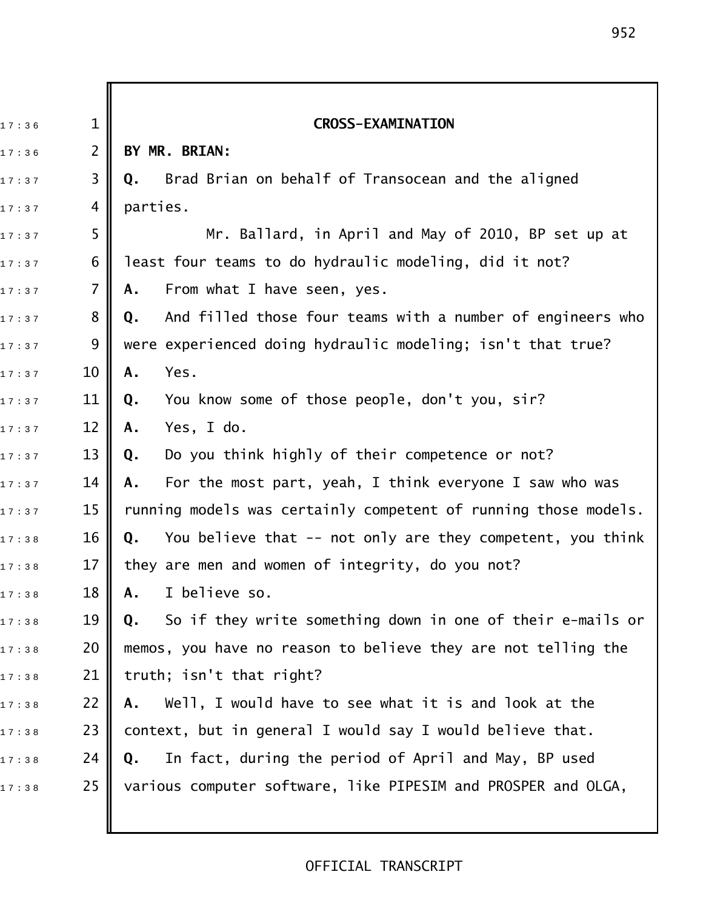1 7 : 3 6 1 **CROSS\$EXAMINATION**  1 7 : 3 6 2 **BY MR. BRIAN:** 1 7 : 3 7 3 **Q.** Brad Brian on behalf of Transocean and the aligned  $17:37$  4 parties.  $_{\text{17}:37}$   $\,$  5  $\,$   $\parallel$   $\,$  Mr. Ballard, in April and May of 2010, BP set up at  $_{1\,7\,\cdot\,:\,3\,7}$  6 || least four teams to do hydraulic modeling, did it not? 17:37 **7 A.** From what I have seen, yes. 1 7 : 3 7 8 **Q.** And filled those four teams with a number of engineers who  $_{1\,7\,\cdot\,:\,3\,7}$   $\qquad \quad$  9  $\parallel$  were experienced doing hydraulic modeling; isn't that true? 17:37 **10 || A.** Yes. 1 7 : 3 7 11 **Q.** You know some of those people, don't you, sir? 1 7 : 3 7 12 **A.** Yes, I do. 1 7 : 3 7 13 **Q.** Do you think highly of their competence or not? 1 7 : 3 7 14 **A.** For the most part, yeah, I think everyone I saw who was  $17:37$  15 || running models was certainly competent of running those models. 17:38 16 **Q.** You believe that -- not only are they competent, you think  $_{1\,7\,\cdot\,3\,8}$   $\qquad$  17  $\parallel$  they are men and women of integrity, do you not? 1 7 : 3 8 18 **A.** I believe so. 17:38 19 **|| Q.** So if they write something down in one of their e-mails or  $17:38$  20  $\parallel$  memos, you have no reason to believe they are not telling the  $_{1\,7\ :\,3\,8}$  21 || truth; isn't that right? 17:38 **22 A.** Well, I would have to see what it is and look at the  $_{\text{17}:38}$   $\hspace{1.38}$  23  $\parallel$  context, but in general I would say I would believe that. 1 7 : 3 8 24 **Q.** In fact, during the period of April and May, BP used 17:38 25 Various computer software, like PIPESIM and PROSPER and OLGA,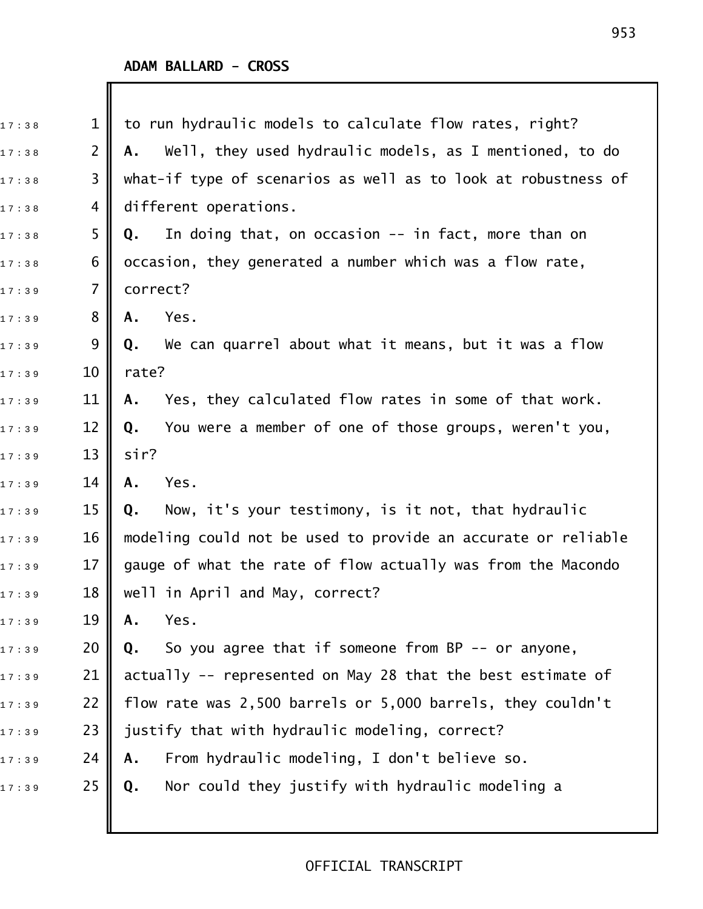| 17:38 | $\mathbf{1}$   | to run hydraulic models to calculate flow rates, right?       |
|-------|----------------|---------------------------------------------------------------|
| 17:38 | $\overline{2}$ | Well, they used hydraulic models, as I mentioned, to do<br>Α. |
| 17:38 | 3              | what-if type of scenarios as well as to look at robustness of |
| 17:38 | 4              | different operations.                                         |
| 17:38 | 5              | In doing that, on occasion -- in fact, more than on<br>Q.     |
| 17:38 | 6              | occasion, they generated a number which was a flow rate,      |
| 17:39 | 7              | correct?                                                      |
| 17:39 | 8              | Yes.<br>A.                                                    |
| 17:39 | 9              | We can quarrel about what it means, but it was a flow<br>Q.   |
| 17:39 | 10             | rate?                                                         |
| 17:39 | 11             | Yes, they calculated flow rates in some of that work.<br>Α.   |
| 17:39 | 12             | You were a member of one of those groups, weren't you,<br>Q.  |
| 17:39 | 13             | sir?                                                          |
| 17:39 | 14             | Yes.<br>A.                                                    |
| 17:39 | 15             | Now, it's your testimony, is it not, that hydraulic<br>Q.     |
| 17:39 | 16             | modeling could not be used to provide an accurate or reliable |
| 17:39 | 17             | gauge of what the rate of flow actually was from the Macondo  |
| 17:39 | 18             | well in April and May, correct?                               |
| 17:39 | 19             | Yes.<br>Α.                                                    |
| 17:39 | 20             | So you agree that if someone from BP -- or anyone,<br>Q.      |
| 17:39 | 21             | actually -- represented on May 28 that the best estimate of   |
| 17:39 | 22             | flow rate was 2,500 barrels or 5,000 barrels, they couldn't   |
| 17:39 | 23             | justify that with hydraulic modeling, correct?                |
| 17:39 | 24             | From hydraulic modeling, I don't believe so.<br>Α.            |
| 17:39 | 25             | Nor could they justify with hydraulic modeling a<br>Q.        |
|       |                |                                                               |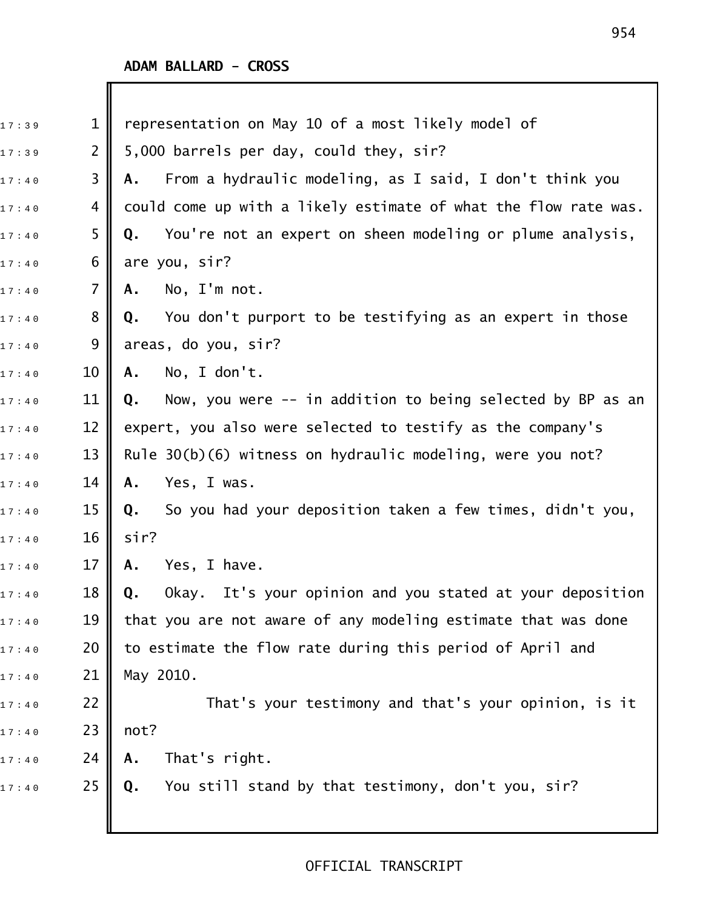| 17:39 | $\mathbf 1$    | representation on May 10 of a most likely model of                          |
|-------|----------------|-----------------------------------------------------------------------------|
| 17:39 | $\overline{2}$ | 5,000 barrels per day, could they, sir?                                     |
| 17:40 | 3              | From a hydraulic modeling, as I said, I don't think you<br>Α.               |
| 17:40 | 4              | could come up with a likely estimate of what the flow rate was.             |
| 17:40 | 5              | You're not an expert on sheen modeling or plume analysis,<br>Q.             |
| 17:40 | 6              | are you, sir?                                                               |
| 17:40 | 7              | No, I'm not.<br>Α.                                                          |
| 17:40 | 8              | You don't purport to be testifying as an expert in those<br>Q.              |
| 17:40 | 9              | areas, do you, sir?                                                         |
| 17:40 | 10             | No, I don't.<br>Α.                                                          |
| 17:40 | 11             | Now, you were -- in addition to being selected by BP as an<br>Q.            |
| 17:40 | 12             | expert, you also were selected to testify as the company's                  |
| 17:40 | 13             | Rule 30(b)(6) witness on hydraulic modeling, were you not?                  |
| 17:40 | 14             | Yes, I was.<br>Α.                                                           |
| 17:40 | 15             | So you had your deposition taken a few times, didn't you,<br>Q.             |
| 17:40 | 16             | sir?                                                                        |
| 17:40 | 17             | Yes, I have.<br>Α.                                                          |
| 17:40 | 18             | Okay. It's your opinion and you stated at your deposition<br>$\mathbf{0}$ . |
| 17:40 | 19             | that you are not aware of any modeling estimate that was done               |
| 17:40 | 20             | to estimate the flow rate during this period of April and                   |
| 17:40 | 21             | May 2010.                                                                   |
| 17:40 | 22             | That's your testimony and that's your opinion, is it                        |
| 17:40 | 23             | not?                                                                        |
| 17:40 | 24             | That's right.<br>Α.                                                         |
| 17:40 | 25             | You still stand by that testimony, don't you, sir?<br>Q.                    |
|       |                |                                                                             |
|       |                |                                                                             |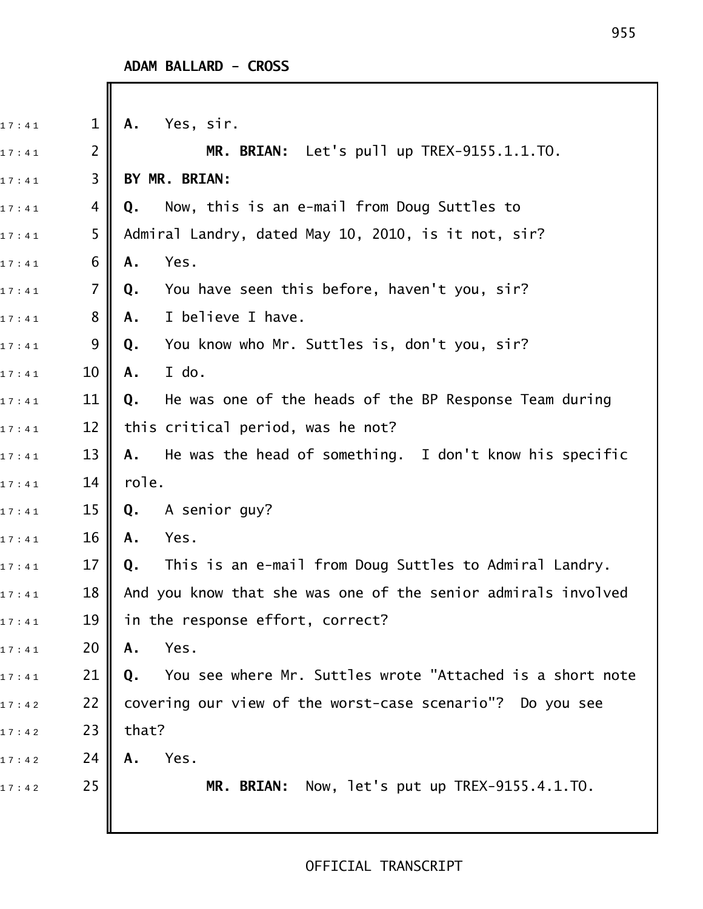| 17:41 | $\mathbf 1$    | Yes, sir.<br>Α.                                                 |
|-------|----------------|-----------------------------------------------------------------|
| 17:41 | $\overline{2}$ | MR. BRIAN: Let's pull up TREX-9155.1.1.TO.                      |
| 17:41 | 3              | BY MR. BRIAN:                                                   |
| 17:41 | 4              | Now, this is an e-mail from Doug Suttles to<br>Q.               |
| 17:41 | 5              | Admiral Landry, dated May 10, 2010, is it not, sir?             |
| 17:41 | 6              | Yes.<br>Α.                                                      |
| 17:41 | $\overline{7}$ | You have seen this before, haven't you, sir?<br>Q.              |
| 17:41 | 8              | I believe I have.<br>Α.                                         |
| 17:41 | 9              | You know who Mr. Suttles is, don't you, sir?<br>Q.              |
| 17:41 | 10             | I do.<br>Α.                                                     |
| 17:41 | 11             | He was one of the heads of the BP Response Team during<br>Q.    |
| 17:41 | 12             | this critical period, was he not?                               |
| 17:41 | 13             | He was the head of something. I don't know his specific<br>Α.   |
| 17:41 | 14             | role.                                                           |
| 17:41 | 15             | A senior guy?<br>Q.                                             |
| 17:41 | 16             | Yes.<br>Α.                                                      |
| 17:41 | 17             | This is an e-mail from Doug Suttles to Admiral Landry.<br>Q.    |
| 17:41 | 18             | And you know that she was one of the senior admirals involved   |
| 17:41 | 19             | in the response effort, correct?                                |
| 17:41 | 20             | Yes.<br>Α.                                                      |
| 17:41 | 21             | You see where Mr. Suttles wrote "Attached is a short note<br>Q. |
| 17:42 | 22             | covering our view of the worst-case scenario"? Do you see       |
| 17:42 | 23             | that?                                                           |
| 17:42 | 24             | Yes.<br>Α.                                                      |
| 17:42 | 25             | Now, let's put up TREX-9155.4.1.TO.<br><b>MR. BRIAN:</b>        |
|       |                |                                                                 |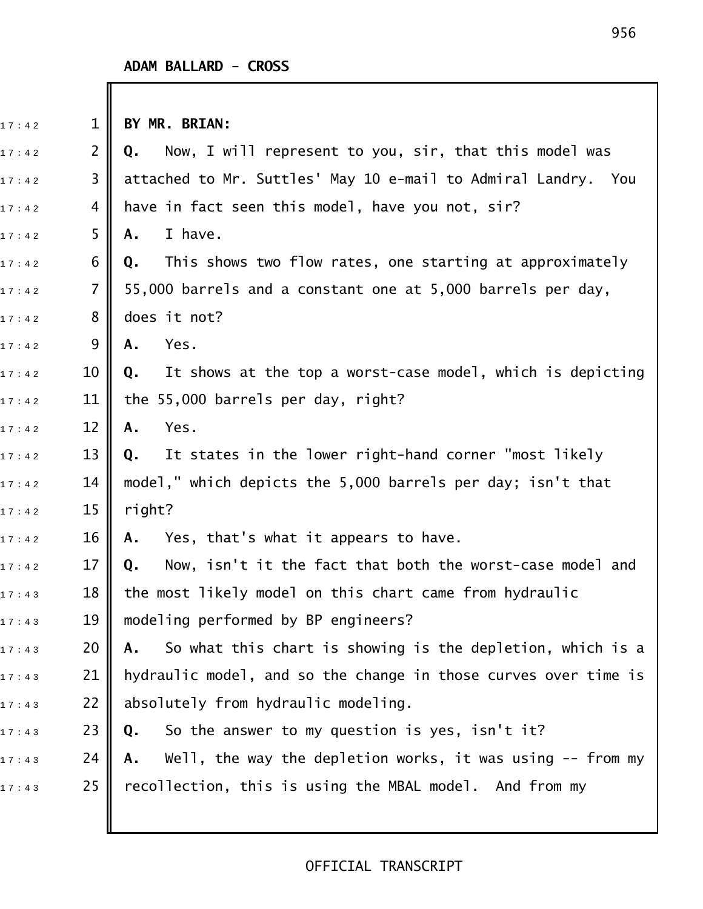### **ADAM BALLARD - CROSS**

| 17:42 | $\mathbf{1}$   | BY MR. BRIAN:                                                        |
|-------|----------------|----------------------------------------------------------------------|
| 17:42 | $\overline{2}$ | Now, I will represent to you, sir, that this model was<br>Q.         |
| 17:42 | 3              | attached to Mr. Suttles' May 10 e-mail to Admiral Landry. You        |
| 17:42 | 4              | have in fact seen this model, have you not, sir?                     |
| 17:42 | 5              | I have.<br>Α.                                                        |
| 17:42 | 6              | Q. This shows two flow rates, one starting at approximately          |
| 17:42 | $\overline{7}$ | 55,000 barrels and a constant one at 5,000 barrels per day,          |
| 17:42 | 8              | does it not?                                                         |
| 17:42 | 9              | Yes.<br>Α.                                                           |
| 17:42 | 10             | It shows at the top a worst-case model, which is depicting<br>Q.     |
| 17:42 | 11             | the 55,000 barrels per day, right?                                   |
| 17:42 | 12             | Yes.<br>Α.                                                           |
| 17:42 | 13             | It states in the lower right-hand corner "most likely<br>$Q_{\star}$ |
| 17:42 | 14             | model," which depicts the 5,000 barrels per day; isn't that          |
| 17:42 | 15             | right?                                                               |
| 17:42 | 16             | Yes, that's what it appears to have.<br>Α.                           |
| 17:42 | 17             | Now, isn't it the fact that both the worst-case model and<br>Q.      |
| 17:43 | 18             | the most likely model on this chart came from hydraulic              |
| 17:43 | 19             | modeling performed by BP engineers?                                  |
| 17:43 | 20             | So what this chart is showing is the depletion, which is a<br>Α.     |
| 17:43 | 21             | hydraulic model, and so the change in those curves over time is      |
| 17:43 | 22             | absolutely from hydraulic modeling.                                  |
| 17:43 | 23             | So the answer to my question is yes, isn't it?<br>Q.                 |
| 17:43 | 24             | Well, the way the depletion works, it was using $-$ from my<br>А.    |
| 17:43 | 25             | recollection, this is using the MBAL model. And from my              |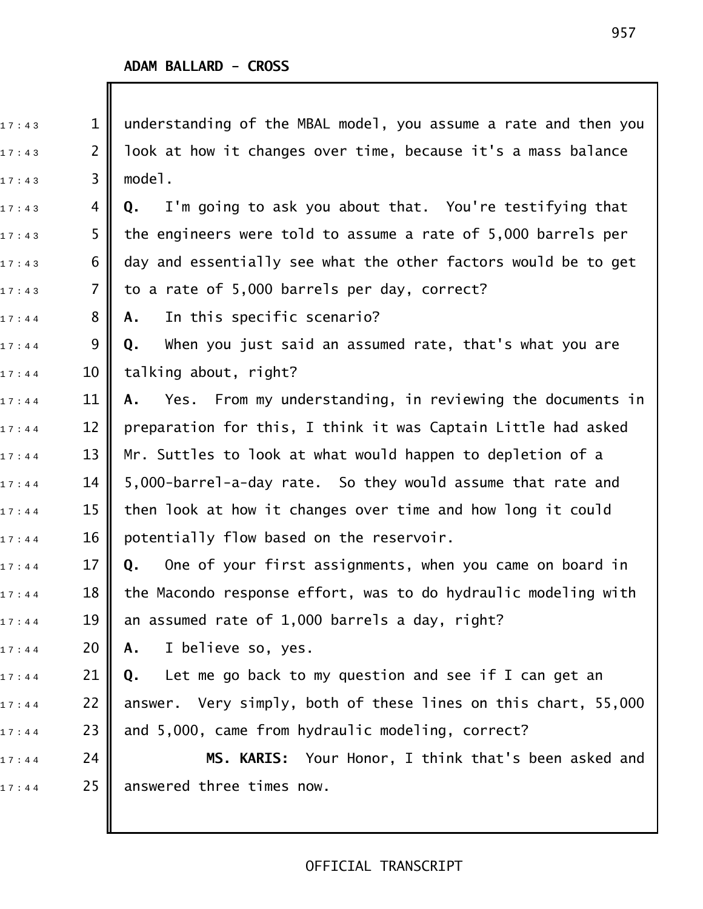| 17:43 | $\mathbf 1$ | understanding of the MBAL model, you assume a rate and then you |
|-------|-------------|-----------------------------------------------------------------|
| 17:43 | 2           | look at how it changes over time, because it's a mass balance   |
| 17:43 | 3           | model.                                                          |
| 17:43 | 4           | I'm going to ask you about that. You're testifying that<br>Q.   |
| 17:43 | 5           | the engineers were told to assume a rate of 5,000 barrels per   |
| 17:43 | 6           | day and essentially see what the other factors would be to get  |
| 17:43 | 7           | to a rate of 5,000 barrels per day, correct?                    |
| 17:44 | 8           | In this specific scenario?<br>Α.                                |
| 17:44 | 9           | When you just said an assumed rate, that's what you are<br>Q.   |
| 17:44 | 10          | talking about, right?                                           |
| 17:44 | 11          | Yes. From my understanding, in reviewing the documents in<br>Α. |
| 17:44 | 12          | preparation for this, I think it was Captain Little had asked   |
| 17:44 | 13          | Mr. Suttles to look at what would happen to depletion of a      |
| 17:44 | 14          | 5,000-barrel-a-day rate. So they would assume that rate and     |
| 17:44 | 15          | then look at how it changes over time and how long it could     |
| 17:44 | 16          | potentially flow based on the reservoir.                        |
| 17:44 | 17          | One of your first assignments, when you came on board in<br>Q.  |
| 17:44 | 18          | the Macondo response effort, was to do hydraulic modeling with  |
| 17:44 | 19          | an assumed rate of 1,000 barrels a day, right?                  |
| 17:44 | 20          | I believe so, yes.<br>A.,                                       |
| 17:44 | 21          | <b>Q.</b> Let me go back to my question and see if I can get an |
| 17:44 | 22          | answer. Very simply, both of these lines on this chart, 55,000  |
| 17:44 | 23          | and 5,000, came from hydraulic modeling, correct?               |
| 17:44 | 24          | MS. KARIS: Your Honor, I think that's been asked and            |
| 17:44 | 25          | answered three times now.                                       |
|       |             |                                                                 |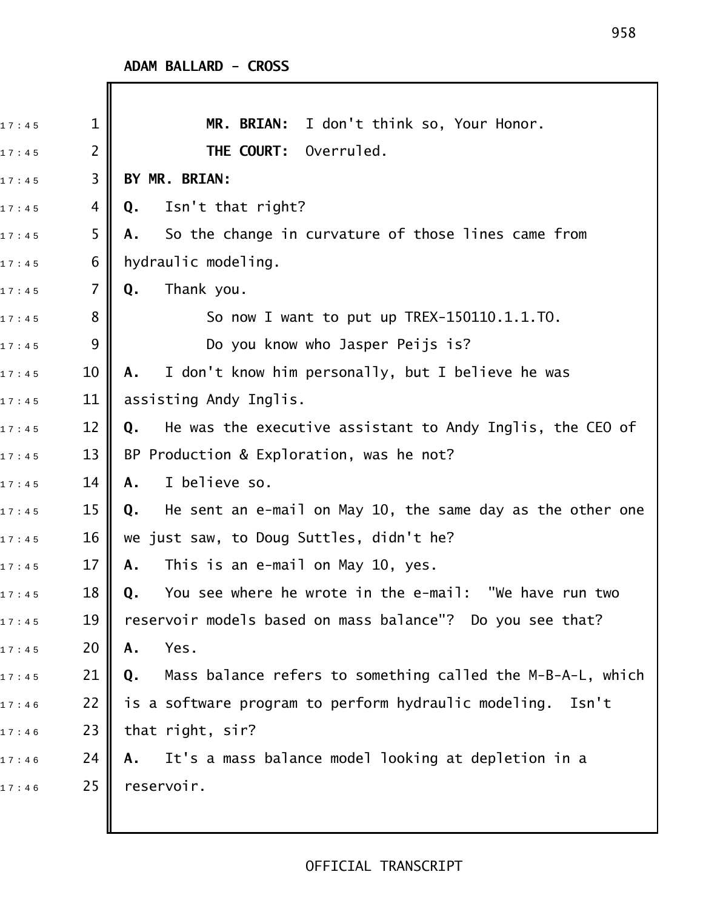| 17:45 | $\mathbf 1$    | MR. BRIAN: I don't think so, Your Honor.                         |
|-------|----------------|------------------------------------------------------------------|
| 17:45 | $\overline{2}$ | THE COURT: Overruled.                                            |
| 17:45 | 3              | BY MR. BRIAN:                                                    |
| 17:45 | 4              | Isn't that right?<br>Q.                                          |
| 17:45 | 5              | So the change in curvature of those lines came from<br>Α.        |
| 17:45 | 6              | hydraulic modeling.                                              |
| 17:45 | 7              | Thank you.<br>Q.                                                 |
| 17:45 | 8              | So now I want to put up TREX-150110.1.1.TO.                      |
| 17:45 | 9              | Do you know who Jasper Peijs is?                                 |
| 17:45 | 10             | I don't know him personally, but I believe he was<br>Α.          |
| 17:45 | 11             | assisting Andy Inglis.                                           |
| 17:45 | 12             | He was the executive assistant to Andy Inglis, the CEO of<br>Q.  |
| 17:45 | 13             | BP Production & Exploration, was he not?                         |
| 17:45 | 14             | I believe so.<br>Α.                                              |
| 17:45 | 15             | He sent an e-mail on May 10, the same day as the other one<br>Q. |
| 17:45 | 16             | we just saw, to Doug Suttles, didn't he?                         |
| 17:45 | 17             | This is an e-mail on May 10, yes.<br>Α.                          |
| 17:45 | 18             | You see where he wrote in the e-mail: "We have run two<br>Q.     |
| 17:45 | 19             | reservoir models based on mass balance"? Do you see that?        |
| 17:45 | 20             | Yes.<br>Α.                                                       |
| 17:45 | 21             | Mass balance refers to something called the M-B-A-L, which<br>Q. |
| 17:46 | 22             | is a software program to perform hydraulic modeling.<br>Isn't    |
| 17:46 | 23             | that right, sir?                                                 |
| 17:46 | 24             | It's a mass balance model looking at depletion in a<br>Α.        |
| 17:46 | 25             | reservoir.                                                       |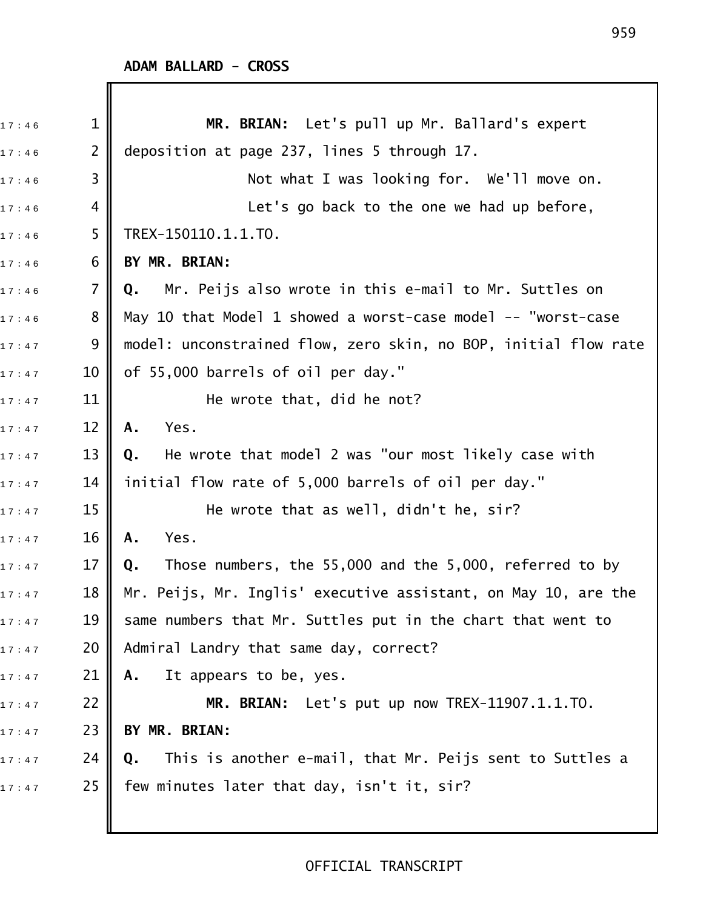| 17:46 | $\mathbf 1$    | MR. BRIAN: Let's pull up Mr. Ballard's expert                   |
|-------|----------------|-----------------------------------------------------------------|
| 17:46 | $\overline{2}$ | deposition at page 237, lines 5 through 17.                     |
| 17:46 | 3              | Not what I was looking for. We'll move on.                      |
| 17:46 | 4              | Let's go back to the one we had up before,                      |
| 17:46 | 5              | TREX-150110.1.1.TO.                                             |
| 17:46 | 6              | BY MR. BRIAN:                                                   |
| 17:46 | 7              | Mr. Peijs also wrote in this e-mail to Mr. Suttles on<br>Q.     |
| 17:46 | 8              | May 10 that Model 1 showed a worst-case model -- "worst-case    |
| 17:47 | 9              | model: unconstrained flow, zero skin, no BOP, initial flow rate |
| 17:47 | 10             | of 55,000 barrels of oil per day."                              |
| 17:47 | 11             | He wrote that, did he not?                                      |
| 17:47 | 12             | Yes.<br>Α.                                                      |
| 17:47 | 13             | He wrote that model 2 was "our most likely case with<br>Q.      |
| 17:47 | 14             | initial flow rate of 5,000 barrels of oil per day."             |
| 17:47 | 15             | He wrote that as well, didn't he, sir?                          |
| 17:47 | 16             | Yes.<br>A.                                                      |
| 17:47 | 17             | Those numbers, the 55,000 and the 5,000, referred to by<br>Q.   |
| 17:47 | 18             | Mr. Peijs, Mr. Inglis' executive assistant, on May 10, are the  |
| 17:47 | 19             | same numbers that Mr. Suttles put in the chart that went to     |
| 17:47 | 20             | Admiral Landry that same day, correct?                          |
| 17:47 | 21             | It appears to be, yes.<br>Α.                                    |
| 17:47 | 22             | MR. BRIAN: Let's put up now TREX-11907.1.1.TO.                  |
| 17:47 | 23             | BY MR. BRIAN:                                                   |
| 17:47 | 24             | This is another e-mail, that Mr. Peijs sent to Suttles a<br>Q.  |
| 17:47 | 25             | few minutes later that day, isn't it, sir?                      |
|       |                |                                                                 |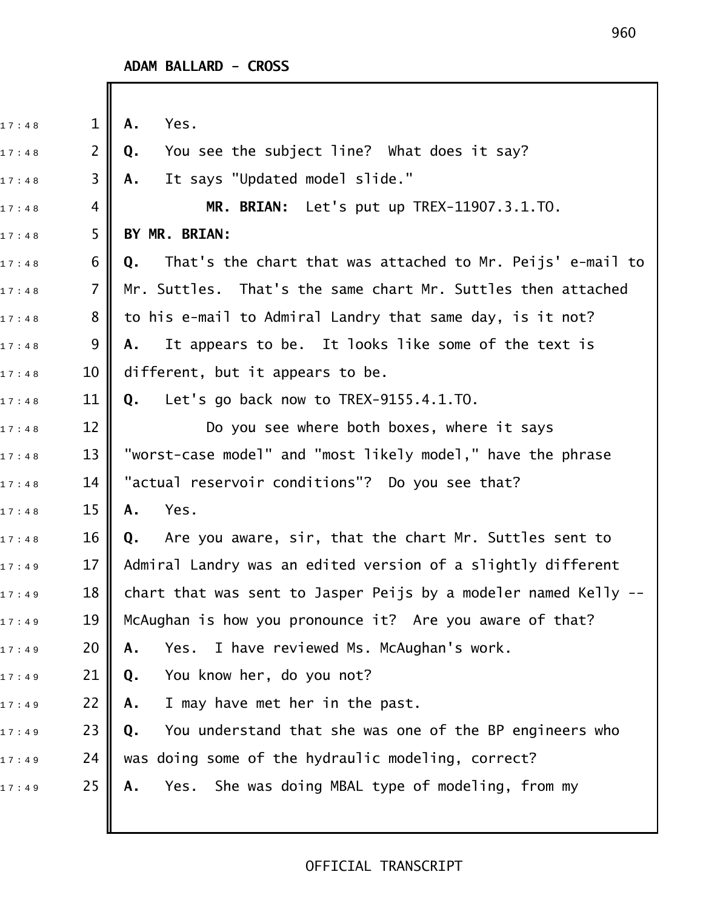| 17:48 | $\mathbf{1}$   | Yes.<br>Α.                                                       |
|-------|----------------|------------------------------------------------------------------|
| 17:48 | $\overline{2}$ | You see the subject line? What does it say?<br>Q.                |
| 17:48 | 3              | It says "Updated model slide."<br>Α.                             |
| 17:48 | 4              | MR. BRIAN: Let's put up TREX-11907.3.1.TO.                       |
| 17:48 | 5              | BY MR. BRIAN:                                                    |
| 17:48 | 6              | That's the chart that was attached to Mr. Peijs' e-mail to<br>Q. |
| 17:48 | $\overline{7}$ | Mr. Suttles. That's the same chart Mr. Suttles then attached     |
| 17:48 | 8              | to his e-mail to Admiral Landry that same day, is it not?        |
| 17:48 | 9              | It appears to be. It looks like some of the text is<br>Α.        |
| 17:48 | 10             | different, but it appears to be.                                 |
| 17:48 | 11             | Let's go back now to TREX-9155.4.1.TO.<br>Q.                     |
| 17:48 | 12             | Do you see where both boxes, where it says                       |
| 17:48 | 13             | "worst-case model" and "most likely model," have the phrase      |
| 17:48 | 14             | "actual reservoir conditions"? Do you see that?                  |
| 17:48 | 15             | Yes.<br>Α.                                                       |
| 17:48 | 16             | Are you aware, sir, that the chart Mr. Suttles sent to<br>Q.     |
| 17:49 | 17             | Admiral Landry was an edited version of a slightly different     |
| 17:49 | 18             | chart that was sent to Jasper Peijs by a modeler named Kelly --  |
| 17:49 | 19             | McAughan is how you pronounce it? Are you aware of that?         |
| 17:49 | 20             | Yes. I have reviewed Ms. McAughan's work.<br>Α.                  |
| 17:49 | 21             | You know her, do you not?<br>Q.                                  |
| 17:49 | 22             | I may have met her in the past.<br>Α.                            |
| 17:49 | 23             | You understand that she was one of the BP engineers who<br>Q.    |
| 17:49 | 24             | was doing some of the hydraulic modeling, correct?               |
| 17:49 | 25             | Yes. She was doing MBAL type of modeling, from my<br>Α.          |
|       |                |                                                                  |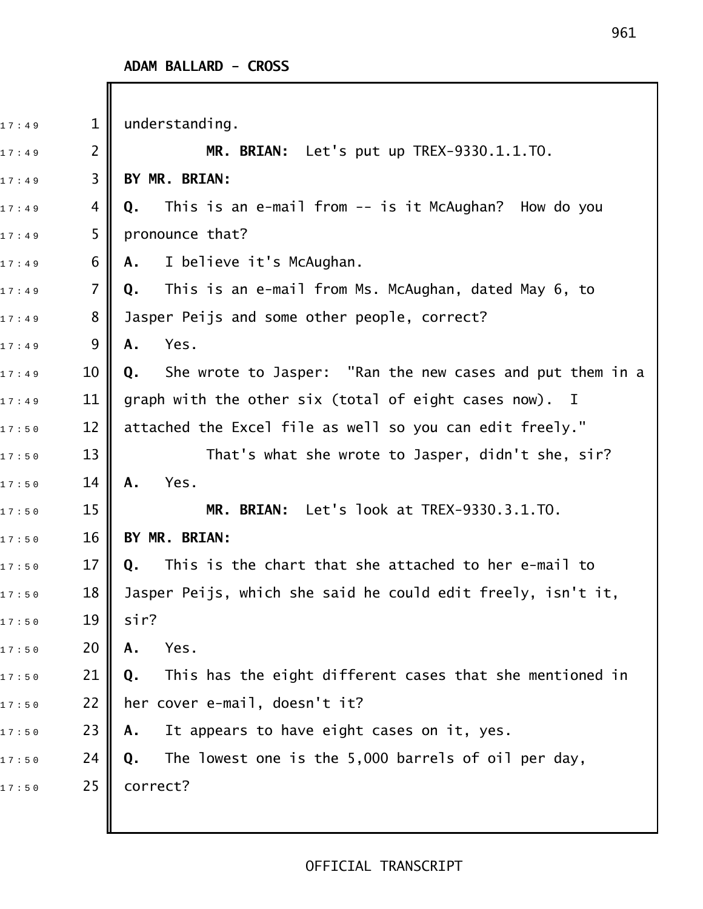Ш

| 17:49 | $\mathbf 1$    | understanding.                                                  |
|-------|----------------|-----------------------------------------------------------------|
| 17:49 | $\overline{2}$ | MR. BRIAN: Let's put up TREX-9330.1.1.TO.                       |
| 17:49 | 3              | BY MR. BRIAN:                                                   |
| 17:49 | 4              | This is an e-mail from -- is it McAughan? How do you<br>Q.      |
| 17:49 | 5              | pronounce that?                                                 |
| 17:49 | 6              | I believe it's McAughan.<br>А.                                  |
| 17:49 | $\overline{7}$ | This is an e-mail from Ms. McAughan, dated May 6, to<br>Q.      |
| 17:49 | 8              | Jasper Peijs and some other people, correct?                    |
| 17:49 | 9              | Yes.<br>Α.                                                      |
| 17:49 | 10             | She wrote to Jasper: "Ran the new cases and put them in a<br>Q. |
| 17:49 | 11             | graph with the other six (total of eight cases now). I          |
| 17:50 | 12             | attached the Excel file as well so you can edit freely."        |
| 17:50 | 13             | That's what she wrote to Jasper, didn't she, sir?               |
| 17:50 | 14             | Yes.<br>A.                                                      |
| 17:50 | 15             | MR. BRIAN: Let's look at TREX-9330.3.1.TO.                      |
| 17:50 | 16             | BY MR. BRIAN:                                                   |
| 17:50 | 17             | This is the chart that she attached to her e-mail to<br>Q.      |
| 17:50 | 18             | Jasper Peijs, which she said he could edit freely, isn't it,    |
| 17:50 | 19             | sir?                                                            |
| 17:50 | 20             | Yes.<br>Α.                                                      |
| 17:50 | 21             | This has the eight different cases that she mentioned in<br>Q.  |
| 17:50 | 22             | her cover e-mail, doesn't it?                                   |
| 17:50 | 23             | It appears to have eight cases on it, yes.<br>Α.                |
| 17:50 | 24             | The lowest one is the 5,000 barrels of oil per day,<br>Q.       |
| 17:50 | 25             | correct?                                                        |
|       |                |                                                                 |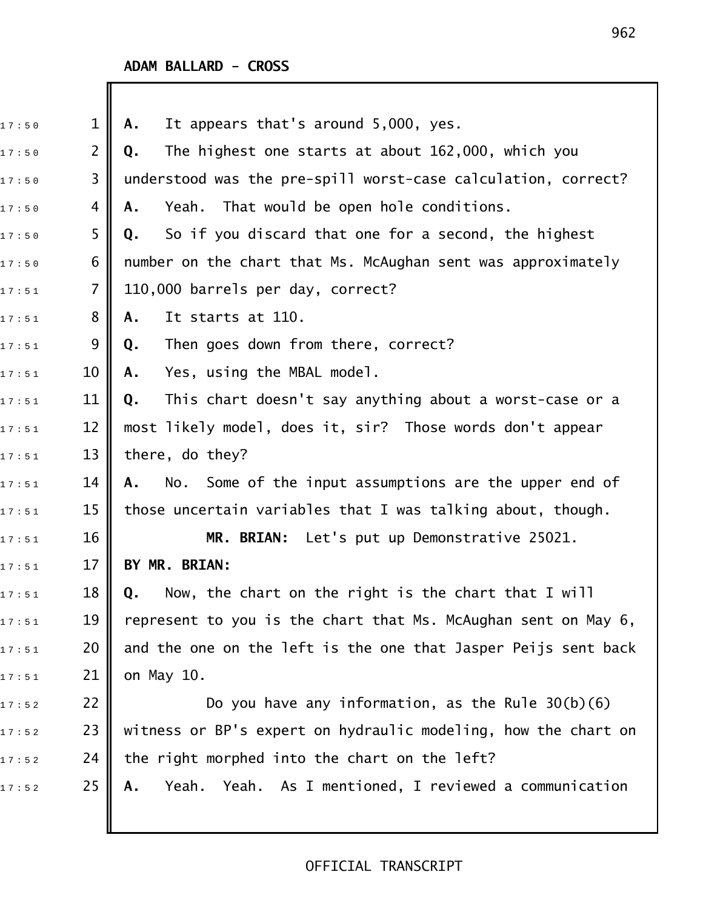# **ADAM BALLARD - CROSS**

Ш

| 17:50 | $\mathbf 1$    | It appears that's around 5,000, yes.<br>Α.                     |
|-------|----------------|----------------------------------------------------------------|
| 17:50 | $\overline{2}$ | The highest one starts at about 162,000, which you<br>Q.       |
| 17:50 | 3              | understood was the pre-spill worst-case calculation, correct?  |
| 17:50 | 4              | Yeah. That would be open hole conditions.<br>Α.                |
| 17:50 | 5              | So if you discard that one for a second, the highest<br>Q.     |
| 17:50 | 6              | number on the chart that Ms. McAughan sent was approximately   |
| 17:51 | 7              | 110,000 barrels per day, correct?                              |
| 17:51 | 8              | It starts at 110.<br>Α.                                        |
| 17:51 | 9              | Then goes down from there, correct?<br>Q.                      |
| 17:51 | 10             | Yes, using the MBAL model.<br>Α.                               |
| 17:51 | 11             | This chart doesn't say anything about a worst-case or a<br>Q.  |
| 17:51 | 12             | most likely model, does it, sir? Those words don't appear      |
| 17:51 | 13             | there, do they?                                                |
| 17:51 | 14             | No. Some of the input assumptions are the upper end of<br>Α.   |
| 17:51 | 15             | those uncertain variables that I was talking about, though.    |
| 17:51 | 16             | MR. BRIAN: Let's put up Demonstrative 25021.                   |
| 17:51 | 17             | BY MR. BRIAN:                                                  |
| 17:51 | 18             | Now, the chart on the right is the chart that I will<br>Q.     |
| 17:51 | 19             | represent to you is the chart that Ms. McAughan sent on May 6, |
| 17:51 | 20             | and the one on the left is the one that Jasper Peijs sent back |
| 17:51 | 21             | on May 10.                                                     |
| 17:52 | 22             | Do you have any information, as the Rule $30(b)(6)$            |
| 17:52 | 23             | witness or BP's expert on hydraulic modeling, how the chart on |
| 17:52 | 24             | the right morphed into the chart on the left?                  |
| 17:52 | 25             | Yeah. Yeah. As I mentioned, I reviewed a communication<br>Α.   |
|       |                |                                                                |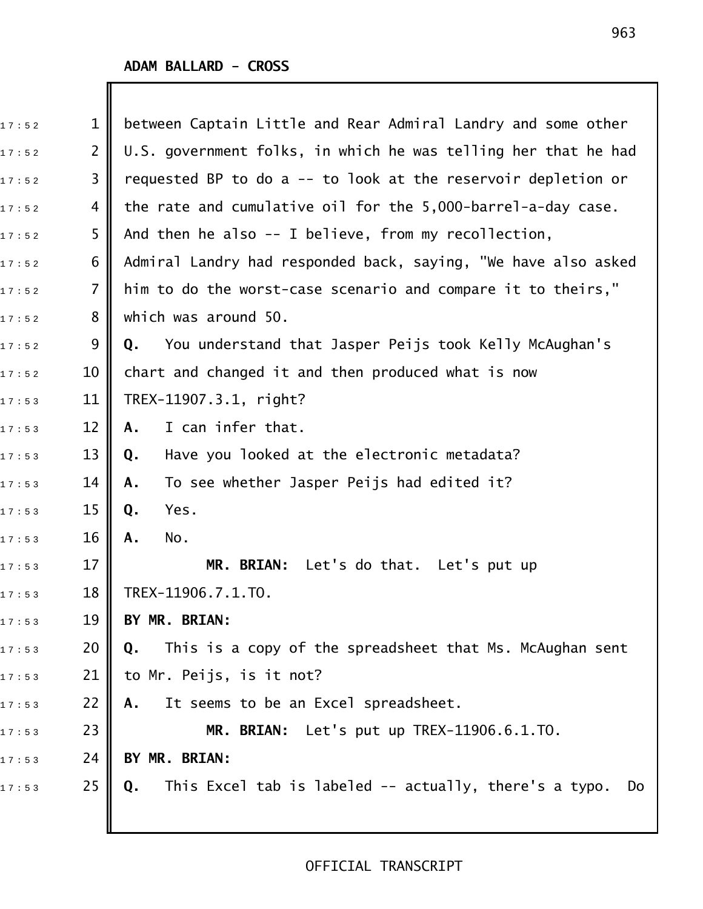| 17:52 | $\mathbf{1}$   | between Captain Little and Rear Admiral Landry and some other      |
|-------|----------------|--------------------------------------------------------------------|
| 17:52 | $\overline{2}$ | U.S. government folks, in which he was telling her that he had     |
| 17:52 | 3              | requested BP to do a -- to look at the reservoir depletion or      |
| 17:52 | 4              | the rate and cumulative oil for the 5,000-barrel-a-day case.       |
| 17:52 | 5              | And then he also $-$ I believe, from my recollection,              |
| 17:52 | 6              | Admiral Landry had responded back, saying, "We have also asked     |
| 17:52 | $\overline{7}$ | him to do the worst-case scenario and compare it to theirs,"       |
| 17:52 | 8              | which was around 50.                                               |
| 17:52 | 9              | You understand that Jasper Peijs took Kelly McAughan's<br>Q.       |
| 17:52 | 10             | chart and changed it and then produced what is now                 |
| 17:53 | 11             | TREX-11907.3.1, right?                                             |
| 17:53 | 12             | I can infer that.<br>A.                                            |
| 17:53 | 13             | Have you looked at the electronic metadata?<br>Q.                  |
| 17:53 | 14             | To see whether Jasper Peijs had edited it?<br>Α.                   |
| 17:53 | 15             | Yes.<br>Q.                                                         |
| 17:53 | 16             | No.<br>Α.                                                          |
| 17:53 | 17             | MR. BRIAN: Let's do that. Let's put up                             |
| 17:53 | 18             | TREX-11906.7.1.TO.                                                 |
| 17:53 | 19             | BY MR. BRIAN:                                                      |
| 17:53 | 20             | This is a copy of the spreadsheet that Ms. McAughan sent<br>Q.     |
| 17:53 | 21             | to Mr. Peijs, is it not?                                           |
| 17:53 | 22             | It seems to be an Excel spreadsheet.<br>Α.                         |
| 17:53 | 23             | MR. BRIAN: Let's put up TREX-11906.6.1.TO.                         |
| 17:53 | 24             | BY MR. BRIAN:                                                      |
| 17:53 | 25             | This Excel tab is labeled -- actually, there's a typo.<br>Do<br>Q. |
|       |                |                                                                    |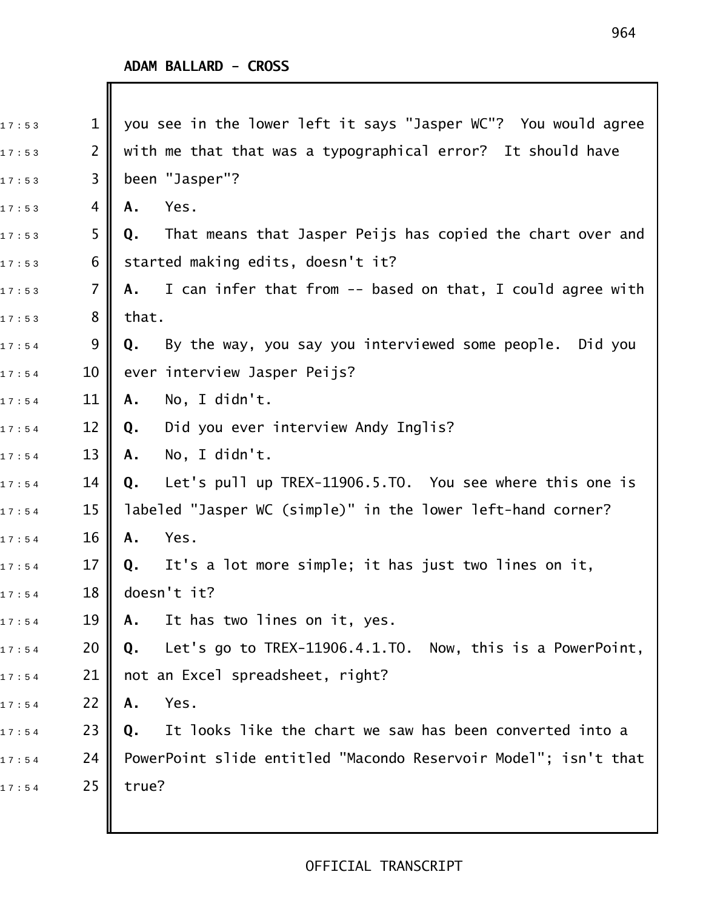| 17:53 | $\mathbf 1$         | you see in the lower left it says "Jasper WC"? You would agree   |
|-------|---------------------|------------------------------------------------------------------|
| 17:53 | 2                   | with me that that was a typographical error? It should have      |
| 17:53 | 3                   | been "Jasper"?                                                   |
| 17:53 | 4                   | Yes.<br>Α.                                                       |
| 17:53 | 5                   | That means that Jasper Peijs has copied the chart over and<br>Q. |
| 17:53 | 6                   | started making edits, doesn't it?                                |
| 17:53 | 7                   | A. I can infer that from -- based on that, I could agree with    |
| 17:53 | 8                   | that.                                                            |
| 17:54 | 9                   | By the way, you say you interviewed some people. Did you<br>Q.   |
| 17:54 | 10 <sup>°</sup>     | ever interview Jasper Peijs?                                     |
| 17:54 | 11                  | No, I didn't.<br>Α.                                              |
| 17:54 | $12 \overline{ }$   | Did you ever interview Andy Inglis?<br>Q.                        |
| 17:54 | 13                  | No, I didn't.<br>А.                                              |
| 17:54 | 14                  | Let's pull up TREX-11906.5.TO. You see where this one is<br>Q.   |
| 17:54 | 15                  | labeled "Jasper WC (simple)" in the lower left-hand corner?      |
| 17:54 | 16                  | Yes.<br>Α.                                                       |
| 17:54 | 17                  | Q. It's a lot more simple; it has just two lines on it,          |
| 17:54 | $18$ $\blacksquare$ | doesn't it?                                                      |
| 17:54 | 19                  | It has two lines on it, yes.<br>Α.                               |
| 17:54 | 20                  | Let's go to TREX-11906.4.1.TO. Now, this is a PowerPoint,<br>Q.  |
| 17:54 | 21                  | not an Excel spreadsheet, right?                                 |
| 17:54 | 22                  | Yes.<br>Α.                                                       |
| 17:54 | 23                  | It looks like the chart we saw has been converted into a<br>Q.   |
| 17:54 | 24                  | PowerPoint slide entitled "Macondo Reservoir Model"; isn't that  |
| 17:54 | 25                  | true?                                                            |
|       |                     |                                                                  |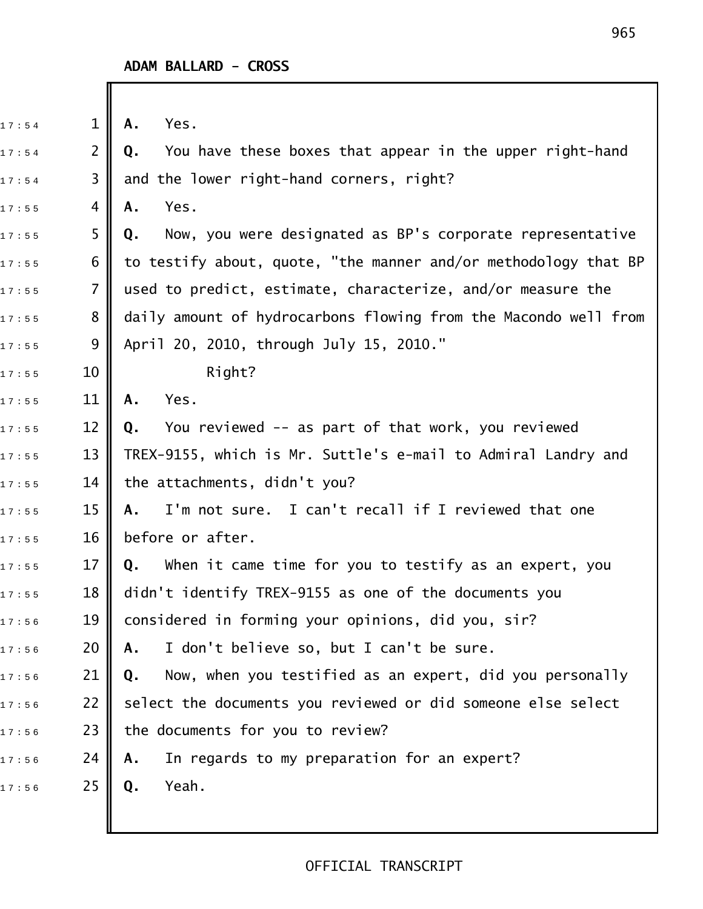| 17:54 | $\mathbf 1$    | Yes.<br>Α.                                                      |
|-------|----------------|-----------------------------------------------------------------|
| 17:54 | $\overline{2}$ | You have these boxes that appear in the upper right-hand<br>Q.  |
| 17:54 | 3              | and the lower right-hand corners, right?                        |
| 17:55 | 4              | Yes.<br>Α.                                                      |
| 17:55 | 5              | Now, you were designated as BP's corporate representative<br>Q. |
| 17:55 | 6              | to testify about, quote, "the manner and/or methodology that BP |
| 17:55 | $\overline{7}$ | used to predict, estimate, characterize, and/or measure the     |
| 17:55 | 8              | daily amount of hydrocarbons flowing from the Macondo well from |
| 17:55 | 9              | April 20, 2010, through July 15, 2010."                         |
| 17:55 | 10             | Right?                                                          |
| 17:55 | 11             | Yes.<br>Α.                                                      |
| 17:55 | 12             | You reviewed -- as part of that work, you reviewed<br>Q.        |
| 17:55 | 13             | TREX-9155, which is Mr. Suttle's e-mail to Admiral Landry and   |
| 17:55 | 14             | the attachments, didn't you?                                    |
| 17:55 | 15             | I'm not sure. I can't recall if I reviewed that one<br>А.       |
| 17:55 | 16             | before or after.                                                |
| 17:55 | 17             | When it came time for you to testify as an expert, you<br>Q.    |
| 17:55 | 18             | didn't identify TREX-9155 as one of the documents you           |
| 17:56 | 19             | considered in forming your opinions, did you, sir?              |
| 17:56 | 20             | I don't believe so, but I can't be sure.<br>Α.                  |
| 17:56 | 21             | Now, when you testified as an expert, did you personally<br>Q.  |
| 17:56 | 22             | select the documents you reviewed or did someone else select    |
| 17:56 | 23             | the documents for you to review?                                |
| 17:56 | 24             | In regards to my preparation for an expert?<br>Α.               |
| 17:56 | 25             | Yeah.<br>Q.                                                     |
|       |                |                                                                 |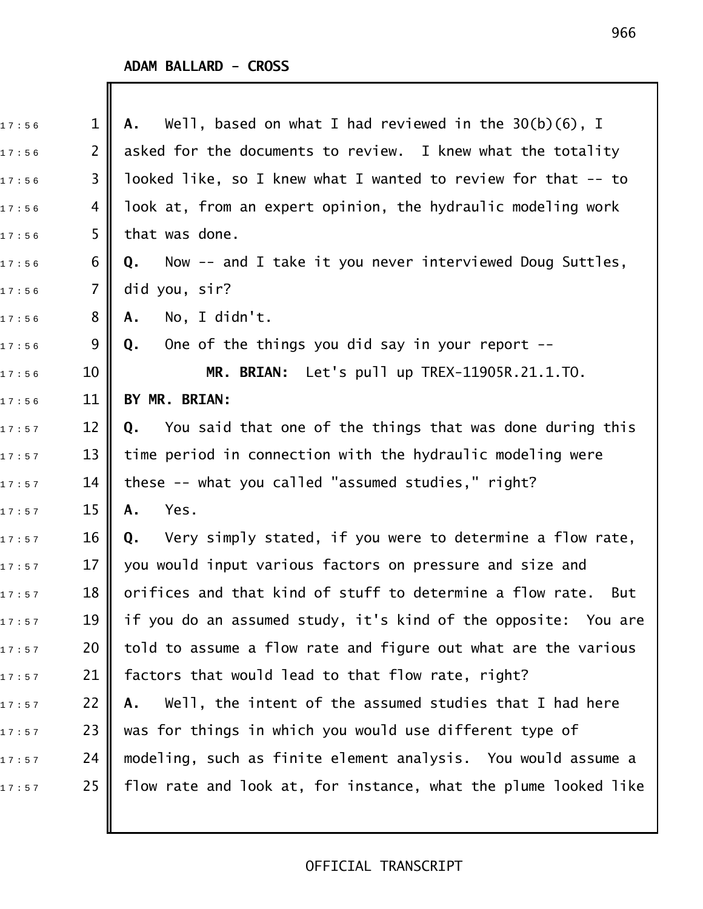| 17:56 | $\mathbf{1}$   | Well, based on what I had reviewed in the $30(b)(6)$ , I<br>А.   |
|-------|----------------|------------------------------------------------------------------|
| 17:56 | $\overline{2}$ | asked for the documents to review. I knew what the totality      |
| 17:56 | 3              | looked like, so I knew what I wanted to review for that -- to    |
| 17:56 | 4              | look at, from an expert opinion, the hydraulic modeling work     |
| 17:56 | 5              | that was done.                                                   |
| 17:56 | 6              | Now -- and I take it you never interviewed Doug Suttles,<br>Q.   |
| 17:56 | $\overline{7}$ | did you, sir?                                                    |
| 17:56 | 8              | No, I didn't.<br>Α.                                              |
| 17:56 | 9              | One of the things you did say in your report --<br>Q.            |
| 17:56 | 10             | MR. BRIAN: Let's pull up TREX-11905R.21.1.TO.                    |
| 17:56 | 11             | BY MR. BRIAN:                                                    |
| 17:57 | 12             | You said that one of the things that was done during this<br>Q.  |
| 17:57 | 13             | time period in connection with the hydraulic modeling were       |
| 17:57 | 14             | these -- what you called "assumed studies," right?               |
| 17:57 | 15             | Yes.<br>Α.                                                       |
| 17:57 | 16             | Very simply stated, if you were to determine a flow rate,<br>Q.  |
| 17:57 | 17             | you would input various factors on pressure and size and         |
| 17:57 | 18             | orifices and that kind of stuff to determine a flow rate.<br>But |
| 17:57 | 19             | if you do an assumed study, it's kind of the opposite: You are   |
| 17:57 | 20             | told to assume a flow rate and figure out what are the various   |
| 17:57 | 21             | factors that would lead to that flow rate, right?                |
| 17:57 | 22             | Well, the intent of the assumed studies that I had here<br>Α.    |
| 17:57 | 23             | was for things in which you would use different type of          |
| 17:57 | 24             | modeling, such as finite element analysis. You would assume a    |
| 17:57 | 25             | flow rate and look at, for instance, what the plume looked like  |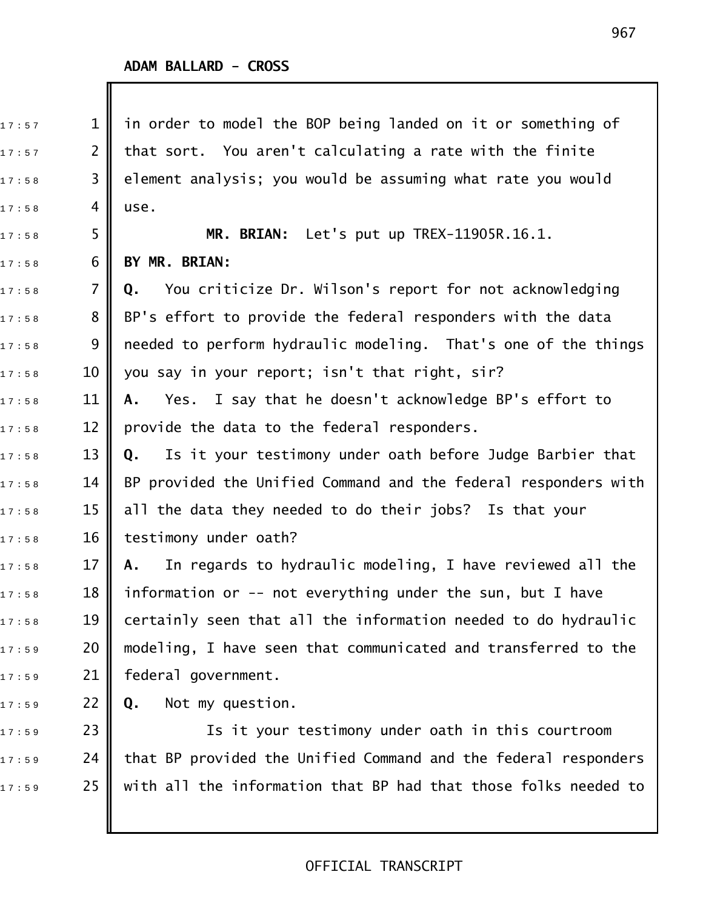| 17:57 | $\mathbf{1}$   | in order to model the BOP being landed on it or something of    |
|-------|----------------|-----------------------------------------------------------------|
| 17:57 | $\overline{2}$ | that sort. You aren't calculating a rate with the finite        |
| 17:58 | 3              | element analysis; you would be assuming what rate you would     |
| 17:58 | 4              | use.                                                            |
| 17:58 | 5              | MR. BRIAN: Let's put up TREX-11905R.16.1.                       |
| 17:58 | 6              | BY MR. BRIAN:                                                   |
| 17:58 | $\overline{7}$ | You criticize Dr. Wilson's report for not acknowledging<br>Q.   |
| 17:58 | 8              | BP's effort to provide the federal responders with the data     |
| 17:58 | 9              | needed to perform hydraulic modeling. That's one of the things  |
| 17:58 | 10             | you say in your report; isn't that right, sir?                  |
| 17:58 | 11             | Yes. I say that he doesn't acknowledge BP's effort to<br>Α.     |
| 17:58 | 12             | provide the data to the federal responders.                     |
| 17:58 | 13             | Is it your testimony under oath before Judge Barbier that<br>Q. |
| 17:58 | 14             | BP provided the Unified Command and the federal responders with |
| 17:58 | 15             | all the data they needed to do their jobs? Is that your         |
| 17:58 | 16             | testimony under oath?                                           |
| 17:58 | 17             | In regards to hydraulic modeling, I have reviewed all the<br>Α. |
| 17:58 | 18             | information or -- not everything under the sun, but I have      |
| 17:58 | 19             | certainly seen that all the information needed to do hydraulic  |
| 17:59 | 20             | modeling, I have seen that communicated and transferred to the  |
| 17:59 | 21             | federal government.                                             |
| 17:59 | 22             | Not my question.<br>Q.                                          |
| 17:59 | 23             | Is it your testimony under oath in this courtroom               |
| 17:59 | 24             | that BP provided the Unified Command and the federal responders |
| 17:59 | 25             | with all the information that BP had that those folks needed to |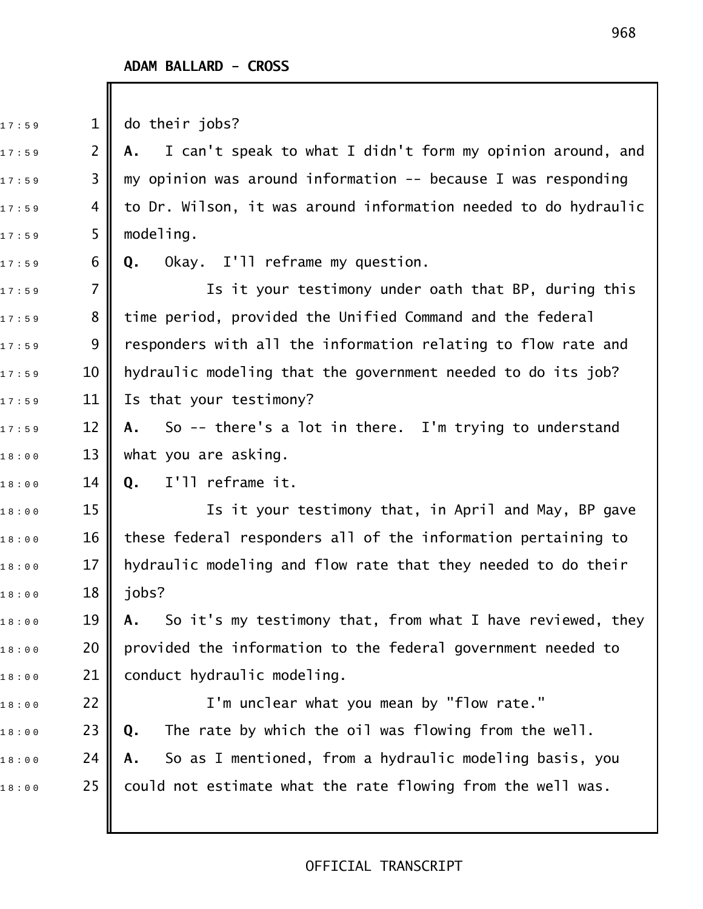$17:59$  1 do their jobs?

1 7 : 5 9 2 **A.** I can't speak to what I didn't form my opinion around, and  $_1$ 7:59  $\,$  3  $\,$  my opinion was around information -- because I was responding  $17:59$  4 || to Dr. Wilson, it was around information needed to do hydraulic  $17:59$  5 || modeling.

1 7 : 5 9 6 **Q.** Okay. I'll reframe my question.

17:59  $\blacksquare$  7  $\blacksquare$  . Is it your testimony under oath that BP, during this  $_{1\,7\,:\,5\,9}$   $\qquad \quad 8$   $\parallel$  time period, provided the Unified Command and the federal  $17:59$  9 || responders with all the information relating to flow rate and 17:59 10 || hydraulic modeling that the government needed to do its job? 17:59 11 Is that your testimony?

17:59 12 **|| A.** So -- there's a lot in there. I'm trying to understand  $18:00$  13 what you are asking.

1 8 : 0 0 14 **Q.** I'll reframe it.

 $_{\text{1}\,8\,:\,0\,0}$   $\qquad \qquad$  15  $\parallel$   $\qquad \qquad$  Is it your testimony that, in April and May, BP gave  $18:00$   $\qquad$   $\qquad$   $\qquad$   $\qquad$   $\qquad$   $\qquad$   $\qquad$   $\qquad$   $\qquad$   $\qquad$   $\qquad$   $\qquad$   $\qquad$   $\qquad$   $\qquad$   $\qquad$   $\qquad$   $\qquad$   $\qquad$   $\qquad$   $\qquad$   $\qquad$   $\qquad$   $\qquad$   $\qquad$   $\qquad$   $\qquad$   $\qquad$   $\qquad$   $\qquad$   $\qquad$   $\qquad$   $\qquad$   $\qquad$   $\qquad$   $\q$  $_{1\,8\,:\,0\,0}$   $\qquad$  17  $\parallel$  hydraulic modeling and flow rate that they needed to do their  $18 : 00$  18 jobs?

1 8 : 0 0 19 **A.** So it's my testimony that, from what I have reviewed, they  $_{1\,8\,:\,0\,0}$   $\qquad$  20  $\parallel$  provided the information to the federal government needed to  $18:00$  21 conduct hydraulic modeling.

 $_{\text{1}\,8\,:\,\text{0}\,0}$   $\qquad \qquad$  22  $\blacksquare$   $\qquad$   $\qquad$   $\qquad$  I'm unclear what you mean by "flow rate." 1 8 : 0 0 23 **Q.** The rate by which the oil was flowing from the well. 1 8 : 0 0 24 **A.** So as I mentioned, from a hydraulic modeling basis, you  $18:00$  25  $\,$  could not estimate what the rate flowing from the well was.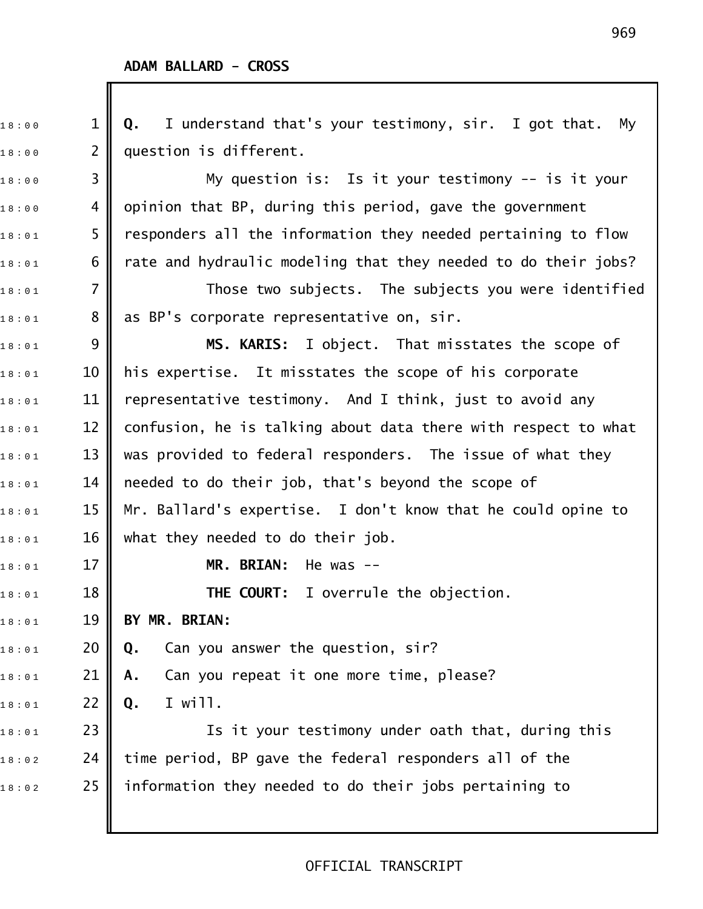1 8 : 0 0 1 **Q.** I understand that's your testimony, sir. I got that. My  $18:00$  2 || question is different.  $_{\rm 1\,8\pm0\,0}$   $\qquad \qquad$  3  $\qquad \qquad$  My question is: Is it your testimony -- is it your 18:00  $\,$  4  $\,$  opinion that BP, during this period, gave the government  $_{1\,8\,:\,0\,1}$  5  $\parallel$  responders all the information they needed pertaining to flow  $_{1\,8\,:\,0\,1}$  6  $\parallel$  rate and hydraulic modeling that they needed to do their jobs?  $_{1\,8\,:\,0\,1}$   $\qquad$  7  $\parallel$   $\qquad$  Those two subjects. The subjects you were identified  $_{1\,8\,:\,0\,1}$   $\qquad \quad 8\parallel$  as BP's corporate representative on, sir. 1 8 : 0 1 9 **MS. KARIS:** I object. That misstates the scope of  $_{1\,8\,:\,0\,1}$   $\qquad \qquad 10\parallel$  his expertise. It misstates the scope of his corporate  $_{1\,8\,:\,0\,1}$  11  $\parallel$  representative testimony. And I think, just to avoid any  $_{1\,8\,:\,0\,1}$   $\qquad \qquad 12$   $\parallel$  confusion, he is talking about data there with respect to what  $_{1\,8\,:\,0\,1}$   $\qquad \qquad$  13  $\parallel$  was provided to federal responders. The issue of what they  $_{1\,8\,:\,0\,1}$   $\qquad \qquad$  14  $\qquad \qquad$  needed to do their job, that's beyond the scope of  $_{1\,8\,:\,0\,1}$   $\qquad \qquad$  15  $\parallel$  Mr. Ballard's expertise. I don't know that he could opine to  $_{18:01}$  16 || what they needed to do their job. 1 8 : 0 1 17 **MR. BRIAN:** He was !! 1 8 : 0 1 18 **THE COURT:** I overrule the objection. 1 8 : 0 1 19 **BY MR. BRIAN:** 1 8 : 0 1 20 **Q.** Can you answer the question, sir? 1 8 : 0 1 21 **A.** Can you repeat it one more time, please? 1 8 : 0 1 22 **Q.** I will.  $_{1\,8\ :\ 0\,1}$  23  $\parallel$  23 Is it your testimony under oath that, during this  $_{1\,8\,:\,0\,2}$  24 | time period, BP gave the federal responders all of the  $\begin{array}{ccc} \n 1\,8\cdot 0\,2 \quad \text{ } & \n \end{array}$  25  $\parallel$  information they needed to do their jobs pertaining to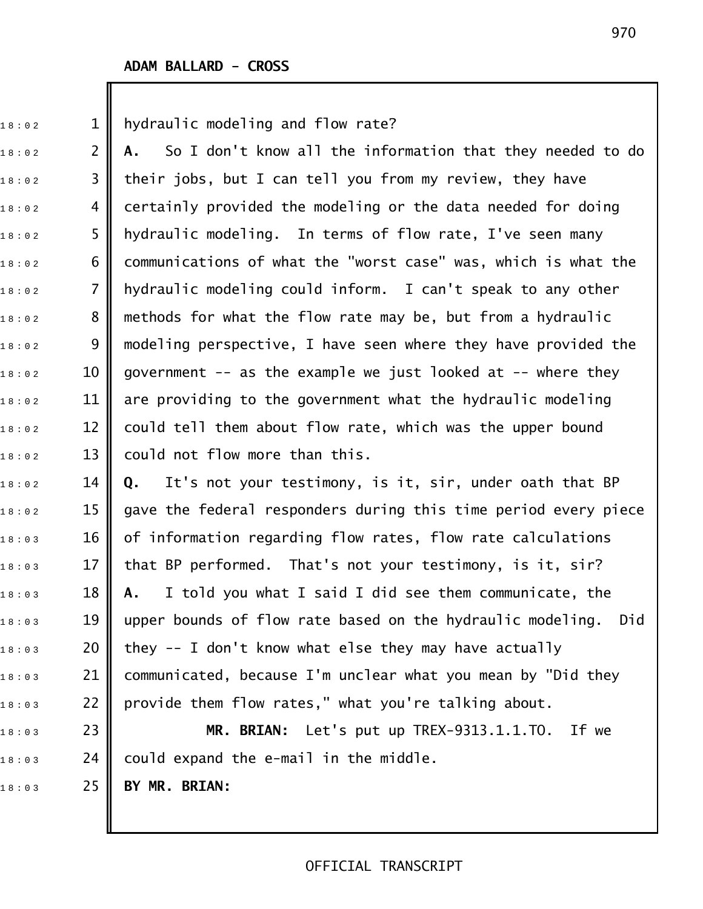$18:02$  2 1 || hydraulic modeling and flow rate?

1 8 : 0 2 2 **A.** So I don't know all the information that they needed to do  $_{1\,8\ :\ 0\, 2}$   $\qquad \qquad$  3  $\parallel$  their jobs, but I can tell you from my review, they have  $1\,$ 8:02  $\,$  4  $\,$  certainly provided the modeling or the data needed for doing  $18:02$  5 || hydraulic modeling. In terms of flow rate, I've seen many  $1\,$ 8:02  $\,$  6  $\,$  communications of what the "worst case" was, which is what the  $18:02$  7 || hydraulic modeling could inform. I can't speak to any other  $_{1\,8\,:\,0\,2}$   $\qquad \quad$  8  $\parallel$  methods for what the flow rate may be, but from a hydraulic  $_{1\,8\,:\,0\,2}$   $\qquad \quad$  9  $\parallel$  modeling perspective, I have seen where they have provided the  $_{1\,8\,:\,0\,2}$  and 10  $\parallel$  government -- as the example we just looked at -- where they 18:02  $\,$   $\,$  11  $\,$  are providing to the government what the hydraulic modeling  $_{1\,8\,:\,0\,2}$  2 2  $\parallel$  could tell them about flow rate, which was the upper bound  $_{18:02}$   $\,$   $\,$  13  $\,$  could not flow more than this.

1 8 : 0 2 14 **Q.** It's not your testimony, is it, sir, under oath that BP  $_{1\,8\,:\,0\,2}$   $\qquad$  15  $\parallel$  gave the federal responders during this time period every piece  $_{1\,8\,:\,0\,:\,3}$   $\qquad$  16  $\parallel$  of information regarding flow rates, flow rate calculations  $_{1\,8\ :\ 0\,3}$   $\qquad \qquad 17$   $\parallel$  that BP performed. That's not your testimony, is it, sir? 1 8 : 0 3 18 **A.** I told you what I said I did see them communicate, the  $18:03$  19  $\parallel$  upper bounds of flow rate based on the hydraulic modeling. Did  $_{1\,8\,:\,0\,:\,3}$  20  $\parallel$  they -- I don't know what else they may have actually  $_{1\,8\,:\,0\,:\,3}$  21  $\,$  communicated, because I'm unclear what you mean by "Did they  $_{1\,8\,:\,0\,3}$  22 | provide them flow rates," what you're talking about.

18:03 23 **|| MR. BRIAN:** Let's put up TREX-9313.1.1.TO. If we  $18:03$  24 could expand the e-mail in the middle. 1 8 : 0 3 25 **BY MR. BRIAN:**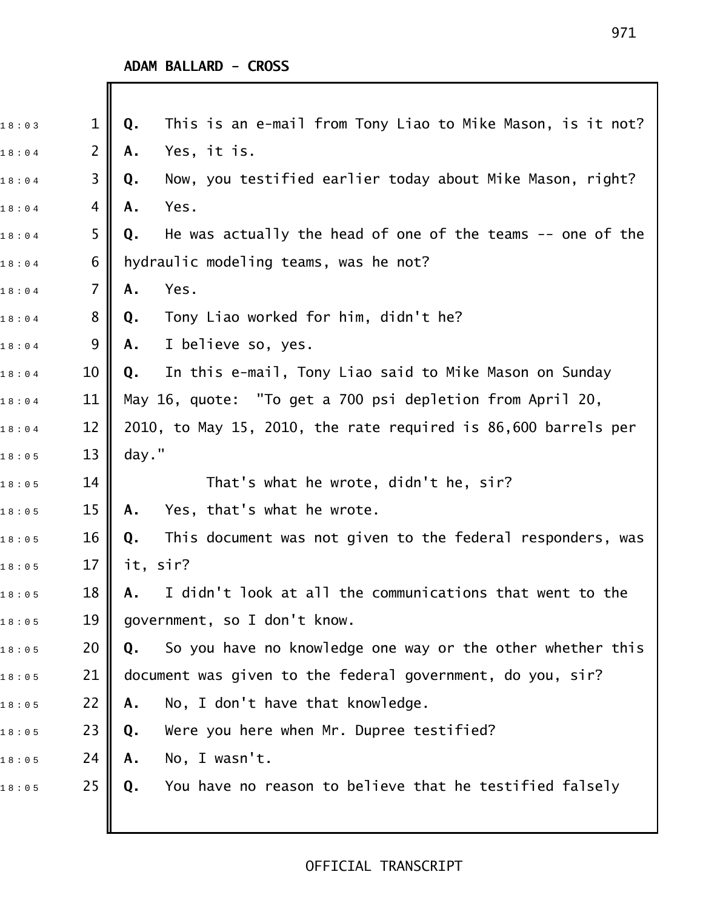| 18:03 | $\mathbf{1}$   | This is an e-mail from Tony Liao to Mike Mason, is it not?<br>Q.  |
|-------|----------------|-------------------------------------------------------------------|
| 18:04 | $\overline{2}$ | Yes, it is.<br>Α.                                                 |
| 18:04 | 3              | Now, you testified earlier today about Mike Mason, right?<br>Q.   |
| 18:04 | 4              | Yes.<br>Α.                                                        |
| 18:04 | 5              | He was actually the head of one of the teams $-$ one of the<br>Q. |
| 18:04 | 6              | hydraulic modeling teams, was he not?                             |
| 18:04 | 7              | Yes.<br>Α.                                                        |
| 18:04 | 8              | Tony Liao worked for him, didn't he?<br>Q.                        |
| 18:04 | 9              | I believe so, yes.<br>Α.                                          |
| 18:04 | 10             | In this e-mail, Tony Liao said to Mike Mason on Sunday<br>Q.      |
| 18:04 | 11             | May 16, quote: "To get a 700 psi depletion from April 20,         |
| 18:04 | 12             | 2010, to May 15, 2010, the rate required is 86,600 barrels per    |
| 18:05 | 13             | day."                                                             |
| 18:05 | 14             | That's what he wrote, didn't he, sir?                             |
| 18:05 | 15             | Yes, that's what he wrote.<br>Α.                                  |
| 18:05 | 16             | This document was not given to the federal responders, was<br>Q.  |
| 18:05 | 17             | it, sir?                                                          |
| 18:05 | 18             | I didn't look at all the communications that went to the<br>Α.    |
| 18:05 | 19             | government, so I don't know.                                      |
| 18:05 | 20             | So you have no knowledge one way or the other whether this<br>Q.  |
| 18:05 | 21             | document was given to the federal government, do you, sir?        |
| 18:05 | 22             | No, I don't have that knowledge.<br>Α.                            |
| 18:05 | 23             | Were you here when Mr. Dupree testified?<br>Q.                    |
| 18:05 | 24             | No, I wasn't.<br>Α.                                               |
| 18:05 | 25             | You have no reason to believe that he testified falsely<br>Q.     |
|       |                |                                                                   |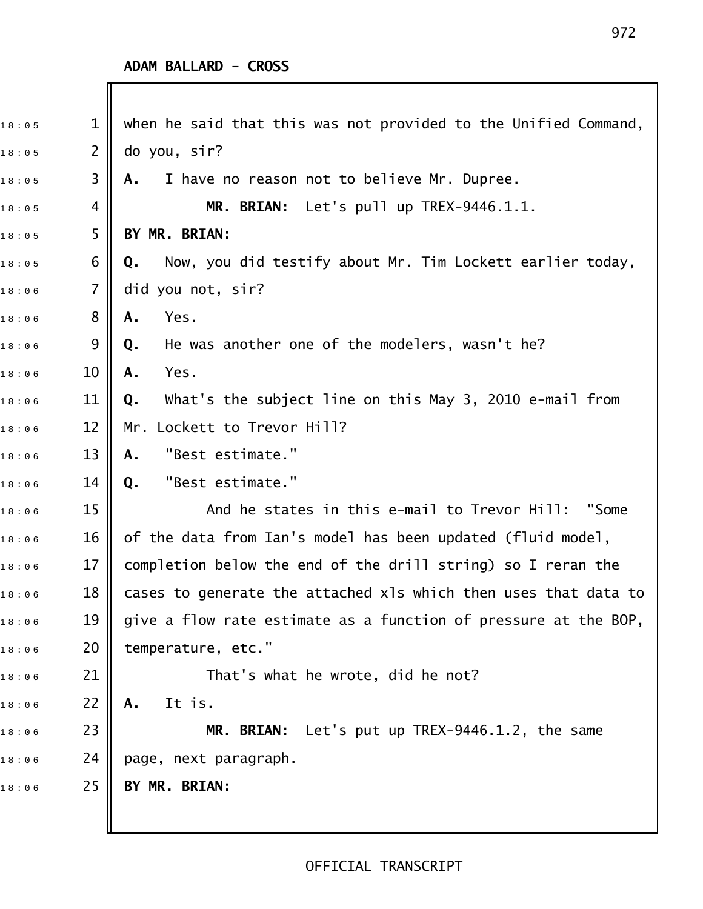Ι

| 18:05 | 1              | when he said that this was not provided to the Unified Command, |
|-------|----------------|-----------------------------------------------------------------|
| 18:05 | $\overline{2}$ | do you, sir?                                                    |
| 18:05 | 3              | I have no reason not to believe Mr. Dupree.<br>Α.               |
| 18:05 | 4              | MR. BRIAN: Let's pull up TREX-9446.1.1.                         |
| 18:05 | 5              | BY MR. BRIAN:                                                   |
| 18:05 | 6              | Now, you did testify about Mr. Tim Lockett earlier today,<br>Q. |
| 18:06 | 7              | did you not, sir?                                               |
| 18:06 | 8              | Yes.<br>Α.                                                      |
| 18:06 | 9              | He was another one of the modelers, wasn't he?<br>Q.            |
| 18:06 | 10             | Yes.<br>Α.                                                      |
| 18:06 | 11             | What's the subject line on this May 3, 2010 e-mail from<br>Q.   |
| 18:06 | 12             | Mr. Lockett to Trevor Hill?                                     |
| 18:06 | 13             | "Best estimate."<br>Α.                                          |
| 18:06 | 14             | "Best estimate."<br>Q.                                          |
| 18:06 | 15             | And he states in this e-mail to Trevor Hill:<br>"Some           |
| 18:06 | 16             | of the data from Ian's model has been updated (fluid model,     |
| 18:06 | 17             | completion below the end of the drill string) so I reran the    |
| 18:06 | 18             | cases to generate the attached xls which then uses that data to |
| 18:06 | 19             | give a flow rate estimate as a function of pressure at the BOP, |
| 18:06 | 20             | temperature, etc."                                              |
| 18:06 | 21             | That's what he wrote, did he not?                               |
| 18:06 | 22             | It is.<br>Α.                                                    |
| 18:06 | 23             | MR. BRIAN: Let's put up TREX-9446.1.2, the same                 |
| 18:06 | 24             | page, next paragraph.                                           |
| 18:06 | 25             | BY MR. BRIAN:                                                   |
|       |                |                                                                 |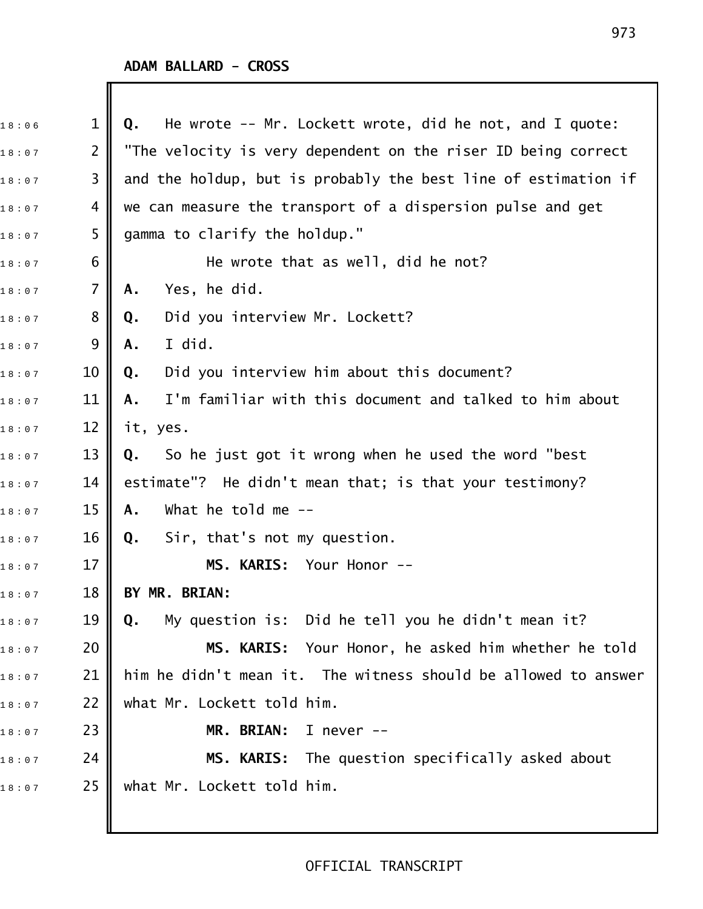| 18:06 | $\mathbf 1$    | He wrote $-$ - Mr. Lockett wrote, did he not, and I quote:<br>Q. |
|-------|----------------|------------------------------------------------------------------|
| 18:07 | $\overline{2}$ | "The velocity is very dependent on the riser ID being correct    |
| 18:07 | 3              | and the holdup, but is probably the best line of estimation if   |
| 18:07 | 4              | we can measure the transport of a dispersion pulse and get       |
| 18:07 | 5              | gamma to clarify the holdup."                                    |
| 18:07 | 6              | He wrote that as well, did he not?                               |
| 18:07 | $\overline{7}$ | Yes, he did.<br>Α.                                               |
| 18:07 | 8              | Did you interview Mr. Lockett?<br>Q.                             |
| 18:07 | 9              | I did.<br>Α.                                                     |
| 18:07 | 10             | Did you interview him about this document?<br>Q.                 |
| 18:07 | 11             | I'm familiar with this document and talked to him about<br>Α.    |
| 18:07 | 12             | it, yes.                                                         |
| 18:07 | 13             | So he just got it wrong when he used the word "best<br>Q.        |
| 18:07 | 14             | estimate"? He didn't mean that; is that your testimony?          |
| 18:07 | 15             | What he told me $-$ -<br>Α.                                      |
| 18:07 | 16             | Sir, that's not my question.<br>Q.                               |
| 18:07 | 17             | MS. KARIS: Your Honor --                                         |
| 18:07 | 18             | BY MR. BRIAN:                                                    |
| 18:07 | 19             | My question is: Did he tell you he didn't mean it?<br>Q.         |
| 18:07 | 20             | MS. KARIS: Your Honor, he asked him whether he told              |
| 18:07 | 21             | him he didn't mean it. The witness should be allowed to answer   |
| 18:07 | 22             | what Mr. Lockett told him.                                       |
| 18:07 | 23             | MR. BRIAN:<br>I never $--$                                       |
| 18:07 | 24             | MS. KARIS: The question specifically asked about                 |
| 18:07 | 25             | what Mr. Lockett told him.                                       |
|       |                |                                                                  |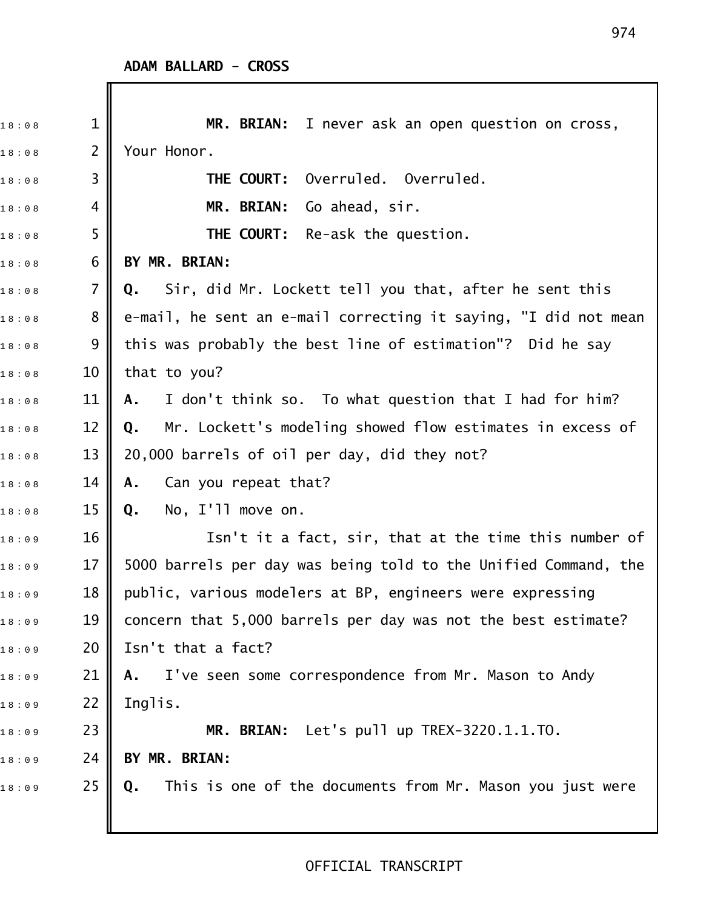| 18:08 | $\mathbf{1}$   | MR. BRIAN: I never ask an open question on cross,               |
|-------|----------------|-----------------------------------------------------------------|
| 18:08 | $\overline{2}$ | Your Honor.                                                     |
| 18:08 | 3              | Overruled. Overruled.<br>THE COURT:                             |
| 18:08 | 4              | Go ahead, sir.<br>MR. BRIAN:                                    |
| 18:08 | 5              | <b>THE COURT:</b> Re-ask the question.                          |
| 18:08 | 6              | BY MR. BRIAN:                                                   |
| 18:08 | 7              | Sir, did Mr. Lockett tell you that, after he sent this<br>Q.    |
| 18:08 | 8              | e-mail, he sent an e-mail correcting it saying, "I did not mean |
| 18:08 | 9              | this was probably the best line of estimation"? Did he say      |
| 18:08 | 10             | that to you?                                                    |
| 18:08 | 11             | I don't think so. To what question that I had for him?<br>A.    |
| 18:08 | 12             | Mr. Lockett's modeling showed flow estimates in excess of<br>Q. |
| 18:08 | 13             | 20,000 barrels of oil per day, did they not?                    |
| 18:08 | 14             | Can you repeat that?<br>Α.                                      |
| 18:08 | 15             | No, I'll move on.<br>Q.                                         |
| 18:09 | 16             | Isn't it a fact, sir, that at the time this number of           |
| 18:09 | 17             | 5000 barrels per day was being told to the Unified Command, the |
| 18:09 | 18             | public, various modelers at BP, engineers were expressing       |
| 18:09 | 19             | concern that 5,000 barrels per day was not the best estimate?   |
| 18:09 | 20             | Isn't that a fact?                                              |
| 18:09 | 21             | A. I've seen some correspondence from Mr. Mason to Andy         |
| 18:09 | 22             | Inglis.                                                         |
| 18:09 | 23             | MR. BRIAN: Let's pull up TREX-3220.1.1.TO.                      |
| 18:09 | 24             | BY MR. BRIAN:                                                   |
| 18:09 | 25             | This is one of the documents from Mr. Mason you just were<br>Q. |
|       |                |                                                                 |
|       |                |                                                                 |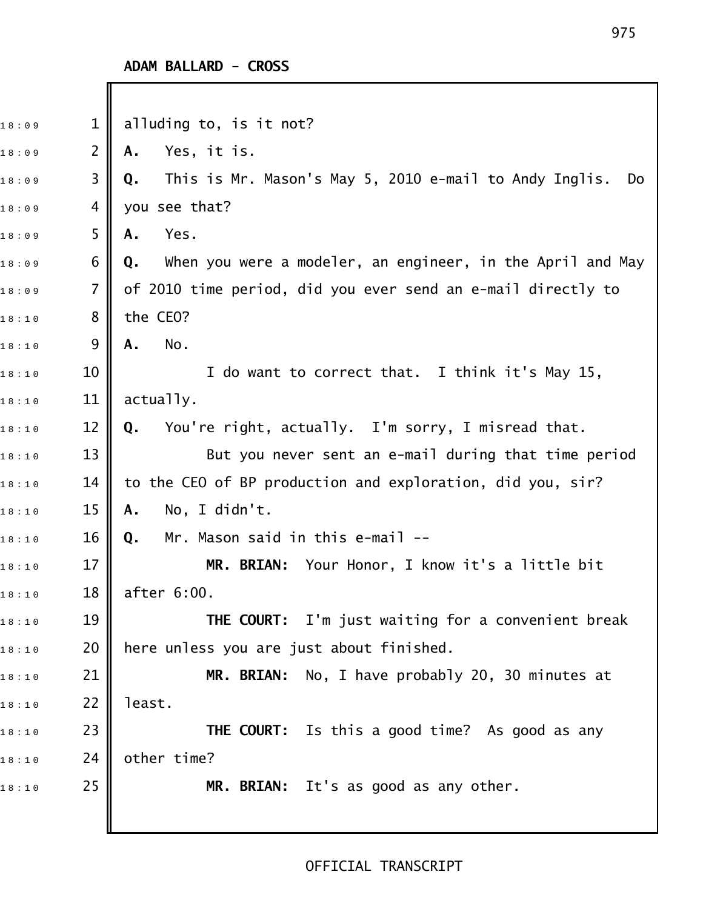Ι

| 18:09 | $\mathbf{1}$   | alluding to, is it not?                                            |
|-------|----------------|--------------------------------------------------------------------|
| 18:09 | $\overline{2}$ | Yes, it is.<br>Α.                                                  |
| 18:09 | 3              | This is Mr. Mason's May 5, 2010 e-mail to Andy Inglis.<br>Q.<br>Do |
| 18:09 | 4              | you see that?                                                      |
| 18:09 | 5              | Yes.<br>Α.                                                         |
| 18:09 | 6              | When you were a modeler, an engineer, in the April and May<br>Q.   |
| 18:09 | $\overline{7}$ | of 2010 time period, did you ever send an e-mail directly to       |
| 18:10 | 8              | the CEO?                                                           |
| 18:10 | 9              | No.<br>Α.                                                          |
| 18:10 | 10             | I do want to correct that. I think it's May 15,                    |
| 18:10 | 11             | actually.                                                          |
| 18:10 | 12             | You're right, actually. I'm sorry, I misread that.<br>Q.           |
| 18:10 | 13             | But you never sent an e-mail during that time period               |
| 18:10 | 14             | to the CEO of BP production and exploration, did you, sir?         |
| 18:10 | 15             | No, I didn't.<br>Α.                                                |
| 18:10 | 16             | Mr. Mason said in this e-mail --<br>Q.                             |
| 18:10 | 17             | MR. BRIAN: Your Honor, I know it's a little bit                    |
| 18:10 | 18             | after 6:00.                                                        |
| 18:10 | 19             | THE COURT: I'm just waiting for a convenient break                 |
| 18:10 | 20             | here unless you are just about finished.                           |
| 18:10 | 21             | MR. BRIAN: No, I have probably 20, 30 minutes at                   |
| 18:10 | 22             | least.                                                             |
| 18:10 | 23             | THE COURT: Is this a good time? As good as any                     |
| 18:10 | 24             | other time?                                                        |
| 18:10 | 25             | MR. BRIAN: It's as good as any other.                              |
|       |                |                                                                    |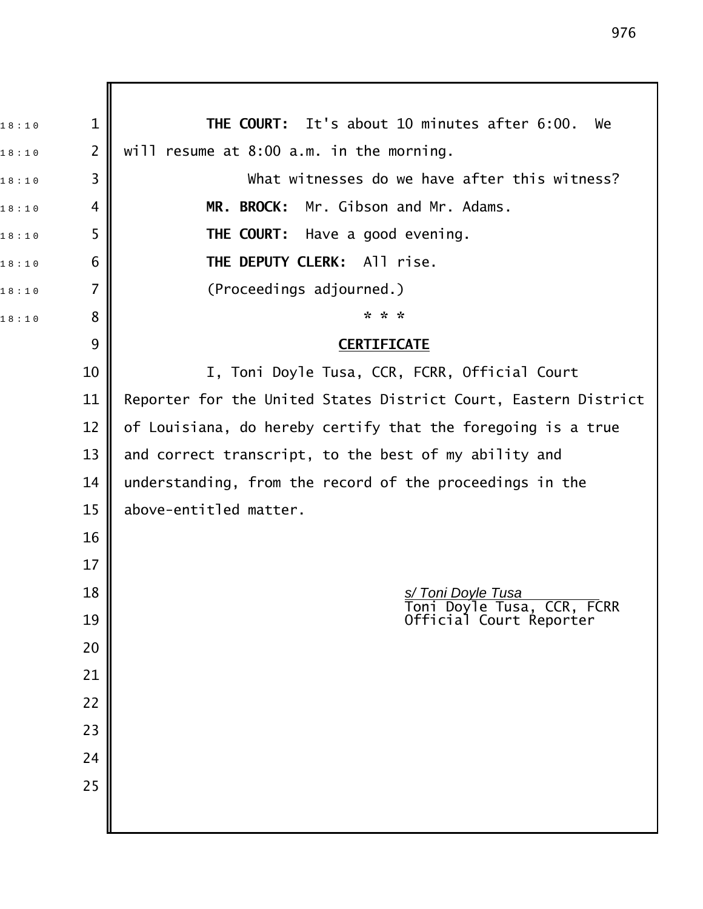1 8 : 1 0 1 **THE COURT:** It's about 10 minutes after 6:00. We  $_{18:10}$  2 || will resume at 8:00 a.m. in the morning.  $18:10$  3  $\parallel$  What witnesses do we have after this witness? 18:10 4 **MR. BROCK:** Mr. Gibson and Mr. Adams. 18:10 5 **THE COURT:** Have a good evening. 1 8 : 1 0 6 **THE DEPUTY CLERK:** All rise.  $18:10$  7  $\blacksquare$  (Proceedings adjourned.) 1 8 : 1 0 8 **\* \* \***  9 **CERTIFICATE** 10 || I, Toni Doyle Tusa, CCR, FCRR, Official Court 11 | Reporter for the United States District Court, Eastern District 12  $\parallel$  of Louisiana, do hereby certify that the foregoing is a true 13 and correct transcript, to the best of my ability and 14 understanding, from the record of the proceedings in the 15  $\parallel$  above-entitled matter. 16 17 18 **S** Toni Doyle Tusa Toni Doyle Tusa, CCR, FCRR 19 Official Court Reporter 20 21 22 23 24 25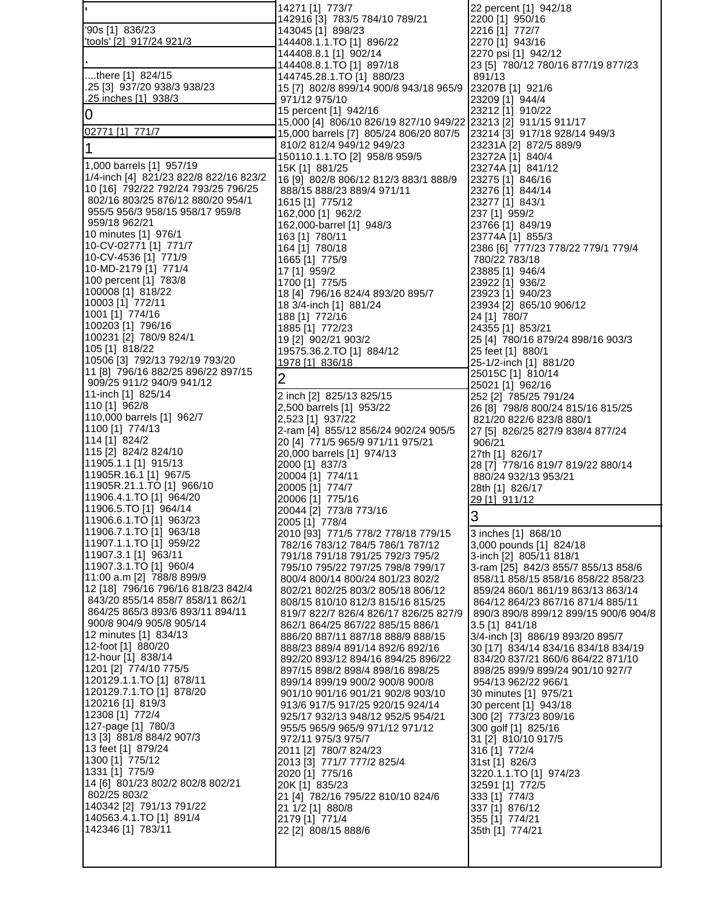|                                                                        | 14271 [1] 773/7                                                            | 22 percent [1] 942/18                                                      |
|------------------------------------------------------------------------|----------------------------------------------------------------------------|----------------------------------------------------------------------------|
| '90s [1] 836/23                                                        | 142916 [3] 783/5 784/10 789/21<br>143045 [1] 898/23                        | 2200 [1] 950/16                                                            |
| 'tools' [2] 917/24 921/3                                               | 144408.1.1.TO [1] 896/22                                                   | 2216 [1] 772/7<br>2270 [1] 943/16                                          |
|                                                                        | 144408.8.1 [1] 902/14                                                      | 2270 psi [1] 942/12                                                        |
|                                                                        | 144408.8.1.TO [1] 897/18                                                   | 23 [5] 780/12 780/16 877/19 877/23                                         |
| there [1] 824/15                                                       | 144745.28.1.TO [1] 880/23                                                  | 891/13                                                                     |
| .25 [3] 937/20 938/3 938/23<br>.25 inches [1] 938/3                    | 15 [7] 802/8 899/14 900/8 943/18 965/9 23207B [1] 921/6<br>971/12 975/10   | 23209 [1] 944/4                                                            |
|                                                                        | 15 percent [1] 942/16                                                      | 23212 [1] 910/22                                                           |
| $\overline{0}$                                                         | 15,000 [4] 806/10 826/19 827/10 949/22 23213 [2] 911/15 911/17             |                                                                            |
| 02771 [1] 771/7                                                        | 15,000 barrels [7] 805/24 806/20 807/5                                     | 23214 [3] 917/18 928/14 949/3                                              |
| 1                                                                      | 810/2 812/4 949/12 949/23                                                  | 23231A [2] 872/5 889/9                                                     |
| 1,000 barrels [1] 957/19                                               | 150110.1.1.TO [2] 958/8 959/5<br>15K [1] 881/25                            | 23272A [1] 840/4<br>23274A [1] 841/12                                      |
| 1/4-inch [4] 821/23 822/8 822/16 823/2                                 | 16 [9] 802/8 806/12 812/3 883/1 888/9                                      | 23275 [1] 846/16                                                           |
| 10 [16] 792/22 792/24 793/25 796/25                                    | 888/15 888/23 889/4 971/11                                                 | 23276 [1] 844/14                                                           |
| 802/16 803/25 876/12 880/20 954/1                                      | 1615 [1] 775/12                                                            | 23277 [1] 843/1                                                            |
| 955/5 956/3 958/15 958/17 959/8<br>959/18 962/21                       | 162,000 [1] 962/2                                                          | 237 [1] 959/2                                                              |
| 10 minutes [1] 976/1                                                   | 162,000-barrel [1] 948/3<br>163 [1] 780/11                                 | 23766 [1] 849/19<br>23774A [1] 855/3                                       |
| 10-CV-02771 [1] 771/7                                                  | 164 [1] 780/18                                                             | 2386 [6] 777/23 778/22 779/1 779/4                                         |
| 10-CV-4536 [1] 771/9                                                   | 1665 [1] 775/9                                                             | 780/22 783/18                                                              |
| 10-MD-2179 [1] 771/4                                                   | 17 [1] 959/2                                                               | 23885 [1] 946/4                                                            |
| 100 percent [1] 783/8                                                  | 1700 [1] 775/5                                                             | 23922 [1] 936/2                                                            |
| 100008 [1] 818/22<br>10003 [1] 772/11                                  | 18 [4] 796/16 824/4 893/20 895/7                                           | 23923 [1] 940/23                                                           |
| 1001 [1] 774/16                                                        | 18 3/4-inch [1] 881/24<br>188 [1] 772/16                                   | 23934 [2] 865/10 906/12<br>24 [1] 780/7                                    |
| 100203 [1] 796/16                                                      | 1885 [1] 772/23                                                            | 24355 [1] 853/21                                                           |
| 100231 [2] 780/9 824/1                                                 | 19 [2] 902/21 903/2                                                        | 25 [4] 780/16 879/24 898/16 903/3                                          |
| 105 [1] 818/22                                                         | 19575.36.2.TO [1] 884/12                                                   | 25 feet [1] 880/1                                                          |
| 10506 [3] 792/13 792/19 793/20<br>11 [8] 796/16 882/25 896/22 897/15   | 1978 [1] 836/18                                                            | 25-1/2-inch [1] 881/20                                                     |
| 909/25 911/2 940/9 941/12                                              | $\overline{2}$                                                             | 25015C [1] 810/14<br>25021 [1] 962/16                                      |
| 11-inch [1] 825/14                                                     | 2 inch [2] 825/13 825/15                                                   | 252 [2] 785/25 791/24                                                      |
| 110 [1] 962/8                                                          | 2,500 barrels [1] 953/22                                                   | 26 [8] 798/8 800/24 815/16 815/25                                          |
| 110,000 barrels [1] 962/7                                              | 2,523 [1] 937/22                                                           | 821/20 822/6 823/8 880/1                                                   |
| 1100 [1] 774/13<br>114 [1] 824/2                                       | 2-ram [4] 855/12 856/24 902/24 905/5                                       | 27 [5] 826/25 827/9 838/4 877/24                                           |
| 115 [2] 824/2 824/10                                                   | 20 [4] 771/5 965/9 971/11 975/21<br>20,000 barrels [1] 974/13              | 906/21<br>27th [1] 826/17                                                  |
| 11905.1.1 [1] 915/13                                                   | 2000 [1] 837/3                                                             | 28 [7] 778/16 819/7 819/22 880/14                                          |
| 11905R.16.1 [1] 967/5                                                  | 20004 [1] 774/11                                                           | 880/24 932/13 953/21                                                       |
| 11905R.21.1.TO [1] 966/10                                              | 20005 [1] 774/7                                                            | 28th [1] 826/17                                                            |
| 11906.4.1.TO [1] 964/20<br>11906.5.TO [1] 964/14                       | 20006 [1] 775/16                                                           | 29 [1] 911/12                                                              |
| 11906.6.1.TO [1] 963/23                                                | 20044 [2] 773/8 773/16<br>2005 [1] 778/4                                   | $\overline{3}$                                                             |
| 11906.7.1.TO [1] 963/18                                                |                                                                            |                                                                            |
|                                                                        |                                                                            |                                                                            |
| 11907.1.1.TO [1] 959/22                                                | 2010 [93] 771/5 778/2 778/18 779/15<br>782/16 783/12 784/5 786/1 787/12    | 3 inches [1] 868/10<br>3,000 pounds [1] 824/18                             |
| 11907.3.1 [1] 963/11                                                   | 791/18 791/18 791/25 792/3 795/2                                           | 3-inch [2] 805/11 818/1                                                    |
| 11907.3.1.TO [1] 960/4                                                 | 795/10 795/22 797/25 798/8 799/17                                          | 3-ram [25] 842/3 855/7 855/13 858/6                                        |
| 11:00 a.m [2] 788/8 899/9                                              | 800/4 800/14 800/24 801/23 802/2                                           | 858/11 858/15 858/16 858/22 858/23                                         |
| 12 [18] 796/16 796/16 818/23 842/4<br>843/20 855/14 858/7 858/11 862/1 | 802/21 802/25 803/2 805/18 806/12                                          | 859/24 860/1 861/19 863/13 863/14                                          |
| 864/25 865/3 893/6 893/11 894/11                                       | 808/15 810/10 812/3 815/16 815/25<br>819/7 822/7 826/4 826/17 826/25 827/9 | 864/12 864/23 867/16 871/4 885/11<br>890/3 890/8 899/12 899/15 900/6 904/8 |
| 900/8 904/9 905/8 905/14                                               | 862/1 864/25 867/22 885/15 886/1                                           | 3.5 [1] 841/18                                                             |
| 12 minutes [1] 834/13                                                  | 886/20 887/11 887/18 888/9 888/15                                          | 3/4-inch [3] 886/19 893/20 895/7                                           |
| 12-foot [1] 880/20                                                     | 888/23 889/4 891/14 892/6 892/16                                           | 30 [17] 834/14 834/16 834/18 834/19                                        |
| 12-hour [1] 838/14                                                     | 892/20 893/12 894/16 894/25 896/22                                         | 834/20 837/21 860/6 864/22 871/10                                          |
| 1201 [2] 774/10 775/5<br>120129.1.1.TO [1] 878/11                      | 897/15 898/2 898/4 898/16 898/25<br>899/14 899/19 900/2 900/8 900/8        | 898/25 899/9 899/24 901/10 927/7<br>954/13 962/22 966/1                    |
| 120129.7.1.TO [1] 878/20                                               | 901/10 901/16 901/21 902/8 903/10                                          | 30 minutes [1] 975/21                                                      |
| 120216 [1] 819/3                                                       | 913/6 917/5 917/25 920/15 924/14                                           | 30 percent [1] 943/18                                                      |
| 12308 [1] 772/4                                                        | 925/17 932/13 948/12 952/5 954/21                                          | 300 [2] 773/23 809/16                                                      |
| 127-page [1] 780/3<br>13 [3] 881/8 884/2 907/3                         | 955/5 965/9 965/9 971/12 971/12                                            | 300 golf [1] 825/16                                                        |
| 13 feet [1] 879/24                                                     | 972/11 975/3 975/7<br>2011 [2] 780/7 824/23                                | 31 [2] 810/10 917/5<br>316 [1] 772/4                                       |
| 1300 [1] 775/12                                                        | 2013 [3] 771/7 777/2 825/4                                                 | 31st [1] 826/3                                                             |
| 1331 [1] 775/9                                                         | 2020 [1] 775/16                                                            | 3220.1.1.TO [1] 974/23                                                     |
| 14 [6] 801/23 802/2 802/8 802/21                                       | 20K [1] 835/23                                                             | 32591 [1] 772/5                                                            |
| 802/25 803/2<br>140342 [2] 791/13 791/22                               | 21 [4] 782/16 795/22 810/10 824/6                                          | 333 [1] 774/3                                                              |
| 140563.4.1.TO [1] 891/4                                                | 21 1/2 [1] 880/8<br>2179 [1] 771/4                                         | 337 [1] 876/12<br>355 [1] 774/21                                           |
| 142346 [1] 783/11                                                      | 22 [2] 808/15 888/6                                                        | 35th [1] 774/21                                                            |
|                                                                        |                                                                            |                                                                            |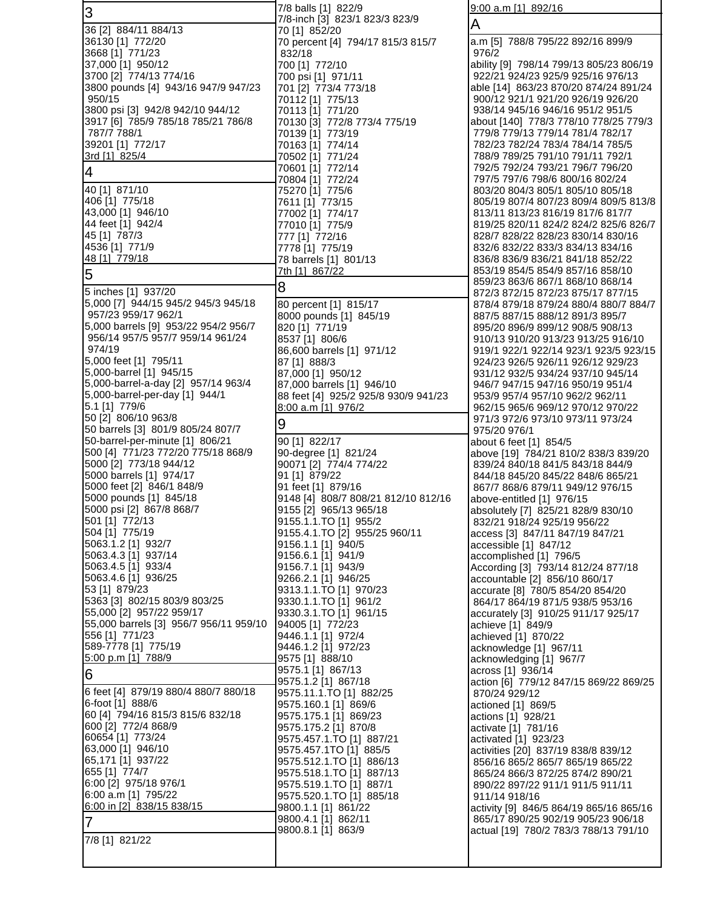| IЗ                                                                 | 7/8 balls [1] 822/9                                    | $9:00$ a.m [1] 892/16                                                        |
|--------------------------------------------------------------------|--------------------------------------------------------|------------------------------------------------------------------------------|
|                                                                    | 7/8-inch [3] 823/1 823/3 823/9                         | A                                                                            |
| 36 [2] 884/11 884/13<br>36130 [1] 772/20                           | 70 [1] 852/20<br>70 percent [4] 794/17 815/3 815/7     | a.m [5] 788/8 795/22 892/16 899/9                                            |
| 3668 [1] 771/23                                                    | 832/18                                                 | 976/2                                                                        |
| 37,000 [1] 950/12                                                  | 700 [1] 772/10                                         | ability [9] 798/14 799/13 805/23 806/19<br>922/21 924/23 925/9 925/16 976/13 |
| 3700 [2] 774/13 774/16<br>3800 pounds [4] 943/16 947/9 947/23      | 700 psi [1] 971/11<br>701 [2] 773/4 773/18             | able [14] 863/23 870/20 874/24 891/24                                        |
| 950/15                                                             | 70112 [1] 775/13                                       | 900/12 921/1 921/20 926/19 926/20                                            |
| 3800 psi [3] 942/8 942/10 944/12                                   | 70113 [1] 771/20                                       | 938/14 945/16 946/16 951/2 951/5                                             |
| 3917 [6] 785/9 785/18 785/21 786/8<br>787/7 788/1                  | 70130 [3] 772/8 773/4 775/19<br>70139 [1] 773/19       | about [140] 778/3 778/10 778/25 779/3<br>779/8 779/13 779/14 781/4 782/17    |
| 39201 [1] 772/17                                                   | 70163 [1] 774/14                                       | 782/23 782/24 783/4 784/14 785/5                                             |
| 3rd [1] 825/4                                                      | 70502 [1] 771/24                                       | 788/9 789/25 791/10 791/11 792/1                                             |
| $\overline{4}$                                                     | 70601 [1] 772/14<br>70804 [1] 772/24                   | 792/5 792/24 793/21 796/7 796/20<br>797/5 797/6 798/6 800/16 802/24          |
| 40 [1] 871/10                                                      | 75270 [1] 775/6                                        | 803/20 804/3 805/1 805/10 805/18                                             |
| 406 [1] 775/18                                                     | 7611 [1] 773/15                                        | 805/19 807/4 807/23 809/4 809/5 813/8                                        |
| 43,000 [1] 946/10                                                  | 77002 [1] 774/17                                       | 813/11 813/23 816/19 817/6 817/7                                             |
| 44 feet [1] 942/4<br>45 [1] 787/3                                  | 77010 [1] 775/9<br>777 [1] 772/16                      | 819/25 820/11 824/2 824/2 825/6 826/7<br>828/7 828/22 828/23 830/14 830/16   |
| 4536 [1] 771/9                                                     | 7778 [1] 775/19                                        | 832/6 832/22 833/3 834/13 834/16                                             |
| 48 [1] 779/18                                                      | 78 barrels [1] 801/13                                  | 836/8 836/9 836/21 841/18 852/22                                             |
| 5                                                                  | 7th [1] 867/22                                         | 853/19 854/5 854/9 857/16 858/10<br>859/23 863/6 867/1 868/10 868/14         |
| 5 inches [1] 937/20                                                | 8                                                      | 872/3 872/15 872/23 875/17 877/15                                            |
| 5,000 [7] 944/15 945/2 945/3 945/18                                | 80 percent [1] 815/17                                  | 878/4 879/18 879/24 880/4 880/7 884/7                                        |
| 957/23 959/17 962/1<br>5,000 barrels [9] 953/22 954/2 956/7        | 8000 pounds [1] 845/19<br>820 [1] 771/19               | 887/5 887/15 888/12 891/3 895/7                                              |
| 956/14 957/5 957/7 959/14 961/24                                   | 8537 [1] 806/6                                         | 895/20 896/9 899/12 908/5 908/13<br>910/13 910/20 913/23 913/25 916/10       |
| 974/19                                                             | 86,600 barrels [1] 971/12                              | 919/1 922/1 922/14 923/1 923/5 923/15                                        |
| 5,000 feet [1] 795/11                                              | 87 [1] 888/3                                           | 924/23 926/5 926/11 926/12 929/23                                            |
| 5,000-barrel [1] 945/15<br>5,000-barrel-a-day [2] 957/14 963/4     | 87,000 [1] 950/12<br>87,000 barrels [1] 946/10         | 931/12 932/5 934/24 937/10 945/14<br>946/7 947/15 947/16 950/19 951/4        |
| 5,000-barrel-per-day [1] 944/1                                     | 88 feet [4] 925/2 925/8 930/9 941/23                   | 953/9 957/4 957/10 962/2 962/11                                              |
| 5.1 [1] 779/6                                                      | 8:00 a.m [1] 976/2                                     | 962/15 965/6 969/12 970/12 970/22                                            |
| 50 [2] 806/10 963/8<br>50 barrels [3] 801/9 805/24 807/7           | 9                                                      | 971/3 972/6 973/10 973/11 973/24<br>975/20 976/1                             |
| 50-barrel-per-minute [1] 806/21                                    | 90 [1] 822/17                                          | about 6 feet [1] 854/5                                                       |
| 500 [4] 771/23 772/20 775/18 868/9                                 | 90-degree [1] 821/24                                   | above [19] 784/21 810/2 838/3 839/20                                         |
| 5000 [2] 773/18 944/12                                             | 90071 [2] 774/4 774/22                                 | 839/24 840/18 841/5 843/18 844/9                                             |
| 5000 barrels [1] 974/17<br>5000 feet [2] 846/1 848/9               | 91 [1] 879/22<br>91 feet [1] 879/16                    | 844/18 845/20 845/22 848/6 865/21<br>867/7 868/6 879/11 949/12 976/15        |
| 5000 pounds [1] 845/18                                             | 9148 [4] 808/7 808/21 812/10 812/16                    | above-entitled [1] 976/15                                                    |
| 5000 psi [2] 867/8 868/7                                           | 9155 [2] 965/13 965/18                                 | absolutely [7] 825/21 828/9 830/10                                           |
| 501 [1] 772/13<br>504 [1] 775/19                                   | 9155.1.1.TO [1] 955/2<br>9155.4.1.TO [2] 955/25 960/11 | 832/21 918/24 925/19 956/22<br>access [3] 847/11 847/19 847/21               |
| 5063.1.2 [1] 932/7                                                 | 9156.1.1 [1] 940/5                                     | accessible [1] 847/12                                                        |
| 5063.4.3 [1] 937/14                                                | 9156.6.1 [1] 941/9                                     | accomplished [1] 796/5                                                       |
| 5063.4.5 [1] 933/4<br>5063.4.6 [1] 936/25                          | 9156.7.1 [1] 943/9<br>9266.2.1 [1] 946/25              | According [3] 793/14 812/24 877/18                                           |
| 53 [1] 879/23                                                      | 9313.1.1.TO [1] 970/23                                 | accountable [2] 856/10 860/17<br>accurate [8] 780/5 854/20 854/20            |
| 5363 [3] 802/15 803/9 803/25                                       | 9330.1.1.TO [1] 961/2                                  | 864/17 864/19 871/5 938/5 953/16                                             |
| 55,000 [2] 957/22 959/17<br>55,000 barrels [3] 956/7 956/11 959/10 | 9330.3.1.TO [1] 961/15                                 | accurately [3] 910/25 911/17 925/17                                          |
| 556 [1] 771/23                                                     | 94005 [1] 772/23<br>9446.1.1 [1] 972/4                 | achieve [1] 849/9<br>achieved [1] 870/22                                     |
| 589-7778 [1] 775/19                                                | 9446.1.2 [1] 972/23                                    | acknowledge [1] 967/11                                                       |
| 5:00 p.m [1] 788/9                                                 | 9575 [1] 888/10                                        | acknowledging [1] 967/7                                                      |
| 6                                                                  | 9575.1 [1] 867/13<br>9575.1.2 [1] 867/18               | across [1] 936/14<br>action [6] 779/12 847/15 869/22 869/25                  |
| 6 feet [4] 879/19 880/4 880/7 880/18                               | 9575.11.1.TO [1] 882/25                                | 870/24 929/12                                                                |
| 6-foot [1] 888/6                                                   | 9575.160.1 [1] 869/6                                   | actioned [1] 869/5                                                           |
| 60 [4] 794/16 815/3 815/6 832/18<br>600 [2] 772/4 868/9            | 9575.175.1 [1] 869/23<br>9575.175.2 [1] 870/8          | actions [1] 928/21<br>activate [1] 781/16                                    |
| 60654 [1] 773/24                                                   | 9575.457.1.TO [1] 887/21                               | activated [1] 923/23                                                         |
| 63,000 [1] 946/10                                                  | 9575.457.1TO [1] 885/5                                 | activities [20] 837/19 838/8 839/12                                          |
| 65,171 [1] 937/22<br>655 [1] 774/7                                 | 9575.512.1.TO [1] 886/13<br>9575.518.1.TO [1] 887/13   | 856/16 865/2 865/7 865/19 865/22                                             |
| 6:00 [2] 975/18 976/1                                              | 9575.519.1.TO [1] 887/1                                | 865/24 866/3 872/25 874/2 890/21<br>890/22 897/22 911/1 911/5 911/11         |
| 6:00 a.m [1] 795/22                                                | 9575.520.1.TO [1] 885/18                               | 911/14 918/16                                                                |
| 6:00 in [2] 838/15 838/15                                          | 9800.1.1 [1] 861/22                                    | activity [9] 846/5 864/19 865/16 865/16                                      |
| 7                                                                  | 9800.4.1 [1] 862/11<br>9800.8.1 [1] 863/9              | 865/17 890/25 902/19 905/23 906/18<br>actual [19] 780/2 783/3 788/13 791/10  |
| 7/8 [1] 821/22                                                     |                                                        |                                                                              |
|                                                                    |                                                        |                                                                              |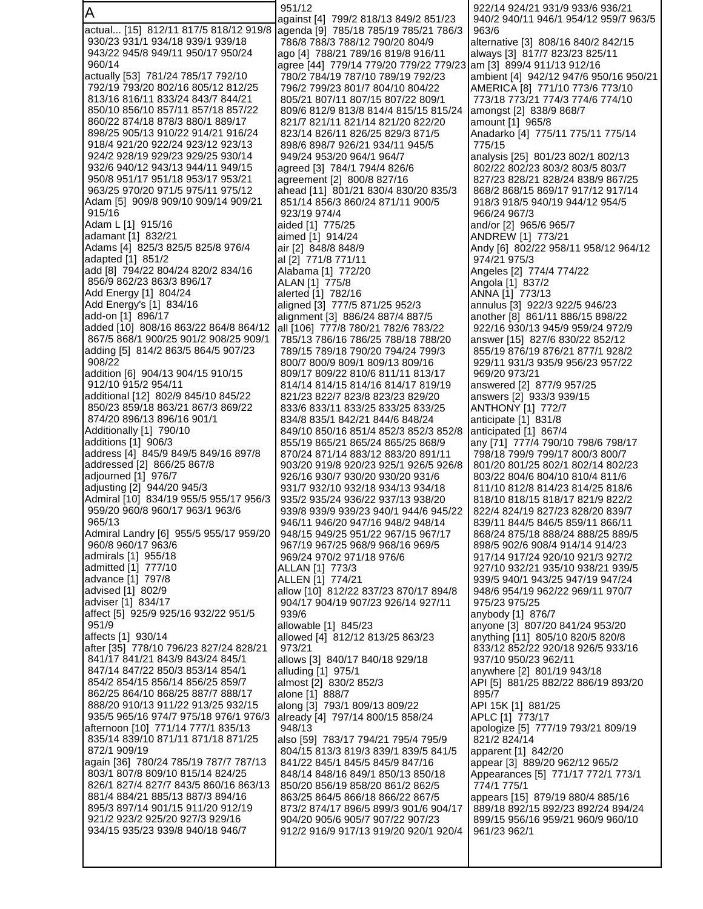A actual... [15] 812/11 817/5 818/12 919/8 930/23 931/1 934/18 939/1 939/18 943/22 945/8 949/11 950/17 950/24 960/14 actually [53] 781/24 785/17 792/10 792/19 793/20 802/16 805/12 812/25 813/16 816/11 833/24 843/7 844/21 850/10 856/10 857/11 857/18 857/22 860/22 874/18 878/3 880/1 889/17 898/25 905/13 910/22 914/21 916/24 918/4 921/20 922/24 923/12 923/13 924/2 928/19 929/23 929/25 930/14 932/6 940/12 943/13 944/11 949/15 950/8 951/17 951/18 953/17 953/21 963/25 970/20 971/5 975/11 975/12 Adam [5] 909/8 909/10 909/14 909/21 915/16 Adam L [1] 915/16 adamant [1] 832/21 Adams [4] 825/3 825/5 825/8 976/4 adapted [1] 851/2 add [8] 794/22 804/24 820/2 834/16 856/9 862/23 863/3 896/17 Add Energy [1] 804/24 Add Energy's [1] 834/16 add-on [1] 896/17 added [10] 808/16 863/22 864/8 864/12 867/5 868/1 900/25 901/2 908/25 909/1 adding [5] 814/2 863/5 864/5 907/23 908/22 addition [6] 904/13 904/15 910/15 912/10 915/2 954/11 additional [12] 802/9 845/10 845/22 850/23 859/18 863/21 867/3 869/22 874/20 896/13 896/16 901/1 Additionally [1] 790/10 additions [1] 906/3 address [4] 845/9 849/5 849/16 897/8 addressed [2] 866/25 867/8 adjourned [1] 976/7 adjusting [2] 944/20 945/3 Admiral [10] 834/19 955/5 955/17 956/3 959/20 960/8 960/17 963/1 963/6 965/13 Admiral Landry [6] 955/5 955/17 959/20 960/8 960/17 963/6 admirals [1] 955/18 admitted [1] 777/10 advance [1] 797/8 advised [1] 802/9 adviser [1] 834/17 affect [5] 925/9 925/16 932/22 951/5 951/9 affects [1] 930/14 after [35] 778/10 796/23 827/24 828/21 841/17 841/21 843/9 843/24 845/1 847/14 847/22 850/3 853/14 854/1 854/2 854/15 856/14 856/25 859/7 862/25 864/10 868/25 887/7 888/17 888/20 910/13 911/22 913/25 932/15 935/5 965/16 974/7 975/18 976/1 976/3 afternoon [10] 771/14 777/1 835/13 835/14 839/10 871/11 871/18 871/25 872/1 909/19 again [36] 780/24 785/19 787/7 787/13 803/1 807/8 809/10 815/14 824/25 826/1 827/4 827/7 843/5 860/16 863/13 881/4 884/21 885/13 887/3 894/16 895/3 897/14 901/15 911/20 912/19 921/2 923/2 925/20 927/3 929/16 934/15 935/23 939/8 940/18 946/7 951/12 against [4] 799/2 818/13 849/2 851/23 agenda [9] 785/18 785/19 785/21 786/3 786/8 788/3 788/12 790/20 804/9 ago [4] 788/21 789/16 819/8 916/11 agree [44] 779/14 779/20 779/22 779/23 am [3] 899/4 911/13 912/16 780/2 784/19 787/10 789/19 792/23 796/2 799/23 801/7 804/10 804/22 805/21 807/11 807/15 807/22 809/1 809/6 812/9 813/8 814/4 815/15 815/24 821/7 821/11 821/14 821/20 822/20 823/14 826/11 826/25 829/3 871/5 898/6 898/7 926/21 934/11 945/5 949/24 953/20 964/1 964/7 agreed [3] 784/1 794/4 826/6 agreement [2] 800/8 827/16 ahead [11] 801/21 830/4 830/20 835/3 851/14 856/3 860/24 871/11 900/5 923/19 974/4 aided [1] 775/25 aimed [1] 914/24 air [2] 848/8 848/9 al [2] 771/8 771/11 Alabama [1] 772/20 ALAN [1] 775/8 alerted [1] 782/16 aligned [3] 777/5 871/25 952/3 alignment [3] 886/24 887/4 887/5 all [106] 777/8 780/21 782/6 783/22 785/13 786/16 786/25 788/18 788/20 789/15 789/18 790/20 794/24 799/3 800/7 800/9 809/1 809/13 809/16 809/17 809/22 810/6 811/11 813/17 814/14 814/15 814/16 814/17 819/19 821/23 822/7 823/8 823/23 829/20 833/6 833/11 833/25 833/25 833/25 834/8 835/1 842/21 844/6 848/24 849/10 850/16 851/4 852/3 852/3 852/8 855/19 865/21 865/24 865/25 868/9 870/24 871/14 883/12 883/20 891/11 903/20 919/8 920/23 925/1 926/5 926/8 926/16 930/7 930/20 930/20 931/6 931/7 932/10 932/18 934/13 934/18 935/2 935/24 936/22 937/13 938/20 939/8 939/9 939/23 940/1 944/6 945/22 946/11 946/20 947/16 948/2 948/14 948/15 949/25 951/22 967/15 967/17 967/19 967/25 968/9 968/16 969/5 969/24 970/2 971/18 976/6 ALLAN [1] 773/3 ALLEN [1] 774/21 allow [10] 812/22 837/23 870/17 894/8 904/17 904/19 907/23 926/14 927/11 939/6 allowable [1] 845/23 allowed [4] 812/12 813/25 863/23 973/21 allows [3] 840/17 840/18 929/18 alluding [1] 975/1 almost [2] 830/2 852/3 alone [1] 888/7 along [3] 793/1 809/13 809/22 already [4] 797/14 800/15 858/24 948/13 also [59] 783/17 794/21 795/4 795/9 804/15 813/3 819/3 839/1 839/5 841/5 841/22 845/1 845/5 845/9 847/16 848/14 848/16 849/1 850/13 850/18 850/20 856/19 858/20 861/2 862/5 863/25 864/5 866/18 866/22 867/5 873/2 874/17 896/5 899/3 901/6 904/17 904/20 905/6 905/7 907/22 907/23 912/2 916/9 917/13 919/20 920/1 920/4 922/14 924/21 931/9 933/6 936/21 940/2 940/11 946/1 954/12 959/7 963/5 963/6 alternative [3] 808/16 840/2 842/15 always [3] 817/7 823/23 825/11 ambient [4] 942/12 947/6 950/16 950/21 AMERICA [8] 771/10 773/6 773/10 773/18 773/21 774/3 774/6 774/10 amongst [2] 838/9 868/7 amount [1] 965/8 Anadarko [4] 775/11 775/11 775/14 775/15 analysis [25] 801/23 802/1 802/13 802/22 802/23 803/2 803/5 803/7 827/23 828/21 828/24 838/9 867/25 868/2 868/15 869/17 917/12 917/14 918/3 918/5 940/19 944/12 954/5 966/24 967/3 and/or [2] 965/6 965/7 ANDREW [1] 773/21 Andy [6] 802/22 958/11 958/12 964/12 974/21 975/3 Angeles [2] 774/4 774/22 Angola [1] 837/2 ANNA [1] 773/13 annulus [3] 922/3 922/5 946/23 another [8] 861/11 886/15 898/22 922/16 930/13 945/9 959/24 972/9 answer [15] 827/6 830/22 852/12 855/19 876/19 876/21 877/1 928/2 929/11 931/3 935/9 956/23 957/22 969/20 973/21 answered [2] 877/9 957/25 answers [2] 933/3 939/15 ANTHONY [1] 772/7 anticipate [1] 831/8 anticipated [1] 867/4 any [71] 777/4 790/10 798/6 798/17 798/18 799/9 799/17 800/3 800/7 801/20 801/25 802/1 802/14 802/23 803/22 804/6 804/10 810/4 811/6 811/10 812/8 814/23 814/25 818/6 818/10 818/15 818/17 821/9 822/2 822/4 824/19 827/23 828/20 839/7 839/11 844/5 846/5 859/11 866/11 868/24 875/18 888/24 888/25 889/5 898/5 902/6 908/4 914/14 914/23 917/14 917/24 920/10 921/3 927/2 927/10 932/21 935/10 938/21 939/5 939/5 940/1 943/25 947/19 947/24 948/6 954/19 962/22 969/11 970/7 975/23 975/25 anybody [1] 876/7 anyone [3] 807/20 841/24 953/20 anything [11] 805/10 820/5 820/8 833/12 852/22 920/18 926/5 933/16 937/10 950/23 962/11 anywhere [2] 801/19 943/18 API [5] 881/25 882/22 886/19 893/20 895/7 API 15K [1] 881/25 APLC [1] 773/17 apologize [5] 777/19 793/21 809/19 821/2 824/14 apparent [1] 842/20 appear [3] 889/20 962/12 965/2 Appearances [5] 771/17 772/1 773/1 774/1 775/1 appears [15] 879/19 880/4 885/16 889/18 892/15 892/23 892/24 894/24 899/15 956/16 959/21 960/9 960/10 961/23 962/1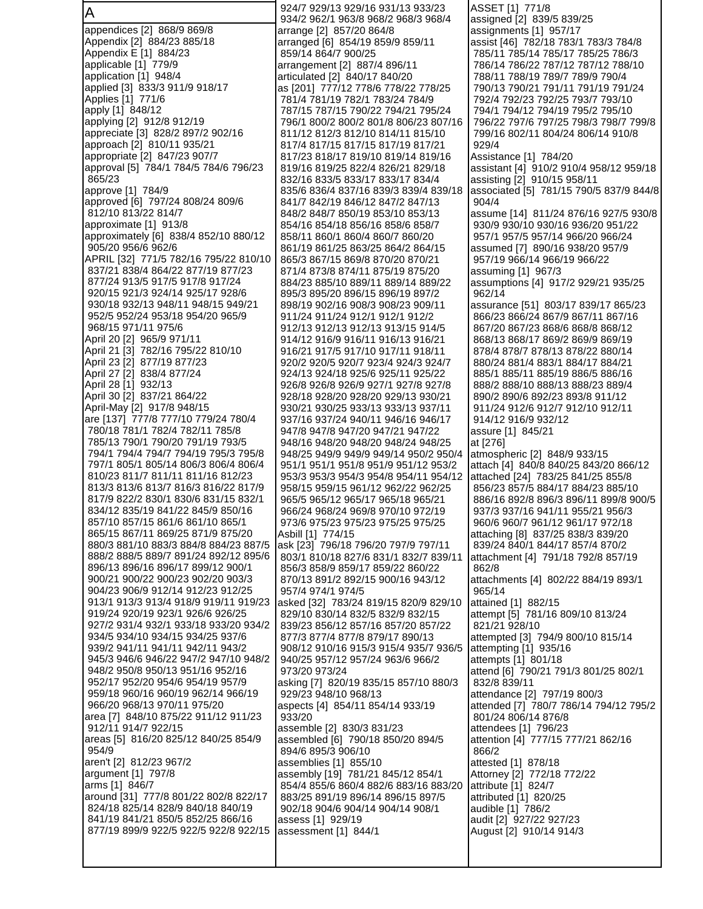A appendices [2] 868/9 869/8 Appendix [2] 884/23 885/18 Appendix E [1] 884/23 applicable [1] 779/9 application [1] 948/4 applied [3] 833/3 911/9 918/17 Applies [1] 771/6 apply [1] 848/12 applying [2] 912/8 912/19 appreciate [3] 828/2 897/2 902/16 approach [2] 810/11 935/21 appropriate [2] 847/23 907/7 approval [5] 784/1 784/5 784/6 796/23 865/23 approve [1] 784/9 approved [6] 797/24 808/24 809/6 812/10 813/22 814/7 approximate [1] 913/8 approximately [6] 838/4 852/10 880/12 905/20 956/6 962/6 APRIL [32] 771/5 782/16 795/22 810/10 837/21 838/4 864/22 877/19 877/23 877/24 913/5 917/5 917/8 917/24 920/15 921/3 924/14 925/17 928/6 930/18 932/13 948/11 948/15 949/21 952/5 952/24 953/18 954/20 965/9 968/15 971/11 975/6 April 20 [2] 965/9 971/11 April 21 [3] 782/16 795/22 810/10 April 23 [2] 877/19 877/23 April 27 [2] 838/4 877/24 April 28 [1] 932/13 April 30 [2] 837/21 864/22 April-May [2] 917/8 948/15 are [137] 777/8 777/10 779/24 780/4 780/18 781/1 782/4 782/11 785/8 785/13 790/1 790/20 791/19 793/5 794/1 794/4 794/7 794/19 795/3 795/8 797/1 805/1 805/14 806/3 806/4 806/4 810/23 811/7 811/11 811/16 812/23 813/3 813/6 813/7 816/3 816/22 817/9 817/9 822/2 830/1 830/6 831/15 832/1 834/12 835/19 841/22 845/9 850/16 857/10 857/15 861/6 861/10 865/1 865/15 867/11 869/25 871/9 875/20 880/3 881/10 883/3 884/8 884/23 887/5 888/2 888/5 889/7 891/24 892/12 895/6 896/13 896/16 896/17 899/12 900/1 900/21 900/22 900/23 902/20 903/3 904/23 906/9 912/14 912/23 912/25 913/1 913/3 913/4 918/9 919/11 919/23 919/24 920/19 923/1 926/6 926/25 927/2 931/4 932/1 933/18 933/20 934/2 934/5 934/10 934/15 934/25 937/6 939/2 941/11 941/11 942/11 943/2 945/3 946/6 946/22 947/2 947/10 948/2 948/2 950/8 950/13 951/16 952/16 952/17 952/20 954/6 954/19 957/9 959/18 960/16 960/19 962/14 966/19 966/20 968/13 970/11 975/20 area [7] 848/10 875/22 911/12 911/23 912/11 914/7 922/15 areas [5] 816/20 825/12 840/25 854/9 954/9 aren't [2] 812/23 967/2 argument [1] 797/8 arms [1] 846/7 around [31] 777/8 801/22 802/8 822/17 824/18 825/14 828/9 840/18 840/19 841/19 841/21 850/5 852/25 866/16 877/19 899/9 922/5 922/5 922/8 922/15

 924/7 929/13 929/16 931/13 933/23 934/2 962/1 963/8 968/2 968/3 968/4 arrange [2] 857/20 864/8 arranged [6] 854/19 859/9 859/11 859/14 864/7 900/25 arrangement [2] 887/4 896/11 articulated [2] 840/17 840/20 as [201] 777/12 778/6 778/22 778/25 781/4 781/19 782/1 783/24 784/9 787/15 787/15 790/22 794/21 795/24 796/1 800/2 800/2 801/8 806/23 807/16 811/12 812/3 812/10 814/11 815/10 817/4 817/15 817/15 817/19 817/21 817/23 818/17 819/10 819/14 819/16 819/16 819/25 822/4 826/21 829/18 832/16 833/5 833/17 833/17 834/4 835/6 836/4 837/16 839/3 839/4 839/18 841/7 842/19 846/12 847/2 847/13 848/2 848/7 850/19 853/10 853/13 854/16 854/18 856/16 858/6 858/7 858/11 860/1 860/4 860/7 860/20 861/19 861/25 863/25 864/2 864/15 865/3 867/15 869/8 870/20 870/21 871/4 873/8 874/11 875/19 875/20 884/23 885/10 889/11 889/14 889/22 895/3 895/20 896/15 896/19 897/2 898/19 902/16 908/3 908/23 909/11 911/24 911/24 912/1 912/1 912/2 912/13 912/13 912/13 913/15 914/5 914/12 916/9 916/11 916/13 916/21 916/21 917/5 917/10 917/11 918/11 920/2 920/5 920/7 923/4 924/3 924/7 924/13 924/18 925/6 925/11 925/22 926/8 926/8 926/9 927/1 927/8 927/8 928/18 928/20 928/20 929/13 930/21 930/21 930/25 933/13 933/13 937/11 937/16 937/24 940/11 946/16 946/17 947/8 947/8 947/20 947/21 947/22 948/16 948/20 948/20 948/24 948/25 948/25 949/9 949/9 949/14 950/2 950/4 951/1 951/1 951/8 951/9 951/12 953/2 953/3 953/3 954/3 954/8 954/11 954/12 958/15 959/15 961/12 962/22 962/25 965/5 965/12 965/17 965/18 965/21 966/24 968/24 969/8 970/10 972/19 973/6 975/23 975/23 975/25 975/25 Asbill [1] 774/15 ask [23] 796/18 796/20 797/9 797/11 803/1 810/18 827/6 831/1 832/7 839/11 856/3 858/9 859/17 859/22 860/22 870/13 891/2 892/15 900/16 943/12 957/4 974/1 974/5 asked [32] 783/24 819/15 820/9 829/10 829/10 830/14 832/5 832/9 832/15 839/23 856/12 857/16 857/20 857/22 877/3 877/4 877/8 879/17 890/13 908/12 910/16 915/3 915/4 935/7 936/5 940/25 957/12 957/24 963/6 966/2 973/20 973/24 asking [7] 820/19 835/15 857/10 880/3 929/23 948/10 968/13 aspects [4] 854/11 854/14 933/19 933/20 assemble [2] 830/3 831/23 assembled [6] 790/18 850/20 894/5 894/6 895/3 906/10 assemblies [1] 855/10 assembly [19] 781/21 845/12 854/1 854/4 855/6 860/4 882/6 883/16 883/20 883/25 891/19 896/14 896/15 897/5 902/18 904/6 904/14 904/14 908/1 assess [1] 929/19 assessment [1] 844/1

ASSET [1] 771/8 assigned [2] 839/5 839/25 assignments [1] 957/17 assist [46] 782/18 783/1 783/3 784/8 785/11 785/14 785/17 785/25 786/3 786/14 786/22 787/12 787/12 788/10 788/11 788/19 789/7 789/9 790/4 790/13 790/21 791/11 791/19 791/24 792/4 792/23 792/25 793/7 793/10 794/1 794/12 794/19 795/2 795/10 796/22 797/6 797/25 798/3 798/7 799/8 799/16 802/11 804/24 806/14 910/8 929/4 Assistance [1] 784/20 assistant [4] 910/2 910/4 958/12 959/18 assisting [2] 910/15 958/11 associated [5] 781/15 790/5 837/9 844/8 904/4 assume [14] 811/24 876/16 927/5 930/8 930/9 930/10 930/16 936/20 951/22 957/1 957/5 957/14 966/20 966/24 assumed [7] 890/16 938/20 957/9 957/19 966/14 966/19 966/22 assuming [1] 967/3 assumptions [4] 917/2 929/21 935/25 962/14 assurance [51] 803/17 839/17 865/23 866/23 866/24 867/9 867/11 867/16 867/20 867/23 868/6 868/8 868/12 868/13 868/17 869/2 869/9 869/19 878/4 878/7 878/13 878/22 880/14 880/24 881/4 883/1 884/17 884/21 885/1 885/11 885/19 886/5 886/16 888/2 888/10 888/13 888/23 889/4 890/2 890/6 892/23 893/8 911/12 911/24 912/6 912/7 912/10 912/11 914/12 916/9 932/12 assure [1] 845/21 at [276] atmospheric [2] 848/9 933/15 attach [4] 840/8 840/25 843/20 866/12 attached [24] 783/25 841/25 855/8 856/23 857/5 884/17 884/23 885/10 886/16 892/8 896/3 896/11 899/8 900/5 937/3 937/16 941/11 955/21 956/3 960/6 960/7 961/12 961/17 972/18 attaching [8] 837/25 838/3 839/20 839/24 840/1 844/17 857/4 870/2 attachment [4] 791/18 792/8 857/19 862/8 attachments [4] 802/22 884/19 893/1 965/14 attained [1] 882/15 attempt [5] 781/16 809/10 813/24 821/21 928/10 attempted [3] 794/9 800/10 815/14 attempting [1] 935/16 attempts [1] 801/18 attend [6] 790/21 791/3 801/25 802/1 832/8 839/11 attendance [2] 797/19 800/3 attended [7] 780/7 786/14 794/12 795/2 801/24 806/14 876/8 attendees [1] 796/23 attention [4] 777/15 777/21 862/16 866/2 attested [1] 878/18 Attorney [2] 772/18 772/22 attribute [1] 824/7 attributed [1] 820/25 audible [1] 786/2 audit [2] 927/22 927/23 August [2] 910/14 914/3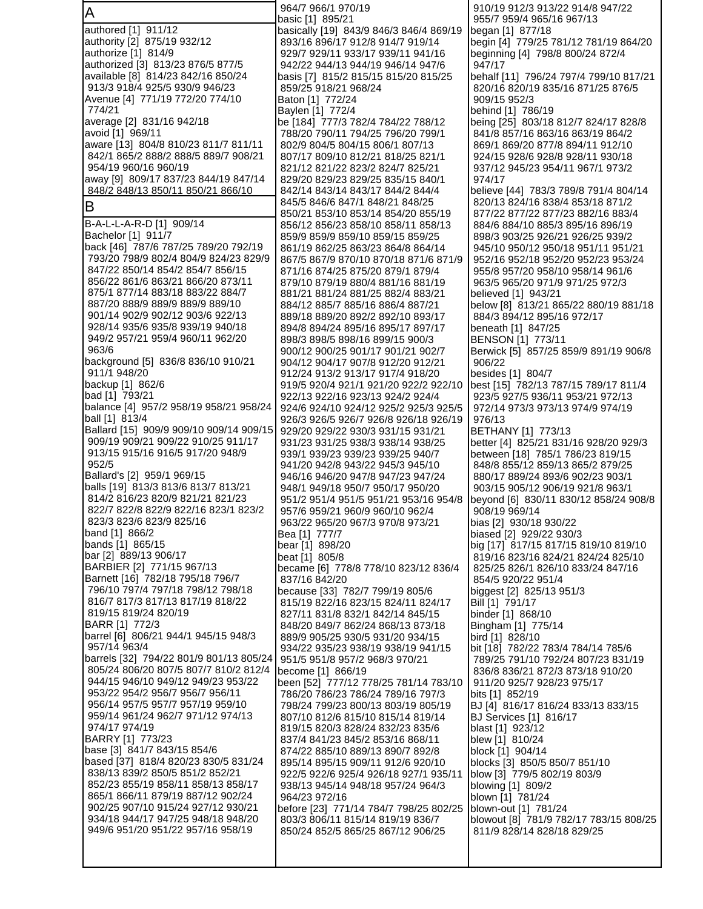| A                                                                                | 964/7 966/1 970/19                                                     | 910/19 912/3 913/22 914/8 947/22<br>955/7 959/4 965/16 967/13             |
|----------------------------------------------------------------------------------|------------------------------------------------------------------------|---------------------------------------------------------------------------|
| authored [1] 911/12                                                              | basic [1] 895/21<br>basically [19] 843/9 846/3 846/4 869/19            | began [1] 877/18                                                          |
| authority [2] 875/19 932/12                                                      | 893/16 896/17 912/8 914/7 919/14                                       | begin [4] 779/25 781/12 781/19 864/20                                     |
| authorize [1] 814/9                                                              | 929/7 929/11 933/17 939/11 941/16                                      | beginning [4] 798/8 800/24 872/4                                          |
| authorized [3] 813/23 876/5 877/5                                                | 942/22 944/13 944/19 946/14 947/6                                      | 947/17                                                                    |
| available [8] 814/23 842/16 850/24                                               | basis [7]  815/2 815/15 815/20 815/25                                  | behalf [11] 796/24 797/4 799/10 817/21                                    |
| 913/3 918/4 925/5 930/9 946/23                                                   | 859/25 918/21 968/24                                                   | 820/16 820/19 835/16 871/25 876/5                                         |
| Avenue [4] 771/19 772/20 774/10<br>774/21                                        | Baton [1] 772/24                                                       | 909/15 952/3                                                              |
| average [2] 831/16 942/18                                                        | Baylen [1] 772/4<br>be [184] 777/3 782/4 784/22 788/12                 | behind [1] 786/19<br>being [25] 803/18 812/7 824/17 828/8                 |
| avoid [1] 969/11                                                                 | 788/20 790/11 794/25 796/20 799/1                                      | 841/8 857/16 863/16 863/19 864/2                                          |
| aware [13] 804/8 810/23 811/7 811/11                                             | 802/9 804/5 804/15 806/1 807/13                                        | 869/1 869/20 877/8 894/11 912/10                                          |
| 842/1 865/2 888/2 888/5 889/7 908/21                                             | 807/17 809/10 812/21 818/25 821/1                                      | 924/15 928/6 928/8 928/11 930/18                                          |
| 954/19 960/16 960/19                                                             | 821/12 821/22 823/2 824/7 825/21                                       | 937/12 945/23 954/11 967/1 973/2                                          |
| away [9] 809/17 837/23 844/19 847/14                                             | 829/20 829/23 829/25 835/15 840/1                                      | 974/17                                                                    |
| 848/2 848/13 850/11 850/21 866/10                                                | 842/14 843/14 843/17 844/2 844/4<br>845/5 846/6 847/1 848/21 848/25    | believe [44] 783/3 789/8 791/4 804/14<br>820/13 824/16 838/4 853/18 871/2 |
| B                                                                                | 850/21 853/10 853/14 854/20 855/19                                     | 877/22 877/22 877/23 882/16 883/4                                         |
| B-A-L-L-A-R-D [1] 909/14                                                         | 856/12 856/23 858/10 858/11 858/13                                     | 884/6 884/10 885/3 895/16 896/19                                          |
| Bachelor [1] 911/7                                                               | 859/9 859/9 859/10 859/15 859/25                                       | 898/3 903/25 926/21 926/25 939/2                                          |
| back [46] 787/6 787/25 789/20 792/19                                             | 861/19 862/25 863/23 864/8 864/14                                      | 945/10 950/12 950/18 951/11 951/21                                        |
| 793/20 798/9 802/4 804/9 824/23 829/9                                            | 867/5 867/9 870/10 870/18 871/6 871/9                                  | 952/16 952/18 952/20 952/23 953/24                                        |
| 847/22 850/14 854/2 854/7 856/15<br>856/22 861/6 863/21 866/20 873/11            | 871/16 874/25 875/20 879/1 879/4                                       | 955/8 957/20 958/10 958/14 961/6                                          |
| 875/1 877/14 883/18 883/22 884/7                                                 | 879/10 879/19 880/4 881/16 881/19<br>881/21 881/24 881/25 882/4 883/21 | 963/5 965/20 971/9 971/25 972/3<br>believed [1] 943/21                    |
| 887/20 888/9 889/9 889/9 889/10                                                  | 884/12 885/7 885/16 886/4 887/21                                       | below [8] 813/21 865/22 880/19 881/18                                     |
| 901/14 902/9 902/12 903/6 922/13                                                 | 889/18 889/20 892/2 892/10 893/17                                      | 884/3 894/12 895/16 972/17                                                |
| 928/14 935/6 935/8 939/19 940/18                                                 | 894/8 894/24 895/16 895/17 897/17                                      | beneath [1] 847/25                                                        |
| 949/2 957/21 959/4 960/11 962/20                                                 | 898/3 898/5 898/16 899/15 900/3                                        | BENSON [1] 773/11                                                         |
| 963/6<br>background [5] 836/8 836/10 910/21                                      | 900/12 900/25 901/17 901/21 902/7                                      | Berwick [5] 857/25 859/9 891/19 906/8                                     |
| 911/1 948/20                                                                     | 904/12 904/17 907/8 912/20 912/21<br>912/24 913/2 913/17 917/4 918/20  | 906/22<br>besides [1] 804/7                                               |
| backup [1] 862/6                                                                 | 919/5 920/4 921/1 921/20 922/2 922/10                                  | best [15] 782/13 787/15 789/17 811/4                                      |
| bad [1] 793/21                                                                   | 922/13 922/16 923/13 924/2 924/4                                       | 923/5 927/5 936/11 953/21 972/13                                          |
| balance [4] 957/2 958/19 958/21 958/24                                           | 924/6 924/10 924/12 925/2 925/3 925/5                                  | 972/14 973/3 973/13 974/9 974/19                                          |
| ball [1] 813/4                                                                   | 926/3 926/5 926/7 926/8 926/18 926/19                                  | 976/13                                                                    |
| Ballard [15] 909/9 909/10 909/14 909/15<br>909/19 909/21 909/22 910/25 911/17    | 929/20 929/22 930/3 931/15 931/21                                      | BETHANY [1] 773/13                                                        |
| 913/15 915/16 916/5 917/20 948/9                                                 | 931/23 931/25 938/3 938/14 938/25<br>939/1 939/23 939/23 939/25 940/7  | better [4] 825/21 831/16 928/20 929/3<br>between [18] 785/1 786/23 819/15 |
| 952/5                                                                            | 941/20 942/8 943/22 945/3 945/10                                       | 848/8 855/12 859/13 865/2 879/25                                          |
| Ballard's [2] 959/1 969/15                                                       | 946/16 946/20 947/8 947/23 947/24                                      | 880/17 889/24 893/6 902/23 903/1                                          |
| balls [19] 813/3 813/6 813/7 813/21                                              | 948/1 949/18 950/7 950/17 950/20                                       | 903/15 905/12 906/19 921/8 963/1                                          |
| 814/2 816/23 820/9 821/21 821/23                                                 | 951/2 951/4 951/5 951/21 953/16 954/8                                  | beyond [6] 830/11 830/12 858/24 908/8                                     |
| 822/7 822/8 822/9 822/16 823/1 823/2<br>823/3 823/6 823/9 825/16                 | 957/6 959/21 960/9 960/10 962/4<br>963/22 965/20 967/3 970/8 973/21    | 908/19 969/14<br>bias [2] 930/18 930/22                                   |
| band [1] 866/2                                                                   | Bea [1] 777/7                                                          | biased [2] 929/22 930/3                                                   |
| bands [1] 865/15                                                                 | bear [1] 898/20                                                        | big [17] 817/15 817/15 819/10 819/10                                      |
| bar [2] 889/13 906/17                                                            | beat [1] 805/8                                                         | 819/16 823/16 824/21 824/24 825/10                                        |
| BARBIER [2] 771/15 967/13                                                        | became [6] 778/8 778/10 823/12 836/4                                   | 825/25 826/1 826/10 833/24 847/16                                         |
| Barnett [16] 782/18 795/18 796/7                                                 | 837/16 842/20                                                          | 854/5 920/22 951/4                                                        |
| 796/10 797/4 797/18 798/12 798/18<br>816/7 817/3 817/13 817/19 818/22            | because [33] 782/7 799/19 805/6<br>815/19 822/16 823/15 824/11 824/17  | biggest [2] 825/13 951/3<br>Bill [1] 791/17                               |
| 819/15 819/24 820/19                                                             | 827/11 831/8 832/1 842/14 845/15                                       | binder [1] 868/10                                                         |
| BARR [1] 772/3                                                                   | 848/20 849/7 862/24 868/13 873/18                                      | Bingham [1] 775/14                                                        |
| barrel [6] 806/21 944/1 945/15 948/3                                             | 889/9 905/25 930/5 931/20 934/15                                       | bird [1] 828/10                                                           |
| 957/14 963/4                                                                     | 934/22 935/23 938/19 938/19 941/15                                     | bit [18] 782/22 783/4 784/14 785/6                                        |
| barrels [32] 794/22 801/9 801/13 805/24<br>805/24 806/20 807/5 807/7 810/2 812/4 | 951/5 951/8 957/2 968/3 970/21                                         | 789/25 791/10 792/24 807/23 831/19                                        |
| 944/15 946/10 949/12 949/23 953/22                                               | become [1] 866/19<br>been [52] 777/12 778/25 781/14 783/10             | 836/8 836/21 872/3 873/18 910/20<br>911/20 925/7 928/23 975/17            |
| 953/22 954/2 956/7 956/7 956/11                                                  | 786/20 786/23 786/24 789/16 797/3                                      | bits [1] 852/19                                                           |
| 956/14 957/5 957/7 957/19 959/10                                                 | 798/24 799/23 800/13 803/19 805/19                                     | BJ [4] 816/17 816/24 833/13 833/15                                        |
| 959/14 961/24 962/7 971/12 974/13                                                | 807/10 812/6 815/10 815/14 819/14                                      | <b>BJ Services [1] 816/17</b>                                             |
| 974/17 974/19                                                                    | 819/15 820/3 828/24 832/23 835/6                                       | blast [1] 923/12                                                          |
| BARRY [1] 773/23<br>base [3] 841/7 843/15 854/6                                  | 837/4 841/23 845/2 853/16 868/11<br>874/22 885/10 889/13 890/7 892/8   | blew [1] 810/24<br>block [1] 904/14                                       |
| based [37] 818/4 820/23 830/5 831/24                                             | 895/14 895/15 909/11 912/6 920/10                                      | blocks [3] 850/5 850/7 851/10                                             |
| 838/13 839/2 850/5 851/2 852/21                                                  | 922/5 922/6 925/4 926/18 927/1 935/11                                  | blow [3] 779/5 802/19 803/9                                               |
| 852/23 855/19 858/11 858/13 858/17                                               | 938/13 945/14 948/18 957/24 964/3                                      | blowing [1] 809/2                                                         |
| 865/1 866/11 879/19 887/12 902/24                                                | 964/23 972/16                                                          | blown [1] 781/24                                                          |
| 902/25 907/10 915/24 927/12 930/21                                               | before [23] 771/14 784/7 798/25 802/25                                 | blown-out [1] 781/24                                                      |
| 934/18 944/17 947/25 948/18 948/20<br>949/6 951/20 951/22 957/16 958/19          | 803/3 806/11 815/14 819/19 836/7<br>850/24 852/5 865/25 867/12 906/25  | blowout [8] 781/9 782/17 783/15 808/25<br>811/9 828/14 828/18 829/25      |
|                                                                                  |                                                                        |                                                                           |
|                                                                                  |                                                                        |                                                                           |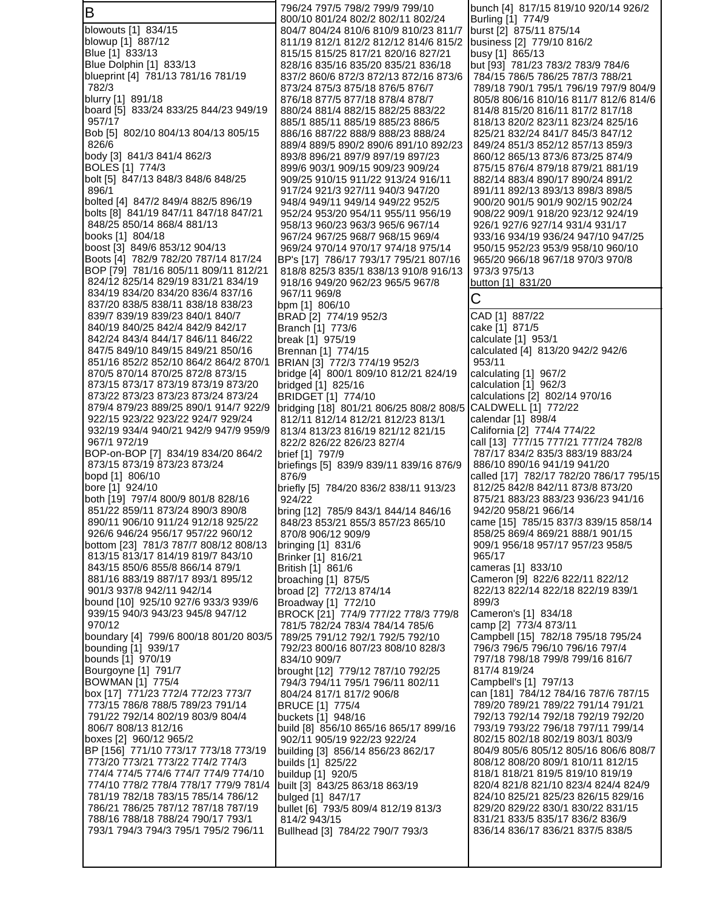B blowouts [1] 834/15 blowup [1] 887/12 Blue [1] 833/13 Blue Dolphin [1] 833/13 blueprint [4] 781/13 781/16 781/19 782/3 blurry [1] 891/18 board [5] 833/24 833/25 844/23 949/19 957/17 Bob [5] 802/10 804/13 804/13 805/15 826/6 body [3] 841/3 841/4 862/3 BOLES [1] 774/3 bolt [5] 847/13 848/3 848/6 848/25 896/1 bolted [4] 847/2 849/4 882/5 896/19 bolts [8] 841/19 847/11 847/18 847/21 848/25 850/14 868/4 881/13 books [1] 804/18 boost [3] 849/6 853/12 904/13 Boots [4] 782/9 782/20 787/14 817/24 BOP [79] 781/16 805/11 809/11 812/21 824/12 825/14 829/19 831/21 834/19 834/19 834/20 834/20 836/4 837/16 837/20 838/5 838/11 838/18 838/23 839/7 839/19 839/23 840/1 840/7 840/19 840/25 842/4 842/9 842/17 842/24 843/4 844/17 846/11 846/22 847/5 849/10 849/15 849/21 850/16 851/16 852/2 852/10 864/2 864/2 870/1 870/5 870/14 870/25 872/8 873/15 873/15 873/17 873/19 873/19 873/20 873/22 873/23 873/23 873/24 873/24 879/4 879/23 889/25 890/1 914/7 922/9 922/15 923/22 923/22 924/7 929/24 932/19 934/4 940/21 942/9 947/9 959/9 967/1 972/19 BOP-on-BOP [7] 834/19 834/20 864/2 873/15 873/19 873/23 873/24 bopd [1] 806/10 bore [1] 924/10 both [19] 797/4 800/9 801/8 828/16 851/22 859/11 873/24 890/3 890/8 890/11 906/10 911/24 912/18 925/22 926/6 946/24 956/17 957/22 960/12 bottom [23] 781/3 787/7 808/12 808/13 813/15 813/17 814/19 819/7 843/10 843/15 850/6 855/8 866/14 879/1 881/16 883/19 887/17 893/1 895/12 901/3 937/8 942/11 942/14 bound [10] 925/10 927/6 933/3 939/6 939/15 940/3 943/23 945/8 947/12 970/12 boundary [4] 799/6 800/18 801/20 803/5 bounding [1] 939/17 bounds [1] 970/19 Bourgoyne [1] 791/7 BOWMAN [1] 775/4 box [17] 771/23 772/4 772/23 773/7 773/15 786/8 788/5 789/23 791/14 791/22 792/14 802/19 803/9 804/4 806/7 808/13 812/16 boxes [2] 960/12 965/2 BP [156] 771/10 773/17 773/18 773/19 773/20 773/21 773/22 774/2 774/3 774/4 774/5 774/6 774/7 774/9 774/10 774/10 778/2 778/4 778/17 779/9 781/4 781/19 782/18 783/15 785/14 786/12 786/21 786/25 787/12 787/18 787/19 788/16 788/18 788/24 790/17 793/1 793/1 794/3 794/3 795/1 795/2 796/11 796/24 797/5 798/2 799/9 799/10 800/10 801/24 802/2 802/11 802/24 804/7 804/24 810/6 810/9 810/23 811/7 811/19 812/1 812/2 812/12 814/6 815/2 815/15 815/25 817/21 820/16 827/21 828/16 835/16 835/20 835/21 836/18 837/2 860/6 872/3 872/13 872/16 873/6 873/24 875/3 875/18 876/5 876/7 876/18 877/5 877/18 878/4 878/7 880/24 881/4 882/15 882/25 883/22 885/1 885/11 885/19 885/23 886/5 886/16 887/22 888/9 888/23 888/24 889/4 889/5 890/2 890/6 891/10 892/23 893/8 896/21 897/9 897/19 897/23 899/6 903/1 909/15 909/23 909/24 909/25 910/15 911/22 913/24 916/11 917/24 921/3 927/11 940/3 947/20 948/4 949/11 949/14 949/22 952/5 952/24 953/20 954/11 955/11 956/19 958/13 960/23 963/3 965/6 967/14 967/24 967/25 968/7 968/15 969/4 969/24 970/14 970/17 974/18 975/14 BP's [17] 786/17 793/17 795/21 807/16 818/8 825/3 835/1 838/13 910/8 916/13 918/16 949/20 962/23 965/5 967/8 967/11 969/8 bpm [1] 806/10 BRAD [2] 774/19 952/3 Branch [1] 773/6 break [1] 975/19 Brennan [1] 774/15 BRIAN [3] 772/3 774/19 952/3 bridge [4] 800/1 809/10 812/21 824/19 bridged [1] 825/16 BRIDGET [1] 774/10 bridging [18] 801/21 806/25 808/2 808/5 812/11 812/14 812/21 812/23 813/1 813/4 813/23 816/19 821/12 821/15 822/2 826/22 826/23 827/4 brief [1] 797/9 briefings [5] 839/9 839/11 839/16 876/9 876/9 briefly [5] 784/20 836/2 838/11 913/23 924/22 bring [12] 785/9 843/1 844/14 846/16 848/23 853/21 855/3 857/23 865/10 870/8 906/12 909/9 bringing [1] 831/6 Brinker [1] 816/21 British [1] 861/6 broaching [1] 875/5 broad [2] 772/13 874/14 Broadway [1] 772/10 BROCK [21] 774/9 777/22 778/3 779/8 781/5 782/24 783/4 784/14 785/6 789/25 791/12 792/1 792/5 792/10 792/23 800/16 807/23 808/10 828/3 834/10 909/7 brought [12] 779/12 787/10 792/25 794/3 794/11 795/1 796/11 802/11 804/24 817/1 817/2 906/8 BRUCE [1] 775/4 buckets [1] 948/16 build [8] 856/10 865/16 865/17 899/16 902/11 905/19 922/23 922/24 building [3] 856/14 856/23 862/17 builds [1] 825/22 buildup [1] 920/5 built [3] 843/25 863/18 863/19 bulged [1] 847/17 bullet [6] 793/5 809/4 812/19 813/3 814/2 943/15 Bullhead [3] 784/22 790/7 793/3 bunch [4] 817/15 819/10 920/14 926/2 Burling [1] 774/9 burst [2] 875/11 875/14 business [2] 779/10 816/2 busy [1] 865/13 but [93] 781/23 783/2 783/9 784/6 784/15 786/5 786/25 787/3 788/21 789/18 790/1 795/1 796/19 797/9 804/9 805/8 806/16 810/16 811/7 812/6 814/6 814/8 815/20 816/11 817/2 817/18 818/13 820/2 823/11 823/24 825/16 825/21 832/24 841/7 845/3 847/12 849/24 851/3 852/12 857/13 859/3 860/12 865/13 873/6 873/25 874/9 875/15 876/4 879/18 879/21 881/19 882/14 883/4 890/17 890/24 891/2 891/11 892/13 893/13 898/3 898/5 900/20 901/5 901/9 902/15 902/24 908/22 909/1 918/20 923/12 924/19 926/1 927/6 927/14 931/4 931/17 933/16 934/19 936/24 947/10 947/25 950/15 952/23 953/9 958/10 960/10 965/20 966/18 967/18 970/3 970/8 973/3 975/13 button [1] 831/20 C CAD [1] 887/22 cake [1] 871/5 calculate [1] 953/1 calculated [4] 813/20 942/2 942/6 953/11 calculating [1] 967/2 calculation [1] 962/3 calculations [2] 802/14 970/16 CALDWELL [1] 772/22 calendar [1] 898/4 California [2] 774/4 774/22 call [13] 777/15 777/21 777/24 782/8 787/17 834/2 835/3 883/19 883/24 886/10 890/16 941/19 941/20 called [17] 782/17 782/20 786/17 795/15 812/25 842/8 842/11 873/8 873/20 875/21 883/23 883/23 936/23 941/16 942/20 958/21 966/14 came [15] 785/15 837/3 839/15 858/14 858/25 869/4 869/21 888/1 901/15 909/1 956/18 957/17 957/23 958/5 965/17 cameras [1] 833/10 Cameron [9] 822/6 822/11 822/12 822/13 822/14 822/18 822/19 839/1 899/3 Cameron's [1] 834/18 camp [2] 773/4 873/11 Campbell [15] 782/18 795/18 795/24 796/3 796/5 796/10 796/16 797/4 797/18 798/18 799/8 799/16 816/7 817/4 819/24 Campbell's [1] 797/13 can [181] 784/12 784/16 787/6 787/15 789/20 789/21 789/22 791/14 791/21 792/13 792/14 792/18 792/19 792/20 793/19 793/22 796/18 797/11 799/14 802/15 802/18 802/19 803/1 803/9 804/9 805/6 805/12 805/16 806/6 808/7 808/12 808/20 809/1 810/11 812/15 818/1 818/21 819/5 819/10 819/19 820/4 821/8 821/10 823/4 824/4 824/9 824/10 825/21 825/23 826/15 829/16 829/20 829/22 830/1 830/22 831/15 831/21 833/5 835/17 836/2 836/9 836/14 836/17 836/21 837/5 838/5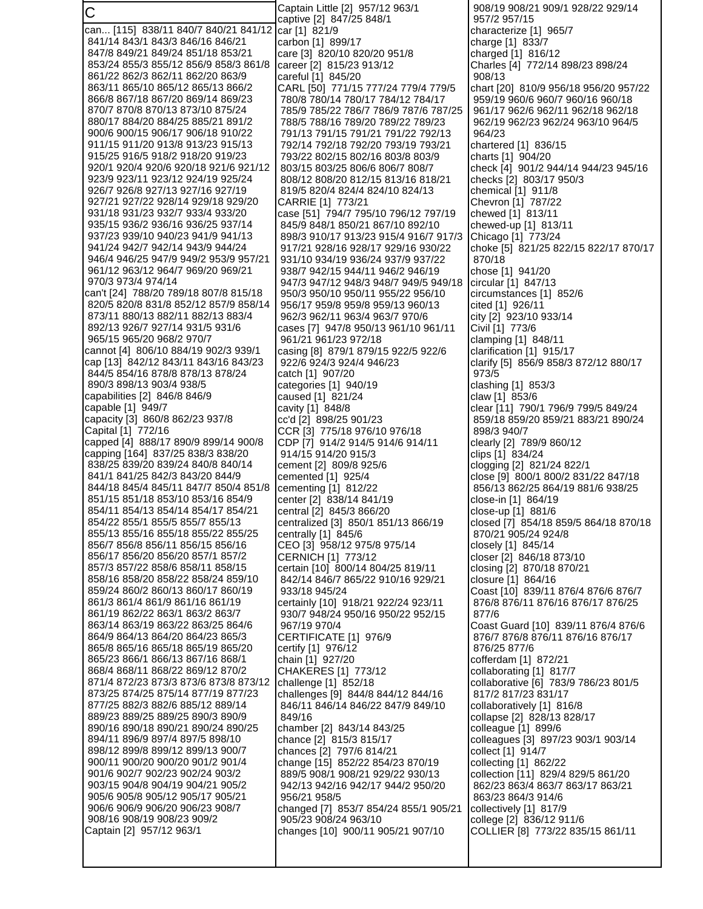C can... [115] 838/11 840/7 840/21 841/12 841/14 843/1 843/3 846/16 846/21 847/8 849/21 849/24 851/18 853/21 853/24 855/3 855/12 856/9 858/3 861/8 861/22 862/3 862/11 862/20 863/9 863/11 865/10 865/12 865/13 866/2 866/8 867/18 867/20 869/14 869/23 870/7 870/8 870/13 873/10 875/24 880/17 884/20 884/25 885/21 891/2 900/6 900/15 906/17 906/18 910/22 911/15 911/20 913/8 913/23 915/13 915/25 916/5 918/2 918/20 919/23 920/1 920/4 920/6 920/18 921/6 921/12 923/9 923/11 923/12 924/19 925/24 926/7 926/8 927/13 927/16 927/19 927/21 927/22 928/14 929/18 929/20 931/18 931/23 932/7 933/4 933/20 935/15 936/2 936/16 936/25 937/14 937/23 939/10 940/23 941/9 941/13 941/24 942/7 942/14 943/9 944/24 946/4 946/25 947/9 949/2 953/9 957/21 961/12 963/12 964/7 969/20 969/21 970/3 973/4 974/14 can't [24] 788/20 789/18 807/8 815/18 820/5 820/8 831/8 852/12 857/9 858/14 873/11 880/13 882/11 882/13 883/4 892/13 926/7 927/14 931/5 931/6 965/15 965/20 968/2 970/7 cannot [4] 806/10 884/19 902/3 939/1 cap [13] 842/12 843/11 843/16 843/23 844/5 854/16 878/8 878/13 878/24 890/3 898/13 903/4 938/5 capabilities [2] 846/8 846/9 capable [1] 949/7 capacity [3] 860/8 862/23 937/8 Capital [1] 772/16 capped [4] 888/17 890/9 899/14 900/8 capping [164] 837/25 838/3 838/20 838/25 839/20 839/24 840/8 840/14 841/1 841/25 842/3 843/20 844/9 844/18 845/4 845/11 847/7 850/4 851/8 851/15 851/18 853/10 853/16 854/9 854/11 854/13 854/14 854/17 854/21 854/22 855/1 855/5 855/7 855/13 855/13 855/16 855/18 855/22 855/25 856/7 856/8 856/11 856/15 856/16 856/17 856/20 856/20 857/1 857/2 857/3 857/22 858/6 858/11 858/15 858/16 858/20 858/22 858/24 859/10 859/24 860/2 860/13 860/17 860/19 861/3 861/4 861/9 861/16 861/19 861/19 862/22 863/1 863/2 863/7 863/14 863/19 863/22 863/25 864/6 864/9 864/13 864/20 864/23 865/3 865/8 865/16 865/18 865/19 865/20 865/23 866/1 866/13 867/16 868/1 868/4 868/11 868/22 869/12 870/2 871/4 872/23 873/3 873/6 873/8 873/12 873/25 874/25 875/14 877/19 877/23 877/25 882/3 882/6 885/12 889/14 889/23 889/25 889/25 890/3 890/9 890/16 890/18 890/21 890/24 890/25 894/11 896/9 897/4 897/5 898/10 898/12 899/8 899/12 899/13 900/7 900/11 900/20 900/20 901/2 901/4 901/6 902/7 902/23 902/24 903/2 903/15 904/8 904/19 904/21 905/2 905/6 905/8 905/12 905/17 905/21 906/6 906/9 906/20 906/23 908/7 908/16 908/19 908/23 909/2 Captain [2] 957/12 963/1 Captain Little [2] 957/12 963/1 captive [2] 847/25 848/1 car [1] 821/9 carbon [1] 899/17 care [3] 820/10 820/20 951/8 career [2] 815/23 913/12 careful [1] 845/20 CARL [50] 771/15 777/24 779/4 779/5 780/8 780/14 780/17 784/12 784/17 785/9 785/22 786/7 786/9 787/6 787/25 788/5 788/16 789/20 789/22 789/23 791/13 791/15 791/21 791/22 792/13 792/14 792/18 792/20 793/19 793/21 793/22 802/15 802/16 803/8 803/9 803/15 803/25 806/6 806/7 808/7 808/12 808/20 812/15 813/16 818/21 819/5 820/4 824/4 824/10 824/13 CARRIE [1] 773/21 case [51] 794/7 795/10 796/12 797/19 845/9 848/1 850/21 867/10 892/10 898/3 910/17 913/23 915/4 916/7 917/3 917/21 928/16 928/17 929/16 930/22 931/10 934/19 936/24 937/9 937/22 938/7 942/15 944/11 946/2 946/19 947/3 947/12 948/3 948/7 949/5 949/18 950/3 950/10 950/11 955/22 956/10 956/17 959/8 959/8 959/13 960/13 962/3 962/11 963/4 963/7 970/6 cases [7] 947/8 950/13 961/10 961/11 961/21 961/23 972/18 casing [8] 879/1 879/15 922/5 922/6 922/6 924/3 924/4 946/23 catch [1] 907/20 categories [1] 940/19 caused [1] 821/24 cavity [1] 848/8 cc'd [2] 898/25 901/23 CCR [3] 775/18 976/10 976/18 CDP [7] 914/2 914/5 914/6 914/11 914/15 914/20 915/3 cement [2] 809/8 925/6 cemented [1] 925/4 cementing [1] 812/22 center [2] 838/14 841/19 central [2] 845/3 866/20 centralized [3] 850/1 851/13 866/19 centrally [1] 845/6 CEO [3] 958/12 975/8 975/14 CERNICH [1] 773/12 certain [10] 800/14 804/25 819/11 842/14 846/7 865/22 910/16 929/21 933/18 945/24 certainly [10] 918/21 922/24 923/11 930/7 948/24 950/16 950/22 952/15 967/19 970/4 CERTIFICATE [1] 976/9 certify [1] 976/12 chain [1] 927/20 CHAKERES [1] 773/12 challenge [1] 852/18 challenges [9] 844/8 844/12 844/16 846/11 846/14 846/22 847/9 849/10 849/16 chamber [2] 843/14 843/25 chance [2] 815/3 815/17 chances [2] 797/6 814/21 change [15] 852/22 854/23 870/19 889/5 908/1 908/21 929/22 930/13 942/13 942/16 942/17 944/2 950/20 956/21 958/5 changed [7] 853/7 854/24 855/1 905/21 905/23 908/24 963/10 changes [10] 900/11 905/21 907/10 908/19 908/21 909/1 928/22 929/14 957/2 957/15 characterize [1] 965/7 charge [1] 833/7 charged [1] 816/12 Charles [4] 772/14 898/23 898/24 908/13 chart [20] 810/9 956/18 956/20 957/22 959/19 960/6 960/7 960/16 960/18 961/17 962/6 962/11 962/18 962/18 962/19 962/23 962/24 963/10 964/5 964/23 chartered [1] 836/15 charts [1] 904/20 check [4] 901/2 944/14 944/23 945/16 checks [2] 803/17 950/3 chemical [1] 911/8 Chevron [1] 787/22 chewed [1] 813/11 chewed-up [1] 813/11 Chicago [1] 773/24 choke [5] 821/25 822/15 822/17 870/17 870/18 chose [1] 941/20 circular [1] 847/13 circumstances [1] 852/6 cited [1] 926/11 city [2] 923/10 933/14 Civil [1] 773/6 clamping [1] 848/11 clarification [1] 915/17 clarify [5] 856/9 858/3 872/12 880/17 973/5 clashing [1] 853/3 claw [1] 853/6 clear [11] 790/1 796/9 799/5 849/24 859/18 859/20 859/21 883/21 890/24 898/3 940/7 clearly [2] 789/9 860/12 clips [1] 834/24 clogging [2] 821/24 822/1 close [9] 800/1 800/2 831/22 847/18 856/13 862/25 864/19 881/6 938/25 close-in [1] 864/19 close-up [1] 881/6 closed [7] 854/18 859/5 864/18 870/18 870/21 905/24 924/8 closely [1] 845/14 closer [2] 846/18 873/10 closing [2] 870/18 870/21 closure [1] 864/16 Coast [10] 839/11 876/4 876/6 876/7 876/8 876/11 876/16 876/17 876/25 877/6 Coast Guard [10] 839/11 876/4 876/6 876/7 876/8 876/11 876/16 876/17 876/25 877/6 cofferdam [1] 872/21 collaborating [1] 817/7 collaborative [6] 783/9 786/23 801/5 817/2 817/23 831/17 collaboratively [1] 816/8 collapse [2] 828/13 828/17 colleague [1] 899/6 colleagues [3] 897/23 903/1 903/14 collect [1] 914/7 collecting [1] 862/22 collection [11] 829/4 829/5 861/20 862/23 863/4 863/7 863/17 863/21 863/23 864/3 914/6 collectively [1] 817/9 college [2] 836/12 911/6 COLLIER [8] 773/22 835/15 861/11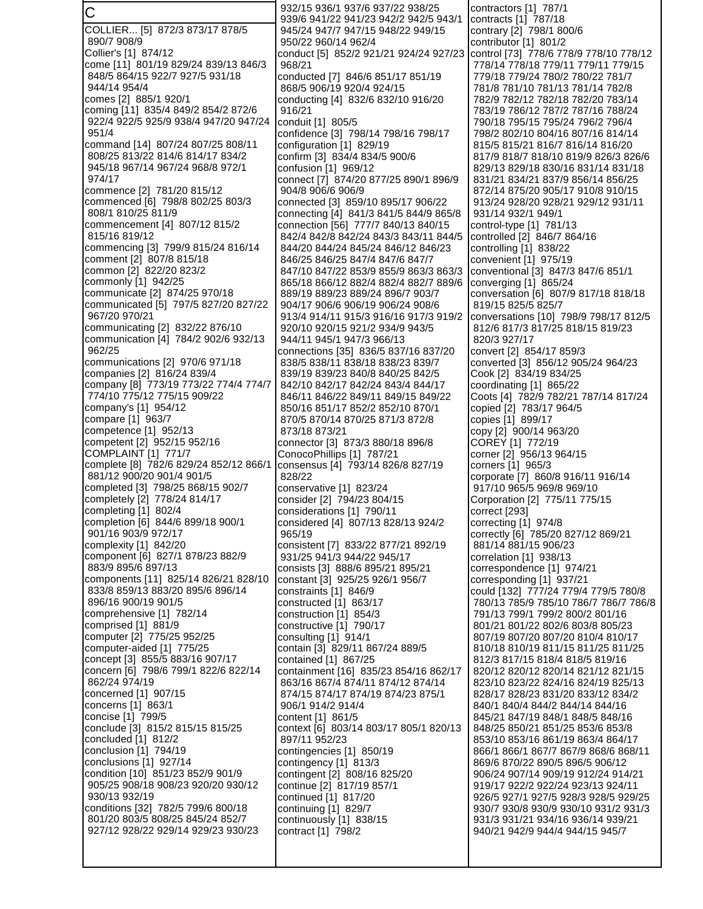C COLLIER... [5] 872/3 873/17 878/5 890/7 908/9 Collier's [1] 874/12 come [11] 801/19 829/24 839/13 846/3 848/5 864/15 922/7 927/5 931/18 944/14 954/4 comes [2] 885/1 920/1 coming [11] 835/4 849/2 854/2 872/6 922/4 922/5 925/9 938/4 947/20 947/24 951/4 command [14] 807/24 807/25 808/11 808/25 813/22 814/6 814/17 834/2 945/18 967/14 967/24 968/8 972/1 974/17 commence [2] 781/20 815/12 commenced [6] 798/8 802/25 803/3 808/1 810/25 811/9 commencement [4] 807/12 815/2 815/16 819/12 commencing [3] 799/9 815/24 816/14 comment [2] 807/8 815/18 common [2] 822/20 823/2 commonly [1] 942/25 communicate [2] 874/25 970/18 communicated [5] 797/5 827/20 827/22 967/20 970/21 communicating [2] 832/22 876/10 communication [4] 784/2 902/6 932/13 962/25 communications [2] 970/6 971/18 companies [2] 816/24 839/4 company [8] 773/19 773/22 774/4 774/7 774/10 775/12 775/15 909/22 company's [1] 954/12 compare [1] 963/7 competence [1] 952/13 competent [2] 952/15 952/16 COMPLAINT [1] 771/7 complete [8] 782/6 829/24 852/12 866/1 881/12 900/20 901/4 901/5 completed [3] 798/25 868/15 902/7 completely [2] 778/24 814/17 completing [1] 802/4 completion [6] 844/6 899/18 900/1 901/16 903/9 972/17 complexity [1] 842/20 component [6] 827/1 878/23 882/9 883/9 895/6 897/13 components [11] 825/14 826/21 828/10 833/8 859/13 883/20 895/6 896/14 896/16 900/19 901/5 comprehensive [1] 782/14 comprised [1] 881/9 computer [2] 775/25 952/25 computer-aided [1] 775/25 concept [3] 855/5 883/16 907/17 concern [6] 798/6 799/1 822/6 822/14 862/24 974/19 concerned [1] 907/15 concerns [1] 863/1 concise [1] 799/5 conclude [3] 815/2 815/15 815/25 concluded [1] 812/2 conclusion [1] 794/19 conclusions [1] 927/14 condition [10] 851/23 852/9 901/9 905/25 908/18 908/23 920/20 930/12 930/13 932/19 conditions [32] 782/5 799/6 800/18 801/20 803/5 808/25 845/24 852/7 927/12 928/22 929/14 929/23 930/23 932/15 936/1 937/6 937/22 938/25 939/6 941/22 941/23 942/2 942/5 943/1 945/24 947/7 947/15 948/22 949/15 950/22 960/14 962/4 conduct [5] 852/2 921/21 924/24 927/23 968/21 conducted [7] 846/6 851/17 851/19 868/5 906/19 920/4 924/15 conducting [4] 832/6 832/10 916/20 916/21 conduit [1] 805/5 confidence [3] 798/14 798/16 798/17 configuration [1] 829/19 confirm [3] 834/4 834/5 900/6 confusion [1] 969/12 connect [7] 874/20 877/25 890/1 896/9 904/8 906/6 906/9 connected [3] 859/10 895/17 906/22 connecting [4] 841/3 841/5 844/9 865/8 connection [56] 777/7 840/13 840/15 842/4 842/8 842/24 843/3 843/11 844/5 844/20 844/24 845/24 846/12 846/23 846/25 846/25 847/4 847/6 847/7 847/10 847/22 853/9 855/9 863/3 863/3 865/18 866/12 882/4 882/4 882/7 889/6 889/19 889/23 889/24 896/7 903/7 904/17 906/6 906/19 906/24 908/6 913/4 914/11 915/3 916/16 917/3 919/2 920/10 920/15 921/2 934/9 943/5 944/11 945/1 947/3 966/13 connections [35] 836/5 837/16 837/20 838/5 838/11 838/18 838/23 839/7 839/19 839/23 840/8 840/25 842/5 842/10 842/17 842/24 843/4 844/17 846/11 846/22 849/11 849/15 849/22 850/16 851/17 852/2 852/10 870/1 870/5 870/14 870/25 871/3 872/8 873/18 873/21 connector [3] 873/3 880/18 896/8 ConocoPhillips [1] 787/21 consensus [4] 793/14 826/8 827/19 828/22 conservative [1] 823/24 consider [2] 794/23 804/15 considerations [1] 790/11 considered [4] 807/13 828/13 924/2 965/19 consistent [7] 833/22 877/21 892/19 931/25 941/3 944/22 945/17 consists [3] 888/6 895/21 895/21 constant [3] 925/25 926/1 956/7 constraints [1] 846/9 constructed [1] 863/17 construction [1] 854/3 constructive [1] 790/17 consulting [1] 914/1 contain [3] 829/11 867/24 889/5 contained [1] 867/25 containment [16] 835/23 854/16 862/17 863/16 867/4 874/11 874/12 874/14 874/15 874/17 874/19 874/23 875/1 906/1 914/2 914/4 content [1] 861/5 context [6] 803/14 803/17 805/1 820/13 897/11 952/23 contingencies [1] 850/19 contingency [1] 813/3 contingent [2] 808/16 825/20 continue [2] 817/19 857/1 continued [1] 817/20 continuing [1] 829/7 continuously [1] 838/15 contract [1] 798/2 contractors [1] 787/1 contracts [1] 787/18 contrary [2] 798/1 800/6 contributor [1] 801/2 control [73] 778/6 778/9 778/10 778/12 778/14 778/18 779/11 779/11 779/15 779/18 779/24 780/2 780/22 781/7 781/8 781/10 781/13 781/14 782/8 782/9 782/12 782/18 782/20 783/14 783/19 786/12 787/2 787/16 788/24 790/18 795/15 795/24 796/2 796/4 798/2 802/10 804/16 807/16 814/14 815/5 815/21 816/7 816/14 816/20 817/9 818/7 818/10 819/9 826/3 826/6 829/13 829/18 830/16 831/14 831/18 831/21 834/21 837/9 856/14 856/25 872/14 875/20 905/17 910/8 910/15 913/24 928/20 928/21 929/12 931/11 931/14 932/1 949/1 control-type [1] 781/13 controlled [2] 846/7 864/16 controlling [1] 838/22 convenient [1] 975/19 conventional [3] 847/3 847/6 851/1 converging [1] 865/24 conversation [6] 807/9 817/18 818/18 819/15 825/5 825/7 conversations [10] 798/9 798/17 812/5 812/6 817/3 817/25 818/15 819/23 820/3 927/17 convert [2] 854/17 859/3 converted [3] 856/12 905/24 964/23 Cook [2] 834/19 834/25 coordinating [1] 865/22 Coots [4] 782/9 782/21 787/14 817/24 copied [2] 783/17 964/5 copies [1] 899/17 copy [2] 900/14 963/20 COREY [1] 772/19 corner [2] 956/13 964/15 corners [1] 965/3 corporate [7] 860/8 916/11 916/14 917/10 965/5 969/8 969/10 Corporation [2] 775/11 775/15 correct [293] correcting [1] 974/8 correctly [6] 785/20 827/12 869/21 881/14 881/15 906/23 correlation [1] 938/13 correspondence [1] 974/21 corresponding [1] 937/21 could [132] 777/24 779/4 779/5 780/8 780/13 785/9 785/10 786/7 786/7 786/8 791/13 799/1 799/2 800/2 801/16 801/21 801/22 802/6 803/8 805/23 807/19 807/20 807/20 810/4 810/17 810/18 810/19 811/15 811/25 811/25 812/3 817/15 818/4 818/5 819/16 820/12 820/12 820/14 821/12 821/15 823/10 823/22 824/16 824/19 825/13 828/17 828/23 831/20 833/12 834/2 840/1 840/4 844/2 844/14 844/16 845/21 847/19 848/1 848/5 848/16 848/25 850/21 851/25 853/6 853/8 853/10 853/16 861/19 863/4 864/17 866/1 866/1 867/7 867/9 868/6 868/11 869/6 870/22 890/5 896/5 906/12 906/24 907/14 909/19 912/24 914/21 919/17 922/2 922/24 923/13 924/11 926/5 927/1 927/5 928/3 928/5 929/25 930/7 930/8 930/9 930/10 931/2 931/3 931/3 931/21 934/16 936/14 939/21 940/21 942/9 944/4 944/15 945/7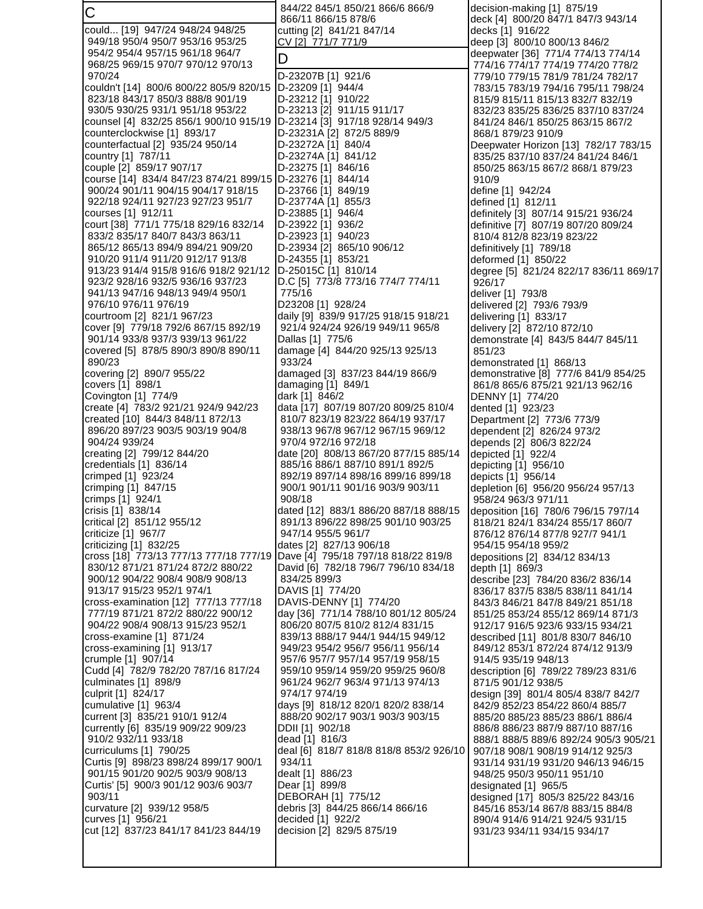| C                                                                        | 844/22 845/1 850/21 866/6 866/9                                           | decision-making [1] 875/19                                                |
|--------------------------------------------------------------------------|---------------------------------------------------------------------------|---------------------------------------------------------------------------|
|                                                                          | 866/11 866/15 878/6                                                       | deck [4] 800/20 847/1 847/3 943/14                                        |
| could [19] 947/24 948/24 948/25<br>949/18 950/4 950/7 953/16 953/25      | cutting [2] 841/21 847/14<br>CV [2] 771/7 771/9                           | decks [1] 916/22<br>deep [3] 800/10 800/13 846/2                          |
| 954/2 954/4 957/15 961/18 964/7                                          |                                                                           | deepwater [36] 771/4 774/13 774/14                                        |
| 968/25 969/15 970/7 970/12 970/13                                        | D                                                                         | 774/16 774/17 774/19 774/20 778/2                                         |
| 970/24                                                                   | D-23207B [1] 921/6                                                        | 779/10 779/15 781/9 781/24 782/17                                         |
| couldn't [14] 800/6 800/22 805/9 820/15                                  | D-23209 [1] 944/4                                                         | 783/15 783/19 794/16 795/11 798/24                                        |
| 823/18 843/17 850/3 888/8 901/19                                         | D-23212 [1] 910/22                                                        | 815/9 815/11 815/13 832/7 832/19                                          |
| 930/5 930/25 931/1 951/18 953/22                                         | D-23213 [2] 911/15 911/17                                                 | 832/23 835/25 836/25 837/10 837/24                                        |
| counsel [4] 832/25 856/1 900/10 915/19                                   | D-23214 [3] 917/18 928/14 949/3                                           | 841/24 846/1 850/25 863/15 867/2                                          |
| counterclockwise [1] 893/17                                              | D-23231A [2] 872/5 889/9                                                  | 868/1 879/23 910/9                                                        |
| counterfactual [2] 935/24 950/14                                         | D-23272A [1] 840/4                                                        | Deepwater Horizon [13] 782/17 783/15                                      |
| country [1] 787/11<br>couple [2] 859/17 907/17                           | D-23274A [1] 841/12<br>D-23275 [1] 846/16                                 | 835/25 837/10 837/24 841/24 846/1<br>850/25 863/15 867/2 868/1 879/23     |
| course [14] 834/4 847/23 874/21 899/15                                   | D-23276 [1] 844/14                                                        | 910/9                                                                     |
| 900/24 901/11 904/15 904/17 918/15                                       | D-23766 [1] 849/19                                                        | define [1] 942/24                                                         |
| 922/18 924/11 927/23 927/23 951/7                                        | D-23774A [1] 855/3                                                        | defined [1] 812/11                                                        |
| courses [1] 912/11                                                       | D-23885 [1] 946/4                                                         | definitely [3] 807/14 915/21 936/24                                       |
| court [38] 771/1 775/18 829/16 832/14                                    | D-23922 [1] 936/2                                                         | definitive [7] 807/19 807/20 809/24                                       |
| 833/2 835/17 840/7 843/3 863/11                                          | D-23923 [1] 940/23                                                        | 810/4 812/8 823/19 823/22                                                 |
| 865/12 865/13 894/9 894/21 909/20                                        | D-23934 [2] 865/10 906/12                                                 | definitively [1] 789/18                                                   |
| 910/20 911/4 911/20 912/17 913/8                                         | D-24355 [1] 853/21                                                        | deformed [1] 850/22                                                       |
| 913/23 914/4 915/8 916/6 918/2 921/12                                    | D-25015C [1] 810/14                                                       | degree [5] 821/24 822/17 836/11 869/17                                    |
| 923/2 928/16 932/5 936/16 937/23                                         | D.C [5] 773/8 773/16 774/7 774/11<br>775/16                               | 926/17                                                                    |
| 941/13 947/16 948/13 949/4 950/1<br>976/10 976/11 976/19                 | D23208 [1] 928/24                                                         | deliver [1] 793/8<br>delivered [2] 793/6 793/9                            |
| courtroom [2] 821/1 967/23                                               | daily [9] 839/9 917/25 918/15 918/21                                      | delivering [1] 833/17                                                     |
| cover [9] 779/18 792/6 867/15 892/19                                     | 921/4 924/24 926/19 949/11 965/8                                          | delivery [2] 872/10 872/10                                                |
| 901/14 933/8 937/3 939/13 961/22                                         | Dallas [1] 775/6                                                          | demonstrate [4] 843/5 844/7 845/11                                        |
| covered [5] 878/5 890/3 890/8 890/11                                     | damage [4] 844/20 925/13 925/13                                           | 851/23                                                                    |
| 890/23                                                                   | 933/24                                                                    | demonstrated [1] 868/13                                                   |
| covering [2] 890/7 955/22                                                | damaged [3] 837/23 844/19 866/9                                           | demonstrative [8] 777/6 841/9 854/25                                      |
| covers [1] 898/1                                                         | damaging [1] 849/1                                                        | 861/8 865/6 875/21 921/13 962/16                                          |
| Covington [1] 774/9                                                      | dark [1] 846/2                                                            | DENNY [1] 774/20                                                          |
| create [4] 783/2 921/21 924/9 942/23<br>created [10] 844/3 848/11 872/13 | data [17] 807/19 807/20 809/25 810/4<br>810/7 823/19 823/22 864/19 937/17 | dented [1] 923/23<br>Department [2] 773/6 773/9                           |
| 896/20 897/23 903/5 903/19 904/8                                         | 938/13 967/8 967/12 967/15 969/12                                         | dependent [2] 826/24 973/2                                                |
| 904/24 939/24                                                            | 970/4 972/16 972/18                                                       | depends [2] 806/3 822/24                                                  |
| creating [2] 799/12 844/20                                               | date [20] 808/13 867/20 877/15 885/14                                     | depicted [1] 922/4                                                        |
| credentials [1] 836/14                                                   | 885/16 886/1 887/10 891/1 892/5                                           | depicting [1] 956/10                                                      |
| crimped [1] 923/24                                                       | 892/19 897/14 898/16 899/16 899/18                                        | depicts [1] 956/14                                                        |
| crimping [1] 847/15                                                      | 900/1 901/11 901/16 903/9 903/11                                          | depletion [6] 956/20 956/24 957/13                                        |
| crimps [1] 924/1<br>crisis [1] 838/14                                    | 908/18<br>dated [12] 883/1 886/20 887/18 888/15                           | 958/24 963/3 971/11                                                       |
| critical [2] 851/12 955/12                                               | 891/13 896/22 898/25 901/10 903/25                                        | deposition [16] 780/6 796/15 797/14<br>818/21 824/1 834/24 855/17 860/7   |
| criticize [1] 967/7                                                      | 947/14 955/5 961/7                                                        | 876/12 876/14 877/8 927/7 941/1                                           |
| criticizing [1] 832/25                                                   | dates [2] 827/13 906/18                                                   | 954/15 954/18 959/2                                                       |
| cross [18] 773/13 777/13 777/18 777/19                                   | Dave [4] 795/18 797/18 818/22 819/8                                       | depositions [2] 834/12 834/13                                             |
| 830/12 871/21 871/24 872/2 880/22                                        | David [6] 782/18 796/7 796/10 834/18                                      | depth [1] 869/3                                                           |
| 900/12 904/22 908/4 908/9 908/13                                         | 834/25 899/3                                                              | describe [23] 784/20 836/2 836/14                                         |
| 913/17 915/23 952/1 974/1                                                | DAVIS [1] 774/20                                                          | 836/17 837/5 838/5 838/11 841/14                                          |
| cross-examination [12] 777/13 777/18                                     | DAVIS-DENNY [1] 774/20                                                    | 843/3 846/21 847/8 849/21 851/18                                          |
| 777/19 871/21 872/2 880/22 900/12<br>904/22 908/4 908/13 915/23 952/1    | day [36] 771/14 788/10 801/12 805/24<br>806/20 807/5 810/2 812/4 831/15   | 851/25 853/24 855/12 869/14 871/3<br>912/17 916/5 923/6 933/15 934/21     |
| cross-examine [1] 871/24                                                 | 839/13 888/17 944/1 944/15 949/12                                         | described [11] 801/8 830/7 846/10                                         |
| cross-examining [1] 913/17                                               | 949/23 954/2 956/7 956/11 956/14                                          | 849/12 853/1 872/24 874/12 913/9                                          |
| crumple [1] 907/14                                                       | 957/6 957/7 957/14 957/19 958/15                                          | 914/5 935/19 948/13                                                       |
| Cudd [4] 782/9 782/20 787/16 817/24                                      | 959/10 959/14 959/20 959/25 960/8                                         | description [6] 789/22 789/23 831/6                                       |
| culminates [1] 898/9                                                     | 961/24 962/7 963/4 971/13 974/13                                          | 871/5 901/12 938/5                                                        |
| culprit [1] 824/17                                                       | 974/17 974/19                                                             | design [39] 801/4 805/4 838/7 842/7                                       |
| cumulative [1] 963/4                                                     | days [9] 818/12 820/1 820/2 838/14                                        | 842/9 852/23 854/22 860/4 885/7                                           |
| current [3] 835/21 910/1 912/4                                           | 888/20 902/17 903/1 903/3 903/15<br>DDII [1] 902/18                       | 885/20 885/23 885/23 886/1 886/4                                          |
| currently [6] 835/19 909/22 909/23<br>910/2 932/11 933/18                | dead [1] 816/3                                                            | 886/8 886/23 887/9 887/10 887/16<br>888/1 888/5 889/6 892/24 905/3 905/21 |
| curriculums [1] 790/25                                                   | deal [6] 818/7 818/8 818/8 853/2 926/10                                   | 907/18 908/1 908/19 914/12 925/3                                          |
| Curtis [9] 898/23 898/24 899/17 900/1                                    | 934/11                                                                    | 931/14 931/19 931/20 946/13 946/15                                        |
| 901/15 901/20 902/5 903/9 908/13                                         | dealt [1] 886/23                                                          | 948/25 950/3 950/11 951/10                                                |
| Curtis' [5] 900/3 901/12 903/6 903/7                                     | Dear [1] 899/8                                                            | designated [1] 965/5                                                      |
| 903/11                                                                   | DEBORAH [1] 775/12                                                        | designed [17] 805/3 825/22 843/16                                         |
| curvature [2] 939/12 958/5                                               | debris [3] 844/25 866/14 866/16                                           | 845/16 853/14 867/8 883/15 884/8                                          |
| curves [1] 956/21                                                        | decided [1] 922/2                                                         | 890/4 914/6 914/21 924/5 931/15                                           |
| cut [12] 837/23 841/17 841/23 844/19                                     | decision [2] 829/5 875/19                                                 | 931/23 934/11 934/15 934/17                                               |
|                                                                          |                                                                           |                                                                           |
|                                                                          |                                                                           |                                                                           |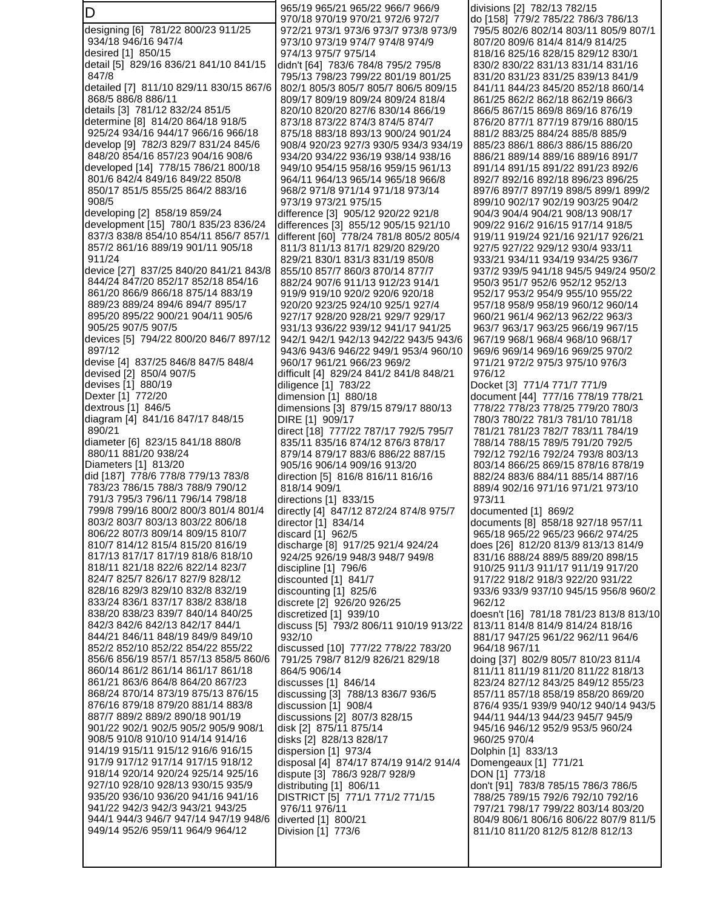D designing [6] 781/22 800/23 911/25 934/18 946/16 947/4 desired [1] 850/15 detail [5] 829/16 836/21 841/10 841/15 847/8 detailed [7] 811/10 829/11 830/15 867/6 868/5 886/8 886/11 details [3] 781/12 832/24 851/5 determine [8] 814/20 864/18 918/5 925/24 934/16 944/17 966/16 966/18 develop [9] 782/3 829/7 831/24 845/6 848/20 854/16 857/23 904/16 908/6 developed [14] 778/15 786/21 800/18 801/6 842/4 849/16 849/22 850/8 850/17 851/5 855/25 864/2 883/16 908/5 developing [2] 858/19 859/24 development [15] 780/1 835/23 836/24 837/3 838/8 854/10 854/11 856/7 857/1 857/2 861/16 889/19 901/11 905/18 911/24 device [27] 837/25 840/20 841/21 843/8 844/24 847/20 852/17 852/18 854/16 861/20 866/9 866/18 875/14 883/19 889/23 889/24 894/6 894/7 895/17 895/20 895/22 900/21 904/11 905/6 905/25 907/5 907/5 devices [5] 794/22 800/20 846/7 897/12 897/12 devise [4] 837/25 846/8 847/5 848/4 devised [2] 850/4 907/5 devises [1] 880/19 Dexter [1] 772/20 dextrous [1] 846/5 diagram [4] 841/16 847/17 848/15 890/21 diameter [6] 823/15 841/18 880/8 880/11 881/20 938/24 Diameters [1] 813/20 did [187] 778/6 778/8 779/13 783/8 783/23 786/15 788/3 788/9 790/12 791/3 795/3 796/11 796/14 798/18 799/8 799/16 800/2 800/3 801/4 801/4 803/2 803/7 803/13 803/22 806/18 806/22 807/3 809/14 809/15 810/7 810/7 814/12 815/4 815/20 816/19 817/13 817/17 817/19 818/6 818/10 818/11 821/18 822/6 822/14 823/7 824/7 825/7 826/17 827/9 828/12 828/16 829/3 829/10 832/8 832/19 833/24 836/1 837/17 838/2 838/18 838/20 838/23 839/7 840/14 840/25 842/3 842/6 842/13 842/17 844/1 844/21 846/11 848/19 849/9 849/10 852/2 852/10 852/22 854/22 855/22 856/6 856/19 857/1 857/13 858/5 860/6 860/14 861/2 861/14 861/17 861/18 861/21 863/6 864/8 864/20 867/23 868/24 870/14 873/19 875/13 876/15 876/16 879/18 879/20 881/14 883/8 887/7 889/2 889/2 890/18 901/19 901/22 902/1 902/5 905/2 905/9 908/1 908/5 910/8 910/10 914/14 914/16 914/19 915/11 915/12 916/6 916/15 917/9 917/12 917/14 917/15 918/12 918/14 920/14 920/24 925/14 925/16 927/10 928/10 928/13 930/15 935/9 935/20 936/10 936/20 941/16 941/16 941/22 942/3 942/3 943/21 943/25 944/1 944/3 946/7 947/14 947/19 948/6 949/14 952/6 959/11 964/9 964/12 932/10

 965/19 965/21 965/22 966/7 966/9 970/18 970/19 970/21 972/6 972/7 972/21 973/1 973/6 973/7 973/8 973/9 973/10 973/19 974/7 974/8 974/9 974/13 975/7 975/14 didn't [64] 783/6 784/8 795/2 795/8 795/13 798/23 799/22 801/19 801/25 802/1 805/3 805/7 805/7 806/5 809/15 809/17 809/19 809/24 809/24 818/4 820/10 820/20 827/6 830/14 866/19 873/18 873/22 874/3 874/5 874/7 875/18 883/18 893/13 900/24 901/24 908/4 920/23 927/3 930/5 934/3 934/19 934/20 934/22 936/19 938/14 938/16 949/10 954/15 958/16 959/15 961/13 964/11 964/13 965/14 965/18 966/8 968/2 971/8 971/14 971/18 973/14 973/19 973/21 975/15 difference [3] 905/12 920/22 921/8 differences [3] 855/12 905/15 921/10 different [60] 778/24 781/8 805/2 805/4 811/3 811/13 817/1 829/20 829/20 829/21 830/1 831/3 831/19 850/8 855/10 857/7 860/3 870/14 877/7 882/24 907/6 911/13 912/23 914/1 919/9 919/10 920/2 920/6 920/18 920/20 923/25 924/10 925/1 927/4 927/17 928/20 928/21 929/7 929/17 931/13 936/22 939/12 941/17 941/25 942/1 942/1 942/13 942/22 943/5 943/6 943/6 943/6 946/22 949/1 953/4 960/10 960/17 961/21 966/23 969/2 difficult [4] 829/24 841/2 841/8 848/21 diligence [1] 783/22 dimension [1] 880/18 dimensions [3] 879/15 879/17 880/13 DIRE [1] 909/17 direct [18] 777/22 787/17 792/5 795/7 835/11 835/16 874/12 876/3 878/17 879/14 879/17 883/6 886/22 887/15 905/16 906/14 909/16 913/20 direction [5] 816/8 816/11 816/16 818/14 909/1 directions [1] 833/15 directly [4] 847/12 872/24 874/8 975/7 director [1] 834/14 discard [1] 962/5 discharge [8] 917/25 921/4 924/24 924/25 926/19 948/3 948/7 949/8 discipline [1] 796/6 discounted [1] 841/7 discounting [1] 825/6 discrete [2] 926/20 926/25 discretized [1] 939/10 discuss [5] 793/2 806/11 910/19 913/22 discussed [10] 777/22 778/22 783/20 791/25 798/7 812/9 826/21 829/18 864/5 906/14 discusses [1] 846/14 discussing [3] 788/13 836/7 936/5 discussion [1] 908/4 discussions [2] 807/3 828/15 disk [2] 875/11 875/14 disks [2] 828/13 828/17 dispersion [1] 973/4 disposal [4] 874/17 874/19 914/2 914/4 dispute [3] 786/3 928/7 928/9 distributing [1] 806/11 DISTRICT [5] 771/1 771/2 771/15 976/11 976/11 diverted [1] 800/21 Division [1] 773/6

divisions [2] 782/13 782/15 do [158] 779/2 785/22 786/3 786/13 795/5 802/6 802/14 803/11 805/9 807/1 807/20 809/6 814/4 814/9 814/25 818/16 825/16 828/15 829/12 830/1 830/2 830/22 831/13 831/14 831/16 831/20 831/23 831/25 839/13 841/9 841/11 844/23 845/20 852/18 860/14 861/25 862/2 862/18 862/19 866/3 866/5 867/15 869/8 869/16 876/19 876/20 877/1 877/19 879/16 880/15 881/2 883/25 884/24 885/8 885/9 885/23 886/1 886/3 886/15 886/20 886/21 889/14 889/16 889/16 891/7 891/14 891/15 891/22 891/23 892/6 892/7 892/16 892/18 896/23 896/25 897/6 897/7 897/19 898/5 899/1 899/2 899/10 902/17 902/19 903/25 904/2 904/3 904/4 904/21 908/13 908/17 909/22 916/2 916/15 917/14 918/5 919/11 919/24 921/16 921/17 926/21 927/5 927/22 929/12 930/4 933/11 933/21 934/11 934/19 934/25 936/7 937/2 939/5 941/18 945/5 949/24 950/2 950/3 951/7 952/6 952/12 952/13 952/17 953/2 954/9 955/10 955/22 957/18 958/9 958/19 960/12 960/14 960/21 961/4 962/13 962/22 963/3 963/7 963/17 963/25 966/19 967/15 967/19 968/1 968/4 968/10 968/17 969/6 969/14 969/16 969/25 970/2 971/21 972/2 975/3 975/10 976/3 976/12 Docket [3] 771/4 771/7 771/9 document [44] 777/16 778/19 778/21 778/22 778/23 778/25 779/20 780/3 780/3 780/22 781/3 781/10 781/18 781/21 781/23 782/7 783/11 784/19 788/14 788/15 789/5 791/20 792/5 792/12 792/16 792/24 793/8 803/13 803/14 866/25 869/15 878/16 878/19 882/24 883/6 884/11 885/14 887/16 889/4 902/16 971/16 971/21 973/10 973/11 documented [1] 869/2 documents [8] 858/18 927/18 957/11 965/18 965/22 965/23 966/2 974/25 does [26] 812/20 813/9 813/13 814/9 831/16 888/24 889/5 889/20 898/15 910/25 911/3 911/17 911/19 917/20 917/22 918/2 918/3 922/20 931/22 933/6 933/9 937/10 945/15 956/8 960/2 962/12 doesn't [16] 781/18 781/23 813/8 813/10 813/11 814/8 814/9 814/24 818/16 881/17 947/25 961/22 962/11 964/6 964/18 967/11 doing [37] 802/9 805/7 810/23 811/4 811/11 811/19 811/20 811/22 818/13 823/24 827/12 843/25 849/12 855/23 857/11 857/18 858/19 858/20 869/20 876/4 935/1 939/9 940/12 940/14 943/5 944/11 944/13 944/23 945/7 945/9 945/16 946/12 952/9 953/5 960/24 960/25 970/4 Dolphin [1] 833/13 Domengeaux [1] 771/21 DON [1] 773/18 don't [91] 783/8 785/15 786/3 786/5 788/25 789/15 792/6 792/10 792/16 797/21 798/17 799/22 803/14 803/20 804/9 806/1 806/16 806/22 807/9 811/5 811/10 811/20 812/5 812/8 812/13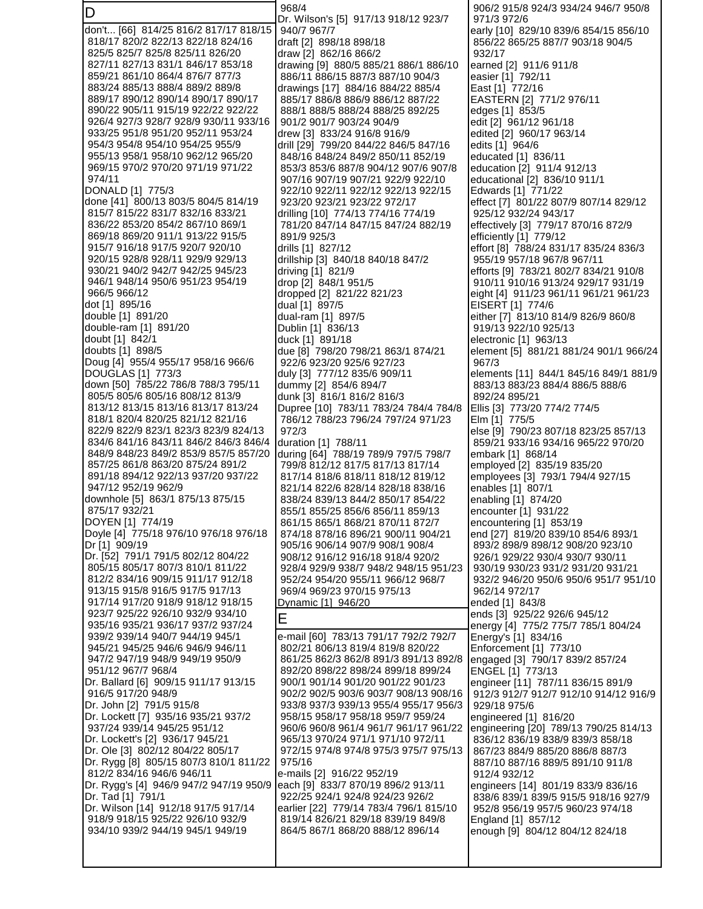| D                                                                           | 968/4<br>Dr. Wilson's [5] 917/13 918/12 923/7                               | 906/2 915/8 924/3 934/24 946/7 950/8<br>971/3 972/6                  |
|-----------------------------------------------------------------------------|-----------------------------------------------------------------------------|----------------------------------------------------------------------|
| don't [66] 814/25 816/2 817/17 818/15                                       | 940/7 967/7                                                                 | early [10] 829/10 839/6 854/15 856/10                                |
| 818/17 820/2 822/13 822/18 824/16                                           | draft [2] 898/18 898/18                                                     | 856/22 865/25 887/7 903/18 904/5                                     |
| 825/5 825/7 825/8 825/11 826/20<br>827/11 827/13 831/1 846/17 853/18        | draw [2] 862/16 866/2<br>drawing [9] 880/5 885/21 886/1 886/10              | 932/17<br>earned [2] 911/6 911/8                                     |
| 859/21 861/10 864/4 876/7 877/3                                             | 886/11 886/15 887/3 887/10 904/3                                            | easier [1] 792/11                                                    |
| 883/24 885/13 888/4 889/2 889/8                                             | drawings [17] 884/16 884/22 885/4                                           | East [1] 772/16                                                      |
| 889/17 890/12 890/14 890/17 890/17<br>890/22 905/11 915/19 922/22 922/22    | 885/17 886/8 886/9 886/12 887/22<br>888/1 888/5 888/24 888/25 892/25        | EASTERN [2] 771/2 976/11<br>edges [1] 853/5                          |
| 926/4 927/3 928/7 928/9 930/11 933/16                                       | 901/2 901/7 903/24 904/9                                                    | edit [2] 961/12 961/18                                               |
| 933/25 951/8 951/20 952/11 953/24                                           | drew [3] 833/24 916/8 916/9                                                 | edited [2] 960/17 963/14                                             |
| 954/3 954/8 954/10 954/25 955/9<br>955/13 958/1 958/10 962/12 965/20        | drill [29] 799/20 844/22 846/5 847/16<br>848/16 848/24 849/2 850/11 852/19  | edits [1] 964/6<br>educated [1] 836/11                               |
| 969/15 970/2 970/20 971/19 971/22                                           | 853/3 853/6 887/8 904/12 907/6 907/8                                        | education [2] 911/4 912/13                                           |
| 974/11                                                                      | 907/16 907/19 907/21 922/9 922/10                                           | educational [2] 836/10 911/1                                         |
| DONALD [1] 775/3                                                            | 922/10 922/11 922/12 922/13 922/15                                          | Edwards [1] 771/22                                                   |
| done [41] 800/13 803/5 804/5 814/19<br>815/7 815/22 831/7 832/16 833/21     | 923/20 923/21 923/22 972/17<br>drilling [10] 774/13 774/16 774/19           | effect [7] 801/22 807/9 807/14 829/12<br>925/12 932/24 943/17        |
| 836/22 853/20 854/2 867/10 869/1                                            | 781/20 847/14 847/15 847/24 882/19                                          | effectively [3] 779/17 870/16 872/9                                  |
| 869/18 869/20 911/1 913/22 915/5                                            | 891/9 925/3                                                                 | efficiently [1] 779/12                                               |
| 915/7 916/18 917/5 920/7 920/10<br>920/15 928/8 928/11 929/9 929/13         | drills [1] 827/12                                                           | effort [8] 788/24 831/17 835/24 836/3<br>955/19 957/18 967/8 967/11  |
| 930/21 940/2 942/7 942/25 945/23                                            | drillship [3] 840/18 840/18 847/2<br>driving [1] 821/9                      | efforts [9] 783/21 802/7 834/21 910/8                                |
| 946/1 948/14 950/6 951/23 954/19                                            | drop [2] 848/1 951/5                                                        | 910/11 910/16 913/24 929/17 931/19                                   |
| 966/5 966/12                                                                | dropped [2] 821/22 821/23                                                   | eight [4] 911/23 961/11 961/21 961/23                                |
| dot [1] 895/16<br>double [1] 891/20                                         | dual [1] 897/5<br>dual-ram [1] 897/5                                        | EISERT [1] 774/6<br>either [7] 813/10 814/9 826/9 860/8              |
| double-ram [1] 891/20                                                       | Dublin [1] 836/13                                                           | 919/13 922/10 925/13                                                 |
| doubt [1] 842/1                                                             | duck [1] 891/18                                                             | electronic [1] 963/13                                                |
| doubts [1] 898/5<br>Doug [4] 955/4 955/17 958/16 966/6                      | due [8] 798/20 798/21 863/1 874/21<br>922/6 923/20 925/6 927/23             | element [5] 881/21 881/24 901/1 966/24<br>967/3                      |
| DOUGLAS [1] 773/3                                                           | duly [3] 777/12 835/6 909/11                                                | elements [11] 844/1 845/16 849/1 881/9                               |
| down [50] 785/22 786/8 788/3 795/11                                         | dummy [2] 854/6 894/7                                                       | 883/13 883/23 884/4 886/5 888/6                                      |
| 805/5 805/6 805/16 808/12 813/9                                             | dunk [3] 816/1 816/2 816/3                                                  | 892/24 895/21                                                        |
| 813/12 813/15 813/16 813/17 813/24<br>818/1 820/4 820/25 821/12 821/16      | Dupree [10] 783/11 783/24 784/4 784/8<br>786/12 788/23 796/24 797/24 971/23 | Ellis [3] 773/20 774/2 774/5<br>Elm [1] 775/5                        |
| 822/9 822/9 823/1 823/3 823/9 824/13                                        | 972/3                                                                       | else [9] 790/23 807/18 823/25 857/13                                 |
| 834/6 841/16 843/11 846/2 846/3 846/4                                       | duration [1] 788/11                                                         | 859/21 933/16 934/16 965/22 970/20                                   |
| 848/9 848/23 849/2 853/9 857/5 857/20<br>857/25 861/8 863/20 875/24 891/2   | during [64] 788/19 789/9 797/5 798/7<br>799/8 812/12 817/5 817/13 817/14    | embark [1] 868/14<br>employed [2] 835/19 835/20                      |
| 891/18 894/12 922/13 937/20 937/22                                          | 817/14 818/6 818/11 818/12 819/12                                           | employees [3] 793/1 794/4 927/15                                     |
| 947/12 952/19 962/9                                                         | 821/14 822/6 828/14 828/18 838/16                                           | enables [1] 807/1                                                    |
| downhole [5] 863/1 875/13 875/15<br>875/17 932/21                           | 838/24 839/13 844/2 850/17 854/22                                           | enabling [1] 874/20                                                  |
| DOYEN [1] 774/19                                                            | 855/1 855/25 856/6 856/11 859/13<br>861/15 865/1 868/21 870/11 872/7        | encounter [1] 931/22<br>encountering [1] 853/19                      |
| Doyle [4] 775/18 976/10 976/18 976/18                                       | 874/18 878/16 896/21 900/11 904/21                                          | end [27] 819/20 839/10 854/6 893/1                                   |
| Dr [1] 909/19                                                               | 905/16 906/14 907/9 908/1 908/4                                             | 893/2 898/9 898/12 908/20 923/10                                     |
| Dr. [52] 791/1 791/5 802/12 804/22<br>805/15 805/17 807/3 810/1 811/22      | 908/12 916/12 916/18 918/4 920/2<br>928/4 929/9 938/7 948/2 948/15 951/23   | 926/1 929/22 930/4 930/7 930/11<br>930/19 930/23 931/2 931/20 931/21 |
| 812/2 834/16 909/15 911/17 912/18                                           | 952/24 954/20 955/11 966/12 968/7                                           | 932/2 946/20 950/6 950/6 951/7 951/10                                |
| 913/15 915/8 916/5 917/5 917/13                                             | 969/4 969/23 970/15 975/13                                                  | 962/14 972/17                                                        |
| 917/14 917/20 918/9 918/12 918/15<br>923/7 925/22 926/10 932/9 934/10       | Dynamic [1] 946/20                                                          | ended [1] 843/8<br>ends [3] 925/22 926/6 945/12                      |
| 935/16 935/21 936/17 937/2 937/24                                           | E                                                                           | energy [4] 775/2 775/7 785/1 804/24                                  |
| 939/2 939/14 940/7 944/19 945/1                                             | e-mail [60] 783/13 791/17 792/2 792/7                                       | Energy's [1] 834/16                                                  |
| 945/21 945/25 946/6 946/9 946/11                                            | 802/21 806/13 819/4 819/8 820/22<br>861/25 862/3 862/8 891/3 891/13 892/8   | Enforcement [1] 773/10                                               |
| 947/2 947/19 948/9 949/19 950/9<br>951/12 967/7 968/4                       | 892/20 898/22 898/24 899/18 899/24                                          | engaged [3] 790/17 839/2 857/24<br>ENGEL [1] 773/13                  |
| Dr. Ballard [6] 909/15 911/17 913/15                                        | 900/1 901/14 901/20 901/22 901/23                                           | engineer [11] 787/11 836/15 891/9                                    |
| 916/5 917/20 948/9                                                          | 902/2 902/5 903/6 903/7 908/13 908/16                                       | 912/3 912/7 912/7 912/10 914/12 916/9                                |
| Dr. John [2] 791/5 915/8<br>Dr. Lockett [7] 935/16 935/21 937/2             | 933/8 937/3 939/13 955/4 955/17 956/3<br>958/15 958/17 958/18 959/7 959/24  | 929/18 975/6<br>engineered [1] 816/20                                |
| 937/24 939/14 945/25 951/12                                                 | 960/6 960/8 961/4 961/7 961/17 961/22                                       | engineering [20] 789/13 790/25 814/13                                |
| Dr. Lockett's [2] 936/17 945/21                                             | 965/13 970/24 971/1 971/10 972/11                                           | 836/12 836/19 838/9 839/3 858/18                                     |
| Dr. Ole [3] 802/12 804/22 805/17                                            | 972/15 974/8 974/8 975/3 975/7 975/13                                       | 867/23 884/9 885/20 886/8 887/3                                      |
| Dr. Rygg [8] 805/15 807/3 810/1 811/22<br>812/2 834/16 946/6 946/11         | 975/16<br>e-mails [2] 916/22 952/19                                         | 887/10 887/16 889/5 891/10 911/8<br>912/4 932/12                     |
| Dr. Rygg's [4] 946/9 947/2 947/19 950/9  each [9] 833/7 870/19 896/2 913/11 |                                                                             | engineers [14] 801/19 833/9 836/16                                   |
| Dr. Tad [1] 791/1                                                           | 922/25 924/1 924/8 924/23 926/2                                             | 838/6 839/1 839/5 915/5 918/16 927/9                                 |
| Dr. Wilson [14] 912/18 917/5 917/14<br>918/9 918/15 925/22 926/10 932/9     | earlier [22] 779/14 783/4 796/1 815/10<br>819/14 826/21 829/18 839/19 849/8 | 952/8 956/19 957/5 960/23 974/18<br>England [1] 857/12               |
| 934/10 939/2 944/19 945/1 949/19                                            | 864/5 867/1 868/20 888/12 896/14                                            | enough [9] 804/12 804/12 824/18                                      |
|                                                                             |                                                                             |                                                                      |
|                                                                             |                                                                             |                                                                      |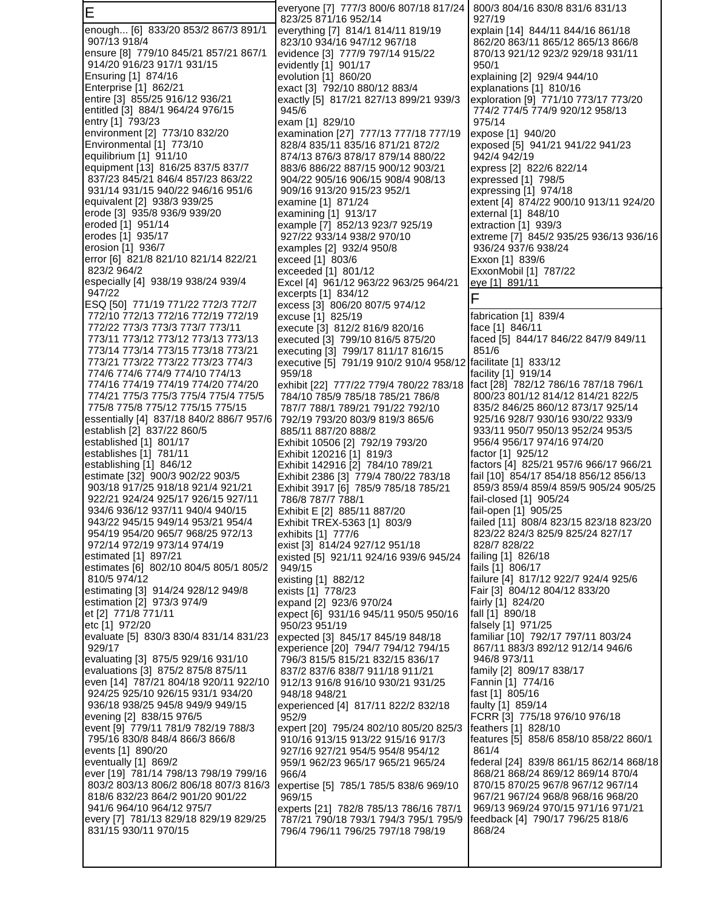E enough... [6] 833/20 853/2 867/3 891/1 907/13 918/4 ensure [8] 779/10 845/21 857/21 867/1 914/20 916/23 917/1 931/15 Ensuring [1] 874/16 Enterprise [1] 862/21 entire [3] 855/25 916/12 936/21 entitled [3] 884/1 964/24 976/15 entry [1] 793/23 environment [2] 773/10 832/20 Environmental [1] 773/10 equilibrium [1] 911/10 equipment [13] 816/25 837/5 837/7 837/23 845/21 846/4 857/23 863/22 931/14 931/15 940/22 946/16 951/6 equivalent [2] 938/3 939/25 erode [3] 935/8 936/9 939/20 eroded [1] 951/14 erodes [1] 935/17 erosion [1] 936/7 error [6] 821/8 821/10 821/14 822/21 823/2 964/2 especially [4] 938/19 938/24 939/4 947/22 ESQ [50] 771/19 771/22 772/3 772/7 772/10 772/13 772/16 772/19 772/19 772/22 773/3 773/3 773/7 773/11 773/11 773/12 773/12 773/13 773/13 773/14 773/14 773/15 773/18 773/21 773/21 773/22 773/22 773/23 774/3 774/6 774/6 774/9 774/10 774/13 774/16 774/19 774/19 774/20 774/20 774/21 775/3 775/3 775/4 775/4 775/5 775/8 775/8 775/12 775/15 775/15 essentially [4] 837/18 840/2 886/7 957/6 establish [2] 837/22 860/5 established [1] 801/17 establishes [1] 781/11 establishing [1] 846/12 estimate [32] 900/3 902/22 903/5 903/18 917/25 918/18 921/4 921/21 922/21 924/24 925/17 926/15 927/11 934/6 936/12 937/11 940/4 940/15 943/22 945/15 949/14 953/21 954/4 954/19 954/20 965/7 968/25 972/13 972/14 972/19 973/14 974/19 estimated [1] 897/21 estimates [6] 802/10 804/5 805/1 805/2 810/5 974/12 estimating [3] 914/24 928/12 949/8 estimation [2] 973/3 974/9 et [2] 771/8 771/11 etc [1] 972/20 evaluate [5] 830/3 830/4 831/14 831/23 929/17 evaluating [3] 875/5 929/16 931/10 evaluations [3] 875/2 875/8 875/11 even [14] 787/21 804/18 920/11 922/10 924/25 925/10 926/15 931/1 934/20 936/18 938/25 945/8 949/9 949/15 evening [2] 838/15 976/5 event [9] 779/11 781/9 782/19 788/3 795/16 830/8 848/4 866/3 866/8 events [1] 890/20 eventually [1] 869/2 ever [19] 781/14 798/13 798/19 799/16 803/2 803/13 806/2 806/18 807/3 816/3 818/6 832/23 864/2 901/20 901/22 941/6 964/10 964/12 975/7 every [7] 781/13 829/18 829/19 829/25 831/15 930/11 970/15 everyone [7] 777/3 800/6 807/18 817/24 823/25 871/16 952/14 everything [7] 814/1 814/11 819/19 823/10 934/16 947/12 967/18 evidence [3] 777/9 797/14 915/22 evidently [1] 901/17 evolution [1] 860/20 exact [3] 792/10 880/12 883/4 exactly [5] 817/21 827/13 899/21 939/3 945/6 exam [1] 829/10 examination [27] 777/13 777/18 777/19 828/4 835/11 835/16 871/21 872/2 874/13 876/3 878/17 879/14 880/22 883/6 886/22 887/15 900/12 903/21 904/22 905/16 906/15 908/4 908/13 909/16 913/20 915/23 952/1 examine [1] 871/24 examining [1] 913/17 example [7] 852/13 923/7 925/19 927/22 933/14 938/2 970/10 examples [2] 932/4 950/8 exceed [1] 803/6 exceeded [1] 801/12 Excel [4] 961/12 963/22 963/25 964/21 excerpts [1] 834/12 excess [3] 806/20 807/5 974/12 excuse [1] 825/19 execute [3] 812/2 816/9 820/16 executed [3] 799/10 816/5 875/20 executing [3] 799/17 811/17 816/15 executive [5] 791/19 910/2 910/4 958/12 959/18 exhibit [22] 777/22 779/4 780/22 783/18 784/10 785/9 785/18 785/21 786/8 787/7 788/1 789/21 791/22 792/10 792/19 793/20 803/9 819/3 865/6 885/11 887/20 888/2 Exhibit 10506 [2] 792/19 793/20 Exhibit 120216 [1] 819/3 Exhibit 142916 [2] 784/10 789/21 Exhibit 2386 [3] 779/4 780/22 783/18 Exhibit 3917 [6] 785/9 785/18 785/21 786/8 787/7 788/1 Exhibit E [2] 885/11 887/20 Exhibit TREX-5363 [1] 803/9 exhibits [1] 777/6 exist [3] 814/24 927/12 951/18 existed [5] 921/11 924/16 939/6 945/24 949/15 existing [1] 882/12 exists [1] 778/23 expand [2] 923/6 970/24 expect [6] 931/16 945/11 950/5 950/16 950/23 951/19 expected [3] 845/17 845/19 848/18 experience [20] 794/7 794/12 794/15 796/3 815/5 815/21 832/15 836/17 837/2 837/6 838/7 911/18 911/21 912/13 916/8 916/10 930/21 931/25 948/18 948/21 experienced [4] 817/11 822/2 832/18 952/9 expert [20] 795/24 802/10 805/20 825/3 910/16 913/15 913/22 915/16 917/3 927/16 927/21 954/5 954/8 954/12 959/1 962/23 965/17 965/21 965/24 966/4 expertise [5] 785/1 785/5 838/6 969/10 969/15 experts [21] 782/8 785/13 786/16 787/1 787/21 790/18 793/1 794/3 795/1 795/9 796/4 796/11 796/25 797/18 798/19 800/3 804/16 830/8 831/6 831/13 927/19 explain [14] 844/11 844/16 861/18 862/20 863/11 865/12 865/13 866/8 870/13 921/12 923/2 929/18 931/11 950/1 explaining [2] 929/4 944/10 explanations [1] 810/16 exploration [9] 771/10 773/17 773/20 774/2 774/5 774/9 920/12 958/13 975/14 expose [1] 940/20 exposed [5] 941/21 941/22 941/23 942/4 942/19 express [2] 822/6 822/14 expressed [1] 798/5 expressing [1] 974/18 extent [4] 874/22 900/10 913/11 924/20 external [1] 848/10 extraction [1] 939/3 extreme [7] 845/2 935/25 936/13 936/16 936/24 937/6 938/24 Exxon [1] 839/6 ExxonMobil [1] 787/22 eye [1] 891/11 F fabrication [1] 839/4 face [1] 846/11 faced [5] 844/17 846/22 847/9 849/11 851/6 facilitate [1] 833/12 facility [1] 919/14 fact [28] 782/12 786/16 787/18 796/1 800/23 801/12 814/12 814/21 822/5 835/2 846/25 860/12 873/17 925/14 925/16 928/7 930/16 930/22 933/9 933/11 950/7 950/13 952/24 953/5 956/4 956/17 974/16 974/20 factor [1] 925/12 factors [4] 825/21 957/6 966/17 966/21 fail [10] 854/17 854/18 856/12 856/13 859/3 859/4 859/4 859/5 905/24 905/25 fail-closed [1] 905/24 fail-open [1] 905/25 failed [11] 808/4 823/15 823/18 823/20 823/22 824/3 825/9 825/24 827/17 828/7 828/22 failing [1] 826/18 fails [1] 806/17 failure [4] 817/12 922/7 924/4 925/6 Fair [3] 804/12 804/12 833/20 fairly [1] 824/20 fall [1] 890/18 falsely [1] 971/25 familiar [10] 792/17 797/11 803/24 867/11 883/3 892/12 912/14 946/6 946/8 973/11 family [2] 809/17 838/17 Fannin [1] 774/16 fast [1] 805/16 faulty [1] 859/14 FCRR [3] 775/18 976/10 976/18 feathers [1] 828/10 features [5] 858/6 858/10 858/22 860/1 861/4 federal [24] 839/8 861/15 862/14 868/18 868/21 868/24 869/12 869/14 870/4 870/15 870/25 967/8 967/12 967/14 967/21 967/24 968/8 968/16 968/20 969/13 969/24 970/15 971/16 971/21 feedback [4] 790/17 796/25 818/6 868/24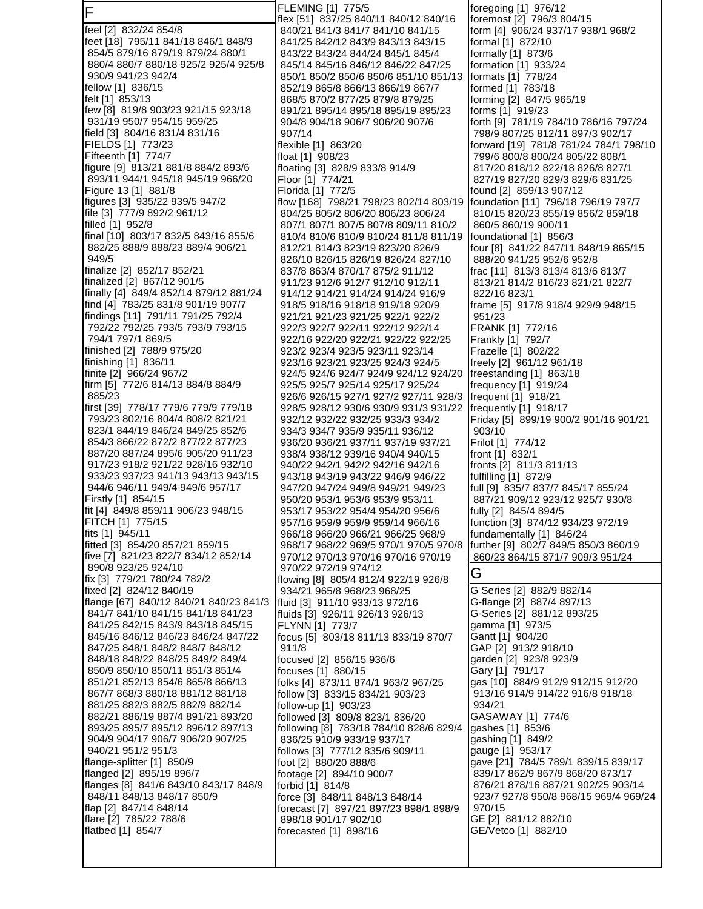F feel [2] 832/24 854/8 feet [18] 795/11 841/18 846/1 848/9 854/5 879/16 879/19 879/24 880/1 880/4 880/7 880/18 925/2 925/4 925/8 930/9 941/23 942/4 fellow [1] 836/15 felt [1] 853/13 few [8] 819/8 903/23 921/15 923/18 931/19 950/7 954/15 959/25 field [3] 804/16 831/4 831/16 FIELDS [1] 773/23 Fifteenth [1] 774/7 figure [9] 813/21 881/8 884/2 893/6 893/11 944/1 945/18 945/19 966/20 Figure 13 [1] 881/8 figures [3] 935/22 939/5 947/2 file [3] 777/9 892/2 961/12 filled [1] 952/8 final [10] 803/17 832/5 843/16 855/6 882/25 888/9 888/23 889/4 906/21 949/5 finalize [2] 852/17 852/21 finalized [2] 867/12 901/5 finally [4] 849/4 852/14 879/12 881/24 find [4] 783/25 831/8 901/19 907/7 findings [11] 791/11 791/25 792/4 792/22 792/25 793/5 793/9 793/15 794/1 797/1 869/5 finished [2] 788/9 975/20 finishing [1] 836/11 finite [2] 966/24 967/2 firm [5] 772/6 814/13 884/8 884/9 885/23 first [39] 778/17 779/6 779/9 779/18 793/23 802/16 804/4 808/2 821/21 823/1 844/19 846/24 849/25 852/6 854/3 866/22 872/2 877/22 877/23 887/20 887/24 895/6 905/20 911/23 917/23 918/2 921/22 928/16 932/10 933/23 937/23 941/13 943/13 943/15 944/6 946/11 949/4 949/6 957/17 Firstly [1] 854/15 fit [4] 849/8 859/11 906/23 948/15 FITCH [1] 775/15 fits [1] 945/11 fitted [3] 854/20 857/21 859/15 five [7] 821/23 822/7 834/12 852/14 890/8 923/25 924/10 fix [3] 779/21 780/24 782/2 fixed [2] 824/12 840/19 flange [67] 840/12 840/21 840/23 841/3 841/7 841/10 841/15 841/18 841/23 841/25 842/15 843/9 843/18 845/15 845/16 846/12 846/23 846/24 847/22 847/25 848/1 848/2 848/7 848/12 848/18 848/22 848/25 849/2 849/4 850/9 850/10 850/11 851/3 851/4 851/21 852/13 854/6 865/8 866/13 867/7 868/3 880/18 881/12 881/18 881/25 882/3 882/5 882/9 882/14 882/21 886/19 887/4 891/21 893/20 893/25 895/7 895/12 896/12 897/13 904/9 904/17 906/7 906/20 907/25 940/21 951/2 951/3 flange-splitter [1] 850/9 flanged [2] 895/19 896/7 flanges [8] 841/6 843/10 843/17 848/9 848/11 848/13 848/17 850/9 flap [2] 847/14 848/14 flare [2] 785/22 788/6 flatbed [1] 854/7

FLEMING [1] 775/5 flex [51] 837/25 840/11 840/12 840/16 840/21 841/3 841/7 841/10 841/15 841/25 842/12 843/9 843/13 843/15 843/22 843/24 844/24 845/1 845/4 845/14 845/16 846/12 846/22 847/25 850/1 850/2 850/6 850/6 851/10 851/13 852/19 865/8 866/13 866/19 867/7 868/5 870/2 877/25 879/8 879/25 891/21 895/14 895/18 895/19 895/23 904/8 904/18 906/7 906/20 907/6 907/14 flexible [1] 863/20 float [1] 908/23 floating [3] 828/9 833/8 914/9 Floor [1] 774/21 Florida [1] 772/5 flow [168] 798/21 798/23 802/14 803/19 804/25 805/2 806/20 806/23 806/24 807/1 807/1 807/5 807/8 809/11 810/2 810/4 810/6 810/9 810/24 811/8 811/19 812/21 814/3 823/19 823/20 826/9 826/10 826/15 826/19 826/24 827/10 837/8 863/4 870/17 875/2 911/12 911/23 912/6 912/7 912/10 912/11 914/12 914/21 914/24 914/24 916/9 918/5 918/16 918/18 919/18 920/9 921/21 921/23 921/25 922/1 922/2 922/3 922/7 922/11 922/12 922/14 922/16 922/20 922/21 922/22 922/25 923/2 923/4 923/5 923/11 923/14 923/16 923/21 923/25 924/3 924/5 924/5 924/6 924/7 924/9 924/12 924/20 925/5 925/7 925/14 925/17 925/24 926/6 926/15 927/1 927/2 927/11 928/3 928/5 928/12 930/6 930/9 931/3 931/22 932/12 932/22 932/25 933/3 934/2 934/3 934/7 935/9 935/11 936/12 936/20 936/21 937/11 937/19 937/21 938/4 938/12 939/16 940/4 940/15 940/22 942/1 942/2 942/16 942/16 943/18 943/19 943/22 946/9 946/22 947/20 947/24 949/8 949/21 949/23 950/20 953/1 953/6 953/9 953/11 953/17 953/22 954/4 954/20 956/6 957/16 959/9 959/9 959/14 966/16 966/18 966/20 966/21 966/25 968/9 968/17 968/22 969/5 970/1 970/5 970/8 970/12 970/13 970/16 970/16 970/19 970/22 972/19 974/12 flowing [8] 805/4 812/4 922/19 926/8 934/21 965/8 968/23 968/25 fluid [3] 911/10 933/13 972/16 fluids [3] 926/11 926/13 926/13 FLYNN [1] 773/7 focus [5] 803/18 811/13 833/19 870/7 911/8 focused [2] 856/15 936/6 focuses [1] 880/15 folks [4] 873/11 874/1 963/2 967/25 follow [3] 833/15 834/21 903/23 follow-up [1] 903/23 followed [3] 809/8 823/1 836/20 following [8] 783/18 784/10 828/6 829/4 836/25 910/9 933/19 937/17 follows [3] 777/12 835/6 909/11 foot [2] 880/20 888/6 footage [2] 894/10 900/7 forbid [1] 814/8 force [3] 848/11 848/13 848/14 forecast [7] 897/21 897/23 898/1 898/9 898/18 901/17 902/10 forecasted [1] 898/16

foregoing [1] 976/12 foremost [2] 796/3 804/15 form [4] 906/24 937/17 938/1 968/2 formal [1] 872/10 formally [1] 873/6 formation [1] 933/24 formats [1] 778/24 formed [1] 783/18 forming [2] 847/5 965/19 forms [1] 919/23 forth [9] 781/19 784/10 786/16 797/24 798/9 807/25 812/11 897/3 902/17 forward [19] 781/8 781/24 784/1 798/10 799/6 800/8 800/24 805/22 808/1 817/20 818/12 822/18 826/8 827/1 827/19 827/20 829/3 829/6 831/25 found [2] 859/13 907/12 foundation [11] 796/18 796/19 797/7 810/15 820/23 855/19 856/2 859/18 860/5 860/19 900/11 foundational [1] 856/3 four [8] 841/22 847/11 848/19 865/15 888/20 941/25 952/6 952/8 frac [11] 813/3 813/4 813/6 813/7 813/21 814/2 816/23 821/21 822/7 822/16 823/1 frame [5] 917/8 918/4 929/9 948/15 951/23 FRANK [1] 772/16 Frankly [1] 792/7 Frazelle [1] 802/22 freely [2] 961/12 961/18 freestanding [1] 863/18 frequency [1] 919/24 frequent [1] 918/21 frequently [1] 918/17 Friday [5] 899/19 900/2 901/16 901/21 903/10 Frilot [1] 774/12 front [1] 832/1 fronts [2] 811/3 811/13 fulfilling [1] 872/9 full [9] 835/7 837/7 845/17 855/24 887/21 909/12 923/12 925/7 930/8 fully [2] 845/4 894/5 function [3] 874/12 934/23 972/19 fundamentally [1] 846/24 further [9] 802/7 849/5 850/3 860/19 860/23 864/15 871/7 909/3 951/24 G G Series [2] 882/9 882/14 G-flange [2] 887/4 897/13 G-Series [2] 881/12 893/25 gamma [1] 973/5 Gantt [1] 904/20 GAP [2] 913/2 918/10 garden [2] 923/8 923/9 Gary [1] 791/17 gas [10] 884/9 912/9 912/15 912/20 913/16 914/9 914/22 916/8 918/18 934/21 GASAWAY [1] 774/6 gashes [1] 853/6 gashing [1] 849/2 gauge [1] 953/17 gave [21] 784/5 789/1 839/15 839/17 839/17 862/9 867/9 868/20 873/17 876/21 878/16 887/21 902/25 903/14 923/7 927/8 950/8 968/15 969/4 969/24 970/15 GE [2] 881/12 882/10 GE/Vetco [1] 882/10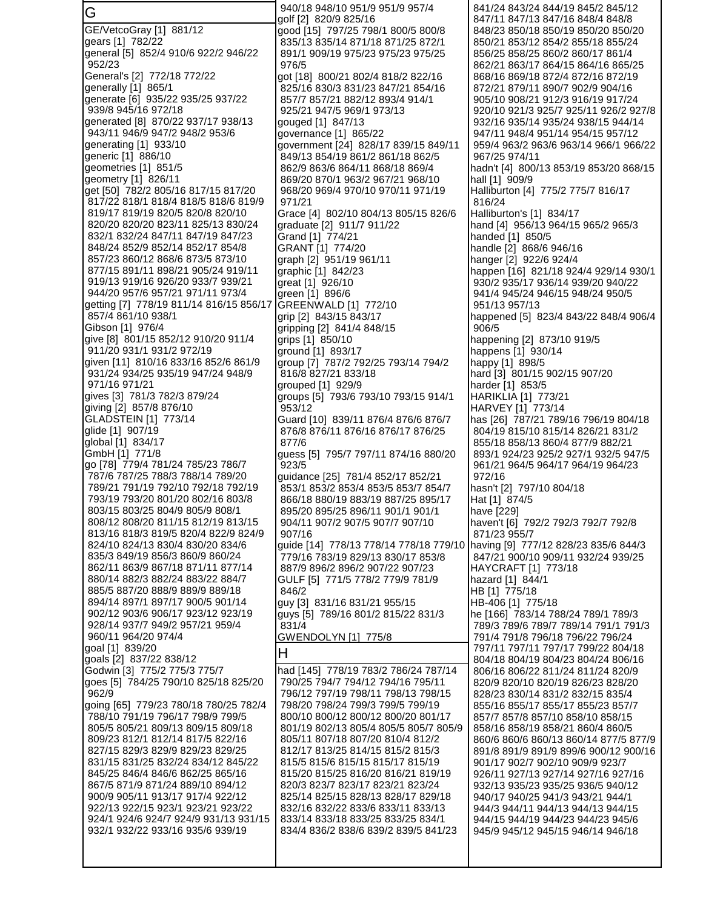G GE/VetcoGray [1] 881/12 gears [1] 782/22 general [5] 852/4 910/6 922/2 946/22 952/23 General's [2] 772/18 772/22 generally [1] 865/1 generate [6] 935/22 935/25 937/22 939/8 945/16 972/18 generated [8] 870/22 937/17 938/13 943/11 946/9 947/2 948/2 953/6 generating [1] 933/10 generic [1] 886/10 geometries [1] 851/5 geometry [1] 826/11 get [50] 782/2 805/16 817/15 817/20 817/22 818/1 818/4 818/5 818/6 819/9 819/17 819/19 820/5 820/8 820/10 820/20 820/20 823/11 825/13 830/24 832/1 832/24 847/11 847/19 847/23 848/24 852/9 852/14 852/17 854/8 857/23 860/12 868/6 873/5 873/10 877/15 891/11 898/21 905/24 919/11 919/13 919/16 926/20 933/7 939/21 944/20 957/6 957/21 971/11 973/4 getting [7] 778/19 811/14 816/15 856/17 857/4 861/10 938/1 Gibson [1] 976/4 give [8] 801/15 852/12 910/20 911/4 911/20 931/1 931/2 972/19 given [11] 810/16 833/16 852/6 861/9 931/24 934/25 935/19 947/24 948/9 971/16 971/21 gives [3] 781/3 782/3 879/24 giving [2] 857/8 876/10 GLADSTEIN [1] 773/14 glide [1] 907/19 global [1] 834/17 GmbH [1] 771/8 go [78] 779/4 781/24 785/23 786/7 787/6 787/25 788/3 788/14 789/20 789/21 791/19 792/10 792/18 792/19 793/19 793/20 801/20 802/16 803/8 803/15 803/25 804/9 805/9 808/1 808/12 808/20 811/15 812/19 813/15 813/16 818/3 819/5 820/4 822/9 824/9 824/10 824/13 830/4 830/20 834/6 835/3 849/19 856/3 860/9 860/24 862/11 863/9 867/18 871/11 877/14 880/14 882/3 882/24 883/22 884/7 885/5 887/20 888/9 889/9 889/18 894/14 897/1 897/17 900/5 901/14 902/12 903/6 906/17 923/12 923/19 928/14 937/7 949/2 957/21 959/4 960/11 964/20 974/4 goal [1] 839/20 goals [2] 837/22 838/12 Godwin [3] 775/2 775/3 775/7 goes [5] 784/25 790/10 825/18 825/20 962/9 going [65] 779/23 780/18 780/25 782/4 788/10 791/19 796/17 798/9 799/5 805/5 805/21 809/13 809/15 809/18 809/23 812/1 812/14 817/5 822/16 827/15 829/3 829/9 829/23 829/25 831/15 831/25 832/24 834/12 845/22 845/25 846/4 846/6 862/25 865/16 867/5 871/9 871/24 889/10 894/12 900/9 905/11 913/17 917/4 922/12 922/13 922/15 923/1 923/21 923/22 924/1 924/6 924/7 924/9 931/13 931/15 932/1 932/22 933/16 935/6 939/19 940/18 948/10 951/9 951/9 957/4 golf [2] 820/9 825/16 good [15] 797/25 798/1 800/5 800/8 835/13 835/14 871/18 871/25 872/1 891/1 909/19 975/23 975/23 975/25 976/5 got [18] 800/21 802/4 818/2 822/16 825/16 830/3 831/23 847/21 854/16 857/7 857/21 882/12 893/4 914/1 925/21 947/5 969/1 973/13 gouged [1] 847/13 governance [1] 865/22 government [24] 828/17 839/15 849/11 849/13 854/19 861/2 861/18 862/5 862/9 863/6 864/11 868/18 869/4 869/20 870/1 963/2 967/21 968/10 968/20 969/4 970/10 970/11 971/19 971/21 Grace [4] 802/10 804/13 805/15 826/6 graduate [2] 911/7 911/22 Grand [1] 774/21 GRANT [1] 774/20 graph [2] 951/19 961/11 graphic [1] 842/23 great [1] 926/10 green [1] 896/6 GREENWALD [1] 772/10 grip [2] 843/15 843/17 gripping [2] 841/4 848/15 grips [1] 850/10 ground [1] 893/17 group [7] 787/2 792/25 793/14 794/2 816/8 827/21 833/18 grouped [1] 929/9 groups [5] 793/6 793/10 793/15 914/1 953/12 Guard [10] 839/11 876/4 876/6 876/7 876/8 876/11 876/16 876/17 876/25 877/6 guess [5] 795/7 797/11 874/16 880/20 923/5 guidance [25] 781/4 852/17 852/21 853/1 853/2 853/4 853/5 853/7 854/7 866/18 880/19 883/19 887/25 895/17 895/20 895/25 896/11 901/1 901/1 904/11 907/2 907/5 907/7 907/10 907/16 guide [14] 778/13 778/14 778/18 779/10 779/16 783/19 829/13 830/17 853/8 887/9 896/2 896/2 907/22 907/23 GULF [5] 771/5 778/2 779/9 781/9 846/2 guy [3] 831/16 831/21 955/15 guys [5] 789/16 801/2 815/22 831/3 831/4 GWENDOLYN [1] 775/8 H had [145] 778/19 783/2 786/24 787/14 790/25 794/7 794/12 794/16 795/11 796/12 797/19 798/11 798/13 798/15 798/20 798/24 799/3 799/5 799/19 800/10 800/12 800/12 800/20 801/17 801/19 802/13 805/4 805/5 805/7 805/9 805/11 807/18 807/20 810/4 812/2 812/17 813/25 814/15 815/2 815/3 815/5 815/6 815/15 815/17 815/19 815/20 815/25 816/20 816/21 819/19 820/3 823/7 823/17 823/21 823/24 825/14 825/15 828/13 828/17 829/18 832/16 832/22 833/6 833/11 833/13 833/14 833/18 833/25 833/25 834/1 834/4 836/2 838/6 839/2 839/5 841/23 841/24 843/24 844/19 845/2 845/12 847/11 847/13 847/16 848/4 848/8 848/23 850/18 850/19 850/20 850/20 850/21 853/12 854/2 855/18 855/24 856/25 858/25 860/2 860/17 861/4 862/21 863/17 864/15 864/16 865/25 868/16 869/18 872/4 872/16 872/19 872/21 879/11 890/7 902/9 904/16 905/10 908/21 912/3 916/19 917/24 920/10 921/3 925/7 925/11 926/2 927/8 932/16 935/14 935/24 938/15 944/14 947/11 948/4 951/14 954/15 957/12 959/4 963/2 963/6 963/14 966/1 966/22 967/25 974/11 hadn't [4] 800/13 853/19 853/20 868/15 hall [1] 909/9 Halliburton [4] 775/2 775/7 816/17 816/24 Halliburton's [1] 834/17 hand [4] 956/13 964/15 965/2 965/3 handed [1] 850/5 handle [2] 868/6 946/16 hanger [2] 922/6 924/4 happen [16] 821/18 924/4 929/14 930/1 930/2 935/17 936/14 939/20 940/22 941/4 945/24 946/15 948/24 950/5 951/13 957/13 happened [5] 823/4 843/22 848/4 906/4 906/5 happening [2] 873/10 919/5 happens [1] 930/14 happy [1] 898/5 hard [3] 801/15 902/15 907/20 harder [1] 853/5 HARIKLIA [1] 773/21 HARVEY [1] 773/14 has [26] 787/21 789/16 796/19 804/18 804/19 815/10 815/14 826/21 831/2 855/18 858/13 860/4 877/9 882/21 893/1 924/23 925/2 927/1 932/5 947/5 961/21 964/5 964/17 964/19 964/23 972/16 hasn't [2] 797/10 804/18 Hat [1] 874/5 have [229] haven't [6] 792/2 792/3 792/7 792/8 871/23 955/7 having [9] 777/12 828/23 835/6 844/3 847/21 900/10 909/11 932/24 939/25 HAYCRAFT [1] 773/18 hazard [1] 844/1 HB [1] 775/18 HB-406 [1] 775/18 he [166] 783/14 788/24 789/1 789/3 789/3 789/6 789/7 789/14 791/1 791/3 791/4 791/8 796/18 796/22 796/24 797/11 797/11 797/17 799/22 804/18 804/18 804/19 804/23 804/24 806/16 806/16 806/22 811/24 811/24 820/9 820/9 820/10 820/19 826/23 828/20 828/23 830/14 831/2 832/15 835/4 855/16 855/17 855/17 855/23 857/7 857/7 857/8 857/10 858/10 858/15 858/16 858/19 858/21 860/4 860/5 860/6 860/6 860/13 860/14 877/5 877/9 891/8 891/9 891/9 899/6 900/12 900/16 901/17 902/7 902/10 909/9 923/7 926/11 927/13 927/14 927/16 927/16 932/13 935/23 935/25 936/5 940/12 940/17 940/25 941/3 943/21 944/1 944/3 944/11 944/13 944/13 944/15 944/15 944/19 944/23 944/23 945/6 945/9 945/12 945/15 946/14 946/18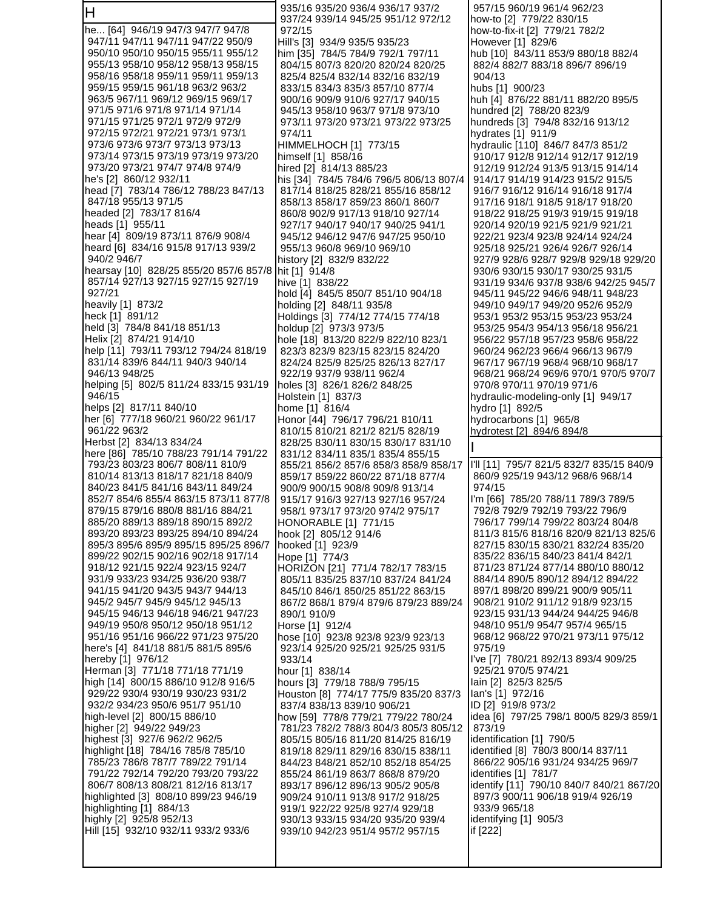| ΙH                                                                      | 935/16 935/20 936/4 936/17 937/2                                      | 957/15 960/19 961/4 962/23                                            |
|-------------------------------------------------------------------------|-----------------------------------------------------------------------|-----------------------------------------------------------------------|
| he [64] 946/19 947/3 947/7 947/8                                        | 937/24 939/14 945/25 951/12 972/12<br>972/15                          | how-to [2] 779/22 830/15<br>how-to-fix-it [2] 779/21 782/2            |
| 947/11 947/11 947/11 947/22 950/9                                       | Hill's [3] 934/9 935/5 935/23                                         | However [1] 829/6                                                     |
| 950/10 950/10 950/15 955/11 955/12                                      | him [35] 784/5 784/9 792/1 797/11                                     | hub [10] 843/11 853/9 880/18 882/4                                    |
| 955/13 958/10 958/12 958/13 958/15                                      | 804/15 807/3 820/20 820/24 820/25                                     | 882/4 882/7 883/18 896/7 896/19                                       |
| 958/16 958/18 959/11 959/11 959/13                                      | 825/4 825/4 832/14 832/16 832/19                                      | 904/13                                                                |
| 959/15 959/15 961/18 963/2 963/2                                        | 833/15 834/3 835/3 857/10 877/4                                       | hubs [1] 900/23                                                       |
| 963/5 967/11 969/12 969/15 969/17                                       | 900/16 909/9 910/6 927/17 940/15                                      | huh [4] 876/22 881/11 882/20 895/5                                    |
| 971/5 971/6 971/8 971/14 971/14<br>971/15 971/25 972/1 972/9 972/9      | 945/13 958/10 963/7 971/8 973/10                                      | hundred [2] 788/20 823/9                                              |
| 972/15 972/21 972/21 973/1 973/1                                        | 973/11 973/20 973/21 973/22 973/25<br>974/11                          | hundreds [3]  794/8 832/16 913/12<br>hydrates [1] 911/9               |
| 973/6 973/6 973/7 973/13 973/13                                         | HIMMELHOCH [1] 773/15                                                 | hydraulic [110] 846/7 847/3 851/2                                     |
| 973/14 973/15 973/19 973/19 973/20                                      | himself [1] 858/16                                                    | 910/17 912/8 912/14 912/17 912/19                                     |
| 973/20 973/21 974/7 974/8 974/9                                         | hired [2] 814/13 885/23                                               | 912/19 912/24 913/5 913/15 914/14                                     |
| he's [2] 860/12 932/11                                                  | his [34] 784/5 784/6 796/5 806/13 807/4                               | 914/17 914/19 914/23 915/2 915/5                                      |
| head [7] 783/14 786/12 788/23 847/13                                    | 817/14 818/25 828/21 855/16 858/12                                    | 916/7 916/12 916/14 916/18 917/4                                      |
| 847/18 955/13 971/5                                                     | 858/13 858/17 859/23 860/1 860/7                                      | 917/16 918/1 918/5 918/17 918/20                                      |
| headed [2] 783/17 816/4<br>heads [1] 955/11                             | 860/8 902/9 917/13 918/10 927/14<br>927/17 940/17 940/17 940/25 941/1 | 918/22 918/25 919/3 919/15 919/18<br>920/14 920/19 921/5 921/9 921/21 |
| hear [4] 809/19 873/11 876/9 908/4                                      | 945/12 946/12 947/6 947/25 950/10                                     | 922/21 923/4 923/8 924/14 924/24                                      |
| heard [6] 834/16 915/8 917/13 939/2                                     | 955/13 960/8 969/10 969/10                                            | 925/18 925/21 926/4 926/7 926/14                                      |
| 940/2 946/7                                                             | history [2] 832/9 832/22                                              | 927/9 928/6 928/7 929/8 929/18 929/20                                 |
| hearsay [10] 828/25 855/20 857/6 857/8                                  | hit [1] 914/8                                                         | 930/6 930/15 930/17 930/25 931/5                                      |
| 857/14 927/13 927/15 927/15 927/19                                      | hive [1] 838/22                                                       | 931/19 934/6 937/8 938/6 942/25 945/7                                 |
| 927/21                                                                  | hold [4] 845/5 850/7 851/10 904/18                                    | 945/11 945/22 946/6 948/11 948/23                                     |
| heavily [1] 873/2<br>heck [1] 891/12                                    | holding [2] 848/11 935/8                                              | 949/10 949/17 949/20 952/6 952/9                                      |
| held [3] 784/8 841/18 851/13                                            | Holdings [3] 774/12 774/15 774/18<br>holdup [2] 973/3 973/5           | 953/1 953/2 953/15 953/23 953/24<br>953/25 954/3 954/13 956/18 956/21 |
| Helix [2] 874/21 914/10                                                 | hole [18] 813/20 822/9 822/10 823/1                                   | 956/22 957/18 957/23 958/6 958/22                                     |
| help [11] 793/11 793/12 794/24 818/19                                   | 823/3 823/9 823/15 823/15 824/20                                      | 960/24 962/23 966/4 966/13 967/9                                      |
| 831/14 839/6 844/11 940/3 940/14                                        | 824/24 825/9 825/25 826/13 827/17                                     | 967/17 967/19 968/4 968/10 968/17                                     |
| 946/13 948/25                                                           | 922/19 937/9 938/11 962/4                                             | 968/21 968/24 969/6 970/1 970/5 970/7                                 |
| helping [5] 802/5 811/24 833/15 931/19                                  | holes [3] 826/1 826/2 848/25                                          | 970/8 970/11 970/19 971/6                                             |
| 946/15<br>helps [2] 817/11 840/10                                       | Holstein [1] 837/3                                                    | hydraulic-modeling-only [1] 949/17                                    |
| her [6] 777/18 960/21 960/22 961/17                                     | home [1] 816/4<br>Honor [44] 796/17 796/21 810/11                     | hydro [1] 892/5<br>hydrocarbons [1] 965/8                             |
| 961/22 963/2                                                            | 810/15 810/21 821/2 821/5 828/19                                      | hydrotest [2] 894/6 894/8                                             |
|                                                                         |                                                                       |                                                                       |
| Herbst [2] 834/13 834/24                                                | 828/25 830/11 830/15 830/17 831/10                                    |                                                                       |
| here [86] 785/10 788/23 791/14 791/22                                   | 831/12 834/11 835/1 835/4 855/15                                      |                                                                       |
| 793/23 803/23 806/7 808/11 810/9                                        | 855/21 856/2 857/6 858/3 858/9 858/17                                 | I'll [11] 795/7 821/5 832/7 835/15 840/9                              |
| 810/14 813/13 818/17 821/18 840/9                                       | 859/17 859/22 860/22 871/18 877/4                                     | 860/9 925/19 943/12 968/6 968/14                                      |
| 840/23 841/5 841/16 843/11 849/24                                       | 900/9 900/15 908/8 909/8 913/14                                       | 974/15                                                                |
| 852/7 854/6 855/4 863/15 873/11 877/8                                   | 915/17 916/3 927/13 927/16 957/24                                     | I'm [66] 785/20 788/11 789/3 789/5                                    |
| 879/15 879/16 880/8 881/16 884/21                                       | 958/1 973/17 973/20 974/2 975/17                                      | 792/8 792/9 792/19 793/22 796/9<br>796/17 799/14 799/22 803/24 804/8  |
| 885/20 889/13 889/18 890/15 892/2<br>893/20 893/23 893/25 894/10 894/24 | HONORABLE [1] 771/15<br>hook [2] 805/12 914/6                         | 811/3 815/6 818/16 820/9 821/13 825/6                                 |
| 895/3 895/6 895/9 895/15 895/25 896/7                                   | hooked [1] 923/9                                                      | 827/15 830/15 830/21 832/24 835/20                                    |
| 899/22 902/15 902/16 902/18 917/14                                      | Hope [1] 774/3                                                        | 835/22 836/15 840/23 841/4 842/1                                      |
| 918/12 921/15 922/4 923/15 924/7                                        | HORIZON [21] 771/4 782/17 783/15                                      | 871/23 871/24 877/14 880/10 880/12                                    |
| 931/9 933/23 934/25 936/20 938/7                                        | 805/11 835/25 837/10 837/24 841/24                                    | 884/14 890/5 890/12 894/12 894/22                                     |
| 941/15 941/20 943/5 943/7 944/13                                        | 845/10 846/1 850/25 851/22 863/15                                     | 897/1 898/20 899/21 900/9 905/11                                      |
| 945/2 945/7 945/9 945/12 945/13<br>945/15 946/13 946/18 946/21 947/23   | 867/2 868/1 879/4 879/6 879/23 889/24<br>890/1 910/9                  | 908/21 910/2 911/12 918/9 923/15<br>923/15 931/13 944/24 944/25 946/8 |
| 949/19 950/8 950/12 950/18 951/12                                       | Horse [1] 912/4                                                       | 948/10 951/9 954/7 957/4 965/15                                       |
| 951/16 951/16 966/22 971/23 975/20                                      | hose [10] 923/8 923/8 923/9 923/13                                    | 968/12 968/22 970/21 973/11 975/12                                    |
| here's [4] 841/18 881/5 881/5 895/6                                     | 923/14 925/20 925/21 925/25 931/5                                     | 975/19                                                                |
| hereby [1] 976/12                                                       | 933/14                                                                | l've [7]  780/21 892/13 893/4 909/25                                  |
| Herman [3] 771/18 771/18 771/19                                         | hour [1] 838/14                                                       | 925/21 970/5 974/21                                                   |
| high [14] 800/15 886/10 912/8 916/5                                     | hours [3] 779/18 788/9 795/15                                         | lain [2] 825/3 825/5                                                  |
| 929/22 930/4 930/19 930/23 931/2<br>932/2 934/23 950/6 951/7 951/10     | Houston [8] 774/17 775/9 835/20 837/3<br>837/4 838/13 839/10 906/21   | lan's [1]  972/16<br>ID [2] 919/8 973/2                               |
|                                                                         | how [59] 778/8 779/21 779/22 780/24                                   | idea [6] 797/25 798/1 800/5 829/3 859/1                               |
| high-level [2] 800/15 886/10<br>higher [2] 949/22 949/23                | 781/23 782/2 788/3 804/3 805/3 805/12                                 | 873/19                                                                |
|                                                                         | 805/15 805/16 811/20 814/25 816/19                                    | identification [1] 790/5                                              |
| highest [3] 927/6 962/2 962/5<br>highlight [18] 784/16 785/8 785/10     | 819/18 829/11 829/16 830/15 838/11                                    | identified [8] 780/3 800/14 837/11                                    |
| 785/23 786/8 787/7 789/22 791/14                                        | 844/23 848/21 852/10 852/18 854/25                                    | 866/22 905/16 931/24 934/25 969/7                                     |
| 791/22 792/14 792/20 793/20 793/22<br>806/7 808/13 808/21 812/16 813/17 | 855/24 861/19 863/7 868/8 879/20<br>893/17 896/12 896/13 905/2 905/8  | identifies [1] 781/7<br>identify [11] 790/10 840/7 840/21 867/20      |
| highlighted [3] 808/10 899/23 946/19                                    | 909/24 910/11 913/8 917/2 918/25                                      | 897/3 900/11 906/18 919/4 926/19                                      |
|                                                                         | 919/1 922/22 925/8 927/4 929/18                                       | 933/9 965/18                                                          |
| highlighting [1] 884/13<br>highly [2] 925/8 952/13                      | 930/13 933/15 934/20 935/20 939/4                                     | identifying [1] 905/3                                                 |
| Hill [15] 932/10 932/11 933/2 933/6                                     | 939/10 942/23 951/4 957/2 957/15                                      | if [222]                                                              |
|                                                                         |                                                                       |                                                                       |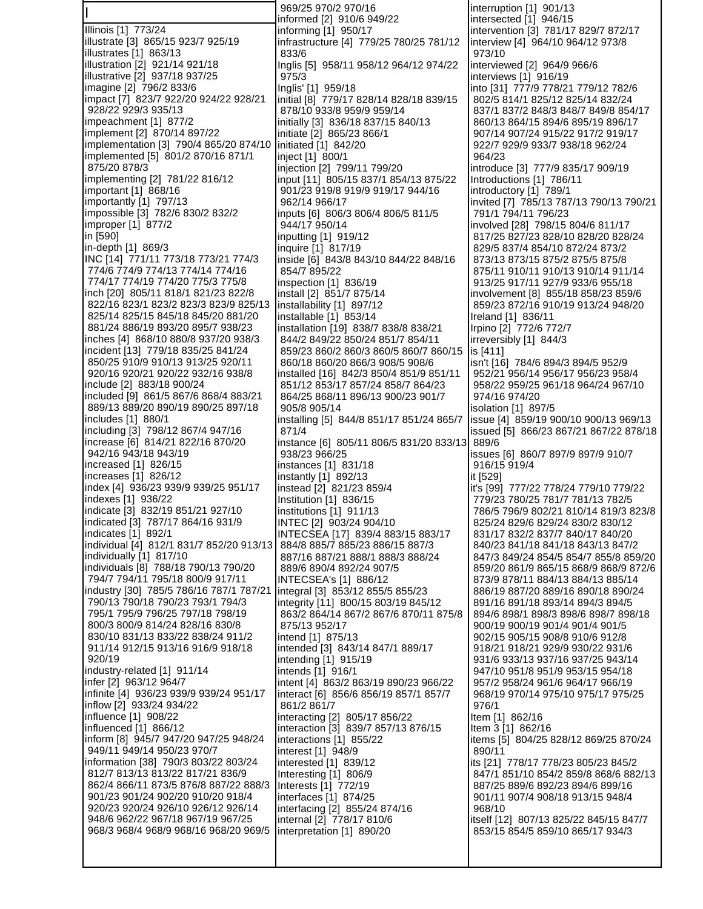I Illinois [1] 773/24 illustrate [3] 865/15 923/7 925/19 illustrates [1] 863/13 illustration [2] 921/14 921/18 illustrative [2] 937/18 937/25 imagine [2] 796/2 833/6 impact [7] 823/7 922/20 924/22 928/21 928/22 929/3 935/13 impeachment [1] 877/2 implement [2] 870/14 897/22 implementation [3] 790/4 865/20 874/10 implemented [5] 801/2 870/16 871/1 875/20 878/3 implementing [2] 781/22 816/12 important [1] 868/16 importantly [1] 797/13 impossible [3] 782/6 830/2 832/2 improper [1] 877/2 in [590] in-depth [1] 869/3 INC [14] 771/11 773/18 773/21 774/3 774/6 774/9 774/13 774/14 774/16 774/17 774/19 774/20 775/3 775/8 inch [20] 805/11 818/1 821/23 822/8 822/16 823/1 823/2 823/3 823/9 825/13 825/14 825/15 845/18 845/20 881/20 881/24 886/19 893/20 895/7 938/23 inches [4] 868/10 880/8 937/20 938/3 incident [13] 779/18 835/25 841/24 850/25 910/9 910/13 913/25 920/11 920/16 920/21 920/22 932/16 938/8 include [2] 883/18 900/24 included [9] 861/5 867/6 868/4 883/21 889/13 889/20 890/19 890/25 897/18 includes [1] 880/1 including [3] 798/12 867/4 947/16 increase [6] 814/21 822/16 870/20 942/16 943/18 943/19 increased [1] 826/15 increases [1] 826/12 index [4] 936/23 939/9 939/25 951/17 indexes [1] 936/22 indicate [3] 832/19 851/21 927/10 indicated [3] 787/17 864/16 931/9 indicates [1] 892/1 individual [4] 812/1 831/7 852/20 913/13 individually [1] 817/10 individuals [8] 788/18 790/13 790/20 794/7 794/11 795/18 800/9 917/11 industry [30] 785/5 786/16 787/1 787/21 790/13 790/18 790/23 793/1 794/3 795/1 795/9 796/25 797/18 798/19 800/3 800/9 814/24 828/16 830/8 830/10 831/13 833/22 838/24 911/2 911/14 912/15 913/16 916/9 918/18 920/19 industry-related [1] 911/14 infer [2] 963/12 964/7 infinite [4] 936/23 939/9 939/24 951/17 inflow [2] 933/24 934/22 influence [1] 908/22 influenced [1] 866/12 inform [8] 945/7 947/20 947/25 948/24 949/11 949/14 950/23 970/7 information [38] 790/3 803/22 803/24 812/7 813/13 813/22 817/21 836/9 862/4 866/11 873/5 876/8 887/22 888/3 901/23 901/24 902/20 910/20 918/4 920/23 920/24 926/10 926/12 926/14 948/6 962/22 967/18 967/19 967/25 968/3 968/4 968/9 968/16 968/20 969/5 833/6 975/3 871/4

 969/25 970/2 970/16 informed [2] 910/6 949/22 informing [1] 950/17 infrastructure [4] 779/25 780/25 781/12 Inglis [5] 958/11 958/12 964/12 974/22 Inglis' [1] 959/18 initial [8] 779/17 828/14 828/18 839/15 878/10 933/8 959/9 959/14 initially [3] 836/18 837/15 840/13 initiate [2] 865/23 866/1 initiated [1] 842/20 inject [1] 800/1 injection [2] 799/11 799/20 input [11] 805/15 837/1 854/13 875/22 901/23 919/8 919/9 919/17 944/16 962/14 966/17 inputs [6] 806/3 806/4 806/5 811/5 944/17 950/14 inputting [1] 919/12 inquire [1] 817/19 inside [6] 843/8 843/10 844/22 848/16 854/7 895/22 inspection [1] 836/19 install [2] 851/7 875/14 installability [1] 897/12 installable [1] 853/14 installation [19] 838/7 838/8 838/21 844/2 849/22 850/24 851/7 854/11 859/23 860/2 860/3 860/5 860/7 860/15 860/18 860/20 866/3 908/5 908/6 installed [16] 842/3 850/4 851/9 851/11 851/12 853/17 857/24 858/7 864/23 864/25 868/11 896/13 900/23 901/7 905/8 905/14 installing [5] 844/8 851/17 851/24 865/7 instance [6] 805/11 806/5 831/20 833/13 938/23 966/25 instances [1] 831/18 instantly [1] 892/13 instead [2] 821/23 859/4 Institution [1] 836/15 institutions [1] 911/13 INTEC [2] 903/24 904/10 INTECSEA [17] 839/4 883/15 883/17 884/8 885/7 885/23 886/15 887/3 887/16 887/21 888/1 888/3 888/24 889/6 890/4 892/24 907/5 INTECSEA's [1] 886/12 integral [3] 853/12 855/5 855/23 integrity [11] 800/15 803/19 845/12 863/2 864/14 867/2 867/6 870/11 875/8 875/13 952/17 intend [1] 875/13 intended [3] 843/14 847/1 889/17 intending [1] 915/19 intends [1] 916/1 intent [4] 863/2 863/19 890/23 966/22 interact [6] 856/6 856/19 857/1 857/7 861/2 861/7 interacting [2] 805/17 856/22 interaction [3] 839/7 857/13 876/15 interactions [1] 855/22 interest [1] 948/9 interested [1] 839/12 Interesting [1] 806/9 Interests [1] 772/19 interfaces [1] 874/25 interfacing [2] 855/24 874/16 internal [2] 778/17 810/6 interpretation [1] 890/20

interruption [1] 901/13 intersected [1] 946/15 intervention [3] 781/17 829/7 872/17 interview [4] 964/10 964/12 973/8 973/10 interviewed [2] 964/9 966/6 interviews [1] 916/19 into [31] 777/9 778/21 779/12 782/6 802/5 814/1 825/12 825/14 832/24 837/1 837/2 848/3 848/7 849/8 854/17 860/13 864/15 894/6 895/19 896/17 907/14 907/24 915/22 917/2 919/17 922/7 929/9 933/7 938/18 962/24 964/23 introduce [3] 777/9 835/17 909/19 Introductions [1] 786/11 introductory [1] 789/1 invited [7] 785/13 787/13 790/13 790/21 791/1 794/11 796/23 involved [28] 798/15 804/6 811/17 817/25 827/23 828/10 828/20 828/24 829/5 837/4 854/10 872/24 873/2 873/13 873/15 875/2 875/5 875/8 875/11 910/11 910/13 910/14 911/14 913/25 917/11 927/9 933/6 955/18 involvement [8] 855/18 858/23 859/6 859/23 872/16 910/19 913/24 948/20 Ireland [1] 836/11 Irpino [2] 772/6 772/7 irreversibly [1] 844/3 is [411] isn't [16] 784/6 894/3 894/5 952/9 952/21 956/14 956/17 956/23 958/4 958/22 959/25 961/18 964/24 967/10 974/16 974/20 isolation [1] 897/5 issue [4] 859/19 900/10 900/13 969/13 issued [5] 866/23 867/21 867/22 878/18 889/6 issues [6] 860/7 897/9 897/9 910/7 916/15 919/4 it [529] it's [99] 777/22 778/24 779/10 779/22 779/23 780/25 781/7 781/13 782/5 786/5 796/9 802/21 810/14 819/3 823/8 825/24 829/6 829/24 830/2 830/12 831/17 832/2 837/7 840/17 840/20 840/23 841/18 841/18 843/13 847/2 847/3 849/24 854/5 854/7 855/8 859/20 859/20 861/9 865/15 868/9 868/9 872/6 873/9 878/11 884/13 884/13 885/14 886/19 887/20 889/16 890/18 890/24 891/16 891/18 893/14 894/3 894/5 894/6 898/1 898/3 898/6 898/7 898/18 900/19 900/19 901/4 901/4 901/5 902/15 905/15 908/8 910/6 912/8 918/21 918/21 929/9 930/22 931/6 931/6 933/13 937/16 937/25 943/14 947/10 951/8 951/9 953/15 954/18 957/2 958/24 961/6 964/17 966/19 968/19 970/14 975/10 975/17 975/25 976/1 Item [1] 862/16 Item 3 [1] 862/16 items [5] 804/25 828/12 869/25 870/24 890/11 its [21] 778/17 778/23 805/23 845/2 847/1 851/10 854/2 859/8 868/6 882/13 887/25 889/6 892/23 894/6 899/16 901/11 907/4 908/18 913/15 948/4 968/10 itself [12] 807/13 825/22 845/15 847/7 853/15 854/5 859/10 865/17 934/3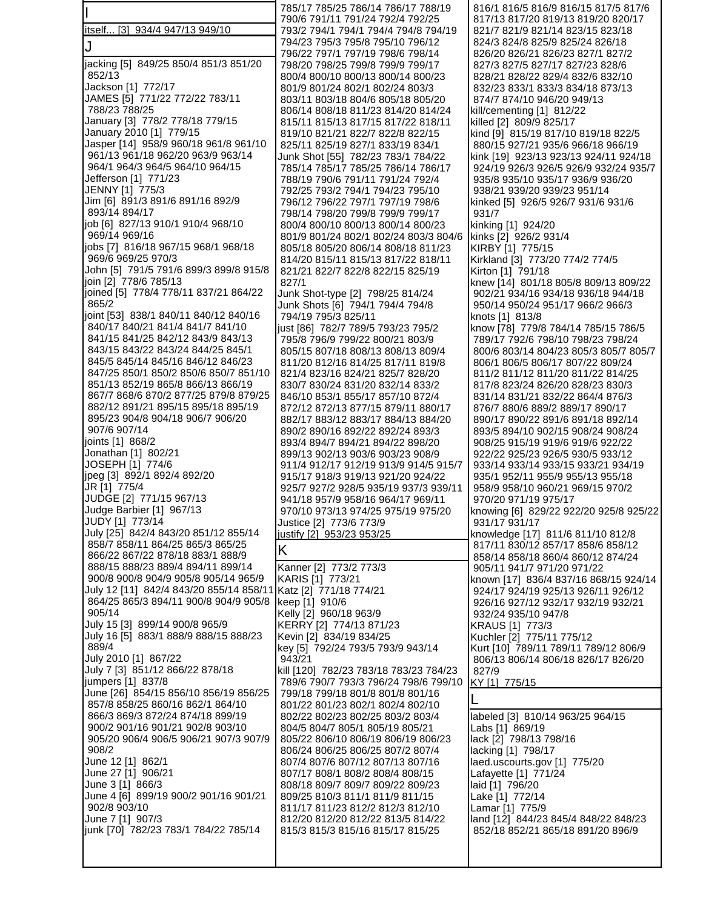|                                                                            | 785/17 785/25 786/14 786/17 788/19                                              | 816/1 816/5 816/9 816/15 817/5 817/6                                     |
|----------------------------------------------------------------------------|---------------------------------------------------------------------------------|--------------------------------------------------------------------------|
| itself [3] 934/4 947/13 949/10                                             | 790/6 791/11 791/24 792/4 792/25<br>793/2 794/1 794/1 794/4 794/8 794/19        | 817/13 817/20 819/13 819/20 820/17<br>821/7 821/9 821/14 823/15 823/18   |
| IJ                                                                         | 794/23 795/3 795/8 795/10 796/12                                                | 824/3 824/8 825/9 825/24 826/18                                          |
|                                                                            | 796/22 797/1 797/19 798/6 798/14                                                | 826/20 826/21 826/23 827/1 827/2                                         |
| jacking [5] 849/25 850/4 851/3 851/20<br>852/13                            | 798/20 798/25 799/8 799/9 799/17<br>800/4 800/10 800/13 800/14 800/23           | 827/3 827/5 827/17 827/23 828/6<br>828/21 828/22 829/4 832/6 832/10      |
| Jackson [1] 772/17                                                         | 801/9 801/24 802/1 802/24 803/3                                                 | 832/23 833/1 833/3 834/18 873/13                                         |
| JAMES [5] 771/22 772/22 783/11                                             | 803/11 803/18 804/6 805/18 805/20                                               | 874/7 874/10 946/20 949/13                                               |
| 788/23 788/25                                                              | 806/14 808/18 811/23 814/20 814/24                                              | kill/cementing $[1]$ 812/22                                              |
| January [3] 778/2 778/18 779/15                                            | 815/11 815/13 817/15 817/22 818/11                                              | killed [2] 809/9 825/17                                                  |
| January 2010 [1] 779/15<br>Jasper [14] 958/9 960/18 961/8 961/10           | 819/10 821/21 822/7 822/8 822/15<br>825/11 825/19 827/1 833/19 834/1            | kind [9] 815/19 817/10 819/18 822/5<br>880/15 927/21 935/6 966/18 966/19 |
| 961/13 961/18 962/20 963/9 963/14                                          | Junk Shot [55] 782/23 783/1 784/22                                              | kink [19] 923/13 923/13 924/11 924/18                                    |
| 964/1 964/3 964/5 964/10 964/15                                            | 785/14 785/17 785/25 786/14 786/17                                              | 924/19 926/3 926/5 926/9 932/24 935/7                                    |
| Jefferson [1] 771/23                                                       | 788/19 790/6 791/11 791/24 792/4                                                | 935/8 935/10 935/17 936/9 936/20                                         |
| JENNY [1] 775/3<br>Jim [6] 891/3 891/6 891/16 892/9                        | 792/25 793/2 794/1 794/23 795/10<br>796/12 796/22 797/1 797/19 798/6            | 938/21 939/20 939/23 951/14<br>kinked [5] 926/5 926/7 931/6 931/6        |
| 893/14 894/17                                                              | 798/14 798/20 799/8 799/9 799/17                                                | 931/7                                                                    |
| job [6] 827/13 910/1 910/4 968/10                                          | 800/4 800/10 800/13 800/14 800/23                                               | kinking [1] 924/20                                                       |
| 969/14 969/16                                                              | 801/9 801/24 802/1 802/24 803/3 804/6                                           | kinks [2] 926/2 931/4                                                    |
| jobs [7] 816/18 967/15 968/1 968/18<br>969/6 969/25 970/3                  | 805/18 805/20 806/14 808/18 811/23                                              | KIRBY [1] 775/15                                                         |
| John [5] 791/5 791/6 899/3 899/8 915/8                                     | 814/20 815/11 815/13 817/22 818/11<br>821/21 822/7 822/8 822/15 825/19          | Kirkland [3] 773/20 774/2 774/5<br>Kirton [1] 791/18                     |
| join [2] 778/6 785/13                                                      | 827/1                                                                           | knew [14] 801/18 805/8 809/13 809/22                                     |
| joined [5] 778/4 778/11 837/21 864/22                                      | Junk Shot-type [2] 798/25 814/24                                                | 902/21 934/16 934/18 936/18 944/18                                       |
| 865/2                                                                      | Junk Shots [6] 794/1 794/4 794/8                                                | 950/14 950/24 951/17 966/2 966/3                                         |
| joint [53] 838/1 840/11 840/12 840/16<br>840/17 840/21 841/4 841/7 841/10  | 794/19 795/3 825/11<br>just [86] 782/7 789/5 793/23 795/2                       | knots [1] 813/8<br>know [78] 779/8 784/14 785/15 786/5                   |
| 841/15 841/25 842/12 843/9 843/13                                          | 795/8 796/9 799/22 800/21 803/9                                                 | 789/17 792/6 798/10 798/23 798/24                                        |
| 843/15 843/22 843/24 844/25 845/1                                          | 805/15 807/18 808/13 808/13 809/4                                               | 800/6 803/14 804/23 805/3 805/7 805/7                                    |
| 845/5 845/14 845/16 846/12 846/23                                          | 811/20 812/16 814/25 817/11 819/8                                               | 806/1 806/5 806/17 807/22 809/24                                         |
| 847/25 850/1 850/2 850/6 850/7 851/10<br>851/13 852/19 865/8 866/13 866/19 | 821/4 823/16 824/21 825/7 828/20<br>830/7 830/24 831/20 832/14 833/2            | 811/2 811/12 811/20 811/22 814/25<br>817/8 823/24 826/20 828/23 830/3    |
| 867/7 868/6 870/2 877/25 879/8 879/25                                      | 846/10 853/1 855/17 857/10 872/4                                                | 831/14 831/21 832/22 864/4 876/3                                         |
| 882/12 891/21 895/15 895/18 895/19                                         | 872/12 872/13 877/15 879/11 880/17                                              | 876/7 880/6 889/2 889/17 890/17                                          |
| 895/23 904/8 904/18 906/7 906/20                                           | 882/17 883/12 883/17 884/13 884/20                                              | 890/17 890/22 891/6 891/18 892/14                                        |
| 907/6 907/14<br>joints [1] 868/2                                           | 890/2 890/16 892/22 892/24 893/3                                                | 893/5 894/10 902/15 908/24 908/24                                        |
| Jonathan [1] 802/21                                                        | 893/4 894/7 894/21 894/22 898/20<br>899/13 902/13 903/6 903/23 908/9            | 908/25 915/19 919/6 919/6 922/22<br>922/22 925/23 926/5 930/5 933/12     |
| JOSEPH [1] 774/6                                                           | 911/4 912/17 912/19 913/9 914/5 915/7                                           | 933/14 933/14 933/15 933/21 934/19                                       |
| jpeg [3] 892/1 892/4 892/20                                                | 915/17 918/3 919/13 921/20 924/22                                               | 935/1 952/11 955/9 955/13 955/18                                         |
| JR [1] 775/4                                                               | 925/7 927/2 928/5 935/19 937/3 939/11                                           | 958/9 958/10 960/21 969/15 970/2                                         |
| JUDGE [2] 771/15 967/13<br>Judge Barbier [1] 967/13                        | 941/18 957/9 958/16 964/17 969/11<br>970/10 973/13 974/25 975/19 975/20         | 970/20 971/19 975/17<br>knowing [6] 829/22 922/20 925/8 925/22           |
| JUDY [1] 773/14                                                            | Justice [2] 773/6 773/9                                                         | 931/17 931/17                                                            |
| July [25] 842/4 843/20 851/12 855/14                                       | justify [2] 953/23 953/25                                                       | knowledge [17] 811/6 811/10 812/8                                        |
| 858/7 858/11 864/25 865/3 865/25<br>866/22 867/22 878/18 883/1 888/9       | Κ                                                                               | 817/11 830/12 857/17 858/6 858/12                                        |
| 888/15 888/23 889/4 894/11 899/14                                          | Kanner [2] 773/2 773/3                                                          | 858/14 858/18 860/4 860/12 874/24<br>905/11 941/7 971/20 971/22          |
| 900/8 900/8 904/9 905/8 905/14 965/9                                       | KARIS [1] 773/21                                                                | known [17] 836/4 837/16 868/15 924/14                                    |
| July 12 [11] 842/4 843/20 855/14 858/11                                    | Katz [2] 771/18 774/21                                                          | 924/17 924/19 925/13 926/11 926/12                                       |
| 864/25 865/3 894/11 900/8 904/9 905/8<br>905/14                            | keep [1] 910/6                                                                  | 926/16 927/12 932/17 932/19 932/21                                       |
| July 15 [3] 899/14 900/8 965/9                                             | Kelly [2] 960/18 963/9<br>KERRY [2] 774/13 871/23                               | 932/24 935/10 947/8<br>KRAUS [1] 773/3                                   |
| July 16 [5] 883/1 888/9 888/15 888/23                                      | Kevin [2] 834/19 834/25                                                         | Kuchler [2] 775/11 775/12                                                |
| 889/4                                                                      | key [5] 792/24 793/5 793/9 943/14                                               | Kurt [10] 789/11 789/11 789/12 806/9                                     |
| July 2010 [1] 867/22<br>July 7 [3] 851/12 866/22 878/18                    | 943/21                                                                          | 806/13 806/14 806/18 826/17 826/20                                       |
| jumpers [1] 837/8                                                          | kill [120] 782/23 783/18 783/23 784/23<br>789/6 790/7 793/3 796/24 798/6 799/10 | 827/9<br>KY [1] 775/15                                                   |
| June [26] 854/15 856/10 856/19 856/25                                      | 799/18 799/18 801/8 801/8 801/16                                                |                                                                          |
| 857/8 858/25 860/16 862/1 864/10                                           | 801/22 801/23 802/1 802/4 802/10                                                |                                                                          |
| 866/3 869/3 872/24 874/18 899/19<br>900/2 901/16 901/21 902/8 903/10       | 802/22 802/23 802/25 803/2 803/4                                                | labeled [3] 810/14 963/25 964/15                                         |
| 905/20 906/4 906/5 906/21 907/3 907/9                                      | 804/5 804/7 805/1 805/19 805/21<br>805/22 806/10 806/19 806/19 806/23           | Labs [1] 869/19<br>lack [2] 798/13 798/16                                |
| 908/2                                                                      | 806/24 806/25 806/25 807/2 807/4                                                | lacking [1] 798/17                                                       |
| June 12 [1] 862/1                                                          | 807/4 807/6 807/12 807/13 807/16                                                | laed.uscourts.gov [1] 775/20                                             |
| June 27 [1] 906/21                                                         | 807/17 808/1 808/2 808/4 808/15                                                 | Lafayette [1] 771/24                                                     |
| June 3 [1] 866/3<br>June 4 [6] 899/19 900/2 901/16 901/21                  | 808/18 809/7 809/7 809/22 809/23<br>809/25 810/3 811/1 811/9 811/15             | laid [1] 796/20<br>Lake [1] 772/14                                       |
| 902/8 903/10                                                               | 811/17 811/23 812/2 812/3 812/10                                                | Lamar [1] 775/9                                                          |
| June 7 [1] 907/3                                                           | 812/20 812/20 812/22 813/5 814/22                                               | land [12] 844/23 845/4 848/22 848/23                                     |
| junk [70] 782/23 783/1 784/22 785/14                                       | 815/3 815/3 815/16 815/17 815/25                                                | 852/18 852/21 865/18 891/20 896/9                                        |
|                                                                            |                                                                                 |                                                                          |
|                                                                            |                                                                                 |                                                                          |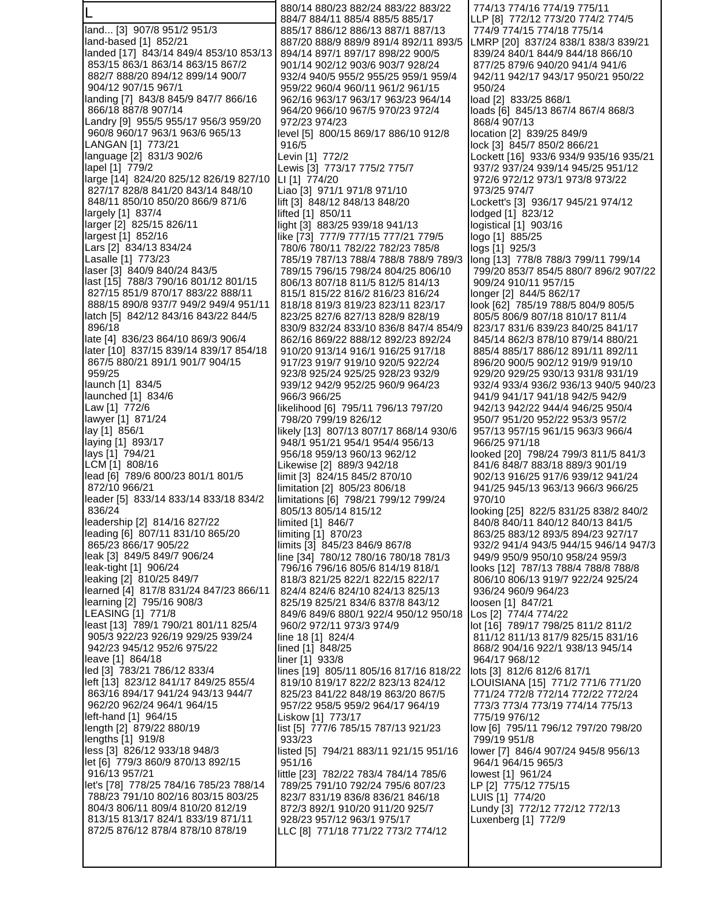L land... [3] 907/8 951/2 951/3 land-based [1] 852/21 landed [17] 843/14 849/4 853/10 853/13 853/15 863/1 863/14 863/15 867/2 882/7 888/20 894/12 899/14 900/7 904/12 907/15 967/1 landing [7] 843/8 845/9 847/7 866/16 866/18 887/8 907/14 Landry [9] 955/5 955/17 956/3 959/20 960/8 960/17 963/1 963/6 965/13 LANGAN [1] 773/21 language [2] 831/3 902/6 lapel [1] 779/2 large [14] 824/20 825/12 826/19 827/10 827/17 828/8 841/20 843/14 848/10 848/11 850/10 850/20 866/9 871/6 largely [1] 837/4 larger [2] 825/15 826/11 largest [1] 852/16 Lars [2] 834/13 834/24 Lasalle [1] 773/23 laser [3] 840/9 840/24 843/5 last [15] 788/3 790/16 801/12 801/15 827/15 851/9 870/17 883/22 888/11 888/15 890/8 937/7 949/2 949/4 951/11 latch [5] 842/12 843/16 843/22 844/5 896/18 late [4] 836/23 864/10 869/3 906/4 later [10] 837/15 839/14 839/17 854/18 867/5 880/21 891/1 901/7 904/15 959/25 launch [1] 834/5 launched [1] 834/6 Law [1] 772/6 lawyer [1] 871/24 lay [1] 856/1 laying [1] 893/17 lays [1] 794/21 LCM [1] 808/16 lead [6] 789/6 800/23 801/1 801/5 872/10 966/21 leader [5] 833/14 833/14 833/18 834/2 836/24 leadership [2] 814/16 827/22 leading [6] 807/11 831/10 865/20 865/23 866/17 905/22 leak [3] 849/5 849/7 906/24 leak-tight [1] 906/24 leaking [2] 810/25 849/7 learned [4] 817/8 831/24 847/23 866/11 learning [2] 795/16 908/3 LEASING [1] 771/8 least [13] 789/1 790/21 801/11 825/4 905/3 922/23 926/19 929/25 939/24 942/23 945/12 952/6 975/22 leave [1] 864/18 led [3] 783/21 786/12 833/4 left [13] 823/12 841/17 849/25 855/4 863/16 894/17 941/24 943/13 944/7 962/20 962/24 964/1 964/15 left-hand [1] 964/15 length [2] 879/22 880/19 lengths [1] 919/8 less [3] 826/12 933/18 948/3 let [6] 779/3 860/9 870/13 892/15 916/13 957/21 let's [78] 778/25 784/16 785/23 788/14 788/23 791/10 802/16 803/15 803/25 804/3 806/11 809/4 810/20 812/19 813/15 813/17 824/1 833/19 871/11 872/5 876/12 878/4 878/10 878/19

 880/14 880/23 882/24 883/22 883/22 884/7 884/11 885/4 885/5 885/17 885/17 886/12 886/13 887/1 887/13 887/20 888/9 889/9 891/4 892/11 893/5 894/14 897/1 897/17 898/22 900/5 901/14 902/12 903/6 903/7 928/24 932/4 940/5 955/2 955/25 959/1 959/4 959/22 960/4 960/11 961/2 961/15 962/16 963/17 963/17 963/23 964/14 964/20 966/10 967/5 970/23 972/4 972/23 974/23 level [5] 800/15 869/17 886/10 912/8 916/5 Levin [1] 772/2 Lewis [3] 773/17 775/2 775/7 LI [1] 774/20 Liao [3] 971/1 971/8 971/10 lift [3] 848/12 848/13 848/20 lifted [1] 850/11 light [3] 883/25 939/18 941/13 like [73] 777/9 777/15 777/21 779/5 780/6 780/11 782/22 782/23 785/8 785/19 787/13 788/4 788/8 788/9 789/3 789/15 796/15 798/24 804/25 806/10 806/13 807/18 811/5 812/5 814/13 815/1 815/22 816/2 816/23 816/24 818/18 819/3 819/23 823/11 823/17 823/25 827/6 827/13 828/9 828/19 830/9 832/24 833/10 836/8 847/4 854/9 862/16 869/22 888/12 892/23 892/24 910/20 913/14 916/1 916/25 917/18 917/23 919/7 919/10 920/5 922/24 923/8 925/24 925/25 928/23 932/9 939/12 942/9 952/25 960/9 964/23 966/3 966/25 likelihood [6] 795/11 796/13 797/20 798/20 799/19 826/12 likely [13] 807/13 807/17 868/14 930/6 948/1 951/21 954/1 954/4 956/13 956/18 959/13 960/13 962/12 Likewise [2] 889/3 942/18 limit [3] 824/15 845/2 870/10 limitation [2] 805/23 806/18 limitations [6] 798/21 799/12 799/24 805/13 805/14 815/12 limited [1] 846/7 limiting [1] 870/23 limits [3] 845/23 846/9 867/8 line [34] 780/12 780/16 780/18 781/3 796/16 796/16 805/6 814/19 818/1 818/3 821/25 822/1 822/15 822/17 824/4 824/6 824/10 824/13 825/13 825/19 825/21 834/6 837/8 843/12 849/6 849/6 880/1 922/4 950/12 950/18 960/2 972/11 973/3 974/9 line 18 [1] 824/4 lined [1] 848/25 liner [1] 933/8 lines [19] 805/11 805/16 817/16 818/22 819/10 819/17 822/2 823/13 824/12 825/23 841/22 848/19 863/20 867/5 957/22 958/5 959/2 964/17 964/19 Liskow [1] 773/17 list [5] 777/6 785/15 787/13 921/23 933/23 listed [5] 794/21 883/11 921/15 951/16 951/16 little [23] 782/22 783/4 784/14 785/6 789/25 791/10 792/24 795/6 807/23 823/7 831/19 836/8 836/21 846/18 872/3 892/1 910/20 911/20 925/7 928/23 957/12 963/1 975/17 LLC [8] 771/18 771/22 773/2 774/12

 774/13 774/16 774/19 775/11 LLP [8] 772/12 773/20 774/2 774/5 774/9 774/15 774/18 775/14 LMRP [20] 837/24 838/1 838/3 839/21 839/24 840/1 844/9 844/18 866/10 877/25 879/6 940/20 941/4 941/6 942/11 942/17 943/17 950/21 950/22 950/24 load [2] 833/25 868/1 loads [6] 845/13 867/4 867/4 868/3 868/4 907/13 location [2] 839/25 849/9 lock [3] 845/7 850/2 866/21 Lockett [16] 933/6 934/9 935/16 935/21 937/2 937/24 939/14 945/25 951/12 972/6 972/12 973/1 973/8 973/22 973/25 974/7 Lockett's [3] 936/17 945/21 974/12 lodged [1] 823/12 logistical [1] 903/16 logo [1] 885/25 logs [1] 925/3 long [13] 778/8 788/3 799/11 799/14 799/20 853/7 854/5 880/7 896/2 907/22 909/24 910/11 957/15 longer [2] 844/5 862/17 look [62] 785/19 788/5 804/9 805/5 805/5 806/9 807/18 810/17 811/4 823/17 831/6 839/23 840/25 841/17 845/14 862/3 878/10 879/14 880/21 885/4 885/17 886/12 891/11 892/11 896/20 900/5 902/12 919/9 919/10 929/20 929/25 930/13 931/8 931/19 932/4 933/4 936/2 936/13 940/5 940/23 941/9 941/17 941/18 942/5 942/9 942/13 942/22 944/4 946/25 950/4 950/7 951/20 952/22 953/3 957/2 957/13 957/15 961/15 963/3 966/4 966/25 971/18 looked [20] 798/24 799/3 811/5 841/3 841/6 848/7 883/18 889/3 901/19 902/13 916/25 917/6 939/12 941/24 941/25 945/13 963/13 966/3 966/25 970/10 looking [25] 822/5 831/25 838/2 840/2 840/8 840/11 840/12 840/13 841/5 863/25 883/12 893/5 894/23 927/17 932/2 941/4 943/5 944/15 946/14 947/3 949/9 950/9 950/10 958/24 959/3 looks [12] 787/13 788/4 788/8 788/8 806/10 806/13 919/7 922/24 925/24 936/24 960/9 964/23 loosen [1] 847/21 Los [2] 774/4 774/22 lot [16] 789/17 798/25 811/2 811/2 811/12 811/13 817/9 825/15 831/16 868/2 904/16 922/1 938/13 945/14 964/17 968/12 lots [3] 812/6 812/6 817/1 LOUISIANA [15] 771/2 771/6 771/20 771/24 772/8 772/14 772/22 772/24 773/3 773/4 773/19 774/14 775/13 775/19 976/12 low [6] 795/11 796/12 797/20 798/20 799/19 951/8 lower [7] 846/4 907/24 945/8 956/13 964/1 964/15 965/3 lowest [1] 961/24 LP [2] 775/12 775/15 LUIS [1] 774/20 Lundy [3] 772/12 772/12 772/13 Luxenberg [1] 772/9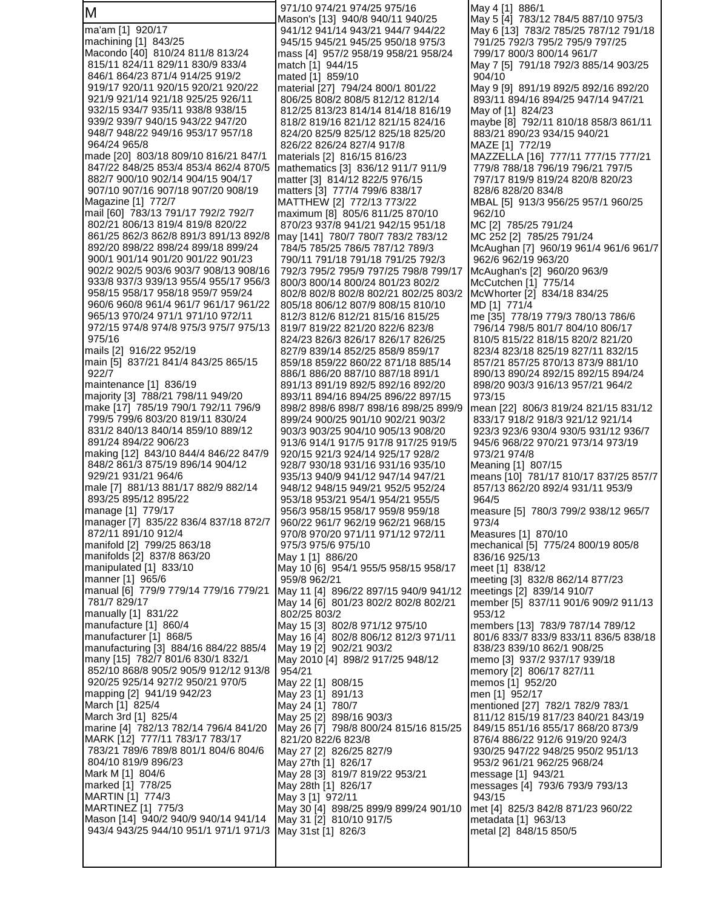| М                                                                          | 971/10 974/21 974/25 975/16<br>Mason's [13] 940/8 940/11 940/25        | May 4 [1] 886/1<br>May 5 [4] 783/12 784/5 887/10 975/3                   |
|----------------------------------------------------------------------------|------------------------------------------------------------------------|--------------------------------------------------------------------------|
| ma'am [1] 920/17                                                           | 941/12 941/14 943/21 944/7 944/22                                      | May 6 [13] 783/2 785/25 787/12 791/18                                    |
| machining [1] 843/25                                                       | 945/15 945/21 945/25 950/18 975/3                                      | 791/25 792/3 795/2 795/9 797/25                                          |
| Macondo [40] 810/24 811/8 813/24                                           | mass [4] 957/2 958/19 958/21 958/24                                    | 799/17 800/3 800/14 961/7                                                |
| 815/11 824/11 829/11 830/9 833/4<br>846/1 864/23 871/4 914/25 919/2        | match [1] 944/15<br>mated [1] 859/10                                   | May 7 [5] 791/18 792/3 885/14 903/25<br>904/10                           |
| 919/17 920/11 920/15 920/21 920/22                                         | material [27] 794/24 800/1 801/22                                      | May 9 [9] 891/19 892/5 892/16 892/20                                     |
| 921/9 921/14 921/18 925/25 926/11                                          | 806/25 808/2 808/5 812/12 812/14                                       | 893/11 894/16 894/25 947/14 947/21                                       |
| 932/15 934/7 935/11 938/8 938/15                                           | 812/25 813/23 814/14 814/18 816/19                                     | May of [1] 824/23                                                        |
| 939/2 939/7 940/15 943/22 947/20<br>948/7 948/22 949/16 953/17 957/18      | 818/2 819/16 821/12 821/15 824/16<br>824/20 825/9 825/12 825/18 825/20 | maybe [8] 792/11 810/18 858/3 861/11<br>883/21 890/23 934/15 940/21      |
| 964/24 965/8                                                               | 826/22 826/24 827/4 917/8                                              | MAZE [1] 772/19                                                          |
| made [20]  803/18 809/10 816/21 847/1                                      | materials [2] 816/15 816/23                                            | MAZZELLA [16] 777/11 777/15 777/21                                       |
| 847/22 848/25 853/4 853/4 862/4 870/5                                      | mathematics [3] 836/12 911/7 911/9                                     | 779/8 788/18 796/19 796/21 797/5                                         |
| 882/7 900/10 902/14 904/15 904/17<br>907/10 907/16 907/18 907/20 908/19    | matter [3] 814/12 822/5 976/15<br>matters [3] 777/4 799/6 838/17       | 797/17 819/9 819/24 820/8 820/23<br>828/6 828/20 834/8                   |
| Magazine [1]  772/7                                                        | MATTHEW [2] 772/13 773/22                                              | MBAL [5] 913/3 956/25 957/1 960/25                                       |
| mail [60] 783/13 791/17 792/2 792/7                                        | maximum [8] 805/6 811/25 870/10                                        | 962/10                                                                   |
| 802/21 806/13 819/4 819/8 820/22                                           | 870/23 937/8 941/21 942/15 951/18                                      | MC [2] 785/25 791/24                                                     |
| 861/25 862/3 862/8 891/3 891/13 892/8                                      | may [141] 780/7 780/7 783/2 783/12                                     | MC 252 [2] 785/25 791/24                                                 |
| 892/20 898/22 898/24 899/18 899/24<br>900/1 901/14 901/20 901/22 901/23    | 784/5 785/25 786/5 787/12 789/3<br>790/11 791/18 791/18 791/25 792/3   | McAughan [7] 960/19 961/4 961/6 961/7<br>962/6 962/19 963/20             |
| 902/2 902/5 903/6 903/7 908/13 908/16                                      | 792/3 795/2 795/9 797/25 798/8 799/17                                  | McAughan's [2] 960/20 963/9                                              |
| 933/8 937/3 939/13 955/4 955/17 956/3                                      | 800/3 800/14 800/24 801/23 802/2                                       | McCutchen [1] 775/14                                                     |
| 958/15 958/17 958/18 959/7 959/24<br>960/6 960/8 961/4 961/7 961/17 961/22 | 802/8 802/8 802/8 802/21 802/25 803/2                                  | McWhorter [2] 834/18 834/25                                              |
| 965/13 970/24 971/1 971/10 972/11                                          | 805/18 806/12 807/9 808/15 810/10<br>812/3 812/6 812/21 815/16 815/25  | MD [1] 771/4<br>me [35] 778/19 779/3 780/13 786/6                        |
| 972/15 974/8 974/8 975/3 975/7 975/13                                      | 819/7 819/22 821/20 822/6 823/8                                        | 796/14 798/5 801/7 804/10 806/17                                         |
| 975/16                                                                     | 824/23 826/3 826/17 826/17 826/25                                      | 810/5 815/22 818/15 820/2 821/20                                         |
| mails [2] 916/22 952/19                                                    | 827/9 839/14 852/25 858/9 859/17                                       | 823/4 823/18 825/19 827/11 832/15                                        |
| main [5] 837/21 841/4 843/25 865/15<br>922/7                               | 859/18 859/22 860/22 871/18 885/14<br>886/1 886/20 887/10 887/18 891/1 | 857/21 857/25 870/13 873/9 881/10<br>890/13 890/24 892/15 892/15 894/24  |
| maintenance [1] 836/19                                                     | 891/13 891/19 892/5 892/16 892/20                                      | 898/20 903/3 916/13 957/21 964/2                                         |
| majority [3] 788/21 798/11 949/20                                          | 893/11 894/16 894/25 896/22 897/15                                     | 973/15                                                                   |
| make [17] 785/19 790/1 792/11 796/9<br>799/5 799/6 803/20 819/11 830/24    | 898/2 898/6 898/7 898/16 898/25 899/9                                  | mean [22] 806/3 819/24 821/15 831/12                                     |
| 831/2 840/13 840/14 859/10 889/12                                          | 899/24 900/25 901/10 902/21 903/2<br>903/3 903/25 904/10 905/13 908/20 | 833/17 918/2 918/3 921/12 921/14<br>923/3 923/6 930/4 930/5 931/12 936/7 |
| 891/24 894/22 906/23                                                       | 913/6 914/1 917/5 917/8 917/25 919/5                                   | 945/6 968/22 970/21 973/14 973/19                                        |
| making [12] 843/10 844/4 846/22 847/9                                      | 920/15 921/3 924/14 925/17 928/2                                       | 973/21 974/8                                                             |
| 848/2 861/3 875/19 896/14 904/12<br>929/21 931/21 964/6                    | 928/7 930/18 931/16 931/16 935/10<br>935/13 940/9 941/12 947/14 947/21 | Meaning [1] 807/15<br>means [10] 781/17 810/17 837/25 857/7              |
| male [7]  881/13 881/17 882/9 882/14                                       | 948/12 948/15 949/21 952/5 952/24                                      | 857/13 862/20 892/4 931/11 953/9                                         |
| 893/25 895/12 895/22                                                       | 953/18 953/21 954/1 954/21 955/5                                       | 964/5                                                                    |
| manage [1] 779/17                                                          | 956/3 958/15 958/17 959/8 959/18                                       | measure [5] 780/3 799/2 938/12 965/7                                     |
| manager [7] 835/22 836/4 837/18 872/7<br>872/11 891/10 912/4               | 960/22 961/7 962/19 962/21 968/15<br>970/8 970/20 971/11 971/12 972/11 | 973/4<br>Measures [1] 870/10                                             |
| manifold [2] 799/25 863/18                                                 | 975/3 975/6 975/10                                                     | mechanical [5] 775/24 800/19 805/8                                       |
| manifolds [2] 837/8 863/20                                                 | May 1 [1] 886/20                                                       | 836/16 925/13                                                            |
| manipulated [1] 833/10                                                     | May 10 [6] 954/1 955/5 958/15 958/17                                   | meet [1] 838/12                                                          |
| manner [1] 965/6<br>manual [6] 779/9 779/14 779/16 779/21                  | 959/8 962/21<br>May 11 [4] 896/22 897/15 940/9 941/12                  | meeting [3] 832/8 862/14 877/23<br>meetings [2] 839/14 910/7             |
| 781/7 829/17                                                               | May 14 [6] 801/23 802/2 802/8 802/21                                   | member [5] 837/11 901/6 909/2 911/13                                     |
| manually [1] 831/22                                                        | 802/25 803/2                                                           | 953/12                                                                   |
| manufacture [1] 860/4<br>manufacturer [1] 868/5                            | May 15 [3] 802/8 971/12 975/10                                         | members [13] 783/9 787/14 789/12                                         |
| manufacturing [3] 884/16 884/22 885/4                                      | May 16 [4] 802/8 806/12 812/3 971/11<br>May 19 [2] 902/21 903/2        | 801/6 833/7 833/9 833/11 836/5 838/18<br>838/23 839/10 862/1 908/25      |
| many [15] 782/7 801/6 830/1 832/1                                          | May 2010 [4] 898/2 917/25 948/12                                       | memo [3] 937/2 937/17 939/18                                             |
| 852/10 868/8 905/2 905/9 912/12 913/8                                      | 954/21                                                                 | memory [2] 806/17 827/11                                                 |
| 920/25 925/14 927/2 950/21 970/5                                           | May 22 [1] 808/15                                                      | memos [1] 952/20                                                         |
| mapping [2] 941/19 942/23<br>March [1] 825/4                               | May 23 [1] 891/13<br>May 24 [1] 780/7                                  | men [1] 952/17<br>mentioned [27] 782/1 782/9 783/1                       |
| March 3rd [1] 825/4                                                        | May 25 [2] 898/16 903/3                                                | 811/12 815/19 817/23 840/21 843/19                                       |
| marine [4] 782/13 782/14 796/4 841/20                                      | May 26 [7] 798/8 800/24 815/16 815/25                                  | 849/15 851/16 855/17 868/20 873/9                                        |
| MARK [12] 777/11 783/17 783/17                                             | 821/20 822/6 823/8                                                     | 876/4 886/22 912/6 919/20 924/3                                          |
| 783/21 789/6 789/8 801/1 804/6 804/6<br>804/10 819/9 896/23                | May 27 [2] 826/25 827/9<br>May 27th [1] 826/17                         | 930/25 947/22 948/25 950/2 951/13<br>953/2 961/21 962/25 968/24          |
| Mark M [1] 804/6                                                           | May 28 [3] 819/7 819/22 953/21                                         | message [1] 943/21                                                       |
| marked [1] 778/25                                                          | May 28th [1] 826/17                                                    | messages [4] 793/6 793/9 793/13                                          |
| MARTIN [1] 774/3                                                           | May 3 [1] 972/11                                                       | 943/15                                                                   |
| MARTINEZ [1] 775/3<br>Mason [14] 940/2 940/9 940/14 941/14                 | May 30 [4] 898/25 899/9 899/24 901/10<br>May 31 [2] 810/10 917/5       | met [4] 825/3 842/8 871/23 960/22<br>metadata [1] 963/13                 |
| 943/4 943/25 944/10 951/1 971/1 971/3                                      | May 31st [1] 826/3                                                     | metal [2] 848/15 850/5                                                   |
|                                                                            |                                                                        |                                                                          |
|                                                                            |                                                                        |                                                                          |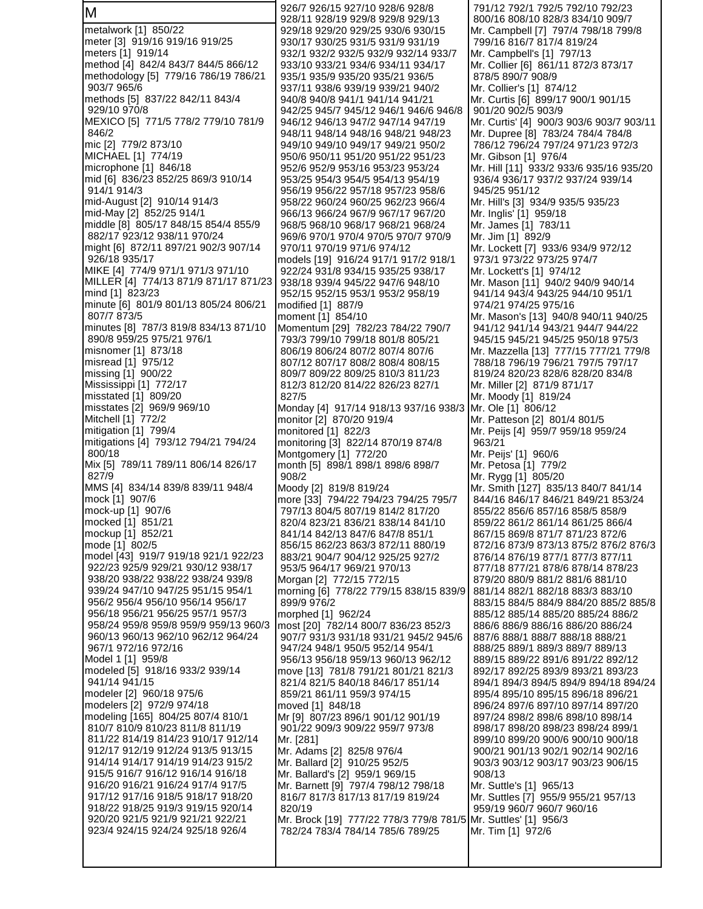M metalwork [1] 850/22 meter [3] 919/16 919/16 919/25 meters [1] 919/14 method [4] 842/4 843/7 844/5 866/12 methodology [5] 779/16 786/19 786/21 903/7 965/6 methods [5] 837/22 842/11 843/4 929/10 970/8 MEXICO [5] 771/5 778/2 779/10 781/9 846/2 mic [2] 779/2 873/10 MICHAEL [1] 774/19 microphone [1] 846/18 mid [6] 836/23 852/25 869/3 910/14 914/1 914/3 mid-August [2] 910/14 914/3 mid-May [2] 852/25 914/1 middle [8] 805/17 848/15 854/4 855/9 882/17 923/12 938/11 970/24 might [6] 872/11 897/21 902/3 907/14 926/18 935/17 MIKE [4] 774/9 971/1 971/3 971/10 MILLER [4] 774/13 871/9 871/17 871/23 mind [1] 823/23 minute [6] 801/9 801/13 805/24 806/21 807/7 873/5 minutes [8] 787/3 819/8 834/13 871/10 890/8 959/25 975/21 976/1 misnomer [1] 873/18 misread [1] 975/12 missing [1] 900/22 Mississippi [1] 772/17 misstated [1] 809/20 misstates [2] 969/9 969/10 Mitchell [1] 772/2 mitigation [1] 799/4 mitigations [4] 793/12 794/21 794/24 800/18 Mix [5] 789/11 789/11 806/14 826/17 827/9 MMS [4] 834/14 839/8 839/11 948/4 mock [1] 907/6 mock-up [1] 907/6 mocked [1] 851/21 mockup [1] 852/21 mode [1] 802/5 model [43] 919/7 919/18 921/1 922/23 922/23 925/9 929/21 930/12 938/17 938/20 938/22 938/22 938/24 939/8 939/24 947/10 947/25 951/15 954/1 956/2 956/4 956/10 956/14 956/17 956/18 956/21 956/25 957/1 957/3 958/24 959/8 959/8 959/9 959/13 960/3 960/13 960/13 962/10 962/12 964/24 967/1 972/16 972/16 Model 1 [1] 959/8 modeled [5] 918/16 933/2 939/14 941/14 941/15 modeler [2] 960/18 975/6 modelers [2] 972/9 974/18 modeling [165] 804/25 807/4 810/1 810/7 810/9 810/23 811/8 811/19 811/22 814/19 814/23 910/17 912/14 912/17 912/19 912/24 913/5 913/15 914/14 914/17 914/19 914/23 915/2 915/5 916/7 916/12 916/14 916/18 916/20 916/21 916/24 917/4 917/5 917/12 917/16 918/5 918/17 918/20 918/22 918/25 919/3 919/15 920/14 920/20 921/5 921/9 921/21 922/21 923/4 924/15 924/24 925/18 926/4

 926/7 926/15 927/10 928/6 928/8 928/11 928/19 929/8 929/8 929/13 929/18 929/20 929/25 930/6 930/15 930/17 930/25 931/5 931/9 931/19 932/1 932/2 932/5 932/9 932/14 933/7 933/10 933/21 934/6 934/11 934/17 935/1 935/9 935/20 935/21 936/5 937/11 938/6 939/19 939/21 940/2 940/8 940/8 941/1 941/14 941/21 942/25 945/7 945/12 946/1 946/6 946/8 946/12 946/13 947/2 947/14 947/19 948/11 948/14 948/16 948/21 948/23 949/10 949/10 949/17 949/21 950/2 950/6 950/11 951/20 951/22 951/23 952/6 952/9 953/16 953/23 953/24 953/25 954/3 954/5 954/13 954/19 956/19 956/22 957/18 957/23 958/6 958/22 960/24 960/25 962/23 966/4 966/13 966/24 967/9 967/17 967/20 968/5 968/10 968/17 968/21 968/24 969/6 970/1 970/4 970/5 970/7 970/9 970/11 970/19 971/6 974/12 models [19] 916/24 917/1 917/2 918/1 922/24 931/8 934/15 935/25 938/17 938/18 939/4 945/22 947/6 948/10 952/15 952/15 953/1 953/2 958/19 modified [1] 887/9 moment [1] 854/10 Momentum [29] 782/23 784/22 790/7 793/3 799/10 799/18 801/8 805/21 806/19 806/24 807/2 807/4 807/6 807/12 807/17 808/2 808/4 808/15 809/7 809/22 809/25 810/3 811/23 812/3 812/20 814/22 826/23 827/1 827/5 Monday [4] 917/14 918/13 937/16 938/3 monitor [2] 870/20 919/4 monitored [1] 822/3 monitoring [3] 822/14 870/19 874/8 Montgomery [1] 772/20 month [5] 898/1 898/1 898/6 898/7 908/2 Moody [2] 819/8 819/24 more [33] 794/22 794/23 794/25 795/7 797/13 804/5 807/19 814/2 817/20 820/4 823/21 836/21 838/14 841/10 841/14 842/13 847/6 847/8 851/1 856/15 862/23 863/3 872/11 880/19 883/21 904/7 904/12 925/25 927/2 953/5 964/17 969/21 970/13 Morgan [2] 772/15 772/15 morning [6] 778/22 779/15 838/15 839/9 899/9 976/2 morphed [1] 962/24 most [20] 782/14 800/7 836/23 852/3 907/7 931/3 931/18 931/21 945/2 945/6 947/24 948/1 950/5 952/14 954/1 956/13 956/18 959/13 960/13 962/12 move [13] 781/8 791/21 801/21 821/3 821/4 821/5 840/18 846/17 851/14 859/21 861/11 959/3 974/15 moved [1] 848/18 Mr [9] 807/23 896/1 901/12 901/19 901/22 909/3 909/22 959/7 973/8 Mr. [281] Mr. Adams [2] 825/8 976/4 Mr. Ballard [2] 910/25 952/5 Mr. Ballard's [2] 959/1 969/15 Mr. Barnett [9] 797/4 798/12 798/18 816/7 817/3 817/13 817/19 819/24 820/19 Mr. Brock [19] 777/22 778/3 779/8 781/5 782/24 783/4 784/14 785/6 789/25

 791/12 792/1 792/5 792/10 792/23 800/16 808/10 828/3 834/10 909/7 Mr. Campbell [7] 797/4 798/18 799/8 799/16 816/7 817/4 819/24 Mr. Campbell's [1] 797/13 Mr. Collier [6] 861/11 872/3 873/17 878/5 890/7 908/9 Mr. Collier's [1] 874/12 Mr. Curtis [6] 899/17 900/1 901/15 901/20 902/5 903/9 Mr. Curtis' [4] 900/3 903/6 903/7 903/11 Mr. Dupree [8] 783/24 784/4 784/8 786/12 796/24 797/24 971/23 972/3 Mr. Gibson [1] 976/4 Mr. Hill [11] 933/2 933/6 935/16 935/20 936/4 936/17 937/2 937/24 939/14 945/25 951/12 Mr. Hill's [3] 934/9 935/5 935/23 Mr. Inglis' [1] 959/18 Mr. James [1] 783/11 Mr. Jim [1] 892/9 Mr. Lockett [7] 933/6 934/9 972/12 973/1 973/22 973/25 974/7 Mr. Lockett's [1] 974/12 Mr. Mason [11] 940/2 940/9 940/14 941/14 943/4 943/25 944/10 951/1 974/21 974/25 975/16 Mr. Mason's [13] 940/8 940/11 940/25 941/12 941/14 943/21 944/7 944/22 945/15 945/21 945/25 950/18 975/3 Mr. Mazzella [13] 777/15 777/21 779/8 788/18 796/19 796/21 797/5 797/17 819/24 820/23 828/6 828/20 834/8 Mr. Miller [2] 871/9 871/17 Mr. Moody [1] 819/24 Mr. Ole [1] 806/12 Mr. Patteson [2] 801/4 801/5 Mr. Peijs [4] 959/7 959/18 959/24 963/21 Mr. Peijs' [1] 960/6 Mr. Petosa [1] 779/2 Mr. Rygg [1] 805/20 Mr. Smith [127] 835/13 840/7 841/14 844/16 846/17 846/21 849/21 853/24 855/22 856/6 857/16 858/5 858/9 859/22 861/2 861/14 861/25 866/4 867/15 869/8 871/7 871/23 872/6 872/16 873/9 873/13 875/2 876/2 876/3 876/14 876/19 877/1 877/3 877/11 877/18 877/21 878/6 878/14 878/23 879/20 880/9 881/2 881/6 881/10 881/14 882/1 882/18 883/3 883/10 883/15 884/5 884/9 884/20 885/2 885/8 885/12 885/14 885/20 885/24 886/2 886/6 886/9 886/16 886/20 886/24 887/6 888/1 888/7 888/18 888/21 888/25 889/1 889/3 889/7 889/13 889/15 889/22 891/6 891/22 892/12 892/17 892/25 893/9 893/21 893/23 894/1 894/3 894/5 894/9 894/18 894/24 895/4 895/10 895/15 896/18 896/21 896/24 897/6 897/10 897/14 897/20 897/24 898/2 898/6 898/10 898/14 898/17 898/20 898/23 898/24 899/1 899/10 899/20 900/6 900/10 900/18 900/21 901/13 902/1 902/14 902/16 903/3 903/12 903/17 903/23 906/15 908/13 Mr. Suttle's [1] 965/13 Mr. Suttles [7] 955/9 955/21 957/13 959/19 960/7 960/7 960/16 Mr. Suttles' [1] 956/3 Mr. Tim [1] 972/6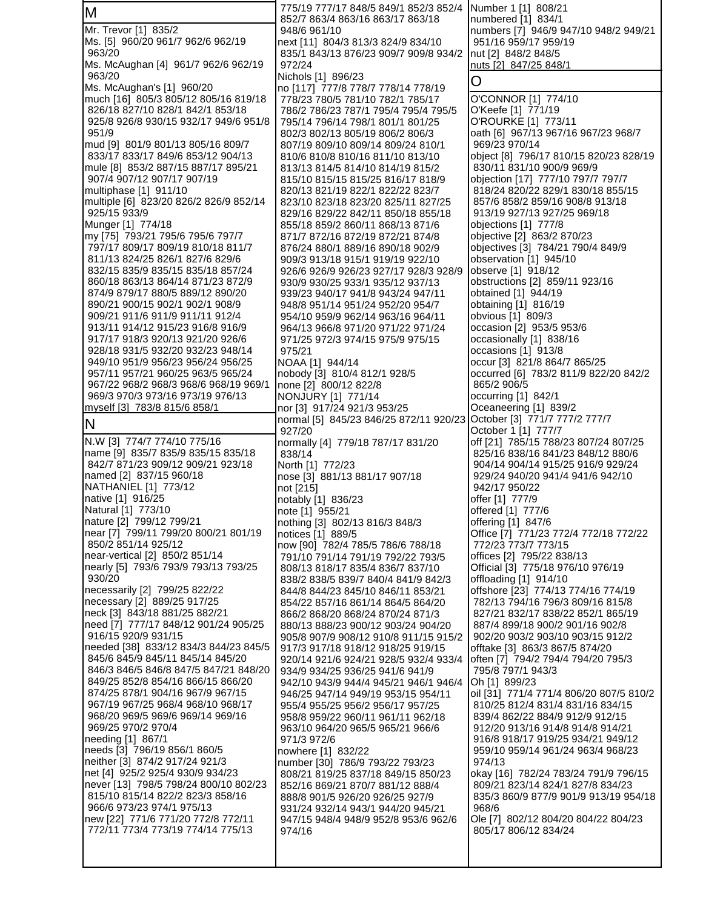| M                                                                         | 775/19 777/17 848/5 849/1 852/3 852/4 Number 1 [1] 808/21<br>852/7 863/4 863/16 863/17 863/18       | numbered [1] 834/1                                                     |
|---------------------------------------------------------------------------|-----------------------------------------------------------------------------------------------------|------------------------------------------------------------------------|
| Mr. Trevor [1] 835/2                                                      | 948/6 961/10                                                                                        | numbers [7] 946/9 947/10 948/2 949/21                                  |
| Ms. [5] 960/20 961/7 962/6 962/19                                         | next [11] 804/3 813/3 824/9 834/10                                                                  | 951/16 959/17 959/19                                                   |
| 963/20<br>Ms. McAughan [4] 961/7 962/6 962/19                             | 835/1 843/13 876/23 909/7 909/8 934/2<br>972/24                                                     | nut [2] 848/2 848/5<br>nuts [2] 847/25 848/1                           |
| 963/20                                                                    | Nichols [1] 896/23                                                                                  | O                                                                      |
| Ms. McAughan's [1] 960/20                                                 | no [117] 777/8 778/7 778/14 778/19                                                                  |                                                                        |
| much [16] 805/3 805/12 805/16 819/18<br>826/18 827/10 828/1 842/1 853/18  | 778/23 780/5 781/10 782/1 785/17<br>786/2 786/23 787/1 795/4 795/4 795/5                            | O'CONNOR [1] 774/10<br>O'Keefe [1] 771/19                              |
| 925/8 926/8 930/15 932/17 949/6 951/8                                     | 795/14 796/14 798/1 801/1 801/25                                                                    | O'ROURKE [1] 773/11                                                    |
| 951/9                                                                     | 802/3 802/13 805/19 806/2 806/3                                                                     | oath [6] 967/13 967/16 967/23 968/7                                    |
| mud [9] 801/9 801/13 805/16 809/7<br>833/17 833/17 849/6 853/12 904/13    | 807/19 809/10 809/14 809/24 810/1<br>810/6 810/8 810/16 811/10 813/10                               | 969/23 970/14<br>object [8] 796/17 810/15 820/23 828/19                |
| mule [8] 853/2 887/15 887/17 895/21                                       | 813/13 814/5 814/10 814/19 815/2                                                                    | 830/11 831/10 900/9 969/9                                              |
| 907/4 907/12 907/17 907/19                                                | 815/10 815/15 815/25 816/17 818/9                                                                   | objection [17] 777/10 797/7 797/7                                      |
| multiphase [1] 911/10<br>multiple [6] 823/20 826/2 826/9 852/14           | 820/13 821/19 822/1 822/22 823/7                                                                    | 818/24 820/22 829/1 830/18 855/15<br>857/6 858/2 859/16 908/8 913/18   |
| 925/15 933/9                                                              | 823/10 823/18 823/20 825/11 827/25<br>829/16 829/22 842/11 850/18 855/18                            | 913/19 927/13 927/25 969/18                                            |
| Munger [1] 774/18                                                         | 855/18 859/2 860/11 868/13 871/6                                                                    | objections [1] 777/8                                                   |
| my [75] 793/21 795/6 795/6 797/7                                          | 871/7 872/16 872/19 872/21 874/8                                                                    | objective [2] 863/2 870/23                                             |
| 797/17 809/17 809/19 810/18 811/7<br>811/13 824/25 826/1 827/6 829/6      | 876/24 880/1 889/16 890/18 902/9<br>909/3 913/18 915/1 919/19 922/10                                | objectives [3] 784/21 790/4 849/9<br>observation [1] 945/10            |
| 832/15 835/9 835/15 835/18 857/24                                         | 926/6 926/9 926/23 927/17 928/3 928/9                                                               | observe [1] 918/12                                                     |
| 860/18 863/13 864/14 871/23 872/9                                         | 930/9 930/25 933/1 935/12 937/13                                                                    | obstructions [2] 859/11 923/16                                         |
| 874/9 879/17 880/5 889/12 890/20<br>890/21 900/15 902/1 902/1 908/9       | 939/23 940/17 941/8 943/24 947/11                                                                   | obtained [1] 944/19                                                    |
| 909/21 911/6 911/9 911/11 912/4                                           | 948/8 951/14 951/24 952/20 954/7<br>954/10 959/9 962/14 963/16 964/11                               | obtaining [1] 816/19<br>obvious [1] 809/3                              |
| 913/11 914/12 915/23 916/8 916/9                                          | 964/13 966/8 971/20 971/22 971/24                                                                   | occasion [2] 953/5 953/6                                               |
| 917/17 918/3 920/13 921/20 926/6                                          | 971/25 972/3 974/15 975/9 975/15                                                                    | occasionally [1] 838/16                                                |
| 928/18 931/5 932/20 932/23 948/14<br>949/10 951/9 956/23 956/24 956/25    | 975/21<br>NOAA [1] 944/14                                                                           | occasions [1] 913/8<br>occur [3] 821/8 864/7 865/25                    |
| 957/11 957/21 960/25 963/5 965/24                                         | nobody [3] 810/4 812/1 928/5                                                                        | occurred [6] 783/2 811/9 822/20 842/2                                  |
| 967/22 968/2 968/3 968/6 968/19 969/1                                     | none [2] 800/12 822/8                                                                               | 865/2 906/5                                                            |
| 969/3 970/3 973/16 973/19 976/13                                          | NONJURY [1] 771/14                                                                                  | occurring [1] 842/1                                                    |
| myself [3] 783/8 815/6 858/1                                              | nor [3] 917/24 921/3 953/25<br>normal [5] 845/23 846/25 872/11 920/23 October [3] 771/7 777/2 777/7 | Oceaneering [1] 839/2                                                  |
| ΙN                                                                        | 927/20                                                                                              | October 1 [1] 777/7                                                    |
| N.W [3] 774/7 774/10 775/16<br>name [9] 835/7 835/9 835/15 835/18         | normally [4] 779/18 787/17 831/20                                                                   | off [21] 785/15 788/23 807/24 807/25                                   |
| 842/7 871/23 909/12 909/21 923/18                                         | 838/14<br>North [1] 772/23                                                                          | 825/16 838/16 841/23 848/12 880/6<br>904/14 904/14 915/25 916/9 929/24 |
| named [2] 837/15 960/18                                                   | nose [3] 881/13 881/17 907/18                                                                       | 929/24 940/20 941/4 941/6 942/10                                       |
|                                                                           |                                                                                                     |                                                                        |
| NATHANIEL [1] 773/12                                                      | not [215]                                                                                           | 942/17 950/22                                                          |
| native [1] 916/25                                                         | notably [1] 836/23                                                                                  | offer [1] 777/9                                                        |
| Natural [1] 773/10                                                        | note [1] 955/21<br>nothing [3] 802/13 816/3 848/3                                                   | offered [1] 777/6<br>offering [1] 847/6                                |
| nature [2] 799/12 799/21<br>lnear [7] 799/11 799/20 800/21 801/19         | notices [1] 889/5                                                                                   | Office [7] 771/23 772/4 772/18 772/22                                  |
| 850/2 851/14 925/12                                                       | now [90] 782/4 785/5 786/6 788/18                                                                   | 772/23 773/7 773/15                                                    |
| near-vertical [2] 850/2 851/14                                            | 791/10 791/14 791/19 792/22 793/5                                                                   | offices [2] 795/22 838/13                                              |
| nearly [5] 793/6 793/9 793/13 793/25<br>930/20                            | 808/13 818/17 835/4 836/7 837/10<br>838/2 838/5 839/7 840/4 841/9 842/3                             | Official [3] 775/18 976/10 976/19<br>offloading [1] 914/10             |
| necessarily [2] 799/25 822/22                                             | 844/8 844/23 845/10 846/11 853/21                                                                   | offshore [23] 774/13 774/16 774/19                                     |
| necessary [2] 889/25 917/25                                               | 854/22 857/16 861/14 864/5 864/20                                                                   | 782/13 794/16 796/3 809/16 815/8                                       |
| neck [3] 843/18 881/25 882/21<br>need [7] 777/17 848/12 901/24 905/25     | 866/2 868/20 868/24 870/24 871/3<br>880/13 888/23 900/12 903/24 904/20                              | 827/21 832/17 838/22 852/1 865/19<br>887/4 899/18 900/2 901/16 902/8   |
| 916/15 920/9 931/15                                                       | 905/8 907/9 908/12 910/8 911/15 915/2                                                               | 902/20 903/2 903/10 903/15 912/2                                       |
| needed [38] 833/12 834/3 844/23 845/5                                     | 917/3 917/18 918/12 918/25 919/15                                                                   | offtake [3] 863/3 867/5 874/20                                         |
| 845/6 845/9 845/11 845/14 845/20<br>846/3 846/5 846/8 847/5 847/21 848/20 | 920/14 921/6 924/21 928/5 932/4 933/4<br>934/9 934/25 936/25 941/6 941/9                            | often [7] 794/2 794/4 794/20 795/3<br>795/8 797/1 943/3                |
| 849/25 852/8 854/16 866/15 866/20                                         | 942/10 943/9 944/4 945/21 946/1 946/4                                                               | Oh [1] 899/23                                                          |
| 874/25 878/1 904/16 967/9 967/15                                          | 946/25 947/14 949/19 953/15 954/11                                                                  | oil [31] 771/4 771/4 806/20 807/5 810/2                                |
| 967/19 967/25 968/4 968/10 968/17<br>968/20 969/5 969/6 969/14 969/16     | 955/4 955/25 956/2 956/17 957/25<br>958/8 959/22 960/11 961/11 962/18                               | 810/25 812/4 831/4 831/16 834/15<br>839/4 862/22 884/9 912/9 912/15    |
| 969/25 970/2 970/4                                                        | 963/10 964/20 965/5 965/21 966/6                                                                    | 912/20 913/16 914/8 914/8 914/21                                       |
| needing [1] 867/1                                                         | 971/3 972/6                                                                                         | 916/8 918/17 919/25 934/21 949/12                                      |
| needs [3] 796/19 856/1 860/5                                              | nowhere [1] 832/22                                                                                  | 959/10 959/14 961/24 963/4 968/23<br>974/13                            |
| neither [3] 874/2 917/24 921/3<br>net [4] 925/2 925/4 930/9 934/23        | number [30] 786/9 793/22 793/23<br>808/21 819/25 837/18 849/15 850/23                               | okay [16] 782/24 783/24 791/9 796/15                                   |
| never [13] 798/5 798/24 800/10 802/23                                     | 852/16 869/21 870/7 881/12 888/4                                                                    | 809/21 823/14 824/1 827/8 834/23                                       |
| 815/10 815/14 822/2 823/3 858/16                                          | 888/8 901/5 926/20 926/25 927/9                                                                     | 835/3 860/9 877/9 901/9 913/19 954/18                                  |
| 966/6 973/23 974/1 975/13<br>new [22] 771/6 771/20 772/8 772/11           | 931/24 932/14 943/1 944/20 945/21<br>947/15 948/4 948/9 952/8 953/6 962/6                           | 968/6<br>Ole [7] 802/12 804/20 804/22 804/23                           |
| 772/11 773/4 773/19 774/14 775/13                                         | 974/16                                                                                              | 805/17 806/12 834/24                                                   |
|                                                                           |                                                                                                     |                                                                        |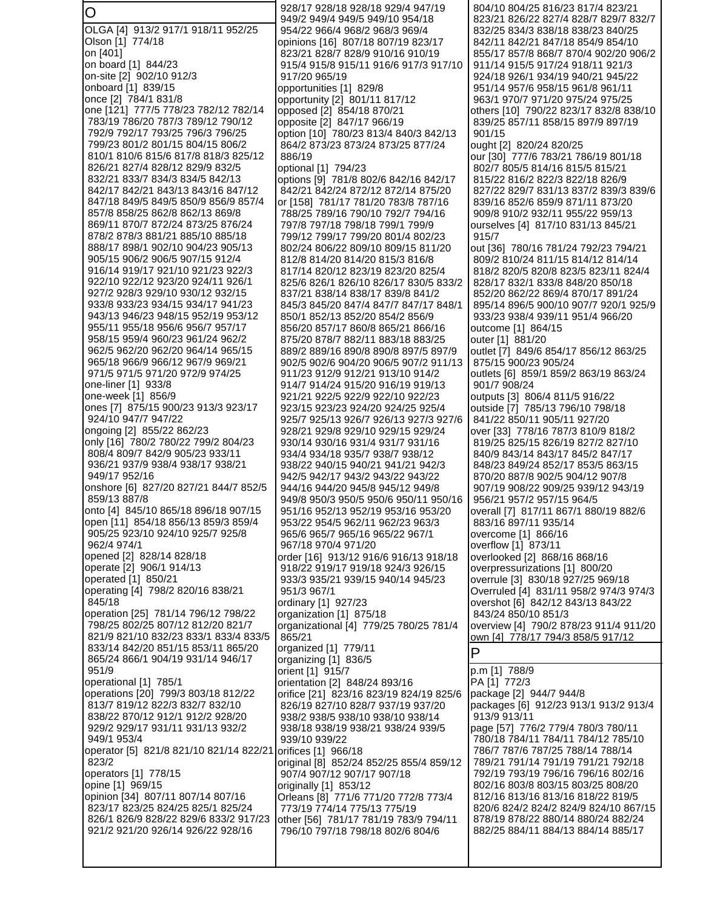O OLGA [4] 913/2 917/1 918/11 952/25 Olson [1] 774/18 on [401] on board [1] 844/23 on-site [2] 902/10 912/3 onboard [1] 839/15 once [2] 784/1 831/8 one [121] 777/5 778/23 782/12 782/14 783/19 786/20 787/3 789/12 790/12 792/9 792/17 793/25 796/3 796/25 799/23 801/2 801/15 804/15 806/2 810/1 810/6 815/6 817/8 818/3 825/12 826/21 827/4 828/12 829/9 832/5 832/21 833/7 834/3 834/5 842/13 842/17 842/21 843/13 843/16 847/12 847/18 849/5 849/5 850/9 856/9 857/4 857/8 858/25 862/8 862/13 869/8 869/11 870/7 872/24 873/25 876/24 878/2 878/3 881/21 885/10 885/18 888/17 898/1 902/10 904/23 905/13 905/15 906/2 906/5 907/15 912/4 916/14 919/17 921/10 921/23 922/3 922/10 922/12 923/20 924/11 926/1 927/2 928/3 929/10 930/12 932/15 933/8 933/23 934/15 934/17 941/23 943/13 946/23 948/15 952/19 953/12 955/11 955/18 956/6 956/7 957/17 958/15 959/4 960/23 961/24 962/2 962/5 962/20 962/20 964/14 965/15 965/18 966/9 966/12 967/9 969/21 971/5 971/5 971/20 972/9 974/25 one-liner [1] 933/8 one-week [1] 856/9 ones [7] 875/15 900/23 913/3 923/17 924/10 947/7 947/22 ongoing [2] 855/22 862/23 only [16] 780/2 780/22 799/2 804/23 808/4 809/7 842/9 905/23 933/11 936/21 937/9 938/4 938/17 938/21 949/17 952/16 onshore [6] 827/20 827/21 844/7 852/5 859/13 887/8 onto [4] 845/10 865/18 896/18 907/15 open [11] 854/18 856/13 859/3 859/4 905/25 923/10 924/10 925/7 925/8 962/4 974/1 opened [2] 828/14 828/18 operate [2] 906/1 914/13 operated [1] 850/21 operating [4] 798/2 820/16 838/21 845/18 operation [25] 781/14 796/12 798/22 798/25 802/25 807/12 812/20 821/7 821/9 821/10 832/23 833/1 833/4 833/5 833/14 842/20 851/15 853/11 865/20 865/24 866/1 904/19 931/14 946/17 951/9 operational [1] 785/1 operations [20] 799/3 803/18 812/22 813/7 819/12 822/3 832/7 832/10 838/22 870/12 912/1 912/2 928/20 929/2 929/17 931/11 931/13 932/2 949/1 953/4 operator [5] 821/8 821/10 821/14 822/21 823/2 operators [1] 778/15 opine [1] 969/15 opinion [34] 807/11 807/14 807/16 823/17 823/25 824/25 825/1 825/24 826/1 826/9 828/22 829/6 833/2 917/23 921/2 921/20 926/14 926/22 928/16 928/17 928/18 928/18 929/4 947/19 949/2 949/4 949/5 949/10 954/18 954/22 966/4 968/2 968/3 969/4 opinions [16] 807/18 807/19 823/17 823/21 828/7 828/9 910/16 910/19 915/4 915/8 915/11 916/6 917/3 917/10 917/20 965/19 opportunities [1] 829/8 opportunity [2] 801/11 817/12 opposed [2] 854/18 870/21 opposite [2] 847/17 966/19 option [10] 780/23 813/4 840/3 842/13 864/2 873/23 873/24 873/25 877/24 886/19 optional [1] 794/23 options [9] 781/8 802/6 842/16 842/17 842/21 842/24 872/12 872/14 875/20 or [158] 781/17 781/20 783/8 787/16 788/25 789/16 790/10 792/7 794/16 797/8 797/18 798/18 799/1 799/9 799/12 799/17 799/20 801/4 802/23 802/24 806/22 809/10 809/15 811/20 812/8 814/20 814/20 815/3 816/8 817/14 820/12 823/19 823/20 825/4 825/6 826/1 826/10 826/17 830/5 833/2 837/21 838/14 838/17 839/8 841/2 845/3 845/20 847/4 847/7 847/17 848/1 850/1 852/13 852/20 854/2 856/9 856/20 857/17 860/8 865/21 866/16 875/20 878/7 882/11 883/18 883/25 889/2 889/16 890/8 890/8 897/5 897/9 902/5 902/6 904/20 906/5 907/2 911/13 911/23 912/9 912/21 913/10 914/2 914/7 914/24 915/20 916/19 919/13 921/21 922/5 922/9 922/10 922/23 923/15 923/23 924/20 924/25 925/4 925/7 925/13 926/7 926/13 927/3 927/6 928/21 929/8 929/10 929/15 929/24 930/14 930/16 931/4 931/7 931/16 934/4 934/18 935/7 938/7 938/12 938/22 940/15 940/21 941/21 942/3 942/5 942/17 943/2 943/22 943/22 944/16 944/20 945/8 945/12 949/8 949/8 950/3 950/5 950/6 950/11 950/16 951/16 952/13 952/19 953/16 953/20 953/22 954/5 962/11 962/23 963/3 965/6 965/7 965/16 965/22 967/1 967/18 970/4 971/20 order [16] 913/12 916/6 916/13 918/18 918/22 919/17 919/18 924/3 926/15 933/3 935/21 939/15 940/14 945/23 951/3 967/1 ordinary [1] 927/23 organization [1] 875/18 organizational [4] 779/25 780/25 781/4 865/21 organized [1] 779/11 organizing [1] 836/5 orient [1] 915/7 orientation [2] 848/24 893/16 orifice [21] 823/16 823/19 824/19 825/6 826/19 827/10 828/7 937/19 937/20 938/2 938/5 938/10 938/10 938/14 938/18 938/19 938/21 938/24 939/5 939/10 939/22 orifices [1] 966/18 original [8] 852/24 852/25 855/4 859/12 907/4 907/12 907/17 907/18 originally [1] 853/12 Orleans [8] 771/6 771/20 772/8 773/4 773/19 774/14 775/13 775/19 other [56] 781/17 781/19 783/9 794/11 796/10 797/18 798/18 802/6 804/6 804/10 804/25 816/23 817/4 823/21 823/21 826/22 827/4 828/7 829/7 832/7 832/25 834/3 838/18 838/23 840/25 842/11 842/21 847/18 854/9 854/10 855/17 857/8 868/7 870/4 902/20 906/2 911/14 915/5 917/24 918/11 921/3 924/18 926/1 934/19 940/21 945/22 951/14 957/6 958/15 961/8 961/11 963/1 970/7 971/20 975/24 975/25 others [10] 790/22 823/17 832/8 838/10 839/25 857/11 858/15 897/9 897/19 901/15 ought [2] 820/24 820/25 our [30] 777/6 783/21 786/19 801/18 802/7 805/5 814/16 815/5 815/21 815/22 816/2 822/3 822/18 826/9 827/22 829/7 831/13 837/2 839/3 839/6 839/16 852/6 859/9 871/11 873/20 909/8 910/2 932/11 955/22 959/13 ourselves [4] 817/10 831/13 845/21 915/7 out [36] 780/16 781/24 792/23 794/21 809/2 810/24 811/15 814/12 814/14 818/2 820/5 820/8 823/5 823/11 824/4 828/17 832/1 833/8 848/20 850/18 852/20 862/22 869/4 870/17 891/24 895/14 896/5 900/10 907/7 920/1 925/9 933/23 938/4 939/11 951/4 966/20 outcome [1] 864/15 outer [1] 881/20 outlet [7] 849/6 854/17 856/12 863/25 875/15 900/23 905/24 outlets [6] 859/1 859/2 863/19 863/24 901/7 908/24 outputs [3] 806/4 811/5 916/22 outside [7] 785/13 796/10 798/18 841/22 850/11 905/11 927/20 over [33] 778/16 787/3 810/9 818/2 819/25 825/15 826/19 827/2 827/10 840/9 843/14 843/17 845/2 847/17 848/23 849/24 852/17 853/5 863/15 870/20 887/8 902/5 904/12 907/8 907/19 908/22 909/25 939/12 943/19 956/21 957/2 957/15 964/5 overall [7] 817/11 867/1 880/19 882/6 883/16 897/11 935/14 overcome [1] 866/16 overflow [1] 873/11 overlooked [2] 868/16 868/16 overpressurizations [1] 800/20 overrule [3] 830/18 927/25 969/18 Overruled [4] 831/11 958/2 974/3 974/3 overshot [6] 842/12 843/13 843/22 843/24 850/10 851/3 overview [4] 790/2 878/23 911/4 911/20 own [4] 778/17 794/3 858/5 917/12 P p.m [1] 788/9 PA [1] 772/3 package [2] 944/7 944/8 packages [6] 912/23 913/1 913/2 913/4 913/9 913/11 page [57] 776/2 779/4 780/3 780/11 780/18 784/11 784/11 784/12 785/10 786/7 787/6 787/25 788/14 788/14 789/21 791/14 791/19 791/21 792/18 792/19 793/19 796/16 796/16 802/16 802/16 803/8 803/15 803/25 808/20 812/16 813/16 813/16 818/22 819/5 820/6 824/2 824/2 824/9 824/10 867/15 878/19 878/22 880/14 880/24 882/24 882/25 884/11 884/13 884/14 885/17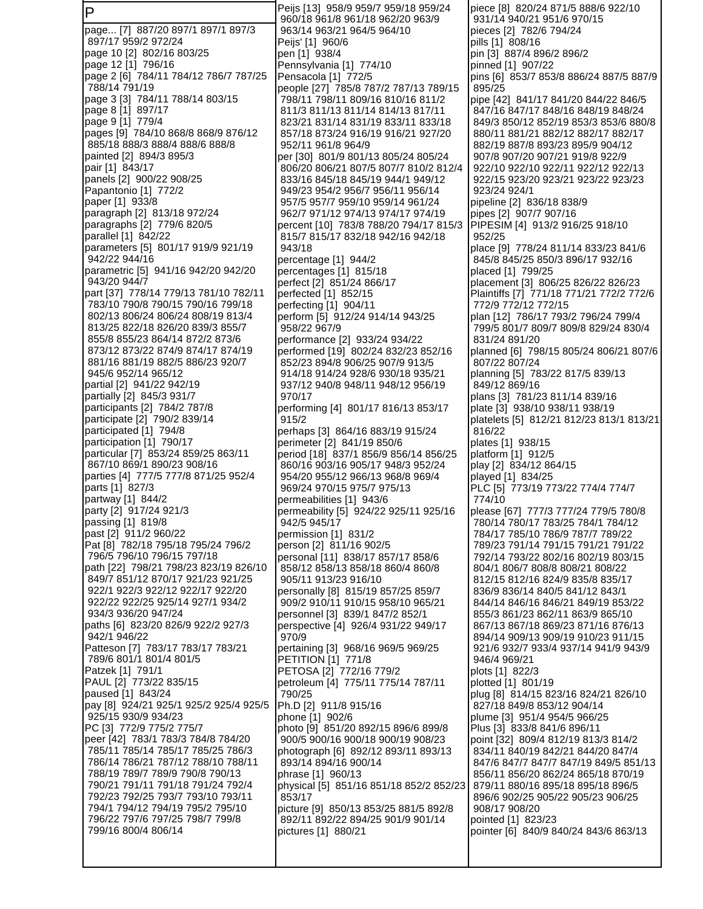P page... [7] 887/20 897/1 897/1 897/3 897/17 959/2 972/24 page 10 [2] 802/16 803/25 page 12 [1] 796/16 page 2 [6] 784/11 784/12 786/7 787/25 788/14 791/19 page 3 [3] 784/11 788/14 803/15 page 8 [1] 897/17 page 9 [1] 779/4 pages [9] 784/10 868/8 868/9 876/12 885/18 888/3 888/4 888/6 888/8 painted [2] 894/3 895/3 pair [1] 843/17 panels [2] 900/22 908/25 Papantonio [1] 772/2 paper [1] 933/8 paragraph [2] 813/18 972/24 paragraphs [2] 779/6 820/5 parallel [1] 842/22 parameters [5] 801/17 919/9 921/19 942/22 944/16 parametric [5] 941/16 942/20 942/20 943/20 944/7 part [37] 778/14 779/13 781/10 782/11 783/10 790/8 790/15 790/16 799/18 802/13 806/24 806/24 808/19 813/4 813/25 822/18 826/20 839/3 855/7 855/8 855/23 864/14 872/2 873/6 873/12 873/22 874/9 874/17 874/19 881/16 881/19 882/5 886/23 920/7 945/6 952/14 965/12 partial [2] 941/22 942/19 partially [2] 845/3 931/7 participants [2] 784/2 787/8 participate [2] 790/2 839/14 participated [1] 794/8 participation [1] 790/17 particular [7] 853/24 859/25 863/11 867/10 869/1 890/23 908/16 parties [4] 777/5 777/8 871/25 952/4 parts [1] 827/3 partway [1] 844/2 party [2] 917/24 921/3 passing [1] 819/8 past [2] 911/2 960/22 Pat [8] 782/18 795/18 795/24 796/2 796/5 796/10 796/15 797/18 path [22] 798/21 798/23 823/19 826/10 849/7 851/12 870/17 921/23 921/25 922/1 922/3 922/12 922/17 922/20 922/22 922/25 925/14 927/1 934/2 934/3 936/20 947/24 paths [6] 823/20 826/9 922/2 927/3 942/1 946/22 Patteson [7] 783/17 783/17 783/21 789/6 801/1 801/4 801/5 Patzek [1] 791/1 PAUL [2] 773/22 835/15 paused [1] 843/24 pay [8] 924/21 925/1 925/2 925/4 925/5 925/15 930/9 934/23 PC [3] 772/9 775/2 775/7 peer [42] 783/1 783/3 784/8 784/20 785/11 785/14 785/17 785/25 786/3 786/14 786/21 787/12 788/10 788/11 788/19 789/7 789/9 790/8 790/13 790/21 791/11 791/18 791/24 792/4 792/23 792/25 793/7 793/10 793/11 794/1 794/12 794/19 795/2 795/10 796/22 797/6 797/25 798/7 799/8 799/16 800/4 806/14

Peijs [13] 958/9 959/7 959/18 959/24 960/18 961/8 961/18 962/20 963/9 963/14 963/21 964/5 964/10 Peijs' [1] 960/6 pen [1] 938/4 Pennsylvania [1] 774/10 Pensacola [1] 772/5 people [27] 785/8 787/2 787/13 789/15 798/11 798/11 809/16 810/16 811/2 811/3 811/13 811/14 814/13 817/11 823/21 831/14 831/19 833/11 833/18 857/18 873/24 916/19 916/21 927/20 952/11 961/8 964/9 per [30] 801/9 801/13 805/24 805/24 806/20 806/21 807/5 807/7 810/2 812/4 833/16 845/18 845/19 944/1 949/12 949/23 954/2 956/7 956/11 956/14 957/5 957/7 959/10 959/14 961/24 962/7 971/12 974/13 974/17 974/19 percent [10] 783/8 788/20 794/17 815/3 815/7 815/17 832/18 942/16 942/18 943/18 percentage [1] 944/2 percentages [1] 815/18 perfect [2] 851/24 866/17 perfected [1] 852/15 perfecting [1] 904/11 perform [5] 912/24 914/14 943/25 958/22 967/9 performance [2] 933/24 934/22 performed [19] 802/24 832/23 852/16 852/23 894/8 906/25 907/9 913/5 914/18 914/24 928/6 930/18 935/21 937/12 940/8 948/11 948/12 956/19 970/17 performing [4] 801/17 816/13 853/17 915/2 perhaps [3] 864/16 883/19 915/24 perimeter [2] 841/19 850/6 period [18] 837/1 856/9 856/14 856/25 860/16 903/16 905/17 948/3 952/24 954/20 955/12 966/13 968/8 969/4 969/24 970/15 975/7 975/13 permeabilities [1] 943/6 permeability [5] 924/22 925/11 925/16 942/5 945/17 permission [1] 831/2 person [2] 811/16 902/5 personal [11] 838/17 857/17 858/6 858/12 858/13 858/18 860/4 860/8 905/11 913/23 916/10 personally [8] 815/19 857/25 859/7 909/2 910/11 910/15 958/10 965/21 personnel [3] 839/1 847/2 852/1 perspective [4] 926/4 931/22 949/17 970/9 pertaining [3] 968/16 969/5 969/25 PETITION [1] 771/8 PETOSA [2] 772/16 779/2 petroleum [4] 775/11 775/14 787/11 790/25 Ph.D [2] 911/8 915/16 phone [1] 902/6 photo [9] 851/20 892/15 896/6 899/8 900/5 900/16 900/18 900/19 908/23 photograph [6] 892/12 893/11 893/13 893/14 894/16 900/14 phrase [1] 960/13 physical [5] 851/16 851/18 852/2 852/23 853/17 picture [9] 850/13 853/25 881/5 892/8 892/11 892/22 894/25 901/9 901/14 pictures [1] 880/21

piece [8] 820/24 871/5 888/6 922/10 931/14 940/21 951/6 970/15 pieces [2] 782/6 794/24 pills [1] 808/16 pin [3] 887/4 896/2 896/2 pinned [1] 907/22 pins [6] 853/7 853/8 886/24 887/5 887/9 895/25 pipe [42] 841/17 841/20 844/22 846/5 847/16 847/17 848/16 848/19 848/24 849/3 850/12 852/19 853/3 853/6 880/8 880/11 881/21 882/12 882/17 882/17 882/19 887/8 893/23 895/9 904/12 907/8 907/20 907/21 919/8 922/9 922/10 922/10 922/11 922/12 922/13 922/15 923/20 923/21 923/22 923/23 923/24 924/1 pipeline [2] 836/18 838/9 pipes [2] 907/7 907/16 PIPESIM [4] 913/2 916/25 918/10 952/25 place [9] 778/24 811/14 833/23 841/6 845/8 845/25 850/3 896/17 932/16 placed [1] 799/25 placement [3] 806/25 826/22 826/23 Plaintiffs [7] 771/18 771/21 772/2 772/6 772/9 772/12 772/15 plan [12] 786/17 793/2 796/24 799/4 799/5 801/7 809/7 809/8 829/24 830/4 831/24 891/20 planned [6] 798/15 805/24 806/21 807/6 807/22 807/24 planning [5] 783/22 817/5 839/13 849/12 869/16 plans [3] 781/23 811/14 839/16 plate [3] 938/10 938/11 938/19 platelets [5] 812/21 812/23 813/1 813/21 816/22 plates [1] 938/15 platform [1] 912/5 play [2] 834/12 864/15 played [1] 834/25 PLC [5] 773/19 773/22 774/4 774/7 774/10 please [67] 777/3 777/24 779/5 780/8 780/14 780/17 783/25 784/1 784/12 784/17 785/10 786/9 787/7 789/22 789/23 791/14 791/15 791/21 791/22 792/14 793/22 802/16 802/19 803/15 804/1 806/7 808/8 808/21 808/22 812/15 812/16 824/9 835/8 835/17 836/9 836/14 840/5 841/12 843/1 844/14 846/16 846/21 849/19 853/22 855/3 861/23 862/11 863/9 865/10 867/13 867/18 869/23 871/16 876/13 894/14 909/13 909/19 910/23 911/15 921/6 932/7 933/4 937/14 941/9 943/9 946/4 969/21 plots [1] 822/3 plotted [1] 801/19 plug [8] 814/15 823/16 824/21 826/10 827/18 849/8 853/12 904/14 plume [3] 951/4 954/5 966/25 Plus [3] 833/8 841/6 896/11 point [32] 809/4 812/19 813/3 814/2 834/11 840/19 842/21 844/20 847/4 847/6 847/7 847/7 847/19 849/5 851/13 856/11 856/20 862/24 865/18 870/19 879/11 880/16 895/18 895/18 896/5 896/6 902/25 905/22 905/23 906/25 908/17 908/20 pointed [1] 823/23 pointer [6] 840/9 840/24 843/6 863/13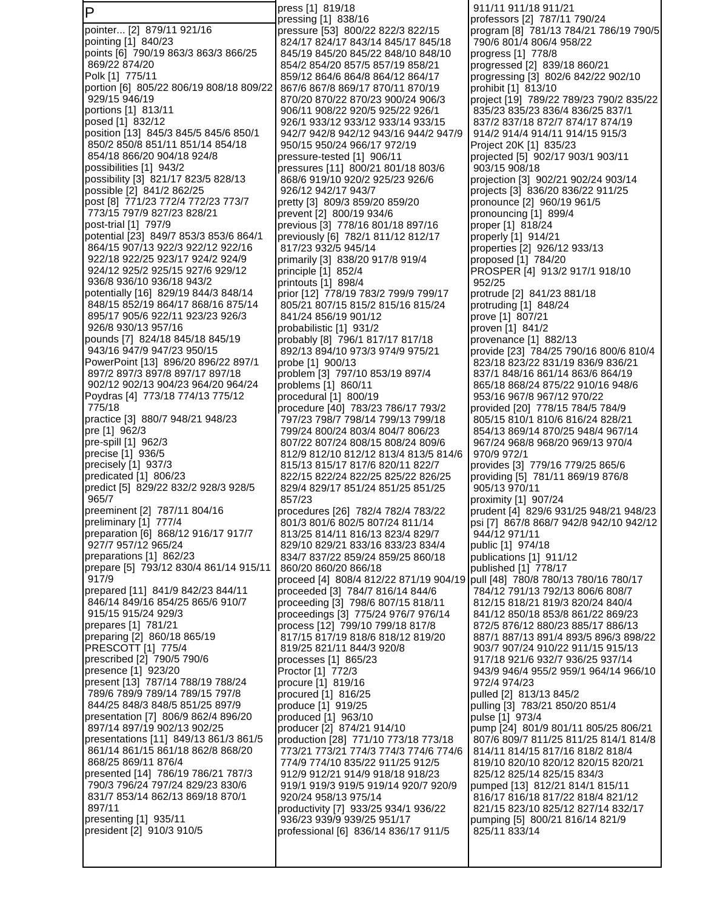P pointer... [2] 879/11 921/16 pointing [1] 840/23 points [6] 790/19 863/3 863/3 866/25 869/22 874/20 Polk [1] 775/11 portion [6] 805/22 806/19 808/18 809/22 929/15 946/19 portions [1] 813/11 posed [1] 832/12 position [13] 845/3 845/5 845/6 850/1 850/2 850/8 851/11 851/14 854/18 854/18 866/20 904/18 924/8 possibilities [1] 943/2 possibility [3] 821/17 823/5 828/13 possible [2] 841/2 862/25 post [8] 771/23 772/4 772/23 773/7 773/15 797/9 827/23 828/21 post-trial [1] 797/9 potential [23] 849/7 853/3 853/6 864/1 864/15 907/13 922/3 922/12 922/16 922/18 922/25 923/17 924/2 924/9 924/12 925/2 925/15 927/6 929/12 936/8 936/10 936/18 943/2 potentially [16] 829/19 844/3 848/14 848/15 852/19 864/17 868/16 875/14 895/17 905/6 922/11 923/23 926/3 926/8 930/13 957/16 pounds [7] 824/18 845/18 845/19 943/16 947/9 947/23 950/15 PowerPoint [13] 896/20 896/22 897/1 897/2 897/3 897/8 897/17 897/18 902/12 902/13 904/23 964/20 964/24 Poydras [4] 773/18 774/13 775/12 775/18 practice [3] 880/7 948/21 948/23 pre [1] 962/3 pre-spill [1] 962/3 precise [1] 936/5 precisely [1] 937/3 predicated [1] 806/23 predict [5] 829/22 832/2 928/3 928/5 965/7 preeminent [2] 787/11 804/16 preliminary [1] 777/4 preparation [6] 868/12 916/17 917/7 927/7 957/12 965/24 preparations [1] 862/23 prepare [5] 793/12 830/4 861/14 915/11 917/9 prepared [11] 841/9 842/23 844/11 846/14 849/16 854/25 865/6 910/7 915/15 915/24 929/3 prepares [1] 781/21 preparing [2] 860/18 865/19 PRESCOTT [1] 775/4 prescribed [2] 790/5 790/6 presence [1] 923/20 present [13] 787/14 788/19 788/24 789/6 789/9 789/14 789/15 797/8 844/25 848/3 848/5 851/25 897/9 presentation [7] 806/9 862/4 896/20 897/14 897/19 902/13 902/25 presentations [11] 849/13 861/3 861/5 861/14 861/15 861/18 862/8 868/20 868/25 869/11 876/4 presented [14] 786/19 786/21 787/3 790/3 796/24 797/24 829/23 830/6 831/7 853/14 862/13 869/18 870/1 897/11 presenting [1] 935/11 president [2] 910/3 910/5

press [1] 819/18 pressing [1] 838/16 pressure [53] 800/22 822/3 822/15 824/17 824/17 843/14 845/17 845/18 845/19 845/20 845/22 848/10 848/10 854/2 854/20 857/5 857/19 858/21 859/12 864/6 864/8 864/12 864/17 867/6 867/8 869/17 870/11 870/19 870/20 870/22 870/23 900/24 906/3 906/11 908/22 920/5 925/22 926/1 926/1 933/12 933/12 933/14 933/15 942/7 942/8 942/12 943/16 944/2 947/9 950/15 950/24 966/17 972/19 pressure-tested [1] 906/11 pressures [11] 800/21 801/18 803/6 868/6 919/10 920/2 925/23 926/6 926/12 942/17 943/7 pretty [3] 809/3 859/20 859/20 prevent [2] 800/19 934/6 previous [3] 778/16 801/18 897/16 previously [6] 782/1 811/12 812/17 817/23 932/5 945/14 primarily [3] 838/20 917/8 919/4 principle [1] 852/4 printouts [1] 898/4 prior [12] 778/19 783/2 799/9 799/17 805/21 807/15 815/2 815/16 815/24 841/24 856/19 901/12 probabilistic [1] 931/2 probably [8] 796/1 817/17 817/18 892/13 894/10 973/3 974/9 975/21 probe [1] 900/13 problem [3] 797/10 853/19 897/4 problems [1] 860/11 procedural [1] 800/19 procedure [40] 783/23 786/17 793/2 797/23 798/7 798/14 799/13 799/18 799/24 800/24 803/4 804/7 806/23 807/22 807/24 808/15 808/24 809/6 812/9 812/10 812/12 813/4 813/5 814/6 815/13 815/17 817/6 820/11 822/7 822/15 822/24 822/25 825/22 826/25 829/4 829/17 851/24 851/25 851/25 857/23 procedures [26] 782/4 782/4 783/22 801/3 801/6 802/5 807/24 811/14 813/25 814/11 816/13 823/4 829/7 829/10 829/21 833/16 833/23 834/4 834/7 837/22 859/24 859/25 860/18 860/20 860/20 866/18 proceed [4] 808/4 812/22 871/19 904/19 proceeded [3] 784/7 816/14 844/6 proceeding [3] 798/6 807/15 818/11 proceedings [3] 775/24 976/7 976/14 process [12] 799/10 799/18 817/8 817/15 817/19 818/6 818/12 819/20 819/25 821/11 844/3 920/8 processes [1] 865/23 Proctor [1] 772/3 procure [1] 819/16 procured [1] 816/25 produce [1] 919/25 produced [1] 963/10 producer [2] 874/21 914/10 production [28] 771/10 773/18 773/18 773/21 773/21 774/3 774/3 774/6 774/6 774/9 774/10 835/22 911/25 912/5 912/9 912/21 914/9 918/18 918/23 919/1 919/3 919/5 919/14 920/7 920/9 920/24 958/13 975/14 productivity [7] 933/25 934/1 936/22 936/23 939/9 939/25 951/17 professional [6] 836/14 836/17 911/5

 911/11 911/18 911/21 professors [2] 787/11 790/24 program [8] 781/13 784/21 786/19 790/5 790/6 801/4 806/4 958/22 progress [1] 778/8 progressed [2] 839/18 860/21 progressing [3] 802/6 842/22 902/10 prohibit [1] 813/10 project [19] 789/22 789/23 790/2 835/22 835/23 835/23 836/4 836/25 837/1 837/2 837/18 872/7 874/17 874/19 914/2 914/4 914/11 914/15 915/3 Project 20K [1] 835/23 projected [5] 902/17 903/1 903/11 903/15 908/18 projection [3] 902/21 902/24 903/14 projects [3] 836/20 836/22 911/25 pronounce [2] 960/19 961/5 pronouncing [1] 899/4 proper [1] 818/24 properly [1] 914/21 properties [2] 926/12 933/13 proposed [1] 784/20 PROSPER [4] 913/2 917/1 918/10 952/25 protrude [2] 841/23 881/18 protruding [1] 848/24 prove [1] 807/21 proven [1] 841/2 provenance [1] 882/13 provide [23] 784/25 790/16 800/6 810/4 823/18 823/22 831/19 836/9 836/21 837/1 848/16 861/14 863/6 864/19 865/18 868/24 875/22 910/16 948/6 953/16 967/8 967/12 970/22 provided [20] 778/15 784/5 784/9 805/15 810/1 810/6 816/24 828/21 854/13 869/14 870/25 948/4 967/14 967/24 968/8 968/20 969/13 970/4 970/9 972/1 provides [3] 779/16 779/25 865/6 providing [5] 781/11 869/19 876/8 905/13 970/11 proximity [1] 907/24 prudent [4] 829/6 931/25 948/21 948/23 psi [7] 867/8 868/7 942/8 942/10 942/12 944/12 971/11 public [1] 974/18 publications [1] 911/12 published [1] 778/17 pull [48] 780/8 780/13 780/16 780/17 784/12 791/13 792/13 806/6 808/7 812/15 818/21 819/3 820/24 840/4 841/12 850/18 853/8 861/22 869/23 872/5 876/12 880/23 885/17 886/13 887/1 887/13 891/4 893/5 896/3 898/22 903/7 907/24 910/22 911/15 915/13 917/18 921/6 932/7 936/25 937/14 943/9 946/4 955/2 959/1 964/14 966/10 972/4 974/23 pulled [2] 813/13 845/2 pulling [3] 783/21 850/20 851/4 pulse [1] 973/4 pump [24] 801/9 801/11 805/25 806/21 807/6 809/7 811/25 811/25 814/1 814/8 814/11 814/15 817/16 818/2 818/4 819/10 820/10 820/12 820/15 820/21 825/12 825/14 825/15 834/3 pumped [13] 812/21 814/1 815/11 816/17 816/18 817/22 818/4 821/12 821/15 823/10 825/12 827/14 832/17 pumping [5] 800/21 816/14 821/9 825/11 833/14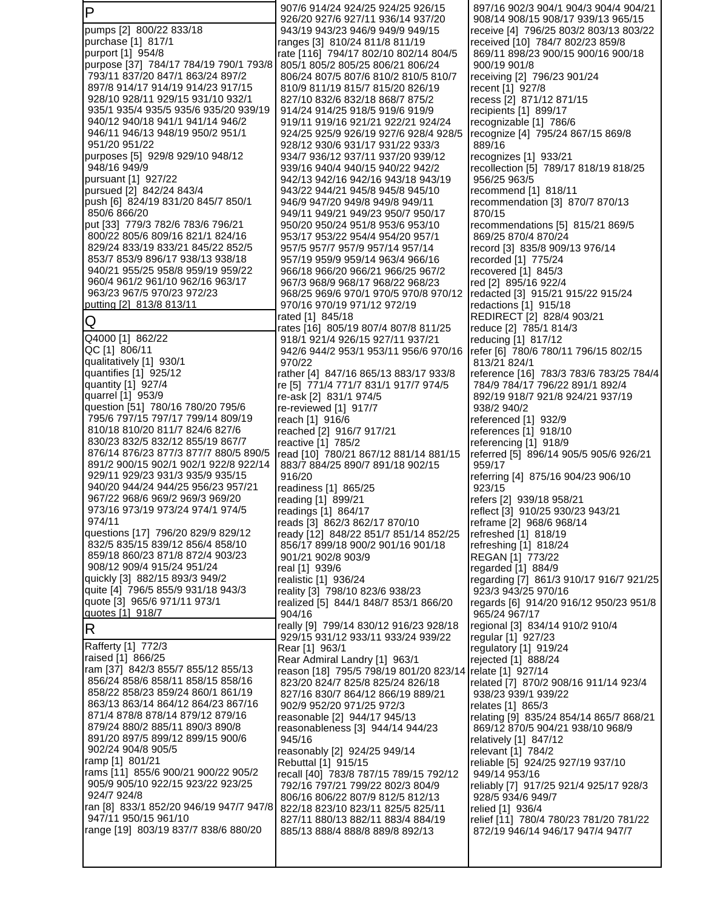| $\mathsf P$                                                           | 907/6 914/24 924/25 924/25 926/15                                                         | 897/16 902/3 904/1 904/3 904/4 904/21                                        |
|-----------------------------------------------------------------------|-------------------------------------------------------------------------------------------|------------------------------------------------------------------------------|
| pumps [2] 800/22 833/18                                               | 926/20 927/6 927/11 936/14 937/20<br>943/19 943/23 946/9 949/9 949/15                     | 908/14 908/15 908/17 939/13 965/15<br>receive [4] 796/25 803/2 803/13 803/22 |
| purchase [1] 817/1                                                    | ranges [3] 810/24 811/8 811/19                                                            | received [10] 784/7 802/23 859/8                                             |
| purport [1] 954/8                                                     | rate [116] 794/17 802/10 802/14 804/5                                                     | 869/11 898/23 900/15 900/16 900/18                                           |
| purpose [37] 784/17 784/19 790/1 793/8                                | 805/1 805/2 805/25 806/21 806/24                                                          | 900/19 901/8                                                                 |
| 793/11 837/20 847/1 863/24 897/2                                      | 806/24 807/5 807/6 810/2 810/5 810/7                                                      | receiving [2] 796/23 901/24                                                  |
| 897/8 914/17 914/19 914/23 917/15                                     | 810/9 811/19 815/7 815/20 826/19                                                          | recent [1] 927/8                                                             |
| 928/10 928/11 929/15 931/10 932/1                                     | 827/10 832/6 832/18 868/7 875/2                                                           | recess [2] 871/12 871/15                                                     |
| 935/1 935/4 935/5 935/6 935/20 939/19                                 | 914/24 914/25 918/5 919/6 919/9                                                           | recipients [1] 899/17                                                        |
| 940/12 940/18 941/1 941/14 946/2<br>946/11 946/13 948/19 950/2 951/1  | 919/11 919/16 921/21 922/21 924/24<br>924/25 925/9 926/19 927/6 928/4 928/5               | recognizable [1] 786/6<br>recognize [4] 795/24 867/15 869/8                  |
| 951/20 951/22                                                         | 928/12 930/6 931/17 931/22 933/3                                                          | 889/16                                                                       |
| purposes [5] 929/8 929/10 948/12                                      | 934/7 936/12 937/11 937/20 939/12                                                         | recognizes [1] 933/21                                                        |
| 948/16 949/9                                                          | 939/16 940/4 940/15 940/22 942/2                                                          | recollection [5] 789/17 818/19 818/25                                        |
| pursuant [1] 927/22                                                   | 942/13 942/16 942/16 943/18 943/19                                                        | 956/25 963/5                                                                 |
| pursued [2] 842/24 843/4                                              | 943/22 944/21 945/8 945/8 945/10                                                          | recommend [1] 818/11                                                         |
| push [6] 824/19 831/20 845/7 850/1<br>850/6 866/20                    | 946/9 947/20 949/8 949/8 949/11                                                           | recommendation [3] 870/7 870/13                                              |
| put [33] 779/3 782/6 783/6 796/21                                     | 949/11 949/21 949/23 950/7 950/17<br>950/20 950/24 951/8 953/6 953/10                     | 870/15<br>recommendations [5] 815/21 869/5                                   |
| 800/22 805/6 809/16 821/1 824/16                                      | 953/17 953/22 954/4 954/20 957/1                                                          | 869/25 870/4 870/24                                                          |
| 829/24 833/19 833/21 845/22 852/5                                     | 957/5 957/7 957/9 957/14 957/14                                                           | record [3] 835/8 909/13 976/14                                               |
| 853/7 853/9 896/17 938/13 938/18                                      | 957/19 959/9 959/14 963/4 966/16                                                          | recorded [1] 775/24                                                          |
| 940/21 955/25 958/8 959/19 959/22                                     | 966/18 966/20 966/21 966/25 967/2                                                         | recovered [1] 845/3                                                          |
| 960/4 961/2 961/10 962/16 963/17                                      | 967/3 968/9 968/17 968/22 968/23                                                          | red [2] 895/16 922/4                                                         |
| 963/23 967/5 970/23 972/23                                            | 968/25 969/6 970/1 970/5 970/8 970/12                                                     | redacted [3] 915/21 915/22 915/24                                            |
| putting [2] 813/8 813/11                                              | 970/16 970/19 971/12 972/19<br>rated [1] 845/18                                           | redactions [1] 915/18<br>REDIRECT [2] 828/4 903/21                           |
| Q                                                                     | rates [16] 805/19 807/4 807/8 811/25                                                      | reduce [2] 785/1 814/3                                                       |
| Q4000 [1] 862/22                                                      | 918/1 921/4 926/15 927/11 937/21                                                          | reducing [1] 817/12                                                          |
| QC [1] 806/11                                                         | 942/6 944/2 953/1 953/11 956/6 970/16                                                     | refer [6] 780/6 780/11 796/15 802/15                                         |
| qualitatively [1] 930/1                                               | 970/22                                                                                    | 813/21 824/1                                                                 |
| quantifies [1] 925/12                                                 | rather [4] 847/16 865/13 883/17 933/8                                                     | reference [16] 783/3 783/6 783/25 784/4                                      |
| quantity [1] 927/4                                                    | re [5] 771/4 771/7 831/1 917/7 974/5                                                      | 784/9 784/17 796/22 891/1 892/4                                              |
| quarrel [1] 953/9<br>question [51] 780/16 780/20 795/6                | re-ask [2] 831/1 974/5<br>re-reviewed [1] 917/7                                           | 892/19 918/7 921/8 924/21 937/19<br>938/2 940/2                              |
| 795/6 797/15 797/17 799/14 809/19                                     | reach [1] 916/6                                                                           | referenced [1] 932/9                                                         |
| 810/18 810/20 811/7 824/6 827/6                                       | reached [2] 916/7 917/21                                                                  | references [1] 918/10                                                        |
| 830/23 832/5 832/12 855/19 867/7                                      | reactive [1] 785/2                                                                        | referencing [1] 918/9                                                        |
| 876/14 876/23 877/3 877/7 880/5 890/5                                 | read [10] 780/21 867/12 881/14 881/15                                                     | referred [5] 896/14 905/5 905/6 926/21                                       |
| 891/2 900/15 902/1 902/1 922/8 922/14                                 | 883/7 884/25 890/7 891/18 902/15                                                          | 959/17                                                                       |
| 929/11 929/23 931/3 935/9 935/15                                      | 916/20                                                                                    | referring [4] 875/16 904/23 906/10                                           |
| 940/20 944/24 944/25 956/23 957/21<br>967/22 968/6 969/2 969/3 969/20 | readiness [1] 865/25<br>reading [1] 899/21                                                | 923/15<br>refers [2] 939/18 958/21                                           |
| 973/16 973/19 973/24 974/1 974/5                                      | readings [1] 864/17                                                                       | reflect [3] 910/25 930/23 943/21                                             |
| 974/11                                                                | reads [3] 862/3 862/17 870/10                                                             | reframe [2] 968/6 968/14                                                     |
| questions [17] 796/20 829/9 829/12                                    | ready [12] 848/22 851/7 851/14 852/25                                                     | refreshed [1] 818/19                                                         |
| 832/5 835/15 839/12 856/4 858/10                                      | 856/17 899/18 900/2 901/16 901/18                                                         | refreshing [1] 818/24                                                        |
| 859/18 860/23 871/8 872/4 903/23                                      | 901/21 902/8 903/9                                                                        | REGAN [1] 773/22                                                             |
| 908/12 909/4 915/24 951/24<br>quickly [3] 882/15 893/3 949/2          | real [1] 939/6                                                                            | regarded [1] 884/9                                                           |
| quite [4] 796/5 855/9 931/18 943/3                                    | realistic [1] 936/24<br>reality [3] 798/10 823/6 938/23                                   | regarding [7] 861/3 910/17 916/7 921/25<br>923/3 943/25 970/16               |
| quote [3] 965/6 971/11 973/1                                          | realized [5] 844/1 848/7 853/1 866/20                                                     | regards [6] 914/20 916/12 950/23 951/8                                       |
| quotes [1] 918/7                                                      | 904/16                                                                                    | 965/24 967/17                                                                |
| $\mathsf R$                                                           | really [9] 799/14 830/12 916/23 928/18                                                    | regional [3] 834/14 910/2 910/4                                              |
|                                                                       | 929/15 931/12 933/11 933/24 939/22                                                        | regular [1] 927/23                                                           |
| Rafferty [1] 772/3<br>raised [1] 866/25                               | Rear [1] 963/1                                                                            | regulatory [1] 919/24                                                        |
| ram [37] 842/3 855/7 855/12 855/13                                    | Rear Admiral Landry [1] 963/1<br>reason [18] 795/5 798/19 801/20 823/14 relate [1] 927/14 | rejected [1] 888/24                                                          |
| 856/24 858/6 858/11 858/15 858/16                                     | 823/20 824/7 825/8 825/24 826/18                                                          | related [7] 870/2 908/16 911/14 923/4                                        |
| 858/22 858/23 859/24 860/1 861/19                                     | 827/16 830/7 864/12 866/19 889/21                                                         | 938/23 939/1 939/22                                                          |
| 863/13 863/14 864/12 864/23 867/16                                    | 902/9 952/20 971/25 972/3                                                                 | relates [1] 865/3                                                            |
| 871/4 878/8 878/14 879/12 879/16                                      | reasonable [2] 944/17 945/13                                                              | relating [9] 835/24 854/14 865/7 868/21                                      |
| 879/24 880/2 885/11 890/3 890/8                                       | reasonableness [3] 944/14 944/23                                                          | 869/12 870/5 904/21 938/10 968/9                                             |
| 891/20 897/5 899/12 899/15 900/6<br>902/24 904/8 905/5                | 945/16                                                                                    | relatively [1] 847/12                                                        |
| ramp [1] 801/21                                                       | reasonably [2] 924/25 949/14                                                              | relevant [1] 784/2<br>reliable [5] 924/25 927/19 937/10                      |
| rams [11] 855/6 900/21 900/22 905/2                                   | Rebuttal [1] 915/15<br>recall [40] 783/8 787/15 789/15 792/12                             | 949/14 953/16                                                                |
| 905/9 905/10 922/15 923/22 923/25                                     | 792/16 797/21 799/22 802/3 804/9                                                          | reliably [7] 917/25 921/4 925/17 928/3                                       |
| 924/7 924/8                                                           | 806/16 806/22 807/9 812/5 812/13                                                          | 928/5 934/6 949/7                                                            |
| ran [8] 833/1 852/20 946/19 947/7 947/8                               | 822/18 823/10 823/11 825/5 825/11                                                         | relied [1] 936/4                                                             |
| 947/11 950/15 961/10                                                  | 827/11 880/13 882/11 883/4 884/19                                                         | relief [11] 780/4 780/23 781/20 781/22                                       |
| range [19] 803/19 837/7 838/6 880/20                                  | 885/13 888/4 888/8 889/8 892/13                                                           | 872/19 946/14 946/17 947/4 947/7                                             |
|                                                                       |                                                                                           |                                                                              |
|                                                                       |                                                                                           |                                                                              |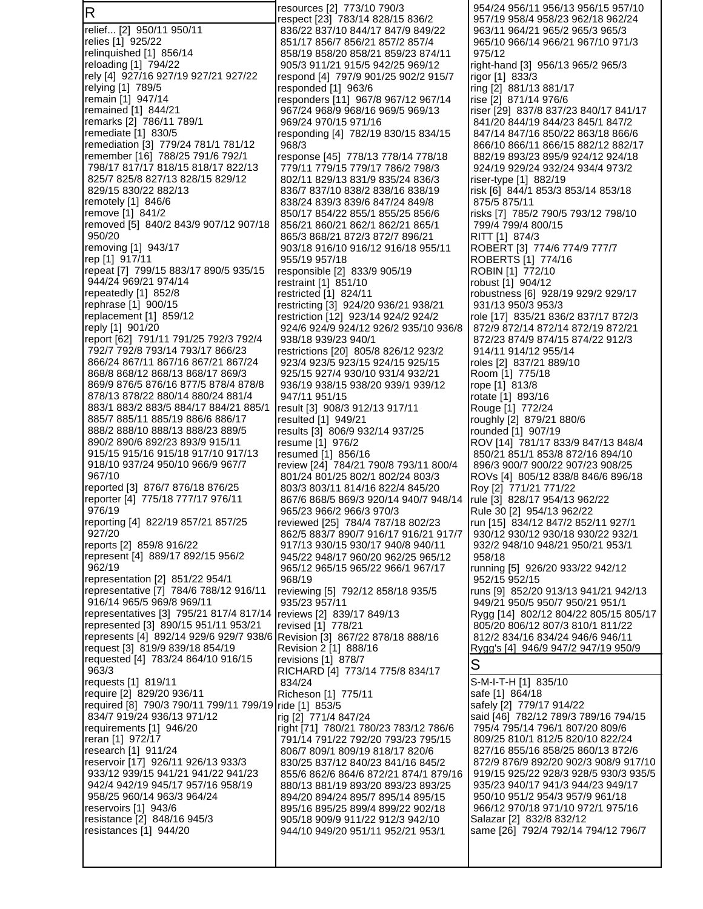R relief... [2] 950/11 950/11 relies [1] 925/22 relinquished [1] 856/14 reloading [1] 794/22 rely [4] 927/16 927/19 927/21 927/22 relying [1] 789/5 remain [1] 947/14 remained [1] 844/21 remarks [2] 786/11 789/1 remediate [1] 830/5 remediation [3] 779/24 781/1 781/12 remember [16] 788/25 791/6 792/1 798/17 817/17 818/15 818/17 822/13 825/7 825/8 827/13 828/15 829/12 829/15 830/22 882/13 remotely [1] 846/6 remove [1] 841/2 removed [5] 840/2 843/9 907/12 907/18 950/20 removing [1] 943/17 rep [1] 917/11 repeat [7] 799/15 883/17 890/5 935/15 944/24 969/21 974/14 repeatedly [1] 852/8 rephrase [1] 900/15 replacement [1] 859/12 reply [1] 901/20 report [62] 791/11 791/25 792/3 792/4 792/7 792/8 793/14 793/17 866/23 866/24 867/11 867/16 867/21 867/24 868/8 868/12 868/13 868/17 869/3 869/9 876/5 876/16 877/5 878/4 878/8 878/13 878/22 880/14 880/24 881/4 883/1 883/2 883/5 884/17 884/21 885/1 885/7 885/11 885/19 886/6 886/17 888/2 888/10 888/13 888/23 889/5 890/2 890/6 892/23 893/9 915/11 915/15 915/16 915/18 917/10 917/13 918/10 937/24 950/10 966/9 967/7 967/10 reported [3] 876/7 876/18 876/25 reporter [4] 775/18 777/17 976/11 976/19 reporting [4] 822/19 857/21 857/25 927/20 reports [2] 859/8 916/22 represent [4] 889/17 892/15 956/2 962/19 representation [2] 851/22 954/1 representative [7] 784/6 788/12 916/11 916/14 965/5 969/8 969/11 representatives [3] 795/21 817/4 817/14 represented [3] 890/15 951/11 953/21 represents [4] 892/14 929/6 929/7 938/6 request [3] 819/9 839/18 854/19 requested [4] 783/24 864/10 916/15 963/3 requests [1] 819/11 require [2] 829/20 936/11 required [8] 790/3 790/11 799/11 799/19 ride [1] 853/5 834/7 919/24 936/13 971/12 requirements [1] 946/20 reran [1] 972/17 research [1] 911/24 reservoir [17] 926/11 926/13 933/3 933/12 939/15 941/21 941/22 941/23 942/4 942/19 945/17 957/16 958/19 958/25 960/14 963/3 964/24 reservoirs [1] 943/6 resistance [2] 848/16 945/3 resistances [1] 944/20

resources [2] 773/10 790/3 respect [23] 783/14 828/15 836/2 836/22 837/10 844/17 847/9 849/22 851/17 856/7 856/21 857/2 857/4 858/19 858/20 858/21 859/23 874/11 905/3 911/21 915/5 942/25 969/12 respond [4] 797/9 901/25 902/2 915/7 responded [1] 963/6 responders [11] 967/8 967/12 967/14 967/24 968/9 968/16 969/5 969/13 969/24 970/15 971/16 responding [4] 782/19 830/15 834/15 968/3 response [45] 778/13 778/14 778/18 779/11 779/15 779/17 786/2 798/3 802/11 829/13 831/9 835/24 836/3 836/7 837/10 838/2 838/16 838/19 838/24 839/3 839/6 847/24 849/8 850/17 854/22 855/1 855/25 856/6 856/21 860/21 862/1 862/21 865/1 865/3 868/21 872/3 872/7 896/21 903/18 916/10 916/12 916/18 955/11 955/19 957/18 responsible [2] 833/9 905/19 restraint [1] 851/10 restricted [1] 824/11 restricting [3] 924/20 936/21 938/21 restriction [12] 923/14 924/2 924/2 924/6 924/9 924/12 926/2 935/10 936/8 938/18 939/23 940/1 restrictions [20] 805/8 826/12 923/2 923/4 923/5 923/15 924/15 925/15 925/15 927/4 930/10 931/4 932/21 936/19 938/15 938/20 939/1 939/12 947/11 951/15 result [3] 908/3 912/13 917/11 resulted [1] 949/21 results [3] 806/9 932/14 937/25 resume [1] 976/2 resumed [1] 856/16 review [24] 784/21 790/8 793/11 800/4 801/24 801/25 802/1 802/24 803/3 803/3 803/11 814/16 822/4 845/20 867/6 868/5 869/3 920/14 940/7 948/14 965/23 966/2 966/3 970/3 reviewed [25] 784/4 787/18 802/23 862/5 883/7 890/7 916/17 916/21 917/7 917/13 930/15 930/17 940/8 940/11 945/22 948/17 960/20 962/25 965/12 965/12 965/15 965/22 966/1 967/17 968/19 reviewing [5] 792/12 858/18 935/5 935/23 957/11 reviews [2] 839/17 849/13 revised [1] 778/21 Revision [3] 867/22 878/18 888/16 Revision 2 [1] 888/16 revisions [1] 878/7 RICHARD [4] 773/14 775/8 834/17 834/24 Richeson [1] 775/11 rig [2] 771/4 847/24 right [71] 780/21 780/23 783/12 786/6 791/14 791/22 792/20 793/23 795/15 806/7 809/1 809/19 818/17 820/6 830/25 837/12 840/23 841/16 845/2 855/6 862/6 864/6 872/21 874/1 879/16 880/13 881/19 893/20 893/23 893/25 894/20 894/24 895/7 895/14 895/15 895/16 895/25 899/4 899/22 902/18 905/18 909/9 911/22 912/3 942/10 944/10 949/20 951/11 952/21 953/1

 954/24 956/11 956/13 956/15 957/10 957/19 958/4 958/23 962/18 962/24 963/11 964/21 965/2 965/3 965/3 965/10 966/14 966/21 967/10 971/3 975/12 right-hand [3] 956/13 965/2 965/3 rigor [1] 833/3 ring [2] 881/13 881/17 rise [2] 871/14 976/6 riser [29] 837/8 837/23 840/17 841/17 841/20 844/19 844/23 845/1 847/2 847/14 847/16 850/22 863/18 866/6 866/10 866/11 866/15 882/12 882/17 882/19 893/23 895/9 924/12 924/18 924/19 929/24 932/24 934/4 973/2 riser-type [1] 882/19 risk [6] 844/1 853/3 853/14 853/18 875/5 875/11 risks [7] 785/2 790/5 793/12 798/10 799/4 799/4 800/15 RITT [1] 874/3 ROBERT [3] 774/6 774/9 777/7 ROBERTS [1] 774/16 ROBIN [1] 772/10 robust [1] 904/12 robustness [6] 928/19 929/2 929/17 931/13 950/3 953/3 role [17] 835/21 836/2 837/17 872/3 872/9 872/14 872/14 872/19 872/21 872/23 874/9 874/15 874/22 912/3 914/11 914/12 955/14 roles [2] 837/21 889/10 Room [1] 775/18 rope [1] 813/8 rotate [1] 893/16 Rouge [1] 772/24 roughly [2] 879/21 880/6 rounded [1] 907/19 ROV [14] 781/17 833/9 847/13 848/4 850/21 851/1 853/8 872/16 894/10 896/3 900/7 900/22 907/23 908/25 ROVs [4] 805/12 838/8 846/6 896/18 Roy [2] 771/21 771/22 rule [3] 828/17 954/13 962/22 Rule 30 [2] 954/13 962/22 run [15] 834/12 847/2 852/11 927/1 930/12 930/12 930/18 930/22 932/1 932/2 948/10 948/21 950/21 953/1 958/18 running [5] 926/20 933/22 942/12 952/15 952/15 runs [9] 852/20 913/13 941/21 942/13 949/21 950/5 950/7 950/21 951/1 Rygg [14] 802/12 804/22 805/15 805/17 805/20 806/12 807/3 810/1 811/22 812/2 834/16 834/24 946/6 946/11 Rygg's [4] 946/9 947/2 947/19 950/9 S S-M-I-T-H [1] 835/10 safe [1] 864/18 safely [2] 779/17 914/22 said [46] 782/12 789/3 789/16 794/15 795/4 795/14 796/1 807/20 809/6 809/25 810/1 812/5 820/10 822/24 827/16 855/16 858/25 860/13 872/6 872/9 876/9 892/20 902/3 908/9 917/10 919/15 925/22 928/3 928/5 930/3 935/5 935/23 940/17 941/3 944/23 949/17 950/10 951/2 954/3 957/9 961/18 966/12 970/18 971/10 972/1 975/16 Salazar [2] 832/8 832/12 same [26] 792/4 792/14 794/12 796/7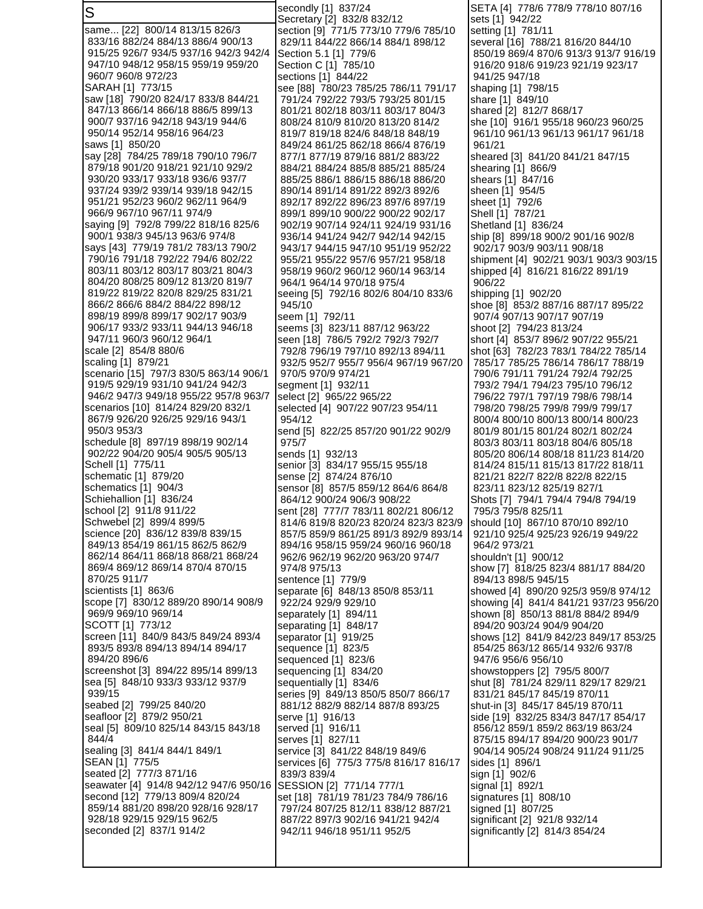S same... [22] 800/14 813/15 826/3 833/16 882/24 884/13 886/4 900/13 915/25 926/7 934/5 937/16 942/3 942/4 947/10 948/12 958/15 959/19 959/20 960/7 960/8 972/23 SARAH [1] 773/15 saw [18] 790/20 824/17 833/8 844/21 847/13 866/14 866/18 886/5 899/13 900/7 937/16 942/18 943/19 944/6 950/14 952/14 958/16 964/23 saws [1] 850/20 say [28] 784/25 789/18 790/10 796/7 879/18 901/20 918/21 921/10 929/2 930/20 933/17 933/18 936/6 937/7 937/24 939/2 939/14 939/18 942/15 951/21 952/23 960/2 962/11 964/9 966/9 967/10 967/11 974/9 saying [9] 792/8 799/22 818/16 825/6 900/1 938/3 945/13 963/6 974/8 says [43] 779/19 781/2 783/13 790/2 790/16 791/18 792/22 794/6 802/22 803/11 803/12 803/17 803/21 804/3 804/20 808/25 809/12 813/20 819/7 819/22 819/22 820/8 829/25 831/21 866/2 866/6 884/2 884/22 898/12 898/19 899/8 899/17 902/17 903/9 906/17 933/2 933/11 944/13 946/18 947/11 960/3 960/12 964/1 scale [2] 854/8 880/6 scaling [1] 879/21 scenario [15] 797/3 830/5 863/14 906/1 919/5 929/19 931/10 941/24 942/3 946/2 947/3 949/18 955/22 957/8 963/7 scenarios [10] 814/24 829/20 832/1 867/9 926/20 926/25 929/16 943/1 950/3 953/3 schedule [8] 897/19 898/19 902/14 902/22 904/20 905/4 905/5 905/13 Schell [1] 775/11 schematic [1] 879/20 schematics [1] 904/3 Schiehallion [1] 836/24 school [2] 911/8 911/22 Schwebel [2] 899/4 899/5 science [20] 836/12 839/8 839/15 849/13 854/19 861/15 862/5 862/9 862/14 864/11 868/18 868/21 868/24 869/4 869/12 869/14 870/4 870/15 870/25 911/7 scientists [1] 863/6 scope [7] 830/12 889/20 890/14 908/9 969/9 969/10 969/14 SCOTT [1] 773/12 screen [11] 840/9 843/5 849/24 893/4 893/5 893/8 894/13 894/14 894/17 894/20 896/6 screenshot [3] 894/22 895/14 899/13 sea [5] 848/10 933/3 933/12 937/9 939/15 seabed [2] 799/25 840/20 seafloor [2] 879/2 950/21 seal [5] 809/10 825/14 843/15 843/18 844/4 sealing [3] 841/4 844/1 849/1 SEAN [1] 775/5 seated [2] 777/3 871/16 seawater [4] 914/8 942/12 947/6 950/16 second [12] 779/13 809/4 820/24 859/14 881/20 898/20 928/16 928/17 928/18 929/15 929/15 962/5 seconded [2] 837/1 914/2 secondly [1] 837/24 Secretary [2] 832/8 832/12 section [9] 771/5 773/10 779/6 785/10 829/11 844/22 866/14 884/1 898/12 Section 5.1 [1] 779/6 Section C [1] 785/10 sections [1] 844/22 see [88] 780/23 785/25 786/11 791/17 791/24 792/22 793/5 793/25 801/15 801/21 802/18 803/11 803/17 804/3 808/24 810/9 810/20 813/20 814/2 819/7 819/18 824/6 848/18 848/19 849/24 861/25 862/18 866/4 876/19 877/1 877/19 879/16 881/2 883/22 884/21 884/24 885/8 885/21 885/24 885/25 886/1 886/15 886/18 886/20 890/14 891/14 891/22 892/3 892/6 892/17 892/22 896/23 897/6 897/19 899/1 899/10 900/22 900/22 902/17 902/19 907/14 924/11 924/19 931/16 936/14 941/24 942/7 942/14 942/15 943/17 944/15 947/10 951/19 952/22 955/21 955/22 957/6 957/21 958/18 958/19 960/2 960/12 960/14 963/14 964/1 964/14 970/18 975/4 seeing [5] 792/16 802/6 804/10 833/6 945/10 seem [1] 792/11 seems [3] 823/11 887/12 963/22 seen [18] 786/5 792/2 792/3 792/7 792/8 796/19 797/10 892/13 894/11 932/5 952/7 955/7 956/4 967/19 967/20 970/5 970/9 974/21 segment [1] 932/11 select [2] 965/22 965/22 selected [4] 907/22 907/23 954/11 954/12 send [5] 822/25 857/20 901/22 902/9 975/7 sends [1] 932/13 senior [3] 834/17 955/15 955/18 sense [2] 874/24 876/10 sensor [8] 857/5 859/12 864/6 864/8 864/12 900/24 906/3 908/22 sent [28] 777/7 783/11 802/21 806/12 814/6 819/8 820/23 820/24 823/3 823/9 857/5 859/9 861/25 891/3 892/9 893/14 894/16 958/15 959/24 960/16 960/18 962/6 962/19 962/20 963/20 974/7 974/8 975/13 sentence [1] 779/9 separate [6] 848/13 850/8 853/11 922/24 929/9 929/10 separately [1] 894/11 separating [1] 848/17 separator [1] 919/25 sequence [1] 823/5 sequenced [1] 823/6 sequencing [1] 834/20 sequentially [1] 834/6 series [9] 849/13 850/5 850/7 866/17 881/12 882/9 882/14 887/8 893/25 serve [1] 916/13 served [1] 916/11 serves [1] 827/11 service [3] 841/22 848/19 849/6 services [6] 775/3 775/8 816/17 816/17 839/3 839/4 SESSION [2] 771/14 777/1 set [18] 781/19 781/23 784/9 786/16 797/24 807/25 812/11 838/12 887/21 887/22 897/3 902/16 941/21 942/4 942/11 946/18 951/11 952/5 SETA [4] 778/6 778/9 778/10 807/16 sets [1] 942/22 setting [1] 781/11 several [16] 788/21 816/20 844/10 850/19 869/4 870/6 913/3 913/7 916/19 916/20 918/6 919/23 921/19 923/17 941/25 947/18 shaping [1] 798/15 share [1] 849/10 shared [2] 812/7 868/17 she [10] 916/1 955/18 960/23 960/25 961/10 961/13 961/13 961/17 961/18 961/21 sheared [3] 841/20 841/21 847/15 shearing [1] 866/9 shears [1] 847/16 sheen [1] 954/5 sheet [1] 792/6 Shell [1] 787/21 Shetland [1] 836/24 ship [8] 899/18 900/2 901/16 902/8 902/17 903/9 903/11 908/18 shipment [4] 902/21 903/1 903/3 903/15 shipped [4] 816/21 816/22 891/19 906/22 shipping [1] 902/20 shoe [8] 853/2 887/16 887/17 895/22 907/4 907/13 907/17 907/19 shoot [2] 794/23 813/24 short [4] 853/7 896/2 907/22 955/21 shot [63] 782/23 783/1 784/22 785/14 785/17 785/25 786/14 786/17 788/19 790/6 791/11 791/24 792/4 792/25 793/2 794/1 794/23 795/10 796/12 796/22 797/1 797/19 798/6 798/14 798/20 798/25 799/8 799/9 799/17 800/4 800/10 800/13 800/14 800/23 801/9 801/15 801/24 802/1 802/24 803/3 803/11 803/18 804/6 805/18 805/20 806/14 808/18 811/23 814/20 814/24 815/11 815/13 817/22 818/11 821/21 822/7 822/8 822/8 822/15 823/11 823/12 825/19 827/1 Shots [7] 794/1 794/4 794/8 794/19 795/3 795/8 825/11 should [10] 867/10 870/10 892/10 921/10 925/4 925/23 926/19 949/22 964/2 973/21 shouldn't [1] 900/12 show [7] 818/25 823/4 881/17 884/20 894/13 898/5 945/15 showed [4] 890/20 925/3 959/8 974/12 showing [4] 841/4 841/21 937/23 956/20 shown [8] 850/13 881/8 884/2 894/9 894/20 903/24 904/9 904/20 shows [12] 841/9 842/23 849/17 853/25 854/25 863/12 865/14 932/6 937/8 947/6 956/6 956/10 showstoppers [2] 795/5 800/7 shut [8] 781/24 829/11 829/17 829/21 831/21 845/17 845/19 870/11 shut-in [3] 845/17 845/19 870/11 side [19] 832/25 834/3 847/17 854/17 856/12 859/1 859/2 863/19 863/24 875/15 894/17 894/20 900/23 901/7 904/14 905/24 908/24 911/24 911/25 sides [1] 896/1 sign [1] 902/6 signal [1] 892/1 signatures [1] 808/10 signed [1] 807/25 significant [2] 921/8 932/14 significantly [2] 814/3 854/24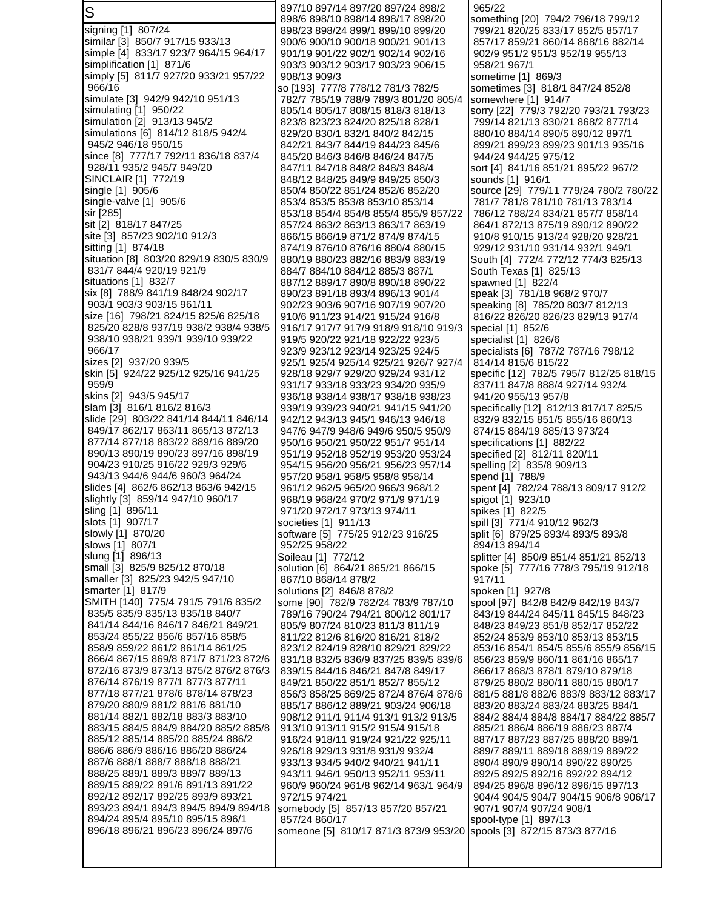S signing [1] 807/24 similar [3] 850/7 917/15 933/13 simple [4] 833/17 923/7 964/15 964/17 simplification [1] 871/6 simply [5] 811/7 927/20 933/21 957/22 966/16 simulate [3] 942/9 942/10 951/13 simulating [1] 950/22 simulation [2] 913/13 945/2 simulations [6] 814/12 818/5 942/4 945/2 946/18 950/15 since [8] 777/17 792/11 836/18 837/4 928/11 935/2 945/7 949/20 SINCLAIR [1] 772/19 single [1] 905/6 single-valve [1] 905/6 sir [285] sit [2] 818/17 847/25 site [3] 857/23 902/10 912/3 sitting [1] 874/18 situation [8] 803/20 829/19 830/5 830/9 831/7 844/4 920/19 921/9 situations [1] 832/7 six [8] 788/9 841/19 848/24 902/17 903/1 903/3 903/15 961/11 size [16] 798/21 824/15 825/6 825/18 825/20 828/8 937/19 938/2 938/4 938/5 938/10 938/21 939/1 939/10 939/22 966/17 sizes [2] 937/20 939/5 skin [5] 924/22 925/12 925/16 941/25 959/9 skins [2] 943/5 945/17 slam [3] 816/1 816/2 816/3 slide [29] 803/22 841/14 844/11 846/14 849/17 862/17 863/11 865/13 872/13 877/14 877/18 883/22 889/16 889/20 890/13 890/19 890/23 897/16 898/19 904/23 910/25 916/22 929/3 929/6 943/13 944/6 944/6 960/3 964/24 slides [4] 862/6 862/13 863/6 942/15 slightly [3] 859/14 947/10 960/17 sling [1] 896/11 slots [1] 907/17 slowly [1] 870/20 slows [1] 807/1 slung [1] 896/13 small [3] 825/9 825/12 870/18 smaller [3] 825/23 942/5 947/10 smarter [1] 817/9 SMITH [140] 775/4 791/5 791/6 835/2 835/5 835/9 835/13 835/18 840/7 841/14 844/16 846/17 846/21 849/21 853/24 855/22 856/6 857/16 858/5 858/9 859/22 861/2 861/14 861/25 866/4 867/15 869/8 871/7 871/23 872/6 872/16 873/9 873/13 875/2 876/2 876/3 876/14 876/19 877/1 877/3 877/11 877/18 877/21 878/6 878/14 878/23 879/20 880/9 881/2 881/6 881/10 881/14 882/1 882/18 883/3 883/10 883/15 884/5 884/9 884/20 885/2 885/8 885/12 885/14 885/20 885/24 886/2 886/6 886/9 886/16 886/20 886/24 887/6 888/1 888/7 888/18 888/21 888/25 889/1 889/3 889/7 889/13 889/15 889/22 891/6 891/13 891/22 892/12 892/17 892/25 893/9 893/21 893/23 894/1 894/3 894/5 894/9 894/18 894/24 895/4 895/10 895/15 896/1 896/18 896/21 896/23 896/24 897/6 897/10 897/14 897/20 897/24 898/2 898/6 898/10 898/14 898/17 898/20 898/23 898/24 899/1 899/10 899/20 900/6 900/10 900/18 900/21 901/13 901/19 901/22 902/1 902/14 902/16 903/3 903/12 903/17 903/23 906/15 908/13 909/3 so [193] 777/8 778/12 781/3 782/5 782/7 785/19 788/9 789/3 801/20 805/4 805/14 805/17 808/15 818/3 818/13 823/8 823/23 824/20 825/18 828/1 829/20 830/1 832/1 840/2 842/15 842/21 843/7 844/19 844/23 845/6 845/20 846/3 846/8 846/24 847/5 847/11 847/18 848/2 848/3 848/4 848/12 848/25 849/9 849/25 850/3 850/4 850/22 851/24 852/6 852/20 853/4 853/5 853/8 853/10 853/14 853/18 854/4 854/8 855/4 855/9 857/22 857/24 863/2 863/13 863/17 863/19 866/15 866/19 871/2 874/9 874/15 874/19 876/10 876/16 880/4 880/15 880/19 880/23 882/16 883/9 883/19 884/7 884/10 884/12 885/3 887/1 887/12 889/17 890/8 890/18 890/22 890/23 891/18 893/4 896/13 901/4 902/23 903/6 907/16 907/19 907/20 910/6 911/23 914/21 915/24 916/8 916/17 917/7 917/9 918/9 918/10 919/3 919/5 920/22 921/18 922/22 923/5 923/9 923/12 923/14 923/25 924/5 925/1 925/4 925/14 925/21 926/7 927/4 928/18 929/7 929/20 929/24 931/12 931/17 933/18 933/23 934/20 935/9 936/18 938/14 938/17 938/18 938/23 939/19 939/23 940/21 941/15 941/20 942/12 943/13 945/1 946/13 946/18 947/6 947/9 948/6 949/6 950/5 950/9 950/16 950/21 950/22 951/7 951/14 951/19 952/18 952/19 953/20 953/24 954/15 956/20 956/21 956/23 957/14 957/20 958/1 958/5 958/8 958/14 961/12 962/5 965/20 966/3 968/12 968/19 968/24 970/2 971/9 971/19 971/20 972/17 973/13 974/11 societies [1] 911/13 software [5] 775/25 912/23 916/25 952/25 958/22 Soileau [1] 772/12 solution [6] 864/21 865/21 866/15 867/10 868/14 878/2 solutions [2] 846/8 878/2 some [90] 782/9 782/24 783/9 787/10 789/16 790/24 794/21 800/12 801/17 805/9 807/24 810/23 811/3 811/19 811/22 812/6 816/20 816/21 818/2 823/12 824/19 828/10 829/21 829/22 831/18 832/5 836/9 837/25 839/5 839/6 839/15 844/16 846/21 847/8 849/17 849/21 850/22 851/1 852/7 855/12 856/3 858/25 869/25 872/4 876/4 878/6 885/17 886/12 889/21 903/24 906/18 908/12 911/1 911/4 913/1 913/2 913/5 913/10 913/11 915/2 915/4 915/18 916/24 918/11 919/24 921/22 925/11 926/18 929/13 931/8 931/9 932/4 933/13 934/5 940/2 940/21 941/11 943/11 946/1 950/13 952/11 953/11 960/9 960/24 961/8 962/14 963/1 964/9 972/15 974/21 somebody [5] 857/13 857/20 857/21 857/24 860/17 someone [5] 810/17 871/3 873/9 953/20 965/22 something [20] 794/2 796/18 799/12 799/21 820/25 833/17 852/5 857/17 857/17 859/21 860/14 868/16 882/14 902/9 951/2 951/3 952/19 955/13 958/21 967/1 sometime [1] 869/3 sometimes [3] 818/1 847/24 852/8 somewhere [1] 914/7 sorry [22] 779/3 792/20 793/21 793/23 799/14 821/13 830/21 868/2 877/14 880/10 884/14 890/5 890/12 897/1 899/21 899/23 899/23 901/13 935/16 944/24 944/25 975/12 sort [4] 841/16 851/21 895/22 967/2 sounds [1] 916/1 source [29] 779/11 779/24 780/2 780/22 781/7 781/8 781/10 781/13 783/14 786/12 788/24 834/21 857/7 858/14 864/1 872/13 875/19 890/12 890/22 910/8 910/15 913/24 928/20 928/21 929/12 931/10 931/14 932/1 949/1 South [4] 772/4 772/12 774/3 825/13 South Texas [1] 825/13 spawned [1] 822/4 speak [3] 781/18 968/2 970/7 speaking [8] 785/20 803/7 812/13 816/22 826/20 826/23 829/13 917/4 special [1] 852/6 specialist [1] 826/6 specialists [6] 787/2 787/16 798/12 814/14 815/6 815/22 specific [12] 782/5 795/7 812/25 818/15 837/11 847/8 888/4 927/14 932/4 941/20 955/13 957/8 specifically [12] 812/13 817/17 825/5 832/9 832/15 851/5 855/16 860/13 874/15 884/19 885/13 973/24 specifications [1] 882/22 specified [2] 812/11 820/11 spelling [2] 835/8 909/13 spend [1] 788/9 spent [4] 782/24 788/13 809/17 912/2 spigot [1] 923/10 spikes [1] 822/5 spill [3] 771/4 910/12 962/3 split [6] 879/25 893/4 893/5 893/8 894/13 894/14 splitter [4] 850/9 851/4 851/21 852/13 spoke [5] 777/16 778/3 795/19 912/18 917/11 spoken [1] 927/8 spool [97] 842/8 842/9 842/19 843/7 843/19 844/24 845/11 845/15 848/23 848/23 849/23 851/8 852/17 852/22 852/24 853/9 853/10 853/13 853/15 853/16 854/1 854/5 855/6 855/9 856/15 856/23 859/9 860/11 861/16 865/17 866/17 868/3 878/1 879/10 879/18 879/25 880/2 880/11 880/15 880/17 881/5 881/8 882/6 883/9 883/12 883/17 883/20 883/24 883/24 883/25 884/1 884/2 884/4 884/8 884/17 884/22 885/7 885/21 886/4 886/19 886/23 887/4 887/17 887/23 887/25 888/20 889/1 889/7 889/11 889/18 889/19 889/22 890/4 890/9 890/14 890/22 890/25 892/5 892/5 892/16 892/22 894/12 894/25 896/8 896/12 896/15 897/13 904/4 904/5 904/7 904/15 906/8 906/17 907/1 907/4 907/24 908/1 spool-type [1] 897/13 spools [3] 872/15 873/3 877/16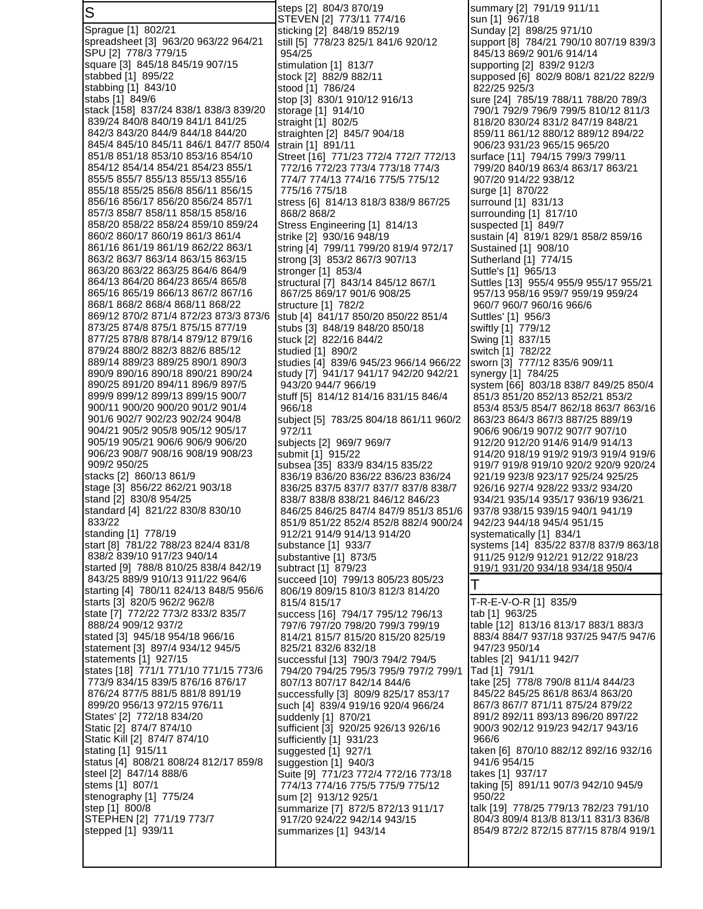S Sprague [1] 802/21 spreadsheet [3] 963/20 963/22 964/21 SPU [2] 778/3 779/15 square [3] 845/18 845/19 907/15 stabbed [1] 895/22 stabbing [1] 843/10 stabs [1] 849/6 stack [158] 837/24 838/1 838/3 839/20 839/24 840/8 840/19 841/1 841/25 842/3 843/20 844/9 844/18 844/20 845/4 845/10 845/11 846/1 847/7 850/4 851/8 851/18 853/10 853/16 854/10 854/12 854/14 854/21 854/23 855/1 855/5 855/7 855/13 855/13 855/16 855/18 855/25 856/8 856/11 856/15 856/16 856/17 856/20 856/24 857/1 857/3 858/7 858/11 858/15 858/16 858/20 858/22 858/24 859/10 859/24 860/2 860/17 860/19 861/3 861/4 861/16 861/19 861/19 862/22 863/1 863/2 863/7 863/14 863/15 863/15 863/20 863/22 863/25 864/6 864/9 864/13 864/20 864/23 865/4 865/8 865/16 865/19 866/13 867/2 867/16 868/1 868/2 868/4 868/11 868/22 869/12 870/2 871/4 872/23 873/3 873/6 873/25 874/8 875/1 875/15 877/19 877/25 878/8 878/14 879/12 879/16 879/24 880/2 882/3 882/6 885/12 889/14 889/23 889/25 890/1 890/3 890/9 890/16 890/18 890/21 890/24 890/25 891/20 894/11 896/9 897/5 899/9 899/12 899/13 899/15 900/7 900/11 900/20 900/20 901/2 901/4 901/6 902/7 902/23 902/24 904/8 904/21 905/2 905/8 905/12 905/17 905/19 905/21 906/6 906/9 906/20 906/23 908/7 908/16 908/19 908/23 909/2 950/25 stacks [2] 860/13 861/9 stage [3] 856/22 862/21 903/18 stand [2] 830/8 954/25 standard [4] 821/22 830/8 830/10 833/22 standing [1] 778/19 start [8] 781/22 788/23 824/4 831/8 838/2 839/10 917/23 940/14 started [9] 788/8 810/25 838/4 842/19 843/25 889/9 910/13 911/22 964/6 starting [4] 780/11 824/13 848/5 956/6 starts [3] 820/5 962/2 962/8 state [7] 772/22 773/2 833/2 835/7 888/24 909/12 937/2 stated [3] 945/18 954/18 966/16 statement [3] 897/4 934/12 945/5 statements [1] 927/15 states [18] 771/1 771/10 771/15 773/6 773/9 834/15 839/5 876/16 876/17 876/24 877/5 881/5 881/8 891/19 899/20 956/13 972/15 976/11 States' [2] 772/18 834/20 Static [2] 874/7 874/10 Static Kill [2] 874/7 874/10 stating [1] 915/11 status [4] 808/21 808/24 812/17 859/8 steel [2] 847/14 888/6 stems [1] 807/1 stenography [1] 775/24 step [1] 800/8 STEPHEN [2] 771/19 773/7 stepped [1] 939/11 steps [2] 804/3 870/19 STEVEN [2] 773/11 774/16 sticking [2] 848/19 852/19 still [5] 778/23 825/1 841/6 920/12 954/25 stimulation [1] 813/7 stock [2] 882/9 882/11 stood [1] 786/24 stop [3] 830/1 910/12 916/13 storage [1] 914/10 straight [1] 802/5 straighten [2] 845/7 904/18 strain [1] 891/11 Street [16] 771/23 772/4 772/7 772/13 772/16 772/23 773/4 773/18 774/3 774/7 774/13 774/16 775/5 775/12 775/16 775/18 stress [6] 814/13 818/3 838/9 867/25 868/2 868/2 Stress Engineering [1] 814/13 strike [2] 930/16 948/19 string [4] 799/11 799/20 819/4 972/17 strong [3] 853/2 867/3 907/13 stronger [1] 853/4 structural [7] 843/14 845/12 867/1 867/25 869/17 901/6 908/25 structure [1] 782/2 stub [4] 841/17 850/20 850/22 851/4 stubs [3] 848/19 848/20 850/18 stuck [2] 822/16 844/2 studied [1] 890/2 studies [4] 839/6 945/23 966/14 966/22 study [7] 941/17 941/17 942/20 942/21 943/20 944/7 966/19 stuff [5] 814/12 814/16 831/15 846/4 966/18 subject [5] 783/25 804/18 861/11 960/2 972/11 subjects [2] 969/7 969/7 submit [1] 915/22 subsea [35] 833/9 834/15 835/22 836/19 836/20 836/22 836/23 836/24 836/25 837/5 837/7 837/7 837/8 838/7 838/7 838/8 838/21 846/12 846/23 846/25 846/25 847/4 847/9 851/3 851/6 851/9 851/22 852/4 852/8 882/4 900/24 912/21 914/9 914/13 914/20 substance [1] 933/7 substantive [1] 873/5 subtract [1] 879/23 succeed [10] 799/13 805/23 805/23 806/19 809/15 810/3 812/3 814/20 815/4 815/17 success [16] 794/17 795/12 796/13 797/6 797/20 798/20 799/3 799/19 814/21 815/7 815/20 815/20 825/19 825/21 832/6 832/18 successful [13] 790/3 794/2 794/5 794/20 794/25 795/3 795/9 797/2 799/1 807/13 807/17 842/14 844/6 successfully [3] 809/9 825/17 853/17 such [4] 839/4 919/16 920/4 966/24 suddenly [1] 870/21 sufficient [3] 920/25 926/13 926/16 sufficiently [1] 931/23 suggested [1] 927/1 suggestion [1] 940/3 Suite [9] 771/23 772/4 772/16 773/18 774/13 774/16 775/5 775/9 775/12 sum [2] 913/12 925/1 summarize [7] 872/5 872/13 911/17 917/20 924/22 942/14 943/15 summarizes [1] 943/14

summary [2] 791/19 911/11 sun [1] 967/18 Sunday [2] 898/25 971/10 support [8] 784/21 790/10 807/19 839/3 845/13 869/2 901/6 914/14 supporting [2] 839/2 912/3 supposed [6] 802/9 808/1 821/22 822/9 822/25 925/3 sure [24] 785/19 788/11 788/20 789/3 790/1 792/9 796/9 799/5 810/12 811/3 818/20 830/24 831/2 847/19 848/21 859/11 861/12 880/12 889/12 894/22 906/23 931/23 965/15 965/20 surface [11] 794/15 799/3 799/11 799/20 840/19 863/4 863/17 863/21 907/20 914/22 938/12 surge [1] 870/22 surround [1] 831/13 surrounding [1] 817/10 suspected [1] 849/7 sustain [4] 819/1 829/1 858/2 859/16 Sustained [1] 908/10 Sutherland [1] 774/15 Suttle's [1] 965/13 Suttles [13] 955/4 955/9 955/17 955/21 957/13 958/16 959/7 959/19 959/24 960/7 960/7 960/16 966/6 Suttles' [1] 956/3 swiftly [1] 779/12 Swing [1] 837/15 switch [1] 782/22 sworn [3] 777/12 835/6 909/11 synergy [1] 784/25 system [66] 803/18 838/7 849/25 850/4 851/3 851/20 852/13 852/21 853/2 853/4 853/5 854/7 862/18 863/7 863/16 863/23 864/3 867/3 887/25 889/19 906/6 906/19 907/2 907/7 907/10 912/20 912/20 914/6 914/9 914/13 914/20 918/19 919/2 919/3 919/4 919/6 919/7 919/8 919/10 920/2 920/9 920/24 921/19 923/8 923/17 925/24 925/25 926/16 927/4 928/22 933/2 934/20 934/21 935/14 935/17 936/19 936/21 937/8 938/15 939/15 940/1 941/19 942/23 944/18 945/4 951/15 systematically [1] 834/1 systems [14] 835/22 837/8 837/9 863/18 911/25 912/9 912/21 912/22 918/23 919/1 931/20 934/18 934/18 950/4 T T-R-E-V-O-R [1] 835/9 tab [1] 963/25 table [12] 813/16 813/17 883/1 883/3 883/4 884/7 937/18 937/25 947/5 947/6 947/23 950/14 tables [2] 941/11 942/7 Tad [1] 791/1 take [25] 778/8 790/8 811/4 844/23 845/22 845/25 861/8 863/4 863/20 867/3 867/7 871/11 875/24 879/22 891/2 892/11 893/13 896/20 897/22 900/3 902/12 919/23 942/17 943/16 966/6 taken [6] 870/10 882/12 892/16 932/16 941/6 954/15 takes [1] 937/17 taking [5] 891/11 907/3 942/10 945/9 950/22 talk [19] 778/25 779/13 782/23 791/10 804/3 809/4 813/8 813/11 831/3 836/8 854/9 872/2 872/15 877/15 878/4 919/1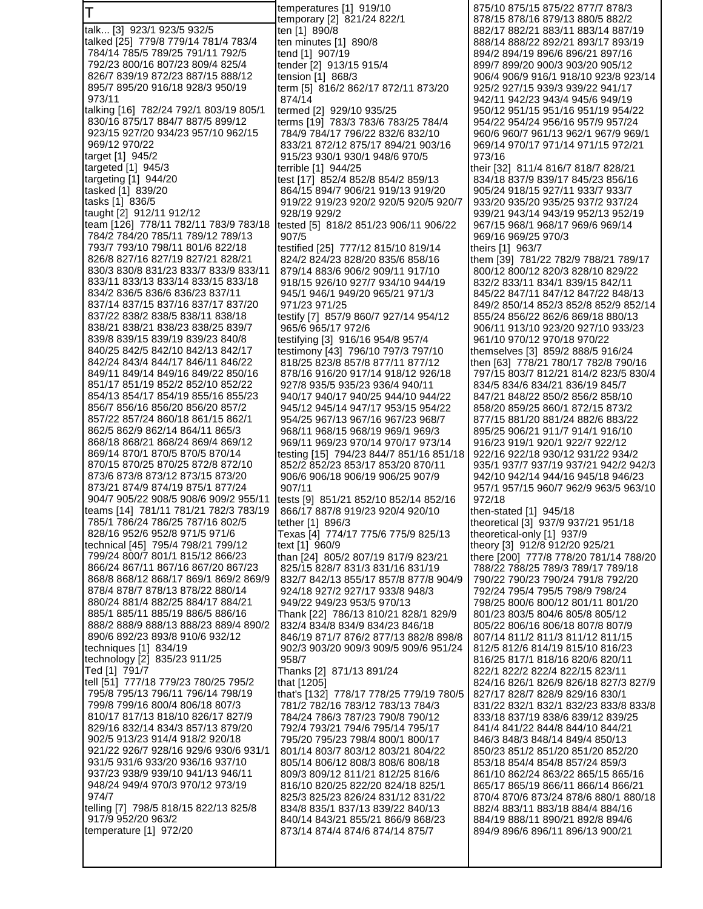T talk... [3] 923/1 923/5 932/5 talked [25] 779/8 779/14 781/4 783/4 784/14 785/5 789/25 791/11 792/5 792/23 800/16 807/23 809/4 825/4 826/7 839/19 872/23 887/15 888/12 895/7 895/20 916/18 928/3 950/19 973/11 talking [16] 782/24 792/1 803/19 805/1 830/16 875/17 884/7 887/5 899/12 923/15 927/20 934/23 957/10 962/15 969/12 970/22 target [1] 945/2 targeted [1] 945/3 targeting [1] 944/20 tasked [1] 839/20 tasks [1] 836/5 taught [2] 912/11 912/12 team [126] 778/11 782/11 783/9 783/18 784/2 784/20 785/11 789/12 789/13 793/7 793/10 798/11 801/6 822/18 826/8 827/16 827/19 827/21 828/21 830/3 830/8 831/23 833/7 833/9 833/11 833/11 833/13 833/14 833/15 833/18 834/2 836/5 836/6 836/23 837/11 837/14 837/15 837/16 837/17 837/20 837/22 838/2 838/5 838/11 838/18 838/21 838/21 838/23 838/25 839/7 839/8 839/15 839/19 839/23 840/8 840/25 842/5 842/10 842/13 842/17 842/24 843/4 844/17 846/11 846/22 849/11 849/14 849/16 849/22 850/16 851/17 851/19 852/2 852/10 852/22 854/13 854/17 854/19 855/16 855/23 856/7 856/16 856/20 856/20 857/2 857/22 857/24 860/18 861/15 862/1 862/5 862/9 862/14 864/11 865/3 868/18 868/21 868/24 869/4 869/12 869/14 870/1 870/5 870/5 870/14 870/15 870/25 870/25 872/8 872/10 873/6 873/8 873/12 873/15 873/20 873/21 874/9 874/19 875/1 877/24 904/7 905/22 908/5 908/6 909/2 955/11 teams [14] 781/11 781/21 782/3 783/19 785/1 786/24 786/25 787/16 802/5 828/16 952/6 952/8 971/5 971/6 technical [45] 795/4 798/21 799/12 799/24 800/7 801/1 815/12 866/23 866/24 867/11 867/16 867/20 867/23 868/8 868/12 868/17 869/1 869/2 869/9 878/4 878/7 878/13 878/22 880/14 880/24 881/4 882/25 884/17 884/21 885/1 885/11 885/19 886/5 886/16 888/2 888/9 888/13 888/23 889/4 890/2 890/6 892/23 893/8 910/6 932/12 techniques [1] 834/19 technology [2] 835/23 911/25 Ted [1] 791/7 tell [51] 777/18 779/23 780/25 795/2 795/8 795/13 796/11 796/14 798/19 799/8 799/16 800/4 806/18 807/3 810/17 817/13 818/10 826/17 827/9 829/16 832/14 834/3 857/13 879/20 902/5 913/23 914/4 918/2 920/18 921/22 926/7 928/16 929/6 930/6 931/1 931/5 931/6 933/20 936/16 937/10 937/23 938/9 939/10 941/13 946/11 948/24 949/4 970/3 970/12 973/19 974/7 telling [7] 798/5 818/15 822/13 825/8 917/9 952/20 963/2 temperature [1] 972/20 temperatures [1] 919/10 temporary [2] 821/24 822/1 ten [1] 890/8 ten minutes [1] 890/8 tend [1] 907/19 tender [2] 913/15 915/4 tension [1] 868/3 term [5] 816/2 862/17 872/11 873/20 874/14 termed [2] 929/10 935/25 terms [19] 783/3 783/6 783/25 784/4 784/9 784/17 796/22 832/6 832/10 833/21 872/12 875/17 894/21 903/16 915/23 930/1 930/1 948/6 970/5 terrible [1] 944/25 test [17] 852/4 852/8 854/2 859/13 864/15 894/7 906/21 919/13 919/20 919/22 919/23 920/2 920/5 920/5 920/7 928/19 929/2 tested [5] 818/2 851/23 906/11 906/22 907/5 testified [25] 777/12 815/10 819/14 824/2 824/23 828/20 835/6 858/16 879/14 883/6 906/2 909/11 917/10 918/15 926/10 927/7 934/10 944/19 945/1 946/1 949/20 965/21 971/3 971/23 971/25 testify [7] 857/9 860/7 927/14 954/12 965/6 965/17 972/6 testifying [3] 916/16 954/8 957/4 testimony [43] 796/10 797/3 797/10 818/25 823/8 857/8 877/11 877/12 878/16 916/20 917/14 918/12 926/18 927/8 935/5 935/23 936/4 940/11 940/17 940/17 940/25 944/10 944/22 945/12 945/14 947/17 953/15 954/22 954/25 967/13 967/16 967/23 968/7 968/11 968/15 968/19 969/1 969/3 969/11 969/23 970/14 970/17 973/14 testing [15] 794/23 844/7 851/16 851/18 852/2 852/23 853/17 853/20 870/11 906/6 906/18 906/19 906/25 907/9 907/11 tests [9] 851/21 852/10 852/14 852/16 866/17 887/8 919/23 920/4 920/10 tether [1] 896/3 Texas [4] 774/17 775/6 775/9 825/13 text [1] 960/9 than [24] 805/2 807/19 817/9 823/21 825/15 828/7 831/3 831/16 831/19 832/7 842/13 855/17 857/8 877/8 904/9 924/18 927/2 927/17 933/8 948/3 949/22 949/23 953/5 970/13 Thank [22] 786/13 810/21 828/1 829/9 832/4 834/8 834/9 834/23 846/18 846/19 871/7 876/2 877/13 882/8 898/8 902/3 903/20 909/3 909/5 909/6 951/24 958/7 Thanks [2] 871/13 891/24 that [1205] that's [132] 778/17 778/25 779/19 780/5 781/2 782/16 783/12 783/13 784/3 784/24 786/3 787/23 790/8 790/12 792/4 793/21 794/6 795/14 795/17 795/20 795/23 798/4 800/1 800/17 801/14 803/7 803/12 803/21 804/22 805/14 806/12 808/3 808/6 808/18 809/3 809/12 811/21 812/25 816/6 816/10 820/25 822/20 824/18 825/1 825/3 825/23 826/24 831/12 831/22 834/8 835/1 837/13 839/22 840/13 840/14 843/21 855/21 866/9 868/23 873/14 874/4 874/6 874/14 875/7 875/10 875/15 875/22 877/7 878/3 878/15 878/16 879/13 880/5 882/2 882/17 882/21 883/11 883/14 887/19 888/14 888/22 892/21 893/17 893/19 894/2 894/19 896/6 896/21 897/16 899/7 899/20 900/3 903/20 905/12 906/4 906/9 916/1 918/10 923/8 923/14 925/2 927/15 939/3 939/22 941/17 942/11 942/23 943/4 945/6 949/19 973/16 theirs [1] 963/7 972/18 894/9 896/6 896/11 896/13 900/21

 950/12 951/15 951/16 951/19 954/22 954/22 954/24 956/16 957/9 957/24 960/6 960/7 961/13 962/1 967/9 969/1 969/14 970/17 971/14 971/15 972/21 their [32] 811/4 816/7 818/7 828/21 834/18 837/9 839/17 845/23 856/16 905/24 918/15 927/11 933/7 933/7 933/20 935/20 935/25 937/2 937/24 939/21 943/14 943/19 952/13 952/19 967/15 968/1 968/17 969/6 969/14 969/16 969/25 970/3 them [39] 781/22 782/9 788/21 789/17 800/12 800/12 820/3 828/10 829/22 832/2 833/11 834/1 839/15 842/11 845/22 847/11 847/12 847/22 848/13 849/2 850/14 852/3 852/8 852/9 852/14 855/24 856/22 862/6 869/18 880/13 906/11 913/10 923/20 927/10 933/23 961/10 970/12 970/18 970/22 themselves [3] 859/2 888/5 916/24 then [63] 778/21 780/17 782/8 790/16 797/15 803/7 812/21 814/2 823/5 830/4 834/5 834/6 834/21 836/19 845/7 847/21 848/22 850/2 856/2 858/10 858/20 859/25 860/1 872/15 873/2 877/15 881/20 881/24 882/6 883/22 895/25 906/21 911/7 914/1 916/10 916/23 919/1 920/1 922/7 922/12 922/16 922/18 930/12 931/22 934/2 935/1 937/7 937/19 937/21 942/2 942/3 942/10 942/14 944/16 945/18 946/23 957/1 957/15 960/7 962/9 963/5 963/10 then-stated [1] 945/18 theoretical [3] 937/9 937/21 951/18 theoretical-only [1] 937/9 theory [3] 912/8 912/20 925/21 there [200] 777/8 778/20 781/14 788/20 788/22 788/25 789/3 789/17 789/18 790/22 790/23 790/24 791/8 792/20 792/24 795/4 795/5 798/9 798/24 798/25 800/6 800/12 801/11 801/20 801/23 803/5 804/6 805/8 805/12 805/22 806/16 806/18 807/8 807/9 807/14 811/2 811/3 811/12 811/15 812/5 812/6 814/19 815/10 816/23 816/25 817/1 818/16 820/6 820/11 822/1 822/2 822/4 822/15 823/11 824/16 826/1 826/9 826/18 827/3 827/9 827/17 828/7 828/9 829/16 830/1 831/22 832/1 832/1 832/23 833/8 833/8 833/18 837/19 838/6 839/12 839/25 841/4 841/22 844/8 844/10 844/21 846/3 848/3 848/14 849/4 850/13 850/23 851/2 851/20 851/20 852/20 853/18 854/4 854/8 857/24 859/3 861/10 862/24 863/22 865/15 865/16 865/17 865/19 866/11 866/14 866/21 870/4 870/6 873/24 878/6 880/1 880/18 882/4 883/11 883/18 884/4 884/16 884/19 888/11 890/21 892/8 894/6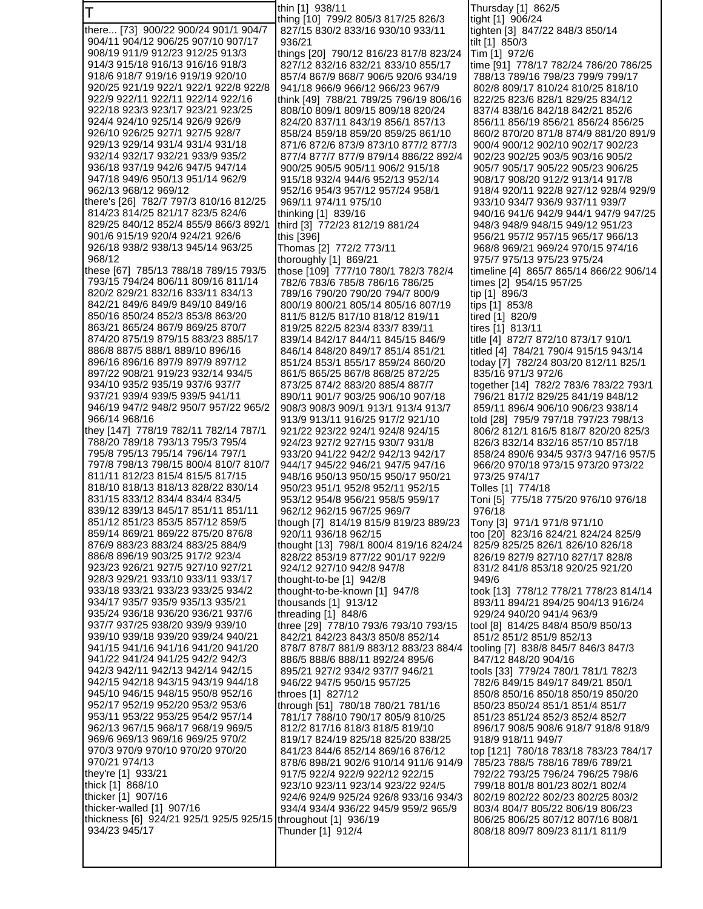| Τ                                                                              | thin [1] 938/11                                                            | Thursday [1] 862/5                                                          |
|--------------------------------------------------------------------------------|----------------------------------------------------------------------------|-----------------------------------------------------------------------------|
| there [73] 900/22 900/24 901/1 904/7                                           | thing [10] 799/2 805/3 817/25 826/3<br>827/15 830/2 833/16 930/10 933/11   | tight [1] 906/24<br>tighten [3] 847/22 848/3 850/14                         |
| 904/11 904/12 906/25 907/10 907/17                                             | 936/21                                                                     | tilt [1] 850/3                                                              |
| 908/19 911/9 912/23 912/25 913/3                                               | things [20] 790/12 816/23 817/8 823/24                                     | Tim [1] 972/6                                                               |
| 914/3 915/18 916/13 916/16 918/3                                               | 827/12 832/16 832/21 833/10 855/17                                         | time [91] 778/17 782/24 786/20 786/25                                       |
| 918/6 918/7 919/16 919/19 920/10                                               | 857/4 867/9 868/7 906/5 920/6 934/19                                       | 788/13 789/16 798/23 799/9 799/17                                           |
| 920/25 921/19 922/1 922/1 922/8 922/8                                          | 941/18 966/9 966/12 966/23 967/9                                           | 802/8 809/17 810/24 810/25 818/10                                           |
| 922/9 922/11 922/11 922/14 922/16                                              | think [49] 788/21 789/25 796/19 806/16                                     | 822/25 823/6 828/1 829/25 834/12                                            |
| 922/18 923/3 923/17 923/21 923/25<br>924/4 924/10 925/14 926/9 926/9           | 808/10 809/1 809/15 809/18 820/24<br>824/20 837/11 843/19 856/1 857/13     | 837/4 838/16 842/18 842/21 852/6<br>856/11 856/19 856/21 856/24 856/25      |
| 926/10 926/25 927/1 927/5 928/7                                                | 858/24 859/18 859/20 859/25 861/10                                         | 860/2 870/20 871/8 874/9 881/20 891/9                                       |
| 929/13 929/14 931/4 931/4 931/18                                               | 871/6 872/6 873/9 873/10 877/2 877/3                                       | 900/4 900/12 902/10 902/17 902/23                                           |
| 932/14 932/17 932/21 933/9 935/2                                               | 877/4 877/7 877/9 879/14 886/22 892/4                                      | 902/23 902/25 903/5 903/16 905/2                                            |
| 936/18 937/19 942/6 947/5 947/14                                               | 900/25 905/5 905/11 906/2 915/18                                           | 905/7 905/17 905/22 905/23 906/25                                           |
| 947/18 949/6 950/13 951/14 962/9                                               | 915/18 932/4 944/6 952/13 952/14                                           | 908/17 908/20 912/2 913/14 917/8                                            |
| 962/13 968/12 969/12<br>there's [26] 782/7 797/3 810/16 812/25                 | 952/16 954/3 957/12 957/24 958/1<br>969/11 974/11 975/10                   | 918/4 920/11 922/8 927/12 928/4 929/9<br>933/10 934/7 936/9 937/11 939/7    |
| 814/23 814/25 821/17 823/5 824/6                                               | thinking [1] 839/16                                                        | 940/16 941/6 942/9 944/1 947/9 947/25                                       |
| 829/25 840/12 852/4 855/9 866/3 892/1                                          | third [3] 772/23 812/19 881/24                                             | 948/3 948/9 948/15 949/12 951/23                                            |
| 901/6 915/19 920/4 924/21 926/6                                                | this [396]                                                                 | 956/21 957/2 957/15 965/17 966/13                                           |
| 926/18 938/2 938/13 945/14 963/25                                              | Thomas [2] 772/2 773/11                                                    | 968/8 969/21 969/24 970/15 974/16                                           |
| 968/12                                                                         | thoroughly [1] 869/21                                                      | 975/7 975/13 975/23 975/24                                                  |
| these [67] 785/13 788/18 789/15 793/5                                          | those [109] 777/10 780/1 782/3 782/4                                       | timeline [4] 865/7 865/14 866/22 906/14                                     |
| 793/15 794/24 806/11 809/16 811/14<br>820/2 829/21 832/16 833/11 834/13        | 782/6 783/6 785/8 786/16 786/25<br>789/16 790/20 790/20 794/7 800/9        | times [2] 954/15 957/25<br>tip [1] 896/3                                    |
| 842/21 849/6 849/9 849/10 849/16                                               | 800/19 800/21 805/14 805/16 807/19                                         | tips [1] 853/8                                                              |
| 850/16 850/24 852/3 853/8 863/20                                               | 811/5 812/5 817/10 818/12 819/11                                           | tired [1] 820/9                                                             |
| 863/21 865/24 867/9 869/25 870/7                                               | 819/25 822/5 823/4 833/7 839/11                                            | tires [1] 813/11                                                            |
| 874/20 875/19 879/15 883/23 885/17                                             | 839/14 842/17 844/11 845/15 846/9                                          | title [4] 872/7 872/10 873/17 910/1                                         |
| 886/8 887/5 888/1 889/10 896/16                                                | 846/14 848/20 849/17 851/4 851/21                                          | titled [4] 784/21 790/4 915/15 943/14                                       |
| 896/16 896/16 897/9 897/9 897/12<br>897/22 908/21 919/23 932/14 934/5          | 851/24 853/1 855/17 859/24 860/20<br>861/5 865/25 867/8 868/25 872/25      | today [7] 782/24 803/20 812/11 825/1<br>835/16 971/3 972/6                  |
| 934/10 935/2 935/19 937/6 937/7                                                | 873/25 874/2 883/20 885/4 887/7                                            | together [14] 782/2 783/6 783/22 793/1                                      |
| 937/21 939/4 939/5 939/5 941/11                                                | 890/11 901/7 903/25 906/10 907/18                                          | 796/21 817/2 829/25 841/19 848/12                                           |
| 946/19 947/2 948/2 950/7 957/22 965/2                                          | 908/3 908/3 909/1 913/1 913/4 913/7                                        | 859/11 896/4 906/10 906/23 938/14                                           |
| 966/14 968/16                                                                  | 913/9 913/11 916/25 917/2 921/10                                           | told [28] 795/9 797/18 797/23 798/13                                        |
| they [147] 778/19 782/11 782/14 787/1                                          | 921/22 923/22 924/1 924/8 924/15                                           | 806/2 812/1 816/5 818/7 820/20 825/3                                        |
| 788/20 789/18 793/13 795/3 795/4<br>795/8 795/13 795/14 796/14 797/1           | 924/23 927/2 927/15 930/7 931/8<br>933/20 941/22 942/2 942/13 942/17       | 826/3 832/14 832/16 857/10 857/18<br>858/24 890/6 934/5 937/3 947/16 957/5  |
| 797/8 798/13 798/15 800/4 810/7 810/7                                          | 944/17 945/22 946/21 947/5 947/16                                          | 966/20 970/18 973/15 973/20 973/22                                          |
| 811/11 812/23 815/4 815/5 817/15                                               | 948/16 950/13 950/15 950/17 950/21                                         | 973/25 974/17                                                               |
| 818/10 818/13 818/13 828/22 830/14                                             | 950/23 951/1 952/8 952/11 952/15                                           | Tolles [1] 774/18                                                           |
| 831/15 833/12 834/4 834/4 834/5                                                | 953/12 954/8 956/21 958/5 959/17                                           | Toni [5]  775/18 775/20 976/10 976/18                                       |
| 839/12 839/13 845/17 851/11 851/11<br>851/12 851/23 853/5 857/12 859/5         | 962/12 962/15 967/25 969/7                                                 | 976/18                                                                      |
| 859/14 869/21 869/22 875/20 876/8                                              | though [7] 814/19 815/9 819/23 889/23<br>920/11 936/18 962/15              | Tony [3] 971/1 971/8 971/10<br>too [20] 823/16 824/21 824/24 825/9          |
| 876/9 883/23 883/24 883/25 884/9                                               | thought [13] 798/1 800/4 819/16 824/24                                     | 825/9 825/25 826/1 826/10 826/18                                            |
| 886/8 896/19 903/25 917/2 923/4                                                | 828/22 853/19 877/22 901/17 922/9                                          | 826/19 827/9 827/10 827/17 828/8                                            |
| 923/23 926/21 927/5 927/10 927/21                                              | 924/12 927/10 942/8 947/8                                                  | 831/2 841/8 853/18 920/25 921/20                                            |
| 928/3 929/21 933/10 933/11 933/17                                              | thought-to-be [1] 942/8                                                    | 949/6                                                                       |
| 933/18 933/21 933/23 933/25 934/2<br>934/17 935/7 935/9 935/13 935/21          | thought-to-be-known [1] 947/8<br>thousands [1] 913/12                      | took [13] 778/12 778/21 778/23 814/14<br>893/11 894/21 894/25 904/13 916/24 |
| 935/24 936/18 936/20 936/21 937/6                                              | threading [1] 848/6                                                        | 929/24 940/20 941/4 963/9                                                   |
| 937/7 937/25 938/20 939/9 939/10                                               | three [29] 778/10 793/6 793/10 793/15                                      | tool [8] 814/25 848/4 850/9 850/13                                          |
| 939/10 939/18 939/20 939/24 940/21                                             | 842/21 842/23 843/3 850/8 852/14                                           | 851/2 851/2 851/9 852/13                                                    |
| 941/15 941/16 941/16 941/20 941/20                                             | 878/7 878/7 881/9 883/12 883/23 884/4                                      | tooling [7] 838/8 845/7 846/3 847/3                                         |
| 941/22 941/24 941/25 942/2 942/3                                               | 886/5 888/6 888/11 892/24 895/6                                            | 847/12 848/20 904/16                                                        |
| 942/3 942/11 942/13 942/14 942/15<br>942/15 942/18 943/15 943/19 944/18        | 895/21 927/2 934/2 937/7 946/21<br>946/22 947/5 950/15 957/25              | tools [33] 779/24 780/1 781/1 782/3<br>782/6 849/15 849/17 849/21 850/1     |
| 945/10 946/15 948/15 950/8 952/16                                              | throes [1] 827/12                                                          | 850/8 850/16 850/18 850/19 850/20                                           |
| 952/17 952/19 952/20 953/2 953/6                                               | through [51] 780/18 780/21 781/16                                          | 850/23 850/24 851/1 851/4 851/7                                             |
| 953/11 953/22 953/25 954/2 957/14                                              | 781/17 788/10 790/17 805/9 810/25                                          | 851/23 851/24 852/3 852/4 852/7                                             |
| 962/13 967/15 968/17 968/19 969/5                                              | 812/2 817/16 818/3 818/5 819/10                                            | 896/17 908/5 908/6 918/7 918/8 918/9                                        |
| 969/6 969/13 969/16 969/25 970/2                                               | 819/17 824/19 825/18 825/20 838/25                                         | 918/9 918/11 949/7                                                          |
| 970/3 970/9 970/10 970/20 970/20<br>970/21 974/13                              | 841/23 844/6 852/14 869/16 876/12<br>878/6 898/21 902/6 910/14 911/6 914/9 | top [121] 780/18 783/18 783/23 784/17<br>785/23 788/5 788/16 789/6 789/21   |
| they're [1] 933/21                                                             | 917/5 922/4 922/9 922/12 922/15                                            | 792/22 793/25 796/24 796/25 798/6                                           |
| thick [1] 868/10                                                               | 923/10 923/11 923/14 923/22 924/5                                          | 799/18 801/8 801/23 802/1 802/4                                             |
| thicker [1] 907/16                                                             | 924/6 924/9 925/24 926/8 933/16 934/3                                      | 802/19 802/22 802/23 802/25 803/2                                           |
| thicker-walled [1] 907/16                                                      | 934/4 934/4 936/22 945/9 959/2 965/9                                       | 803/4 804/7 805/22 806/19 806/23                                            |
| thickness [6] 924/21 925/1 925/5 925/15 throughout [1] 936/19<br>934/23 945/17 | Thunder [1] 912/4                                                          | 806/25 806/25 807/12 807/16 808/1<br>808/18 809/7 809/23 811/1 811/9        |
|                                                                                |                                                                            |                                                                             |
|                                                                                |                                                                            |                                                                             |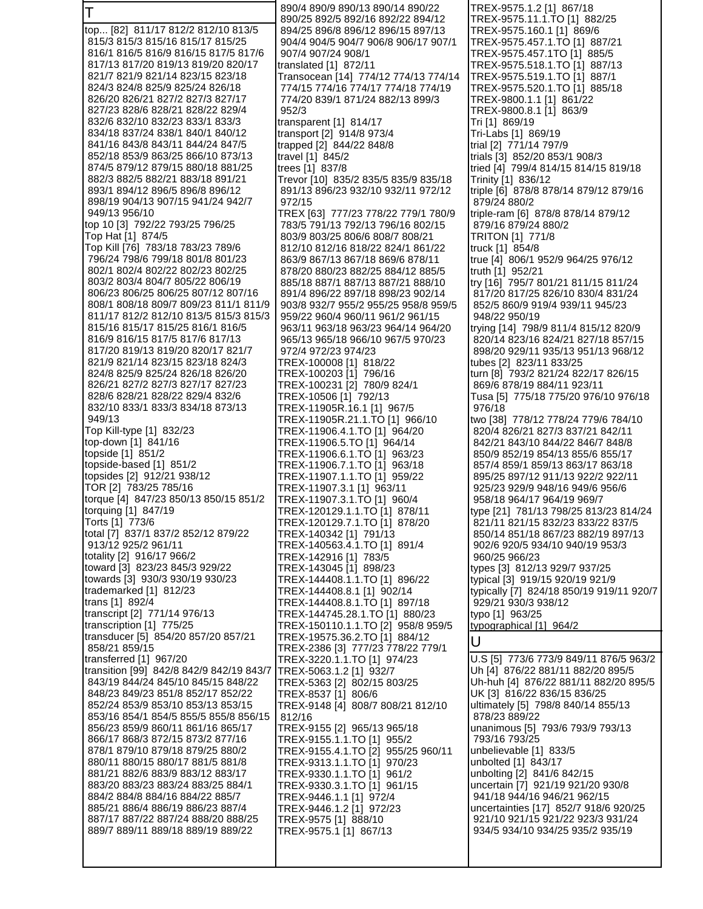T top... [82] 811/17 812/2 812/10 813/5 815/3 815/3 815/16 815/17 815/25 816/1 816/5 816/9 816/15 817/5 817/6 817/13 817/20 819/13 819/20 820/17 821/7 821/9 821/14 823/15 823/18 824/3 824/8 825/9 825/24 826/18 826/20 826/21 827/2 827/3 827/17 827/23 828/6 828/21 828/22 829/4 832/6 832/10 832/23 833/1 833/3 834/18 837/24 838/1 840/1 840/12 841/16 843/8 843/11 844/24 847/5 852/18 853/9 863/25 866/10 873/13 874/5 879/12 879/15 880/18 881/25 882/3 882/5 882/21 883/18 891/21 893/1 894/12 896/5 896/8 896/12 898/19 904/13 907/15 941/24 942/7 949/13 956/10 top 10 [3] 792/22 793/25 796/25 Top Hat [1] 874/5 Top Kill [76] 783/18 783/23 789/6 796/24 798/6 799/18 801/8 801/23 802/1 802/4 802/22 802/23 802/25 803/2 803/4 804/7 805/22 806/19 806/23 806/25 806/25 807/12 807/16 808/1 808/18 809/7 809/23 811/1 811/9 811/17 812/2 812/10 813/5 815/3 815/3 815/16 815/17 815/25 816/1 816/5 816/9 816/15 817/5 817/6 817/13 817/20 819/13 819/20 820/17 821/7 821/9 821/14 823/15 823/18 824/3 824/8 825/9 825/24 826/18 826/20 826/21 827/2 827/3 827/17 827/23 828/6 828/21 828/22 829/4 832/6 832/10 833/1 833/3 834/18 873/13 949/13 Top Kill-type [1] 832/23 top-down [1] 841/16 topside [1] 851/2 topside-based [1] 851/2 topsides [2] 912/21 938/12 TOR [2] 783/25 785/16 torque [4] 847/23 850/13 850/15 851/2 torquing [1] 847/19 Torts [1] 773/6 total [7] 837/1 837/2 852/12 879/22 913/12 925/2 961/11 totality [2] 916/17 966/2 toward [3] 823/23 845/3 929/22 towards [3] 930/3 930/19 930/23 trademarked [1] 812/23 trans [1] 892/4 transcript [2] 771/14 976/13 transcription [1] 775/25 transducer [5] 854/20 857/20 857/21 858/21 859/15 transferred [1] 967/20 transition [99] 842/8 842/9 842/19 843/7 843/19 844/24 845/10 845/15 848/22 848/23 849/23 851/8 852/17 852/22 852/24 853/9 853/10 853/13 853/15 853/16 854/1 854/5 855/5 855/8 856/15 856/23 859/9 860/11 861/16 865/17 866/17 868/3 872/15 873/2 877/16 878/1 879/10 879/18 879/25 880/2 880/11 880/15 880/17 881/5 881/8 881/21 882/6 883/9 883/12 883/17 883/20 883/23 883/24 883/25 884/1 884/2 884/8 884/16 884/22 885/7 885/21 886/4 886/19 886/23 887/4 887/17 887/22 887/24 888/20 888/25 889/7 889/11 889/18 889/19 889/22 890/4 890/9 890/13 890/14 890/22 890/25 892/5 892/16 892/22 894/12 894/25 896/8 896/12 896/15 897/13 904/4 904/5 904/7 906/8 906/17 907/1 907/4 907/24 908/1 translated [1] 872/11 Transocean [14] 774/12 774/13 774/14 774/15 774/16 774/17 774/18 774/19 774/20 839/1 871/24 882/13 899/3 952/3 transparent [1] 814/17 transport [2] 914/8 973/4 trapped [2] 844/22 848/8 travel [1] 845/2 trees [1] 837/8 Trevor [10] 835/2 835/5 835/9 835/18 891/13 896/23 932/10 932/11 972/12 972/15 TREX [63] 777/23 778/22 779/1 780/9 783/5 791/13 792/13 796/16 802/15 803/9 803/25 806/6 808/7 808/21 812/10 812/16 818/22 824/1 861/22 863/9 867/13 867/18 869/6 878/11 878/20 880/23 882/25 884/12 885/5 885/18 887/1 887/13 887/21 888/10 891/4 896/22 897/18 898/23 902/14 903/8 932/7 955/2 955/25 958/8 959/5 959/22 960/4 960/11 961/2 961/15 963/11 963/18 963/23 964/14 964/20 965/13 965/18 966/10 967/5 970/23 972/4 972/23 974/23 TREX-100008 [1] 818/22 TREX-100203 [1] 796/16 TREX-100231 [2] 780/9 824/1 TREX-10506 [1] 792/13 TREX-11905R.16.1 [1] 967/5 TREX-11905R.21.1.TO [1] 966/10 TREX-11906.4.1.TO [1] 964/20 TREX-11906.5.TO [1] 964/14 TREX-11906.6.1.TO [1] 963/23 TREX-11906.7.1.TO [1] 963/18 TREX-11907.1.1.TO [1] 959/22 TREX-11907.3.1 [1] 963/11 TREX-11907.3.1.TO [1] 960/4 TREX-120129.1.1.TO [1] 878/11 TREX-120129.7.1.TO [1] 878/20 TREX-140342 [1] 791/13 TREX-140563.4.1.TO [1] 891/4 TREX-142916 [1] 783/5 TREX-143045 [1] 898/23 TREX-144408.1.1.TO [1] 896/22 TREX-144408.8.1 [1] 902/14 TREX-144408.8.1.TO [1] 897/18 TREX-144745.28.1.TO [1] 880/23 TREX-150110.1.1.TO [2] 958/8 959/5 TREX-19575.36.2.TO [1] 884/12 TREX-2386 [3] 777/23 778/22 779/1 TREX-3220.1.1.TO [1] 974/23 TREX-5063.1.2 [1] 932/7 TREX-5363 [2] 802/15 803/25 TREX-8537 [1] 806/6 TREX-9148 [4] 808/7 808/21 812/10 812/16 TREX-9155 [2] 965/13 965/18 TREX-9155.1.1.TO [1] 955/2 TREX-9155.4.1.TO [2] 955/25 960/11 TREX-9313.1.1.TO [1] 970/23 TREX-9330.1.1.TO [1] 961/2 TREX-9330.3.1.TO [1] 961/15 TREX-9446.1.1 [1] 972/4 TREX-9446.1.2 [1] 972/23 TREX-9575 [1] 888/10 TREX-9575.1 [1] 867/13 TREX-9575.1.2 [1] 867/18 TREX-9575.11.1.TO [1] 882/25 TREX-9575.160.1 [1] 869/6 TREX-9575.457.1.TO [1] 887/21 TREX-9575.457.1TO [1] 885/5 TREX-9575.518.1.TO [1] 887/13 TREX-9575.519.1.TO [1] 887/1 TREX-9575.520.1.TO [1] 885/18 TREX-9800.1.1 [1] 861/22 TREX-9800.8.1 [1] 863/9 Tri [1] 869/19 Tri-Labs [1] 869/19 trial [2] 771/14 797/9 trials [3] 852/20 853/1 908/3 tried [4] 799/4 814/15 814/15 819/18 Trinity [1] 836/12 triple [6] 878/8 878/14 879/12 879/16 879/24 880/2 triple-ram [6] 878/8 878/14 879/12 879/16 879/24 880/2 TRITON [1] 771/8 truck [1] 854/8 true [4] 806/1 952/9 964/25 976/12 truth [1] 952/21 try [16] 795/7 801/21 811/15 811/24 817/20 817/25 826/10 830/4 831/24 852/5 860/9 919/4 939/11 945/23 948/22 950/19 trying [14] 798/9 811/4 815/12 820/9 820/14 823/16 824/21 827/18 857/15 898/20 929/11 935/13 951/13 968/12 tubes [2] 823/11 833/25 turn [8] 793/2 821/24 822/17 826/15 869/6 878/19 884/11 923/11 Tusa [5] 775/18 775/20 976/10 976/18 976/18 two [38] 778/12 778/24 779/6 784/10 820/4 826/21 827/3 837/21 842/11 842/21 843/10 844/22 846/7 848/8 850/9 852/19 854/13 855/6 855/17 857/4 859/1 859/13 863/17 863/18 895/25 897/12 911/13 922/2 922/11 925/23 929/9 948/16 949/6 956/6 958/18 964/17 964/19 969/7 type [21] 781/13 798/25 813/23 814/24 821/11 821/15 832/23 833/22 837/5 850/14 851/18 867/23 882/19 897/13 902/6 920/5 934/10 940/19 953/3 960/25 966/23 types [3] 812/13 929/7 937/25 typical [3] 919/15 920/19 921/9 typically [7] 824/18 850/19 919/11 920/7 929/21 930/3 938/12 typo [1] 963/25 typographical [1] 964/2 U U.S [5] 773/6 773/9 849/11 876/5 963/2 Uh [4] 876/22 881/11 882/20 895/5 Uh-huh [4] 876/22 881/11 882/20 895/5 UK [3] 816/22 836/15 836/25 ultimately [5] 798/8 840/14 855/13 878/23 889/22 unanimous [5] 793/6 793/9 793/13 793/16 793/25 unbelievable [1] 833/5 unbolted [1] 843/17 unbolting [2] 841/6 842/15 uncertain [7] 921/19 921/20 930/8 941/18 944/16 946/21 962/15 uncertainties [17] 852/7 918/6 920/25 921/10 921/15 921/22 923/3 931/24 934/5 934/10 934/25 935/2 935/19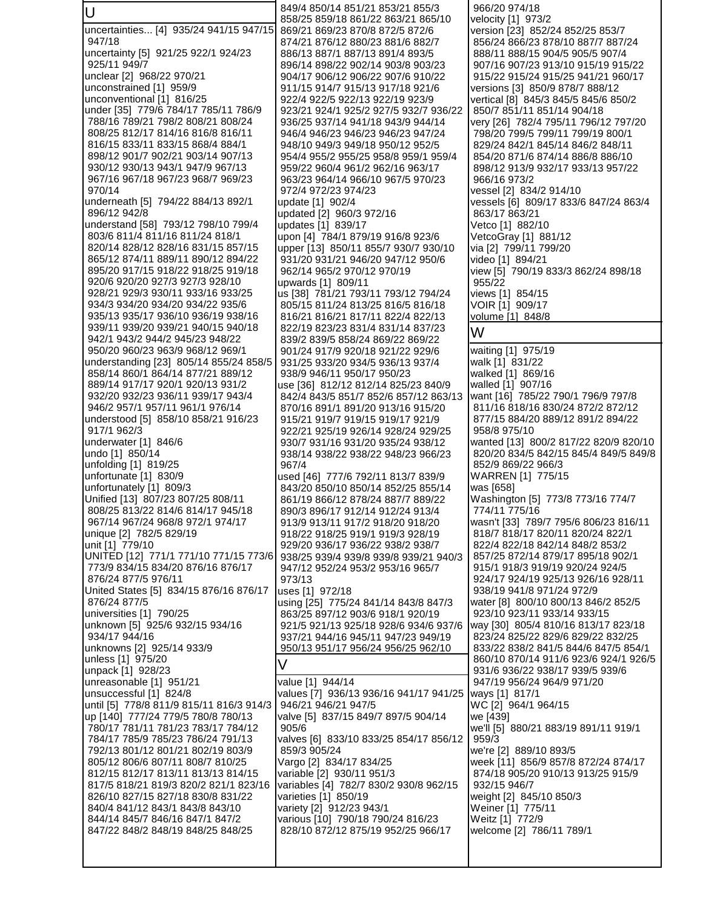U uncertainties... [4] 935/24 941/15 947/15 947/18 uncertainty [5] 921/25 922/1 924/23 925/11 949/7 unclear [2] 968/22 970/21 unconstrained [1] 959/9 unconventional [1] 816/25 under [35] 779/6 784/17 785/11 786/9 788/16 789/21 798/2 808/21 808/24 808/25 812/17 814/16 816/8 816/11 816/15 833/11 833/15 868/4 884/1 898/12 901/7 902/21 903/14 907/13 930/12 930/13 943/1 947/9 967/13 967/16 967/18 967/23 968/7 969/23 970/14 underneath [5] 794/22 884/13 892/1 896/12 942/8 understand [58] 793/12 798/10 799/4 803/6 811/4 811/16 811/24 818/1 820/14 828/12 828/16 831/15 857/15 865/12 874/11 889/11 890/12 894/22 895/20 917/15 918/22 918/25 919/18 920/6 920/20 927/3 927/3 928/10 928/21 929/3 930/11 933/16 933/25 934/3 934/20 934/20 934/22 935/6 935/13 935/17 936/10 936/19 938/16 939/11 939/20 939/21 940/15 940/18 942/1 943/2 944/2 945/23 948/22 950/20 960/23 963/9 968/12 969/1 understanding [23] 805/14 855/24 858/5 858/14 860/1 864/14 877/21 889/12 889/14 917/17 920/1 920/13 931/2 932/20 932/23 936/11 939/17 943/4 946/2 957/1 957/11 961/1 976/14 understood [5] 858/10 858/21 916/23 917/1 962/3 underwater [1] 846/6 undo [1] 850/14 unfolding [1] 819/25 unfortunate [1] 830/9 unfortunately [1] 809/3 Unified [13] 807/23 807/25 808/11 808/25 813/22 814/6 814/17 945/18 967/14 967/24 968/8 972/1 974/17 unique [2] 782/5 829/19 unit [1] 779/10 UNITED [12] 771/1 771/10 771/15 773/6 773/9 834/15 834/20 876/16 876/17 876/24 877/5 976/11 United States [5] 834/15 876/16 876/17 876/24 877/5 universities [1] 790/25 unknown [5] 925/6 932/15 934/16 934/17 944/16 unknowns [2] 925/14 933/9 unless [1] 975/20 unpack [1] 928/23 unreasonable [1] 951/21 unsuccessful [1] 824/8 until [5] 778/8 811/9 815/11 816/3 914/3 up [140] 777/24 779/5 780/8 780/13 780/17 781/11 781/23 783/17 784/12 784/17 785/9 785/23 786/24 791/13 792/13 801/12 801/21 802/19 803/9 805/12 806/6 807/11 808/7 810/25 812/15 812/17 813/11 813/13 814/15 817/5 818/21 819/3 820/2 821/1 823/16 826/10 827/15 827/18 830/8 831/22 840/4 841/12 843/1 843/8 843/10 844/14 845/7 846/16 847/1 847/2 847/22 848/2 848/19 848/25 848/25 849/4 850/14 851/21 853/21 855/3 858/25 859/18 861/22 863/21 865/10 869/21 869/23 870/8 872/5 872/6 874/21 876/12 880/23 881/6 882/7 886/13 887/1 887/13 891/4 893/5 896/14 898/22 902/14 903/8 903/23 904/17 906/12 906/22 907/6 910/22 911/15 914/7 915/13 917/18 921/6 922/4 922/5 922/13 922/19 923/9 923/21 924/1 925/2 927/5 932/7 936/22 936/25 937/14 941/18 943/9 944/14 946/4 946/23 946/23 946/23 947/24 948/10 949/3 949/18 950/12 952/5 954/4 955/2 955/25 958/8 959/1 959/4 959/22 960/4 961/2 962/16 963/17 963/23 964/14 966/10 967/5 970/23 972/4 972/23 974/23 update [1] 902/4 updated [2] 960/3 972/16 updates [1] 839/17 upon [4] 784/1 879/19 916/8 923/6 upper [13] 850/11 855/7 930/7 930/10 931/20 931/21 946/20 947/12 950/6 962/14 965/2 970/12 970/19 upwards [1] 809/11 us [38] 781/21 793/11 793/12 794/24 805/15 811/24 813/25 816/5 816/18 816/21 816/21 817/11 822/4 822/13 822/19 823/23 831/4 831/14 837/23 839/2 839/5 858/24 869/22 869/22 901/24 917/9 920/18 921/22 929/6 931/25 933/20 934/5 936/13 937/4 938/9 946/11 950/17 950/23 use [36] 812/12 812/14 825/23 840/9 842/4 843/5 851/7 852/6 857/12 863/13 870/16 891/1 891/20 913/16 915/20 915/21 919/7 919/15 919/17 921/9 922/21 925/19 926/14 928/24 929/25 930/7 931/16 931/20 935/24 938/12 938/14 938/22 938/22 948/23 966/23 967/4 used [46] 777/6 792/11 813/7 839/9 843/20 850/10 850/14 852/25 855/14 861/19 866/12 878/24 887/7 889/22 890/3 896/17 912/14 912/24 913/4 913/9 913/11 917/2 918/20 918/20 918/22 918/25 919/1 919/3 928/19 929/20 936/17 936/22 938/2 938/7 938/25 939/4 939/8 939/8 939/21 940/3 947/12 952/24 953/2 953/16 965/7 973/13 uses [1] 972/18 using [25] 775/24 841/14 843/8 847/3 863/25 897/12 903/6 918/1 920/19 921/5 921/13 925/18 928/6 934/6 937/6 937/21 944/16 945/11 947/23 949/19 950/13 951/17 956/24 956/25 962/10 V value [1] 944/14 values [7] 936/13 936/16 941/17 941/25 946/21 946/21 947/5 valve [5] 837/15 849/7 897/5 904/14 905/6 valves [6] 833/10 833/25 854/17 856/12 859/3 905/24 Vargo [2] 834/17 834/25 variable [2] 930/11 951/3 variables [4] 782/7 830/2 930/8 962/15 varieties [1] 850/19 variety [2] 912/23 943/1 various [10] 790/18 790/24 816/23 828/10 872/12 875/19 952/25 966/17 966/20 974/18 velocity [1] 973/2 version [23] 852/24 852/25 853/7 856/24 866/23 878/10 887/7 887/24 888/11 888/15 904/5 905/5 907/4 907/16 907/23 913/10 915/19 915/22 915/22 915/24 915/25 941/21 960/17 versions [3] 850/9 878/7 888/12 vertical [8] 845/3 845/5 845/6 850/2 850/7 851/11 851/14 904/18 very [26] 782/4 795/11 796/12 797/20 798/20 799/5 799/11 799/19 800/1 829/24 842/1 845/14 846/2 848/11 854/20 871/6 874/14 886/8 886/10 898/12 913/9 932/17 933/13 957/22 966/16 973/2 vessel [2] 834/2 914/10 vessels [6] 809/17 833/6 847/24 863/4 863/17 863/21 Vetco [1] 882/10 VetcoGray [1] 881/12 via [2] 799/11 799/20 video [1] 894/21 view [5] 790/19 833/3 862/24 898/18 955/22 views [1] 854/15 VOIR [1] 909/17 volume [1] 848/8 W waiting [1] 975/19 walk [1] 831/22 walked [1] 869/16 walled [1] 907/16 want [16] 785/22 790/1 796/9 797/8 811/16 818/16 830/24 872/2 872/12 877/15 884/20 889/12 891/2 894/22 958/8 975/10 wanted [13] 800/2 817/22 820/9 820/10 820/20 834/5 842/15 845/4 849/5 849/8 852/9 869/22 966/3 WARREN [1] 775/15 was [658] Washington [5] 773/8 773/16 774/7 774/11 775/16 wasn't [33] 789/7 795/6 806/23 816/11 818/7 818/17 820/11 820/24 822/1 822/4 822/18 842/14 848/2 853/2 857/25 872/14 879/17 895/18 902/1 915/1 918/3 919/19 920/24 924/5 924/17 924/19 925/13 926/16 928/11 938/19 941/8 971/24 972/9 water [8] 800/10 800/13 846/2 852/5 923/10 923/11 933/14 933/15 way [30] 805/4 810/16 813/17 823/18 823/24 825/22 829/6 829/22 832/25 833/22 838/2 841/5 844/6 847/5 854/1 860/10 870/14 911/6 923/6 924/1 926/5 931/6 936/22 938/17 939/5 939/6 947/19 956/24 964/9 971/20 ways [1] 817/1 WC [2] 964/1 964/15 we [439] we'll [5] 880/21 883/19 891/11 919/1 959/3 we're [2] 889/10 893/5 week [11] 856/9 857/8 872/24 874/17 874/18 905/20 910/13 913/25 915/9 932/15 946/7 weight [2] 845/10 850/3 Weiner [1] 775/11 Weitz [1] 772/9 welcome [2] 786/11 789/1